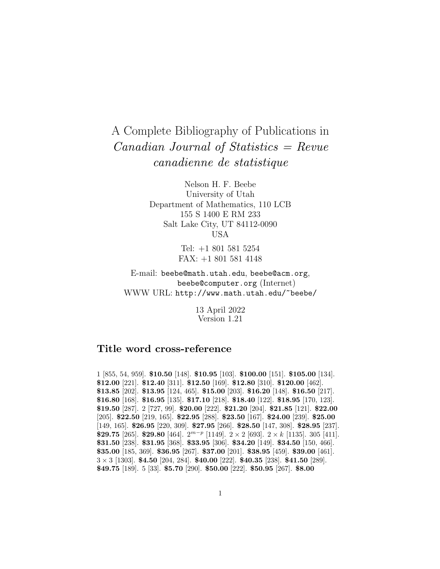## A Complete Bibliography of Publications in Canadian Journal of Statistics = Revue canadienne de statistique

Nelson H. F. Beebe University of Utah Department of Mathematics, 110 LCB 155 S 1400 E RM 233 Salt Lake City, UT 84112-0090 USA

> Tel: +1 801 581 5254 FAX: +1 801 581 4148

E-mail: beebe@math.utah.edu, beebe@acm.org, beebe@computer.org (Internet) WWW URL: http://www.math.utah.edu/~beebe/

> 13 April 2022 Version 1.21

## **Title word cross-reference**

1 [855, 54, 959]. **\$10.50** [148]. **\$10.95** [103]. **\$100.00** [151]. **\$105.00** [134]. **\$12.00** [221]. **\$12.40** [311]. **\$12.50** [169]. **\$12.80** [310]. **\$120.00** [462]. **\$13.85** [202]. **\$13.95** [124, 465]. **\$15.00** [203]. **\$16.20** [148]. **\$16.50** [217]. **\$16.80** [168]. **\$16.95** [135]. **\$17.10** [218]. **\$18.40** [122]. **\$18.95** [170, 123]. **\$19.50** [287]. 2 [727, 99]. **\$20.00** [222]. **\$21.20** [204]. **\$21.85** [121]. **\$22.00** [205]. **\$22.50** [219, 165]. **\$22.95** [288]. **\$23.50** [167]. **\$24.00** [239]. **\$25.00** [149, 165]. **\$26.95** [220, 309]. **\$27.95** [266]. **\$28.50** [147, 308]. **\$28.95** [237]. **\$29.75** [265]. **\$29.80** [464].  $2^{m-p}$  [1149].  $2 \times 2$  [693].  $2 \times k$  [1135]. 305 [411]. **\$31.50** [238]. **\$31.95** [368]. **\$33.95** [306]. **\$34.20** [149]. **\$34.50** [150, 466]. **\$35.00** [185, 369]. **\$36.95** [267]. **\$37.00** [201]. **\$38.95** [459]. **\$39.00** [461]. 3 × 3 [1303]. **\$4.50** [204, 284]. **\$40.00** [222]. **\$40.35** [238]. **\$41.50** [289]. **\$49.75** [189]. 5 [33]. **\$5.70** [290]. **\$50.00** [222]. **\$50.95** [267]. **\$8.00**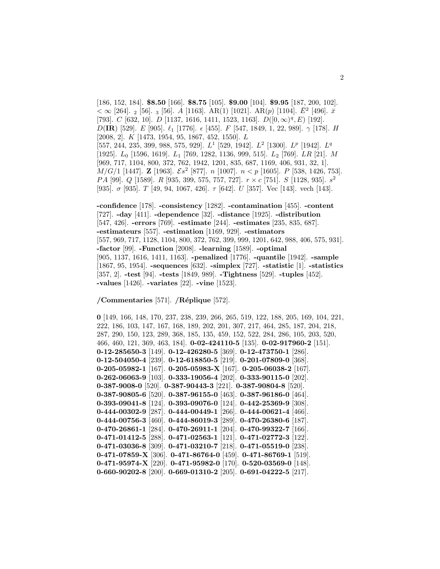[186, 152, 184]. **\$8.50** [166]. **\$8.75** [105]. **\$9.00** [104]. **\$9.95** [187, 200, 102].  $< \infty$  [264]. <sub>2</sub> [56]. <sub>3</sub> [56]. A [1163]. AR(1) [1021]. AR(p) [1104].  $\bar{E}^2$  [496].  $\bar{x}$ [793]. C [632, 10]. D [1137, 1616, 1411, 1523, 1163].  $D([0,\infty)^q,E)$  [192]. D(**IR**) [529]. E [905].  $\ell_1$  [1776].  $\epsilon$  [455]. F [547, 1849, 1, 22, 989].  $\gamma$  [178]. H [2008, 2]. K [1473, 1954, 95, 1867, 452, 1550]. L [557, 244, 235, 399, 988, 575, 929].  $L^1$  [529, 1942].  $L^2$  [1300].  $L^p$  [1942].  $L^q$ [1925]. L<sub>0</sub> [1596, 1619]. L<sub>1</sub> [769, 1282, 1136, 999, 515]. L<sub>2</sub> [769]. LR [21]. M [969, 717, 1104, 800, 372, 762, 1942, 1201, 835, 687, 1169, 406, 931, 32, 1].  $M/G/1$  [1447]. **Z** [1963].  $\mathcal{E}s^2$  [877]. *n* [1007].  $n < p$  [1605]. *P* [538, 1426, 753]. PA [99]. Q [1589]. R [935, 399, 575, 757, 727].  $r \times c$  [751]. S [1128, 935].  $s^2$ [935].  $\sigma$  [935]. T [49, 94, 1067, 426].  $\tau$  [642]. U [357]. Vec [143]. vech [143].

**-confidence** [178]. **-consistency** [1282]. **-contamination** [455]. **-content** [727]. **-day** [411]. **-dependence** [32]. **-distance** [1925]. **-distribution** [547, 426]. **-errors** [769]. **-estimate** [244]. **-estimates** [235, 835, 687]. **-estimateurs** [557]. **-estimation** [1169, 929]. **-estimators** [557, 969, 717, 1128, 1104, 800, 372, 762, 399, 999, 1201, 642, 988, 406, 575, 931]. **-factor** [99]. **-Function** [2008]. **-learning** [1589]. **-optimal** [905, 1137, 1616, 1411, 1163]. **-penalized** [1776]. **-quantile** [1942]. **-sample** [1867, 95, 1954]. **-sequences** [632]. **-simplex** [727]. **-statistic** [1]. **-statistics** [357, 2]. **-test** [94]. **-tests** [1849, 989]. **-Tightness** [529]. **-tuples** [452]. **-values** [1426]. **-variates** [22]. **-vine** [1523].

**/Commentaries** [571]. **/R´eplique** [572].

**0** [149, 166, 148, 170, 237, 238, 239, 266, 265, 519, 122, 188, 205, 169, 104, 221, 222, 186, 103, 147, 167, 168, 189, 202, 201, 307, 217, 464, 285, 187, 204, 218, 287, 290, 150, 123, 289, 368, 185, 135, 459, 152, 522, 284, 286, 105, 203, 520, 466, 460, 121, 369, 463, 184]. **0-02-424110-5** [135]. **0-02-917960-2** [151]. **0-12-285650-3** [149]. **0-12-426280-5** [369]. **0-12-473750-1** [286]. **0-12-504050-4** [239]. **0-12-618850-5** [219]. **0-201-07809-0** [368]. **0-205-05982-1** [167]. **0-205-05983-X** [167]. **0-205-06038-2** [167]. **0-262-06063-9** [103]. **0-333-19056-4** [202]. **0-333-90115-0** [202]. **0-387-9008-0** [520]. **0-387-90443-3** [221]. **0-387-90804-8** [520]. **0-387-90805-6** [520]. **0-387-96155-0** [463]. **0-387-96186-0** [464]. **0-393-09041-8** [124]. **0-393-09076-0** [124]. **0-442-25369-9** [308]. **0-444-00302-9** [287]. **0-444-00449-1** [266]. **0-444-00621-4** [466]. **0-444-00756-3** [460]. **0-444-86019-3** [289]. **0-470-26380-6** [187]. **0-470-26861-1** [284]. **0-470-26911-1** [204]. **0-470-99322-7** [166]. **0-471-01412-5** [288]. **0-471-02563-1** [121]. **0-471-02772-3** [122]. **0-471-03036-8** [309]. **0-471-03210-7** [218]. **0-471-05519-0** [238]. **0-471-07859-X** [306]. **0-471-86764-0** [459]. **0-471-86769-1** [519]. **0-471-95974-X** [220]. **0-471-95982-0** [170]. **0-520-03569-0** [148]. **0-660-90202-8** [200]. **0-669-01310-2** [205]. **0-691-04222-5** [217].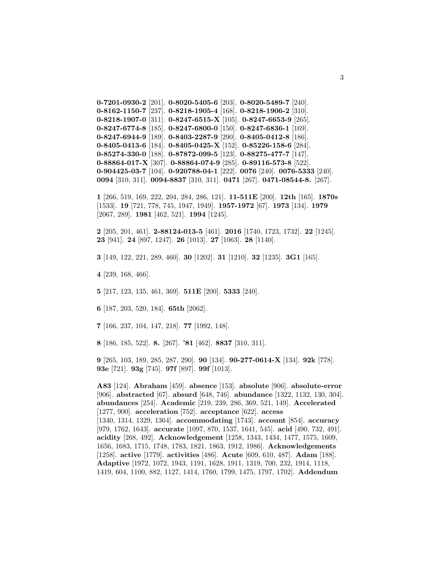```
0-7201-0930-2 [201]. 0-8020-5405-6 [203]. 0-8020-5489-7 [240].
0-8162-1150-7 [237]. 0-8218-1905-4 [168]. 0-8218-1906-2 [310].
0-8218-1907-0 [311]. 0-8247-6515-X [105]. 0-8247-6653-9 [265].
0-8247-6774-8 [185]. 0-8247-6800-0 [150]. 0-8247-6836-1 [169].
0-8247-6944-9 [189]. 0-8403-2287-9 [290]. 0-8405-0412-8 [186].
0-8405-0413-6 [184]. 0-8405-0425-X [152]. 0-85226-158-6 [284].
0-85274-330-0 [188]. 0-87872-099-5 [123]. 0-88275-477-7 [147].
0-88864-017-X [307]. 0-88864-074-9 [285]. 0-89116-573-8 [522].
0-904425-03-7 [104]. 0-920788-04-1 [222]. 0076 [240]. 0076-5333 [240].
0094 [310, 311]. 0094-8837 [310, 311]. 0471 [267]. 0471-08544-8. [267].
```
**1** [266, 519, 169, 222, 204, 284, 286, 121]. **11-511E** [200]. **12th** [165]. **1870s** [1533]. **19** [721, 778, 745, 1947, 1949]. **1957-1972** [67]. **1973** [134]. **1979** [2067, 289]. **1981** [462, 521]. **1994** [1245].

**2** [205, 201, 461]. **2-88124-013-5** [461]. **2016** [1740, 1723, 1732]. **22** [1245]. **23** [941]. **24** [897, 1247]. **26** [1013]. **27** [1063]. **28** [1140].

**3** [149, 122, 221, 289, 460]. **30** [1202]. **31** [1210]. **32** [1235]. **3G1** [165].

**4** [239, 168, 466].

**5** [217, 123, 135, 461, 369]. **511E** [200]. **5333** [240].

**6** [187, 203, 520, 184]. **65th** [2062].

**7** [166, 237, 104, 147, 218]. **77** [1992, 148].

**8** [186, 185, 522]. **8.** [267]. **'81** [462]. **8837** [310, 311].

**9** [265, 103, 189, 285, 287, 290]. **90** [134]. **90-277-0614-X** [134]. **92k** [778]. **93e** [721]. **93g** [745]. **97f** [897]. **99f** [1013].

**A83** [124]. **Abraham** [459]. **absence** [153]. **absolute** [906]. **absolute-error** [906]. **abstracted** [67]. **absurd** [648, 746]. **abundance** [1322, 1132, 130, 304]. **abundances** [254]. **Academic** [219, 239, 286, 369, 521, 149]. **Accelerated** [1277, 900]. **acceleration** [752]. **acceptance** [622]. **access** [1340, 1314, 1329, 1364]. **accommodating** [1743]. **account** [854]. **accuracy** [979, 1762, 1643]. **accurate** [1097, 870, 1537, 1641, 545]. **acid** [490, 732, 491]. **acidity** [268, 492]. **Acknowledgement** [1258, 1343, 1434, 1477, 1575, 1609, 1656, 1683, 1715, 1748, 1783, 1821, 1863, 1912, 1986]. **Acknowledgements** [1258]. **active** [1779]. **activities** [486]. **Acute** [609, 610, 487]. **Adam** [188]. **Adaptive** [1972, 1072, 1943, 1191, 1628, 1911, 1319, 700, 232, 1914, 1118, 1419, 604, 1100, 882, 1127, 1414, 1760, 1799, 1475, 1797, 1702]. **Addendum**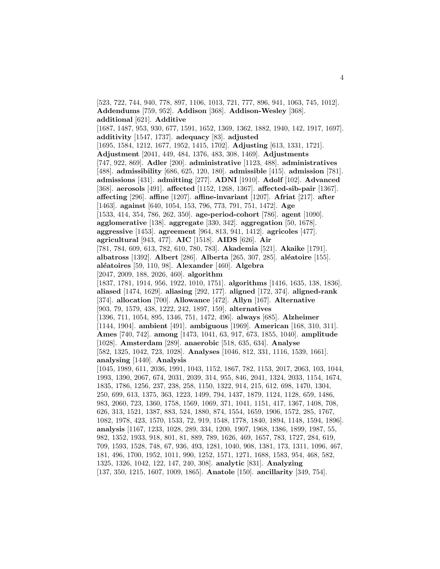[523, 722, 744, 940, 778, 897, 1106, 1013, 721, 777, 896, 941, 1063, 745, 1012]. **Addendums** [759, 952]. **Addison** [368]. **Addison-Wesley** [368]. **additional** [621]. **Additive** [1687, 1487, 953, 930, 677, 1591, 1652, 1369, 1362, 1882, 1940, 142, 1917, 1697]. **additivity** [1547, 1737]. **adequacy** [83]. **adjusted** [1695, 1584, 1212, 1677, 1952, 1415, 1702]. **Adjusting** [613, 1331, 1721]. **Adjustment** [2041, 449, 484, 1376, 483, 308, 1469]. **Adjustments** [747, 922, 869]. **Adler** [200]. **administrative** [1123, 488]. **administratives** [488]. **admissibility** [686, 625, 120, 180]. **admissible** [415]. **admission** [781]. **admissions** [431]. **admitting** [277]. **ADNI** [1910]. **Adolf** [102]. **Advanced** [368]. **aerosols** [491]. **affected** [1152, 1268, 1367]. **affected-sib-pair** [1367]. **affecting** [296]. **affine** [1207]. **affine-invariant** [1207]. **Afriat** [217]. **after** [1463]. **against** [640, 1054, 153, 796, 773, 791, 751, 1472]. **Age** [1533, 414, 354, 786, 262, 350]. **age-period-cohort** [786]. **agent** [1090]. **agglomerative** [138]. **aggregate** [330, 342]. **aggregation** [50, 1678]. **aggressive** [1453]. **agreement** [964, 813, 941, 1412]. **agricoles** [477]. **agricultural** [943, 477]. **AIC** [1518]. **AIDS** [626]. **Air** [781, 784, 609, 613, 782, 610, 780, 783]. **Akademia** [521]. **Akaike** [1791]. **albatross** [1392]. **Albert** [286]. **Alberta** [265, 307, 285]. **aléatoire** [155]. **al´eatoires** [59, 110, 98]. **Alexander** [460]. **Algebra** [2047, 2009, 188, 2026, 460]. **algorithm** [1837, 1781, 1914, 956, 1922, 1010, 1751]. **algorithms** [1416, 1635, 138, 1836]. **aliased** [1474, 1629]. **aliasing** [292, 177]. **aligned** [172, 374]. **aligned-rank** [374]. **allocation** [700]. **Allowance** [472]. **Allyn** [167]. **Alternative** [903, 79, 1579, 438, 1222, 242, 1897, 159]. **alternatives** [1396, 711, 1054, 895, 1346, 751, 1472, 496]. **always** [685]. **Alzheimer** [1144, 1904]. **ambient** [491]. **ambiguous** [1969]. **American** [168, 310, 311]. **Ames** [740, 742]. **among** [1473, 1041, 63, 917, 673, 1855, 1040]. **amplitude** [1028]. **Amsterdam** [289]. **anaerobic** [518, 635, 634]. **Analyse** [582, 1325, 1042, 723, 1028]. **Analyses** [1046, 812, 331, 1116, 1539, 1661]. **analysing** [1440]. **Analysis** [1045, 1989, 611, 2036, 1991, 1043, 1152, 1867, 782, 1153, 2017, 2063, 103, 1044, 1993, 1390, 2067, 674, 2031, 2039, 314, 955, 846, 2041, 1324, 2033, 1154, 1674, 1835, 1786, 1256, 237, 238, 258, 1150, 1322, 914, 215, 612, 698, 1470, 1304, 250, 699, 613, 1375, 363, 1223, 1499, 794, 1437, 1879, 1124, 1128, 659, 1486, 983, 2060, 723, 1360, 1758, 1569, 1069, 371, 1041, 1151, 417, 1367, 1408, 708, 626, 313, 1521, 1387, 883, 524, 1880, 874, 1554, 1659, 1906, 1572, 285, 1767, 1082, 1978, 423, 1570, 1533, 72, 919, 1548, 1778, 1840, 1894, 1148, 1594, 1896]. **analysis** [1167, 1233, 1028, 289, 334, 1200, 1907, 1968, 1386, 1899, 1987, 55, 982, 1352, 1933, 918, 801, 81, 889, 789, 1626, 469, 1657, 783, 1727, 284, 619, 709, 1593, 1528, 748, 67, 936, 493, 1281, 1040, 908, 1381, 173, 1311, 1096, 467, 181, 496, 1700, 1952, 1011, 990, 1252, 1571, 1271, 1688, 1583, 954, 468, 582, 1325, 1326, 1042, 122, 147, 240, 308]. **analytic** [831]. **Analyzing** [137, 350, 1215, 1607, 1009, 1865]. **Anatole** [150]. **ancillarity** [349, 754].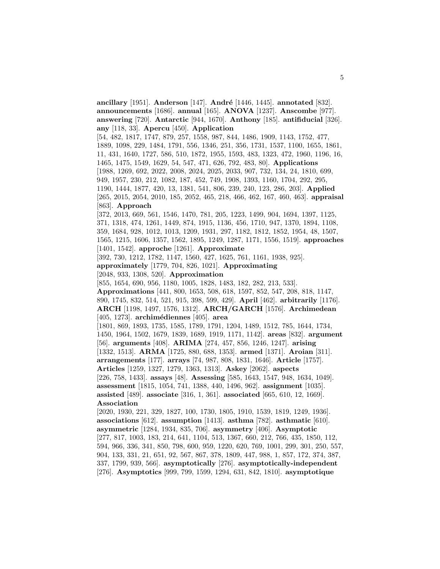**ancillary** [1951]. **Anderson** [147]. **Andr´e** [1446, 1445]. **annotated** [832]. **announcements** [1686]. **annual** [165]. **ANOVA** [1237]. **Anscombe** [977]. **answering** [720]. **Antarctic** [944, 1670]. **Anthony** [185]. **antifiducial** [326]. **any** [118, 33]. **Apercu** [450]. **Application** [54, 482, 1817, 1747, 879, 257, 1558, 987, 844, 1486, 1909, 1143, 1752, 477, 1889, 1098, 229, 1484, 1791, 556, 1346, 251, 356, 1731, 1537, 1100, 1655, 1861, 11, 431, 1640, 1727, 586, 510, 1872, 1955, 1593, 483, 1323, 472, 1960, 1196, 16, 1465, 1475, 1549, 1629, 54, 547, 471, 626, 792, 483, 80]. **Applications** [1988, 1269, 692, 2022, 2008, 2024, 2025, 2033, 907, 732, 134, 24, 1810, 699, 949, 1957, 230, 212, 1082, 187, 452, 749, 1908, 1393, 1160, 1704, 292, 295, 1190, 1444, 1877, 420, 13, 1381, 541, 806, 239, 240, 123, 286, 203]. **Applied** [265, 2015, 2054, 2010, 185, 2052, 465, 218, 466, 462, 167, 460, 463]. **appraisal** [863]. **Approach** [372, 2013, 669, 561, 1546, 1470, 781, 205, 1223, 1499, 904, 1694, 1397, 1125, 371, 1318, 474, 1261, 1449, 874, 1915, 1136, 456, 1710, 947, 1370, 1894, 1108, 359, 1684, 928, 1012, 1013, 1209, 1931, 297, 1182, 1812, 1852, 1954, 48, 1507, 1565, 1215, 1606, 1357, 1562, 1895, 1249, 1287, 1171, 1556, 1519]. **approaches** [1401, 1542]. **approche** [1261]. **Approximate** [392, 730, 1212, 1782, 1147, 1560, 427, 1625, 761, 1161, 1938, 925]. **approximately** [1779, 704, 826, 1021]. **Approximating** [2048, 933, 1308, 520]. **Approximation** [855, 1654, 690, 956, 1180, 1005, 1828, 1483, 182, 282, 213, 533]. **Approximations** [441, 800, 1653, 508, 618, 1597, 852, 547, 208, 818, 1147, 890, 1745, 832, 514, 521, 915, 398, 599, 429]. **April** [462]. **arbitrarily** [1176]. **ARCH** [1198, 1497, 1576, 1312]. **ARCH/GARCH** [1576]. **Archimedean** [405, 1273]. **archim´ediennes** [405]. **area** [1801, 869, 1893, 1735, 1585, 1789, 1791, 1204, 1489, 1512, 785, 1644, 1734, 1450, 1964, 1502, 1679, 1839, 1689, 1919, 1171, 1142]. **areas** [832]. **argument** [56]. **arguments** [408]. **ARIMA** [274, 457, 856, 1246, 1247]. **arising** [1332, 1513]. **ARMA** [1725, 880, 688, 1353]. **armed** [1371]. **Aroian** [311]. **arrangements** [177]. **arrays** [74, 987, 808, 1831, 1646]. **Article** [1757]. **Articles** [1259, 1327, 1279, 1363, 1313]. **Askey** [2062]. **aspects** [226, 758, 1433]. **assays** [48]. **Assessing** [585, 1643, 1547, 948, 1634, 1049]. **assessment** [1815, 1054, 741, 1388, 440, 1496, 962]. **assignment** [1035]. **assisted** [489]. **associate** [316, 1, 361]. **associated** [665, 610, 12, 1669]. **Association** [2020, 1930, 221, 329, 1827, 100, 1730, 1805, 1910, 1539, 1819, 1249, 1936]. **associations** [612]. **assumption** [1413]. **asthma** [782]. **asthmatic** [610]. **asymmetric** [1284, 1934, 835, 706]. **asymmetry** [406]. **Asymptotic** [277, 817, 1003, 183, 214, 641, 1104, 513, 1367, 660, 212, 766, 435, 1850, 112, 594, 966, 336, 341, 850, 798, 600, 959, 1220, 620, 769, 1001, 299, 301, 250, 557, 904, 133, 331, 21, 651, 92, 567, 867, 378, 1809, 447, 988, 1, 857, 172, 374, 387, 337, 1799, 939, 566]. **asymptotically** [276]. **asymptotically-independent** [276]. **Asymptotics** [999, 799, 1599, 1294, 631, 842, 1810]. **asymptotique**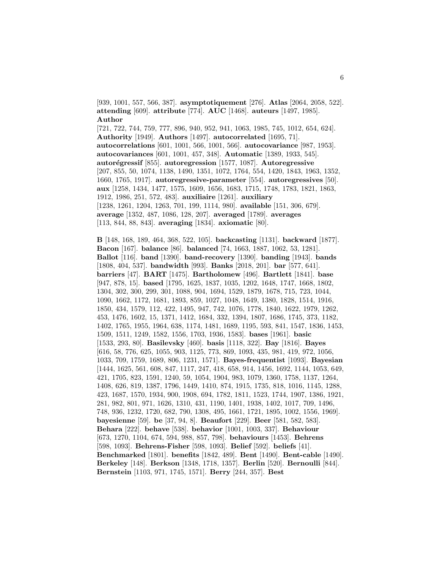[939, 1001, 557, 566, 387]. **asymptotiquement** [276]. **Atlas** [2064, 2058, 522]. **attending** [609]. **attribute** [774]. **AUC** [1468]. **auteurs** [1497, 1985]. **Author**

[721, 722, 744, 759, 777, 896, 940, 952, 941, 1063, 1985, 745, 1012, 654, 624]. **Authority** [1949]. **Authors** [1497]. **autocorrelated** [1695, 71]. **autocorrelations** [601, 1001, 566, 1001, 566]. **autocovariance** [987, 1953]. **autocovariances** [601, 1001, 457, 348]. **Automatic** [1389, 1933, 545]. **autor´egressif** [855]. **autoregression** [1577, 1087]. **Autoregressive** [207, 855, 50, 1074, 1138, 1490, 1351, 1072, 1764, 554, 1420, 1843, 1963, 1352, 1660, 1765, 1917]. **autoregressive-parameter** [554]. **autoregressives** [50]. **aux** [1258, 1434, 1477, 1575, 1609, 1656, 1683, 1715, 1748, 1783, 1821, 1863, 1912, 1986, 251, 572, 483]. **auxiliaire** [1261]. **auxiliary** [1238, 1261, 1204, 1263, 701, 199, 1114, 980]. **available** [151, 306, 679]. **average** [1352, 487, 1086, 128, 207]. **averaged** [1789]. **averages** [113, 844, 88, 843]. **averaging** [1834]. **axiomatic** [80].

**B** [148, 168, 189, 464, 368, 522, 105]. **backcasting** [1131]. **backward** [1877]. **Bacon** [167]. **balance** [86]. **balanced** [74, 1663, 1887, 1062, 53, 1281]. **Ballot** [116]. **band** [1390]. **band-recovery** [1390]. **banding** [1943]. **bands** [1808, 404, 537]. **bandwidth** [993]. **Banks** [2018, 201]. **bar** [577, 641]. **barriers** [47]. **BART** [1475]. **Bartholomew** [496]. **Bartlett** [1841]. **base** [947, 878, 15]. **based** [1795, 1625, 1837, 1035, 1202, 1648, 1747, 1668, 1802, 1304, 302, 300, 299, 301, 1088, 904, 1694, 1529, 1879, 1678, 715, 723, 1044, 1090, 1662, 1172, 1681, 1893, 859, 1027, 1048, 1649, 1380, 1828, 1514, 1916, 1850, 434, 1579, 112, 422, 1495, 947, 742, 1076, 1778, 1840, 1622, 1979, 1262, 453, 1476, 1602, 15, 1371, 1412, 1684, 332, 1394, 1807, 1686, 1745, 373, 1182, 1402, 1765, 1955, 1964, 638, 1174, 1481, 1689, 1195, 593, 841, 1547, 1836, 1453, 1509, 1511, 1249, 1582, 1556, 1703, 1936, 1583]. **bases** [1961]. **basic** [1533, 293, 80]. **Basilevsky** [460]. **basis** [1118, 322]. **Bay** [1816]. **Bayes** [616, 58, 776, 625, 1055, 903, 1125, 773, 869, 1093, 435, 981, 419, 972, 1056, 1033, 709, 1759, 1689, 806, 1231, 1571]. **Bayes-frequentist** [1093]. **Bayesian** [1444, 1625, 561, 608, 847, 1117, 247, 418, 658, 914, 1456, 1692, 1144, 1053, 649, 421, 1705, 823, 1591, 1240, 59, 1054, 1904, 983, 1079, 1360, 1758, 1137, 1264, 1408, 626, 819, 1387, 1796, 1449, 1410, 874, 1915, 1735, 818, 1016, 1145, 1288, 423, 1687, 1570, 1934, 900, 1908, 694, 1782, 1811, 1523, 1744, 1907, 1386, 1921, 281, 982, 801, 971, 1626, 1310, 431, 1190, 1401, 1938, 1402, 1017, 709, 1496, 748, 936, 1232, 1720, 682, 790, 1308, 495, 1661, 1721, 1895, 1002, 1556, 1969]. **bayesienne** [59]. **be** [37, 94, 8]. **Beaufort** [229]. **Beer** [581, 582, 583]. **Behara** [222]. **behave** [538]. **behavior** [1001, 1003, 337]. **Behaviour** [673, 1270, 1104, 674, 594, 988, 857, 798]. **behaviours** [1453]. **Behrens** [598, 1093]. **Behrens-Fisher** [598, 1093]. **Belief** [592]. **beliefs** [41]. **Benchmarked** [1801]. **benefits** [1842, 489]. **Bent** [1490]. **Bent-cable** [1490]. **Berkeley** [148]. **Berkson** [1348, 1718, 1357]. **Berlin** [520]. **Bernoulli** [844]. **Bernstein** [1103, 971, 1745, 1571]. **Berry** [244, 357]. **Best**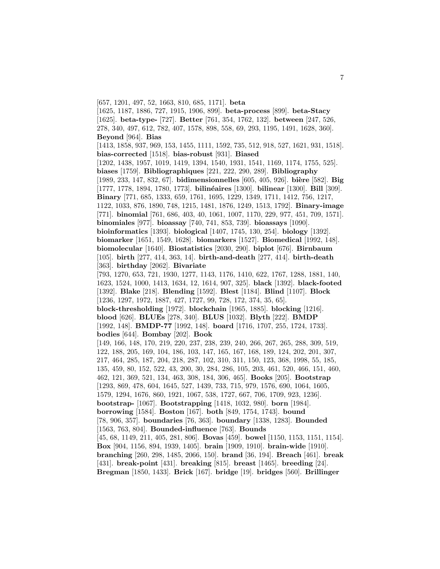[657, 1201, 497, 52, 1663, 810, 685, 1171]. **beta**

[1625, 1187, 1886, 727, 1915, 1906, 899]. **beta-process** [899]. **beta-Stacy** [1625]. **beta-type-** [727]. **Better** [761, 354, 1762, 132]. **between** [247, 526, 278, 340, 497, 612, 782, 407, 1578, 898, 558, 69, 293, 1195, 1491, 1628, 360]. **Beyond** [964]. **Bias** [1413, 1858, 937, 969, 153, 1455, 1111, 1592, 735, 512, 918, 527, 1621, 931, 1518]. **bias-corrected** [1518]. **bias-robust** [931]. **Biased** [1202, 1438, 1957, 1019, 1419, 1394, 1540, 1931, 1541, 1169, 1174, 1755, 525]. **biases** [1759]. **Bibliographiques** [221, 222, 290, 289]. **Bibliography** [1989, 233, 147, 832, 67]. **bidimensionnelles** [605, 405, 926]. **bi`ere** [582]. **Big** [1777, 1778, 1894, 1780, 1773]. **bilinéaires** [1300]. **bilinear** [1300]. **Bill** [309]. **Binary** [771, 685, 1333, 659, 1761, 1695, 1229, 1349, 1711, 1412, 756, 1217, 1122, 1033, 876, 1890, 748, 1215, 1481, 1876, 1249, 1513, 1792]. **Binary-image** [771]. **binomial** [761, 686, 403, 40, 1061, 1007, 1170, 229, 977, 451, 709, 1571]. **binomiales** [977]. **bioassay** [740, 741, 853, 739]. **bioassays** [1090]. **bioinformatics** [1393]. **biological** [1407, 1745, 130, 254]. **biology** [1392]. **biomarker** [1651, 1549, 1628]. **biomarkers** [1527]. **Biomedical** [1992, 148]. **biomolecular** [1640]. **Biostatistics** [2030, 290]. **biplot** [676]. **Birnbaum** [105]. **birth** [277, 414, 363, 14]. **birth-and-death** [277, 414]. **birth-death** [363]. **birthday** [2062]. **Bivariate** [793, 1270, 653, 721, 1930, 1277, 1143, 1176, 1410, 622, 1767, 1288, 1881, 140, 1623, 1524, 1000, 1413, 1634, 12, 1614, 907, 325]. **black** [1392]. **black-footed** [1392]. **Blake** [218]. **Blending** [1592]. **Blest** [1184]. **Blind** [1107]. **Block** [1236, 1297, 1972, 1887, 427, 1727, 99, 728, 172, 374, 35, 65]. **block-thresholding** [1972]. **blockchain** [1965, 1885]. **blocking** [1216]. **blood** [626]. **BLUEs** [278, 340]. **BLUS** [1032]. **Blyth** [222]. **BMDP** [1992, 148]. **BMDP-77** [1992, 148]. **board** [1716, 1707, 255, 1724, 1733]. **bodies** [644]. **Bombay** [202]. **Book** [149, 166, 148, 170, 219, 220, 237, 238, 239, 240, 266, 267, 265, 288, 309, 519, 122, 188, 205, 169, 104, 186, 103, 147, 165, 167, 168, 189, 124, 202, 201, 307, 217, 464, 285, 187, 204, 218, 287, 102, 310, 311, 150, 123, 368, 1998, 55, 185, 135, 459, 80, 152, 522, 43, 200, 30, 284, 286, 105, 203, 461, 520, 466, 151, 460, 462, 121, 369, 521, 134, 463, 308, 184, 306, 465]. **Books** [205]. **Bootstrap** [1293, 869, 478, 604, 1645, 527, 1439, 733, 715, 979, 1576, 690, 1064, 1605, 1579, 1294, 1676, 860, 1921, 1067, 538, 1727, 667, 706, 1709, 923, 1236]. **bootstrap-** [1067]. **Bootstrapping** [1418, 1032, 980]. **born** [1984]. **borrowing** [1584]. **Boston** [167]. **both** [849, 1754, 1743]. **bound** [78, 906, 357]. **boundaries** [76, 363]. **boundary** [1338, 1283]. **Bounded** [1563, 763, 804]. **Bounded-influence** [763]. **Bounds** [45, 68, 1149, 211, 405, 281, 806]. **Bovas** [459]. **bowel** [1150, 1153, 1151, 1154]. **Box** [904, 1156, 894, 1939, 1405]. **brain** [1909, 1910]. **brain-wide** [1910]. **branching** [260, 298, 1485, 2066, 150]. **brand** [36, 194]. **Breach** [461]. **break** [431]. **break-point** [431]. **breaking** [815]. **breast** [1465]. **breeding** [24]. **Bregman** [1850, 1433]. **Brick** [167]. **bridge** [19]. **bridges** [560]. **Brillinger**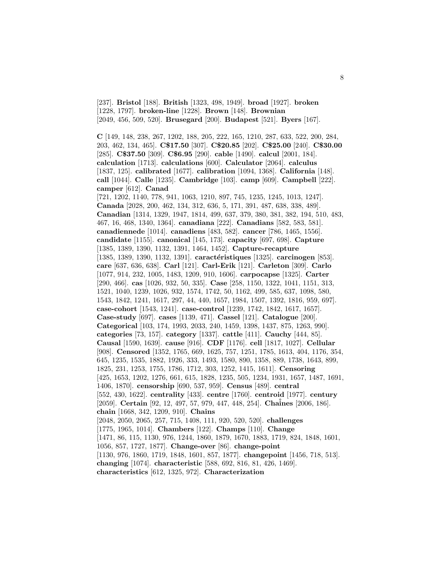[237]. **Bristol** [188]. **British** [1323, 498, 1949]. **broad** [1927]. **broken** [1228, 1797]. **broken-line** [1228]. **Brown** [148]. **Brownian** [2049, 456, 509, 520]. **Brusegard** [200]. **Budapest** [521]. **Byers** [167].

**C** [149, 148, 238, 267, 1202, 188, 205, 222, 165, 1210, 287, 633, 522, 200, 284, 203, 462, 134, 465]. **C\$17.50** [307]. **C\$20.85** [202]. **C\$25.00** [240]. **C\$30.00** [285]. **C\$37.50** [309]. **C\$6.95** [290]. **cable** [1490]. **calcul** [2001, 184]. **calculation** [1713]. **calculations** [600]. **Calculator** [2064]. **calculus** [1837, 125]. **calibrated** [1677]. **calibration** [1094, 1368]. **California** [148]. **call** [1044]. **Calle** [1235]. **Cambridge** [103]. **camp** [609]. **Campbell** [222]. **camper** [612]. **Canad** [721, 1202, 1140, 778, 941, 1063, 1210, 897, 745, 1235, 1245, 1013, 1247]. **Canada** [2028, 200, 462, 134, 312, 636, 5, 171, 391, 487, 638, 338, 489]. **Canadian** [1314, 1329, 1947, 1814, 499, 637, 379, 380, 381, 382, 194, 510, 483, 467, 16, 468, 1340, 1364]. **canadiana** [222]. **Canadians** [582, 583, 581]. **canadiennede** [1014]. **canadiens** [483, 582]. **cancer** [786, 1465, 1556]. **candidate** [1155]. **canonical** [145, 173]. **capacity** [697, 698]. **Capture** [1385, 1389, 1390, 1132, 1391, 1464, 1452]. **Capture-recapture** [1385, 1389, 1390, 1132, 1391]. **caractéristiques** [1325]. **carcinogen** [853]. **care** [637, 636, 638]. **Carl** [121]. **Carl-Erik** [121]. **Carleton** [309]. **Carlo** [1077, 914, 232, 1005, 1483, 1209, 910, 1606]. **carpocapse** [1325]. **Carter** [290, 466]. **cas** [1026, 932, 50, 335]. **Case** [258, 1150, 1322, 1041, 1151, 313, 1521, 1040, 1239, 1026, 932, 1574, 1742, 50, 1162, 499, 585, 637, 1098, 580, 1543, 1842, 1241, 1617, 297, 44, 440, 1657, 1984, 1507, 1392, 1816, 959, 697]. **case-cohort** [1543, 1241]. **case-control** [1239, 1742, 1842, 1617, 1657]. **Case-study** [697]. **cases** [1139, 471]. **Cassel** [121]. **Catalogue** [200]. **Categorical** [103, 174, 1993, 2033, 240, 1459, 1398, 1437, 875, 1263, 990]. **categories** [73, 157]. **category** [1337]. **cattle** [411]. **Cauchy** [444, 85]. **Causal** [1590, 1639]. **cause** [916]. **CDF** [1176]. **cell** [1817, 1027]. **Cellular** [908]. **Censored** [1352, 1765, 669, 1625, 757, 1251, 1785, 1613, 404, 1176, 354, 645, 1235, 1535, 1882, 1926, 333, 1493, 1580, 890, 1358, 889, 1738, 1643, 899, 1825, 231, 1253, 1755, 1786, 1712, 303, 1252, 1415, 1611]. **Censoring** [425, 1653, 1202, 1276, 661, 615, 1828, 1235, 505, 1234, 1931, 1657, 1487, 1691, 1406, 1870]. **censorship** [690, 537, 959]. **Census** [489]. **central** [552, 430, 1622]. **centrality** [433]. **centre** [1760]. **centroid** [1977]. **century** [2059]. **Certain** [92, 12, 497, 57, 979, 447, 448, 254]. **Chaˆines** [2006, 186]. **chain** [1668, 342, 1209, 910]. **Chains** [2048, 2050, 2065, 257, 715, 1408, 111, 920, 520, 520]. **challenges** [1775, 1965, 1014]. **Chambers** [122]. **Champs** [110]. **Change** [1471, 86, 115, 1130, 976, 1244, 1860, 1879, 1670, 1883, 1719, 824, 1848, 1601, 1056, 857, 1727, 1877]. **Change-over** [86]. **change-point** [1130, 976, 1860, 1719, 1848, 1601, 857, 1877]. **changepoint** [1456, 718, 513]. **changing** [1074]. **characteristic** [588, 692, 816, 81, 426, 1469]. **characteristics** [612, 1325, 972]. **Characterization**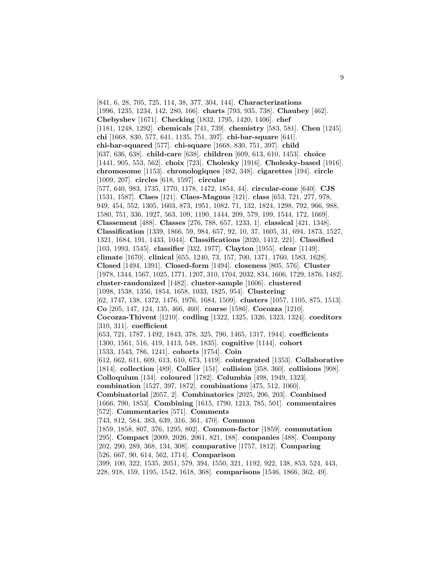[841, 6, 28, 705, 725, 114, 38, 377, 304, 144]. **Characterizations** [1996, 1235, 1234, 142, 280, 166]. **charts** [793, 935, 738]. **Chaubey** [462]. **Chebyshev** [1671]. **Checking** [1832, 1795, 1420, 1406]. **chef** [1181, 1248, 1292]. **chemicals** [741, 739]. **chemistry** [583, 581]. **Chen** [1245]. **chi** [1668, 830, 577, 641, 1135, 751, 397]. **chi-bar-square** [641]. **chi-bar-squared** [577]. **chi-square** [1668, 830, 751, 397]. **child** [637, 636, 638]. **child-care** [638]. **children** [609, 613, 610, 1453]. **choice** [1441, 905, 553, 562]. **choix** [723]. **Cholesky** [1916]. **Cholesky-based** [1916]. **chromosome** [1153]. **chronologiques** [482, 348]. **cigarettes** [194]. **circle** [1009, 207]. **circles** [618, 1597]. **circular** [577, 640, 983, 1735, 1770, 1178, 1472, 1854, 44]. **circular-cone** [640]. **CJS** [1531, 1587]. **Claes** [121]. **Claes-Magnus** [121]. **class** [653, 721, 277, 978, 949, 454, 552, 1305, 1603, 873, 1951, 1082, 71, 132, 1824, 1298, 792, 966, 988, 1580, 751, 336, 1927, 563, 109, 1190, 1444, 209, 579, 199, 1544, 172, 1669]. **Classement** [488]. **Classes** [276, 788, 657, 1233, 1]. **classical** [421, 1348]. **Classification** [1339, 1866, 59, 984, 657, 92, 10, 37, 1605, 31, 694, 1873, 1527, 1321, 1684, 191, 1433, 1044]. **Classifications** [2020, 1412, 221]. **Classified** [103, 1993, 1545]. **classifier** [332, 1977]. **Clayton** [1955]. **clear** [1149]. **climate** [1670]. **clinical** [655, 1240, 73, 157, 700, 1371, 1760, 1583, 1628]. **Closed** [1494, 1391]. **Closed-form** [1494]. **closeness** [805, 576]. **Cluster** [1978, 1344, 1567, 1025, 1771, 1207, 310, 1704, 2032, 834, 1606, 1729, 1876, 1482]. **cluster-randomized** [1482]. **cluster-sample** [1606]. **clustered** [1098, 1538, 1356, 1854, 1658, 1033, 1825, 954]. **Clustering** [62, 1747, 138, 1372, 1476, 1976, 1684, 1509]. **clusters** [1057, 1105, 875, 1513]. **Co** [205, 147, 124, 135, 466, 460]. **coarse** [1586]. **Cocozza** [1210]. **Cocozza-Thivent** [1210]. **codling** [1322, 1325, 1326, 1323, 1324]. **coeditors** [310, 311]. **coefficient** [653, 721, 1787, 1492, 1843, 378, 325, 790, 1465, 1317, 1944]. **coefficients** [1300, 1561, 516, 419, 1413, 548, 1835]. **cognitive** [1144]. **cohort** [1533, 1543, 786, 1241]. **cohorts** [1754]. **Coin** [612, 662, 611, 609, 613, 610, 673, 1419]. **cointegrated** [1353]. **Collaborative** [1814]. **collection** [489]. **Collier** [151]. **collision** [358, 360]. **collisions** [908]. **Colloquium** [134]. **coloured** [1782]. **Columbia** [498, 1949, 1323]. **combination** [1527, 397, 1872]. **combinations** [475, 512, 1060]. **Combinatorial** [2057, 2]. **Combinatorics** [2025, 206, 203]. **Combined** [1666, 790, 1853]. **Combining** [1615, 1790, 1213, 785, 501]. **commentaires** [572]. **Commentaries** [571]. **Comments** [743, 812, 584, 383, 639, 316, 361, 470]. **Common** [1859, 1858, 807, 376, 1295, 802]. **Common-factor** [1859]. **commutation** [295]. **Compact** [2009, 2026, 2061, 821, 188]. **companies** [488]. **Company** [202, 290, 289, 368, 134, 308]. **comparative** [1757, 1812]. **Comparing** [526, 667, 90, 614, 562, 1714]. **Comparison** [399, 100, 322, 1535, 2051, 579, 394, 1550, 321, 1192, 922, 138, 853, 524, 443, 228, 918, 159, 1195, 1542, 1618, 368]. **comparisons** [1546, 1866, 362, 49].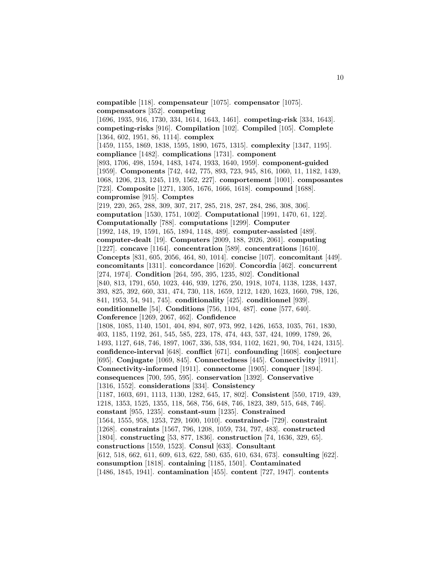**compatible** [118]. **compensateur** [1075]. **compensator** [1075]. **compensators** [352]. **competing** [1696, 1935, 916, 1730, 334, 1614, 1643, 1461]. **competing-risk** [334, 1643]. **competing-risks** [916]. **Compilation** [102]. **Compiled** [105]. **Complete** [1364, 602, 1951, 86, 1114]. **complex** [1459, 1155, 1869, 1838, 1595, 1890, 1675, 1315]. **complexity** [1347, 1195]. **compliance** [1482]. **complications** [1731]. **component** [893, 1706, 498, 1594, 1483, 1474, 1933, 1640, 1959]. **component-guided** [1959]. **Components** [742, 442, 775, 893, 723, 945, 816, 1060, 11, 1182, 1439, 1068, 1206, 213, 1245, 119, 1562, 227]. **comportement** [1001]. **composantes** [723]. **Composite** [1271, 1305, 1676, 1666, 1618]. **compound** [1688]. **compromise** [915]. **Comptes** [219, 220, 265, 288, 309, 307, 217, 285, 218, 287, 284, 286, 308, 306]. **computation** [1530, 1751, 1002]. **Computational** [1991, 1470, 61, 122]. **Computationally** [788]. **computations** [1299]. **Computer** [1992, 148, 19, 1591, 165, 1894, 1148, 489]. **computer-assisted** [489]. **computer-dealt** [19]. **Computers** [2009, 188, 2026, 2061]. **computing** [1227]. **concave** [1164]. **concentration** [589]. **concentrations** [1610]. **Concepts** [831, 605, 2056, 464, 80, 1014]. **concise** [107]. **concomitant** [449]. **concomitants** [1311]. **concordance** [1620]. **Concordia** [462]. **concurrent** [274, 1974]. **Condition** [264, 595, 395, 1235, 802]. **Conditional** [840, 813, 1791, 650, 1023, 446, 939, 1276, 250, 1918, 1074, 1138, 1238, 1437, 393, 825, 392, 660, 331, 474, 730, 118, 1659, 1212, 1420, 1623, 1660, 798, 126, 841, 1953, 54, 941, 745]. **conditionality** [425]. **conditionnel** [939]. **conditionnelle** [54]. **Conditions** [756, 1104, 487]. **cone** [577, 640]. **Conference** [1269, 2067, 462]. **Confidence** [1808, 1085, 1140, 1501, 404, 894, 807, 973, 992, 1426, 1653, 1035, 761, 1830, 403, 1185, 1192, 261, 545, 585, 223, 178, 474, 443, 537, 424, 1099, 1789, 26, 1493, 1127, 648, 746, 1897, 1067, 336, 538, 934, 1102, 1621, 90, 704, 1424, 1315]. **confidence-interval** [648]. **conflict** [671]. **confounding** [1608]. **conjecture** [695]. **Conjugate** [1069, 845]. **Connectedness** [445]. **Connectivity** [1911]. **Connectivity-informed** [1911]. **connectome** [1905]. **conquer** [1894]. **consequences** [700, 595, 595]. **conservation** [1392]. **Conservative** [1316, 1552]. **considerations** [334]. **Consistency** [1187, 1603, 691, 1113, 1130, 1282, 645, 17, 802]. **Consistent** [550, 1719, 439, 1218, 1353, 1525, 1355, 118, 568, 756, 648, 746, 1823, 389, 515, 648, 746]. **constant** [955, 1235]. **constant-sum** [1235]. **Constrained** [1564, 1555, 958, 1253, 729, 1600, 1010]. **constrained-** [729]. **constraint** [1268]. **constraints** [1567, 796, 1208, 1059, 734, 797, 483]. **constructed** [1804]. **constructing** [53, 877, 1836]. **construction** [74, 1636, 329, 65]. **constructions** [1559, 1523]. **Consul** [633]. **Consultant** [612, 518, 662, 611, 609, 613, 622, 580, 635, 610, 634, 673]. **consulting** [622]. **consumption** [1818]. **containing** [1185, 1501]. **Contaminated** [1486, 1845, 1941]. **contamination** [455]. **content** [727, 1947]. **contents**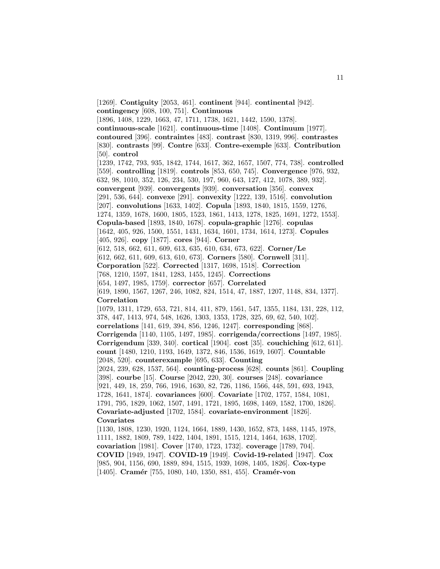[1269]. **Contiguity** [2053, 461]. **continent** [944]. **continental** [942]. **contingency** [608, 100, 751]. **Continuous** [1896, 1408, 1229, 1663, 47, 1711, 1738, 1621, 1442, 1590, 1378]. **continuous-scale** [1621]. **continuous-time** [1408]. **Continuum** [1977]. **contoured** [396]. **contraintes** [483]. **contrast** [830, 1319, 996]. **contrastes** [830]. **contrasts** [99]. **Contre** [633]. **Contre-exemple** [633]. **Contribution** [50]. **control** [1239, 1742, 793, 935, 1842, 1744, 1617, 362, 1657, 1507, 774, 738]. **controlled** [559]. **controlling** [1819]. **controls** [853, 650, 745]. **Convergence** [976, 932, 632, 98, 1010, 352, 126, 234, 530, 197, 960, 643, 127, 412, 1078, 389, 932]. **convergent** [939]. **convergents** [939]. **conversation** [356]. **convex** [291, 536, 644]. **convexe** [291]. **convexity** [1222, 139, 1516]. **convolution** [207]. **convolutions** [1633, 1402]. **Copula** [1893, 1840, 1815, 1559, 1276, 1274, 1359, 1678, 1600, 1805, 1523, 1861, 1413, 1278, 1825, 1691, 1272, 1553]. **Copula-based** [1893, 1840, 1678]. **copula-graphic** [1276]. **copulas** [1642, 405, 926, 1500, 1551, 1431, 1634, 1601, 1734, 1614, 1273]. **Copules** [405, 926]. **copy** [1877]. **cores** [944]. **Corner** [612, 518, 662, 611, 609, 613, 635, 610, 634, 673, 622]. **Corner/Le** [612, 662, 611, 609, 613, 610, 673]. **Corners** [580]. **Cornwell** [311]. **Corporation** [522]. **Corrected** [1317, 1698, 1518]. **Correction** [768, 1210, 1597, 1841, 1283, 1455, 1245]. **Corrections** [654, 1497, 1985, 1759]. **corrector** [657]. **Correlated** [619, 1890, 1567, 1267, 246, 1082, 824, 1514, 47, 1887, 1207, 1148, 834, 1377]. **Correlation** [1079, 1311, 1729, 653, 721, 814, 411, 879, 1561, 547, 1355, 1184, 131, 228, 112, 378, 447, 1413, 974, 548, 1626, 1303, 1353, 1728, 325, 69, 62, 540, 102]. **correlations** [141, 619, 394, 856, 1246, 1247]. **corresponding** [868]. **Corrigenda** [1140, 1105, 1497, 1985]. **corrigenda/corrections** [1497, 1985]. **Corrigendum** [339, 340]. **cortical** [1904]. **cost** [35]. **couchiching** [612, 611]. **count** [1480, 1210, 1193, 1649, 1372, 846, 1536, 1619, 1607]. **Countable** [2048, 520]. **counterexample** [695, 633]. **Counting** [2024, 239, 628, 1537, 564]. **counting-process** [628]. **counts** [861]. **Coupling** [398]. **courbe** [15]. **Course** [2042, 220, 30]. **courses** [248]. **covariance** [921, 449, 18, 259, 766, 1916, 1630, 82, 726, 1186, 1566, 448, 591, 693, 1943, 1728, 1641, 1874]. **covariances** [600]. **Covariate** [1702, 1757, 1584, 1081, 1791, 795, 1829, 1062, 1507, 1491, 1721, 1895, 1698, 1469, 1582, 1700, 1826]. **Covariate-adjusted** [1702, 1584]. **covariate-environment** [1826]. **Covariates** [1130, 1808, 1230, 1920, 1124, 1664, 1889, 1430, 1652, 873, 1488, 1145, 1978, 1111, 1882, 1809, 789, 1422, 1404, 1891, 1515, 1214, 1464, 1638, 1702]. **covariation** [1981]. **Cover** [1740, 1723, 1732]. **coverage** [1789, 704]. **COVID** [1949, 1947]. **COVID-19** [1949]. **Covid-19-related** [1947]. **Cox** [985, 904, 1156, 690, 1889, 894, 1515, 1939, 1698, 1405, 1826]. **Cox-type** [1405]. **Cramér** [755, 1080, 140, 1350, 881, 455]. **Cramér-von**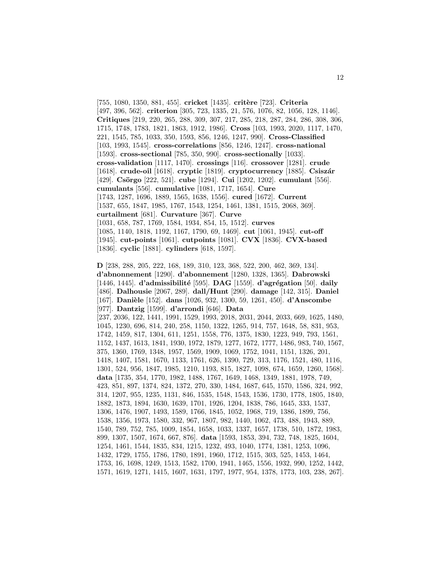[755, 1080, 1350, 881, 455]. **cricket** [1435]. **crit`ere** [723]. **Criteria** [497, 396, 562]. **criterion** [305, 723, 1335, 21, 576, 1076, 82, 1056, 128, 1146]. **Critiques** [219, 220, 265, 288, 309, 307, 217, 285, 218, 287, 284, 286, 308, 306, 1715, 1748, 1783, 1821, 1863, 1912, 1986]. **Cross** [103, 1993, 2020, 1117, 1470, 221, 1545, 785, 1033, 350, 1593, 856, 1246, 1247, 990]. **Cross-Classified** [103, 1993, 1545]. **cross-correlations** [856, 1246, 1247]. **cross-national** [1593]. **cross-sectional** [785, 350, 990]. **cross-sectionally** [1033]. **cross-validation** [1117, 1470]. **crossings** [116]. **crossover** [1281]. **crude** [1618]. **crude-oil** [1618]. **cryptic** [1819]. **cryptocurrency** [1885]. **Csisz´ar** [429]. **Cs¨orgo** [222, 521]. **cube** [1294]. **Cui** [1202, 1202]. **cumulant** [556]. **cumulants** [556]. **cumulative** [1081, 1717, 1654]. **Cure** [1743, 1287, 1696, 1889, 1565, 1638, 1556]. **cured** [1672]. **Current** [1537, 655, 1847, 1985, 1767, 1543, 1254, 1461, 1381, 1515, 2068, 369]. **curtailment** [681]. **Curvature** [367]. **Curve** [1031, 658, 787, 1769, 1584, 1934, 854, 15, 1512]. **curves** [1085, 1140, 1818, 1192, 1167, 1790, 69, 1469]. **cut** [1061, 1945]. **cut-off** [1945]. **cut-points** [1061]. **cutpoints** [1081]. **CVX** [1836]. **CVX-based** [1836]. **cyclic** [1881]. **cylinders** [618, 1597].

**D** [238, 288, 205, 222, 168, 189, 310, 123, 368, 522, 200, 462, 369, 134]. **d'abnonnement** [1290]. **d'abonnement** [1280, 1328, 1365]. **Dabrowski** [1446, 1445]. **d'admissibilité** [595]. **DAG** [1559]. **d'agrégation** [50]. **daily** [486]. **Dalhousie** [2067, 289]. **dall/Hunt** [290]. **damage** [142, 315]. **Daniel** [167]. **Dani`ele** [152]. **dans** [1026, 932, 1300, 59, 1261, 450]. **d'Anscombe** [977]. **Dantzig** [1599]. **d'arrondi** [646]. **Data** [237, 2036, 122, 1441, 1991, 1529, 1993, 2018, 2031, 2044, 2033, 669, 1625, 1480, 1045, 1230, 696, 814, 240, 258, 1150, 1322, 1265, 914, 757, 1648, 58, 831, 953, 1742, 1459, 817, 1304, 611, 1251, 1558, 776, 1375, 1830, 1223, 949, 793, 1561, 1152, 1437, 1613, 1841, 1930, 1972, 1879, 1277, 1672, 1777, 1486, 983, 740, 1567, 375, 1360, 1769, 1348, 1957, 1569, 1909, 1069, 1752, 1041, 1151, 1326, 201, 1418, 1407, 1581, 1670, 1133, 1761, 626, 1390, 729, 313, 1176, 1521, 480, 1116, 1301, 524, 956, 1847, 1985, 1210, 1193, 815, 1827, 1098, 674, 1659, 1260, 1568]. **data** [1735, 354, 1770, 1982, 1488, 1767, 1649, 1468, 1349, 1881, 1978, 749, 423, 851, 897, 1374, 824, 1372, 270, 330, 1484, 1687, 645, 1570, 1586, 324, 992, 314, 1207, 955, 1235, 1131, 846, 1535, 1548, 1543, 1536, 1730, 1778, 1805, 1840, 1882, 1873, 1894, 1630, 1639, 1701, 1926, 1204, 1838, 786, 1645, 333, 1537, 1306, 1476, 1907, 1493, 1589, 1766, 1845, 1052, 1968, 719, 1386, 1899, 756, 1538, 1356, 1973, 1580, 332, 967, 1807, 982, 1440, 1062, 473, 488, 1943, 889, 1540, 789, 752, 785, 1009, 1854, 1658, 1033, 1337, 1657, 1738, 510, 1872, 1983, 899, 1307, 1507, 1674, 667, 876]. **data** [1593, 1853, 394, 732, 748, 1825, 1604, 1254, 1461, 1544, 1835, 834, 1215, 1232, 493, 1040, 1774, 1381, 1253, 1096, 1432, 1729, 1755, 1786, 1780, 1891, 1960, 1712, 1515, 303, 525, 1453, 1464, 1753, 16, 1698, 1249, 1513, 1582, 1700, 1941, 1465, 1556, 1932, 990, 1252, 1442, 1571, 1619, 1271, 1415, 1607, 1631, 1797, 1977, 954, 1378, 1773, 103, 238, 267].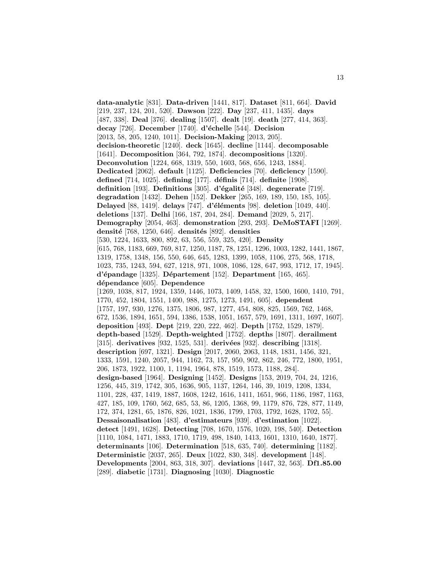**data-analytic** [831]. **Data-driven** [1441, 817]. **Dataset** [811, 664]. **David** [219, 237, 124, 201, 520]. **Dawson** [222]. **Day** [237, 411, 1435]. **days** [487, 338]. **Deal** [376]. **dealing** [1507]. **dealt** [19]. **death** [277, 414, 363]. **decay** [726]. **December** [1740]. **d'échelle** [544]. **Decision** [2013, 58, 205, 1240, 1011]. **Decision-Making** [2013, 205]. **decision-theoretic** [1240]. **deck** [1645]. **decline** [1144]. **decomposable** [1641]. **Decomposition** [364, 792, 1874]. **decompositions** [1320]. **Deconvolution** [1224, 668, 1319, 550, 1603, 568, 656, 1243, 1884]. **Dedicated** [2062]. **default** [1125]. **Deficiencies** [70]. **deficiency** [1590]. **defined** [714, 1025]. **defining** [177]. **d´efinis** [714]. **definite** [1908]. **definition** [193]. **Definitions** [305]. **d'´egalit´e** [348]. **degenerate** [719]. **degradation** [1432]. **Dehen** [152]. **Dekker** [265, 169, 189, 150, 185, 105]. **Delayed** [88, 1419]. **delays** [747]. **d'´el´ements** [98]. **deletion** [1049, 440]. **deletions** [137]. **Delhi** [166, 187, 204, 284]. **Demand** [2029, 5, 217]. **Demography** [2054, 463]. **demonstration** [293, 293]. **DeMoSTAFI** [1269]. **densit´e** [768, 1250, 646]. **densit´es** [892]. **densities** [530, 1224, 1633, 800, 892, 63, 556, 559, 325, 420]. **Density** [615, 768, 1183, 669, 769, 817, 1250, 1187, 78, 1251, 1296, 1003, 1282, 1441, 1867, 1319, 1758, 1348, 156, 550, 646, 645, 1283, 1399, 1058, 1106, 275, 568, 1718, 1023, 735, 1243, 594, 627, 1218, 971, 1008, 1086, 128, 647, 993, 1712, 17, 1945]. **d'´epandage** [1325]. **D´epartement** [152]. **Department** [165, 465]. **d´ependance** [605]. **Dependence** [1269, 1038, 817, 1924, 1359, 1446, 1073, 1409, 1458, 32, 1500, 1600, 1410, 791, 1770, 452, 1804, 1551, 1400, 988, 1275, 1273, 1491, 605]. **dependent** [1757, 197, 930, 1276, 1375, 1806, 987, 1277, 454, 808, 825, 1569, 762, 1468, 672, 1536, 1894, 1651, 594, 1386, 1538, 1051, 1657, 579, 1691, 1311, 1697, 1607]. **deposition** [493]. **Dept** [219, 220, 222, 462]. **Depth** [1752, 1529, 1879]. **depth-based** [1529]. **Depth-weighted** [1752]. **depths** [1807]. **derailment** [315]. **derivatives** [932, 1525, 531]. **derivées** [932]. **describing** [1318]. **description** [697, 1321]. **Design** [2017, 2060, 2063, 1148, 1831, 1456, 321, 1333, 1591, 1240, 2057, 944, 1162, 73, 157, 950, 902, 862, 246, 772, 1800, 1951, 206, 1873, 1922, 1100, 1, 1194, 1964, 878, 1519, 1573, 1188, 284]. **design-based** [1964]. **Designing** [1452]. **Designs** [153, 2019, 704, 24, 1216, 1256, 445, 319, 1742, 305, 1636, 905, 1137, 1264, 146, 39, 1019, 1208, 1334, 1101, 228, 437, 1419, 1887, 1608, 1242, 1616, 1411, 1651, 966, 1186, 1987, 1163, 427, 185, 109, 1760, 562, 685, 53, 86, 1205, 1368, 99, 1179, 876, 728, 877, 1149, 172, 374, 1281, 65, 1876, 826, 1021, 1836, 1799, 1703, 1792, 1628, 1702, 55]. **Dessaisonalisation** [483]. **d'estimateurs** [939]. **d'estimation** [1022]. **detect** [1491, 1628]. **Detecting** [708, 1670, 1576, 1020, 198, 540]. **Detection** [1110, 1084, 1471, 1883, 1710, 1719, 498, 1840, 1413, 1601, 1310, 1640, 1877]. **determinants** [106]. **Determination** [518, 635, 740]. **determining** [1182]. **Deterministic** [2037, 265]. **Deux** [1022, 830, 348]. **development** [148]. **Developments** [2004, 863, 318, 307]. **deviations** [1447, 32, 563]. **Df1.85.00** [289]. **diabetic** [1731]. **Diagnosing** [1030]. **Diagnostic**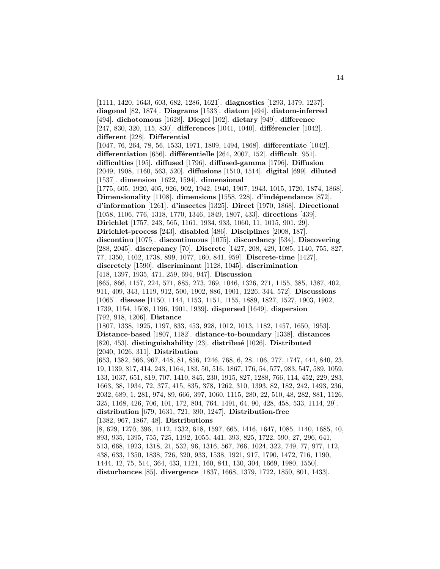[1111, 1420, 1643, 603, 682, 1286, 1621]. **diagnostics** [1293, 1379, 1237]. **diagonal** [82, 1874]. **Diagrams** [1533]. **diatom** [494]. **diatom-inferred** [494]. **dichotomous** [1628]. **Diegel** [102]. **dietary** [949]. **difference** [247, 830, 320, 115, 830]. **differences** [1041, 1040]. **différencier** [1042]. **different** [228]. **Differential** [1047, 76, 264, 78, 56, 1533, 1971, 1809, 1494, 1868]. **differentiate** [1042]. **differentiation** [656]. **différentielle** [264, 2007, 152]. **difficult** [951]. **difficulties** [195]. **diffused** [1796]. **diffused-gamma** [1796]. **Diffusion** [2049, 1908, 1160, 563, 520]. **diffusions** [1510, 1514]. **digital** [699]. **diluted** [1537]. **dimension** [1622, 1594]. **dimensional** [1775, 605, 1920, 405, 926, 902, 1942, 1940, 1907, 1943, 1015, 1720, 1874, 1868]. **Dimensionality** [1108]. **dimensions** [1558, 228]. **d'indépendance** [872]. **d'information** [1261]. **d'insectes** [1325]. **Direct** [1970, 1868]. **Directional** [1058, 1106, 776, 1318, 1770, 1346, 1849, 1807, 433]. **directions** [439]. **Dirichlet** [1757, 243, 565, 1161, 1934, 933, 1060, 11, 1015, 901, 29]. **Dirichlet-process** [243]. **disabled** [486]. **Disciplines** [2008, 187]. **discontinu** [1075]. **discontinuous** [1075]. **discordancy** [534]. **Discovering** [288, 2045]. **discrepancy** [70]. **Discrete** [1427, 208, 429, 1085, 1140, 755, 827, 77, 1350, 1402, 1738, 899, 1077, 160, 841, 959]. **Discrete-time** [1427]. **discretely** [1590]. **discriminant** [1128, 1045]. **discrimination** [418, 1397, 1935, 471, 259, 694, 947]. **Discussion** [865, 866, 1157, 224, 571, 885, 273, 269, 1046, 1326, 271, 1155, 385, 1387, 402, 911, 409, 343, 1119, 912, 500, 1902, 886, 1901, 1226, 344, 572]. **Discussions** [1065]. **disease** [1150, 1144, 1153, 1151, 1155, 1889, 1827, 1527, 1903, 1902, 1739, 1154, 1508, 1196, 1901, 1939]. **dispersed** [1649]. **dispersion** [792, 918, 1206]. **Distance** [1807, 1338, 1925, 1197, 833, 453, 928, 1012, 1013, 1182, 1457, 1650, 1953]. **Distance-based** [1807, 1182]. **distance-to-boundary** [1338]. **distances** [820, 453]. **distinguishability** [23]. **distribu´e** [1026]. **Distributed** [2040, 1026, 311]. **Distribution** [653, 1382, 566, 967, 448, 81, 856, 1246, 768, 6, 28, 106, 277, 1747, 444, 840, 23, 19, 1139, 817, 414, 243, 1164, 183, 50, 516, 1867, 176, 54, 577, 983, 547, 589, 1059, 133, 1037, 651, 819, 707, 1410, 845, 230, 1915, 827, 1288, 766, 114, 452, 229, 283, 1663, 38, 1934, 72, 377, 415, 835, 378, 1262, 310, 1393, 82, 182, 242, 1493, 236, 2032, 689, 1, 281, 974, 89, 666, 397, 1060, 1115, 280, 22, 510, 48, 282, 881, 1126, 325, 1168, 426, 706, 101, 172, 804, 764, 1491, 64, 90, 428, 458, 533, 1114, 29]. **distribution** [679, 1631, 721, 390, 1247]. **Distribution-free** [1382, 967, 1867, 48]. **Distributions** [8, 629, 1270, 396, 1112, 1332, 618, 1597, 665, 1416, 1647, 1085, 1140, 1685, 40, 893, 935, 1395, 755, 725, 1192, 1055, 441, 393, 825, 1722, 590, 27, 296, 641,

513, 668, 1923, 1318, 21, 532, 96, 1316, 567, 766, 1024, 322, 749, 77, 977, 112, 438, 633, 1350, 1838, 726, 320, 933, 1538, 1921, 917, 1790, 1472, 716, 1190, 1444, 12, 75, 514, 364, 433, 1121, 160, 841, 130, 304, 1669, 1980, 1550]. **disturbances** [85]. **divergence** [1837, 1668, 1379, 1722, 1850, 801, 1433].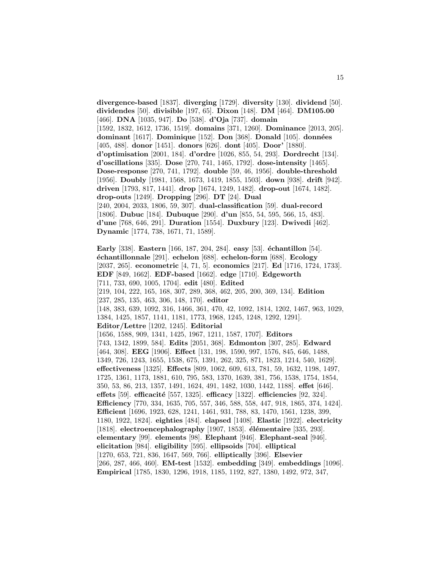**divergence-based** [1837]. **diverging** [1729]. **diversity** [130]. **dividend** [50]. **dividendes** [50]. **divisible** [197, 65]. **Dixon** [148]. **DM** [464]. **DM105.00** [466]. **DNA** [1035, 947]. **Do** [538]. **d'Oja** [737]. **domain** [1592, 1832, 1612, 1736, 1519]. **domains** [371, 1260]. **Dominance** [2013, 205]. **dominant** [1617]. **Dominique** [152]. **Don** [368]. **Donald** [105]. **donn´ees** [405, 488]. **donor** [1451]. **donors** [626]. **dont** [405]. **Door'** [1880]. **d'optimisation** [2001, 184]. **d'ordre** [1026, 855, 54, 293]. **Dordrecht** [134]. **d'oscillations** [335]. **Dose** [270, 741, 1465, 1792]. **dose-intensity** [1465]. **Dose-response** [270, 741, 1792]. **double** [59, 46, 1956]. **double-threshold** [1956]. **Doubly** [1981, 1568, 1673, 1419, 1855, 1503]. **down** [938]. **drift** [942]. **driven** [1793, 817, 1441]. **drop** [1674, 1249, 1482]. **drop-out** [1674, 1482]. **drop-outs** [1249]. **Dropping** [296]. **DT** [24]. **Dual** [240, 2004, 2033, 1806, 59, 307]. **dual-classification** [59]. **dual-record** [1806]. **Dubuc** [184]. **Dubuque** [290]. **d'un** [855, 54, 595, 566, 15, 483]. **d'une** [768, 646, 291]. **Duration** [1554]. **Duxbury** [123]. **Dwivedi** [462]. **Dynamic** [1774, 738, 1671, 71, 1589]. **Early** [338]. **Eastern** [166, 187, 204, 284]. **easy** [53]. **´echantillon** [54]. **´echantillonnale** [291]. **echelon** [688]. **echelon-form** [688]. **Ecology** [2037, 265]. **econometric** [4, 71, 5]. **economics** [217]. **Ed** [1716, 1724, 1733]. **EDF** [849, 1662]. **EDF-based** [1662]. **edge** [1710]. **Edgeworth** [711, 733, 690, 1005, 1704]. **edit** [480]. **Edited** [219, 104, 222, 165, 168, 307, 289, 368, 462, 205, 200, 369, 134]. **Edition** [237, 285, 135, 463, 306, 148, 170]. **editor** [148, 383, 639, 1092, 316, 1466, 361, 470, 42, 1092, 1814, 1202, 1467, 963, 1029, 1384, 1425, 1857, 1141, 1181, 1773, 1968, 1245, 1248, 1292, 1291]. **Editor/Lettre** [1202, 1245]. **Editorial** [1656, 1588, 909, 1341, 1425, 1967, 1211, 1587, 1707]. **Editors** [743, 1342, 1899, 584]. **Edits** [2051, 368]. **Edmonton** [307, 285]. **Edward** [464, 308]. **EEG** [1906]. **Effect** [131, 198, 1590, 997, 1576, 845, 646, 1488, 1349, 726, 1243, 1655, 1538, 675, 1391, 262, 325, 871, 1823, 1214, 540, 1629]. **effectiveness** [1325]. **Effects** [809, 1062, 609, 613, 781, 59, 1632, 1198, 1497, 1725, 1361, 1173, 1881, 610, 795, 583, 1370, 1639, 381, 756, 1538, 1754, 1854, 350, 53, 86, 213, 1357, 1491, 1624, 491, 1482, 1030, 1442, 1188]. **effet** [646]. **effets** [59]. **efficacit´e** [557, 1325]. **efficacy** [1322]. **efficiencies** [92, 324]. **Efficiency** [770, 334, 1635, 705, 557, 346, 588, 558, 447, 918, 1865, 374, 1424]. **Efficient** [1696, 1923, 628, 1241, 1461, 931, 788, 83, 1470, 1561, 1238, 399, 1180, 1922, 1824]. **eighties** [484]. **elapsed** [1408]. **Elastic** [1922]. **electricity** [1818]. **electroencephalography** [1907, 1853]. **élémentaire** [335, 293]. **elementary** [99]. **elements** [98]. **Elephant** [946]. **Elephant-seal** [946]. **elicitation** [984]. **eligibility** [595]. **ellipsoids** [704]. **elliptical** [1270, 653, 721, 836, 1647, 569, 766]. **elliptically** [396]. **Elsevier** [266, 287, 466, 460]. **EM-test** [1532]. **embedding** [349]. **embeddings** [1096]. **Empirical** [1785, 1830, 1296, 1918, 1185, 1192, 827, 1380, 1492, 972, 347,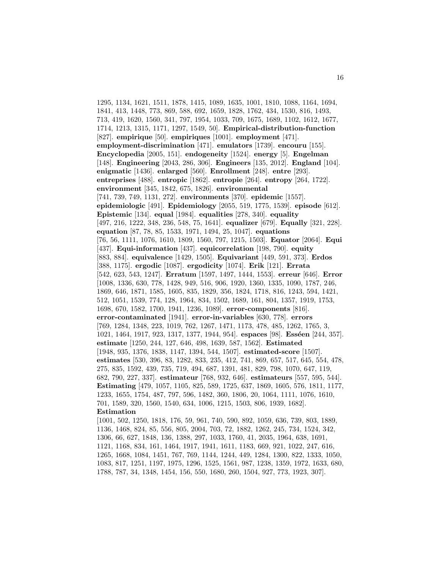1295, 1134, 1621, 1511, 1878, 1415, 1089, 1635, 1001, 1810, 1088, 1164, 1694, 1841, 413, 1448, 773, 869, 588, 692, 1659, 1828, 1762, 434, 1530, 816, 1493, 713, 419, 1620, 1560, 341, 797, 1954, 1033, 709, 1675, 1689, 1102, 1612, 1677, 1714, 1213, 1315, 1171, 1297, 1549, 50]. **Empirical-distribution-function** [827]. **empirique** [50]. **empiriques** [1001]. **employment** [471]. **employment-discrimination** [471]. **emulators** [1739]. **encouru** [155]. **Encyclopedia** [2005, 151]. **endogeneity** [1524]. **energy** [5]. **Engelman** [148]. **Engineering** [2043, 286, 306]. **Engineers** [135, 2012]. **England** [104]. **enigmatic** [1436]. **enlarged** [560]. **Enrollment** [248]. **entre** [293]. **entreprises** [488]. **entropic** [1862]. **entropie** [264]. **entropy** [264, 1722]. **environment** [345, 1842, 675, 1826]. **environmental** [741, 739, 749, 1131, 272]. **environments** [370]. **epidemic** [1557]. **epidemiologic** [491]. **Epidemiology** [2055, 519, 1775, 1539]. **episode** [612]. **Epistemic** [134]. **equal** [1984]. **equalities** [278, 340]. **equality** [497, 216, 1222, 348, 236, 548, 75, 1641]. **equalizer** [679]. **Equally** [321, 228]. **equation** [87, 78, 85, 1533, 1971, 1494, 25, 1047]. **equations** [76, 56, 1111, 1076, 1610, 1809, 1560, 797, 1215, 1503]. **Equator** [2064]. **Equi** [437]. **Equi-information** [437]. **equicorrelation** [198, 790]. **equity** [883, 884]. **equivalence** [1429, 1505]. **Equivariant** [449, 591, 373]. **Erdos** [388, 1175]. **ergodic** [1087]. **ergodicity** [1074]. **Erik** [121]. **Errata** [542, 623, 543, 1247]. **Erratum** [1597, 1497, 1444, 1553]. **erreur** [646]. **Error** [1008, 1336, 630, 778, 1428, 949, 516, 906, 1920, 1360, 1335, 1090, 1787, 246, 1869, 646, 1871, 1585, 1605, 835, 1829, 356, 1824, 1718, 816, 1243, 594, 1421, 512, 1051, 1539, 774, 128, 1964, 834, 1502, 1689, 161, 804, 1357, 1919, 1753, 1698, 670, 1582, 1700, 1941, 1236, 1089]. **error-components** [816]. **error-contaminated** [1941]. **error-in-variables** [630, 778]. **errors** [769, 1284, 1348, 223, 1019, 762, 1267, 1471, 1173, 478, 485, 1262, 1765, 3, 1021, 1464, 1917, 923, 1317, 1377, 1944, 954]. **espaces** [98]. **Esséen** [244, 357]. **estimate** [1250, 244, 127, 646, 498, 1639, 587, 1562]. **Estimated** [1948, 935, 1376, 1838, 1147, 1394, 544, 1507]. **estimated-score** [1507]. **estimates** [530, 396, 83, 1282, 833, 235, 412, 741, 869, 657, 517, 645, 554, 478, 275, 835, 1592, 439, 735, 719, 494, 687, 1391, 481, 829, 798, 1070, 647, 119, 682, 790, 227, 337]. **estimateur** [768, 932, 646]. **estimateurs** [557, 595, 544]. **Estimating** [479, 1057, 1105, 825, 589, 1725, 637, 1869, 1605, 576, 1811, 1177, 1233, 1655, 1754, 487, 797, 596, 1482, 360, 1806, 20, 1064, 1111, 1076, 1610, 701, 1589, 320, 1560, 1540, 634, 1006, 1215, 1503, 806, 1939, 1682]. **Estimation** [1001, 502, 1250, 1818, 176, 59, 961, 740, 590, 892, 1059, 636, 739, 803, 1889, 1136, 1468, 824, 85, 556, 805, 2004, 703, 72, 1882, 1262, 245, 734, 1524, 342, 1306, 66, 627, 1848, 136, 1388, 297, 1033, 1760, 41, 2035, 1964, 638, 1691, 1121, 1168, 834, 161, 1464, 1917, 1941, 1611, 1183, 669, 921, 1022, 247, 616,

1265, 1668, 1084, 1451, 767, 769, 1144, 1244, 449, 1284, 1300, 822, 1333, 1050, 1083, 817, 1251, 1197, 1975, 1296, 1525, 1561, 987, 1238, 1359, 1972, 1633, 680,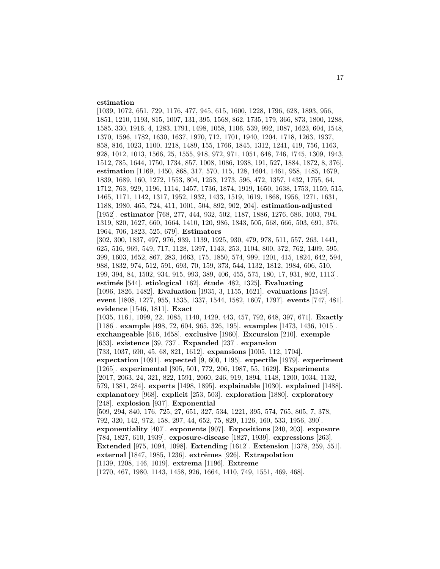## **estimation**

[1039, 1072, 651, 729, 1176, 477, 945, 615, 1600, 1228, 1796, 628, 1893, 956, 1851, 1210, 1193, 815, 1007, 131, 395, 1568, 862, 1735, 179, 366, 873, 1800, 1288, 1585, 330, 1916, 4, 1283, 1791, 1498, 1058, 1106, 539, 992, 1087, 1623, 604, 1548, 1370, 1596, 1782, 1630, 1637, 1970, 712, 1701, 1940, 1204, 1718, 1263, 1937, 858, 816, 1023, 1100, 1218, 1489, 155, 1766, 1845, 1312, 1241, 419, 756, 1163, 928, 1012, 1013, 1566, 25, 1555, 918, 972, 971, 1051, 648, 746, 1745, 1309, 1943, 1512, 785, 1644, 1750, 1734, 857, 1008, 1086, 1938, 191, 527, 1884, 1872, 8, 376]. **estimation** [1169, 1450, 868, 317, 570, 115, 128, 1604, 1461, 958, 1485, 1679, 1839, 1689, 160, 1272, 1553, 804, 1253, 1273, 596, 472, 1357, 1432, 1755, 64, 1712, 763, 929, 1196, 1114, 1457, 1736, 1874, 1919, 1650, 1638, 1753, 1159, 515, 1465, 1171, 1142, 1317, 1952, 1932, 1433, 1519, 1619, 1868, 1956, 1271, 1631, 1188, 1980, 465, 724, 411, 1001, 504, 892, 902, 204]. **estimation-adjusted** [1952]. **estimator** [768, 277, 444, 932, 502, 1187, 1886, 1276, 686, 1003, 794, 1319, 820, 1627, 660, 1664, 1410, 120, 986, 1843, 505, 568, 666, 503, 691, 376, 1964, 706, 1823, 525, 679]. **Estimators** [302, 300, 1837, 497, 976, 939, 1139, 1925, 930, 479, 978, 511, 557, 263, 1441, 625, 516, 969, 549, 717, 1128, 1397, 1143, 253, 1104, 800, 372, 762, 1409, 595, 399, 1603, 1652, 867, 283, 1663, 175, 1850, 574, 999, 1201, 415, 1824, 642, 594, 988, 1832, 974, 512, 591, 693, 70, 159, 373, 544, 1132, 1812, 1984, 606, 510, 199, 394, 84, 1502, 934, 915, 993, 389, 406, 455, 575, 180, 17, 931, 802, 1113]. **estim´es** [544]. **etiological** [162]. **´etude** [482, 1325]. **Evaluating** [1096, 1826, 1482]. **Evaluation** [1935, 3, 1155, 1621]. **evaluations** [1549]. **event** [1808, 1277, 955, 1535, 1337, 1544, 1582, 1607, 1797]. **events** [747, 481]. **evidence** [1546, 1811]. **Exact** [1035, 1161, 1099, 22, 1085, 1140, 1429, 443, 457, 792, 648, 397, 671]. **Exactly** [1186]. **example** [498, 72, 604, 965, 326, 195]. **examples** [1473, 1436, 1015]. **exchangeable** [616, 1658]. **exclusive** [1960]. **Excursion** [210]. **exemple** [633]. **existence** [39, 737]. **Expanded** [237]. **expansion** [733, 1037, 690, 45, 68, 821, 1612]. **expansions** [1005, 112, 1704]. **expectation** [1091]. **expected** [9, 600, 1195]. **expectile** [1979]. **experiment** [1265]. **experimental** [305, 501, 772, 206, 1987, 55, 1629]. **Experiments** [2017, 2063, 24, 321, 822, 1591, 2060, 246, 919, 1894, 1148, 1200, 1034, 1132, 579, 1381, 284]. **experts** [1498, 1895]. **explainable** [1030]. **explained** [1488]. **explanatory** [968]. **explicit** [253, 503]. **exploration** [1880]. **exploratory** [248]. **explosion** [937]. **Exponential** [509, 294, 840, 176, 725, 27, 651, 327, 534, 1221, 395, 574, 765, 805, 7, 378, 792, 320, 142, 972, 158, 297, 44, 652, 75, 829, 1126, 160, 533, 1956, 390]. **exponentiality** [407]. **exponents** [907]. **Expositions** [240, 203]. **exposure** [784, 1827, 610, 1939]. **exposure-disease** [1827, 1939]. **expressions** [263]. **Extended** [975, 1094, 1098]. **Extending** [1612]. **Extension** [1378, 259, 551]. **external** [1847, 1985, 1236]. **extrˆemes** [926]. **Extrapolation** [1139, 1208, 146, 1019]. **extrema** [1196]. **Extreme** [1270, 467, 1980, 1143, 1458, 926, 1664, 1410, 749, 1551, 469, 468].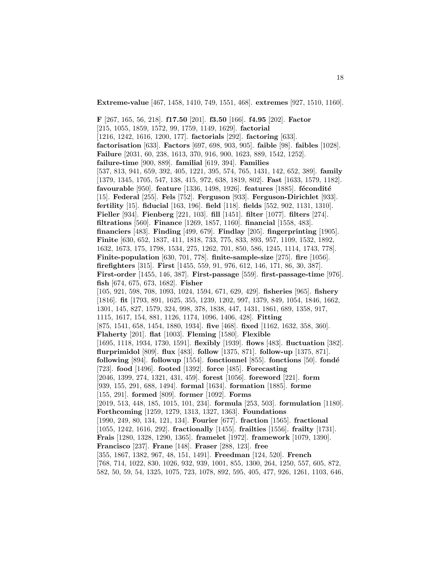**Extreme-value** [467, 1458, 1410, 749, 1551, 468]. **extremes** [927, 1510, 1160].

18

**F** [267, 165, 56, 218]. **f17.50** [201]. **f3.50** [166]. **f4.95** [202]. **Factor** [215, 1055, 1859, 1572, 99, 1759, 1149, 1629]. **factorial** [1216, 1242, 1616, 1200, 177]. **factorials** [292]. **factoring** [633]. **factorisation** [633]. **Factors** [697, 698, 903, 905]. **faible** [98]. **faibles** [1028]. **Failure** [2031, 60, 238, 1613, 370, 916, 900, 1623, 889, 1542, 1252]. **failure-time** [900, 889]. **familial** [619, 394]. **Families** [537, 813, 941, 659, 392, 405, 1221, 395, 574, 765, 1431, 142, 652, 389]. **family** [1379, 1345, 1705, 547, 138, 415, 972, 638, 1819, 802]. **Fast** [1633, 1579, 1182]. **favourable** [950]. **feature** [1336, 1498, 1926]. **features** [1885]. **fécondité** [15]. **Federal** [255]. **Fels** [752]. **Ferguson** [933]. **Ferguson-Dirichlet** [933]. **fertility** [15]. **fiducial** [163, 196]. **field** [118]. **fields** [552, 902, 1131, 1310]. **Fieller** [934]. **Fienberg** [221, 103]. **fill** [1451]. **filter** [1077]. **filters** [274]. **filtrations** [560]. **Finance** [1269, 1857, 1160]. **financial** [1558, 483]. **financiers** [483]. **Finding** [499, 679]. **Findlay** [205]. **fingerprinting** [1905]. **Finite** [630, 652, 1837, 411, 1818, 733, 775, 833, 893, 957, 1109, 1532, 1892, 1632, 1673, 175, 1798, 1534, 275, 1262, 701, 850, 586, 1245, 1114, 1743, 778]. **Finite-population** [630, 701, 778]. **finite-sample-size** [275]. **fire** [1056]. **firefighters** [315]. **First** [1455, 559, 91, 976, 612, 146, 171, 86, 30, 387]. **First-order** [1455, 146, 387]. **First-passage** [559]. **first-passage-time** [976]. **fish** [674, 675, 673, 1682]. **Fisher** [105, 921, 598, 708, 1093, 1024, 1594, 671, 629, 429]. **fisheries** [965]. **fishery** [1816]. **fit** [1793, 891, 1625, 355, 1239, 1202, 997, 1379, 849, 1054, 1846, 1662, 1301, 145, 827, 1579, 324, 998, 378, 1838, 447, 1431, 1861, 689, 1358, 917, 1115, 1617, 154, 881, 1126, 1174, 1096, 1406, 428]. **Fitting** [875, 1541, 658, 1454, 1880, 1934]. **five** [468]. **fixed** [1162, 1632, 358, 360]. **Flaherty** [201]. **flat** [1003]. **Fleming** [1580]. **Flexible** [1695, 1118, 1934, 1730, 1591]. **flexibly** [1939]. **flows** [483]. **fluctuation** [382]. **flurprimidol** [809]. **flux** [483]. **follow** [1375, 871]. **follow-up** [1375, 871]. **following** [894]. **followup** [1554]. **fonctionnel** [855]. **fonctions** [50]. **fond´e** [723]. **food** [1496]. **footed** [1392]. **force** [485]. **Forecasting** [2046, 1399, 274, 1321, 431, 459]. **forest** [1056]. **foreword** [221]. **form** [939, 155, 291, 688, 1494]. **formal** [1634]. **formation** [1885]. **forme** [155, 291]. **formed** [809]. **former** [1092]. **Forms** [2019, 513, 448, 185, 1015, 101, 234]. **formula** [253, 503]. **formulation** [1180]. **Forthcoming** [1259, 1279, 1313, 1327, 1363]. **Foundations** [1990, 249, 80, 134, 121, 134]. **Fourier** [677]. **fraction** [1565]. **fractional** [1055, 1242, 1616, 292]. **fractionally** [1455]. **frailties** [1556]. **frailty** [1731]. **Frais** [1280, 1328, 1290, 1365]. **framelet** [1972]. **framework** [1079, 1390]. **Francisco** [237]. **Frane** [148]. **Fraser** [288, 123]. **free** [355, 1867, 1382, 967, 48, 151, 1491]. **Freedman** [124, 520]. **French** [768, 714, 1022, 830, 1026, 932, 939, 1001, 855, 1300, 264, 1250, 557, 605, 872, 582, 50, 59, 54, 1325, 1075, 723, 1078, 892, 595, 405, 477, 926, 1261, 1103, 646,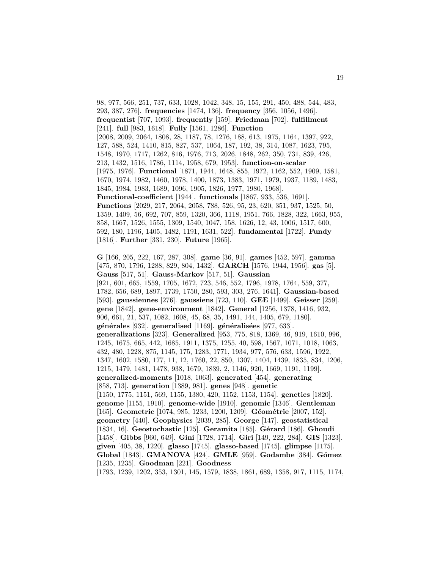98, 977, 566, 251, 737, 633, 1028, 1042, 348, 15, 155, 291, 450, 488, 544, 483, 293, 387, 276]. **frequencies** [1474, 136]. **frequency** [356, 1056, 1496]. **frequentist** [707, 1093]. **frequently** [159]. **Friedman** [702]. **fulfillment** [241]. **full** [983, 1618]. **Fully** [1561, 1286]. **Function** [2008, 2009, 2064, 1808, 28, 1187, 78, 1276, 188, 613, 1975, 1164, 1397, 922, 127, 588, 524, 1410, 815, 827, 537, 1064, 187, 192, 38, 314, 1087, 1623, 795, 1548, 1970, 1717, 1262, 816, 1976, 713, 2026, 1848, 262, 350, 731, 839, 426, 213, 1432, 1516, 1786, 1114, 1958, 679, 1953]. **function-on-scalar** [1975, 1976]. **Functional** [1871, 1944, 1648, 855, 1972, 1162, 552, 1909, 1581, 1670, 1974, 1982, 1460, 1978, 1400, 1873, 1383, 1971, 1979, 1937, 1189, 1483, 1845, 1984, 1983, 1689, 1096, 1905, 1826, 1977, 1980, 1968]. **Functional-coefficient** [1944]. **functionals** [1867, 933, 536, 1691]. **Functions** [2029, 217, 2064, 2058, 788, 526, 95, 23, 620, 351, 937, 1525, 50, 1359, 1409, 56, 692, 707, 859, 1320, 366, 1118, 1951, 766, 1828, 322, 1663, 955, 858, 1667, 1526, 1555, 1309, 1540, 1047, 158, 1626, 12, 43, 1006, 1517, 600, 592, 180, 1196, 1405, 1482, 1191, 1631, 522]. **fundamental** [1722]. **Fundy** [1816]. **Further** [331, 230]. **Future** [1965].

19

**G** [166, 205, 222, 167, 287, 308]. **game** [36, 91]. **games** [452, 597]. **gamma** [475, 870, 1796, 1288, 829, 804, 1432]. **GARCH** [1576, 1944, 1956]. **gas** [5]. **Gauss** [517, 51]. **Gauss-Markov** [517, 51]. **Gaussian** [921, 601, 665, 1559, 1705, 1672, 723, 546, 552, 1796, 1978, 1764, 559, 377, 1782, 656, 689, 1897, 1739, 1750, 280, 593, 303, 276, 1641]. **Gaussian-based** [593]. **gaussiennes** [276]. **gaussiens** [723, 110]. **GEE** [1499]. **Geisser** [259]. **gene** [1842]. **gene-environment** [1842]. **General** [1256, 1378, 1416, 932, 906, 661, 21, 537, 1082, 1608, 45, 68, 35, 1491, 144, 1405, 679, 1180]. **g´en´erales** [932]. **generalised** [1169]. **g´en´eralis´ees** [977, 633]. **generalizations** [323]. **Generalized** [953, 775, 818, 1369, 46, 919, 1610, 996, 1245, 1675, 665, 442, 1685, 1911, 1375, 1255, 40, 598, 1567, 1071, 1018, 1063, 432, 480, 1228, 875, 1145, 175, 1283, 1771, 1934, 977, 576, 633, 1596, 1922, 1347, 1602, 1580, 177, 11, 12, 1760, 22, 850, 1307, 1404, 1439, 1835, 834, 1206, 1215, 1479, 1481, 1478, 938, 1679, 1839, 2, 1146, 920, 1669, 1191, 1199]. **generalized-moments** [1018, 1063]. **generated** [454]. **generating** [858, 713]. **generation** [1389, 981]. **genes** [948]. **genetic** [1150, 1775, 1151, 569, 1155, 1380, 420, 1152, 1153, 1154]. **genetics** [1820]. **genome** [1155, 1910]. **genome-wide** [1910]. **genomic** [1346]. **Gentleman** [165]. **Geometric** [1074, 985, 1233, 1200, 1209]. **Géométrie** [2007, 152]. **geometry** [440]. **Geophysics** [2039, 285]. **George** [147]. **geostatistical** [1834, 16]. **Geostochastic** [125]. **Geramita** [185]. **G´erard** [186]. **Ghoudi** [1458]. **Gibbs** [960, 649]. **Gini** [1728, 1714]. **Giri** [149, 222, 284]. **GIS** [1323]. **given** [405, 38, 1220]. **glasso** [1745]. **glasso-based** [1745]. **glimpse** [1175]. **Global** [1843]. **GMANOVA** [424]. **GMLE** [959]. **Godambe** [384]. **G´omez** [1235, 1235]. **Goodman** [221]. **Goodness** [1793, 1239, 1202, 353, 1301, 145, 1579, 1838, 1861, 689, 1358, 917, 1115, 1174,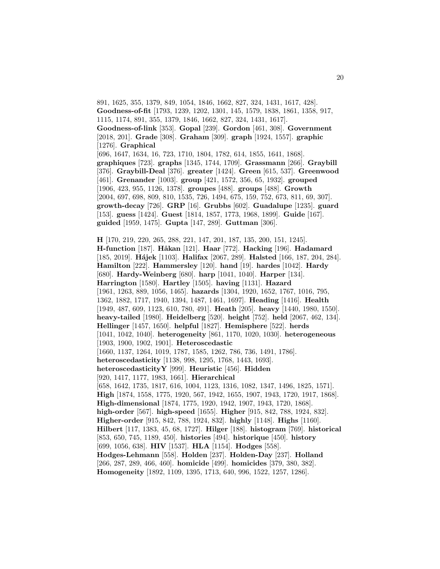891, 1625, 355, 1379, 849, 1054, 1846, 1662, 827, 324, 1431, 1617, 428]. **Goodness-of-fit** [1793, 1239, 1202, 1301, 145, 1579, 1838, 1861, 1358, 917, 1115, 1174, 891, 355, 1379, 1846, 1662, 827, 324, 1431, 1617]. **Goodness-of-link** [353]. **Gopal** [239]. **Gordon** [461, 308]. **Government** [2018, 201]. **Grade** [308]. **Graham** [309]. **graph** [1924, 1557]. **graphic** [1276]. **Graphical** [696, 1647, 1634, 16, 723, 1710, 1804, 1782, 614, 1855, 1641, 1868]. **graphiques** [723]. **graphs** [1345, 1744, 1709]. **Grassmann** [266]. **Graybill** [376]. **Graybill-Deal** [376]. **greater** [1424]. **Green** [615, 537]. **Greenwood** [461]. **Grenander** [1003]. **group** [421, 1572, 356, 65, 1932]. **grouped** [1906, 423, 955, 1126, 1378]. **groupes** [488]. **groups** [488]. **Growth** [2004, 697, 698, 809, 810, 1535, 726, 1494, 675, 159, 752, 673, 811, 69, 307]. **growth-decay** [726]. **GRP** [16]. **Grubbs** [602]. **Guadalupe** [1235]. **guard** [153]. **guess** [1424]. **Guest** [1814, 1857, 1773, 1968, 1899]. **Guide** [167]. **guided** [1959, 1475]. **Gupta** [147, 289]. **Guttman** [306].

**H** [170, 219, 220, 265, 288, 221, 147, 201, 187, 135, 200, 151, 1245]. **H-function** [187]. **Håkan** [121]. **Haar** [772]. **Hacking** [196]. **Hadamard** [185, 2019]. **H´ajek** [1103]. **Halifax** [2067, 289]. **Halsted** [166, 187, 204, 284]. **Hamilton** [222]. **Hammersley** [120]. **hand** [19]. **hardes** [1042]. **Hardy** [680]. **Hardy-Weinberg** [680]. **harp** [1041, 1040]. **Harper** [134]. **Harrington** [1580]. **Hartley** [1505]. **having** [1131]. **Hazard** [1961, 1263, 889, 1056, 1465]. **hazards** [1304, 1920, 1652, 1767, 1016, 795, 1362, 1882, 1717, 1940, 1394, 1487, 1461, 1697]. **Heading** [1416]. **Health** [1949, 487, 609, 1123, 610, 780, 491]. **Heath** [205]. **heavy** [1440, 1980, 1550]. **heavy-tailed** [1980]. **Heidelberg** [520]. **height** [752]. **held** [2067, 462, 134]. **Hellinger** [1457, 1650]. **helpful** [1827]. **Hemisphere** [522]. **herds** [1041, 1042, 1040]. **heterogeneity** [861, 1170, 1020, 1030]. **heterogeneous** [1903, 1900, 1902, 1901]. **Heteroscedastic** [1660, 1137, 1264, 1019, 1787, 1585, 1262, 786, 736, 1491, 1786]. **heteroscedasticity** [1138, 998, 1295, 1768, 1443, 1693]. **heteroscedasticityY** [999]. **Heuristic** [456]. **Hidden** [920, 1417, 1177, 1983, 1661]. **Hierarchical** [658, 1642, 1735, 1817, 616, 1004, 1123, 1316, 1082, 1347, 1496, 1825, 1571]. **High** [1874, 1558, 1775, 1920, 567, 1942, 1655, 1907, 1943, 1720, 1917, 1868]. **High-dimensional** [1874, 1775, 1920, 1942, 1907, 1943, 1720, 1868]. **high-order** [567]. **high-speed** [1655]. **Higher** [915, 842, 788, 1924, 832]. **Higher-order** [915, 842, 788, 1924, 832]. **highly** [1148]. **Highs** [1160]. **Hilbert** [117, 1383, 45, 68, 1727]. **Hilger** [188]. **histogram** [769]. **historical** [853, 650, 745, 1189, 450]. **histories** [494]. **historique** [450]. **history** [699, 1056, 638]. **HIV** [1537]. **HLA** [1154]. **Hodges** [558]. **Hodges-Lehmann** [558]. **Holden** [237]. **Holden-Day** [237]. **Holland** [266, 287, 289, 466, 460]. **homicide** [499]. **homicides** [379, 380, 382]. **Homogeneity** [1892, 1109, 1395, 1713, 640, 996, 1522, 1257, 1286].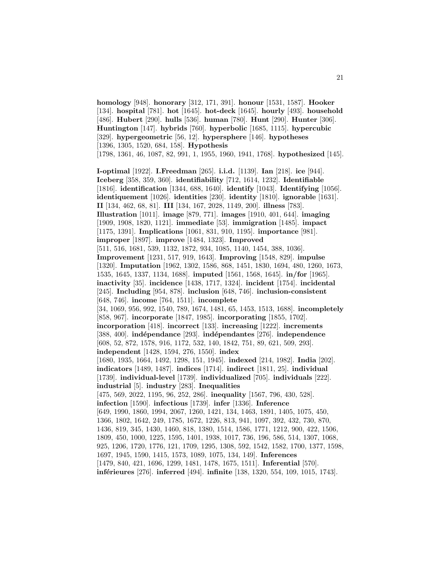**homology** [948]. **honorary** [312, 171, 391]. **honour** [1531, 1587]. **Hooker** [134]. **hospital** [781]. **hot** [1645]. **hot-deck** [1645]. **hourly** [493]. **household** [486]. **Hubert** [290]. **hulls** [536]. **human** [780]. **Hunt** [290]. **Hunter** [306]. **Huntington** [147]. **hybrids** [760]. **hyperbolic** [1685, 1115]. **hypercubic** [329]. **hypergeometric** [56, 12]. **hypersphere** [146]. **hypotheses** [1396, 1305, 1520, 684, 158]. **Hypothesis** [1798, 1361, 46, 1087, 82, 991, 1, 1955, 1960, 1941, 1768]. **hypothesized** [145].

**I-optimal** [1922]. **I.Freedman** [265]. **i.i.d.** [1139]. **Ian** [218]. **ice** [944]. **Iceberg** [358, 359, 360]. **identifiability** [712, 1614, 1232]. **Identifiable** [1816]. **identification** [1344, 688, 1640]. **identify** [1043]. **Identifying** [1056]. **identiquement** [1026]. **identities** [230]. **identity** [1810]. **ignorable** [1631]. **II** [134, 462, 68, 81]. **III** [134, 167, 2028, 1149, 200]. **illness** [783]. **Illustration** [1011]. **image** [879, 771]. **images** [1910, 401, 644]. **imaging** [1909, 1908, 1820, 1121]. **immediate** [53]. **immigration** [1485]. **impact** [1175, 1391]. **Implications** [1061, 831, 910, 1195]. **importance** [981]. **improper** [1897]. **improve** [1484, 1323]. **Improved** [511, 516, 1681, 539, 1132, 1872, 934, 1085, 1140, 1454, 388, 1036]. **Improvement** [1231, 517, 919, 1643]. **Improving** [1548, 829]. **impulse** [1320]. **Imputation** [1962, 1302, 1586, 868, 1451, 1830, 1694, 480, 1260, 1673, 1535, 1645, 1337, 1134, 1688]. **imputed** [1561, 1568, 1645]. **in/for** [1965]. **inactivity** [35]. **incidence** [1438, 1717, 1324]. **incident** [1754]. **incidental** [245]. **Including** [954, 878]. **inclusion** [648, 746]. **inclusion-consistent** [648, 746]. **income** [764, 1511]. **incomplete** [34, 1069, 956, 992, 1540, 789, 1674, 1481, 65, 1453, 1513, 1688]. **incompletely** [858, 967]. **incorporate** [1847, 1985]. **incorporating** [1855, 1702]. **incorporation** [418]. **incorrect** [133]. **increasing** [1222]. **increments** [388, 400]. **ind´ependance** [293]. **ind´ependantes** [276]. **independence** [608, 52, 872, 1578, 916, 1172, 532, 140, 1842, 751, 89, 621, 509, 293]. **independent** [1428, 1594, 276, 1550]. **index** [1680, 1935, 1664, 1492, 1298, 151, 1945]. **indexed** [214, 1982]. **India** [202]. **indicators** [1489, 1487]. **indices** [1714]. **indirect** [1811, 25]. **individual** [1739]. **individual-level** [1739]. **individualized** [705]. **individuals** [222]. **industrial** [5]. **industry** [283]. **Inequalities** [475, 569, 2022, 1195, 96, 252, 286]. **inequality** [1567, 796, 430, 528]. **infection** [1590]. **infectious** [1739]. **infer** [1336]. **Inference** [649, 1990, 1860, 1994, 2067, 1260, 1421, 134, 1463, 1891, 1405, 1075, 450, 1366, 1802, 1642, 249, 1785, 1672, 1226, 813, 941, 1097, 392, 432, 730, 870, 1436, 819, 345, 1430, 1460, 818, 1380, 1514, 1586, 1771, 1212, 900, 422, 1506, 1809, 450, 1000, 1225, 1595, 1401, 1938, 1017, 736, 196, 586, 514, 1307, 1068, 925, 1206, 1720, 1776, 121, 1709, 1295, 1308, 592, 1542, 1582, 1700, 1377, 1598, 1697, 1945, 1590, 1415, 1573, 1089, 1075, 134, 149]. **Inferences** [1479, 840, 421, 1696, 1299, 1481, 1478, 1675, 1511]. **Inferential** [570].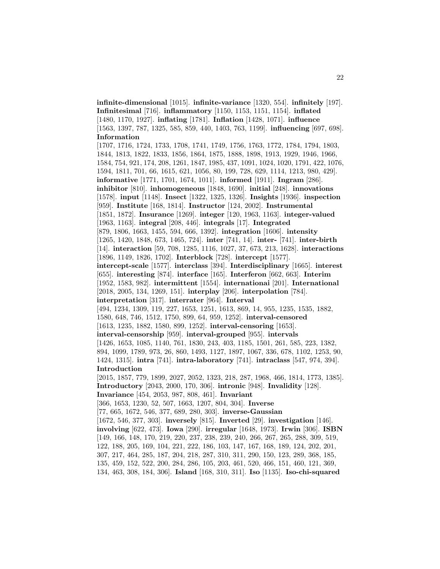**infinite-dimensional** [1015]. **infinite-variance** [1320, 554]. **infinitely** [197]. **Infinitesimal** [716]. **inflammatory** [1150, 1153, 1151, 1154]. **inflated** [1480, 1170, 1927]. **inflating** [1781]. **Inflation** [1428, 1071]. **influence** [1563, 1397, 787, 1325, 585, 859, 440, 1403, 763, 1199]. **influencing** [697, 698]. **Information**

[1707, 1716, 1724, 1733, 1708, 1741, 1749, 1756, 1763, 1772, 1784, 1794, 1803, 1844, 1813, 1822, 1833, 1856, 1864, 1875, 1888, 1898, 1913, 1929, 1946, 1966, 1584, 754, 921, 174, 208, 1261, 1847, 1985, 437, 1091, 1024, 1020, 1791, 422, 1076, 1594, 1811, 701, 66, 1615, 621, 1056, 80, 199, 728, 629, 1114, 1213, 980, 429]. **informative** [1771, 1701, 1674, 1011]. **informed** [1911]. **Ingram** [286]. **inhibitor** [810]. **inhomogeneous** [1848, 1690]. **initial** [248]. **innovations** [1578]. **input** [1148]. **Insect** [1322, 1325, 1326]. **Insights** [1936]. **inspection** [959]. **Institute** [168, 1814]. **Instructor** [124, 2002]. **Instrumental** [1851, 1872]. **Insurance** [1269]. **integer** [120, 1963, 1163]. **integer-valued** [1963, 1163]. **integral** [208, 446]. **integrals** [17]. **Integrated** [879, 1806, 1663, 1455, 594, 666, 1392]. **integration** [1606]. **intensity** [1265, 1420, 1848, 673, 1465, 724]. **inter** [741, 14]. **inter-** [741]. **inter-birth** [14]. **interaction** [59, 708, 1285, 1116, 1027, 37, 673, 213, 1628]. **interactions** [1896, 1149, 1826, 1702]. **Interblock** [728]. **intercept** [1577]. **intercept-scale** [1577]. **interclass** [394]. **Interdisciplinary** [1665]. **interest** [655]. **interesting** [874]. **interface** [165]. **Interferon** [662, 663]. **Interim** [1952, 1583, 982]. **intermittent** [1554]. **internationai** [201]. **International** [2018, 2005, 134, 1269, 151]. **interplay** [206]. **interpolation** [784]. **interpretation** [317]. **interrater** [964]. **Interval** [494, 1234, 1309, 119, 227, 1653, 1251, 1613, 869, 14, 955, 1235, 1535, 1882, 1580, 648, 746, 1512, 1750, 899, 64, 959, 1252]. **interval-censored** [1613, 1235, 1882, 1580, 899, 1252]. **interval-censoring** [1653]. **interval-censorship** [959]. **interval-grouped** [955]. **intervals** [1426, 1653, 1085, 1140, 761, 1830, 243, 403, 1185, 1501, 261, 585, 223, 1382, 894, 1099, 1789, 973, 26, 860, 1493, 1127, 1897, 1067, 336, 678, 1102, 1253, 90, 1424, 1315]. **intra** [741]. **intra-laboratory** [741]. **intraclass** [547, 974, 394]. **Introduction** [2015, 1857, 779, 1899, 2027, 2052, 1323, 218, 287, 1968, 466, 1814, 1773, 1385]. **Introductory** [2043, 2000, 170, 306]. **intronic** [948]. **Invalidity** [128]. **Invariance** [454, 2053, 987, 808, 461]. **Invariant** [366, 1653, 1230, 52, 507, 1663, 1207, 804, 304]. **Inverse** [77, 665, 1672, 546, 377, 689, 280, 303]. **inverse-Gaussian** [1672, 546, 377, 303]. **inversely** [815]. **Inverted** [29]. **investigation** [146]. **involving** [622, 473]. **Iowa** [290]. **irregular** [1648, 1973]. **Irwin** [306]. **ISBN** [149, 166, 148, 170, 219, 220, 237, 238, 239, 240, 266, 267, 265, 288, 309, 519, 122, 188, 205, 169, 104, 221, 222, 186, 103, 147, 167, 168, 189, 124, 202, 201, 307, 217, 464, 285, 187, 204, 218, 287, 310, 311, 290, 150, 123, 289, 368, 185, 135, 459, 152, 522, 200, 284, 286, 105, 203, 461, 520, 466, 151, 460, 121, 369,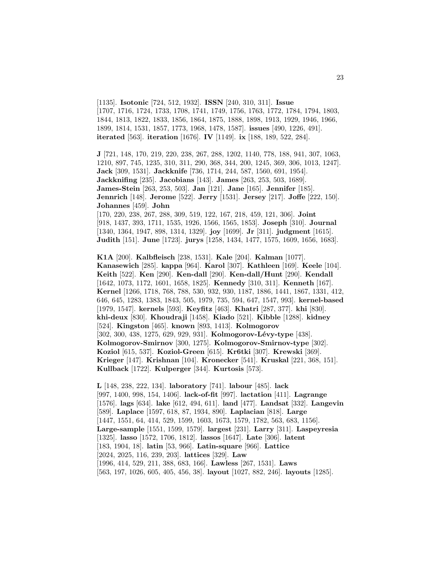[1135]. **Isotonic** [724, 512, 1932]. **ISSN** [240, 310, 311]. **Issue** [1707, 1716, 1724, 1733, 1708, 1741, 1749, 1756, 1763, 1772, 1784, 1794, 1803, 1844, 1813, 1822, 1833, 1856, 1864, 1875, 1888, 1898, 1913, 1929, 1946, 1966, 1899, 1814, 1531, 1857, 1773, 1968, 1478, 1587]. **issues** [490, 1226, 491]. **iterated** [563]. **iteration** [1676]. **IV** [1149]. **ix** [188, 189, 522, 284].

**J** [721, 148, 170, 219, 220, 238, 267, 288, 1202, 1140, 778, 188, 941, 307, 1063, 1210, 897, 745, 1235, 310, 311, 290, 368, 344, 200, 1245, 369, 306, 1013, 1247]. **Jack** [309, 1531]. **Jackknife** [736, 1714, 244, 587, 1560, 691, 1954]. **Jackknifing** [235]. **Jacobians** [143]. **James** [263, 253, 503, 1689]. **James-Stein** [263, 253, 503]. **Jan** [121]. **Jane** [165]. **Jennifer** [185]. **Jennrich** [148]. **Jerome** [522]. **Jerry** [1531]. **Jersey** [217]. **Joffe** [222, 150]. **Johannes** [459]. **John**

[170, 220, 238, 267, 288, 309, 519, 122, 167, 218, 459, 121, 306]. **Joint** [918, 1437, 393, 1711, 1535, 1926, 1566, 1565, 1853]. **Joseph** [310]. **Journal** [1340, 1364, 1947, 898, 1314, 1329]. **joy** [1699]. **Jr** [311]. **judgment** [1615]. **Judith** [151]. **June** [1723]. **jurys** [1258, 1434, 1477, 1575, 1609, 1656, 1683].

**K1A** [200]. **Kalbfleisch** [238, 1531]. **Kale** [204]. **Kalman** [1077]. **Kanasewich** [285]. **kappa** [964]. **Karol** [307]. **Kathleen** [169]. **Keele** [104]. **Keith** [522]. **Ken** [290]. **Ken-dall** [290]. **Ken-dall/Hunt** [290]. **Kendall** [1642, 1073, 1172, 1601, 1658, 1825]. **Kennedy** [310, 311]. **Kenneth** [167]. **Kernel** [1266, 1718, 768, 788, 530, 932, 930, 1187, 1886, 1441, 1867, 1331, 412, 646, 645, 1283, 1383, 1843, 505, 1979, 735, 594, 647, 1547, 993]. **kernel-based** [1979, 1547]. **kernels** [593]. **Keyfitz** [463]. **Khatri** [287, 377]. **khi** [830]. **khi-deux** [830]. **Khoudraji** [1458]. **Kiado** [521]. **Kibble** [1288]. **kidney** [524]. **Kingston** [465]. **known** [893, 1413]. **Kolmogorov** [302, 300, 438, 1275, 629, 929, 931]. **Kolmogorov-Lévy-type** [438]. **Kolmogorov-Smirnov** [300, 1275]. **Kolmogorov-Smirnov-type** [302]. **Koziol** [615, 537]. **Koziol-Green** [615]. **Kr6tki** [307]. **Krewski** [369]. **Krieger** [147]. **Krishnan** [104]. **Kronecker** [541]. **Kruskal** [221, 368, 151]. **Kullback** [1722]. **Kulperger** [344]. **Kurtosis** [573].

**L** [148, 238, 222, 134]. **laboratory** [741]. **labour** [485]. **lack** [997, 1400, 998, 154, 1406]. **lack-of-fit** [997]. **lactation** [411]. **Lagrange** [1576]. **lags** [634]. **lake** [612, 494, 611]. **land** [477]. **Landsat** [332]. **Langevin** [589]. **Laplace** [1597, 618, 87, 1934, 890]. **Laplacian** [818]. **Large** [1447, 1551, 64, 414, 529, 1599, 1603, 1673, 1579, 1782, 563, 683, 1156]. **Large-sample** [1551, 1599, 1579]. **largest** [231]. **Larry** [311]. **Laspeyresia** [1325]. **lasso** [1572, 1706, 1812]. **lassos** [1647]. **Late** [306]. **latent** [183, 1904, 18]. **latin** [53, 966]. **Latin-square** [966]. **Lattice** [2024, 2025, 116, 239, 203]. **lattices** [329]. **Law** [1996, 414, 529, 211, 388, 683, 166]. **Lawless** [267, 1531]. **Laws** [563, 197, 1026, 605, 405, 456, 38]. **layout** [1027, 882, 246]. **layouts** [1285].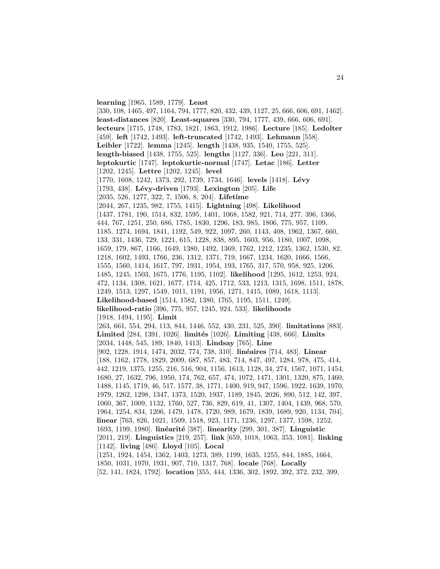**learning** [1965, 1589, 1779]. **Least**

[330, 108, 1465, 497, 1164, 794, 1777, 820, 432, 439, 1127, 25, 666, 606, 691, 1462]. **least-distances** [820]. **Least-squares** [330, 794, 1777, 439, 666, 606, 691]. **lecteurs** [1715, 1748, 1783, 1821, 1863, 1912, 1986]. **Lecture** [185]. **Ledolter** [459]. **left** [1742, 1493]. **left-truncated** [1742, 1493]. **Lehmann** [558]. **Leibler** [1722]. **lemma** [1245]. **length** [1438, 935, 1540, 1755, 525]. **length-biased** [1438, 1755, 525]. **lengths** [1127, 336]. **Leo** [221, 311]. **leptokurtic** [1747]. **leptokurtic-normal** [1747]. **Letac** [186]. **Letter** [1202, 1245]. **Lettre** [1202, 1245]. **level** [1770, 1608, 1242, 1373, 292, 1739, 1734, 1646]. **levels** [1418]. **L´evy** [1793, 438]. **L´evy-driven** [1793]. **Lexington** [205]. **Life** [2035, 526, 1277, 322, 7, 1506, 8, 204]. **Lifetime** [2044, 267, 1235, 982, 1755, 1415]. **Lightning** [498]. **Likelihood** [1437, 1781, 190, 1514, 832, 1595, 1401, 1068, 1582, 921, 714, 277, 396, 1366, 444, 767, 1251, 250, 686, 1785, 1830, 1296, 183, 985, 1806, 775, 957, 1109, 1185, 1274, 1694, 1841, 1192, 549, 922, 1097, 260, 1143, 408, 1962, 1367, 660, 133, 331, 1436, 729, 1221, 615, 1228, 838, 895, 1603, 956, 1180, 1007, 1098, 1659, 179, 867, 1166, 1649, 1380, 1492, 1369, 1762, 1212, 1235, 1362, 1530, 82, 1218, 1602, 1493, 1766, 236, 1312, 1371, 719, 1667, 1234, 1620, 1666, 1566, 1555, 1560, 1414, 1617, 797, 1931, 1954, 193, 1765, 317, 570, 958, 925, 1206, 1485, 1245, 1503, 1675, 1776, 1195, 1102]. **likelihood** [1295, 1612, 1253, 924, 472, 1134, 1308, 1621, 1677, 1714, 425, 1712, 533, 1213, 1315, 1698, 1511, 1878, 1249, 1513, 1297, 1549, 1011, 1191, 1956, 1271, 1415, 1089, 1618, 1113]. **Likelihood-based** [1514, 1582, 1380, 1765, 1195, 1511, 1249]. **likelihood-ratio** [396, 775, 957, 1245, 924, 533]. **likelihoods** [1918, 1494, 1195]. **Limit** [263, 661, 554, 294, 113, 844, 1446, 552, 430, 231, 525, 390]. **limitations** [883]. **Limited** [284, 1391, 1026]. **limit´es** [1026]. **Limiting** [438, 666]. **Limits** [2034, 1448, 545, 189, 1840, 1413]. **Lindsay** [765]. **Line** [902, 1228, 1914, 1474, 2032, 774, 738, 310]. **linéaires** [714, 483]. **Linear** [188, 1162, 1778, 1829, 2009, 687, 857, 483, 714, 847, 497, 1284, 978, 475, 414, 442, 1219, 1375, 1255, 216, 516, 904, 1156, 1613, 1128, 34, 274, 1567, 1071, 1454, 1680, 27, 1632, 796, 1950, 174, 762, 657, 474, 1072, 1471, 1301, 1320, 875, 1460, 1488, 1145, 1719, 46, 517, 1577, 38, 1771, 1400, 919, 947, 1596, 1922, 1639, 1970, 1979, 1262, 1298, 1347, 1373, 1520, 1937, 1189, 1845, 2026, 890, 512, 142, 397, 1060, 367, 1009, 1132, 1760, 527, 736, 829, 619, 41, 1307, 1404, 1439, 968, 570, 1964, 1254, 834, 1206, 1479, 1478, 1720, 989, 1679, 1839, 1689, 920, 1134, 704]. **linear** [763, 826, 1021, 1509, 1518, 923, 1171, 1236, 1297, 1377, 1598, 1252, 1693, 1199, 1980]. **linéarité** [387]. **linearity** [299, 301, 387]. **Linguistic** [2011, 219]. **Linguistics** [219, 257]. **link** [659, 1018, 1063, 353, 1081]. **linking** [1142]. **living** [486]. **Lloyd** [105]. **Local** [1251, 1924, 1454, 1362, 1403, 1273, 389, 1199, 1635, 1255, 844, 1885, 1664, 1850, 1031, 1970, 1931, 907, 710, 1317, 768]. **locale** [768]. **Locally**

[52, 141, 1824, 1792]. **location** [355, 444, 1336, 302, 1892, 392, 372, 232, 399,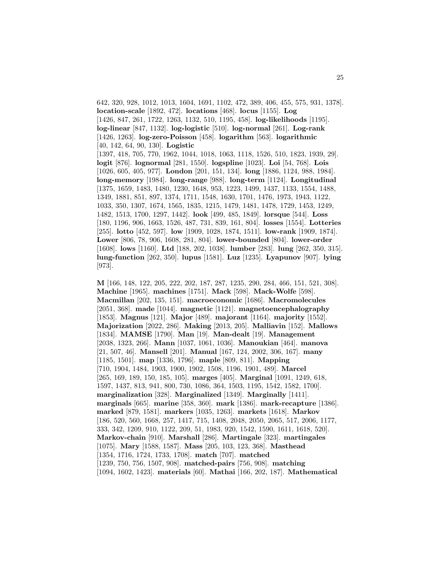642, 320, 928, 1012, 1013, 1604, 1691, 1102, 472, 389, 406, 455, 575, 931, 1378]. **location-scale** [1892, 472]. **locations** [468]. **locus** [1155]. **Log** [1426, 847, 261, 1722, 1263, 1132, 510, 1195, 458]. **log-likelihoods** [1195]. **log-linear** [847, 1132]. **log-logistic** [510]. **log-normal** [261]. **Log-rank** [1426, 1263]. **log-zero-Poisson** [458]. **logarithm** [563]. **logarithmic** [40, 142, 64, 90, 130]. **Logistic** [1397, 418, 705, 770, 1962, 1044, 1018, 1063, 1118, 1526, 510, 1823, 1939, 29]. **logit** [876]. **lognormal** [281, 1550]. **logspline** [1023]. **Loi** [54, 768]. **Lois** [1026, 605, 405, 977]. **London** [201, 151, 134]. **long** [1886, 1124, 988, 1984]. **long-memory** [1984]. **long-range** [988]. **long-term** [1124]. **Longitudinal** [1375, 1659, 1483, 1480, 1230, 1648, 953, 1223, 1499, 1437, 1133, 1554, 1488, 1349, 1881, 851, 897, 1374, 1711, 1548, 1630, 1701, 1476, 1973, 1943, 1122, 1033, 350, 1307, 1674, 1565, 1835, 1215, 1479, 1481, 1478, 1729, 1453, 1249, 1482, 1513, 1700, 1297, 1442]. **look** [499, 485, 1849]. **lorsque** [544]. **Loss** [180, 1196, 906, 1663, 1526, 487, 731, 839, 161, 804]. **losses** [1554]. **Lotteries** [255]. **lotto** [452, 597]. **low** [1909, 1028, 1874, 1511]. **low-rank** [1909, 1874]. **Lower** [806, 78, 906, 1608, 281, 804]. **lower-bounded** [804]. **lower-order** [1608]. **lows** [1160]. **Ltd** [188, 202, 1038]. **lumber** [283]. **lung** [262, 350, 315]. **lung-function** [262, 350]. **lupus** [1581]. **Luz** [1235]. **Lyapunov** [907]. **lying** [973].

**M** [166, 148, 122, 205, 222, 202, 187, 287, 1235, 290, 284, 466, 151, 521, 308]. **Machine** [1965]. **machines** [1751]. **Mack** [598]. **Mack-Wolfe** [598]. **Macmillan** [202, 135, 151]. **macroeconomic** [1686]. **Macromolecules** [2051, 368]. **made** [1044]. **magnetic** [1121]. **magnetoencephalography** [1853]. **Magnus** [121]. **Major** [489]. **majorant** [1164]. **majority** [1552]. **Majorization** [2022, 286]. **Making** [2013, 205]. **Malliavin** [152]. **Mallows** [1834]. **MAMSE** [1790]. **Man** [19]. **Man-dealt** [19]. **Management** [2038, 1323, 266]. **Mann** [1037, 1061, 1036]. **Manoukian** [464]. **manova** [21, 507, 46]. **Mansell** [201]. **Manual** [167, 124, 2002, 306, 167]. **many** [1185, 1501]. **map** [1336, 1796]. **maple** [809, 811]. **Mapping** [710, 1904, 1484, 1903, 1900, 1902, 1508, 1196, 1901, 489]. **Marcel** [265, 169, 189, 150, 185, 105]. **marges** [405]. **Marginal** [1091, 1249, 618, 1597, 1437, 813, 941, 800, 730, 1086, 364, 1503, 1195, 1542, 1582, 1700]. **marginalization** [328]. **Marginalized** [1349]. **Marginally** [1411]. **marginals** [665]. **marine** [358, 360]. **mark** [1386]. **mark-recapture** [1386]. **marked** [879, 1581]. **markers** [1035, 1263]. **markets** [1618]. **Markov** [186, 520, 560, 1668, 257, 1417, 715, 1408, 2048, 2050, 2065, 517, 2006, 1177, 333, 342, 1209, 910, 1122, 209, 51, 1983, 920, 1542, 1590, 1611, 1618, 520]. **Markov-chain** [910]. **Marshall** [286]. **Martingale** [323]. **martingales** [1075]. **Mary** [1588, 1587]. **Mass** [205, 103, 123, 368]. **Masthead** [1354, 1716, 1724, 1733, 1708]. **match** [707]. **matched** [1239, 750, 756, 1507, 908]. **matched-pairs** [756, 908]. **matching** [1094, 1602, 1423]. **materials** [60]. **Mathai** [166, 202, 187]. **Mathematical**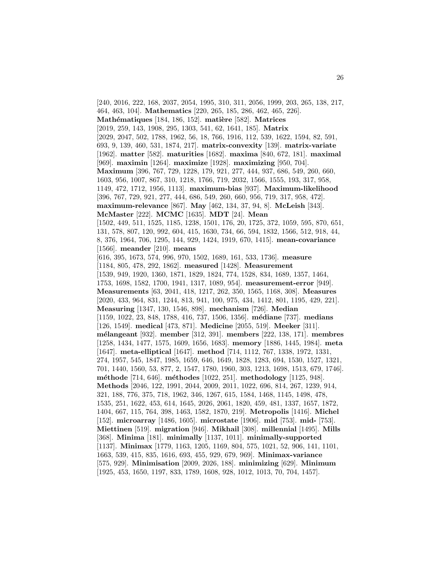[240, 2016, 222, 168, 2037, 2054, 1995, 310, 311, 2056, 1999, 203, 265, 138, 217, 464, 463, 104]. **Mathematics** [220, 265, 185, 286, 462, 465, 226]. **Mathématiques** [184, 186, 152]. **matière** [582]. **Matrices** [2019, 259, 143, 1908, 295, 1303, 541, 62, 1641, 185]. **Matrix** [2029, 2047, 502, 1788, 1962, 56, 18, 766, 1916, 112, 539, 1622, 1594, 82, 591, 693, 9, 139, 460, 531, 1874, 217]. **matrix-convexity** [139]. **matrix-variate** [1962]. **matter** [582]. **maturities** [1682]. **maxima** [840, 672, 181]. **maximal** [969]. **maximin** [1264]. **maximize** [1928]. **maximizing** [950, 704]. **Maximum** [396, 767, 729, 1228, 179, 921, 277, 444, 937, 686, 549, 260, 660, 1603, 956, 1007, 867, 310, 1218, 1766, 719, 2032, 1566, 1555, 193, 317, 958, 1149, 472, 1712, 1956, 1113]. **maximum-bias** [937]. **Maximum-likelihood** [396, 767, 729, 921, 277, 444, 686, 549, 260, 660, 956, 719, 317, 958, 472]. **maximum-relevance** [867]. **May** [462, 134, 37, 94, 8]. **McLeish** [343]. **McMaster** [222]. **MCMC** [1635]. **MDT** [24]. **Mean** [1502, 449, 511, 1525, 1185, 1238, 1501, 176, 20, 1725, 372, 1059, 595, 870, 651, 131, 578, 807, 120, 992, 604, 415, 1630, 734, 66, 594, 1832, 1566, 512, 918, 44, 8, 376, 1964, 706, 1295, 144, 929, 1424, 1919, 670, 1415]. **mean-covariance** [1566]. **meander** [210]. **means** [616, 395, 1673, 574, 996, 970, 1502, 1689, 161, 533, 1736]. **measure** [1184, 805, 478, 292, 1862]. **measured** [1428]. **Measurement** [1539, 949, 1920, 1360, 1871, 1829, 1824, 774, 1528, 834, 1689, 1357, 1464, 1753, 1698, 1582, 1700, 1941, 1317, 1089, 954]. **measurement-error** [949]. **Measurements** [63, 2041, 418, 1217, 262, 350, 1565, 1168, 308]. **Measures** [2020, 433, 964, 831, 1244, 813, 941, 100, 975, 434, 1412, 801, 1195, 429, 221]. **Measuring** [1347, 130, 1546, 898]. **mechanism** [726]. **Median** [1159, 1022, 23, 848, 1788, 416, 737, 1506, 1356]. **m´ediane** [737]. **medians** [126, 1549]. **medical** [473, 871]. **Medicine** [2055, 519]. **Meeker** [311]. **m´elangeant** [932]. **member** [312, 391]. **members** [222, 138, 171]. **membres** [1258, 1434, 1477, 1575, 1609, 1656, 1683]. **memory** [1886, 1445, 1984]. **meta** [1647]. **meta-elliptical** [1647]. **method** [714, 1112, 767, 1338, 1972, 1331, 274, 1957, 545, 1847, 1985, 1659, 646, 1649, 1828, 1283, 694, 1530, 1527, 1321, 701, 1440, 1560, 53, 877, 2, 1547, 1780, 1960, 303, 1213, 1698, 1513, 679, 1746]. **m´ethode** [714, 646]. **m´ethodes** [1022, 251]. **methodology** [1125, 948]. **Methods** [2046, 122, 1991, 2044, 2009, 2011, 1022, 696, 814, 267, 1239, 914, 321, 188, 776, 375, 718, 1962, 346, 1267, 615, 1584, 1468, 1145, 1498, 478, 1535, 251, 1622, 453, 614, 1645, 2026, 2061, 1820, 459, 481, 1337, 1657, 1872, 1404, 667, 115, 764, 398, 1463, 1582, 1870, 219]. **Metropolis** [1416]. **Michel** [152]. **microarray** [1486, 1605]. **microstate** [1906]. **mid** [753]. **mid-** [753]. **Miettinen** [519]. **migration** [946]. **Mikhail** [308]. **millennial** [1495]. **Mills** [368]. **Minima** [181]. **minimally** [1137, 1011]. **minimally-supported** [1137]. **Minimax** [1779, 1163, 1205, 1169, 804, 575, 1021, 52, 906, 141, 1101, 1663, 539, 415, 835, 1616, 693, 455, 929, 679, 969]. **Minimax-variance** [575, 929]. **Minimisation** [2009, 2026, 188]. **minimizing** [629]. **Minimum** [1925, 453, 1650, 1197, 833, 1789, 1608, 928, 1012, 1013, 70, 704, 1457].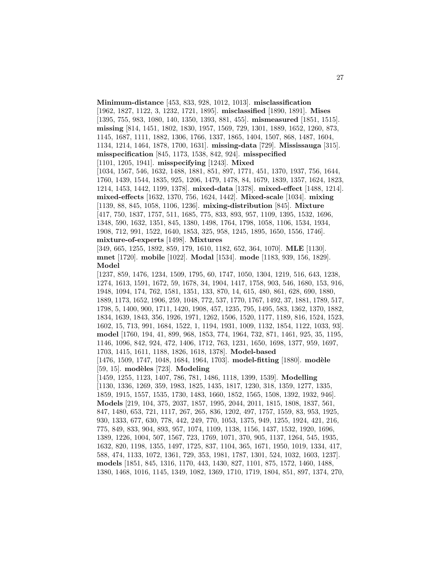**Minimum-distance** [453, 833, 928, 1012, 1013]. **misclassification** [1962, 1827, 1122, 3, 1232, 1721, 1895]. **misclassified** [1890, 1891]. **Mises** [1395, 755, 983, 1080, 140, 1350, 1393, 881, 455]. **mismeasured** [1851, 1515]. **missing** [814, 1451, 1802, 1830, 1957, 1569, 729, 1301, 1889, 1652, 1260, 873, 1145, 1687, 1111, 1882, 1306, 1766, 1337, 1865, 1404, 1507, 868, 1487, 1604, 1134, 1214, 1464, 1878, 1700, 1631]. **missing-data** [729]. **Mississauga** [315]. **misspecification** [845, 1173, 1538, 842, 924]. **misspecified** [1101, 1205, 1941]. **misspecifying** [1243]. **Mixed** [1034, 1567, 546, 1632, 1488, 1881, 851, 897, 1771, 451, 1370, 1937, 756, 1644, 1760, 1439, 1544, 1835, 925, 1206, 1479, 1478, 84, 1679, 1839, 1357, 1624, 1823, 1214, 1453, 1442, 1199, 1378]. **mixed-data** [1378]. **mixed-effect** [1488, 1214]. **mixed-effects** [1632, 1370, 756, 1624, 1442]. **Mixed-scale** [1034]. **mixing** [1139, 88, 845, 1058, 1106, 1236]. **mixing-distribution** [845]. **Mixture** [417, 750, 1837, 1757, 511, 1685, 775, 833, 893, 957, 1109, 1395, 1532, 1696, 1348, 590, 1632, 1351, 845, 1380, 1498, 1764, 1798, 1058, 1106, 1534, 1934, 1908, 712, 991, 1522, 1640, 1853, 325, 958, 1245, 1895, 1650, 1556, 1746]. **mixture-of-experts** [1498]. **Mixtures** [349, 665, 1255, 1892, 859, 179, 1610, 1182, 652, 364, 1070]. **MLE** [1130]. **mnet** [1720]. **mobile** [1022]. **Modal** [1534]. **mode** [1183, 939, 156, 1829]. **Model** [1237, 859, 1476, 1234, 1509, 1795, 60, 1747, 1050, 1304, 1219, 516, 643, 1238, 1274, 1613, 1591, 1672, 59, 1678, 34, 1904, 1417, 1758, 903, 546, 1680, 153, 916, 1948, 1094, 174, 762, 1581, 1351, 133, 870, 14, 615, 480, 861, 628, 690, 1880, 1889, 1173, 1652, 1906, 259, 1048, 772, 537, 1770, 1767, 1492, 37, 1881, 1789, 517, 1798, 5, 1400, 900, 1711, 1420, 1908, 457, 1235, 795, 1495, 583, 1362, 1370, 1882, 1834, 1639, 1843, 356, 1926, 1971, 1262, 1506, 1520, 1177, 1189, 816, 1524, 1523, 1602, 15, 713, 991, 1684, 1522, 1, 1194, 1931, 1009, 1132, 1854, 1122, 1033, 93]. **model** [1760, 194, 41, 899, 968, 1853, 774, 1964, 732, 871, 1461, 925, 35, 1195, 1146, 1096, 842, 924, 472, 1406, 1712, 763, 1231, 1650, 1698, 1377, 959, 1697, 1703, 1415, 1611, 1188, 1826, 1618, 1378]. **Model-based** [1476, 1509, 1747, 1048, 1684, 1964, 1703]. **model-fitting** [1880]. **modèle** [59, 15]. **modèles** [723]. **Modeling** [1459, 1255, 1123, 1407, 786, 781, 1486, 1118, 1399, 1539]. **Modelling** [1130, 1336, 1269, 359, 1983, 1825, 1435, 1817, 1230, 318, 1359, 1277, 1335, 1859, 1915, 1557, 1535, 1730, 1483, 1660, 1852, 1565, 1508, 1392, 1932, 946]. **Models** [219, 104, 375, 2037, 1857, 1995, 2044, 2011, 1815, 1808, 1837, 561, 847, 1480, 653, 721, 1117, 267, 265, 836, 1202, 497, 1757, 1559, 83, 953, 1925, 930, 1333, 677, 630, 778, 442, 249, 770, 1053, 1375, 949, 1255, 1924, 421, 216, 775, 849, 833, 904, 893, 957, 1074, 1109, 1138, 1156, 1437, 1532, 1920, 1696, 1389, 1226, 1004, 507, 1567, 723, 1769, 1071, 370, 905, 1137, 1264, 545, 1935, 1632, 820, 1198, 1355, 1497, 1725, 837, 1104, 365, 1671, 1950, 1019, 1334, 417, 588, 474, 1133, 1072, 1361, 729, 353, 1981, 1787, 1301, 524, 1032, 1603, 1237]. **models** [1851, 845, 1316, 1170, 443, 1430, 827, 1101, 875, 1572, 1460, 1488, 1380, 1468, 1016, 1145, 1349, 1082, 1369, 1710, 1719, 1804, 851, 897, 1374, 270,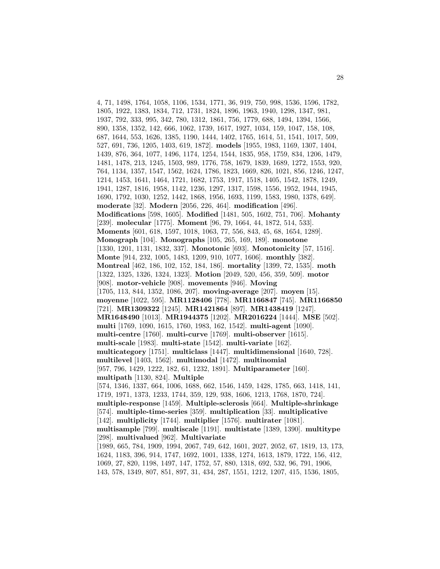4, 71, 1498, 1764, 1058, 1106, 1534, 1771, 36, 919, 750, 998, 1536, 1596, 1782, 1805, 1922, 1383, 1834, 712, 1731, 1824, 1896, 1963, 1940, 1298, 1347, 981, 1937, 792, 333, 995, 342, 780, 1312, 1861, 756, 1779, 688, 1494, 1394, 1566, 890, 1358, 1352, 142, 666, 1062, 1739, 1617, 1927, 1034, 159, 1047, 158, 108, 687, 1644, 553, 1626, 1385, 1190, 1444, 1402, 1765, 1614, 51, 1541, 1017, 509, 527, 691, 736, 1205, 1403, 619, 1872]. **models** [1955, 1983, 1169, 1307, 1404, 1439, 876, 364, 1077, 1496, 1174, 1254, 1544, 1835, 958, 1759, 834, 1206, 1479, 1481, 1478, 213, 1245, 1503, 989, 1776, 758, 1679, 1839, 1689, 1272, 1553, 920, 764, 1134, 1357, 1547, 1562, 1624, 1786, 1823, 1669, 826, 1021, 856, 1246, 1247, 1214, 1453, 1641, 1464, 1721, 1682, 1753, 1917, 1518, 1405, 1542, 1878, 1249, 1941, 1287, 1816, 1958, 1142, 1236, 1297, 1317, 1598, 1556, 1952, 1944, 1945, 1690, 1792, 1030, 1252, 1442, 1868, 1956, 1693, 1199, 1583, 1980, 1378, 649]. **moderate** [32]. **Modern** [2056, 226, 464]. **modification** [496]. **Modifications** [598, 1605]. **Modified** [1481, 505, 1602, 751, 706]. **Mohanty** [239]. **molecular** [1775]. **Moment** [96, 79, 1664, 44, 1872, 514, 533]. **Moments** [601, 618, 1597, 1018, 1063, 77, 556, 843, 45, 68, 1654, 1289]. **Monograph** [104]. **Monographs** [105, 265, 169, 189]. **monotone** [1330, 1201, 1131, 1832, 337]. **Monotonic** [693]. **Monotonicity** [57, 1516]. **Monte** [914, 232, 1005, 1483, 1209, 910, 1077, 1606]. **monthly** [382]. **Montreal** [462, 186, 102, 152, 184, 186]. **mortality** [1399, 72, 1535]. **moth** [1322, 1325, 1326, 1324, 1323]. **Motion** [2049, 520, 456, 359, 509]. **motor** [908]. **motor-vehicle** [908]. **movements** [946]. **Moving** [1705, 113, 844, 1352, 1086, 207]. **moving-average** [207]. **moyen** [15]. **moyenne** [1022, 595]. **MR1128406** [778]. **MR1166847** [745]. **MR1166850** [721]. **MR1309322** [1245]. **MR1421864** [897]. **MR1438419** [1247]. **MR1648490** [1013]. **MR1944375** [1202]. **MR2016224** [1444]. **MSE** [502]. **multi** [1769, 1090, 1615, 1760, 1983, 162, 1542]. **multi-agent** [1090]. **multi-centre** [1760]. **multi-curve** [1769]. **multi-observer** [1615]. **multi-scale** [1983]. **multi-state** [1542]. **multi-variate** [162]. **multicategory** [1751]. **multiclass** [1447]. **multidimensional** [1640, 728]. **multilevel** [1403, 1562]. **multimodal** [1472]. **multinomial** [957, 796, 1429, 1222, 182, 61, 1232, 1891]. **Multiparameter** [160]. **multipath** [1130, 824]. **Multiple** [574, 1346, 1337, 664, 1006, 1688, 662, 1546, 1459, 1428, 1785, 663, 1418, 141, 1719, 1971, 1373, 1233, 1744, 359, 129, 938, 1606, 1213, 1768, 1870, 724]. **multiple-response** [1459]. **Multiple-sclerosis** [664]. **Multiple-shrinkage** [574]. **multiple-time-series** [359]. **multiplication** [33]. **multiplicative** [142]. **multiplicity** [1744]. **multiplier** [1576]. **multirater** [1081]. **multisample** [799]. **multiscale** [1191]. **multistate** [1389, 1390]. **multitype** [298]. **multivalued** [962]. **Multivariate** [1989, 665, 784, 1909, 1994, 2067, 749, 642, 1601, 2027, 2052, 67, 1819, 13, 173, 1624, 1183, 396, 914, 1747, 1692, 1001, 1338, 1274, 1613, 1879, 1722, 156, 412, 1069, 27, 820, 1198, 1497, 147, 1752, 57, 880, 1318, 692, 532, 96, 791, 1906, 143, 578, 1349, 807, 851, 897, 31, 434, 287, 1551, 1212, 1207, 415, 1536, 1805,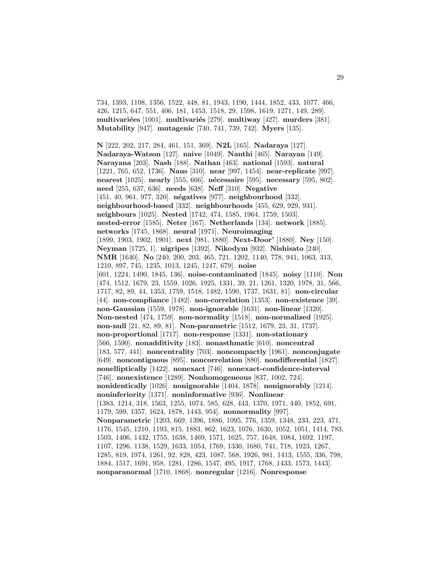734, 1393, 1108, 1356, 1522, 448, 81, 1943, 1190, 1444, 1852, 433, 1077, 466, 426, 1215, 647, 551, 406, 181, 1453, 1518, 29, 1598, 1619, 1271, 149, 289]. **multivari´ees** [1001]. **multivari´es** [279]. **multiway** [427]. **murders** [381]. **Mutability** [947]. **mutagenic** [740, 741, 739, 742]. **Myers** [135].

**N** [222, 202, 217, 284, 461, 151, 369]. **N2L** [165]. **Nadaraya** [127]. **Nadaraya-Watson** [127]. **naive** [1049]. **Nanthi** [465]. **Narayan** [149]. **Narayana** [203]. **Nash** [188]. **Nathan** [463]. **national** [1593]. **natural** [1221, 765, 652, 1736]. **Naus** [310]. **near** [997, 1454]. **near-replicate** [997]. **nearest** [1025]. **nearly** [555, 666]. **n´ecessaire** [595]. **necessary** [595, 802]. **need** [255, 637, 636]. **needs** [638]. **Neff** [310]. **Negative** [451, 40, 961, 977, 320]. **n´egatives** [977]. **neighbourhood** [332]. **neighbourhood-based** [332]. **neighbourhoods** [455, 629, 929, 931]. **neighbours** [1025]. **Nested** [1742, 474, 1585, 1964, 1759, 1503]. **nested-error** [1585]. **Neter** [167]. **Netherlands** [134]. **network** [1885]. **networks** [1745, 1868]. **neural** [1971]. **Neuroimaging** [1899, 1903, 1902, 1901]. **next** [981, 1880]. **Next-Door'** [1880]. **Ney** [150]. **Neyman** [1725, 1]. **nigripes** [1392]. **Nikodym** [932]. **Nishisato** [240]. **NMR** [1640]. **No** [240, 200, 203, 465, 721, 1202, 1140, 778, 941, 1063, 313, 1210, 897, 745, 1235, 1013, 1245, 1247, 679]. **noise** [601, 1224, 1490, 1845, 136]. **noise-contaminated** [1845]. **noisy** [1110]. **Non** [474, 1512, 1679, 23, 1559, 1026, 1925, 1331, 39, 21, 1261, 1320, 1978, 31, 566, 1717, 82, 89, 44, 1353, 1759, 1518, 1482, 1590, 1737, 1631, 81]. **non-circular** [44]. **non-compliance** [1482]. **non-correlation** [1353]. **non-existence** [39]. **non-Gaussian** [1559, 1978]. **non-ignorable** [1631]. **non-linear** [1320]. **Non-nested** [474, 1759]. **non-normality** [1518]. **non-normalized** [1925]. **non-null** [21, 82, 89, 81]. **Non-parametric** [1512, 1679, 23, 31, 1737]. **non-proportional** [1717]. **non-response** [1331]. **non-stationary** [566, 1590]. **nonadditivity** [183]. **nonasthmatic** [610]. **noncentral** [183, 577, 441]. **noncentrality** [703]. **noncompactly** [1961]. **nonconjugate** [649]. **noncontiguous** [895]. **noncorrelation** [880]. **nondifferential** [1827]. **nonelliptically** [1422]. **nonexact** [746]. **nonexact-confidence-interval** [746]. **nonexistence** [1289]. **Nonhomogeneous** [837, 1002, 724]. **nonidentically** [1026]. **nonignorable** [1404, 1878]. **nonignorably** [1214]. **noninferiority** [1371]. **noninformative** [936]. **Nonlinear** [1383, 1214, 318, 1563, 1255, 1074, 585, 628, 443, 1370, 1971, 440, 1852, 691, 1179, 599, 1357, 1624, 1878, 1443, 954]. **nonnormality** [997]. **Nonparametric** [1203, 669, 1396, 1886, 1095, 776, 1359, 1348, 233, 223, 471, 1176, 1545, 1210, 1193, 815, 1883, 862, 1623, 1076, 1630, 1052, 1051, 1414, 783, 1503, 1406, 1432, 1755, 1638, 1469, 1571, 1625, 757, 1648, 1084, 1692, 1197, 1107, 1296, 1138, 1529, 1633, 1054, 1769, 1330, 1680, 741, 718, 1923, 1267, 1285, 819, 1974, 1261, 92, 828, 423, 1087, 568, 1926, 981, 1413, 1555, 336, 798, 1884, 1517, 1691, 958, 1281, 1286, 1547, 495, 1917, 1768, 1433, 1573, 1443]. **nonparanormal** [1710, 1868]. **nonregular** [1216]. **Nonresponse**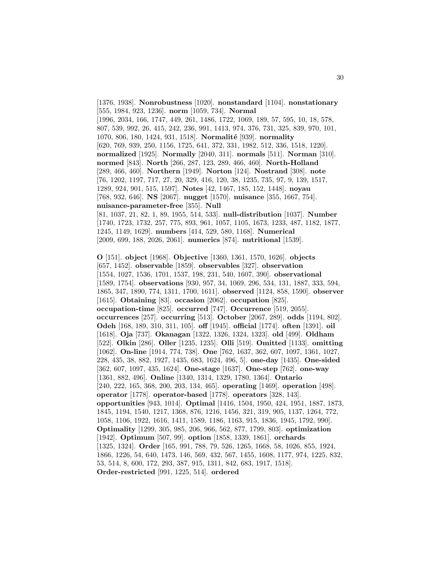[1376, 1938]. **Nonrobustness** [1020]. **nonstandard** [1104]. **nonstationary** [555, 1984, 923, 1236]. **norm** [1059, 734]. **Normal** [1996, 2034, 166, 1747, 449, 261, 1486, 1722, 1069, 189, 57, 595, 10, 18, 578, 807, 539, 992, 26, 415, 242, 236, 991, 1413, 974, 376, 731, 325, 839, 970, 101, 1070, 806, 180, 1424, 931, 1518]. **Normalité** [939]. **normality** [620, 769, 939, 250, 1156, 1725, 641, 372, 331, 1982, 512, 336, 1518, 1220]. **normalized** [1925]. **Normally** [2040, 311]. **normals** [511]. **Norman** [310]. **normed** [843]. **North** [266, 287, 123, 289, 466, 460]. **North-Holland** [289, 466, 460]. **Northern** [1949]. **Norton** [124]. **Nostrand** [308]. **note** [76, 1202, 1197, 717, 27, 20, 329, 416, 120, 38, 1235, 735, 97, 9, 139, 1517, 1289, 924, 901, 515, 1597]. **Notes** [42, 1467, 185, 152, 1448]. **noyau** [768, 932, 646]. **NS** [2067]. **nugget** [1570]. **nuisance** [355, 1667, 754]. **nuisance-parameter-free** [355]. **Null** [81, 1037, 21, 82, 1, 89, 1955, 514, 533]. **null-distribution** [1037]. **Number** [1740, 1723, 1732, 257, 775, 893, 961, 1057, 1105, 1673, 1233, 487, 1182, 1877, 1245, 1149, 1629]. **numbers** [414, 529, 580, 1168]. **Numerical**

[2009, 699, 188, 2026, 2061]. **numerics** [874]. **nutritional** [1539].

**O** [151]. **object** [1968]. **Objective** [1360, 1361, 1570, 1626]. **objects** [657, 1452]. **observable** [1859]. **observables** [327]. **observation** [1554, 1027, 1536, 1701, 1537, 198, 231, 540, 1607, 390]. **observational** [1589, 1754]. **observations** [930, 957, 34, 1069, 296, 534, 131, 1887, 333, 594, 1865, 347, 1890, 774, 1311, 1700, 1611]. **observed** [1124, 858, 1590]. **observer** [1615]. **Obtaining** [83]. **occasion** [2062]. **occupation** [825]. **occupation-time** [825]. **occurred** [747]. **Occurrence** [519, 2055]. **occurrences** [257]. **occurring** [513]. **October** [2067, 289]. **odds** [1194, 802]. **Odeh** [168, 189, 310, 311, 105]. **off** [1945]. **official** [1774]. **often** [1391]. **oil** [1618]. **Oja** [737]. **Okanagan** [1322, 1326, 1324, 1323]. **old** [499]. **Oldham** [522]. **Olkin** [286]. **Oller** [1235, 1235]. **Olli** [519]. **Omitted** [1133]. **omitting** [1062]. **On-line** [1914, 774, 738]. **One** [762, 1637, 362, 607, 1097, 1361, 1027, 228, 435, 38, 882, 1927, 1435, 683, 1624, 496, 5]. **one-day** [1435]. **One-sided** [362, 607, 1097, 435, 1624]. **One-stage** [1637]. **One-step** [762]. **one-way** [1361, 882, 496]. **Online** [1340, 1314, 1329, 1780, 1364]. **Ontario** [240, 222, 165, 368, 200, 203, 134, 465]. **operating** [1469]. **operation** [498]. **operator** [1778]. **operator-based** [1778]. **operators** [328, 143]. **opportunities** [943, 1014]. **Optimal** [1416, 1504, 1950, 424, 1951, 1887, 1873, 1845, 1194, 1540, 1217, 1368, 876, 1216, 1456, 321, 319, 905, 1137, 1264, 772, 1058, 1106, 1922, 1616, 1411, 1589, 1186, 1163, 915, 1836, 1945, 1792, 990]. **Optimality** [1299, 305, 985, 206, 966, 562, 877, 1799, 803]. **optimization** [1942]. **Optimum** [507, 99]. **option** [1858, 1339, 1861]. **orchards** [1325, 1324]. **Order** [165, 991, 788, 79, 526, 1265, 1668, 58, 1026, 855, 1924, 1866, 1226, 54, 640, 1473, 146, 569, 432, 567, 1455, 1608, 1177, 974, 1225, 832, 53, 514, 8, 600, 172, 293, 387, 915, 1311, 842, 683, 1917, 1518]. **Order-restricted** [991, 1225, 514]. **ordered**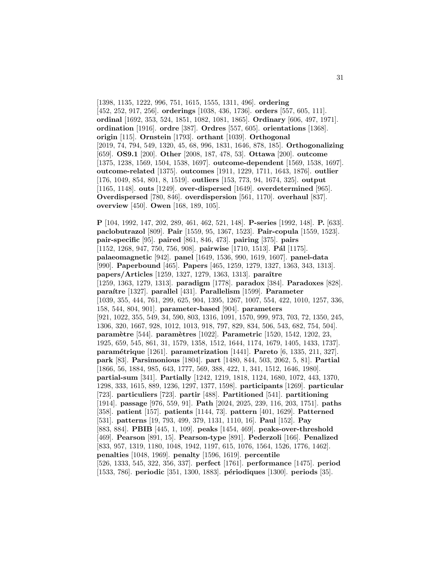[1398, 1135, 1222, 996, 751, 1615, 1555, 1311, 496]. **ordering** [452, 252, 917, 256]. **orderings** [1038, 436, 1736]. **orders** [557, 605, 111]. **ordinal** [1692, 353, 524, 1851, 1082, 1081, 1865]. **Ordinary** [606, 497, 1971]. **ordination** [1916]. **ordre** [387]. **Ordres** [557, 605]. **orientations** [1368]. **origin** [115]. **Ornstein** [1793]. **orthant** [1039]. **Orthogonal** [2019, 74, 794, 549, 1320, 45, 68, 996, 1831, 1646, 878, 185]. **Orthogonalizing** [659]. **OS9.1** [200]. **Other** [2008, 187, 478, 53]. **Ottawa** [200]. **outcome** [1375, 1238, 1569, 1504, 1538, 1697]. **outcome-dependent** [1569, 1538, 1697]. **outcome-related** [1375]. **outcomes** [1911, 1229, 1711, 1643, 1876]. **outlier** [176, 1049, 854, 801, 8, 1519]. **outliers** [153, 773, 94, 1674, 325]. **output** [1165, 1148]. **outs** [1249]. **over-dispersed** [1649]. **overdetermined** [965]. **Overdispersed** [780, 846]. **overdispersion** [561, 1170]. **overhaul** [837]. **overview** [450]. **Owen** [168, 189, 105].

**P** [104, 1992, 147, 202, 289, 461, 462, 521, 148]. **P-series** [1992, 148]. **P.** [633]. **paclobutrazol** [809]. **Pair** [1559, 95, 1367, 1523]. **Pair-copula** [1559, 1523]. **pair-specific** [95]. **paired** [861, 846, 473]. **pairing** [375]. **pairs** [1152, 1268, 947, 750, 756, 908]. **pairwise** [1710, 1513]. **Pál** [1175]. **palaeomagnetic** [942]. **panel** [1649, 1536, 990, 1619, 1607]. **panel-data** [990]. **Paperbound** [465]. **Papers** [465, 1259, 1279, 1327, 1363, 343, 1313]. **papers/Articles** [1259, 1327, 1279, 1363, 1313]. **paraˆıtre** [1259, 1363, 1279, 1313]. **paradigm** [1778]. **paradox** [384]. **Paradoxes** [828]. **para´ıtre** [1327]. **parallel** [431]. **Parallelism** [1599]. **Parameter** [1039, 355, 444, 761, 299, 625, 904, 1395, 1267, 1007, 554, 422, 1010, 1257, 336, 158, 544, 804, 901]. **parameter-based** [904]. **parameters** [921, 1022, 355, 549, 34, 590, 803, 1316, 1091, 1570, 999, 973, 703, 72, 1350, 245, 1306, 320, 1667, 928, 1012, 1013, 918, 797, 829, 834, 506, 543, 682, 754, 504]. **param`etre** [544]. **param`etres** [1022]. **Parametric** [1520, 1542, 1202, 23, 1925, 659, 545, 861, 31, 1579, 1358, 1512, 1644, 1174, 1679, 1405, 1433, 1737]. **param´etrique** [1261]. **parametrization** [1441]. **Pareto** [6, 1335, 211, 327]. **park** [83]. **Parsimonious** [1804]. **part** [1480, 844, 503, 2062, 5, 81]. **Partial** [1866, 56, 1884, 985, 643, 1777, 569, 388, 422, 1, 341, 1512, 1646, 1980]. **partial-sum** [341]. **Partially** [1242, 1219, 1818, 1124, 1680, 1072, 443, 1370, 1298, 333, 1615, 889, 1236, 1297, 1377, 1598]. **participants** [1269]. **particular** [723]. **particuliers** [723]. **partir** [488]. **Partitioned** [541]. **partitioning** [1914]. **passage** [976, 559, 91]. **Path** [2024, 2025, 239, 116, 203, 1751]. **paths** [358]. **patient** [157]. **patients** [1144, 73]. **pattern** [401, 1629]. **Patterned** [531]. **patterns** [19, 793, 499, 379, 1131, 1110, 16]. **Paul** [152]. **Pay** [883, 884]. **PBIB** [445, 1, 109]. **peaks** [1454, 469]. **peaks-over-threshold** [469]. **Pearson** [891, 15]. **Pearson-type** [891]. **Pederzoli** [166]. **Penalized** [833, 957, 1319, 1180, 1048, 1942, 1197, 615, 1076, 1564, 1526, 1776, 1462]. **penalties** [1048, 1969]. **penalty** [1596, 1619]. **percentile** [526, 1333, 545, 322, 356, 337]. **perfect** [1761]. **performance** [1475]. **period** [1533, 786]. **periodic** [351, 1300, 1883]. **p´eriodiques** [1300]. **periods** [35].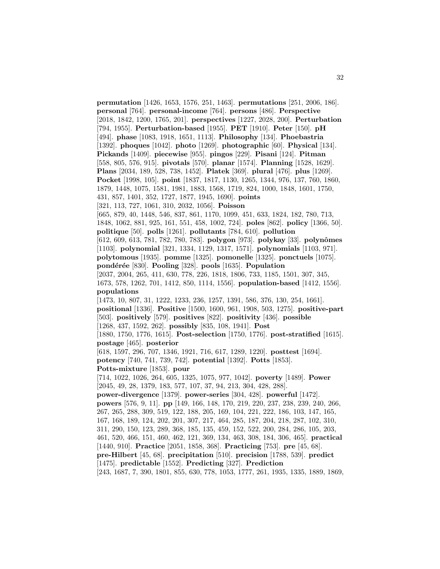**permutation** [1426, 1653, 1576, 251, 1463]. **permutations** [251, 2006, 186]. **personal** [764]. **personal-income** [764]. **persons** [486]. **Perspective** [2018, 1842, 1200, 1765, 201]. **perspectives** [1227, 2028, 200]. **Perturbation** [794, 1955]. **Perturbation-based** [1955]. **PET** [1910]. **Peter** [150]. **pH** [494]. **phase** [1083, 1918, 1651, 1113]. **Philosophy** [134]. **Phoebastria** [1392]. **phoques** [1042]. **photo** [1269]. **photographic** [60]. **Physical** [134]. **Pickands** [1409]. **piecewise** [955]. **pingos** [229]. **Pisani** [124]. **Pitman** [558, 805, 576, 915]. **pivotals** [570]. **planar** [1574]. **Planning** [1528, 1629]. **Plans** [2034, 189, 528, 738, 1452]. **Platek** [369]. **plural** [476]. **plus** [1269]. **Pocket** [1998, 105]. **point** [1837, 1817, 1130, 1265, 1344, 976, 137, 760, 1860, 1879, 1448, 1075, 1581, 1981, 1883, 1568, 1719, 824, 1000, 1848, 1601, 1750, 431, 857, 1401, 352, 1727, 1877, 1945, 1690]. **points** [321, 113, 727, 1061, 310, 2032, 1056]. **Poisson** [665, 879, 40, 1448, 546, 837, 861, 1170, 1099, 451, 633, 1824, 182, 780, 713, 1848, 1062, 881, 925, 161, 551, 458, 1002, 724]. **poles** [862]. **policy** [1366, 50]. **politique** [50]. **polls** [1261]. **pollutants** [784, 610]. **pollution** [612, 609, 613, 781, 782, 780, 783]. **polygon** [973]. **polykay** [33]. **polynˆomes** [1103]. **polynomial** [321, 1334, 1129, 1317, 1571]. **polynomials** [1103, 971]. **polytomous** [1935]. **pomme** [1325]. **pomonelle** [1325]. **ponctuels** [1075]. **pond´er´ee** [830]. **Pooling** [328]. **pools** [1635]. **Population** [2037, 2004, 265, 411, 630, 778, 226, 1818, 1806, 733, 1185, 1501, 307, 345, 1673, 578, 1262, 701, 1412, 850, 1114, 1556]. **population-based** [1412, 1556]. **populations** [1473, 10, 807, 31, 1222, 1233, 236, 1257, 1391, 586, 376, 130, 254, 1661]. **positional** [1336]. **Positive** [1500, 1600, 961, 1908, 503, 1275]. **positive-part** [503]. **positively** [579]. **positives** [822]. **positivity** [436]. **possible** [1268, 437, 1592, 262]. **possibly** [835, 108, 1941]. **Post** [1880, 1750, 1776, 1615]. **Post-selection** [1750, 1776]. **post-stratified** [1615]. **postage** [465]. **posterior** [618, 1597, 296, 707, 1346, 1921, 716, 617, 1289, 1220]. **posttest** [1694]. **potency** [740, 741, 739, 742]. **potential** [1392]. **Potts** [1853]. **Potts-mixture** [1853]. **pour** [714, 1022, 1026, 264, 605, 1325, 1075, 977, 1042]. **poverty** [1489]. **Power** [2045, 49, 28, 1379, 183, 577, 107, 37, 94, 213, 304, 428, 288]. **power-divergence** [1379]. **power-series** [304, 428]. **powerful** [1472]. **powers** [576, 9, 11]. **pp** [149, 166, 148, 170, 219, 220, 237, 238, 239, 240, 266, 267, 265, 288, 309, 519, 122, 188, 205, 169, 104, 221, 222, 186, 103, 147, 165, 167, 168, 189, 124, 202, 201, 307, 217, 464, 285, 187, 204, 218, 287, 102, 310, 311, 290, 150, 123, 289, 368, 185, 135, 459, 152, 522, 200, 284, 286, 105, 203, 461, 520, 466, 151, 460, 462, 121, 369, 134, 463, 308, 184, 306, 465]. **practical** [1440, 910]. **Practice** [2051, 1858, 368]. **Practicing** [753]. **pre** [45, 68]. **pre-Hilbert** [45, 68]. **precipitation** [510]. **precision** [1788, 539]. **predict** [1475]. **predictable** [1552]. **Predicting** [327]. **Prediction** [243, 1687, 7, 390, 1801, 855, 630, 778, 1053, 1777, 261, 1935, 1335, 1889, 1869,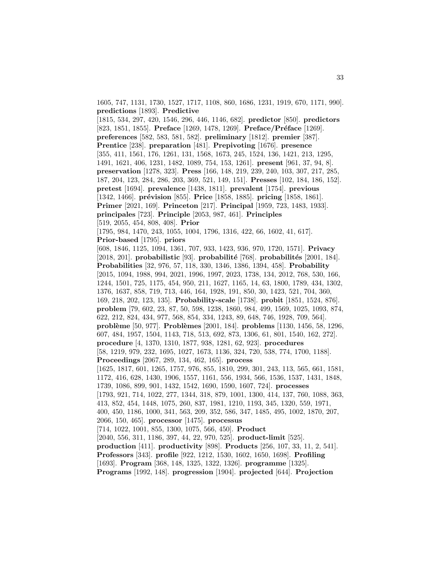1605, 747, 1131, 1730, 1527, 1717, 1108, 860, 1686, 1231, 1919, 670, 1171, 990]. **predictions** [1893]. **Predictive**

[1815, 534, 297, 420, 1546, 296, 446, 1146, 682]. **predictor** [850]. **predictors** [823, 1851, 1855]. **Preface** [1269, 1478, 1269]. **Preface** / **Préface** [1269]. **preferences** [582, 583, 581, 582]. **preliminary** [1812]. **premier** [387]. **Prentice** [238]. **preparation** [481]. **Prepivoting** [1676]. **presence** [355, 411, 1561, 176, 1261, 131, 1568, 1673, 245, 1524, 136, 1421, 213, 1295, 1491, 1621, 406, 1231, 1482, 1089, 754, 153, 1261]. **present** [961, 37, 94, 8]. **preservation** [1278, 323]. **Press** [166, 148, 219, 239, 240, 103, 307, 217, 285, 187, 204, 123, 284, 286, 203, 369, 521, 149, 151]. **Presses** [102, 184, 186, 152]. **pretest** [1694]. **prevalence** [1438, 1811]. **prevalent** [1754]. **previous** [1342, 1466]. **prévision** [855]. **Price** [1858, 1885]. **pricing** [1858, 1861]. **Primer** [2021, 169]. **Princeton** [217]. **Principal** [1959, 723, 1483, 1933]. **principales** [723]. **Principle** [2053, 987, 461]. **Principles** [519, 2055, 454, 808, 408]. **Prior** [1795, 984, 1470, 243, 1055, 1004, 1796, 1316, 422, 66, 1602, 41, 617]. **Prior-based** [1795]. **priors** [608, 1846, 1125, 1094, 1361, 707, 933, 1423, 936, 970, 1720, 1571]. **Privacy** [2018, 201]. **probabilistic** [93]. **probabilité** [768]. **probabilités** [2001, 184]. **Probabilities** [32, 976, 57, 118, 330, 1346, 1386, 1394, 458]. **Probability** [2015, 1094, 1988, 994, 2021, 1996, 1997, 2023, 1738, 134, 2012, 768, 530, 166, 1244, 1501, 725, 1175, 454, 950, 211, 1627, 1165, 14, 63, 1800, 1789, 434, 1302, 1376, 1637, 858, 719, 713, 446, 164, 1928, 191, 850, 30, 1423, 521, 704, 360, 169, 218, 202, 123, 135]. **Probability-scale** [1738]. **probit** [1851, 1524, 876]. **problem** [79, 602, 23, 87, 50, 598, 1238, 1860, 984, 499, 1569, 1025, 1093, 874, 622, 212, 824, 434, 977, 568, 854, 334, 1243, 89, 648, 746, 1928, 709, 564]. **probl`eme** [50, 977]. **Probl`emes** [2001, 184]. **problems** [1130, 1456, 58, 1296, 607, 484, 1957, 1504, 1143, 718, 513, 692, 873, 1306, 61, 801, 1540, 162, 272]. **procedure** [4, 1370, 1310, 1877, 938, 1281, 62, 923]. **procedures** [58, 1219, 979, 232, 1695, 1027, 1673, 1136, 324, 720, 538, 774, 1700, 1188]. **Proceedings** [2067, 289, 134, 462, 165]. **process** [1625, 1817, 601, 1265, 1757, 976, 855, 1810, 299, 301, 243, 113, 565, 661, 1581, 1172, 416, 628, 1430, 1906, 1557, 1161, 556, 1934, 566, 1536, 1537, 1431, 1848, 1739, 1086, 899, 901, 1432, 1542, 1690, 1590, 1607, 724]. **processes** [1793, 921, 714, 1022, 277, 1344, 318, 879, 1001, 1300, 414, 137, 760, 1088, 363, 413, 852, 454, 1448, 1075, 260, 837, 1981, 1210, 1193, 345, 1320, 559, 1971, 400, 450, 1186, 1000, 341, 563, 209, 352, 586, 347, 1485, 495, 1002, 1870, 207, 2066, 150, 465]. **processor** [1475]. **processus** [714, 1022, 1001, 855, 1300, 1075, 566, 450]. **Product** [2040, 556, 311, 1186, 397, 44, 22, 970, 525]. **product-limit** [525]. **production** [411]. **productivity** [898]. **Products** [256, 107, 33, 11, 2, 541]. **Professors** [343]. **profile** [922, 1212, 1530, 1602, 1650, 1698]. **Profiling** [1693]. **Program** [368, 148, 1325, 1322, 1326]. **programme** [1325].

**Programs** [1992, 148]. **progression** [1904]. **projected** [644]. **Projection**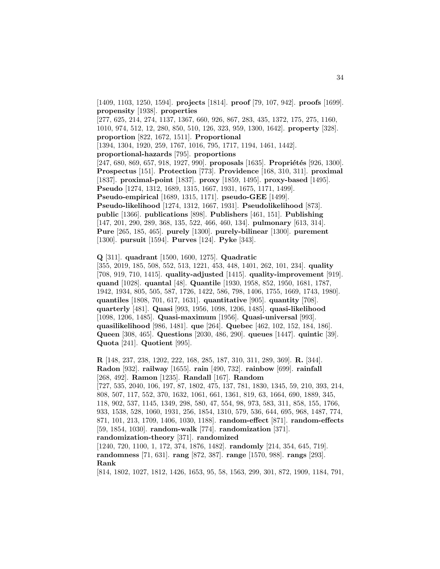[1409, 1103, 1250, 1594]. **projects** [1814]. **proof** [79, 107, 942]. **proofs** [1699]. **propensity** [1938]. **properties**

[277, 625, 214, 274, 1137, 1367, 660, 926, 867, 283, 435, 1372, 175, 275, 1160, 1010, 974, 512, 12, 280, 850, 510, 126, 323, 959, 1300, 1642]. **property** [328]. **proportion** [822, 1672, 1511]. **Proportional**

[1394, 1304, 1920, 259, 1767, 1016, 795, 1717, 1194, 1461, 1442].

**proportional-hazards** [795]. **proportions**

[247, 680, 869, 657, 918, 1927, 990]. **proposals** [1635]. **Propriétés** [926, 1300]. **Prospectus** [151]. **Protection** [773]. **Providence** [168, 310, 311]. **proximal** [1837]. **proximal-point** [1837]. **proxy** [1859, 1495]. **proxy-based** [1495]. **Pseudo** [1274, 1312, 1689, 1315, 1667, 1931, 1675, 1171, 1499]. **Pseudo-empirical** [1689, 1315, 1171]. **pseudo-GEE** [1499]. **Pseudo-likelihood** [1274, 1312, 1667, 1931]. **Pseudolikelihood** [873]. **public** [1366]. **publications** [898]. **Publishers** [461, 151]. **Publishing** [147, 201, 290, 289, 368, 135, 522, 466, 460, 134]. **pulmonary** [613, 314]. **Pure** [265, 185, 465]. **purely** [1300]. **purely-bilinear** [1300]. **purement** [1300]. **pursuit** [1594]. **Purves** [124]. **Pyke** [343].

**Q** [311]. **quadrant** [1500, 1600, 1275]. **Quadratic**

[355, 2019, 185, 508, 552, 513, 1221, 453, 448, 1401, 262, 101, 234]. **quality** [708, 919, 710, 1415]. **quality-adjusted** [1415]. **quality-improvement** [919]. **quand** [1028]. **quantal** [48]. **Quantile** [1930, 1958, 852, 1950, 1681, 1787, 1942, 1934, 805, 505, 587, 1726, 1422, 586, 798, 1406, 1755, 1669, 1743, 1980]. **quantiles** [1808, 701, 617, 1631]. **quantitative** [905]. **quantity** [708]. **quarterly** [481]. **Quasi** [993, 1956, 1098, 1206, 1485]. **quasi-likelihood** [1098, 1206, 1485]. **Quasi-maximum** [1956]. **Quasi-universal** [993]. **quasilikelihood** [986, 1481]. **que** [264]. **Quebec** [462, 102, 152, 184, 186]. **Queen** [308, 465]. **Questions** [2030, 486, 290]. **queues** [1447]. **quintic** [39]. **Quota** [241]. **Quotient** [995].

**R** [148, 237, 238, 1202, 222, 168, 285, 187, 310, 311, 289, 369]. **R.** [344]. **Radon** [932]. **railway** [1655]. **rain** [490, 732]. **rainbow** [699]. **rainfall** [268, 492]. **Ramon** [1235]. **Randall** [167]. **Random** [727, 535, 2040, 106, 197, 87, 1802, 475, 137, 781, 1830, 1345, 59, 210, 393, 214, 808, 507, 117, 552, 370, 1632, 1061, 661, 1361, 819, 63, 1664, 690, 1889, 345,

118, 902, 537, 1145, 1349, 298, 580, 47, 554, 98, 973, 583, 311, 858, 155, 1766, 933, 1538, 528, 1060, 1931, 256, 1854, 1310, 579, 536, 644, 695, 968, 1487, 774, 871, 101, 213, 1709, 1406, 1030, 1188]. **random-effect** [871]. **random-effects** [59, 1854, 1030]. **random-walk** [774]. **randomization** [371]. **randomization-theory** [371]. **randomized**

[1240, 720, 1100, 1, 172, 374, 1876, 1482]. **randomly** [214, 354, 645, 719]. **randomness** [71, 631]. **rang** [872, 387]. **range** [1570, 988]. **rangs** [293]. **Rank**

[814, 1802, 1027, 1812, 1426, 1653, 95, 58, 1563, 299, 301, 872, 1909, 1184, 791,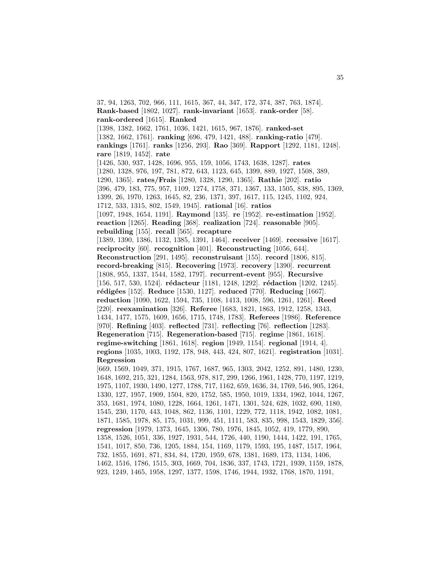37, 94, 1263, 702, 966, 111, 1615, 367, 44, 347, 172, 374, 387, 763, 1874]. **Rank-based** [1802, 1027]. **rank-invariant** [1653]. **rank-order** [58]. **rank-ordered** [1615]. **Ranked** [1398, 1382, 1662, 1761, 1036, 1421, 1615, 967, 1876]. **ranked-set** [1382, 1662, 1761]. **ranking** [696, 479, 1421, 488]. **ranking-ratio** [479]. **rankings** [1761]. **ranks** [1256, 293]. **Rao** [369]. **Rapport** [1292, 1181, 1248]. **rare** [1819, 1452]. **rate** [1426, 530, 937, 1428, 1696, 955, 159, 1056, 1743, 1638, 1287]. **rates** [1280, 1328, 976, 197, 781, 872, 643, 1123, 645, 1399, 889, 1927, 1508, 389, 1290, 1365]. **rates/Frais** [1280, 1328, 1290, 1365]. **Rathie** [202]. **ratio** [396, 479, 183, 775, 957, 1109, 1274, 1758, 371, 1367, 133, 1505, 838, 895, 1369, 1399, 26, 1970, 1263, 1645, 82, 236, 1371, 397, 1617, 115, 1245, 1102, 924, 1712, 533, 1315, 802, 1549, 1945]. **rational** [16]. **ratios** [1097, 1948, 1654, 1191]. **Raymond** [135]. **re** [1952]. **re-estimation** [1952]. **reaction** [1265]. **Reading** [368]. **realization** [724]. **reasonable** [905]. **rebuilding** [155]. **recall** [565]. **recapture** [1389, 1390, 1386, 1132, 1385, 1391, 1464]. **receiver** [1469]. **recessive** [1617]. **reciprocity** [60]. **recognition** [401]. **Reconstructing** [1056, 644]. **Reconstruction** [291, 1495]. **reconstruisant** [155]. **record** [1806, 815]. **record-breaking** [815]. **Recovering** [1973]. **recovery** [1390]. **recurrent** [1808, 955, 1337, 1544, 1582, 1797]. **recurrent-event** [955]. **Recursive** [156, 517, 530, 1524]. **rédacteur** [1181, 1248, 1292]. **rédaction** [1202, 1245]. **r´edig´ees** [152]. **Reduce** [1530, 1127]. **reduced** [770]. **Reducing** [1667]. **reduction** [1090, 1622, 1594, 735, 1108, 1413, 1008, 596, 1261, 1261]. **Reed** [220]. **reexamination** [326]. **Referee** [1683, 1821, 1863, 1912, 1258, 1343, 1434, 1477, 1575, 1609, 1656, 1715, 1748, 1783]. **Referees** [1986]. **Reference** [970]. **Refining** [403]. **reflected** [731]. **reflecting** [76]. **reflection** [1283]. **Regeneration** [715]. **Regeneration-based** [715]. **regime** [1861, 1618]. **regime-switching** [1861, 1618]. **region** [1949, 1154]. **regional** [1914, 4]. **regions** [1035, 1003, 1192, 178, 948, 443, 424, 807, 1621]. **registration** [1031]. **Regression** [669, 1569, 1049, 371, 1915, 1767, 1687, 965, 1303, 2042, 1252, 891, 1480, 1230, 1648, 1692, 215, 321, 1284, 1563, 978, 817, 299, 1266, 1961, 1428, 770, 1197, 1219, 1975, 1107, 1930, 1490, 1277, 1788, 717, 1162, 659, 1636, 34, 1769, 546, 905, 1264, 1330, 127, 1957, 1909, 1504, 820, 1752, 585, 1950, 1019, 1334, 1962, 1044, 1267, 353, 1681, 1974, 1080, 1228, 1664, 1261, 1471, 1301, 524, 628, 1032, 690, 1180, 1545, 230, 1170, 443, 1048, 862, 1136, 1101, 1229, 772, 1118, 1942, 1082, 1081, 1871, 1585, 1978, 85, 175, 1031, 999, 451, 1111, 583, 835, 998, 1543, 1829, 356]. **regression** [1979, 1373, 1645, 1306, 780, 1976, 1845, 1052, 419, 1779, 890, 1358, 1526, 1051, 336, 1927, 1931, 544, 1726, 440, 1190, 1444, 1422, 191, 1765, 1541, 1017, 850, 736, 1205, 1884, 154, 1169, 1179, 1593, 195, 1487, 1517, 1964, 732, 1855, 1691, 871, 834, 84, 1720, 1959, 678, 1381, 1689, 173, 1134, 1406,

1462, 1516, 1786, 1515, 303, 1669, 704, 1836, 337, 1743, 1721, 1939, 1159, 1878, 923, 1249, 1465, 1958, 1297, 1377, 1598, 1746, 1944, 1932, 1768, 1870, 1191,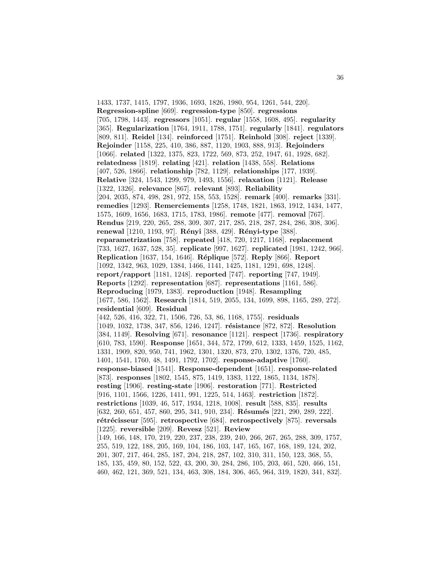1433, 1737, 1415, 1797, 1936, 1693, 1826, 1980, 954, 1261, 544, 220]. **Regression-spline** [669]. **regression-type** [850]. **regressions** [705, 1798, 1443]. **regressors** [1051]. **regular** [1558, 1608, 495]. **regularity** [365]. **Regularization** [1764, 1911, 1788, 1751]. **regularly** [1841]. **regulators** [809, 811]. **Reidel** [134]. **reinforced** [1751]. **Reinhold** [308]. **reject** [1339]. **Rejoinder** [1158, 225, 410, 386, 887, 1120, 1903, 888, 913]. **Rejoinders** [1066]. **related** [1322, 1375, 823, 1722, 569, 873, 252, 1947, 61, 1928, 682]. **relatedness** [1819]. **relating** [421]. **relation** [1438, 558]. **Relations** [407, 526, 1866]. **relationship** [782, 1129]. **relationships** [177, 1939]. **Relative** [324, 1543, 1299, 979, 1493, 1556]. **relaxation** [1121]. **Release** [1322, 1326]. **relevance** [867]. **relevant** [893]. **Reliability** [204, 2035, 874, 498, 281, 972, 158, 553, 1528]. **remark** [400]. **remarks** [331]. **remedies** [1293]. **Remerciements** [1258, 1748, 1821, 1863, 1912, 1434, 1477, 1575, 1609, 1656, 1683, 1715, 1783, 1986]. **remote** [477]. **removal** [767]. **Rendus** [219, 220, 265, 288, 309, 307, 217, 285, 218, 287, 284, 286, 308, 306]. **renewal** [1210, 1193, 97]. **R´enyi** [388, 429]. **R´enyi-type** [388]. **reparametrization** [758]. **repeated** [418, 720, 1217, 1168]. **replacement** [733, 1627, 1637, 528, 35]. **replicate** [997, 1627]. **replicated** [1981, 1242, 966]. **Replication** [1637, 154, 1646]. **R´eplique** [572]. **Reply** [866]. **Report** [1092, 1342, 963, 1029, 1384, 1466, 1141, 1425, 1181, 1291, 698, 1248]. **report/rapport** [1181, 1248]. **reported** [747]. **reporting** [747, 1949]. **Reports** [1292]. **representation** [687]. **representations** [1161, 586]. **Reproducing** [1979, 1383]. **reproduction** [1948]. **Resampling** [1677, 586, 1562]. **Research** [1814, 519, 2055, 134, 1699, 898, 1165, 289, 272]. **residential** [609]. **Residual** [442, 526, 416, 322, 71, 1506, 726, 53, 86, 1168, 1755]. **residuals** [1049, 1032, 1738, 347, 856, 1246, 1247]. **r´esistance** [872, 872]. **Resolution** [384, 1149]. **Resolving** [671]. **resonance** [1121]. **respect** [1736]. **respiratory** [610, 783, 1590]. **Response** [1651, 344, 572, 1799, 612, 1333, 1459, 1525, 1162, 1331, 1909, 820, 950, 741, 1962, 1301, 1320, 873, 270, 1302, 1376, 720, 485, 1401, 1541, 1760, 48, 1491, 1792, 1702]. **response-adaptive** [1760]. **response-biased** [1541]. **Response-dependent** [1651]. **response-related** [873]. **responses** [1802, 1545, 875, 1419, 1383, 1122, 1865, 1134, 1878]. **resting** [1906]. **resting-state** [1906]. **restoration** [771]. **Restricted** [916, 1101, 1566, 1226, 1411, 991, 1225, 514, 1463]. **restriction** [1872]. **restrictions** [1039, 46, 517, 1934, 1218, 1008]. **result** [588, 835]. **results** [632, 260, 651, 457, 860, 295, 341, 910, 234]. **Résumés** [221, 290, 289, 222]. **r´etr´ecisseur** [595]. **retrospective** [684]. **retrospectively** [875]. **reversals** [1225]. **reversible** [209]. **Revesz** [521]. **Review** [149, 166, 148, 170, 219, 220, 237, 238, 239, 240, 266, 267, 265, 288, 309, 1757, 255, 519, 122, 188, 205, 169, 104, 186, 103, 147, 165, 167, 168, 189, 124, 202, 201, 307, 217, 464, 285, 187, 204, 218, 287, 102, 310, 311, 150, 123, 368, 55, 185, 135, 459, 80, 152, 522, 43, 200, 30, 284, 286, 105, 203, 461, 520, 466, 151, 460, 462, 121, 369, 521, 134, 463, 308, 184, 306, 465, 964, 319, 1820, 341, 832].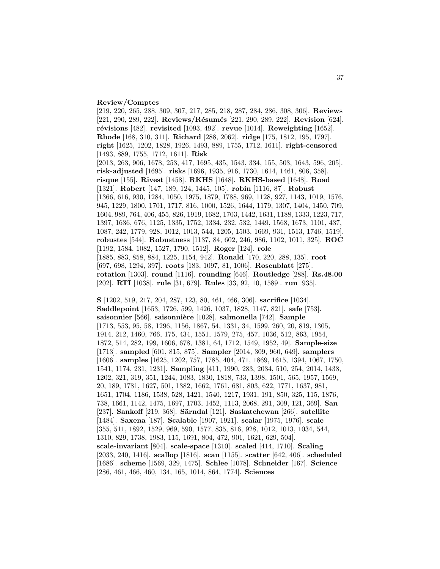#### **Review/Comptes**

[219, 220, 265, 288, 309, 307, 217, 285, 218, 287, 284, 286, 308, 306]. **Reviews** [221, 290, 289, 222]. **Reviews/R´esum´es** [221, 290, 289, 222]. **Revision** [624]. **r´evisions** [482]. **revisited** [1093, 492]. **revue** [1014]. **Reweighting** [1652]. **Rhode** [168, 310, 311]. **Richard** [288, 2062]. **ridge** [175, 1812, 195, 1797]. **right** [1625, 1202, 1828, 1926, 1493, 889, 1755, 1712, 1611]. **right-censored** [1493, 889, 1755, 1712, 1611]. **Risk** [2013, 263, 906, 1678, 253, 417, 1695, 435, 1543, 334, 155, 503, 1643, 596, 205]. **risk-adjusted** [1695]. **risks** [1696, 1935, 916, 1730, 1614, 1461, 806, 358]. **risque** [155]. **Rivest** [1458]. **RKHS** [1648]. **RKHS-based** [1648]. **Road** [1321]. **Robert** [147, 189, 124, 1445, 105]. **robin** [1116, 87]. **Robust** [1366, 616, 930, 1284, 1050, 1975, 1879, 1788, 969, 1128, 927, 1143, 1019, 1576, 945, 1229, 1800, 1701, 1717, 816, 1000, 1526, 1644, 1179, 1307, 1404, 1450, 709, 1604, 989, 764, 406, 455, 826, 1919, 1682, 1703, 1442, 1631, 1188, 1333, 1223, 717, 1397, 1636, 676, 1125, 1335, 1752, 1334, 232, 532, 1449, 1568, 1673, 1101, 437, 1087, 242, 1779, 928, 1012, 1013, 544, 1205, 1503, 1669, 931, 1513, 1746, 1519]. **robustes** [544]. **Robustness** [1137, 84, 602, 246, 986, 1102, 1011, 325]. **ROC** [1192, 1584, 1082, 1527, 1790, 1512]. **Roger** [124]. **role** [1885, 883, 858, 884, 1225, 1154, 942]. **Ronald** [170, 220, 288, 135]. **root** [697, 698, 1294, 397]. **roots** [183, 1097, 81, 1006]. **Rosenblatt** [275]. **rotation** [1303]. **round** [1116]. **rounding** [646]. **Routledge** [288]. **Rs.48.00** [202]. **RTI** [1038]. **rule** [31, 679]. **Rules** [33, 92, 10, 1589]. **run** [935].

**S** [1202, 519, 217, 204, 287, 123, 80, 461, 466, 306]. **sacrifice** [1034]. **Saddlepoint** [1653, 1726, 599, 1426, 1037, 1828, 1147, 821]. **safe** [753]. saisonnier<sup>[566]</sup>. saisonnière<sup>[1028]</sup>. salmonella<sup>[742]</sup>. Sample [1713, 553, 95, 58, 1296, 1156, 1867, 54, 1331, 34, 1599, 260, 20, 819, 1305, 1914, 212, 1460, 766, 175, 434, 1551, 1579, 275, 457, 1036, 512, 863, 1954, 1872, 514, 282, 199, 1606, 678, 1381, 64, 1712, 1549, 1952, 49]. **Sample-size** [1713]. **sampled** [601, 815, 875]. **Sampler** [2014, 309, 960, 649]. **samplers** [1606]. **samples** [1625, 1202, 757, 1785, 404, 471, 1869, 1615, 1394, 1067, 1750, 1541, 1174, 231, 1231]. **Sampling** [411, 1990, 283, 2034, 510, 254, 2014, 1438, 1202, 321, 319, 351, 1244, 1083, 1830, 1818, 733, 1398, 1501, 565, 1957, 1569, 20, 189, 1781, 1627, 501, 1382, 1662, 1761, 681, 803, 622, 1771, 1637, 981, 1651, 1704, 1186, 1538, 528, 1421, 1540, 1217, 1931, 191, 850, 325, 115, 1876, 738, 1661, 1142, 1475, 1697, 1703, 1452, 1113, 2068, 291, 309, 121, 369]. **San** [237]. **Sankoff** [219, 368]. **Särndal** [121]. **Saskatchewan** [266]. **satellite** [1484]. **Saxena** [187]. **Scalable** [1907, 1921]. **scalar** [1975, 1976]. **scale** [355, 511, 1892, 1529, 969, 590, 1577, 835, 816, 928, 1012, 1013, 1034, 544, 1310, 829, 1738, 1983, 115, 1691, 804, 472, 901, 1621, 629, 504]. **scale-invariant** [804]. **scale-space** [1310]. **scaled** [414, 1710]. **Scaling** [2033, 240, 1416]. **scallop** [1816]. **scan** [1155]. **scatter** [642, 406]. **scheduled** [1686]. **scheme** [1569, 329, 1475]. **Schlee** [1078]. **Schneider** [167]. **Science** [286, 461, 466, 460, 134, 165, 1014, 864, 1774]. **Sciences**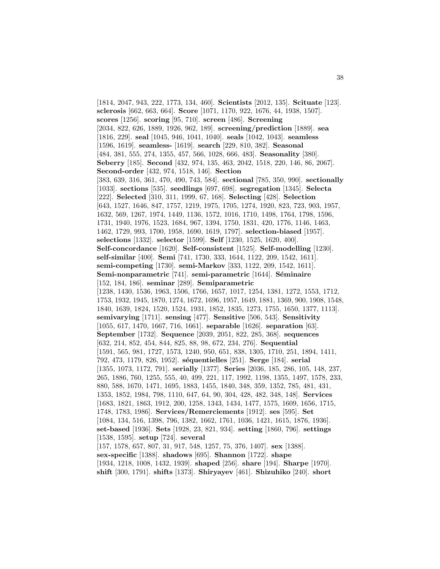[1814, 2047, 943, 222, 1773, 134, 460]. **Scientists** [2012, 135]. **Scituate** [123]. **sclerosis** [662, 663, 664]. **Score** [1071, 1170, 922, 1676, 44, 1938, 1507]. **scores** [1256]. **scoring** [95, 710]. **screen** [486]. **Screening** [2034, 822, 626, 1889, 1926, 962, 189]. **screening/prediction** [1889]. **sea** [1816, 229]. **seal** [1045, 946, 1041, 1040]. **seals** [1042, 1043]. **seamless** [1596, 1619]. **seamless-** [1619]. **search** [229, 810, 382]. **Seasonal** [484, 381, 555, 274, 1355, 457, 566, 1028, 666, 483]. **Seasonality** [380]. **Seberry** [185]. **Second** [432, 974, 135, 463, 2042, 1518, 220, 146, 86, 2067]. **Second-order** [432, 974, 1518, 146]. **Section** [383, 639, 316, 361, 470, 490, 743, 584]. **sectional** [785, 350, 990]. **sectionally** [1033]. **sections** [535]. **seedlings** [697, 698]. **segregation** [1345]. **Selecta** [222]. **Selected** [310, 311, 1999, 67, 168]. **Selecting** [428]. **Selection** [643, 1527, 1646, 847, 1757, 1219, 1975, 1705, 1274, 1920, 823, 723, 903, 1957, 1632, 569, 1267, 1974, 1449, 1136, 1572, 1016, 1710, 1498, 1764, 1798, 1596, 1731, 1940, 1976, 1523, 1684, 967, 1394, 1750, 1831, 420, 1776, 1146, 1463, 1462, 1729, 993, 1700, 1958, 1690, 1619, 1797]. **selection-biased** [1957]. **selections** [1332]. **selector** [1599]. **Self** [1230, 1525, 1620, 400]. **Self-concordance** [1620]. **Self-consistent** [1525]. **Self-modelling** [1230]. **self-similar** [400]. **Semi** [741, 1730, 333, 1644, 1122, 209, 1542, 1611]. **semi-competing** [1730]. **semi-Markov** [333, 1122, 209, 1542, 1611]. **Semi-nonparametric** [741]. **semi-parametric** [1644]. **Séminaire** [152, 184, 186]. **seminar** [289]. **Semiparametric** [1238, 1430, 1536, 1963, 1506, 1766, 1657, 1017, 1254, 1381, 1272, 1553, 1712, 1753, 1932, 1945, 1870, 1274, 1672, 1696, 1957, 1649, 1881, 1369, 900, 1908, 1548, 1840, 1639, 1824, 1520, 1524, 1931, 1852, 1835, 1273, 1755, 1650, 1377, 1113]. **semivarying** [1711]. **sensing** [477]. **Sensitive** [506, 543]. **Sensitivity** [1055, 617, 1470, 1667, 716, 1661]. **separable** [1626]. **separation** [63]. **September** [1732]. **Sequence** [2039, 2051, 822, 285, 368]. **sequences** [632, 214, 852, 454, 844, 825, 88, 98, 672, 234, 276]. **Sequential** [1591, 565, 981, 1727, 1573, 1240, 950, 651, 838, 1305, 1710, 251, 1894, 1411, 792, 473, 1179, 826, 1952]. **s´equentielles** [251]. **Serge** [184]. **serial** [1355, 1073, 1172, 791]. **serially** [1377]. **Series** [2036, 185, 286, 105, 148, 237, 265, 1886, 760, 1255, 555, 40, 499, 221, 117, 1992, 1198, 1355, 1497, 1578, 233, 880, 588, 1670, 1471, 1695, 1883, 1455, 1840, 348, 359, 1352, 785, 481, 431, 1353, 1852, 1984, 798, 1110, 647, 64, 90, 304, 428, 482, 348, 148]. **Services** [1683, 1821, 1863, 1912, 200, 1258, 1343, 1434, 1477, 1575, 1609, 1656, 1715, 1748, 1783, 1986]. **Services/Remerciements** [1912]. **ses** [595]. **Set** [1084, 134, 516, 1398, 796, 1382, 1662, 1761, 1036, 1421, 1615, 1876, 1936]. **set-based** [1936]. **Sets** [1928, 23, 821, 934]. **setting** [1860, 796]. **settings** [1538, 1595]. **setup** [724]. **several** [157, 1578, 657, 807, 31, 917, 548, 1257, 75, 376, 1407]. **sex** [1388]. **sex-specific** [1388]. **shadows** [695]. **Shannon** [1722]. **shape** [1934, 1218, 1008, 1432, 1939]. **shaped** [256]. **share** [194]. **Sharpe** [1970]. **shift** [300, 1791]. **shifts** [1373]. **Shiryayev** [461]. **Shizuhiko** [240]. **short**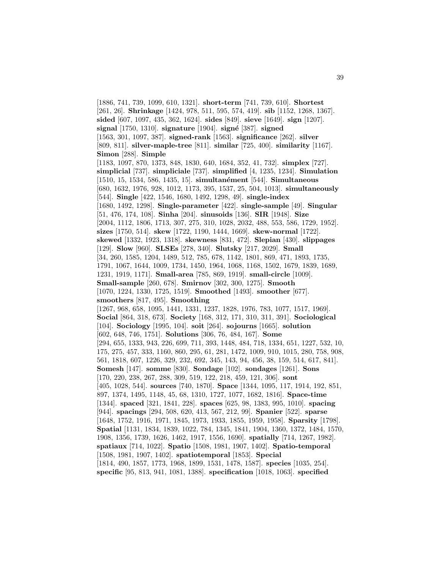[1886, 741, 739, 1099, 610, 1321]. **short-term** [741, 739, 610]. **Shortest** [261, 26]. **Shrinkage** [1424, 978, 511, 595, 574, 419]. **sib** [1152, 1268, 1367]. **sided** [607, 1097, 435, 362, 1624]. **sides** [849]. **sieve** [1649]. **sign** [1207]. **signal** [1750, 1310]. **signature** [1904]. **sign´e** [387]. **signed** [1563, 301, 1097, 387]. **signed-rank** [1563]. **significance** [262]. **silver** [809, 811]. **silver-maple-tree** [811]. **similar** [725, 400]. **similarity** [1167]. **Simon** [288]. **Simple** [1183, 1097, 870, 1373, 848, 1830, 640, 1684, 352, 41, 732]. **simplex** [727]. **simplicial** [737]. **simpliciale** [737]. **simplified** [4, 1235, 1234]. **Simulation** [1510, 15, 1534, 586, 1435, 15]. **simultan´ement** [544]. **Simultaneous** [680, 1632, 1976, 928, 1012, 1173, 395, 1537, 25, 504, 1013]. **simultaneously** [544]. **Single** [422, 1546, 1680, 1492, 1298, 49]. **single-index** [1680, 1492, 1298]. **Single-parameter** [422]. **single-sample** [49]. **Singular** [51, 476, 174, 108]. **Sinha** [204]. **sinusoids** [136]. **SIR** [1948]. **Size** [2004, 1112, 1806, 1713, 307, 275, 310, 1028, 2032, 488, 553, 586, 1729, 1952]. **sizes** [1750, 514]. **skew** [1722, 1190, 1444, 1669]. **skew-normal** [1722]. **skewed** [1332, 1923, 1318]. **skewness** [831, 472]. **Slepian** [430]. **slippages** [129]. **Slow** [960]. **SLSEs** [278, 340]. **Slutsky** [217, 2029]. **Small** [34, 260, 1585, 1204, 1489, 512, 785, 678, 1142, 1801, 869, 471, 1893, 1735, 1791, 1067, 1644, 1009, 1734, 1450, 1964, 1068, 1168, 1502, 1679, 1839, 1689, 1231, 1919, 1171]. **Small-area** [785, 869, 1919]. **small-circle** [1009]. **Small-sample** [260, 678]. **Smirnov** [302, 300, 1275]. **Smooth** [1070, 1224, 1330, 1725, 1519]. **Smoothed** [1493]. **smoother** [677]. **smoothers** [817, 495]. **Smoothing** [1267, 968, 658, 1095, 1441, 1331, 1237, 1828, 1976, 783, 1077, 1517, 1969]. **Social** [864, 318, 673]. **Society** [168, 312, 171, 310, 311, 391]. **Sociological** [104]. **Sociology** [1995, 104]. **soit** [264]. **sojourns** [1665]. **solution** [602, 648, 746, 1751]. **Solutions** [306, 76, 484, 167]. **Some** [294, 655, 1333, 943, 226, 699, 711, 393, 1448, 484, 718, 1334, 651, 1227, 532, 10, 175, 275, 457, 333, 1160, 860, 295, 61, 281, 1472, 1009, 910, 1015, 280, 758, 908, 561, 1818, 607, 1226, 329, 232, 692, 345, 143, 94, 456, 38, 159, 514, 617, 841]. **Somesh** [147]. **somme** [830]. **Sondage** [102]. **sondages** [1261]. **Sons** [170, 220, 238, 267, 288, 309, 519, 122, 218, 459, 121, 306]. **sont** [405, 1028, 544]. **sources** [740, 1870]. **Space** [1344, 1095, 117, 1914, 192, 851, 897, 1374, 1495, 1148, 45, 68, 1310, 1727, 1077, 1682, 1816]. **Space-time** [1344]. **spaced** [321, 1841, 228]. **spaces** [625, 98, 1383, 995, 1010]. **spacing** [944]. **spacings** [294, 508, 620, 413, 567, 212, 99]. **Spanier** [522]. **sparse** [1648, 1752, 1916, 1971, 1845, 1973, 1933, 1855, 1959, 1958]. **Sparsity** [1798]. **Spatial** [1131, 1834, 1839, 1022, 784, 1345, 1841, 1904, 1360, 1372, 1484, 1570, 1908, 1356, 1739, 1626, 1462, 1917, 1556, 1690]. **spatially** [714, 1267, 1982]. **spatiaux** [714, 1022]. **Spatio** [1508, 1981, 1907, 1402]. **Spatio-temporal** [1508, 1981, 1907, 1402]. **spatiotemporal** [1853]. **Special** [1814, 490, 1857, 1773, 1968, 1899, 1531, 1478, 1587]. **species** [1035, 254]. **specific** [95, 813, 941, 1081, 1388]. **specification** [1018, 1063]. **specified**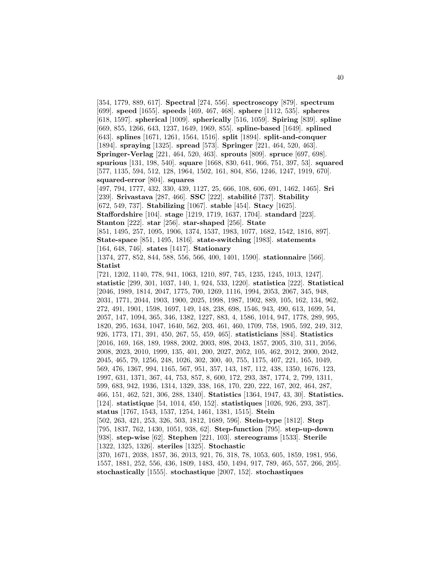[354, 1779, 889, 617]. **Spectral** [274, 556]. **spectroscopy** [879]. **spectrum** [699]. **speed** [1655]. **speeds** [469, 467, 468]. **sphere** [1112, 535]. **spheres** [618, 1597]. **spherical** [1009]. **spherically** [516, 1059]. **Spiring** [839]. **spline** [669, 855, 1266, 643, 1237, 1649, 1969, 855]. **spline-based** [1649]. **splined** [643]. **splines** [1671, 1261, 1564, 1516]. **split** [1894]. **split-and-conquer** [1894]. **spraying** [1325]. **spread** [573]. **Springer** [221, 464, 520, 463]. **Springer-Verlag** [221, 464, 520, 463]. **sprouts** [809]. **spruce** [697, 698]. **spurious** [131, 198, 540]. **square** [1668, 830, 641, 966, 751, 397, 53]. **squared** [577, 1135, 594, 512, 128, 1964, 1502, 161, 804, 856, 1246, 1247, 1919, 670]. **squared-error** [804]. **squares** [497, 794, 1777, 432, 330, 439, 1127, 25, 666, 108, 606, 691, 1462, 1465]. **Sri** [239]. **Srivastava** [287, 466]. **SSC** [222]. **stabilit´e** [737]. **Stability** [672, 549, 737]. **Stabilizing** [1067]. **stable** [454]. **Stacy** [1625]. **Staffordshire** [104]. **stage** [1219, 1719, 1637, 1704]. **standard** [223]. **Stanton** [222]. **star** [256]. **star-shaped** [256]. **State** [851, 1495, 257, 1095, 1906, 1374, 1537, 1983, 1077, 1682, 1542, 1816, 897]. **State-space** [851, 1495, 1816]. **state-switching** [1983]. **statements** [164, 648, 746]. **states** [1417]. **Stationary** [1374, 277, 852, 844, 588, 556, 566, 400, 1401, 1590]. **stationnaire** [566]. **Statist** [721, 1202, 1140, 778, 941, 1063, 1210, 897, 745, 1235, 1245, 1013, 1247]. **statistic** [299, 301, 1037, 140, 1, 924, 533, 1220]. **statistica** [222]. **Statistical** [2046, 1989, 1814, 2047, 1775, 700, 1269, 1116, 1994, 2053, 2067, 345, 948, 2031, 1771, 2044, 1903, 1900, 2025, 1998, 1987, 1902, 889, 105, 162, 134, 962, 272, 491, 1901, 1598, 1697, 149, 148, 238, 698, 1546, 943, 490, 613, 1699, 54, 2057, 147, 1094, 365, 346, 1382, 1227, 883, 4, 1586, 1014, 947, 1778, 289, 995, 1820, 295, 1634, 1047, 1640, 562, 203, 461, 460, 1709, 758, 1905, 592, 249, 312, 926, 1773, 171, 391, 450, 267, 55, 459, 465]. **statisticians** [884]. **Statistics** [2016, 169, 168, 189, 1988, 2002, 2003, 898, 2043, 1857, 2005, 310, 311, 2056, 2008, 2023, 2010, 1999, 135, 401, 200, 2027, 2052, 105, 462, 2012, 2000, 2042, 2045, 465, 79, 1256, 248, 1026, 302, 300, 40, 755, 1175, 407, 221, 165, 1049, 569, 476, 1367, 994, 1165, 567, 951, 357, 143, 187, 112, 438, 1350, 1676, 123, 1997, 631, 1371, 367, 44, 753, 857, 8, 600, 172, 293, 387, 1774, 2, 799, 1311, 599, 683, 942, 1936, 1314, 1329, 338, 168, 170, 220, 222, 167, 202, 464, 287, 466, 151, 462, 521, 306, 288, 1340]. **Statistics** [1364, 1947, 43, 30]. **Statistics.** [124]. **statistique** [54, 1014, 450, 152]. **statistiques** [1026, 926, 293, 387]. **status** [1767, 1543, 1537, 1254, 1461, 1381, 1515]. **Stein** [502, 263, 421, 253, 326, 503, 1812, 1689, 596]. **Stein-type** [1812]. **Step** [795, 1837, 762, 1430, 1051, 938, 62]. **Step-function** [795]. **step-up-down** [938]. **step-wise** [62]. **Stephen** [221, 103]. **stereograms** [1533]. **Sterile** [1322, 1325, 1326]. **steriles** [1325]. **Stochastic** [370, 1671, 2038, 1857, 36, 2013, 921, 76, 318, 78, 1053, 605, 1859, 1981, 956, 1557, 1881, 252, 556, 436, 1809, 1483, 450, 1494, 917, 789, 465, 557, 266, 205]. **stochastically** [1555]. **stochastique** [2007, 152]. **stochastiques**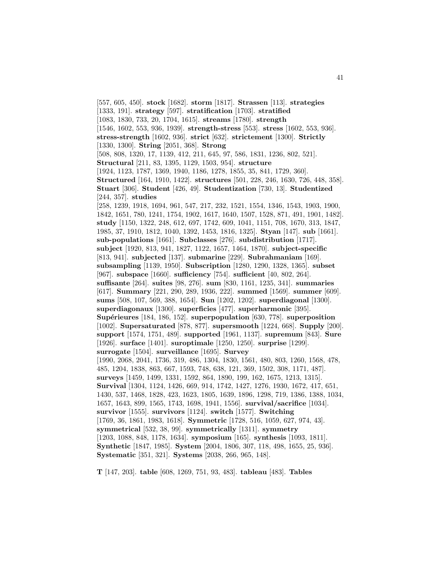[557, 605, 450]. **stock** [1682]. **storm** [1817]. **Strassen** [113]. **strategies** [1333, 191]. **strategy** [597]. **stratification** [1703]. **stratified** [1083, 1830, 733, 20, 1704, 1615]. **streams** [1780]. **strength** [1546, 1602, 553, 936, 1939]. **strength-stress** [553]. **stress** [1602, 553, 936]. **stress-strength** [1602, 936]. **strict** [632]. **strictement** [1300]. **Strictly** [1330, 1300]. **String** [2051, 368]. **Strong** [508, 808, 1320, 17, 1139, 412, 211, 645, 97, 586, 1831, 1236, 802, 521]. **Structural** [211, 83, 1395, 1129, 1503, 954]. **structure** [1924, 1123, 1787, 1369, 1940, 1186, 1278, 1855, 35, 841, 1729, 360]. **Structured** [164, 1910, 1422]. **structures** [501, 228, 246, 1630, 726, 448, 358]. **Stuart** [306]. **Student** [426, 49]. **Studentization** [730, 13]. **Studentized** [244, 357]. **studies** [258, 1239, 1918, 1694, 961, 547, 217, 232, 1521, 1554, 1346, 1543, 1903, 1900, 1842, 1651, 780, 1241, 1754, 1902, 1617, 1640, 1507, 1528, 871, 491, 1901, 1482]. **study** [1150, 1322, 248, 612, 697, 1742, 609, 1041, 1151, 708, 1670, 313, 1847, 1985, 37, 1910, 1812, 1040, 1392, 1453, 1816, 1325]. **Styan** [147]. **sub** [1661]. **sub-populations** [1661]. **Subclasses** [276]. **subdistribution** [1717]. **subject** [1920, 813, 941, 1827, 1122, 1657, 1464, 1870]. **subject-specific** [813, 941]. **subjected** [137]. **submarine** [229]. **Subrahmaniam** [169]. **subsampling** [1139, 1950]. **Subscription** [1280, 1290, 1328, 1365]. **subset** [967]. **subspace** [1660]. **sufficiency** [754]. **sufficient** [40, 802, 264]. **suffisante** [264]. **suites** [98, 276]. **sum** [830, 1161, 1235, 341]. **summaries** [617]. **Summary** [221, 290, 289, 1936, 222]. **summed** [1569]. **summer** [609]. **sums** [508, 107, 569, 388, 1654]. **Sun** [1202, 1202]. **superdiagonal** [1300]. **superdiagonaux** [1300]. **superficies** [477]. **superharmonic** [395]. **Sup´erieures** [184, 186, 152]. **superpopulation** [630, 778]. **superposition** [1002]. **Supersaturated** [878, 877]. **supersmooth** [1224, 668]. **Supply** [200]. **support** [1574, 1751, 489]. **supported** [1961, 1137]. **supremum** [843]. **Sure** [1926]. **surface** [1401]. **suroptimale** [1250, 1250]. **surprise** [1299]. **surrogate** [1504]. **surveillance** [1695]. **Survey** [1990, 2068, 2041, 1736, 319, 486, 1304, 1830, 1561, 480, 803, 1260, 1568, 478, 485, 1204, 1838, 863, 667, 1593, 748, 638, 121, 369, 1502, 308, 1171, 487]. **surveys** [1459, 1499, 1331, 1592, 864, 1890, 199, 162, 1675, 1213, 1315]. **Survival** [1304, 1124, 1426, 669, 914, 1742, 1427, 1276, 1930, 1672, 417, 651, 1430, 537, 1468, 1828, 423, 1623, 1805, 1639, 1896, 1298, 719, 1386, 1388, 1034, 1657, 1643, 899, 1565, 1743, 1698, 1941, 1556]. **survival/sacrifice** [1034]. **survivor** [1555]. **survivors** [1124]. **switch** [1577]. **Switching** [1769, 36, 1861, 1983, 1618]. **Symmetric** [1728, 516, 1059, 627, 974, 43]. **symmetrical** [532, 38, 99]. **symmetrically** [1311]. **symmetry** [1203, 1088, 848, 1178, 1634]. **symposium** [165]. **synthesis** [1093, 1811]. **Synthetic** [1847, 1985]. **System** [2004, 1806, 307, 118, 498, 1655, 25, 936]. **Systematic** [351, 321]. **Systems** [2038, 266, 965, 148].

**T** [147, 203]. **table** [608, 1269, 751, 93, 483]. **tableau** [483]. **Tables**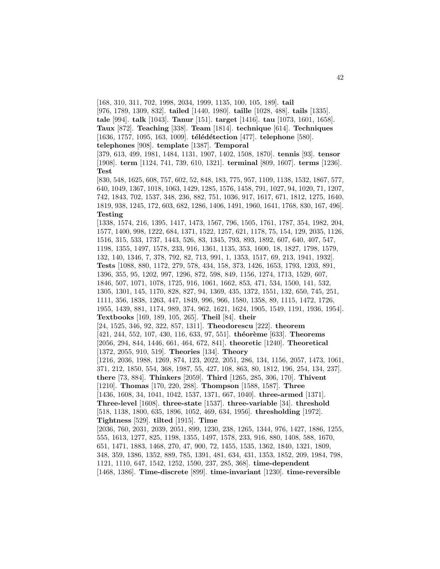[168, 310, 311, 702, 1998, 2034, 1999, 1135, 100, 105, 189]. **tail**

[976, 1789, 1309, 832]. **tailed** [1440, 1980]. **taille** [1028, 488]. **tails** [1335]. **tale** [994]. **talk** [1043]. **Tanur** [151]. **target** [1416]. **tau** [1073, 1601, 1658]. **Taux** [872]. **Teaching** [338]. **Team** [1814]. **technique** [614]. **Techniques** [1636, 1757, 1095, 163, 1009]. **télédétection** [477]. **telephone** [580]. **telephones** [908]. **template** [1387]. **Temporal** [379, 613, 499, 1981, 1484, 1131, 1907, 1402, 1508, 1870]. **tennis** [93]. **tensor** [1908]. **term** [1124, 741, 739, 610, 1321]. **terminal** [809, 1607]. **terms** [1236]. **Test** [830, 548, 1625, 608, 757, 602, 52, 848, 183, 775, 957, 1109, 1138, 1532, 1867, 577, 640, 1049, 1367, 1018, 1063, 1429, 1285, 1576, 1458, 791, 1027, 94, 1020, 71, 1207, 742, 1843, 702, 1537, 348, 236, 882, 751, 1036, 917, 1617, 671, 1812, 1275, 1640, 1819, 938, 1245, 172, 603, 682, 1286, 1406, 1491, 1960, 1641, 1768, 830, 167, 496]. **Testing** [1338, 1574, 216, 1395, 1417, 1473, 1567, 796, 1505, 1761, 1787, 354, 1982, 204, 1577, 1400, 998, 1222, 684, 1371, 1522, 1257, 621, 1178, 75, 154, 129, 2035, 1126, 1516, 315, 533, 1737, 1443, 526, 83, 1345, 793, 893, 1892, 607, 640, 407, 547, 1198, 1355, 1497, 1578, 233, 916, 1361, 1135, 353, 1600, 18, 1827, 1798, 1579, 132, 140, 1346, 7, 378, 792, 82, 713, 991, 1, 1353, 1517, 69, 213, 1941, 1932]. **Tests** [1088, 880, 1172, 279, 578, 434, 158, 373, 1426, 1653, 1793, 1203, 891, 1396, 355, 95, 1202, 997, 1296, 872, 598, 849, 1156, 1274, 1713, 1529, 607, 1846, 507, 1071, 1078, 1725, 916, 1061, 1662, 853, 471, 534, 1500, 141, 532, 1305, 1301, 145, 1170, 828, 827, 94, 1369, 435, 1372, 1551, 132, 650, 745, 251, 1111, 356, 1838, 1263, 447, 1849, 996, 966, 1580, 1358, 89, 1115, 1472, 1726, 1955, 1439, 881, 1174, 989, 374, 962, 1621, 1624, 1905, 1549, 1191, 1936, 1954].

**Textbooks** [169, 189, 105, 265]. **Theil** [84]. **their**

[24, 1525, 346, 92, 322, 857, 1311]. **Theodorescu** [222]. **theorem** [421, 244, 552, 107, 430, 116, 633, 97, 551]. **théorème** [633]. **Theorems** [2056, 294, 844, 1446, 661, 464, 672, 841]. **theoretic** [1240]. **Theoretical**

[1372, 2055, 910, 519]. **Theories** [134]. **Theory**

[1216, 2036, 1988, 1269, 874, 123, 2022, 2051, 286, 134, 1156, 2057, 1473, 1061, 371, 212, 1850, 554, 368, 1987, 55, 427, 108, 863, 80, 1812, 196, 254, 134, 237]. **there** [73, 884]. **Thinkers** [2059]. **Third** [1265, 285, 306, 170]. **Thivent** [1210]. **Thomas** [170, 220, 288]. **Thompson** [1588, 1587]. **Three** [1436, 1608, 34, 1041, 1042, 1537, 1371, 667, 1040]. **three-armed** [1371].

**Three-level** [1608]. **three-state** [1537]. **three-variable** [34]. **threshold** [518, 1138, 1800, 635, 1896, 1052, 469, 634, 1956]. **thresholding** [1972].

**Tightness** [529]. **tilted** [1915]. **Time**

[2036, 760, 2031, 2039, 2051, 899, 1230, 238, 1265, 1344, 976, 1427, 1886, 1255, 555, 1613, 1277, 825, 1198, 1355, 1497, 1578, 233, 916, 880, 1408, 588, 1670, 651, 1471, 1883, 1468, 270, 47, 900, 72, 1455, 1535, 1362, 1840, 1321, 1809,

348, 359, 1386, 1352, 889, 785, 1391, 481, 634, 431, 1353, 1852, 209, 1984, 798,

1121, 1110, 647, 1542, 1252, 1590, 237, 285, 368]. **time-dependent**

[1468, 1386]. **Time-discrete** [899]. **time-invariant** [1230]. **time-reversible**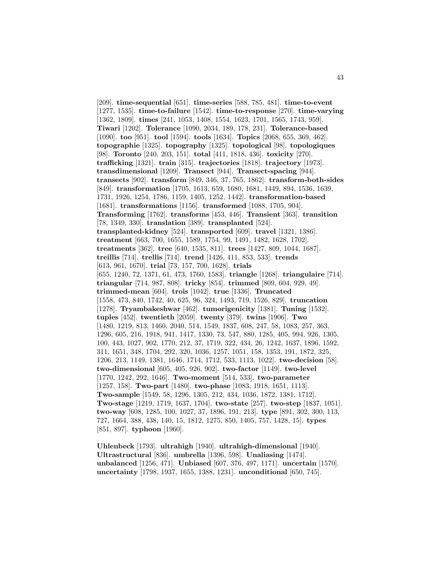[209]. **time-sequential** [651]. **time-series** [588, 785, 481]. **time-to-event** [1277, 1535]. **time-to-failure** [1542]. **time-to-response** [270]. **time-varying** [1362, 1809]. **times** [241, 1053, 1408, 1554, 1623, 1701, 1565, 1743, 959]. **Tiwari** [1202]. **Tolerance** [1090, 2034, 189, 178, 231]. **Tolerance-based** [1090]. **too** [951]. **tool** [1594]. **tools** [1634]. **Topics** [2068, 655, 369, 462]. **topographie** [1325]. **topography** [1325]. **topological** [98]. **topologiques** [98]. **Toronto** [240, 203, 151]. **total** [411, 1818, 436]. **toxicity** [270]. **trafficking** [1321]. **train** [315]. **trajectories** [1818]. **trajectory** [1973]. **transdimensional** [1209]. **Transect** [944]. **Transect-spacing** [944]. **transects** [902]. **transform** [849, 346, 37, 765, 1862]. **transform-both-sides** [849]. **transformation** [1705, 1613, 659, 1680, 1681, 1449, 894, 1536, 1639, 1731, 1926, 1254, 1786, 1159, 1405, 1252, 1442]. **transformation-based** [1681]. **transformations** [1156]. **transformed** [1088, 1705, 904]. **Transforming** [1762]. **transforms** [453, 446]. **Transient** [363]. **transition** [78, 1349, 330]. **translation** [389]. **transplanted** [524]. **transplanted-kidney** [524]. **transported** [609]. **travel** [1321, 1386]. **treatment** [663, 700, 1655, 1589, 1754, 99, 1491, 1482, 1628, 1702]. **treatments** [362]. **tree** [640, 1535, 811]. **trees** [1427, 809, 1044, 1687]. **treillis** [714]. **trellis** [714]. **trend** [1426, 411, 853, 533]. **trends** [613, 961, 1670]. **trial** [73, 157, 700, 1628]. **trials** [655, 1240, 72, 1371, 61, 473, 1760, 1583]. **triangle** [1268]. **triangulaire** [714]. **triangular** [714, 987, 808]. **tricky** [854]. **trimmed** [809, 604, 929, 49]. **trimmed-mean** [604]. **trois** [1042]. **true** [1336]. **Truncated** [1558, 473, 840, 1742, 40, 625, 96, 324, 1493, 719, 1526, 829]. **truncation** [1278]. **Tryambakeshwar** [462]. **tumorigenicity** [1381]. **Tuning** [1532]. **tuples** [452]. **twentieth** [2059]. **twenty** [379]. **twins** [1906]. **Two** [1480, 1219, 813, 1460, 2040, 514, 1549, 1837, 608, 247, 58, 1083, 257, 363, 1296, 605, 216, 1918, 941, 1417, 1330, 73, 547, 880, 1285, 405, 994, 926, 1305, 100, 443, 1027, 902, 1770, 212, 37, 1719, 322, 434, 26, 1242, 1637, 1896, 1592, 311, 1651, 348, 1704, 292, 320, 1036, 1257, 1051, 158, 1353, 191, 1872, 325, 1206, 213, 1149, 1381, 1646, 1714, 1712, 533, 1113, 1022]. **two-decision** [58]. **two-dimensional** [605, 405, 926, 902]. **two-factor** [1149]. **two-level** [1770, 1242, 292, 1646]. **Two-moment** [514, 533]. **two-parameter** [1257, 158]. **Two-part** [1480]. **two-phase** [1083, 1918, 1651, 1113]. **Two-sample** [1549, 58, 1296, 1305, 212, 434, 1036, 1872, 1381, 1712]. **Two-stage** [1219, 1719, 1637, 1704]. **two-state** [257]. **two-step** [1837, 1051]. **two-way** [608, 1285, 100, 1027, 37, 1896, 191, 213]. **type** [891, 302, 300, 113, 727, 1664, 388, 438, 140, 15, 1812, 1275, 850, 1405, 757, 1428, 15]. **types** [851, 897]. **typhoon** [1960].

**Uhlenbeck** [1793]. **ultrahigh** [1940]. **ultrahigh-dimensional** [1940]. **Ultrastructural** [836]. **umbrella** [1396, 598]. **Unaliasing** [1474]. **unbalanced** [1256, 471]. **Unbiased** [607, 376, 497, 1171]. **uncertain** [1570]. **uncertainty** [1798, 1937, 1655, 1388, 1231]. **unconditional** [650, 745].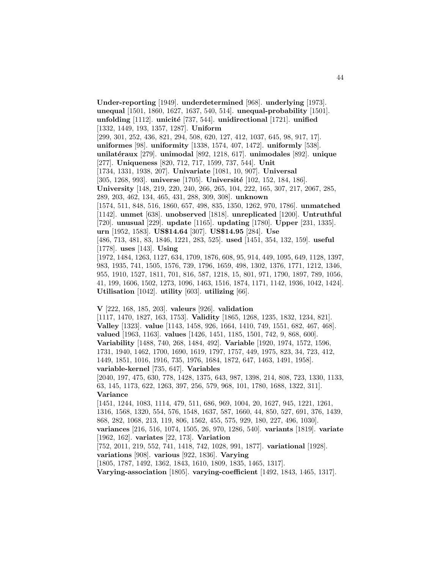**Under-reporting** [1949]. **underdetermined** [968]. **underlying** [1973]. **unequal** [1501, 1860, 1627, 1637, 540, 514]. **unequal-probability** [1501]. **unfolding** [1112]. **unicité** [737, 544]. **unidirectional** [1721]. **unified** [1332, 1449, 193, 1357, 1287]. **Uniform** [299, 301, 252, 436, 821, 294, 508, 620, 127, 412, 1037, 645, 98, 917, 17]. **uniformes** [98]. **uniformity** [1338, 1574, 407, 1472]. **uniformly** [538]. **unilat´eraux** [279]. **unimodal** [892, 1218, 617]. **unimodales** [892]. **unique** [277]. **Uniqueness** [820, 712, 717, 1599, 737, 544]. **Unit** [1734, 1331, 1938, 207]. **Univariate** [1081, 10, 907]. **Universal** [305, 1268, 993]. **universe** [1705]. **Université** [102, 152, 184, 186]. **University** [148, 219, 220, 240, 266, 265, 104, 222, 165, 307, 217, 2067, 285, 289, 203, 462, 134, 465, 431, 288, 309, 308]. **unknown** [1574, 511, 848, 516, 1860, 657, 498, 835, 1350, 1262, 970, 1786]. **unmatched** [1142]. **unmet** [638]. **unobserved** [1818]. **unreplicated** [1200]. **Untruthful** [720]. **unusual** [229]. **update** [1165]. **updating** [1780]. **Upper** [231, 1335]. **urn** [1952, 1583]. **US\$14.64** [307]. **US\$14.95** [284]. **Use** [486, 713, 481, 83, 1846, 1221, 283, 525]. **used** [1451, 354, 132, 159]. **useful** [1778]. **uses** [143]. **Using** [1972, 1484, 1263, 1127, 634, 1709, 1876, 608, 95, 914, 449, 1095, 649, 1128, 1397, 983, 1935, 741, 1505, 1576, 739, 1796, 1659, 498, 1302, 1376, 1771, 1212, 1346, 955, 1910, 1527, 1811, 701, 816, 587, 1218, 15, 801, 971, 1790, 1897, 789, 1056,

41, 199, 1606, 1502, 1273, 1096, 1463, 1516, 1874, 1171, 1142, 1936, 1042, 1424]. **Utilisation** [1042]. **utility** [603]. **utilizing** [66].

# **V** [222, 168, 185, 203]. **valeurs** [926]. **validation**

[1117, 1470, 1827, 163, 1753]. **Validity** [1865, 1268, 1235, 1832, 1234, 821]. **Valley** [1323]. **value** [1143, 1458, 926, 1664, 1410, 749, 1551, 682, 467, 468]. **valued** [1963, 1163]. **values** [1426, 1451, 1185, 1501, 742, 9, 868, 600]. **Variability** [1488, 740, 268, 1484, 492]. **Variable** [1920, 1974, 1572, 1596, 1731, 1940, 1462, 1700, 1690, 1619, 1797, 1757, 449, 1975, 823, 34, 723, 412, 1449, 1851, 1016, 1916, 735, 1976, 1684, 1872, 647, 1463, 1491, 1958]. **variable-kernel** [735, 647]. **Variables**

[2040, 197, 475, 630, 778, 1428, 1375, 643, 987, 1398, 214, 808, 723, 1330, 1133, 63, 145, 1173, 622, 1263, 397, 256, 579, 968, 101, 1780, 1688, 1322, 311]. **Variance**

[1451, 1244, 1083, 1114, 479, 511, 686, 969, 1004, 20, 1627, 945, 1221, 1261, 1316, 1568, 1320, 554, 576, 1548, 1637, 587, 1660, 44, 850, 527, 691, 376, 1439, 868, 282, 1068, 213, 119, 806, 1562, 455, 575, 929, 180, 227, 496, 1030]. **variances** [216, 516, 1074, 1505, 26, 970, 1286, 540]. **variants** [1819]. **variate**

[1962, 162]. **variates** [22, 173]. **Variation**

[752, 2011, 219, 552, 741, 1418, 742, 1028, 991, 1877]. **variational** [1928].

**variations** [908]. **various** [922, 1836]. **Varying**

[1805, 1787, 1492, 1362, 1843, 1610, 1809, 1835, 1465, 1317].

**Varying-association** [1805]. **varying-coefficient** [1492, 1843, 1465, 1317].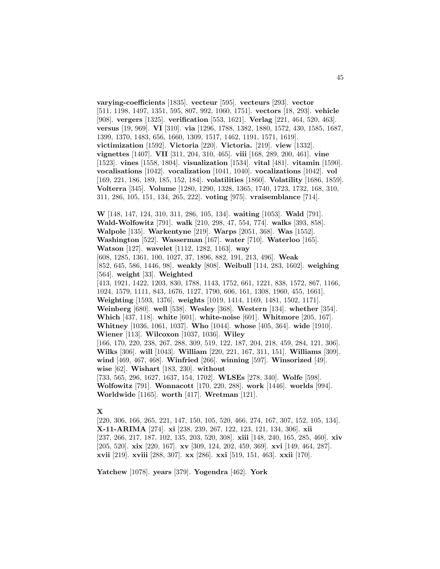**varying-coefficients** [1835]. **vecteur** [595]. **vecteurs** [293]. **vector** [511, 1198, 1497, 1351, 595, 807, 992, 1060, 1751]. **vectors** [18, 293]. **vehicle** [908]. **vergers** [1325]. **verification** [553, 1621]. **Verlag** [221, 464, 520, 463]. **versus** [19, 969]. **VI** [310]. **via** [1296, 1788, 1382, 1880, 1572, 430, 1585, 1687, 1399, 1370, 1483, 656, 1660, 1309, 1517, 1462, 1191, 1571, 1619]. **victimization** [1592]. **Victoria** [220]. **Victoria.** [219]. **view** [1332]. **vignettes** [1407]. **VII** [311, 204, 310, 465]. **viii** [168, 289, 200, 461]. **vine** [1523]. **vines** [1558, 1804]. **visualization** [1534]. **vital** [481]. **vitamin** [1590]. **vocalisations** [1042]. **vocalization** [1041, 1040]. **vocalizations** [1042]. **vol** [169, 221, 186, 189, 185, 152, 184]. **volatilities** [1860]. **Volatility** [1686, 1859]. **Volterra** [345]. **Volume** [1280, 1290, 1328, 1365, 1740, 1723, 1732, 168, 310, 311, 286, 105, 151, 134, 265, 222]. **voting** [975]. **vraisemblance** [714].

**W** [148, 147, 124, 310, 311, 286, 105, 134]. **waiting** [1053]. **Wald** [791]. **Wald-Wolfowitz** [791]. **walk** [210, 298, 47, 554, 774]. **walks** [393, 858]. **Walpole** [135]. **Warkentyne** [219]. **Warps** [2051, 368]. **Was** [1552]. **Washington** [522]. **Wasserman** [167]. **water** [710]. **Waterloo** [165]. **Watson** [127]. **wavelet** [1112, 1282, 1163]. **way** [608, 1285, 1361, 100, 1027, 37, 1896, 882, 191, 213, 496]. **Weak** [852, 645, 586, 1446, 98]. **weakly** [808]. **Weibull** [114, 283, 1602]. **weighing** [564]. **weight** [33]. **Weighted** [413, 1921, 1422, 1203, 830, 1788, 1143, 1752, 661, 1221, 838, 1572, 867, 1166, 1024, 1579, 1111, 843, 1676, 1127, 1790, 606, 161, 1308, 1960, 455, 1661]. **Weighting** [1593, 1376]. **weights** [1019, 1414, 1169, 1481, 1502, 1171]. **Weinberg** [680]. **well** [538]. **Wesley** [368]. **Western** [134]. **whether** [354]. **Which** [437, 118]. **white** [601]. **white-noise** [601]. **Whitmore** [205, 167]. **Whitney** [1036, 1061, 1037]. **Who** [1044]. **whose** [405, 364]. **wide** [1910]. **Wiener** [113]. **Wilcoxon** [1037, 1036]. **Wiley** [166, 170, 220, 238, 267, 288, 309, 519, 122, 187, 204, 218, 459, 284, 121, 306]. **Wilks** [306]. **will** [1043]. **William** [220, 221, 167, 311, 151]. **Williams** [309]. **wind** [469, 467, 468]. **Winfried** [266]. **winning** [597]. **Winsorized** [49]. **wise** [62]. **Wishart** [183, 230]. **without** [733, 565, 296, 1627, 1637, 154, 1702]. **WLSEs** [278, 340]. **Wolfe** [598]. **Wolfowitz** [791]. **Wonnacott** [170, 220, 288]. **work** [1446]. **worlds** [994]. **Worldwide** [1165]. **worth** [417]. **Wretman** [121].

### **X**

[220, 306, 166, 265, 221, 147, 150, 105, 520, 466, 274, 167, 307, 152, 105, 134]. **X-11-ARIMA** [274]. **xi** [238, 239, 267, 122, 123, 121, 134, 306]. **xii** [237, 266, 217, 187, 102, 135, 203, 520, 308]. **xiii** [148, 240, 165, 285, 460]. **xiv** [205, 520]. **xix** [220, 167]. **xv** [309, 124, 202, 459, 369]. **xvi** [149, 464, 287]. **xvii** [219]. **xviii** [288, 307]. **xx** [286]. **xxi** [519, 151, 463]. **xxii** [170].

**Yatchew** [1078]. **years** [379]. **Yogendra** [462]. **York**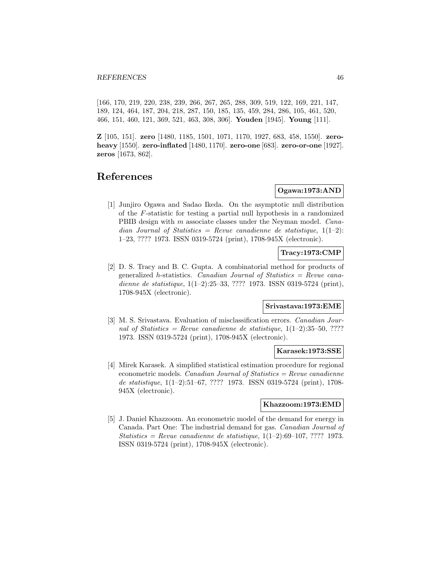[166, 170, 219, 220, 238, 239, 266, 267, 265, 288, 309, 519, 122, 169, 221, 147, 189, 124, 464, 187, 204, 218, 287, 150, 185, 135, 459, 284, 286, 105, 461, 520, 466, 151, 460, 121, 369, 521, 463, 308, 306]. **Youden** [1945]. **Young** [111].

**Z** [105, 151]. **zero** [1480, 1185, 1501, 1071, 1170, 1927, 683, 458, 1550]. **zeroheavy** [1550]. **zero-inflated** [1480, 1170]. **zero-one** [683]. **zero-or-one** [1927]. **zeros** [1673, 862].

# **References**

# **Ogawa:1973:AND**

[1] Junjiro Ogawa and Sadao Ikeda. On the asymptotic null distribution of the F-statistic for testing a partial null hypothesis in a randomized PBIB design with m associate classes under the Neyman model. *Cana*dian Journal of Statistics = Revue canadienne de statistique,  $1(1-2)$ : 1–23, ???? 1973. ISSN 0319-5724 (print), 1708-945X (electronic).

# **Tracy:1973:CMP**

[2] D. S. Tracy and B. C. Gupta. A combinatorial method for products of generalized h-statistics. *Canadian Journal of Statistics = Revue cana*dienne de statistique, 1(1–2):25–33, ???? 1973. ISSN 0319-5724 (print), 1708-945X (electronic).

#### **Srivastava:1973:EME**

[3] M. S. Srivastava. Evaluation of misclassification errors. Canadian Journal of Statistics = Revue canadienne de statistique,  $1(1-2):35-50, ????$ 1973. ISSN 0319-5724 (print), 1708-945X (electronic).

# **Karasek:1973:SSE**

[4] Mirek Karasek. A simplified statistical estimation procedure for regional econometric models. Canadian Journal of Statistics  $=$  Revue canadienne de statistique, 1(1–2):51–67, ???? 1973. ISSN 0319-5724 (print), 1708- 945X (electronic).

#### **Khazzoom:1973:EMD**

[5] J. Daniel Khazzoom. An econometric model of the demand for energy in Canada. Part One: The industrial demand for gas. Canadian Journal of Statistics = Revue canadienne de statistique,  $1(1-2):69-107,$  ???? 1973. ISSN 0319-5724 (print), 1708-945X (electronic).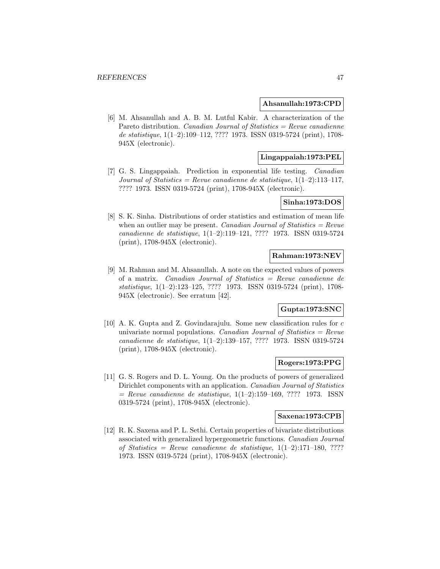### **Ahsanullah:1973:CPD**

[6] M. Ahsanullah and A. B. M. Lutful Kabir. A characterization of the Pareto distribution. *Canadian Journal of Statistics = Revue canadienne* de statistique, 1(1–2):109–112, ???? 1973. ISSN 0319-5724 (print), 1708- 945X (electronic).

# **Lingappaiah:1973:PEL**

[7] G. S. Lingappaiah. Prediction in exponential life testing. Canadian Journal of Statistics = Revue canadienne de statistique,  $1(1-2):113-117$ , ???? 1973. ISSN 0319-5724 (print), 1708-945X (electronic).

### **Sinha:1973:DOS**

[8] S. K. Sinha. Distributions of order statistics and estimation of mean life when an outlier may be present. Canadian Journal of Statistics =  $Rewu$ canadienne de statistique, 1(1–2):119–121, ???? 1973. ISSN 0319-5724 (print), 1708-945X (electronic).

# **Rahman:1973:NEV**

[9] M. Rahman and M. Ahsanullah. A note on the expected values of powers of a matrix. Canadian Journal of Statistics = Revue canadienne de statistique, 1(1–2):123–125, ???? 1973. ISSN 0319-5724 (print), 1708- 945X (electronic). See erratum [42].

# **Gupta:1973:SNC**

[10] A. K. Gupta and Z. Govindarajulu. Some new classification rules for c univariate normal populations. Canadian Journal of Statistics  $=$  Revue canadienne de statistique, 1(1–2):139–157, ???? 1973. ISSN 0319-5724 (print), 1708-945X (electronic).

#### **Rogers:1973:PPG**

[11] G. S. Rogers and D. L. Young. On the products of powers of generalized Dirichlet components with an application. Canadian Journal of Statistics  $=$  Revue canadienne de statistique,  $1(1-2):159-169, ???? 1973.$  ISSN 0319-5724 (print), 1708-945X (electronic).

### **Saxena:1973:CPB**

[12] R. K. Saxena and P. L. Sethi. Certain properties of bivariate distributions associated with generalized hypergeometric functions. Canadian Journal of Statistics = Revue canadienne de statistique,  $1(1-2):171-180, ????$ 1973. ISSN 0319-5724 (print), 1708-945X (electronic).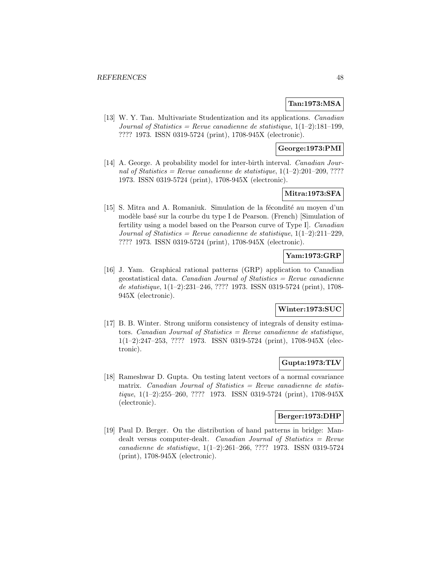### **Tan:1973:MSA**

[13] W. Y. Tan. Multivariate Studentization and its applications. Canadian Journal of Statistics = Revue canadienne de statistique,  $1(1-2)$ :181-199, ???? 1973. ISSN 0319-5724 (print), 1708-945X (electronic).

# **George:1973:PMI**

[14] A. George. A probability model for inter-birth interval. Canadian Journal of Statistics = Revue canadienne de statistique,  $1(1-2):201-209, ????$ 1973. ISSN 0319-5724 (print), 1708-945X (electronic).

# **Mitra:1973:SFA**

 $[15]$  S. Mitra and A. Romaniuk. Simulation de la fécondité au moyen d'un modèle basé sur la courbe du type I de Pearson. (French) [Simulation of fertility using a model based on the Pearson curve of Type I]. Canadian Journal of Statistics = Revue canadienne de statistique,  $1(1-2):211-229$ , ???? 1973. ISSN 0319-5724 (print), 1708-945X (electronic).

# **Yam:1973:GRP**

[16] J. Yam. Graphical rational patterns (GRP) application to Canadian geostatistical data. Canadian Journal of Statistics  $=$  Revue canadienne de statistique, 1(1–2):231–246, ???? 1973. ISSN 0319-5724 (print), 1708- 945X (electronic).

# **Winter:1973:SUC**

[17] B. B. Winter. Strong uniform consistency of integrals of density estimators. Canadian Journal of Statistics  $=$  Revue canadienne de statistique, 1(1–2):247–253, ???? 1973. ISSN 0319-5724 (print), 1708-945X (electronic).

### **Gupta:1973:TLV**

[18] Rameshwar D. Gupta. On testing latent vectors of a normal covariance matrix. Canadian Journal of Statistics  $=$  Revue canadienne de statistique, 1(1–2):255–260, ???? 1973. ISSN 0319-5724 (print), 1708-945X (electronic).

## **Berger:1973:DHP**

[19] Paul D. Berger. On the distribution of hand patterns in bridge: Mandealt versus computer-dealt. Canadian Journal of Statistics = Revue canadienne de statistique, 1(1–2):261–266, ???? 1973. ISSN 0319-5724 (print), 1708-945X (electronic).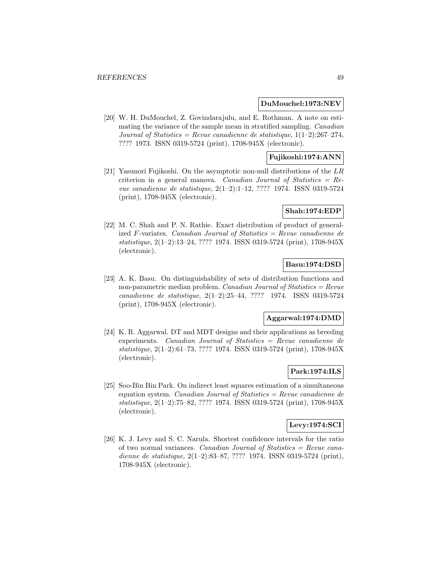#### **DuMouchel:1973:NEV**

[20] W. H. DuMouchel, Z. Govindarajulu, and E. Rothman. A note on estimating the variance of the sample mean in stratified sampling. Canadian Journal of Statistics = Revue canadienne de statistique,  $1(1-2):267-274$ , ???? 1973. ISSN 0319-5724 (print), 1708-945X (electronic).

# **Fujikoshi:1974:ANN**

[21] Yasunori Fujikoshi. On the asymptotic non-null distributions of the LR criterion in a general manova. Canadian Journal of Statistics  $=$  Revue canadienne de statistique, 2(1–2):1–12, ???? 1974. ISSN 0319-5724 (print), 1708-945X (electronic).

## **Shah:1974:EDP**

[22] M. C. Shah and P. N. Rathie. Exact distribution of product of generalized F-variates. Canadian Journal of Statistics = Revue canadienne de statistique, 2(1–2):13–24, ???? 1974. ISSN 0319-5724 (print), 1708-945X (electronic).

# **Basu:1974:DSD**

[23] A. K. Basu. On distinguishability of sets of distribution functions and non-parametric median problem. Canadian Journal of Statistics =  $Re$ vue canadienne de statistique, 2(1–2):25–44, ???? 1974. ISSN 0319-5724 (print), 1708-945X (electronic).

#### **Aggarwal:1974:DMD**

[24] K. R. Aggarwal. DT and MDT designs and their applications as breeding experiments. Canadian Journal of Statistics = Revue canadienne de statistique, 2(1–2):61–73, ???? 1974. ISSN 0319-5724 (print), 1708-945X (electronic).

# **Park:1974:ILS**

[25] Soo-Bin Bin Park. On indirect least squares estimation of a simultaneous equation system. Canadian Journal of Statistics  $=$  Revue canadienne de statistique, 2(1–2):75–82, ???? 1974. ISSN 0319-5724 (print), 1708-945X (electronic).

#### **Levy:1974:SCI**

[26] K. J. Levy and S. C. Narula. Shortest confidence intervals for the ratio of two normal variances. Canadian Journal of Statistics = Revue canadienne de statistique, 2(1–2):83–87, ???? 1974. ISSN 0319-5724 (print), 1708-945X (electronic).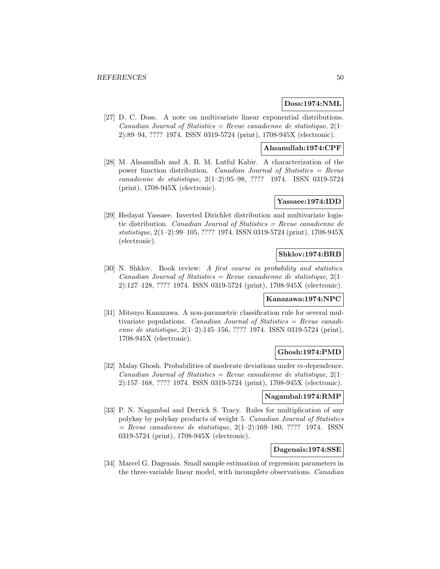### **Doss:1974:NML**

[27] D. C. Doss. A note on multivariate linear exponential distributions. Canadian Journal of Statistics = Revue canadienne de statistique,  $2(1-\alpha)$ 2):89–94, ???? 1974. ISSN 0319-5724 (print), 1708-945X (electronic).

### **Ahsanullah:1974:CPF**

[28] M. Ahsanullah and A. B. M. Lutful Kabir. A characterization of the power function distribution. Canadian Journal of Statistics = Revue canadienne de statistique, 2(1–2):95–98, ???? 1974. ISSN 0319-5724 (print), 1708-945X (electronic).

# **Yassaee:1974:IDD**

[29] Hedayat Yassaee. Inverted Dirichlet distribution and multivariate logistic distribution. Canadian Journal of Statistics = Revue canadienne de statistique, 2(1–2):99–105, ???? 1974. ISSN 0319-5724 (print), 1708-945X (electronic).

# **Shklov:1974:BRB**

[30] N. Shklov. Book review: A first course in probability and statistics. Canadian Journal of Statistics = Revue canadienne de statistique,  $2(1-\alpha)$ 2):127–128, ???? 1974. ISSN 0319-5724 (print), 1708-945X (electronic).

#### **Kanazawa:1974:NPC**

[31] Mitsuyo Kanazawa. A non-parametric classification rule for several multivariate populations. Canadian Journal of Statistics = Revue canadienne de statistique, 2(1–2):145–156, ???? 1974. ISSN 0319-5724 (print), 1708-945X (electronic).

### **Ghosh:1974:PMD**

[32] Malay Ghosh. Probabilities of moderate deviations under m-dependence. Canadian Journal of Statistics = Revue canadienne de statistique,  $2(1-$ 2):157–168, ???? 1974. ISSN 0319-5724 (print), 1708-945X (electronic).

# **Nagambal:1974:RMP**

[33] P. N. Nagambal and Derrick S. Tracy. Rules for multiplication of any polykay by polykay products of weight 5. Canadian Journal of Statistics  $=$  Revue canadienne de statistique, 2(1–2):169–180, ???? 1974. ISSN 0319-5724 (print), 1708-945X (electronic).

## **Dagenais:1974:SSE**

[34] Marcel G. Dagenais. Small sample estimation of regression parameters in the three-variable linear model, with incomplete observations. Canadian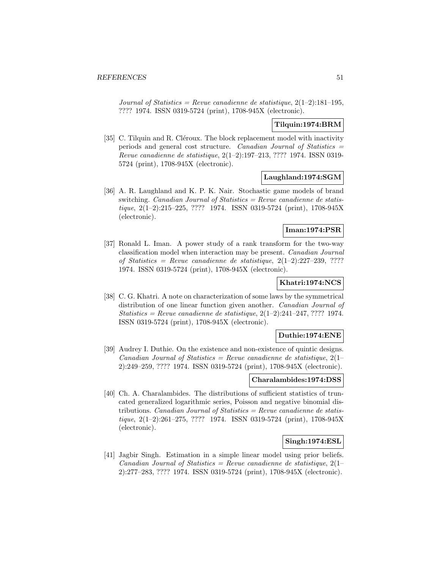Journal of Statistics = Revue canadienne de statistique,  $2(1-2)$ : 181-195, ???? 1974. ISSN 0319-5724 (print), 1708-945X (electronic).

# **Tilquin:1974:BRM**

[35] C. Tilquin and R. Cléroux. The block replacement model with inactivity periods and general cost structure. Canadian Journal of Statistics = Revue canadienne de statistique, 2(1–2):197–213, ???? 1974. ISSN 0319- 5724 (print), 1708-945X (electronic).

# **Laughland:1974:SGM**

[36] A. R. Laughland and K. P. K. Nair. Stochastic game models of brand switching. Canadian Journal of Statistics = Revue canadienne de statistique, 2(1–2):215–225, ???? 1974. ISSN 0319-5724 (print), 1708-945X (electronic).

# **Iman:1974:PSR**

[37] Ronald L. Iman. A power study of a rank transform for the two-way classification model when interaction may be present. Canadian Journal of Statistics = Revue canadienne de statistique,  $2(1-2):227-239, ????$ 1974. ISSN 0319-5724 (print), 1708-945X (electronic).

# **Khatri:1974:NCS**

[38] C. G. Khatri. A note on characterization of some laws by the symmetrical distribution of one linear function given another. Canadian Journal of Statistics = Revue canadienne de statistique,  $2(1-2):241-247, ????$  1974. ISSN 0319-5724 (print), 1708-945X (electronic).

## **Duthie:1974:ENE**

[39] Audrey I. Duthie. On the existence and non-existence of quintic designs. Canadian Journal of Statistics = Revue canadienne de statistique,  $2(1-\alpha)$ 2):249–259, ???? 1974. ISSN 0319-5724 (print), 1708-945X (electronic).

# **Charalambides:1974:DSS**

[40] Ch. A. Charalambides. The distributions of sufficient statistics of truncated generalized logarithmic series, Poisson and negative binomial distributions. *Canadian Journal of Statistics* =  $Review$  *canadienne de statis* $tique, 2(1-2):261-275, ???? 1974. ISSN 0319-5724 (print), 1708-945X$ (electronic).

### **Singh:1974:ESL**

[41] Jagbir Singh. Estimation in a simple linear model using prior beliefs. Canadian Journal of Statistics = Revue canadienne de statistique,  $2(1-\frac{1}{2})$ 2):277–283, ???? 1974. ISSN 0319-5724 (print), 1708-945X (electronic).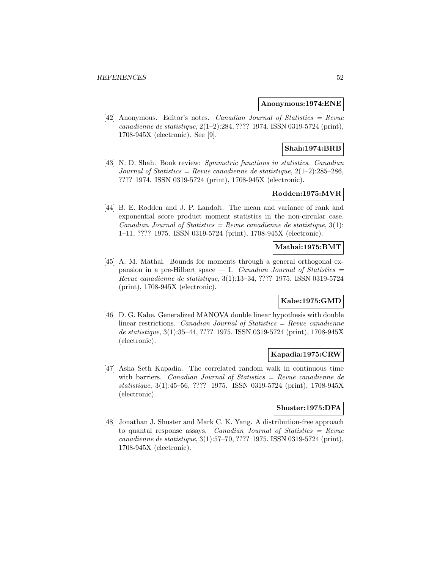#### **Anonymous:1974:ENE**

[42] Anonymous. Editor's notes. Canadian Journal of Statistics = Revue canadienne de statistique, 2(1–2):284, ???? 1974. ISSN 0319-5724 (print), 1708-945X (electronic). See [9].

# **Shah:1974:BRB**

[43] N. D. Shah. Book review: Symmetric functions in statistics. Canadian Journal of Statistics = Revue canadienne de statistique,  $2(1-2)$ : 285-286, ???? 1974. ISSN 0319-5724 (print), 1708-945X (electronic).

# **Rodden:1975:MVR**

[44] B. E. Rodden and J. P. Landolt. The mean and variance of rank and exponential score product moment statistics in the non-circular case. Canadian Journal of Statistics = Revue canadienne de statistique,  $3(1)$ : 1–11, ???? 1975. ISSN 0319-5724 (print), 1708-945X (electronic).

## **Mathai:1975:BMT**

[45] A. M. Mathai. Bounds for moments through a general orthogonal expansion in a pre-Hilbert space  $-$  I. *Canadian Journal of Statistics*  $=$ Revue canadienne de statistique, 3(1):13–34, ???? 1975. ISSN 0319-5724 (print), 1708-945X (electronic).

# **Kabe:1975:GMD**

[46] D. G. Kabe. Generalized MANOVA double linear hypothesis with double linear restrictions. Canadian Journal of Statistics  $=$  Revue canadienne de statistique, 3(1):35–44, ???? 1975. ISSN 0319-5724 (print), 1708-945X (electronic).

#### **Kapadia:1975:CRW**

[47] Asha Seth Kapadia. The correlated random walk in continuous time with barriers. Canadian Journal of Statistics = Revue canadienne de statistique, 3(1):45–56, ???? 1975. ISSN 0319-5724 (print), 1708-945X (electronic).

### **Shuster:1975:DFA**

[48] Jonathan J. Shuster and Mark C. K. Yang. A distribution-free approach to quantal response assays. Canadian Journal of Statistics  $=$  Revue canadienne de statistique, 3(1):57–70, ???? 1975. ISSN 0319-5724 (print), 1708-945X (electronic).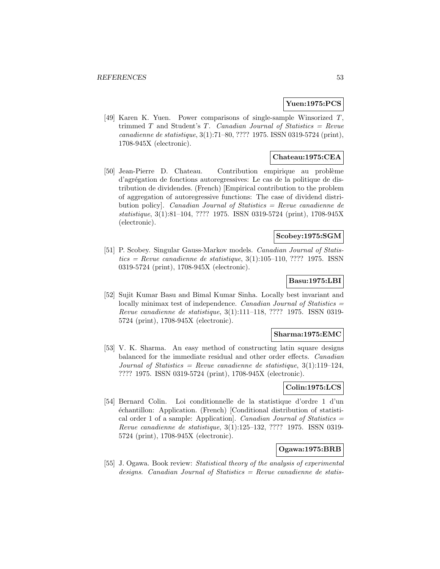### **Yuen:1975:PCS**

[49] Karen K. Yuen. Power comparisons of single-sample Winsorized T, trimmed  $T$  and Student's  $T$ . Canadian Journal of Statistics = Revue canadienne de statistique, 3(1):71–80, ???? 1975. ISSN 0319-5724 (print), 1708-945X (electronic).

# **Chateau:1975:CEA**

[50] Jean-Pierre D. Chateau. Contribution empirique au problème d'agr´egation de fonctions autoregressives: Le cas de la politique de distribution de dividendes. (French) [Empirical contribution to the problem of aggregation of autoregressive functions: The case of dividend distribution policy]. Canadian Journal of Statistics = Revue canadienne de statistique, 3(1):81–104, ???? 1975. ISSN 0319-5724 (print), 1708-945X (electronic).

# **Scobey:1975:SGM**

[51] P. Scobey. Singular Gauss-Markov models. Canadian Journal of Statis $tics = Revue$  canadienne de statistique, 3(1):105–110, ???? 1975. ISSN0319-5724 (print), 1708-945X (electronic).

# **Basu:1975:LBI**

[52] Sujit Kumar Basu and Bimal Kumar Sinha. Locally best invariant and locally minimax test of independence. *Canadian Journal of Statistics* = Revue canadienne de statistique, 3(1):111–118, ???? 1975. ISSN 0319- 5724 (print), 1708-945X (electronic).

#### **Sharma:1975:EMC**

[53] V. K. Sharma. An easy method of constructing latin square designs balanced for the immediate residual and other order effects. Canadian Journal of Statistics = Revue canadienne de statistique,  $3(1):119-124$ , ???? 1975. ISSN 0319-5724 (print), 1708-945X (electronic).

# **Colin:1975:LCS**

[54] Bernard Colin. Loi conditionnelle de la statistique d'ordre 1 d'un ´echantillon: Application. (French) [Conditional distribution of statistical order 1 of a sample: Application. Canadian Journal of Statistics  $=$ Revue canadienne de statistique, 3(1):125–132, ???? 1975. ISSN 0319- 5724 (print), 1708-945X (electronic).

# **Ogawa:1975:BRB**

[55] J. Ogawa. Book review: Statistical theory of the analysis of experimental designs. Canadian Journal of Statistics  $=$  Revue canadienne de statis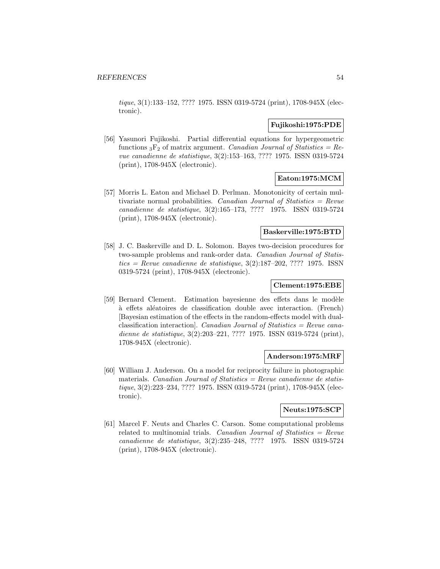tique, 3(1):133–152, ???? 1975. ISSN 0319-5724 (print), 1708-945X (electronic).

### **Fujikoshi:1975:PDE**

[56] Yasunori Fujikoshi. Partial differential equations for hypergeometric functions  ${}_{3}F_{2}$  of matrix argument. Canadian Journal of Statistics = Revue canadienne de statistique, 3(2):153–163, ???? 1975. ISSN 0319-5724 (print), 1708-945X (electronic).

# **Eaton:1975:MCM**

[57] Morris L. Eaton and Michael D. Perlman. Monotonicity of certain multivariate normal probabilities. Canadian Journal of Statistics =  $Re$ vue canadienne de statistique, 3(2):165–173, ???? 1975. ISSN 0319-5724 (print), 1708-945X (electronic).

### **Baskerville:1975:BTD**

[58] J. C. Baskerville and D. L. Solomon. Bayes two-decision procedures for two-sample problems and rank-order data. Canadian Journal of Statis $tics = Revue$  canadienne de statistique, 3(2):187–202, ???? 1975. ISSN0319-5724 (print), 1708-945X (electronic).

# **Clement:1975:EBE**

[59] Bernard Clement. Estimation bayesienne des effets dans le modèle à effets aléatoires de classification double avec interaction. (French) [Bayesian estimation of the effects in the random-effects model with dualclassification interaction]. Canadian Journal of Statistics = Revue canadienne de statistique, 3(2):203–221, ???? 1975. ISSN 0319-5724 (print), 1708-945X (electronic).

### **Anderson:1975:MRF**

[60] William J. Anderson. On a model for reciprocity failure in photographic materials. *Canadian Journal of Statistics = Revue canadienne de statis*tique, 3(2):223–234, ???? 1975. ISSN 0319-5724 (print), 1708-945X (electronic).

# **Neuts:1975:SCP**

[61] Marcel F. Neuts and Charles C. Carson. Some computational problems related to multinomial trials. Canadian Journal of Statistics  $=$  Revue canadienne de statistique, 3(2):235–248, ???? 1975. ISSN 0319-5724 (print), 1708-945X (electronic).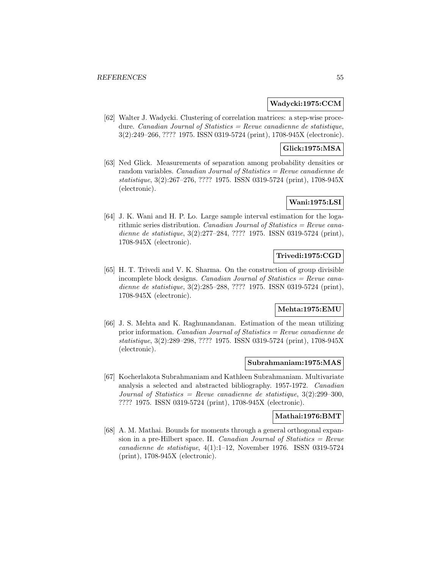### **Wadycki:1975:CCM**

[62] Walter J. Wadycki. Clustering of correlation matrices: a step-wise procedure. Canadian Journal of Statistics = Revue canadienne de statistique, 3(2):249–266, ???? 1975. ISSN 0319-5724 (print), 1708-945X (electronic).

### **Glick:1975:MSA**

[63] Ned Glick. Measurements of separation among probability densities or random variables. Canadian Journal of Statistics = Revue canadienne de statistique, 3(2):267–276, ???? 1975. ISSN 0319-5724 (print), 1708-945X (electronic).

# **Wani:1975:LSI**

[64] J. K. Wani and H. P. Lo. Large sample interval estimation for the logarithmic series distribution. Canadian Journal of Statistics = Revue canadienne de statistique, 3(2):277–284, ???? 1975. ISSN 0319-5724 (print), 1708-945X (electronic).

# **Trivedi:1975:CGD**

[65] H. T. Trivedi and V. K. Sharma. On the construction of group divisible incomplete block designs. Canadian Journal of Statistics  $=$  Revue canadienne de statistique, 3(2):285–288, ???? 1975. ISSN 0319-5724 (print), 1708-945X (electronic).

# **Mehta:1975:EMU**

[66] J. S. Mehta and K. Raghunandanan. Estimation of the mean utilizing prior information. Canadian Journal of Statistics = Revue canadienne de statistique, 3(2):289–298, ???? 1975. ISSN 0319-5724 (print), 1708-945X (electronic).

#### **Subrahmaniam:1975:MAS**

[67] Kocherlakota Subrahmaniam and Kathleen Subrahmaniam. Multivariate analysis a selected and abstracted bibliography. 1957-1972. Canadian Journal of Statistics = Revue canadienne de statistique,  $3(2):299-300$ , ???? 1975. ISSN 0319-5724 (print), 1708-945X (electronic).

#### **Mathai:1976:BMT**

[68] A. M. Mathai. Bounds for moments through a general orthogonal expansion in a pre-Hilbert space. II. Canadian Journal of Statistics  $=$  Revue canadienne de statistique, 4(1):1–12, November 1976. ISSN 0319-5724 (print), 1708-945X (electronic).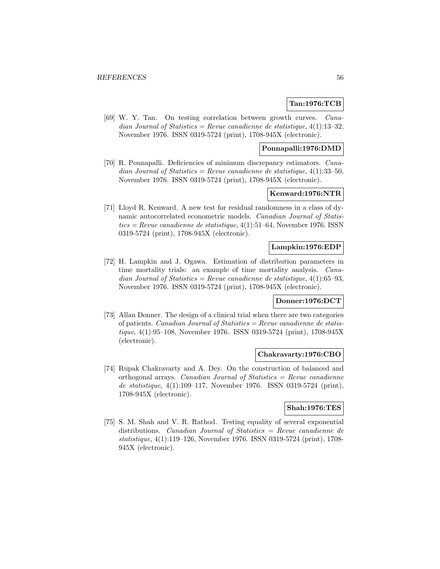# **Tan:1976:TCB**

[69] W. Y. Tan. On testing correlation between growth curves. Canadian Journal of Statistics = Revue canadienne de statistique,  $4(1):13-32$ , November 1976. ISSN 0319-5724 (print), 1708-945X (electronic).

### **Ponnapalli:1976:DMD**

[70] R. Ponnapalli. Deficiencies of minimum discrepancy estimators. Canadian Journal of Statistics = Revue canadienne de statistique,  $4(1):33-50$ , November 1976. ISSN 0319-5724 (print), 1708-945X (electronic).

# **Kenward:1976:NTR**

[71] Lloyd R. Kenward. A new test for residual randomness in a class of dynamic autocorrelated econometric models. Canadian Journal of Statis $tics = Revenue canadienne de statistique, 4(1):51–64, November 1976. ISSN$ 0319-5724 (print), 1708-945X (electronic).

### **Lampkin:1976:EDP**

[72] H. Lampkin and J. Ogawa. Estimation of distribution parameters in time mortality trials: an example of time mortality analysis. Canadian Journal of Statistics = Revue canadienne de statistique,  $4(1):65-93$ , November 1976. ISSN 0319-5724 (print), 1708-945X (electronic).

### **Donner:1976:DCT**

[73] Allan Donner. The design of a clinical trial when there are two categories of patients. *Canadian Journal of Statistics = Revue canadienne de statis*tique, 4(1):95–108, November 1976. ISSN 0319-5724 (print), 1708-945X (electronic).

#### **Chakravarty:1976:CBO**

[74] Rupak Chakravarty and A. Dey. On the construction of balanced and orthogonal arrays. *Canadian Journal of Statistics = Revue canadienne* de statistique, 4(1):109–117, November 1976. ISSN 0319-5724 (print), 1708-945X (electronic).

### **Shah:1976:TES**

[75] S. M. Shah and V. R. Rathod. Testing equality of several exponential distributions. Canadian Journal of Statistics = Revue canadienne de statistique, 4(1):119–126, November 1976. ISSN 0319-5724 (print), 1708- 945X (electronic).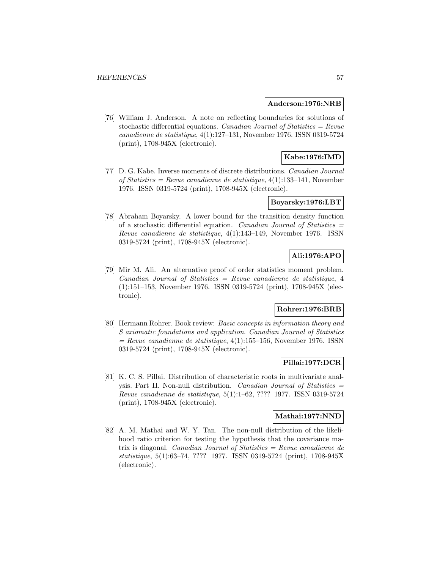#### **Anderson:1976:NRB**

[76] William J. Anderson. A note on reflecting boundaries for solutions of stochastic differential equations. *Canadian Journal of Statistics = Revue* canadienne de statistique, 4(1):127–131, November 1976. ISSN 0319-5724 (print), 1708-945X (electronic).

# **Kabe:1976:IMD**

[77] D. G. Kabe. Inverse moments of discrete distributions. Canadian Journal of Statistics = Revue canadienne de statistique,  $4(1)$ :133-141, November 1976. ISSN 0319-5724 (print), 1708-945X (electronic).

#### **Boyarsky:1976:LBT**

[78] Abraham Boyarsky. A lower bound for the transition density function of a stochastic differential equation. Canadian Journal of Statistics  $=$ Revue canadienne de statistique, 4(1):143–149, November 1976. ISSN 0319-5724 (print), 1708-945X (electronic).

# **Ali:1976:APO**

[79] Mir M. Ali. An alternative proof of order statistics moment problem. Canadian Journal of Statistics = Revue canadienne de statistique, 4 (1):151–153, November 1976. ISSN 0319-5724 (print), 1708-945X (electronic).

# **Rohrer:1976:BRB**

[80] Hermann Rohrer. Book review: Basic concepts in information theory and S axiomatic foundations and application. Canadian Journal of Statistics  $=$  Revue canadienne de statistique, 4(1):155–156, November 1976. ISSN 0319-5724 (print), 1708-945X (electronic).

### **Pillai:1977:DCR**

[81] K. C. S. Pillai. Distribution of characteristic roots in multivariate analysis. Part II. Non-null distribution. Canadian Journal of Statistics = Revue canadienne de statistique, 5(1):1–62, ???? 1977. ISSN 0319-5724 (print), 1708-945X (electronic).

# **Mathai:1977:NND**

[82] A. M. Mathai and W. Y. Tan. The non-null distribution of the likelihood ratio criterion for testing the hypothesis that the covariance matrix is diagonal. Canadian Journal of Statistics = Revue canadienne de statistique, 5(1):63–74, ???? 1977. ISSN 0319-5724 (print), 1708-945X (electronic).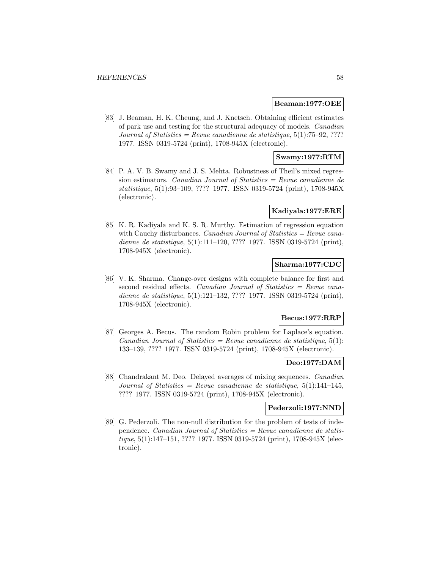#### **Beaman:1977:OEE**

[83] J. Beaman, H. K. Cheung, and J. Knetsch. Obtaining efficient estimates of park use and testing for the structural adequacy of models. Canadian Journal of Statistics = Revue canadienne de statistique,  $5(1)$ :75-92, ???? 1977. ISSN 0319-5724 (print), 1708-945X (electronic).

# **Swamy:1977:RTM**

[84] P. A. V. B. Swamy and J. S. Mehta. Robustness of Theil's mixed regression estimators. Canadian Journal of Statistics  $=$  Revue canadienne de statistique, 5(1):93–109, ???? 1977. ISSN 0319-5724 (print), 1708-945X (electronic).

#### **Kadiyala:1977:ERE**

[85] K. R. Kadiyala and K. S. R. Murthy. Estimation of regression equation with Cauchy disturbances. Canadian Journal of Statistics = Revue canadienne de statistique, 5(1):111–120, ???? 1977. ISSN 0319-5724 (print), 1708-945X (electronic).

# **Sharma:1977:CDC**

[86] V. K. Sharma. Change-over designs with complete balance for first and second residual effects. Canadian Journal of Statistics = Revue canadienne de statistique, 5(1):121–132, ???? 1977. ISSN 0319-5724 (print), 1708-945X (electronic).

#### **Becus:1977:RRP**

[87] Georges A. Becus. The random Robin problem for Laplace's equation. Canadian Journal of Statistics = Revue canadienne de statistique,  $5(1)$ : 133–139, ???? 1977. ISSN 0319-5724 (print), 1708-945X (electronic).

### **Deo:1977:DAM**

[88] Chandrakant M. Deo. Delayed averages of mixing sequences. Canadian Journal of Statistics = Revue canadienne de statistique,  $5(1):141-145$ , ???? 1977. ISSN 0319-5724 (print), 1708-945X (electronic).

### **Pederzoli:1977:NND**

[89] G. Pederzoli. The non-null distribution for the problem of tests of independence. *Canadian Journal of Statistics = Revue canadienne de statis*tique, 5(1):147–151, ???? 1977. ISSN 0319-5724 (print), 1708-945X (electronic).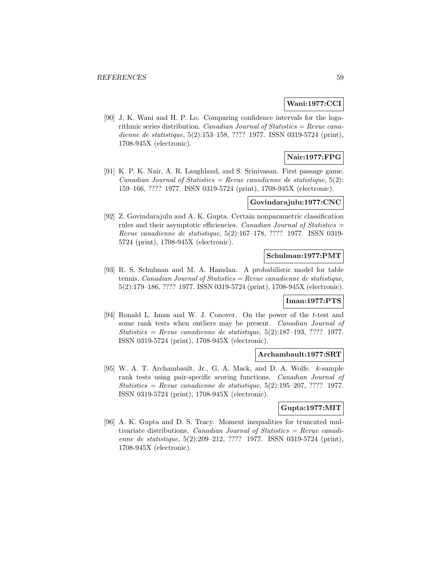# **Wani:1977:CCI**

[90] J. K. Wani and H. P. Lo. Comparing confidence intervals for the logarithmic series distribution. *Canadian Journal of Statistics = Revue cana*dienne de statistique, 5(2):153–158, ???? 1977. ISSN 0319-5724 (print), 1708-945X (electronic).

# **Nair:1977:FPG**

[91] K. P. K. Nair, A. R. Laughland, and S. Srinivasan. First passage game. Canadian Journal of Statistics = Revue canadienne de statistique,  $5(2)$ : 159–166, ???? 1977. ISSN 0319-5724 (print), 1708-945X (electronic).

### **Govindarajulu:1977:CNC**

[92] Z. Govindarajulu and A. K. Gupta. Certain nonparametric classification rules and their asymptotic efficiencies. Canadian Journal of Statistics = Revue canadienne de statistique, 5(2):167–178, ???? 1977. ISSN 0319- 5724 (print), 1708-945X (electronic).

## **Schulman:1977:PMT**

[93] R. S. Schulman and M. A. Hamdan. A probabilistic model for table tennis. Canadian Journal of Statistics = Revue canadienne de statistique, 5(2):179–186, ???? 1977. ISSN 0319-5724 (print), 1708-945X (electronic).

#### **Iman:1977:PTS**

[94] Ronald L. Iman and W. J. Conover. On the power of the t-test and some rank tests when outliers may be present. Canadian Journal of  $Statistics = Revenue canadienne de statistic, 5(2):187-193, ???? 1977.$ ISSN 0319-5724 (print), 1708-945X (electronic).

#### **Archambault:1977:SRT**

[95] W. A. T. Archambault, Jr., G. A. Mack, and D. A. Wolfe. k-sample rank tests using pair-specific scoring functions. Canadian Journal of Statistics = Revue canadienne de statistique,  $5(2):195-207, ????$  1977. ISSN 0319-5724 (print), 1708-945X (electronic).

# **Gupta:1977:MIT**

[96] A. K. Gupta and D. S. Tracy. Moment inequalities for truncated multivariate distributions. Canadian Journal of Statistics = Revue canadienne de statistique, 5(2):209–212, ???? 1977. ISSN 0319-5724 (print), 1708-945X (electronic).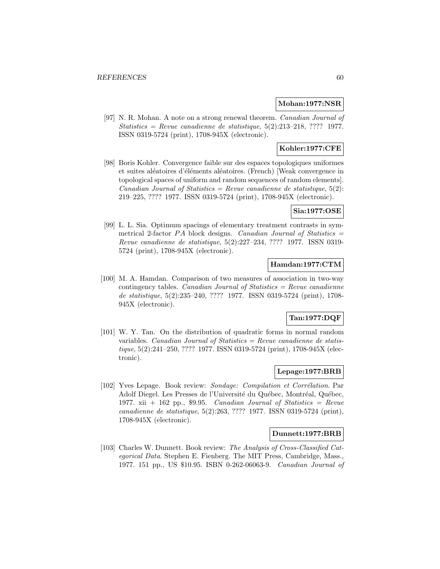### **Mohan:1977:NSR**

[97] N. R. Mohan. A note on a strong renewal theorem. Canadian Journal of Statistics = Revue canadienne de statistique,  $5(2):213-218$ , ???? 1977. ISSN 0319-5724 (print), 1708-945X (electronic).

# **Kohler:1977:CFE**

[98] Boris Kohler. Convergence faible sur des espaces topologiques uniformes et suites aléatoires d'éléments aléatoires. (French) [Weak convergence in topological spaces of uniform and random sequences of random elements]. Canadian Journal of Statistics = Revue canadienne de statistique,  $5(2)$ : 219–225, ???? 1977. ISSN 0319-5724 (print), 1708-945X (electronic).

# **Sia:1977:OSE**

[99] L. L. Sia. Optimum spacings of elementary treatment contrasts in symmetrical 2-factor  $PA$  block designs. Canadian Journal of Statistics  $=$ Revue canadienne de statistique, 5(2):227–234, ???? 1977. ISSN 0319- 5724 (print), 1708-945X (electronic).

# **Hamdan:1977:CTM**

[100] M. A. Hamdan. Comparison of two measures of association in two-way contingency tables. *Canadian Journal of Statistics = Revue canadienne* de statistique, 5(2):235–240, ???? 1977. ISSN 0319-5724 (print), 1708- 945X (electronic).

### **Tan:1977:DQF**

[101] W. Y. Tan. On the distribution of quadratic forms in normal random variables. Canadian Journal of Statistics =  $Re$ vue canadienne de statistique, 5(2):241–250, ???? 1977. ISSN 0319-5724 (print), 1708-945X (electronic).

## **Lepage:1977:BRB**

[102] Yves Lepage. Book review: Sondage: Compilation et Corrélation. Par Adolf Diegel. Les Presses de l'Université du Québec, Montréal, Québec, 1977. xii  $+$  162 pp., \$9.95. Canadian Journal of Statistics = Revue canadienne de statistique, 5(2):263, ???? 1977. ISSN 0319-5724 (print), 1708-945X (electronic).

#### **Dunnett:1977:BRB**

[103] Charles W. Dunnett. Book review: The Analysis of Cross-Classified Categorical Data. Stephen E. Fienberg. The MIT Press, Cambridge, Mass., 1977. 151 pp., US \$10.95. ISBN 0-262-06063-9. Canadian Journal of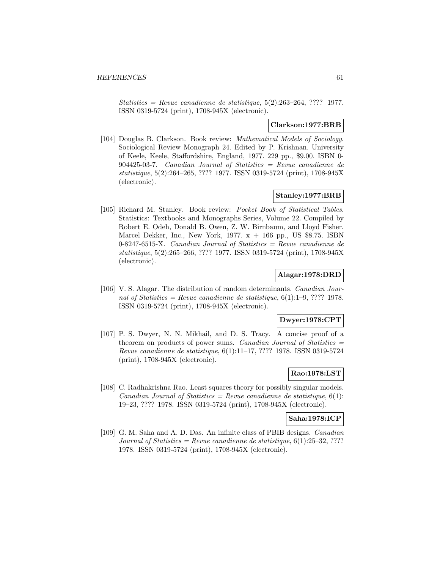$Statistics = Revenue canadienne de statistic, 5(2):263-264, ???? 1977.$ ISSN 0319-5724 (print), 1708-945X (electronic).

### **Clarkson:1977:BRB**

[104] Douglas B. Clarkson. Book review: Mathematical Models of Sociology. Sociological Review Monograph 24. Edited by P. Krishnan. University of Keele, Keele, Staffordshire, England, 1977. 229 pp., \$9.00. ISBN 0- 904425-03-7. Canadian Journal of Statistics  $=$  Revue canadienne de statistique, 5(2):264–265, ???? 1977. ISSN 0319-5724 (print), 1708-945X (electronic).

### **Stanley:1977:BRB**

[105] Richard M. Stanley. Book review: Pocket Book of Statistical Tables. Statistics: Textbooks and Monographs Series, Volume 22. Compiled by Robert E. Odeh, Donald B. Owen, Z. W. Birnbaum, and Lloyd Fisher. Marcel Dekker, Inc., New York,  $1977. x + 166$  pp., US \$8.75. ISBN 0-8247-6515-X. Canadian Journal of Statistics = Revue canadienne de statistique, 5(2):265–266, ???? 1977. ISSN 0319-5724 (print), 1708-945X (electronic).

# **Alagar:1978:DRD**

[106] V. S. Alagar. The distribution of random determinants. Canadian Journal of Statistics = Revue canadienne de statistique,  $6(1):1-9, ????$  1978. ISSN 0319-5724 (print), 1708-945X (electronic).

# **Dwyer:1978:CPT**

[107] P. S. Dwyer, N. N. Mikhail, and D. S. Tracy. A concise proof of a theorem on products of power sums. Canadian Journal of Statistics  $=$ Revue canadienne de statistique, 6(1):11–17, ???? 1978. ISSN 0319-5724 (print), 1708-945X (electronic).

### **Rao:1978:LST**

[108] C. Radhakrishna Rao. Least squares theory for possibly singular models. Canadian Journal of Statistics = Revue canadienne de statistique,  $6(1)$ : 19–23, ???? 1978. ISSN 0319-5724 (print), 1708-945X (electronic).

#### **Saha:1978:ICP**

[109] G. M. Saha and A. D. Das. An infinite class of PBIB designs. Canadian Journal of Statistics = Revue canadienne de statistique,  $6(1):25-32, ????$ 1978. ISSN 0319-5724 (print), 1708-945X (electronic).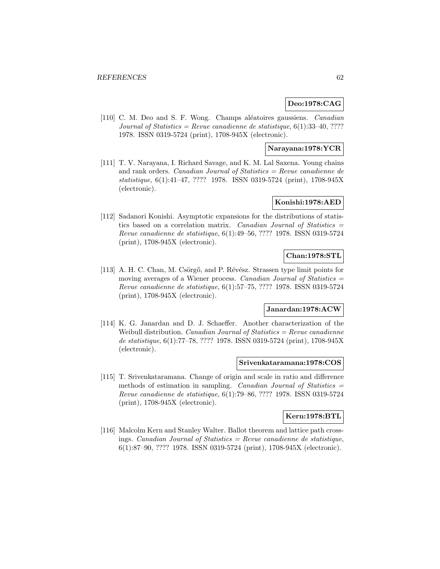# **Deo:1978:CAG**

[110] C. M. Deo and S. F. Wong. Champs aléatoires gaussiens. Canadian Journal of Statistics = Revue canadienne de statistique,  $6(1):33-40, ????$ 1978. ISSN 0319-5724 (print), 1708-945X (electronic).

#### **Narayana:1978:YCR**

[111] T. V. Narayana, I. Richard Savage, and K. M. Lal Saxena. Young chains and rank orders. Canadian Journal of Statistics = Revue canadienne de statistique, 6(1):41–47, ???? 1978. ISSN 0319-5724 (print), 1708-945X (electronic).

### **Konishi:1978:AED**

[112] Sadanori Konishi. Asymptotic expansions for the distributions of statistics based on a correlation matrix. Canadian Journal of Statistics = Revue canadienne de statistique, 6(1):49–56, ???? 1978. ISSN 0319-5724 (print), 1708-945X (electronic).

## **Chan:1978:STL**

[113] A. H. C. Chan, M. Csörgő, and P. Révész. Strassen type limit points for moving averages of a Wiener process. Canadian Journal of Statistics  $=$ Revue canadienne de statistique, 6(1):57–75, ???? 1978. ISSN 0319-5724 (print), 1708-945X (electronic).

# **Janardan:1978:ACW**

[114] K. G. Janardan and D. J. Schaeffer. Another characterization of the Weibull distribution. *Canadian Journal of Statistics = Revue canadienne* de statistique, 6(1):77–78, ???? 1978. ISSN 0319-5724 (print), 1708-945X (electronic).

#### **Srivenkataramana:1978:COS**

[115] T. Srivenkataramana. Change of origin and scale in ratio and difference methods of estimation in sampling. Canadian Journal of Statistics = Revue canadienne de statistique, 6(1):79–86, ???? 1978. ISSN 0319-5724 (print), 1708-945X (electronic).

# **Kern:1978:BTL**

[116] Malcolm Kern and Stanley Walter. Ballot theorem and lattice path crossings. Canadian Journal of Statistics = Revue canadienne de statistique, 6(1):87–90, ???? 1978. ISSN 0319-5724 (print), 1708-945X (electronic).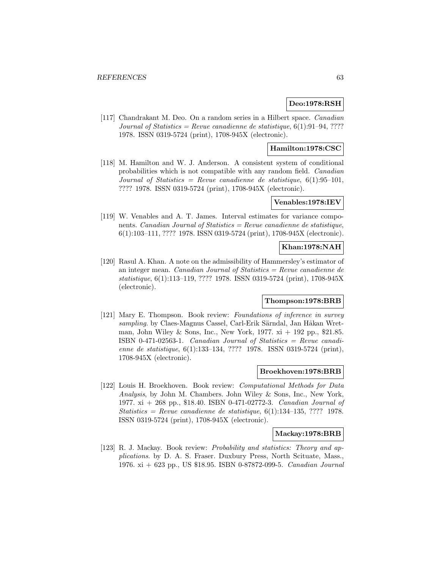# **Deo:1978:RSH**

[117] Chandrakant M. Deo. On a random series in a Hilbert space. Canadian Journal of Statistics = Revue canadienne de statistique,  $6(1):91-94, ????$ 1978. ISSN 0319-5724 (print), 1708-945X (electronic).

# **Hamilton:1978:CSC**

[118] M. Hamilton and W. J. Anderson. A consistent system of conditional probabilities which is not compatible with any random field. Canadian Journal of Statistics = Revue canadienne de statistique,  $6(1):95-101$ , ???? 1978. ISSN 0319-5724 (print), 1708-945X (electronic).

#### **Venables:1978:IEV**

[119] W. Venables and A. T. James. Interval estimates for variance components. Canadian Journal of Statistics = Revue canadienne de statistique, 6(1):103–111, ???? 1978. ISSN 0319-5724 (print), 1708-945X (electronic).

# **Khan:1978:NAH**

[120] Rasul A. Khan. A note on the admissibility of Hammersley's estimator of an integer mean. Canadian Journal of Statistics = Revue canadienne de statistique, 6(1):113–119, ???? 1978. ISSN 0319-5724 (print), 1708-945X (electronic).

#### **Thompson:1978:BRB**

[121] Mary E. Thompson. Book review: Foundations of inference in survey sampling. by Claes-Magnus Cassel, Carl-Erik Särndal, Jan Håkan Wretman, John Wiley & Sons, Inc., New York,  $1977. x_i + 192$  pp., \$21.85. ISBN 0-471-02563-1. Canadian Journal of Statistics  $=$  Revue canadienne de statistique, 6(1):133–134, ???? 1978. ISSN 0319-5724 (print), 1708-945X (electronic).

#### **Broekhoven:1978:BRB**

[122] Louis H. Broekhoven. Book review: Computational Methods for Data Analysis, by John M. Chambers. John Wiley & Sons, Inc., New York, 1977. xi + 268 pp., \$18.40. ISBN 0-471-02772-3. Canadian Journal of Statistics = Revue canadienne de statistique,  $6(1)$ :134-135, ???? 1978. ISSN 0319-5724 (print), 1708-945X (electronic).

#### **Mackay:1978:BRB**

[123] R. J. Mackay. Book review: *Probability and statistics: Theory and ap*plications. by D. A. S. Fraser. Duxbury Press, North Scituate, Mass., 1976. xi + 623 pp., US \$18.95. ISBN 0-87872-099-5. Canadian Journal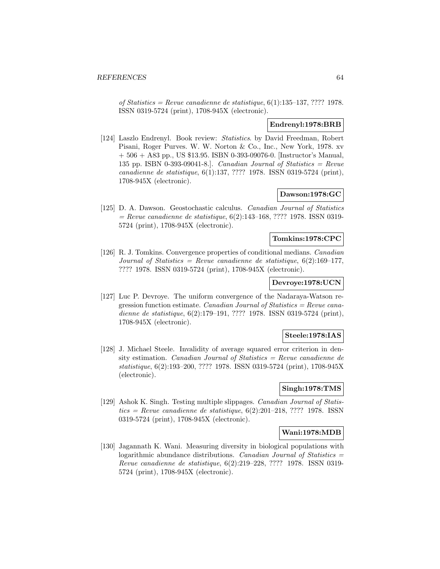of Statistics = Revue canadienne de statistique, 6(1):135–137, ???? 1978. ISSN 0319-5724 (print), 1708-945X (electronic).

# **Endrenyl:1978:BRB**

[124] Laszlo Endrenyl. Book review: Statistics. by David Freedman, Robert Pisani, Roger Purves. W. W. Norton & Co., Inc., New York, 1978. xv  $+ 506 + A83$  pp., US \$13.95. ISBN 0-393-09076-0. [Instructor's Manual, 135 pp. ISBN 0-393-09041-8.]. Canadian Journal of Statistics  $=$  Revue canadienne de statistique, 6(1):137, ???? 1978. ISSN 0319-5724 (print), 1708-945X (electronic).

# **Dawson:1978:GC**

[125] D. A. Dawson. Geostochastic calculus. Canadian Journal of Statistics  $=$  Revue canadienne de statistique, 6(2):143–168, ???? 1978. ISSN 0319-5724 (print), 1708-945X (electronic).

# **Tomkins:1978:CPC**

[126] R. J. Tomkins. Convergence properties of conditional medians. Canadian Journal of Statistics = Revue canadienne de statistique,  $6(2):169-177$ , ???? 1978. ISSN 0319-5724 (print), 1708-945X (electronic).

# **Devroye:1978:UCN**

[127] Luc P. Devroye. The uniform convergence of the Nadaraya-Watson regression function estimate. Canadian Journal of Statistics = Revue canadienne de statistique, 6(2):179–191, ???? 1978. ISSN 0319-5724 (print), 1708-945X (electronic).

## **Steele:1978:IAS**

[128] J. Michael Steele. Invalidity of average squared error criterion in density estimation. Canadian Journal of Statistics  $=$  Revue canadienne de statistique, 6(2):193–200, ???? 1978. ISSN 0319-5724 (print), 1708-945X (electronic).

#### **Singh:1978:TMS**

[129] Ashok K. Singh. Testing multiple slippages. Canadian Journal of Statis $tics = Revue$  canadienne de statistique,  $6(2):201-218$ , ???? 1978. ISSN0319-5724 (print), 1708-945X (electronic).

## **Wani:1978:MDB**

[130] Jagannath K. Wani. Measuring diversity in biological populations with logarithmic abundance distributions. Canadian Journal of Statistics  $=$ Revue canadienne de statistique, 6(2):219–228, ???? 1978. ISSN 0319- 5724 (print), 1708-945X (electronic).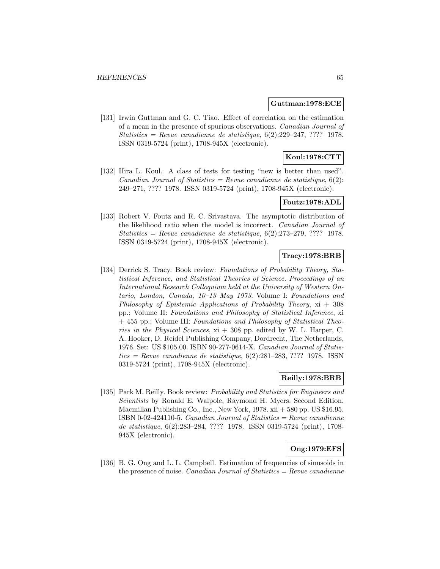#### **Guttman:1978:ECE**

[131] Irwin Guttman and G. C. Tiao. Effect of correlation on the estimation of a mean in the presence of spurious observations. Canadian Journal of  $Statistics = Revenue canadienne de statistic, 6(2):229-247, ???? 1978.$ ISSN 0319-5724 (print), 1708-945X (electronic).

# **Koul:1978:CTT**

[132] Hira L. Koul. A class of tests for testing "new is better than used". Canadian Journal of Statistics = Revue canadienne de statistique,  $6(2)$ : 249–271, ???? 1978. ISSN 0319-5724 (print), 1708-945X (electronic).

#### **Foutz:1978:ADL**

[133] Robert V. Foutz and R. C. Srivastava. The asymptotic distribution of the likelihood ratio when the model is incorrect. Canadian Journal of Statistics = Revue canadienne de statistique,  $6(2):273-279, ????$  1978. ISSN 0319-5724 (print), 1708-945X (electronic).

## **Tracy:1978:BRB**

[134] Derrick S. Tracy. Book review: Foundations of Probability Theory, Statistical Inference, and Statistical Theories of Science. Proceedings of an International Research Colloquium held at the University of Western Ontario, London, Canada, 10–13 May 1973. Volume I: Foundations and Philosophy of Epistemic Applications of Probability Theory,  $xi + 308$ pp.; Volume II: Foundations and Philosophy of Statistical Inference, xi + 455 pp.; Volume III: Foundations and Philosophy of Statistical Theories in the Physical Sciences,  $xi + 308$  pp. edited by W. L. Harper, C. A. Hooker, D. Reidel Publishing Company, Dordrecht, The Netherlands, 1976. Set: US \$105.00. ISBN 90-277-0614-X. Canadian Journal of Statis $tics = Revue$  canadienne de statistique, 6(2):281–283, ???? 1978. ISSN0319-5724 (print), 1708-945X (electronic).

### **Reilly:1978:BRB**

[135] Park M. Reilly. Book review: Probability and Statistics for Engineers and Scientists by Ronald E. Walpole, Raymond H. Myers. Second Edition. Macmillan Publishing Co., Inc., New York, 1978. xii + 580 pp. US \$16.95. ISBN 0-02-424110-5. Canadian Journal of Statistics = Revue canadienne de statistique, 6(2):283–284, ???? 1978. ISSN 0319-5724 (print), 1708- 945X (electronic).

# **Ong:1979:EFS**

[136] B. G. Ong and L. L. Campbell. Estimation of frequencies of sinusoids in the presence of noise. *Canadian Journal of Statistics = Revue canadienne*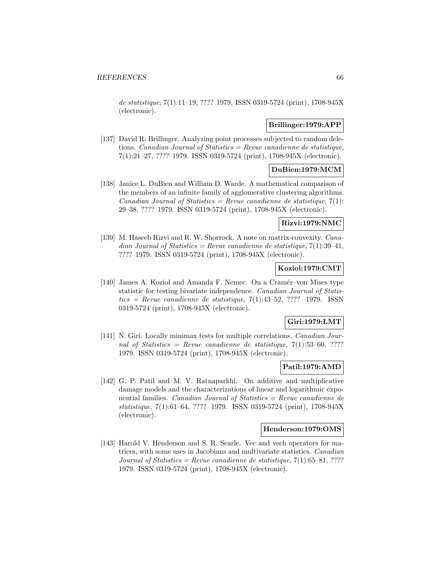de statistique, 7(1):11–19, ???? 1979. ISSN 0319-5724 (print), 1708-945X (electronic).

# **Brillinger:1979:APP**

[137] David R. Brillinger. Analyzing point processes subjected to random deletions. Canadian Journal of Statistics = Revue canadienne de statistique, 7(1):21–27, ???? 1979. ISSN 0319-5724 (print), 1708-945X (electronic).

# **DuBien:1979:MCM**

[138] Janice L. DuBien and William D. Warde. A mathematical comparison of the members of an infinite family of agglomerative clustering algorithms. Canadian Journal of Statistics = Revue canadienne de statistique,  $7(1)$ : 29–38, ???? 1979. ISSN 0319-5724 (print), 1708-945X (electronic).

# **Rizvi:1979:NMC**

[139] M. Haseeb Rizvi and R. W. Shorrock. A note on matrix-convexity. Canadian Journal of Statistics = Revue canadienne de statistique,  $7(1):39-41$ , ???? 1979. ISSN 0319-5724 (print), 1708-945X (electronic).

## **Koziol:1979:CMT**

[140] James A. Koziol and Amanda F. Nemec. On a Cramér–von Mises type statistic for testing bivariate independence. Canadian Journal of Statis $tics = Revenue canadienne de statisticque, 7(1):43-52, ???? 1979. ISSN$ 0319-5724 (print), 1708-945X (electronic).

### **Giri:1979:LMT**

[141] N. Giri. Locally minimax tests for multiple correlations. *Canadian Jour*nal of Statistics = Revue canadienne de statistique,  $7(1):53-60, ???$ 1979. ISSN 0319-5724 (print), 1708-945X (electronic).

# **Patil:1979:AMD**

[142] G. P. Patil and M. V. Ratnaparkhi. On additive and multiplicative damage models and the characterizations of linear and logarithmic exponential families. Canadian Journal of Statistics = Revue canadienne de statistique, 7(1):61–64, ???? 1979. ISSN 0319-5724 (print), 1708-945X (electronic).

# **Henderson:1979:OMS**

[143] Harold V. Henderson and S. R. Searle. Vec and vech operators for matrices, with some uses in Jacobians and multivariate statistics. Canadian Journal of Statistics = Revue canadienne de statistique,  $7(1):65-81, ????$ 1979. ISSN 0319-5724 (print), 1708-945X (electronic).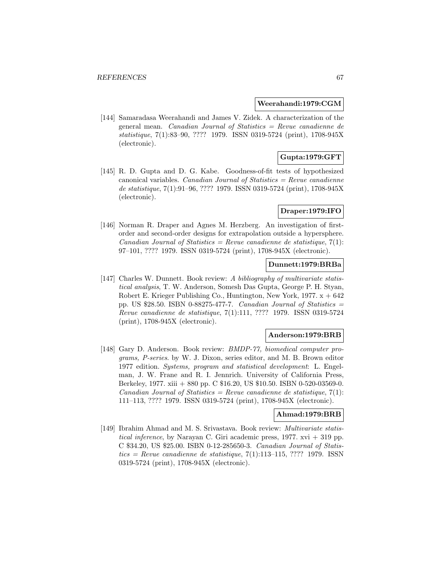#### **Weerahandi:1979:CGM**

[144] Samaradasa Weerahandi and James V. Zidek. A characterization of the general mean. Canadian Journal of Statistics = Revue canadienne de statistique, 7(1):83–90, ???? 1979. ISSN 0319-5724 (print), 1708-945X (electronic).

# **Gupta:1979:GFT**

[145] R. D. Gupta and D. G. Kabe. Goodness-of-fit tests of hypothesized canonical variables. Canadian Journal of Statistics  $=$  Revue canadienne de statistique, 7(1):91–96, ???? 1979. ISSN 0319-5724 (print), 1708-945X (electronic).

# **Draper:1979:IFO**

[146] Norman R. Draper and Agnes M. Herzberg. An investigation of firstorder and second-order designs for extrapolation outside a hypersphere. Canadian Journal of Statistics = Revue canadienne de statistique,  $7(1)$ : 97–101, ???? 1979. ISSN 0319-5724 (print), 1708-945X (electronic).

### **Dunnett:1979:BRBa**

[147] Charles W. Dunnett. Book review: A bibliography of multivariate statistical analysis, T. W. Anderson, Somesh Das Gupta, George P. H. Styan, Robert E. Krieger Publishing Co., Huntington, New York,  $1977. x + 642$ pp. US \$28.50. ISBN 0-88275-477-7. Canadian Journal of Statistics  $=$ Revue canadienne de statistique, 7(1):111, ???? 1979. ISSN 0319-5724 (print), 1708-945X (electronic).

## **Anderson:1979:BRB**

[148] Gary D. Anderson. Book review: BMDP-77, biomedical computer programs, P-series. by W. J. Dixon, series editor, and M. B. Brown editor 1977 edition. Systems, program and statistical development: L. Engelman, J. W. Frane and R. I. Jennrich. University of California Press, Berkeley, 1977. xiii + 880 pp. C \$16.20, US \$10.50. ISBN 0-520-03569-0. Canadian Journal of Statistics = Revue canadienne de statistique,  $7(1)$ : 111–113, ???? 1979. ISSN 0319-5724 (print), 1708-945X (electronic).

# **Ahmad:1979:BRB**

[149] Ibrahim Ahmad and M. S. Srivastava. Book review: Multivariate statistical inference, by Narayan C. Giri academic press,  $1977$ . xvi  $+319$  pp. C \$34.20, US \$25.00. ISBN 0-12-285650-3. Canadian Journal of Statis $tics = Revenue canadienne de statistique, 7(1):113-115, ???? 1979. ISSN$ 0319-5724 (print), 1708-945X (electronic).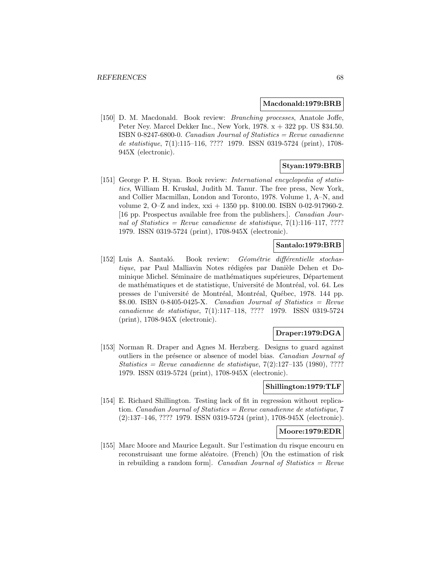#### **Macdonald:1979:BRB**

[150] D. M. Macdonald. Book review: *Branching processes*, Anatole Joffe, Peter Ney. Marcel Dekker Inc., New York,  $1978. x + 322$  pp. US \$34.50. ISBN 0-8247-6800-0. Canadian Journal of Statistics = Revue canadienne de statistique, 7(1):115–116, ???? 1979. ISSN 0319-5724 (print), 1708- 945X (electronic).

# **Styan:1979:BRB**

[151] George P. H. Styan. Book review: International encyclopedia of statistics, William H. Kruskal, Judith M. Tanur. The free press, New York, and Collier Macmillan, London and Toronto, 1978. Volume 1, A–N, and volume 2, O–Z and index, xxi + 1350 pp. \$100.00. ISBN 0-02-917960-2. [16 pp. Prospectus available free from the publishers.]. Canadian Journal of Statistics = Revue canadienne de statistique,  $7(1):116-117, ????$ 1979. ISSN 0319-5724 (print), 1708-945X (electronic).

### **Santalo:1979:BRB**

[152] Luis A. Santaló. Book review: Géométrie différentielle stochastique, par Paul Malliavin Notes rédigées par Danièle Dehen et Dominique Michel. Séminaire de mathématiques supérieures, Département de mathématiques et de statistique, Université de Montréal, vol. 64. Les presses de l'université de Montréal, Montréal, Québec, 1978. 144 pp.  $$8.00. ISBN 0-8405-0425-X.$  Canadian Journal of Statistics = Revue canadienne de statistique, 7(1):117–118, ???? 1979. ISSN 0319-5724 (print), 1708-945X (electronic).

### **Draper:1979:DGA**

[153] Norman R. Draper and Agnes M. Herzberg. Designs to guard against outliers in the présence or absence of model bias. Canadian Journal of Statistics = Revue canadienne de statistique,  $7(2):127-135$  (1980), ???? 1979. ISSN 0319-5724 (print), 1708-945X (electronic).

#### **Shillington:1979:TLF**

[154] E. Richard Shillington. Testing lack of fit in regression without replication. Canadian Journal of Statistics = Revue canadienne de statistique, 7 (2):137–146, ???? 1979. ISSN 0319-5724 (print), 1708-945X (electronic).

# **Moore:1979:EDR**

[155] Marc Moore and Maurice Legault. Sur l'estimation du risque encouru en reconstruisant une forme aléatoire. (French) [On the estimation of risk in rebuilding a random form]. Canadian Journal of Statistics  $=$  Revue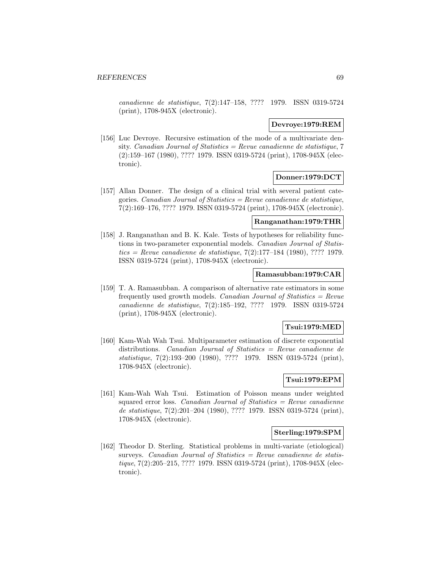canadienne de statistique, 7(2):147–158, ???? 1979. ISSN 0319-5724 (print), 1708-945X (electronic).

### **Devroye:1979:REM**

[156] Luc Devroye. Recursive estimation of the mode of a multivariate density. Canadian Journal of Statistics = Revue canadienne de statistique,  $7$ (2):159–167 (1980), ???? 1979. ISSN 0319-5724 (print), 1708-945X (electronic).

### **Donner:1979:DCT**

[157] Allan Donner. The design of a clinical trial with several patient categories. Canadian Journal of Statistics = Revue canadienne de statistique, 7(2):169–176, ???? 1979. ISSN 0319-5724 (print), 1708-945X (electronic).

#### **Ranganathan:1979:THR**

[158] J. Ranganathan and B. K. Kale. Tests of hypotheses for reliability functions in two-parameter exponential models. Canadian Journal of Statis $tics = Revue$  canadienne de statistique, 7(2):177–184 (1980), ???? 1979.ISSN 0319-5724 (print), 1708-945X (electronic).

#### **Ramasubban:1979:CAR**

[159] T. A. Ramasubban. A comparison of alternative rate estimators in some frequently used growth models. *Canadian Journal of Statistics = Revue* canadienne de statistique, 7(2):185–192, ???? 1979. ISSN 0319-5724 (print), 1708-945X (electronic).

### **Tsui:1979:MED**

[160] Kam-Wah Wah Tsui. Multiparameter estimation of discrete exponential distributions. Canadian Journal of Statistics = Revue canadienne de statistique, 7(2):193–200 (1980), ???? 1979. ISSN 0319-5724 (print), 1708-945X (electronic).

# **Tsui:1979:EPM**

[161] Kam-Wah Wah Tsui. Estimation of Poisson means under weighted squared error loss. Canadian Journal of Statistics  $=$  Revue canadienne de statistique, 7(2):201–204 (1980), ???? 1979. ISSN 0319-5724 (print), 1708-945X (electronic).

#### **Sterling:1979:SPM**

[162] Theodor D. Sterling. Statistical problems in multi-variate (etiological) surveys. Canadian Journal of Statistics  $=$  Revue canadienne de statistique, 7(2):205–215, ???? 1979. ISSN 0319-5724 (print), 1708-945X (electronic).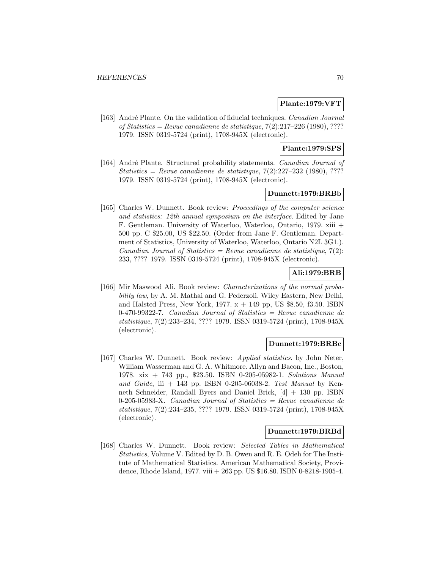### **Plante:1979:VFT**

[163] André Plante. On the validation of fiducial techniques. Canadian Journal of Statistics = Revue canadienne de statistique,  $7(2):217-226$  (1980), ???? 1979. ISSN 0319-5724 (print), 1708-945X (electronic).

# **Plante:1979:SPS**

[164] André Plante. Structured probability statements. *Canadian Journal of*  $Statistics = Revenue canadienne de statistic, 7(2):227-232 (1980), ????$ 1979. ISSN 0319-5724 (print), 1708-945X (electronic).

## **Dunnett:1979:BRBb**

[165] Charles W. Dunnett. Book review: Proceedings of the computer science and statistics: 12th annual symposium on the interface. Edited by Jane F. Gentleman. University of Waterloo, Waterloo, Ontario, 1979. xiii + 500 pp. C \$25.00, US \$22.50. (Order from Jane F. Gentleman. Department of Statistics, University of Waterloo, Waterloo, Ontario N2L 3G1.). Canadian Journal of Statistics = Revue canadienne de statistique,  $7(2)$ : 233, ???? 1979. ISSN 0319-5724 (print), 1708-945X (electronic).

# **Ali:1979:BRB**

[166] Mir Maswood Ali. Book review: *Characterizations of the normal proba*bility law, by A. M. Mathai and G. Pederzoli. Wiley Eastern, New Delhi, and Halsted Press, New York, 1977.  $x + 149$  pp, US \$8.50, f3.50. ISBN  $0-470-99322-7$ . Canadian Journal of Statistics = Revue canadienne de statistique, 7(2):233–234, ???? 1979. ISSN 0319-5724 (print), 1708-945X (electronic).

# **Dunnett:1979:BRBc**

[167] Charles W. Dunnett. Book review: Applied statistics. by John Neter, William Wasserman and G. A. Whitmore. Allyn and Bacon, Inc., Boston, 1978. xix + 743 pp., \$23.50. ISBN 0-205-05982-1. Solutions Manual and Guide, iii  $+$  143 pp. ISBN 0-205-06038-2. Test Manual by Kenneth Schneider, Randall Byers and Daniel Brick, [4] + 130 pp. ISBN 0-205-05983-X. Canadian Journal of Statistics = Revue canadienne de statistique, 7(2):234–235, ???? 1979. ISSN 0319-5724 (print), 1708-945X (electronic).

#### **Dunnett:1979:BRBd**

[168] Charles W. Dunnett. Book review: Selected Tables in Mathematical Statistics, Volume V. Edited by D. B. Owen and R. E. Odeh for The Institute of Mathematical Statistics. American Mathematical Society, Providence, Rhode Island, 1977. viii + 263 pp. US \$16.80. ISBN 0-8218-1905-4.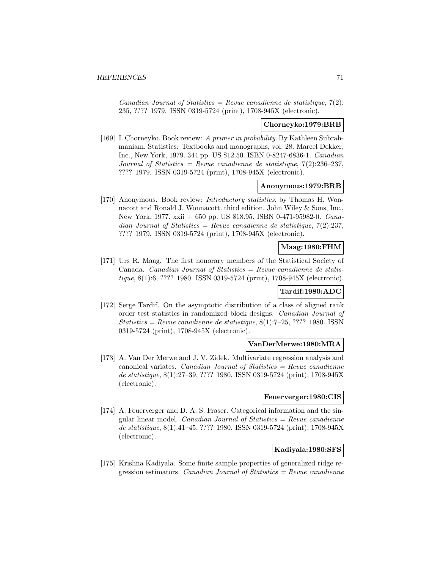Canadian Journal of Statistics = Revue canadienne de statistique,  $7(2)$ : 235, ???? 1979. ISSN 0319-5724 (print), 1708-945X (electronic).

### **Chorneyko:1979:BRB**

[169] I. Chorneyko. Book review: A primer in probability. By Kathleen Subrahmaniam. Statistics: Textbooks and monographs, vol. 28. Marcel Dekker, Inc., New York, 1979. 344 pp. US \$12.50. ISBN 0-8247-6836-1. Canadian Journal of Statistics = Revue canadienne de statistique,  $7(2):236-237$ , ???? 1979. ISSN 0319-5724 (print), 1708-945X (electronic).

# **Anonymous:1979:BRB**

[170] Anonymous. Book review: Introductory statistics. by Thomas H. Wonnacott and Ronald J. Wonnacott. third edition. John Wiley & Sons, Inc., New York, 1977. xxii + 650 pp. US \$18.95. ISBN 0-471-95982-0. Canadian Journal of Statistics = Revue canadienne de statistique,  $7(2):237$ , ???? 1979. ISSN 0319-5724 (print), 1708-945X (electronic).

# **Maag:1980:FHM**

[171] Urs R. Maag. The first honorary members of the Statistical Society of Canada. Canadian Journal of Statistics  $=$  Revue canadienne de statistique, 8(1):6, ???? 1980. ISSN 0319-5724 (print), 1708-945X (electronic).

## **Tardif:1980:ADC**

[172] Serge Tardif. On the asymptotic distribution of a class of aligned rank order test statistics in randomized block designs. Canadian Journal of  $Statistics = Revenue$  canadienne de statistique,  $8(1):7-25,????$  1980. ISSN 0319-5724 (print), 1708-945X (electronic).

## **VanDerMerwe:1980:MRA**

[173] A. Van Der Merwe and J. V. Zidek. Multivariate regression analysis and canonical variates. Canadian Journal of Statistics  $=$  Revue canadienne de statistique, 8(1):27–39, ???? 1980. ISSN 0319-5724 (print), 1708-945X (electronic).

#### **Feuerverger:1980:CIS**

[174] A. Feuerverger and D. A. S. Fraser. Categorical information and the singular linear model. Canadian Journal of Statistics  $=$  Revue canadienne de statistique, 8(1):41–45, ???? 1980. ISSN 0319-5724 (print), 1708-945X (electronic).

# **Kadiyala:1980:SFS**

[175] Krishna Kadiyala. Some finite sample properties of generalized ridge regression estimators. Canadian Journal of Statistics  $=$  Revue canadienne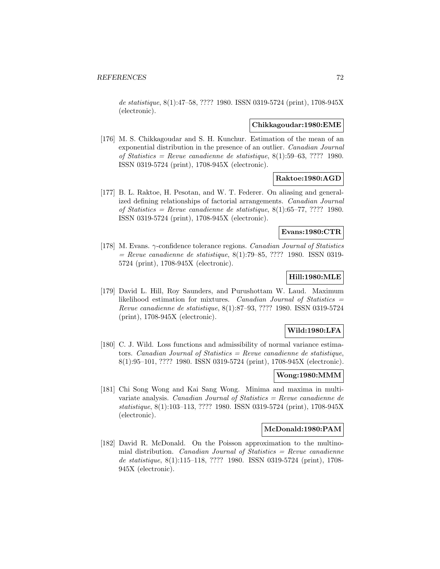de statistique, 8(1):47–58, ???? 1980. ISSN 0319-5724 (print), 1708-945X (electronic).

#### **Chikkagoudar:1980:EME**

[176] M. S. Chikkagoudar and S. H. Kunchur. Estimation of the mean of an exponential distribution in the presence of an outlier. Canadian Journal of Statistics = Revue canadienne de statistique,  $8(1):59-63, ????$  1980. ISSN 0319-5724 (print), 1708-945X (electronic).

## **Raktoe:1980:AGD**

[177] B. L. Raktoe, H. Pesotan, and W. T. Federer. On aliasing and generalized defining relationships of factorial arrangements. Canadian Journal of Statistics = Revue canadienne de statistique,  $8(1):65-77, ????$  1980. ISSN 0319-5724 (print), 1708-945X (electronic).

## **Evans:1980:CTR**

[178] M. Evans. γ-confidence tolerance regions. Canadian Journal of Statistics  $=$  Revue canadienne de statistique, 8(1):79–85, ???? 1980. ISSN 0319-5724 (print), 1708-945X (electronic).

# **Hill:1980:MLE**

[179] David L. Hill, Roy Saunders, and Purushottam W. Laud. Maximum likelihood estimation for mixtures. Canadian Journal of Statistics = Revue canadienne de statistique, 8(1):87–93, ???? 1980. ISSN 0319-5724 (print), 1708-945X (electronic).

# **Wild:1980:LFA**

[180] C. J. Wild. Loss functions and admissibility of normal variance estimators. Canadian Journal of Statistics = Revue canadienne de statistique, 8(1):95–101, ???? 1980. ISSN 0319-5724 (print), 1708-945X (electronic).

#### **Wong:1980:MMM**

[181] Chi Song Wong and Kai Sang Wong. Minima and maxima in multivariate analysis. Canadian Journal of Statistics  $=$  Revue canadienne de statistique, 8(1):103–113, ???? 1980. ISSN 0319-5724 (print), 1708-945X (electronic).

# **McDonald:1980:PAM**

[182] David R. McDonald. On the Poisson approximation to the multinomial distribution. Canadian Journal of Statistics  $=$  Revue canadienne de statistique, 8(1):115–118, ???? 1980. ISSN 0319-5724 (print), 1708- 945X (electronic).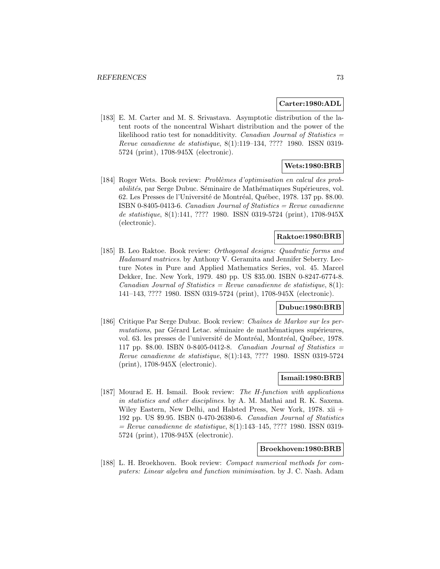#### **Carter:1980:ADL**

[183] E. M. Carter and M. S. Srivastava. Asymptotic distribution of the latent roots of the noncentral Wishart distribution and the power of the likelihood ratio test for nonadditivity. Canadian Journal of Statistics  $=$ Revue canadienne de statistique, 8(1):119–134, ???? 1980. ISSN 0319- 5724 (print), 1708-945X (electronic).

# **Wets:1980:BRB**

[184] Roger Wets. Book review: *Problèmes d'optimisation en calcul des prob*abilités, par Serge Dubuc. Séminaire de Mathématiques Supérieures, vol. 62. Les Presses de l'Université de Montréal, Québec, 1978. 137 pp. \$8.00. ISBN 0-8405-0413-6. Canadian Journal of Statistics = Revue canadienne de statistique, 8(1):141, ???? 1980. ISSN 0319-5724 (print), 1708-945X (electronic).

## **Raktoe:1980:BRB**

[185] B. Leo Raktoe. Book review: Orthogonal designs: Quadratic forms and Hadamard matrices. by Anthony V. Geramita and Jennifer Seberry. Lecture Notes in Pure and Applied Mathematics Series, vol. 45. Marcel Dekker, Inc. New York, 1979. 480 pp. US \$35.00. ISBN 0-8247-6774-8. Canadian Journal of Statistics = Revue canadienne de statistique,  $8(1)$ : 141–143, ???? 1980. ISSN 0319-5724 (print), 1708-945X (electronic).

# **Dubuc:1980:BRB**

[186] Critique Par Serge Dubuc. Book review: Chaˆınes de Markov sur les permutations, par Gérard Letac. séminaire de mathématiques supérieures, vol. 63. les presses de l'université de Montréal, Montréal, Québec, 1978. 117 pp.  $$8.00.$  ISBN 0-8405-0412-8. Canadian Journal of Statistics = Revue canadienne de statistique, 8(1):143, ???? 1980. ISSN 0319-5724 (print), 1708-945X (electronic).

## **Ismail:1980:BRB**

[187] Mourad E. H. Ismail. Book review: The H-function with applications in statistics and other disciplines. by A. M. Mathai and R. K. Saxena. Wiley Eastern, New Delhi, and Halsted Press, New York, 1978. xii + 192 pp. US \$9.95. ISBN 0-470-26380-6. Canadian Journal of Statistics  $=$  Revue canadienne de statistique, 8(1):143–145, ???? 1980. ISSN 0319-5724 (print), 1708-945X (electronic).

#### **Broekhoven:1980:BRB**

[188] L. H. Broekhoven. Book review: Compact numerical methods for computers: Linear algebra and function minimisation. by J. C. Nash. Adam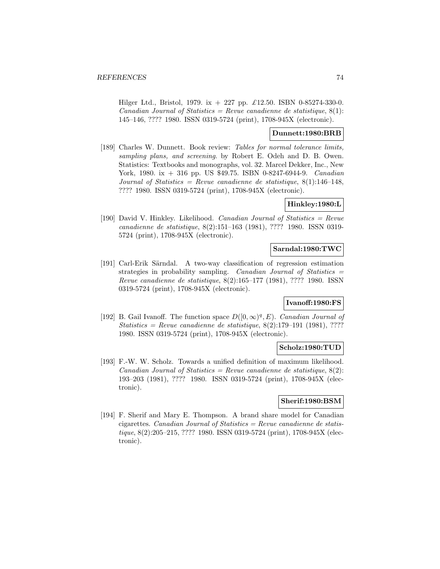Hilger Ltd., Bristol, 1979. ix + 227 pp. £12.50. ISBN 0-85274-330-0. Canadian Journal of Statistics = Revue canadienne de statistique,  $8(1)$ : 145–146, ???? 1980. ISSN 0319-5724 (print), 1708-945X (electronic).

## **Dunnett:1980:BRB**

[189] Charles W. Dunnett. Book review: Tables for normal tolerance limits, sampling plans, and screening. by Robert E. Odeh and D. B. Owen. Statistics: Textbooks and monographs, vol. 32. Marcel Dekker, Inc., New York, 1980. ix + 316 pp. US \$49.75. ISBN 0-8247-6944-9. *Canadian* Journal of Statistics = Revue canadienne de statistique,  $8(1):146-148$ , ???? 1980. ISSN 0319-5724 (print), 1708-945X (electronic).

## **Hinkley:1980:L**

[190] David V. Hinkley. Likelihood. *Canadian Journal of Statistics = Revue* canadienne de statistique, 8(2):151–163 (1981), ???? 1980. ISSN 0319- 5724 (print), 1708-945X (electronic).

# **Sarndal:1980:TWC**

[191] Carl-Erik Särndal. A two-way classification of regression estimation strategies in probability sampling. Canadian Journal of Statistics = Revue canadienne de statistique, 8(2):165–177 (1981), ???? 1980. ISSN 0319-5724 (print), 1708-945X (electronic).

## **Ivanoff:1980:FS**

[192] B. Gail Ivanoff. The function space  $D([0,\infty)^q,E$ ). Canadian Journal of  $Statistics = Revenue$  canadienne de statistique, 8(2):179–191 (1981), ????1980. ISSN 0319-5724 (print), 1708-945X (electronic).

## **Scholz:1980:TUD**

[193] F.-W. W. Scholz. Towards a unified definition of maximum likelihood. Canadian Journal of Statistics = Revue canadienne de statistique,  $8(2)$ : 193–203 (1981), ???? 1980. ISSN 0319-5724 (print), 1708-945X (electronic).

# **Sherif:1980:BSM**

[194] F. Sherif and Mary E. Thompson. A brand share model for Canadian cigarettes. Canadian Journal of Statistics = Revue canadienne de statistique, 8(2):205–215, ???? 1980. ISSN 0319-5724 (print), 1708-945X (electronic).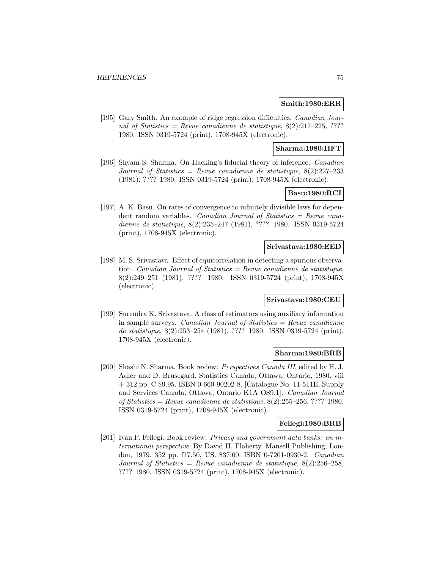#### **Smith:1980:ERR**

[195] Gary Smith. An example of ridge regression difficulties. Canadian Journal of Statistics = Revue canadienne de statistique,  $8(2):217-225, ????$ 1980. ISSN 0319-5724 (print), 1708-945X (electronic).

## **Sharma:1980:HFT**

[196] Shyam S. Sharma. On Hacking's fiducial theory of inference. Canadian Journal of Statistics = Revue canadienne de statistique,  $8(2):227-233$ (1981), ???? 1980. ISSN 0319-5724 (print), 1708-945X (electronic).

# **Basu:1980:RCI**

[197] A. K. Basu. On rates of convergence to infinitely divisible laws for dependent random variables. Canadian Journal of Statistics = Revue canadienne de statistique, 8(2):235–247 (1981), ???? 1980. ISSN 0319-5724 (print), 1708-945X (electronic).

#### **Srivastava:1980:EED**

[198] M. S. Srivastava. Effect of equicorrelation in detecting a spurious observation. Canadian Journal of Statistics  $=$  Revue canadienne de statistique, 8(2):249–251 (1981), ???? 1980. ISSN 0319-5724 (print), 1708-945X (electronic).

## **Srivastava:1980:CEU**

[199] Surendra K. Srivastava. A class of estimators using auxiliary information in sample surveys. *Canadian Journal of Statistics = Revue canadienne* de statistique, 8(2):253–254 (1981), ???? 1980. ISSN 0319-5724 (print), 1708-945X (electronic).

#### **Sharma:1980:BRB**

[200] Shashi N. Sharma. Book review: Perspectives Canada III, edited by H. J. Adler and D. Brusegard. Statistics Canada, Ottawa, Ontario, 1980. viii  $+ 312$  pp. C \$9.95. ISBN 0-660-90202-8. [Catalogue No. 11-511E, Supply and Services Canada, Ottawa, Ontario K1A OS9.1]. Canadian Journal of Statistics = Revue canadienne de statistique,  $8(2):255-256, ????$  1980. ISSN 0319-5724 (print), 1708-945X (electronic).

#### **Fellegi:1980:BRB**

[201] Ivan P. Fellegi. Book review: Privacy and government data banks: an internationai perspective. By David H. Flaherty. Mansell Publishing, London, 1979. 352 pp. f17.50, US. \$37.00. ISBN 0-7201-0930-2. Canadian Journal of Statistics = Revue canadienne de statistique,  $8(2):256-258$ , ???? 1980. ISSN 0319-5724 (print), 1708-945X (electronic).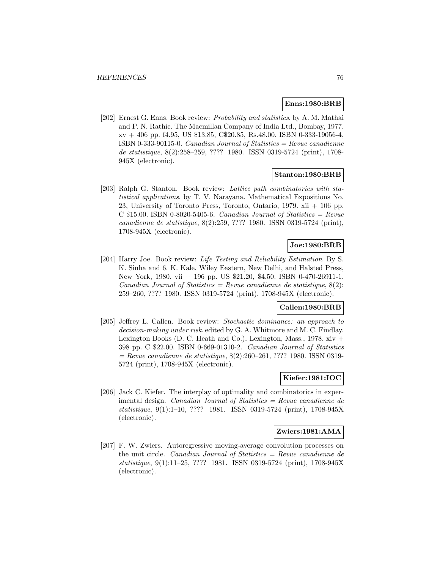#### **Enns:1980:BRB**

[202] Ernest G. Enns. Book review: Probability and statistics. by A. M. Mathai and P. N. Rathie. The Macmillan Company of India Ltd., Bombay, 1977. xv + 406 pp. f4.95, US \$13.85, C\$20.85, Rs.48.00. ISBN 0-333-19056-4, ISBN 0-333-90115-0. *Canadian Journal of Statistics = Revue canadienne* de statistique, 8(2):258–259, ???? 1980. ISSN 0319-5724 (print), 1708- 945X (electronic).

#### **Stanton:1980:BRB**

[203] Ralph G. Stanton. Book review: Lattice path combinatorics with statistical applications. by T. V. Narayana. Mathematical Expositions No. 23, University of Toronto Press, Toronto, Ontario, 1979. xii + 106 pp. C  $$15.00.$  ISBN 0-8020-5405-6. Canadian Journal of Statistics = Revue canadienne de statistique, 8(2):259, ???? 1980. ISSN 0319-5724 (print), 1708-945X (electronic).

# **Joe:1980:BRB**

[204] Harry Joe. Book review: Life Testing and Reliability Estimation. By S. K. Sinha and 6. K. Kale. Wiley Eastern, New Delhi, and Halsted Press, New York, 1980. vii + 196 pp. US \$21.20, \$4.50. ISBN 0-470-26911-1. Canadian Journal of Statistics = Revue canadienne de statistique,  $8(2)$ : 259–260, ???? 1980. ISSN 0319-5724 (print), 1708-945X (electronic).

# **Callen:1980:BRB**

[205] Jeffrey L. Callen. Book review: Stochastic dominance: an approach to decision-making under risk. edited by G. A. Whitmore and M. C. Findlay. Lexington Books (D. C. Heath and Co.), Lexington, Mass., 1978.  $xiv +$ 398 pp. C \$22.00. ISBN 0-669-01310-2. Canadian Journal of Statistics  $=$  Revue canadienne de statistique, 8(2):260–261, ???? 1980. ISSN 0319-5724 (print), 1708-945X (electronic).

## **Kiefer:1981:IOC**

[206] Jack C. Kiefer. The interplay of optimality and combinatorics in experimental design. Canadian Journal of Statistics = Revue canadienne de statistique, 9(1):1–10, ???? 1981. ISSN 0319-5724 (print), 1708-945X (electronic).

#### **Zwiers:1981:AMA**

[207] F. W. Zwiers. Autoregressive moving-average convolution processes on the unit circle. Canadian Journal of Statistics  $=$  Revue canadienne de statistique, 9(1):11–25, ???? 1981. ISSN 0319-5724 (print), 1708-945X (electronic).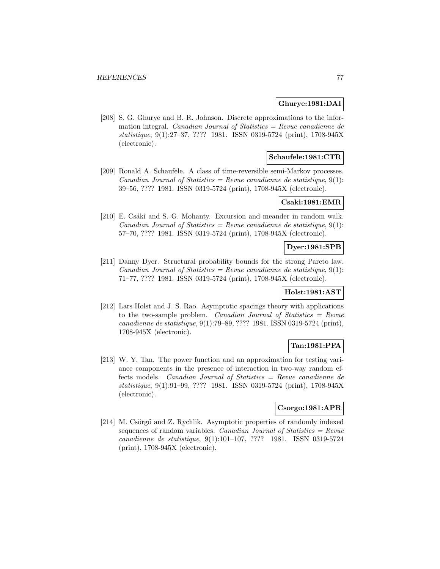## **Ghurye:1981:DAI**

[208] S. G. Ghurye and B. R. Johnson. Discrete approximations to the information integral. Canadian Journal of Statistics = Revue canadienne de statistique, 9(1):27–37, ???? 1981. ISSN 0319-5724 (print), 1708-945X (electronic).

# **Schaufele:1981:CTR**

[209] Ronald A. Schaufele. A class of time-reversible semi-Markov processes. Canadian Journal of Statistics = Revue canadienne de statistique,  $9(1)$ : 39–56, ???? 1981. ISSN 0319-5724 (print), 1708-945X (electronic).

## **Csaki:1981:EMR**

[210] E. Csáki and S. G. Mohanty. Excursion and meander in random walk. Canadian Journal of Statistics = Revue canadienne de statistique,  $9(1)$ : 57–70, ???? 1981. ISSN 0319-5724 (print), 1708-945X (electronic).

# **Dyer:1981:SPB**

[211] Danny Dyer. Structural probability bounds for the strong Pareto law. Canadian Journal of Statistics = Revue canadienne de statistique,  $9(1)$ : 71–77, ???? 1981. ISSN 0319-5724 (print), 1708-945X (electronic).

# **Holst:1981:AST**

[212] Lars Holst and J. S. Rao. Asymptotic spacings theory with applications to the two-sample problem. Canadian Journal of Statistics = Revue canadienne de statistique, 9(1):79–89, ???? 1981. ISSN 0319-5724 (print), 1708-945X (electronic).

## **Tan:1981:PFA**

[213] W. Y. Tan. The power function and an approximation for testing variance components in the presence of interaction in two-way random effects models. Canadian Journal of Statistics = Revue canadienne de statistique, 9(1):91–99, ???? 1981. ISSN 0319-5724 (print), 1708-945X (electronic).

## **Csorgo:1981:APR**

[214] M. Csörgő and Z. Rychlik. Asymptotic properties of randomly indexed sequences of random variables. Canadian Journal of Statistics  $=$  Revue canadienne de statistique, 9(1):101–107, ???? 1981. ISSN 0319-5724 (print), 1708-945X (electronic).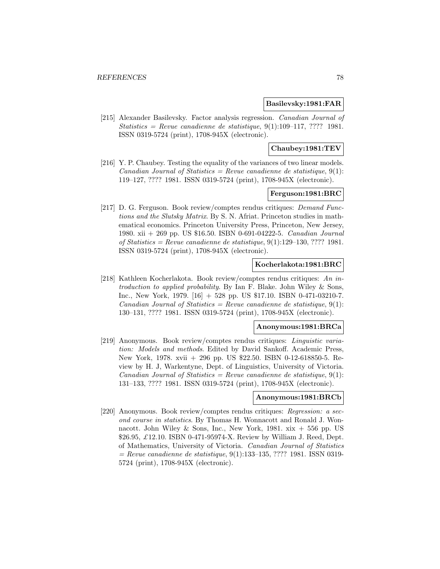#### **Basilevsky:1981:FAR**

[215] Alexander Basilevsky. Factor analysis regression. Canadian Journal of Statistics = Revue canadienne de statistique,  $9(1):109-117, ????$  1981. ISSN 0319-5724 (print), 1708-945X (electronic).

#### **Chaubey:1981:TEV**

[216] Y. P. Chaubey. Testing the equality of the variances of two linear models. Canadian Journal of Statistics = Revue canadienne de statistique,  $9(1)$ : 119–127, ???? 1981. ISSN 0319-5724 (print), 1708-945X (electronic).

## **Ferguson:1981:BRC**

[217] D. G. Ferguson. Book review/comptes rendus critiques: Demand Functions and the Slutsky Matrix. By S. N. Afriat. Princeton studies in mathematical economics. Princeton University Press, Princeton, New Jersey, 1980. xii + 269 pp. US \$16.50. ISBN 0-691-04222-5. Canadian Journal of Statistics = Revue canadienne de statistique,  $9(1):129-130, ????$  1981. ISSN 0319-5724 (print), 1708-945X (electronic).

## **Kocherlakota:1981:BRC**

[218] Kathleen Kocherlakota. Book review/comptes rendus critiques: An introduction to applied probability. By Ian F. Blake. John Wiley & Sons, Inc., New York, 1979. [16] + 528 pp. US \$17.10. ISBN 0-471-03210-7. Canadian Journal of Statistics = Revue canadienne de statistique,  $9(1)$ : 130–131, ???? 1981. ISSN 0319-5724 (print), 1708-945X (electronic).

#### **Anonymous:1981:BRCa**

[219] Anonymous. Book review/comptes rendus critiques: Linguistic variation: Models and methods. Edited by David Sankoff. Academic Press, New York, 1978. xvii + 296 pp. US \$22.50. ISBN 0-12-618850-5. Review by H. J, Warkentyne, Dept. of Linguistics, University of Victoria. Canadian Journal of Statistics = Revue canadienne de statistique,  $9(1)$ : 131–133, ???? 1981. ISSN 0319-5724 (print), 1708-945X (electronic).

#### **Anonymous:1981:BRCb**

[220] Anonymous. Book review/comptes rendus critiques: Regression: a second course in statistics. By Thomas H. Wonnacott and Ronald J. Wonnacott. John Wiley & Sons, Inc., New York, 1981.  $x\dot{x} + 556$  pp. US \$26.95,  $\pounds$ 12.10. ISBN 0-471-95974-X. Review by William J. Reed, Dept. of Mathematics, University of Victoria. Canadian Journal of Statistics  $=$  Revue canadienne de statistique, 9(1):133–135, ???? 1981. ISSN 0319-5724 (print), 1708-945X (electronic).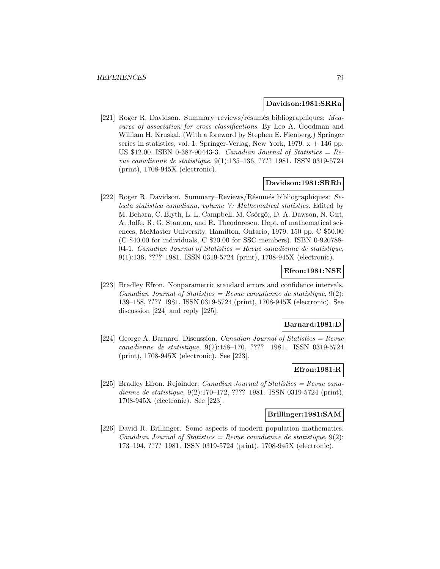#### **Davidson:1981:SRRa**

[221] Roger R. Davidson. Summary–reviews/résumés bibliographiques: Measures of association for cross classifications. By Leo A. Goodman and William H. Kruskal. (With a foreword by Stephen E. Fienberg.) Springer series in statistics, vol. 1. Springer-Verlag, New York,  $1979$ .  $x + 146$  pp. US \$12.00. ISBN 0-387-90443-3. Canadian Journal of Statistics =  $Re$ vue canadienne de statistique, 9(1):135–136, ???? 1981. ISSN 0319-5724 (print), 1708-945X (electronic).

#### **Davidson:1981:SRRb**

[222] Roger R. Davidson. Summary–Reviews/Résumés bibliographiques: Selecta statistica canadiana, volume V: Mathematical statistics. Edited by M. Behara, C. Blyth, L. L. Campbell, M. Csörgő;, D. A. Dawson, N. Giri, A. Joffe, R. G. Stanton, and R. Theodorescu. Dept. of mathematical sciences, McMaster University, Hamilton, Ontario, 1979. 150 pp. C \$50.00 (C \$40.00 for individuals, C \$20.00 for SSC members). ISBN 0-920788- 04-1. Canadian Journal of Statistics = Revue canadienne de statistique, 9(1):136, ???? 1981. ISSN 0319-5724 (print), 1708-945X (electronic).

## **Efron:1981:NSE**

[223] Bradley Efron. Nonparametric standard errors and confidence intervals. Canadian Journal of Statistics = Revue canadienne de statistique,  $9(2)$ : 139–158, ???? 1981. ISSN 0319-5724 (print), 1708-945X (electronic). See discussion [224] and reply [225].

#### **Barnard:1981:D**

[224] George A. Barnard. Discussion. Canadian Journal of Statistics = Revue canadienne de statistique, 9(2):158–170, ???? 1981. ISSN 0319-5724 (print), 1708-945X (electronic). See [223].

#### **Efron:1981:R**

[225] Bradley Efron. Rejoinder. Canadian Journal of Statistics = Revue canadienne de statistique, 9(2):170–172, ???? 1981. ISSN 0319-5724 (print), 1708-945X (electronic). See [223].

# **Brillinger:1981:SAM**

[226] David R. Brillinger. Some aspects of modern population mathematics. Canadian Journal of Statistics = Revue canadienne de statistique,  $9(2)$ : 173–194, ???? 1981. ISSN 0319-5724 (print), 1708-945X (electronic).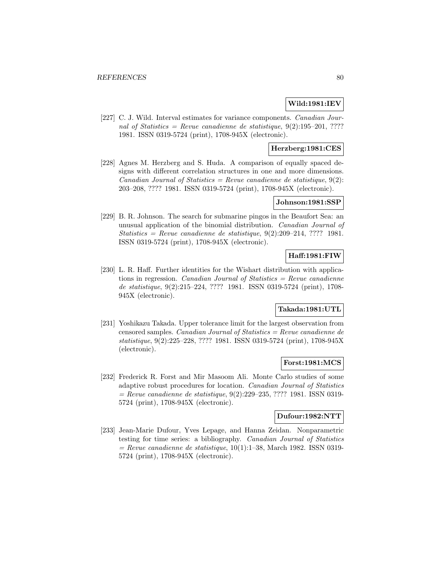# **Wild:1981:IEV**

[227] C. J. Wild. Interval estimates for variance components. Canadian Journal of Statistics = Revue canadienne de statistique,  $9(2):195-201, ????$ 1981. ISSN 0319-5724 (print), 1708-945X (electronic).

## **Herzberg:1981:CES**

[228] Agnes M. Herzberg and S. Huda. A comparison of equally spaced designs with different correlation structures in one and more dimensions. Canadian Journal of Statistics = Revue canadienne de statistique,  $9(2)$ : 203–208, ???? 1981. ISSN 0319-5724 (print), 1708-945X (electronic).

#### **Johnson:1981:SSP**

[229] B. R. Johnson. The search for submarine pingos in the Beaufort Sea: an unusual application of the binomial distribution. Canadian Journal of Statistics = Revue canadienne de statistique,  $9(2):209-214, ????$  1981. ISSN 0319-5724 (print), 1708-945X (electronic).

# **Haff:1981:FIW**

[230] L. R. Haff. Further identities for the Wishart distribution with applications in regression. Canadian Journal of Statistics  $=$  Revue canadienne de statistique, 9(2):215–224, ???? 1981. ISSN 0319-5724 (print), 1708- 945X (electronic).

# **Takada:1981:UTL**

[231] Yoshikazu Takada. Upper tolerance limit for the largest observation from censored samples. Canadian Journal of Statistics = Revue canadienne de statistique, 9(2):225–228, ???? 1981. ISSN 0319-5724 (print), 1708-945X (electronic).

## **Forst:1981:MCS**

[232] Frederick R. Forst and Mir Masoom Ali. Monte Carlo studies of some adaptive robust procedures for location. Canadian Journal of Statistics  $=$  Revue canadienne de statistique, 9(2):229–235, ???? 1981. ISSN 0319-5724 (print), 1708-945X (electronic).

# **Dufour:1982:NTT**

[233] Jean-Marie Dufour, Yves Lepage, and Hanna Zeidan. Nonparametric testing for time series: a bibliography. Canadian Journal of Statistics  $=$  Revue canadienne de statistique, 10(1):1–38, March 1982. ISSN 0319-5724 (print), 1708-945X (electronic).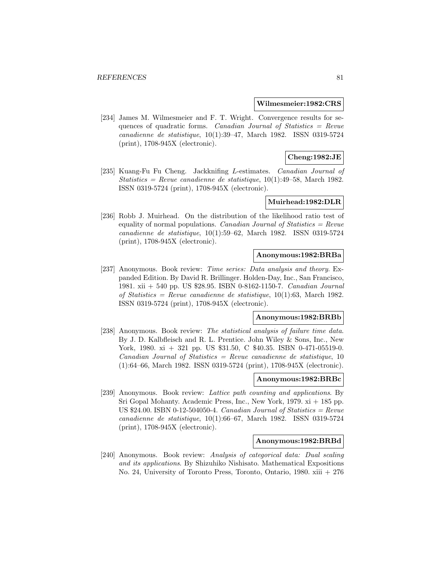#### **Wilmesmeier:1982:CRS**

[234] James M. Wilmesmeier and F. T. Wright. Convergence results for sequences of quadratic forms. Canadian Journal of Statistics = Revue canadienne de statistique, 10(1):39–47, March 1982. ISSN 0319-5724 (print), 1708-945X (electronic).

# **Cheng:1982:JE**

[235] Kuang-Fu Fu Cheng. Jackknifing L-estimates. Canadian Journal of Statistics = Revue canadienne de statistique,  $10(1):49-58$ , March 1982. ISSN 0319-5724 (print), 1708-945X (electronic).

## **Muirhead:1982:DLR**

[236] Robb J. Muirhead. On the distribution of the likelihood ratio test of equality of normal populations. Canadian Journal of Statistics =  $Re$ vue canadienne de statistique, 10(1):59–62, March 1982. ISSN 0319-5724 (print), 1708-945X (electronic).

#### **Anonymous:1982:BRBa**

[237] Anonymous. Book review: Time series: Data analysis and theory. Expanded Edition. By David R. Brillinger. Holden-Day, Inc., San Francisco, 1981. xii + 540 pp. US \$28.95. ISBN 0-8162-1150-7. Canadian Journal of Statistics = Revue canadienne de statistique,  $10(1):63$ , March 1982. ISSN 0319-5724 (print), 1708-945X (electronic).

#### **Anonymous:1982:BRBb**

[238] Anonymous. Book review: The statistical analysis of failure time data. By J. D. Kalbfleisch and R. L. Prentice. John Wiley & Sons, Inc., New York, 1980. xi + 321 pp. US \$31.50, C \$40.35. ISBN 0-471-05519-0.  $Canadian Journal of Statistics = Review canadienne de statistic, 10$ (1):64–66, March 1982. ISSN 0319-5724 (print), 1708-945X (electronic).

## **Anonymous:1982:BRBc**

[239] Anonymous. Book review: Lattice path counting and applications. By Sri Gopal Mohanty. Academic Press, Inc., New York, 1979. xi + 185 pp. US  $$24.00.$  ISBN 0-12-504050-4. Canadian Journal of Statistics = Revue canadienne de statistique, 10(1):66–67, March 1982. ISSN 0319-5724 (print), 1708-945X (electronic).

# **Anonymous:1982:BRBd**

[240] Anonymous. Book review: Analysis of categorical data: Dual scaling and its applications. By Shizuhiko Nishisato. Mathematical Expositions No. 24, University of Toronto Press, Toronto, Ontario, 1980. xiii + 276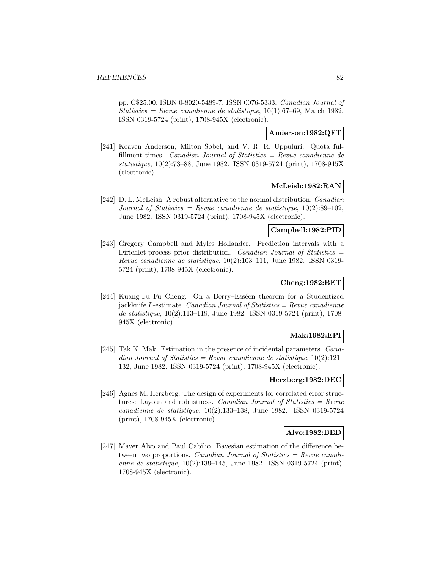pp. C\$25.00. ISBN 0-8020-5489-7, ISSN 0076-5333. Canadian Journal of Statistics = Revue canadienne de statistique,  $10(1):67-69$ , March 1982. ISSN 0319-5724 (print), 1708-945X (electronic).

# **Anderson:1982:QFT**

[241] Keaven Anderson, Milton Sobel, and V. R. R. Uppuluri. Quota fulfillment times. *Canadian Journal of Statistics = Revue canadienne de* statistique, 10(2):73–88, June 1982. ISSN 0319-5724 (print), 1708-945X (electronic).

## **McLeish:1982:RAN**

[242] D. L. McLeish. A robust alternative to the normal distribution. Canadian Journal of Statistics = Revue canadienne de statistique,  $10(2):89-102$ , June 1982. ISSN 0319-5724 (print), 1708-945X (electronic).

# **Campbell:1982:PID**

[243] Gregory Campbell and Myles Hollander. Prediction intervals with a Dirichlet-process prior distribution. Canadian Journal of Statistics = Revue canadienne de statistique, 10(2):103–111, June 1982. ISSN 0319- 5724 (print), 1708-945X (electronic).

# **Cheng:1982:BET**

[244] Kuang-Fu Fu Cheng. On a Berry–Esséen theorem for a Studentized jackknife L-estimate. Canadian Journal of Statistics  $=$  Revue canadienne de statistique, 10(2):113–119, June 1982. ISSN 0319-5724 (print), 1708- 945X (electronic).

## **Mak:1982:EPI**

[245] Tak K. Mak. Estimation in the presence of incidental parameters. *Cana*dian Journal of Statistics = Revue canadienne de statistique,  $10(2):121-$ 132, June 1982. ISSN 0319-5724 (print), 1708-945X (electronic).

# **Herzberg:1982:DEC**

[246] Agnes M. Herzberg. The design of experiments for correlated error structures: Layout and robustness. *Canadian Journal of Statistics = Revue* canadienne de statistique, 10(2):133–138, June 1982. ISSN 0319-5724 (print), 1708-945X (electronic).

## **Alvo:1982:BED**

[247] Mayer Alvo and Paul Cabilio. Bayesian estimation of the difference between two proportions. Canadian Journal of Statistics  $=$  Revue canadienne de statistique, 10(2):139–145, June 1982. ISSN 0319-5724 (print), 1708-945X (electronic).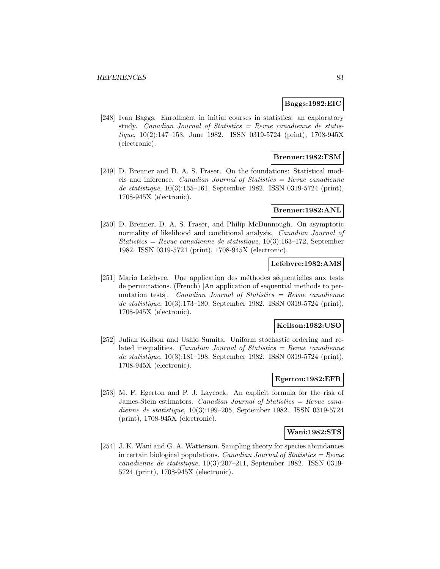#### **Baggs:1982:EIC**

[248] Ivan Baggs. Enrollment in initial courses in statistics: an exploratory study. Canadian Journal of Statistics = Revue canadienne de statistique, 10(2):147–153, June 1982. ISSN 0319-5724 (print), 1708-945X (electronic).

# **Brenner:1982:FSM**

[249] D. Brenner and D. A. S. Fraser. On the foundations: Statistical models and inference. Canadian Journal of Statistics = Revue canadienne de statistique, 10(3):155–161, September 1982. ISSN 0319-5724 (print), 1708-945X (electronic).

#### **Brenner:1982:ANL**

[250] D. Brenner, D. A. S. Fraser, and Philip McDunnough. On asymptotic normality of likelihood and conditional analysis. *Canadian Journal of* Statistics = Revue canadienne de statistique,  $10(3):163-172$ , September 1982. ISSN 0319-5724 (print), 1708-945X (electronic).

#### **Lefebvre:1982:AMS**

[251] Mario Lefebvre. Une application des méthodes séquentielles aux tests de permutations. (French) [An application of sequential methods to permutation tests]. Canadian Journal of Statistics = Revue canadienne de statistique, 10(3):173–180, September 1982. ISSN 0319-5724 (print), 1708-945X (electronic).

## **Keilson:1982:USO**

[252] Julian Keilson and Ushio Sumita. Uniform stochastic ordering and related inequalities. *Canadian Journal of Statistics = Revue canadienne* de statistique, 10(3):181–198, September 1982. ISSN 0319-5724 (print), 1708-945X (electronic).

## **Egerton:1982:EFR**

[253] M. F. Egerton and P. J. Laycock. An explicit formula for the risk of James-Stein estimators. Canadian Journal of Statistics = Revue canadienne de statistique, 10(3):199–205, September 1982. ISSN 0319-5724 (print), 1708-945X (electronic).

#### **Wani:1982:STS**

[254] J. K. Wani and G. A. Watterson. Sampling theory for species abundances in certain biological populations. Canadian Journal of Statistics =  $Re$ vue canadienne de statistique, 10(3):207–211, September 1982. ISSN 0319- 5724 (print), 1708-945X (electronic).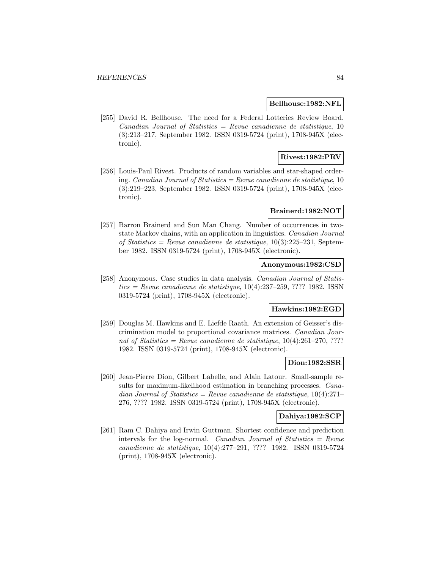#### **Bellhouse:1982:NFL**

[255] David R. Bellhouse. The need for a Federal Lotteries Review Board.  $Canadian Journal of Statistics = Review can a dienne de statistique, 10$ (3):213–217, September 1982. ISSN 0319-5724 (print), 1708-945X (electronic).

# **Rivest:1982:PRV**

[256] Louis-Paul Rivest. Products of random variables and star-shaped ordering. Canadian Journal of Statistics  $=$  Revue canadienne de statistique, 10 (3):219–223, September 1982. ISSN 0319-5724 (print), 1708-945X (electronic).

# **Brainerd:1982:NOT**

[257] Barron Brainerd and Sun Man Chang. Number of occurrences in twostate Markov chains, with an application in linguistics. Canadian Journal of Statistics = Revue canadienne de statistique,  $10(3):225-231$ , September 1982. ISSN 0319-5724 (print), 1708-945X (electronic).

# **Anonymous:1982:CSD**

[258] Anonymous. Case studies in data analysis. Canadian Journal of Statis $tics = Revue$  canadienne de statistique, 10(4):237–259, ???? 1982. ISSN0319-5724 (print), 1708-945X (electronic).

# **Hawkins:1982:EGD**

[259] Douglas M. Hawkins and E. Liefde Raath. An extension of Geisser's discrimination model to proportional covariance matrices. Canadian Journal of Statistics = Revue canadienne de statistique,  $10(4):261-270, ????$ 1982. ISSN 0319-5724 (print), 1708-945X (electronic).

#### **Dion:1982:SSR**

[260] Jean-Pierre Dion, Gilbert Labelle, and Alain Latour. Small-sample results for maximum-likelihood estimation in branching processes. Canadian Journal of Statistics = Revue canadienne de statistique,  $10(4):271-$ 276, ???? 1982. ISSN 0319-5724 (print), 1708-945X (electronic).

#### **Dahiya:1982:SCP**

[261] Ram C. Dahiya and Irwin Guttman. Shortest confidence and prediction intervals for the log-normal. Canadian Journal of Statistics =  $Re$ vue canadienne de statistique, 10(4):277–291, ???? 1982. ISSN 0319-5724 (print), 1708-945X (electronic).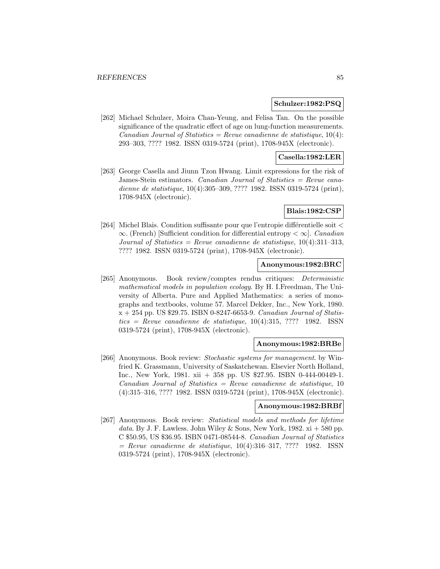#### **Schulzer:1982:PSQ**

[262] Michael Schulzer, Moira Chan-Yeung, and Felisa Tan. On the possible significance of the quadratic effect of age on lung-function measurements. Canadian Journal of Statistics = Revue canadienne de statistique,  $10(4)$ : 293–303, ???? 1982. ISSN 0319-5724 (print), 1708-945X (electronic).

## **Casella:1982:LER**

[263] George Casella and Jiunn Tzon Hwang. Limit expressions for the risk of James-Stein estimators. Canadian Journal of Statistics = Revue canadienne de statistique, 10(4):305–309, ???? 1982. ISSN 0319-5724 (print), 1708-945X (electronic).

# **Blais:1982:CSP**

[264] Michel Blais. Condition suffisante pour que l'entropie différentielle soit  $\lt$  $\infty$ . (French) [Sufficient condition for differential entropy  $\langle \infty |$ . *Canadian* Journal of Statistics = Revue canadienne de statistique,  $10(4):311-313$ , ???? 1982. ISSN 0319-5724 (print), 1708-945X (electronic).

# **Anonymous:1982:BRC**

[265] Anonymous. Book review/comptes rendus critiques: Deterministic mathematical models in population ecology. By H. I.Freedman, The University of Alberta. Pure and Applied Mathematics: a series of monographs and textbooks, volume 57. Marcel Dekker, Inc., New York, 1980.  $x + 254$  pp. US \$29.75. ISBN 0-8247-6653-9. Canadian Journal of Statis $tics = Revenue canadienne de statisticque, 10(4):315, ???? 1982. ISSN$ 0319-5724 (print), 1708-945X (electronic).

## **Anonymous:1982:BRBe**

[266] Anonymous. Book review: Stochastic systems for management. by Winfried K. Grassmann, University of Saskatchewan. Elsevier North Holland, Inc., New York, 1981. xii + 358 pp. US \$27.95. ISBN 0-444-00449-1.  $Canadian Journal of Statistics = Revenue canadienne de statistic, 10$ (4):315–316, ???? 1982. ISSN 0319-5724 (print), 1708-945X (electronic).

#### **Anonymous:1982:BRBf**

[267] Anonymous. Book review: Statistical models and methods for lifetime data. By J. F. Lawless. John Wiley & Sons, New York, 1982.  $xi + 580$  pp. C \$50.95, US \$36.95. ISBN 0471-08544-8. Canadian Journal of Statistics  $=$  Revue canadienne de statistique, 10(4):316-317, ???? 1982. ISSN 0319-5724 (print), 1708-945X (electronic).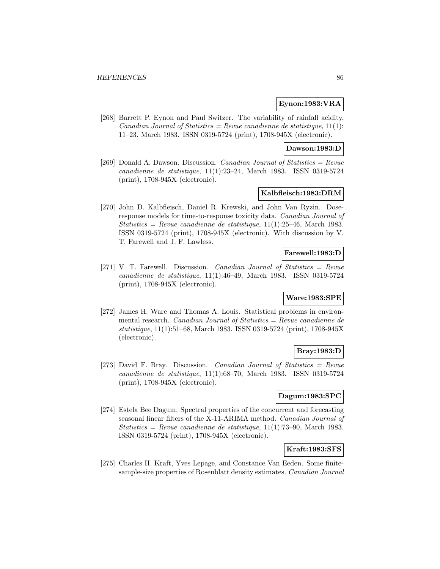#### **Eynon:1983:VRA**

[268] Barrett P. Eynon and Paul Switzer. The variability of rainfall acidity. Canadian Journal of Statistics = Revue canadienne de statistique,  $11(1)$ : 11–23, March 1983. ISSN 0319-5724 (print), 1708-945X (electronic).

#### **Dawson:1983:D**

[269] Donald A. Dawson. Discussion. Canadian Journal of Statistics = Revue canadienne de statistique, 11(1):23–24, March 1983. ISSN 0319-5724 (print), 1708-945X (electronic).

# **Kalbfleisch:1983:DRM**

[270] John D. Kalbfleisch, Daniel R. Krewski, and John Van Ryzin. Doseresponse models for time-to-response toxicity data. Canadian Journal of Statistics = Revue canadienne de statistique,  $11(1):25-46$ , March 1983. ISSN 0319-5724 (print), 1708-945X (electronic). With discussion by V. T. Farewell and J. F. Lawless.

# **Farewell:1983:D**

[271] V. T. Farewell. Discussion. *Canadian Journal of Statistics = Revue* canadienne de statistique, 11(1):46–49, March 1983. ISSN 0319-5724 (print), 1708-945X (electronic).

# **Ware:1983:SPE**

[272] James H. Ware and Thomas A. Louis. Statistical problems in environmental research. Canadian Journal of Statistics = Revue canadienne de statistique, 11(1):51–68, March 1983. ISSN 0319-5724 (print), 1708-945X (electronic).

# **Bray:1983:D**

[273] David F. Bray. Discussion. Canadian Journal of Statistics = Revue canadienne de statistique, 11(1):68–70, March 1983. ISSN 0319-5724 (print), 1708-945X (electronic).

# **Dagum:1983:SPC**

[274] Estela Bee Dagum. Spectral properties of the concurrent and forecasting seasonal linear filters of the X-11-ARIMA method. Canadian Journal of Statistics = Revue canadienne de statistique,  $11(1)$ :73-90, March 1983. ISSN 0319-5724 (print), 1708-945X (electronic).

## **Kraft:1983:SFS**

[275] Charles H. Kraft, Yves Lepage, and Constance Van Eeden. Some finitesample-size properties of Rosenblatt density estimates. Canadian Journal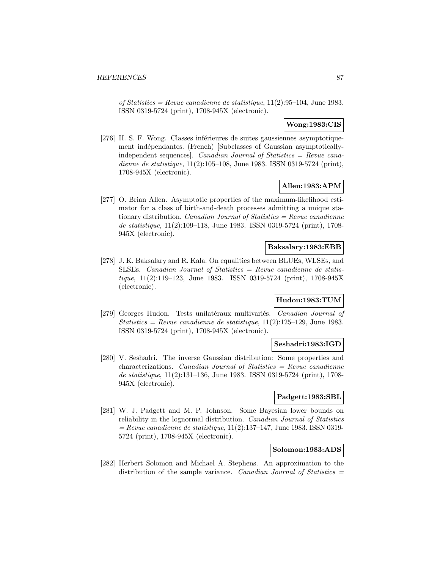of Statistics = Revue canadienne de statistique,  $11(2):95-104$ , June 1983. ISSN 0319-5724 (print), 1708-945X (electronic).

## **Wong:1983:CIS**

[276] H. S. F. Wong. Classes inférieures de suites gaussiennes asymptotiquement indépendantes. (French) [Subclasses of Gaussian asymptoticallyindependent sequences]. Canadian Journal of Statistics  $=$  Revue canadienne de statistique, 11(2):105–108, June 1983. ISSN 0319-5724 (print), 1708-945X (electronic).

# **Allen:1983:APM**

[277] O. Brian Allen. Asymptotic properties of the maximum-likelihood estimator for a class of birth-and-death processes admitting a unique stationary distribution. Canadian Journal of Statistics =  $Review$  canadienne de statistique, 11(2):109–118, June 1983. ISSN 0319-5724 (print), 1708- 945X (electronic).

#### **Baksalary:1983:EBB**

[278] J. K. Baksalary and R. Kala. On equalities between BLUEs, WLSEs, and SLSEs. Canadian Journal of Statistics  $=$  Revue canadienne de statistique, 11(2):119–123, June 1983. ISSN 0319-5724 (print), 1708-945X (electronic).

# **Hudon:1983:TUM**

[279] Georges Hudon. Tests unilatéraux multivariés. Canadian Journal of Statistics = Revue canadienne de statistique,  $11(2):125-129$ , June 1983. ISSN 0319-5724 (print), 1708-945X (electronic).

#### **Seshadri:1983:IGD**

[280] V. Seshadri. The inverse Gaussian distribution: Some properties and  $\alpha$ characterizations. Canadian Journal of Statistics = Revue canadienne de statistique, 11(2):131–136, June 1983. ISSN 0319-5724 (print), 1708- 945X (electronic).

#### **Padgett:1983:SBL**

[281] W. J. Padgett and M. P. Johnson. Some Bayesian lower bounds on reliability in the lognormal distribution. Canadian Journal of Statistics  $=$  Revue canadienne de statistique, 11(2):137–147, June 1983. ISSN 0319-5724 (print), 1708-945X (electronic).

# **Solomon:1983:ADS**

[282] Herbert Solomon and Michael A. Stephens. An approximation to the distribution of the sample variance. Canadian Journal of Statistics  $=$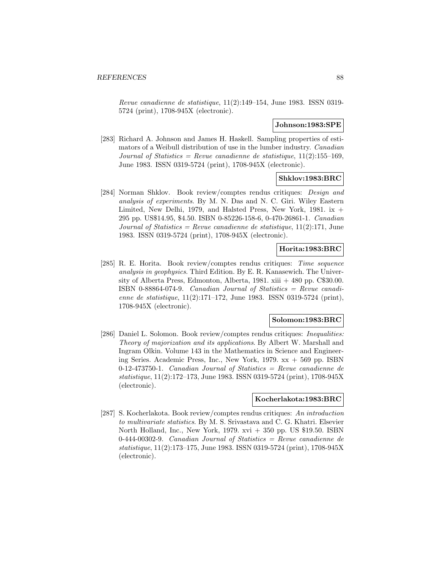Revue canadienne de statistique, 11(2):149–154, June 1983. ISSN 0319- 5724 (print), 1708-945X (electronic).

#### **Johnson:1983:SPE**

[283] Richard A. Johnson and James H. Haskell. Sampling properties of estimators of a Weibull distribution of use in the lumber industry. Canadian Journal of Statistics = Revue canadienne de statistique,  $11(2):155-169$ , June 1983. ISSN 0319-5724 (print), 1708-945X (electronic).

# **Shklov:1983:BRC**

[284] Norman Shklov. Book review/comptes rendus critiques: Design and analysis of experiments. By M. N. Das and N. C. Giri. Wiley Eastern Limited, New Delhi, 1979, and Halsted Press, New York, 1981. ix + 295 pp. US\$14.95, \$4.50. ISBN 0-85226-158-6, 0-470-26861-1. Canadian Journal of Statistics = Revue canadienne de statistique,  $11(2):171$ , June 1983. ISSN 0319-5724 (print), 1708-945X (electronic).

# **Horita:1983:BRC**

[285] R. E. Horita. Book review/comptes rendus critiques: Time sequence analysis in geophysics. Third Edition. By E. R. Kanasewich. The University of Alberta Press, Edmonton, Alberta, 1981. xiii  $+$  480 pp. C\$30.00. ISBN 0-88864-074-9. Canadian Journal of Statistics = Revue canadienne de statistique, 11(2):171–172, June 1983. ISSN 0319-5724 (print), 1708-945X (electronic).

## **Solomon:1983:BRC**

[286] Daniel L. Solomon. Book review/comptes rendus critiques: Inequalities: Theory of majorization and its applications. By Albert W. Marshall and Ingram Olkin. Volume 143 in the Mathematics in Science and Engineering Series. Academic Press, Inc., New York, 1979. xx + 569 pp. ISBN 0-12-473750-1. Canadian Journal of Statistics  $=$  Revue canadienne de statistique, 11(2):172–173, June 1983. ISSN 0319-5724 (print), 1708-945X (electronic).

#### **Kocherlakota:1983:BRC**

[287] S. Kocherlakota. Book review/comptes rendus critiques: An introduction to multivariate statistics. By M. S. Srivastava and C. G. Khatri. Elsevier North Holland, Inc., New York, 1979. xvi + 350 pp. US \$19.50. ISBN  $0-444-00302-9$ . Canadian Journal of Statistics = Revue canadienne de statistique, 11(2):173–175, June 1983. ISSN 0319-5724 (print), 1708-945X (electronic).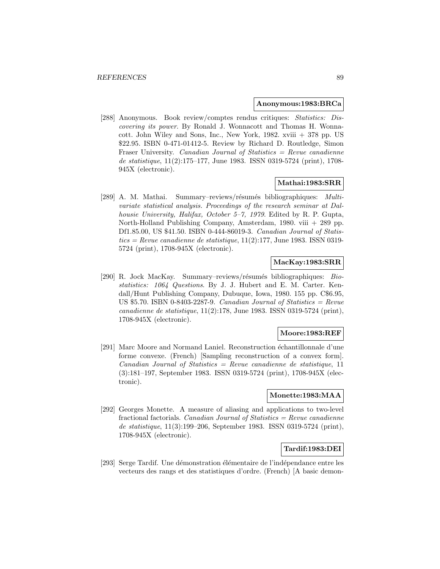#### **Anonymous:1983:BRCa**

[288] Anonymous. Book review/comptes rendus critiques: Statistics: Discovering its power. By Ronald J. Wonnacott and Thomas H. Wonnacott. John Wiley and Sons, Inc., New York, 1982. xviii + 378 pp. US \$22.95. ISBN 0-471-01412-5. Review by Richard D. Routledge, Simon Fraser University. Canadian Journal of Statistics = Revue canadienne de statistique, 11(2):175–177, June 1983. ISSN 0319-5724 (print), 1708- 945X (electronic).

### **Mathai:1983:SRR**

[289] A. M. Mathai. Summary–reviews/résumés bibliographiques: Multivariate statistical analysis. Proceedings of the research seminar at Dalhousie University, Halifax, October 5–7, 1979. Edited by R. P. Gupta, North-Holland Publishing Company, Amsterdam, 1980. viii + 289 pp. Df1.85.00, US \$41.50. ISBN 0-444-86019-3. Canadian Journal of Statis $tics = Revenue canadienne de statistique, 11(2):177, June 1983. ISSN 0319-$ 5724 (print), 1708-945X (electronic).

## **MacKay:1983:SRR**

[290] R. Jock MacKay. Summary–reviews/résumés bibliographiques: Biostatistics: 1064 Questions. By J. J. Hubert and E. M. Carter. Kendall/Hunt Publishing Company, Dubuque, Iowa, 1980. 155 pp. C\$6.95, US  $$5.70.$  ISBN 0-8403-2287-9. Canadian Journal of Statistics = Revue canadienne de statistique, 11(2):178, June 1983. ISSN 0319-5724 (print), 1708-945X (electronic).

#### **Moore:1983:REF**

[291] Marc Moore and Normand Laniel. Reconstruction échantillonnale d'une forme convexe. (French) [Sampling reconstruction of a convex form].  $Canadian Journal of Statistics = Review can a dienne de statistic, 11$ (3):181–197, September 1983. ISSN 0319-5724 (print), 1708-945X (electronic).

# **Monette:1983:MAA**

[292] Georges Monette. A measure of aliasing and applications to two-level fractional factorials. Canadian Journal of Statistics  $=$  Revue canadienne de statistique, 11(3):199–206, September 1983. ISSN 0319-5724 (print), 1708-945X (electronic).

#### **Tardif:1983:DEI**

[293] Serge Tardif. Une démonstration élémentaire de l'indépendance entre les vecteurs des rangs et des statistiques d'ordre. (French) [A basic demon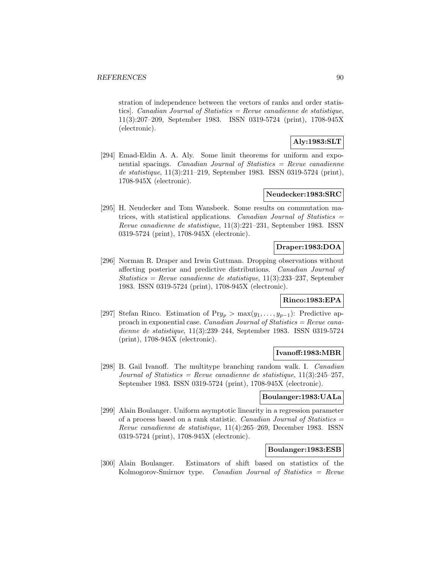stration of independence between the vectors of ranks and order statistics]. Canadian Journal of Statistics = Revue canadienne de statistique, 11(3):207–209, September 1983. ISSN 0319-5724 (print), 1708-945X (electronic).

# **Aly:1983:SLT**

[294] Emad-Eldin A. A. Aly. Some limit theorems for uniform and exponential spacings. Canadian Journal of Statistics  $=$  Revue canadienne de statistique, 11(3):211–219, September 1983. ISSN 0319-5724 (print), 1708-945X (electronic).

## **Neudecker:1983:SRC**

[295] H. Neudecker and Tom Wansbeek. Some results on commutation matrices, with statistical applications. Canadian Journal of Statistics = Revue canadienne de statistique, 11(3):221–231, September 1983. ISSN 0319-5724 (print), 1708-945X (electronic).

## **Draper:1983:DOA**

[296] Norman R. Draper and Irwin Guttman. Dropping observations without affecting posterior and predictive distributions. Canadian Journal of Statistics = Revue canadienne de statistique,  $11(3):233-237$ , September 1983. ISSN 0319-5724 (print), 1708-945X (electronic).

# **Rinco:1983:EPA**

[297] Stefan Rinco. Estimation of Pr $y_p > \max(y_1, \ldots, y_{p-1})$ : Predictive approach in exponential case. Canadian Journal of Statistics  $=$  Revue canadienne de statistique, 11(3):239–244, September 1983. ISSN 0319-5724 (print), 1708-945X (electronic).

#### **Ivanoff:1983:MBR**

[298] B. Gail Ivanoff. The multitype branching random walk. I. Canadian Journal of Statistics = Revue canadienne de statistique,  $11(3):245-257$ , September 1983. ISSN 0319-5724 (print), 1708-945X (electronic).

# **Boulanger:1983:UALa**

[299] Alain Boulanger. Uniform asymptotic linearity in a regression parameter of a process based on a rank statistic. Canadian Journal of Statistics = Revue canadienne de statistique, 11(4):265–269, December 1983. ISSN 0319-5724 (print), 1708-945X (electronic).

# **Boulanger:1983:ESB**

[300] Alain Boulanger. Estimators of shift based on statistics of the Kolmogorov-Smirnov type. Canadian Journal of Statistics = Revue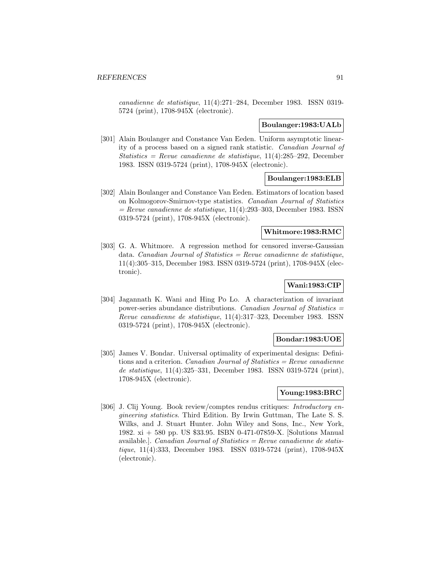canadienne de statistique, 11(4):271–284, December 1983. ISSN 0319- 5724 (print), 1708-945X (electronic).

#### **Boulanger:1983:UALb**

[301] Alain Boulanger and Constance Van Eeden. Uniform asymptotic linearity of a process based on a signed rank statistic. Canadian Journal of Statistics = Revue canadienne de statistique,  $11(4):285-292$ , December 1983. ISSN 0319-5724 (print), 1708-945X (electronic).

## **Boulanger:1983:ELB**

[302] Alain Boulanger and Constance Van Eeden. Estimators of location based on Kolmogorov-Smirnov-type statistics. Canadian Journal of Statistics  $=$  Revue canadienne de statistique, 11(4):293–303, December 1983. ISSN 0319-5724 (print), 1708-945X (electronic).

#### **Whitmore:1983:RMC**

[303] G. A. Whitmore. A regression method for censored inverse-Gaussian data. Canadian Journal of Statistics = Revue canadienne de statistique, 11(4):305–315, December 1983. ISSN 0319-5724 (print), 1708-945X (electronic).

# **Wani:1983:CIP**

[304] Jagannath K. Wani and Hing Po Lo. A characterization of invariant power-series abundance distributions. Canadian Journal of Statistics  $=$ Revue canadienne de statistique, 11(4):317–323, December 1983. ISSN 0319-5724 (print), 1708-945X (electronic).

#### **Bondar:1983:UOE**

[305] James V. Bondar. Universal optimality of experimental designs: Definitions and a criterion. *Canadian Journal of Statistics = Revue canadienne* de statistique, 11(4):325–331, December 1983. ISSN 0319-5724 (print), 1708-945X (electronic).

## **Young:1983:BRC**

[306] J. Clij Young. Book review/comptes rendus critiques: Introductory engineering statistics. Third Edition. By Irwin Guttman, The Late S. S. Wilks, and J. Stuart Hunter. John Wiley and Sons, Inc., New York, 1982. xi + 580 pp. US \$33.95. ISBN 0-471-07859-X. [Solutions Manual available.]. *Canadian Journal of Statistics = Revue canadienne de statis*tique, 11(4):333, December 1983. ISSN 0319-5724 (print), 1708-945X (electronic).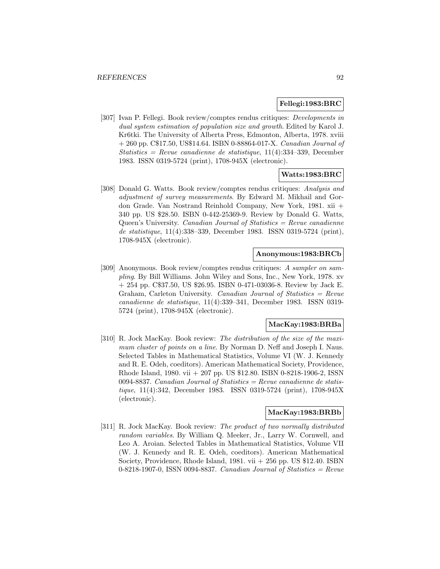#### **Fellegi:1983:BRC**

[307] Ivan P. Fellegi. Book review/comptes rendus critiques: Developments in dual system estimation of population size and growth. Edited by Karol J. Kr6tki. The University of Alberta Press, Edmonton, Alberta, 1978. xviii  $+ 260$  pp. C\$17.50, US\$14.64. ISBN 0-88864-017-X. *Canadian Journal of* Statistics = Revue canadienne de statistique,  $11(4):334-339$ , December 1983. ISSN 0319-5724 (print), 1708-945X (electronic).

#### **Watts:1983:BRC**

[308] Donald G. Watts. Book review/comptes rendus critiques: Analysis and adjustment of survey measurements. By Edward M. Mikhail and Gordon Grade. Van Nostrand Reinhold Company, New York, 1981. xii + 340 pp. US \$28.50. ISBN 0-442-25369-9. Review by Donald G. Watts, Queen's University. Canadian Journal of Statistics  $=$  Revue canadienne de statistique, 11(4):338–339, December 1983. ISSN 0319-5724 (print), 1708-945X (electronic).

#### **Anonymous:1983:BRCb**

[309] Anonymous. Book review/comptes rendus critiques: A sampler on sampling. By Bill Williams. John Wiley and Sons, Inc., New York, 1978. xv + 254 pp. C\$37.50, US \$26.95. ISBN 0-471-03036-8. Review by Jack E. Graham, Carleton University. Canadian Journal of Statistics  $=$  Revue canadienne de statistique, 11(4):339–341, December 1983. ISSN 0319- 5724 (print), 1708-945X (electronic).

#### **MacKay:1983:BRBa**

[310] R. Jock MacKay. Book review: The distribution of the size of the maximum cluster of points on a line. By Norman D. Neff and Joseph I. Naus. Selected Tables in Mathematical Statistics, Volume VI (W. J. Kennedy and R. E. Odeh, coeditors). American Mathematical Society, Providence, Rhode Island, 1980. vii + 207 pp. US \$12.80. ISBN 0-8218-1906-2, ISSN 0094-8837. Canadian Journal of Statistics = Revue canadienne de statistique, 11(4):342, December 1983. ISSN 0319-5724 (print), 1708-945X (electronic).

#### **MacKay:1983:BRBb**

[311] R. Jock MacKay. Book review: The product of two normally distributed random variables. By William Q. Meeker, Jr., Larry W. Cornwell, and Leo A. Aroian. Selected Tables in Mathematical Statistics, Volume VII (W. J. Kennedy and R. E. Odeh, coeditors). American Mathematical Society, Providence, Rhode Island, 1981. vii  $+256$  pp. US \$12.40. ISBN 0-8218-1907-0, ISSN 0094-8837. Canadian Journal of Statistics =  $Re$ vue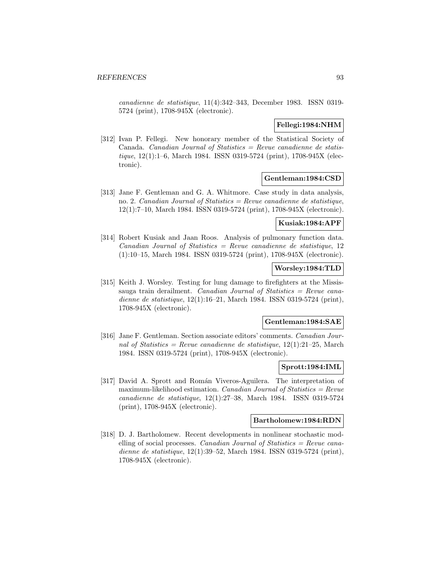canadienne de statistique, 11(4):342–343, December 1983. ISSN 0319- 5724 (print), 1708-945X (electronic).

## **Fellegi:1984:NHM**

[312] Ivan P. Fellegi. New honorary member of the Statistical Society of Canada. Canadian Journal of Statistics  $=$  Revue canadienne de statistique, 12(1):1–6, March 1984. ISSN 0319-5724 (print), 1708-945X (electronic).

# **Gentleman:1984:CSD**

[313] Jane F. Gentleman and G. A. Whitmore. Case study in data analysis, no. 2. Canadian Journal of Statistics = Revue canadienne de statistique, 12(1):7–10, March 1984. ISSN 0319-5724 (print), 1708-945X (electronic).

#### **Kusiak:1984:APF**

[314] Robert Kusiak and Jaan Roos. Analysis of pulmonary function data. Canadian Journal of Statistics = Revue canadienne de statistique, 12 (1):10–15, March 1984. ISSN 0319-5724 (print), 1708-945X (electronic).

## **Worsley:1984:TLD**

[315] Keith J. Worsley. Testing for lung damage to firefighters at the Mississauga train derailment. Canadian Journal of Statistics = Revue canadienne de statistique, 12(1):16–21, March 1984. ISSN 0319-5724 (print), 1708-945X (electronic).

### **Gentleman:1984:SAE**

[316] Jane F. Gentleman. Section associate editors' comments. Canadian Journal of Statistics = Revue canadienne de statistique,  $12(1):21-25$ , March 1984. ISSN 0319-5724 (print), 1708-945X (electronic).

### **Sprott:1984:IML**

[317] David A. Sprott and Román Viveros-Aguilera. The interpretation of maximum-likelihood estimation. Canadian Journal of Statistics =  $Re$ vue canadienne de statistique, 12(1):27–38, March 1984. ISSN 0319-5724 (print), 1708-945X (electronic).

### **Bartholomew:1984:RDN**

[318] D. J. Bartholomew. Recent developments in nonlinear stochastic modelling of social processes. Canadian Journal of Statistics  $=$  Revue canadienne de statistique, 12(1):39–52, March 1984. ISSN 0319-5724 (print), 1708-945X (electronic).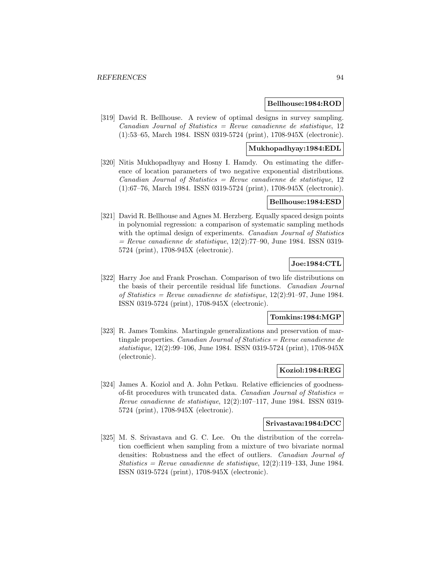#### **Bellhouse:1984:ROD**

[319] David R. Bellhouse. A review of optimal designs in survey sampling.  $Canadian Journal of Statistics = Review can a dienne de statistique, 12$ (1):53–65, March 1984. ISSN 0319-5724 (print), 1708-945X (electronic).

#### **Mukhopadhyay:1984:EDL**

[320] Nitis Mukhopadhyay and Hosny I. Hamdy. On estimating the difference of location parameters of two negative exponential distributions.  $Canadian Journal of Statistics = Review canadienne de statistique, 12$ (1):67–76, March 1984. ISSN 0319-5724 (print), 1708-945X (electronic).

# **Bellhouse:1984:ESD**

[321] David R. Bellhouse and Agnes M. Herzberg. Equally spaced design points in polynomial regression: a comparison of systematic sampling methods with the optimal design of experiments. *Canadian Journal of Statistics*  $=$  Revue canadienne de statistique, 12(2):77–90, June 1984. ISSN 0319-5724 (print), 1708-945X (electronic).

# **Joe:1984:CTL**

[322] Harry Joe and Frank Proschan. Comparison of two life distributions on the basis of their percentile residual life functions. Canadian Journal of Statistics = Revue canadienne de statistique,  $12(2):91-97$ , June 1984. ISSN 0319-5724 (print), 1708-945X (electronic).

#### **Tomkins:1984:MGP**

[323] R. James Tomkins. Martingale generalizations and preservation of martingale properties. *Canadian Journal of Statistics = Revue canadienne de* statistique, 12(2):99–106, June 1984. ISSN 0319-5724 (print), 1708-945X (electronic).

## **Koziol:1984:REG**

[324] James A. Koziol and A. John Petkau. Relative efficiencies of goodnessof-fit procedures with truncated data. Canadian Journal of Statistics  $=$ Revue canadienne de statistique, 12(2):107–117, June 1984. ISSN 0319- 5724 (print), 1708-945X (electronic).

#### **Srivastava:1984:DCC**

[325] M. S. Srivastava and G. C. Lee. On the distribution of the correlation coefficient when sampling from a mixture of two bivariate normal densities: Robustness and the effect of outliers. Canadian Journal of Statistics = Revue canadienne de statistique,  $12(2):119-133$ , June 1984. ISSN 0319-5724 (print), 1708-945X (electronic).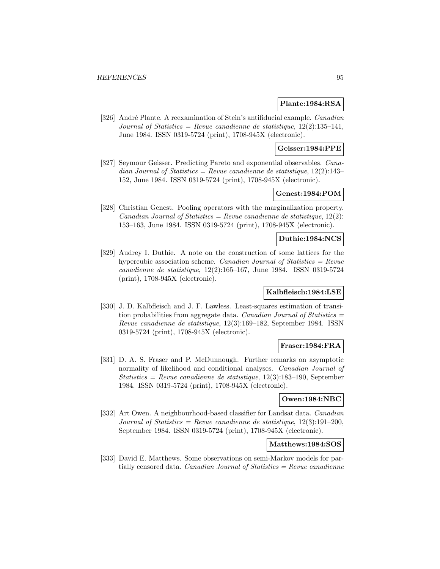### **Plante:1984:RSA**

[326] André Plante. A reexamination of Stein's antifiducial example. Canadian Journal of Statistics = Revue canadienne de statistique,  $12(2):135-141$ , June 1984. ISSN 0319-5724 (print), 1708-945X (electronic).

# **Geisser:1984:PPE**

[327] Seymour Geisser. Predicting Pareto and exponential observables. Canadian Journal of Statistics = Revue canadienne de statistique,  $12(2):143-$ 152, June 1984. ISSN 0319-5724 (print), 1708-945X (electronic).

## **Genest:1984:POM**

[328] Christian Genest. Pooling operators with the marginalization property. Canadian Journal of Statistics = Revue canadienne de statistique,  $12(2)$ : 153–163, June 1984. ISSN 0319-5724 (print), 1708-945X (electronic).

#### **Duthie:1984:NCS**

[329] Audrey I. Duthie. A note on the construction of some lattices for the hypercubic association scheme. *Canadian Journal of Statistics = Revue* canadienne de statistique, 12(2):165–167, June 1984. ISSN 0319-5724 (print), 1708-945X (electronic).

## **Kalbfleisch:1984:LSE**

[330] J. D. Kalbfleisch and J. F. Lawless. Least-squares estimation of transition probabilities from aggregate data. Canadian Journal of Statistics  $=$ Revue canadienne de statistique, 12(3):169–182, September 1984. ISSN 0319-5724 (print), 1708-945X (electronic).

## **Fraser:1984:FRA**

[331] D. A. S. Fraser and P. McDunnough. Further remarks on asymptotic normality of likelihood and conditional analyses. Canadian Journal of Statistics = Revue canadienne de statistique,  $12(3):183-190$ , September 1984. ISSN 0319-5724 (print), 1708-945X (electronic).

#### **Owen:1984:NBC**

[332] Art Owen. A neighbourhood-based classifier for Landsat data. *Canadian* Journal of Statistics = Revue canadienne de statistique,  $12(3):191-200$ , September 1984. ISSN 0319-5724 (print), 1708-945X (electronic).

### **Matthews:1984:SOS**

[333] David E. Matthews. Some observations on semi-Markov models for partially censored data. Canadian Journal of Statistics  $=$  Revue canadienne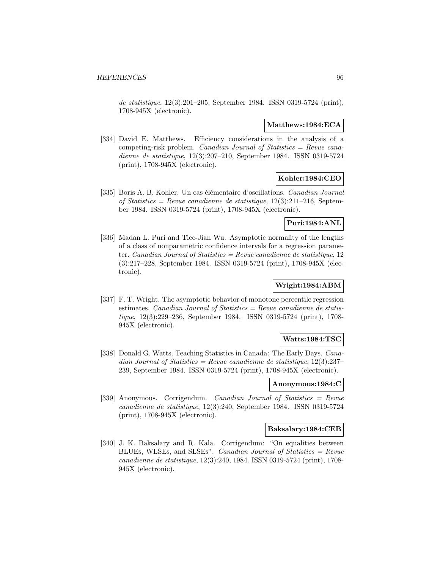de statistique, 12(3):201–205, September 1984. ISSN 0319-5724 (print), 1708-945X (electronic).

#### **Matthews:1984:ECA**

[334] David E. Matthews. Efficiency considerations in the analysis of a competing-risk problem. *Canadian Journal of Statistics = Revue cana*dienne de statistique, 12(3):207–210, September 1984. ISSN 0319-5724 (print), 1708-945X (electronic).

## **Kohler:1984:CEO**

[335] Boris A. B. Kohler. Un cas élémentaire d'oscillations. Canadian Journal of Statistics = Revue canadienne de statistique,  $12(3):211-216$ , September 1984. ISSN 0319-5724 (print), 1708-945X (electronic).

## **Puri:1984:ANL**

[336] Madan L. Puri and Tiee-Jian Wu. Asymptotic normality of the lengths of a class of nonparametric confidence intervals for a regression parameter. Canadian Journal of Statistics = Revue canadienne de statistique,  $12$ (3):217–228, September 1984. ISSN 0319-5724 (print), 1708-945X (electronic).

# **Wright:1984:ABM**

[337] F. T. Wright. The asymptotic behavior of monotone percentile regression estimates. Canadian Journal of Statistics =  $Review$  canadienne de statistique, 12(3):229–236, September 1984. ISSN 0319-5724 (print), 1708- 945X (electronic).

## **Watts:1984:TSC**

[338] Donald G. Watts. Teaching Statistics in Canada: The Early Days. *Cana*dian Journal of Statistics = Revue canadienne de statistique,  $12(3):237-$ 239, September 1984. ISSN 0319-5724 (print), 1708-945X (electronic).

## **Anonymous:1984:C**

[339] Anonymous. Corrigendum. Canadian Journal of Statistics = Revue canadienne de statistique, 12(3):240, September 1984. ISSN 0319-5724 (print), 1708-945X (electronic).

### **Baksalary:1984:CEB**

[340] J. K. Baksalary and R. Kala. Corrigendum: "On equalities between BLUEs, WLSEs, and SLSEs". Canadian Journal of Statistics = Revue canadienne de statistique, 12(3):240, 1984. ISSN 0319-5724 (print), 1708- 945X (electronic).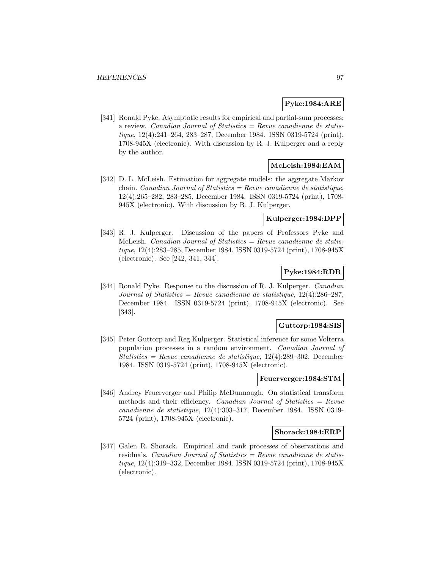#### **Pyke:1984:ARE**

[341] Ronald Pyke. Asymptotic results for empirical and partial-sum processes: a review. Canadian Journal of Statistics  $=$  Revue canadienne de statistique, 12(4):241–264, 283–287, December 1984. ISSN 0319-5724 (print), 1708-945X (electronic). With discussion by R. J. Kulperger and a reply by the author.

# **McLeish:1984:EAM**

[342] D. L. McLeish. Estimation for aggregate models: the aggregate Markov chain. *Canadian Journal of Statistics = Revue canadienne de statistique*, 12(4):265–282, 283–285, December 1984. ISSN 0319-5724 (print), 1708- 945X (electronic). With discussion by R. J. Kulperger.

# **Kulperger:1984:DPP**

[343] R. J. Kulperger. Discussion of the papers of Professors Pyke and McLeish. Canadian Journal of Statistics  $=$  Revue canadienne de statistique, 12(4):283–285, December 1984. ISSN 0319-5724 (print), 1708-945X (electronic). See [242, 341, 344].

# **Pyke:1984:RDR**

[344] Ronald Pyke. Response to the discussion of R. J. Kulperger. Canadian Journal of Statistics = Revue canadienne de statistique,  $12(4):286-287$ , December 1984. ISSN 0319-5724 (print), 1708-945X (electronic). See [343].

#### **Guttorp:1984:SIS**

[345] Peter Guttorp and Reg Kulperger. Statistical inference for some Volterra population processes in a random environment. Canadian Journal of Statistics = Revue canadienne de statistique,  $12(4):289-302$ , December 1984. ISSN 0319-5724 (print), 1708-945X (electronic).

## **Feuerverger:1984:STM**

[346] Andrey Feuerverger and Philip McDunnough. On statistical transform methods and their efficiency. Canadian Journal of Statistics  $=$  Revue canadienne de statistique, 12(4):303–317, December 1984. ISSN 0319- 5724 (print), 1708-945X (electronic).

#### **Shorack:1984:ERP**

[347] Galen R. Shorack. Empirical and rank processes of observations and residuals. Canadian Journal of Statistics =  $Re$ vue canadienne de statistique, 12(4):319–332, December 1984. ISSN 0319-5724 (print), 1708-945X (electronic).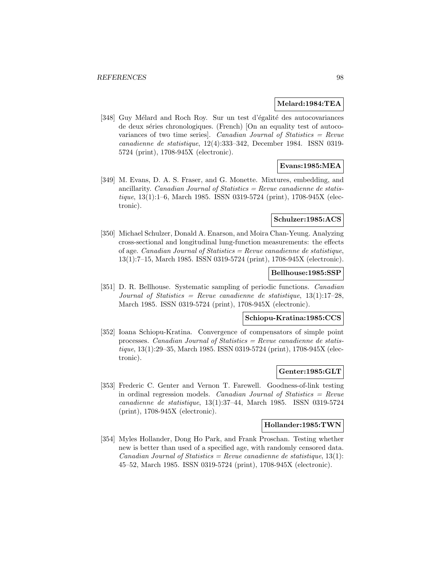#### **Melard:1984:TEA**

[348] Guy Mélard and Roch Roy. Sur un test d'égalité des autocovariances de deux séries chronologiques. (French) [On an equality test of autocovariances of two time series]. Canadian Journal of Statistics = Revue canadienne de statistique, 12(4):333–342, December 1984. ISSN 0319- 5724 (print), 1708-945X (electronic).

## **Evans:1985:MEA**

[349] M. Evans, D. A. S. Fraser, and G. Monette. Mixtures, embedding, and ancillarity. Canadian Journal of Statistics =  $Review$  canadienne de statistique, 13(1):1–6, March 1985. ISSN 0319-5724 (print), 1708-945X (electronic).

#### **Schulzer:1985:ACS**

[350] Michael Schulzer, Donald A. Enarson, and Moira Chan-Yeung. Analyzing cross-sectional and longitudinal lung-function measurements: the effects of age. Canadian Journal of Statistics = Revue canadienne de statistique, 13(1):7–15, March 1985. ISSN 0319-5724 (print), 1708-945X (electronic).

### **Bellhouse:1985:SSP**

[351] D. R. Bellhouse. Systematic sampling of periodic functions. Canadian Journal of Statistics = Revue canadienne de statistique,  $13(1):17-28$ , March 1985. ISSN 0319-5724 (print), 1708-945X (electronic).

#### **Schiopu-Kratina:1985:CCS**

[352] Ioana Schiopu-Kratina. Convergence of compensators of simple point processes. Canadian Journal of Statistics = Revue canadienne de statistique, 13(1):29–35, March 1985. ISSN 0319-5724 (print), 1708-945X (electronic).

## **Genter:1985:GLT**

[353] Frederic C. Genter and Vernon T. Farewell. Goodness-of-link testing in ordinal regression models. Canadian Journal of Statistics  $=$  Revue canadienne de statistique, 13(1):37–44, March 1985. ISSN 0319-5724 (print), 1708-945X (electronic).

#### **Hollander:1985:TWN**

[354] Myles Hollander, Dong Ho Park, and Frank Proschan. Testing whether new is better than used of a specified age, with randomly censored data. Canadian Journal of Statistics = Revue canadienne de statistique,  $13(1)$ : 45–52, March 1985. ISSN 0319-5724 (print), 1708-945X (electronic).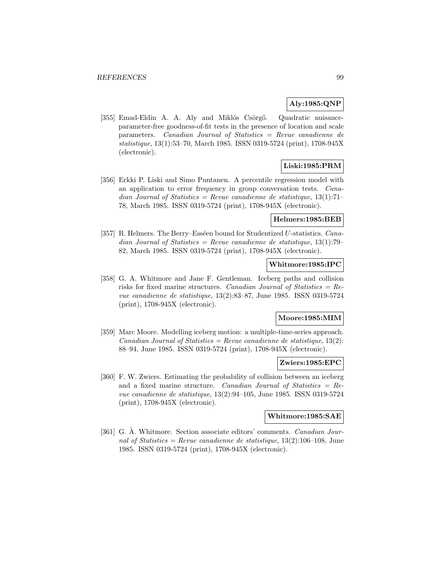# **Aly:1985:QNP**

[355] Emad-Eldin A. A. Aly and Miklós Csörgő. Quadratic nuisanceparameter-free goodness-of-fit tests in the presence of location and scale parameters. Canadian Journal of Statistics = Revue canadienne de statistique, 13(1):53–70, March 1985. ISSN 0319-5724 (print), 1708-945X (electronic).

# **Liski:1985:PRM**

[356] Erkki P. Liski and Simo Puntanen. A percentile regression model with an application to error frequency in group conversation tests. Canadian Journal of Statistics = Revue canadienne de statistique,  $13(1):71-$ 78, March 1985. ISSN 0319-5724 (print), 1708-945X (electronic).

## **Helmers:1985:BEB**

[357] R. Helmers. The Berry–Esséen bound for Studentized U-statistics.  $Cana$ dian Journal of Statistics = Revue canadienne de statistique,  $13(1)$ :79– 82, March 1985. ISSN 0319-5724 (print), 1708-945X (electronic).

## **Whitmore:1985:IPC**

[358] G. A. Whitmore and Jane F. Gentleman. Iceberg paths and collision risks for fixed marine structures. Canadian Journal of Statistics =  $Re$ vue canadienne de statistique, 13(2):83–87, June 1985. ISSN 0319-5724 (print), 1708-945X (electronic).

## **Moore:1985:MIM**

[359] Marc Moore. Modelling iceberg motion: a multiple-time-series approach. Canadian Journal of Statistics = Revue canadienne de statistique,  $13(2)$ : 88–94, June 1985. ISSN 0319-5724 (print), 1708-945X (electronic).

## **Zwiers:1985:EPC**

[360] F. W. Zwiers. Estimating the probability of collision between an iceberg and a fixed marine structure. Canadian Journal of Statistics  $=$  Revue canadienne de statistique, 13(2):94–105, June 1985. ISSN 0319-5724 (print), 1708-945X (electronic).

## **Whitmore:1985:SAE**

[361] G. A. Whitmore. Section associate editors' comments. *Canadian Jour*nal of Statistics = Revue canadienne de statistique,  $13(2):106-108$ , June 1985. ISSN 0319-5724 (print), 1708-945X (electronic).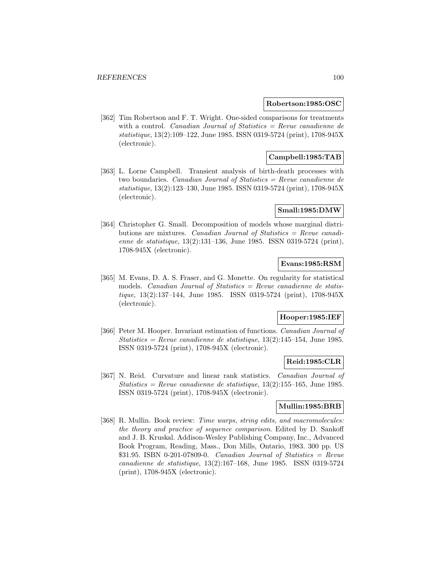#### **Robertson:1985:OSC**

[362] Tim Robertson and F. T. Wright. One-sided comparisons for treatments with a control. *Canadian Journal of Statistics = Revue canadienne de* statistique, 13(2):109–122, June 1985. ISSN 0319-5724 (print), 1708-945X (electronic).

# **Campbell:1985:TAB**

[363] L. Lorne Campbell. Transient analysis of birth-death processes with two boundaries. Canadian Journal of Statistics = Revue canadienne de statistique, 13(2):123–130, June 1985. ISSN 0319-5724 (print), 1708-945X (electronic).

#### **Small:1985:DMW**

[364] Christopher G. Small. Decomposition of models whose marginal distributions are mixtures. Canadian Journal of Statistics = Revue canadienne de statistique, 13(2):131–136, June 1985. ISSN 0319-5724 (print), 1708-945X (electronic).

# **Evans:1985:RSM**

[365] M. Evans, D. A. S. Fraser, and G. Monette. On regularity for statistical models. *Canadian Journal of Statistics = Revue canadienne de statis*tique, 13(2):137–144, June 1985. ISSN 0319-5724 (print), 1708-945X (electronic).

#### **Hooper:1985:IEF**

[366] Peter M. Hooper. Invariant estimation of functions. Canadian Journal of Statistics = Revue canadienne de statistique,  $13(2):145-154$ , June 1985. ISSN 0319-5724 (print), 1708-945X (electronic).

## **Reid:1985:CLR**

[367] N. Reid. Curvature and linear rank statistics. Canadian Journal of Statistics = Revue canadienne de statistique,  $13(2):155-165$ , June 1985. ISSN 0319-5724 (print), 1708-945X (electronic).

# **Mullin:1985:BRB**

[368] R. Mullin. Book review: *Time warps, string edits, and macromolecules:* the theory and practice of sequence comparison. Edited by D. Sankoff and J. B. Kruskal. Addison-Wesley Publishing Company, Inc., Advanced Book Program, Reading, Mass., Don Mills, Ontario, 1983. 300 pp. US  $$31.95. ISBN 0-201-07809-0.$  Canadian Journal of Statistics = Revue canadienne de statistique, 13(2):167–168, June 1985. ISSN 0319-5724 (print), 1708-945X (electronic).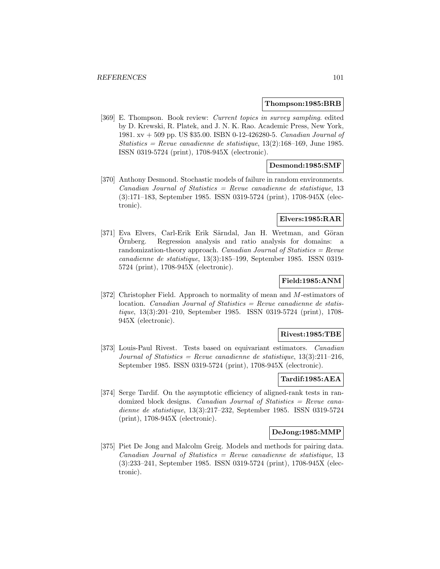#### **Thompson:1985:BRB**

[369] E. Thompson. Book review: Current topics in survey sampling. edited by D. Krewski, R. Platek, and J. N. K. Rao. Academic Press, New York, 1981. xv + 509 pp. US \$35.00. ISBN 0-12-426280-5. Canadian Journal of Statistics = Revue canadienne de statistique,  $13(2):168-169$ , June 1985. ISSN 0319-5724 (print), 1708-945X (electronic).

## **Desmond:1985:SMF**

[370] Anthony Desmond. Stochastic models of failure in random environments.  $Canadian Journal of Statistics = Review can a dienne de statistique, 13$ (3):171–183, September 1985. ISSN 0319-5724 (print), 1708-945X (electronic).

#### **Elvers:1985:RAR**

[371] Eva Elvers, Carl-Erik Erik Särndal, Jan H. Wretman, and Göran Ornberg. Regression analysis and ratio analysis for domains: a ¨ randomization-theory approach. Canadian Journal of Statistics  $=$  Revue canadienne de statistique, 13(3):185–199, September 1985. ISSN 0319- 5724 (print), 1708-945X (electronic).

# **Field:1985:ANM**

[372] Christopher Field. Approach to normality of mean and M-estimators of location. *Canadian Journal of Statistics = Revue canadienne de statis*tique, 13(3):201–210, September 1985. ISSN 0319-5724 (print), 1708- 945X (electronic).

## **Rivest:1985:TBE**

[373] Louis-Paul Rivest. Tests based on equivariant estimators. Canadian Journal of Statistics = Revue canadienne de statistique,  $13(3):211-216$ , September 1985. ISSN 0319-5724 (print), 1708-945X (electronic).

# **Tardif:1985:AEA**

[374] Serge Tardif. On the asymptotic efficiency of aligned-rank tests in randomized block designs. *Canadian Journal of Statistics = Revue cana*dienne de statistique, 13(3):217–232, September 1985. ISSN 0319-5724 (print), 1708-945X (electronic).

#### **DeJong:1985:MMP**

[375] Piet De Jong and Malcolm Greig. Models and methods for pairing data.  $Canadian Journal of Statistics = Revenue canadienne de statistic, 13$ (3):233–241, September 1985. ISSN 0319-5724 (print), 1708-945X (electronic).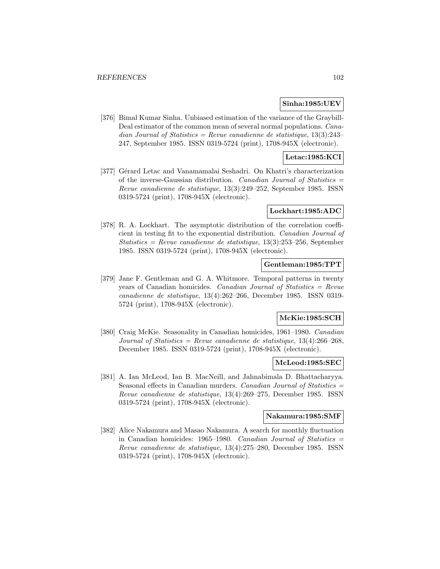## **Sinha:1985:UEV**

[376] Bimal Kumar Sinha. Unbiased estimation of the variance of the Graybill-Deal estimator of the common mean of several normal populations. Canadian Journal of Statistics = Revue canadienne de statistique,  $13(3):243-$ 247, September 1985. ISSN 0319-5724 (print), 1708-945X (electronic).

# **Letac:1985:KCI**

[377] Gérard Letac and Vanamamalai Seshadri. On Khatri's characterization of the inverse-Gaussian distribution. Canadian Journal of Statistics  $=$ Revue canadienne de statistique, 13(3):249–252, September 1985. ISSN 0319-5724 (print), 1708-945X (electronic).

#### **Lockhart:1985:ADC**

[378] R. A. Lockhart. The asymptotic distribution of the correlation coefficient in testing fit to the exponential distribution. Canadian Journal of  $Statistics = Revenue canadienne de statistic, 13(3): 253-256$ , September 1985. ISSN 0319-5724 (print), 1708-945X (electronic).

# **Gentleman:1985:TPT**

[379] Jane F. Gentleman and G. A. Whitmore. Temporal patterns in twenty years of Canadian homicides. Canadian Journal of Statistics = Revue canadienne de statistique, 13(4):262–266, December 1985. ISSN 0319- 5724 (print), 1708-945X (electronic).

## **McKie:1985:SCH**

[380] Craig McKie. Seasonality in Canadian homicides, 1961–1980. Canadian Journal of Statistics = Revue canadienne de statistique,  $13(4):266-268$ , December 1985. ISSN 0319-5724 (print), 1708-945X (electronic).

#### **McLeod:1985:SEC**

[381] A. Ian McLeod, Ian B. MacNeill, and Jahnabimala D. Bhattacharyya. Seasonal effects in Canadian murders. Canadian Journal of Statistics = Revue canadienne de statistique, 13(4):269–275, December 1985. ISSN 0319-5724 (print), 1708-945X (electronic).

#### **Nakamura:1985:SMF**

[382] Alice Nakamura and Masao Nakamura. A search for monthly fluctuation in Canadian homicides:  $1965-1980$ . Canadian Journal of Statistics = Revue canadienne de statistique, 13(4):275–280, December 1985. ISSN 0319-5724 (print), 1708-945X (electronic).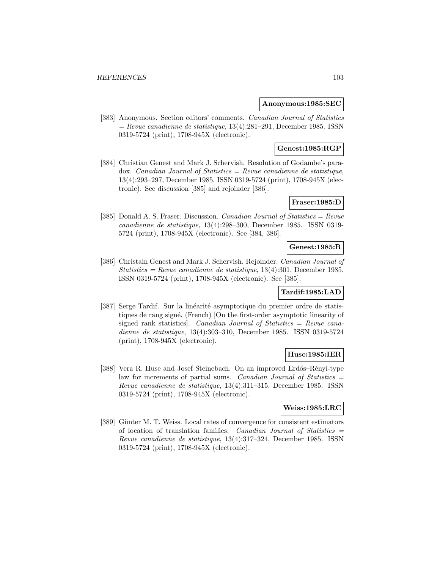#### **Anonymous:1985:SEC**

[383] Anonymous. Section editors' comments. Canadian Journal of Statistics  $=$  Revue canadienne de statistique, 13(4):281–291, December 1985. ISSN 0319-5724 (print), 1708-945X (electronic).

# **Genest:1985:RGP**

[384] Christian Genest and Mark J. Schervish. Resolution of Godambe's para $d$ ox. *Canadian Journal of Statistics = Revue canadienne de statistique*, 13(4):293–297, December 1985. ISSN 0319-5724 (print), 1708-945X (electronic). See discussion [385] and rejoinder [386].

# **Fraser:1985:D**

[385] Donald A. S. Fraser. Discussion. Canadian Journal of Statistics = Revue canadienne de statistique, 13(4):298–300, December 1985. ISSN 0319- 5724 (print), 1708-945X (electronic). See [384, 386].

# **Genest:1985:R**

[386] Christain Genest and Mark J. Schervish. Rejoinder. Canadian Journal of Statistics = Revue canadienne de statistique,  $13(4):301$ , December 1985. ISSN 0319-5724 (print), 1708-945X (electronic). See [385].

# **Tardif:1985:LAD**

[387] Serge Tardif. Sur la linéarité asymptotique du premier ordre de statistiques de rang signé. (French) [On the first-order asymptotic linearity of signed rank statistics]. Canadian Journal of Statistics = Revue canadienne de statistique, 13(4):303–310, December 1985. ISSN 0319-5724 (print), 1708-945X (electronic).

## **Huse:1985:IER**

[388] Vera R. Huse and Josef Steinebach. On an improved Erdős–Rényi-type law for increments of partial sums. Canadian Journal of Statistics = Revue canadienne de statistique, 13(4):311–315, December 1985. ISSN 0319-5724 (print), 1708-945X (electronic).

#### **Weiss:1985:LRC**

[389] Günter M. T. Weiss. Local rates of convergence for consistent estimators of location of translation families. Canadian Journal of Statistics  $=$ Revue canadienne de statistique, 13(4):317–324, December 1985. ISSN 0319-5724 (print), 1708-945X (electronic).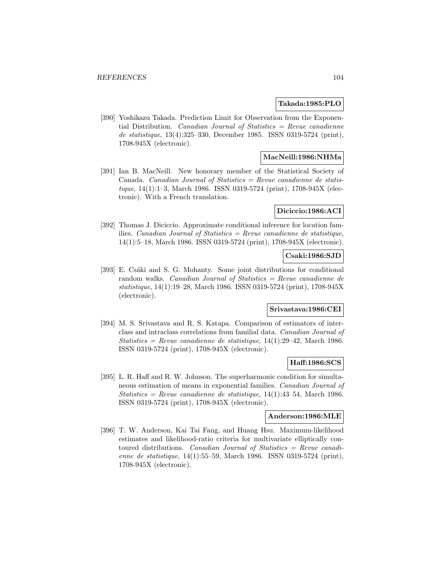#### **Takada:1985:PLO**

[390] Yoshikazu Takada. Prediction Limit for Observation from the Exponential Distribution. *Canadian Journal of Statistics = Revue canadienne* de statistique, 13(4):325–330, December 1985. ISSN 0319-5724 (print), 1708-945X (electronic).

# **MacNeill:1986:NHMa**

[391] Ian B. MacNeill. New honorary member of the Statistical Society of Canada. Canadian Journal of Statistics  $=$  Revue canadienne de statistique, 14(1):1–3, March 1986. ISSN 0319-5724 (print), 1708-945X (electronic). With a French translation.

#### **Diciccio:1986:ACI**

[392] Thomas J. Diciccio. Approximate conditional inference for location families. Canadian Journal of Statistics = Revue canadienne de statistique, 14(1):5–18, March 1986. ISSN 0319-5724 (print), 1708-945X (electronic).

### **Csaki:1986:SJD**

[393] E. Csáki and S. G. Mohanty. Some joint distributions for conditional random walks. Canadian Journal of Statistics = Revue canadienne de statistique, 14(1):19–28, March 1986. ISSN 0319-5724 (print), 1708-945X (electronic).

# **Srivastava:1986:CEI**

[394] M. S. Srivastava and R. S. Katapa. Comparison of estimators of interclass and intraclass correlations from familial data. Canadian Journal of Statistics = Revue canadienne de statistique,  $14(1):29-42$ , March 1986. ISSN 0319-5724 (print), 1708-945X (electronic).

## **Haff:1986:SCS**

[395] L. R. Haff and R. W. Johnson. The superharmonic condition for simultaneous estimation of means in exponential families. Canadian Journal of Statistics = Revue canadienne de statistique,  $14(1):43-54$ , March 1986. ISSN 0319-5724 (print), 1708-945X (electronic).

#### **Anderson:1986:MLE**

[396] T. W. Anderson, Kai Tai Fang, and Huang Hsu. Maximum-likelihood estimates and likelihood-ratio criteria for multivariate elliptically contoured distributions. Canadian Journal of Statistics = Revue canadienne de statistique, 14(1):55–59, March 1986. ISSN 0319-5724 (print), 1708-945X (electronic).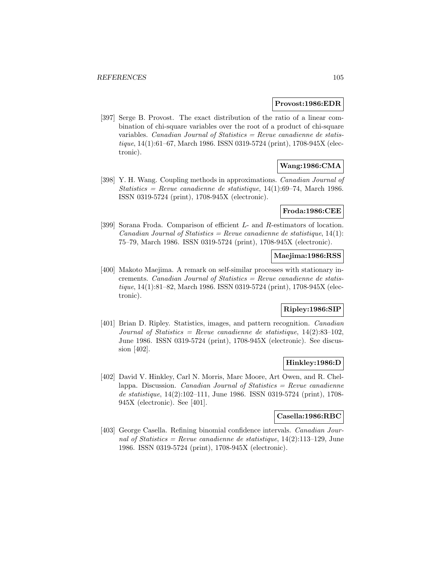#### **Provost:1986:EDR**

[397] Serge B. Provost. The exact distribution of the ratio of a linear combination of chi-square variables over the root of a product of chi-square variables. Canadian Journal of Statistics = Revue canadienne de statistique, 14(1):61–67, March 1986. ISSN 0319-5724 (print), 1708-945X (electronic).

# **Wang:1986:CMA**

[398] Y. H. Wang. Coupling methods in approximations. Canadian Journal of Statistics = Revue canadienne de statistique,  $14(1):69-74$ , March 1986. ISSN 0319-5724 (print), 1708-945X (electronic).

## **Froda:1986:CEE**

[399] Sorana Froda. Comparison of efficient L- and R-estimators of location. Canadian Journal of Statistics = Revue canadienne de statistique,  $14(1)$ : 75–79, March 1986. ISSN 0319-5724 (print), 1708-945X (electronic).

### **Maejima:1986:RSS**

[400] Makoto Maejima. A remark on self-similar processes with stationary increments. *Canadian Journal of Statistics = Revue canadienne de statis*tique, 14(1):81–82, March 1986. ISSN 0319-5724 (print), 1708-945X (electronic).

# **Ripley:1986:SIP**

[401] Brian D. Ripley. Statistics, images, and pattern recognition. Canadian Journal of Statistics = Revue canadienne de statistique,  $14(2):83-102$ , June 1986. ISSN 0319-5724 (print), 1708-945X (electronic). See discussion [402].

## **Hinkley:1986:D**

[402] David V. Hinkley, Carl N. Morris, Marc Moore, Art Owen, and R. Chellappa. Discussion. *Canadian Journal of Statistics = Revue canadienne* de statistique, 14(2):102–111, June 1986. ISSN 0319-5724 (print), 1708- 945X (electronic). See [401].

# **Casella:1986:RBC**

[403] George Casella. Refining binomial confidence intervals. *Canadian Jour*nal of Statistics = Revue canadienne de statistique,  $14(2):113-129$ , June 1986. ISSN 0319-5724 (print), 1708-945X (electronic).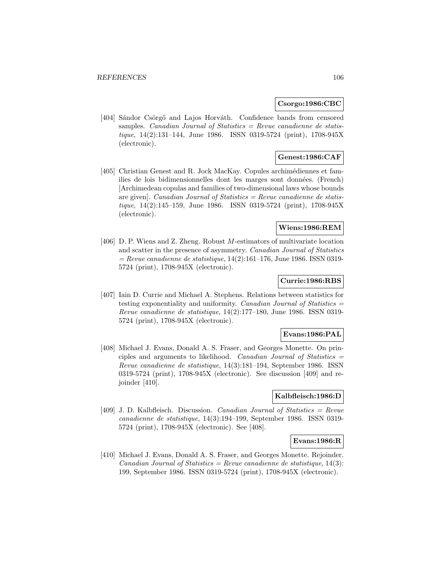#### **Csorgo:1986:CBC**

[404] Sándor Csörgő and Lajos Horváth. Confidence bands from censored samples. Canadian Journal of Statistics  $=$  Revue canadienne de statistique, 14(2):131–144, June 1986. ISSN 0319-5724 (print), 1708-945X (electronic).

## **Genest:1986:CAF**

[405] Christian Genest and R. Jock MacKay. Copules archimédiennes et families de lois bidimensionnelles dont les marges sont données. (French) [Archimedean copulas and families of two-dimensional laws whose bounds are given]. *Canadian Journal of Statistics = Revue canadienne de statis*tique, 14(2):145–159, June 1986. ISSN 0319-5724 (print), 1708-945X (electronic).

# **Wiens:1986:REM**

[406] D. P. Wiens and Z. Zheng. Robust M-estimators of multivariate location and scatter in the presence of asymmetry. Canadian Journal of Statistics  $=$  Revue canadienne de statistique, 14(2):161–176, June 1986. ISSN 0319-5724 (print), 1708-945X (electronic).

## **Currie:1986:RBS**

[407] Iain D. Currie and Michael A. Stephens. Relations between statistics for testing exponentiality and uniformity. Canadian Journal of Statistics = Revue canadienne de statistique, 14(2):177–180, June 1986. ISSN 0319- 5724 (print), 1708-945X (electronic).

#### **Evans:1986:PAL**

[408] Michael J. Evans, Donald A. S. Fraser, and Georges Monette. On principles and arguments to likelihood. Canadian Journal of Statistics  $=$ Revue canadienne de statistique, 14(3):181–194, September 1986. ISSN 0319-5724 (print), 1708-945X (electronic). See discussion [409] and rejoinder [410].

## **Kalbfleisch:1986:D**

[409] J. D. Kalbfleisch. Discussion. *Canadian Journal of Statistics = Revue* canadienne de statistique, 14(3):194–199, September 1986. ISSN 0319- 5724 (print), 1708-945X (electronic). See [408].

## **Evans:1986:R**

[410] Michael J. Evans, Donald A. S. Fraser, and Georges Monette. Rejoinder.  $Canadian Journal of Statistics = Review candidate$  de statistique, 14(3): 199, September 1986. ISSN 0319-5724 (print), 1708-945X (electronic).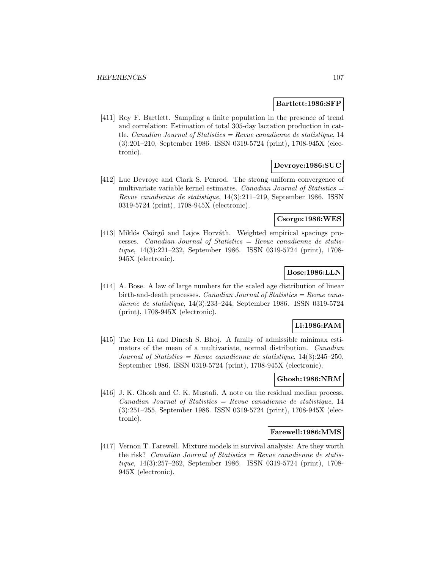#### **Bartlett:1986:SFP**

[411] Roy F. Bartlett. Sampling a finite population in the presence of trend and correlation: Estimation of total 305-day lactation production in cattle. Canadian Journal of Statistics = Revue canadienne de statistique, 14 (3):201–210, September 1986. ISSN 0319-5724 (print), 1708-945X (electronic).

# **Devroye:1986:SUC**

[412] Luc Devroye and Clark S. Penrod. The strong uniform convergence of multivariate variable kernel estimates. Canadian Journal of Statistics  $=$ Revue canadienne de statistique, 14(3):211–219, September 1986. ISSN 0319-5724 (print), 1708-945X (electronic).

## **Csorgo:1986:WES**

[413] Miklós Csörgő and Lajos Horváth. Weighted empirical spacings processes. Canadian Journal of Statistics  $=$  Revue canadienne de statistique, 14(3):221–232, September 1986. ISSN 0319-5724 (print), 1708- 945X (electronic).

# **Bose:1986:LLN**

[414] A. Bose. A law of large numbers for the scaled age distribution of linear birth-and-death processes. Canadian Journal of Statistics = Revue canadienne de statistique, 14(3):233–244, September 1986. ISSN 0319-5724 (print), 1708-945X (electronic).

# **Li:1986:FAM**

[415] Tze Fen Li and Dinesh S. Bhoj. A family of admissible minimax estimators of the mean of a multivariate, normal distribution. Canadian Journal of Statistics = Revue canadienne de statistique,  $14(3):245-250$ , September 1986. ISSN 0319-5724 (print), 1708-945X (electronic).

# **Ghosh:1986:NRM**

[416] J. K. Ghosh and C. K. Mustafi. A note on the residual median process.  $Canadian Journal of Statistics = Review canadienne de statistique, 14$ (3):251–255, September 1986. ISSN 0319-5724 (print), 1708-945X (electronic).

#### **Farewell:1986:MMS**

[417] Vernon T. Farewell. Mixture models in survival analysis: Are they worth the risk? Canadian Journal of Statistics = Revue canadienne de statistique, 14(3):257–262, September 1986. ISSN 0319-5724 (print), 1708- 945X (electronic).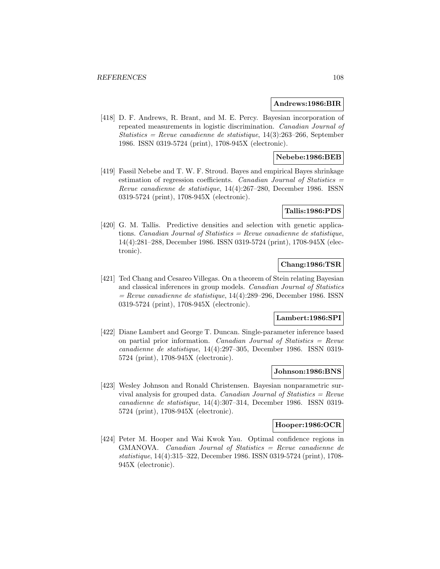#### **Andrews:1986:BIR**

[418] D. F. Andrews, R. Brant, and M. E. Percy. Bayesian incorporation of repeated measurements in logistic discrimination. Canadian Journal of Statistics = Revue canadienne de statistique,  $14(3):263-266$ , September 1986. ISSN 0319-5724 (print), 1708-945X (electronic).

## **Nebebe:1986:BEB**

[419] Fassil Nebebe and T. W. F. Stroud. Bayes and empirical Bayes shrinkage estimation of regression coefficients. Canadian Journal of Statistics  $=$ Revue canadienne de statistique, 14(4):267–280, December 1986. ISSN 0319-5724 (print), 1708-945X (electronic).

### **Tallis:1986:PDS**

[420] G. M. Tallis. Predictive densities and selection with genetic applications. Canadian Journal of Statistics = Revue canadienne de statistique, 14(4):281–288, December 1986. ISSN 0319-5724 (print), 1708-945X (electronic).

# **Chang:1986:TSR**

[421] Ted Chang and Cesareo Villegas. On a theorem of Stein relating Bayesian and classical inferences in group models. Canadian Journal of Statistics  $=$  Revue canadienne de statistique, 14(4):289–296, December 1986. ISSN 0319-5724 (print), 1708-945X (electronic).

#### **Lambert:1986:SPI**

[422] Diane Lambert and George T. Duncan. Single-parameter inference based on partial prior information. Canadian Journal of Statistics =  $Re$ vue canadienne de statistique, 14(4):297–305, December 1986. ISSN 0319- 5724 (print), 1708-945X (electronic).

## **Johnson:1986:BNS**

[423] Wesley Johnson and Ronald Christensen. Bayesian nonparametric survival analysis for grouped data. Canadian Journal of Statistics  $=$  Revue canadienne de statistique, 14(4):307–314, December 1986. ISSN 0319- 5724 (print), 1708-945X (electronic).

#### **Hooper:1986:OCR**

[424] Peter M. Hooper and Wai Kwok Yau. Optimal confidence regions in GMANOVA. Canadian Journal of Statistics = Revue canadienne de statistique, 14(4):315–322, December 1986. ISSN 0319-5724 (print), 1708- 945X (electronic).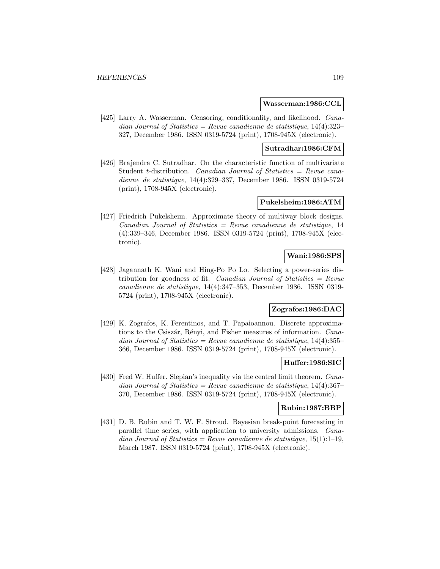#### **Wasserman:1986:CCL**

[425] Larry A. Wasserman. Censoring, conditionality, and likelihood. *Cana*dian Journal of Statistics = Revue canadienne de statistique,  $14(4):323-$ 327, December 1986. ISSN 0319-5724 (print), 1708-945X (electronic).

### **Sutradhar:1986:CFM**

[426] Brajendra C. Sutradhar. On the characteristic function of multivariate Student t-distribution. Canadian Journal of Statistics  $=$  Revue canadienne de statistique, 14(4):329–337, December 1986. ISSN 0319-5724 (print), 1708-945X (electronic).

### **Pukelsheim:1986:ATM**

[427] Friedrich Pukelsheim. Approximate theory of multiway block designs.  $Canadian Journal of Statistics = Revenue canadienne de statistic, 14$ (4):339–346, December 1986. ISSN 0319-5724 (print), 1708-945X (electronic).

# **Wani:1986:SPS**

[428] Jagannath K. Wani and Hing-Po Po Lo. Selecting a power-series distribution for goodness of fit. *Canadian Journal of Statistics = Revue* canadienne de statistique, 14(4):347–353, December 1986. ISSN 0319- 5724 (print), 1708-945X (electronic).

# **Zografos:1986:DAC**

[429] K. Zografos, K. Ferentinos, and T. Papaioannou. Discrete approximations to the Csiszár, Rényi, and Fisher measures of information. Canadian Journal of Statistics = Revue canadienne de statistique,  $14(4):355-$ 366, December 1986. ISSN 0319-5724 (print), 1708-945X (electronic).

#### **Huffer:1986:SIC**

[430] Fred W. Huffer. Slepian's inequality via the central limit theorem. Canadian Journal of Statistics = Revue canadienne de statistique,  $14(4):367-$ 370, December 1986. ISSN 0319-5724 (print), 1708-945X (electronic).

## **Rubin:1987:BBP**

[431] D. B. Rubin and T. W. F. Stroud. Bayesian break-point forecasting in parallel time series, with application to university admissions. Canadian Journal of Statistics = Revue canadienne de statistique,  $15(1):1-19$ , March 1987. ISSN 0319-5724 (print), 1708-945X (electronic).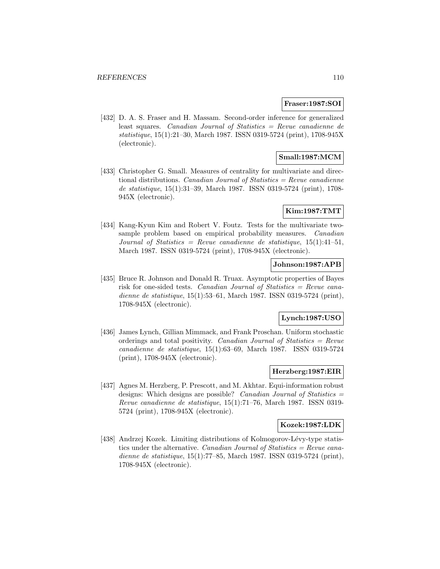#### **Fraser:1987:SOI**

[432] D. A. S. Fraser and H. Massam. Second-order inference for generalized least squares. Canadian Journal of Statistics = Revue canadienne de statistique, 15(1):21–30, March 1987. ISSN 0319-5724 (print), 1708-945X (electronic).

# **Small:1987:MCM**

[433] Christopher G. Small. Measures of centrality for multivariate and directional distributions. Canadian Journal of Statistics  $=$  Revue canadienne de statistique, 15(1):31–39, March 1987. ISSN 0319-5724 (print), 1708- 945X (electronic).

## **Kim:1987:TMT**

[434] Kang-Kyun Kim and Robert V. Foutz. Tests for the multivariate twosample problem based on empirical probability measures. *Canadian* Journal of Statistics = Revue canadienne de statistique,  $15(1):41-51$ , March 1987. ISSN 0319-5724 (print), 1708-945X (electronic).

# **Johnson:1987:APB**

[435] Bruce R. Johnson and Donald R. Truax. Asymptotic properties of Bayes risk for one-sided tests. Canadian Journal of Statistics = Revue canadienne de statistique, 15(1):53–61, March 1987. ISSN 0319-5724 (print), 1708-945X (electronic).

### **Lynch:1987:USO**

[436] James Lynch, Gillian Mimmack, and Frank Proschan. Uniform stochastic orderings and total positivity. *Canadian Journal of Statistics = Revue* canadienne de statistique, 15(1):63–69, March 1987. ISSN 0319-5724 (print), 1708-945X (electronic).

## **Herzberg:1987:EIR**

[437] Agnes M. Herzberg, P. Prescott, and M. Akhtar. Equi-information robust designs: Which designs are possible? Canadian Journal of Statistics = Revue canadienne de statistique, 15(1):71–76, March 1987. ISSN 0319- 5724 (print), 1708-945X (electronic).

## **Kozek:1987:LDK**

[438] Andrzej Kozek. Limiting distributions of Kolmogorov-Lévy-type statistics under the alternative. *Canadian Journal of Statistics = Revue cana*dienne de statistique, 15(1):77–85, March 1987. ISSN 0319-5724 (print), 1708-945X (electronic).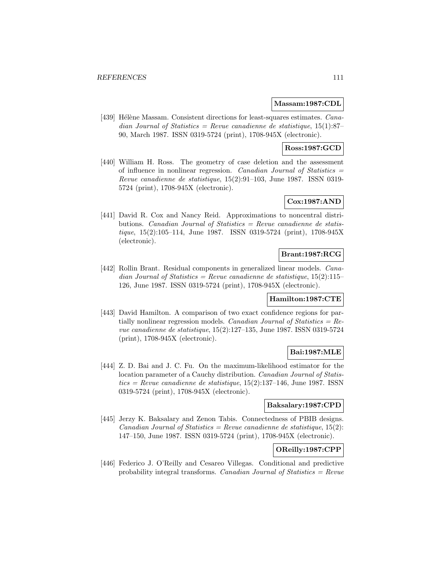### **Massam:1987:CDL**

[439] Hélène Massam. Consistent directions for least-squares estimates. Canadian Journal of Statistics = Revue canadienne de statistique,  $15(1):87-$ 90, March 1987. ISSN 0319-5724 (print), 1708-945X (electronic).

### **Ross:1987:GCD**

[440] William H. Ross. The geometry of case deletion and the assessment of influence in nonlinear regression. Canadian Journal of Statistics  $=$ Revue canadienne de statistique, 15(2):91–103, June 1987. ISSN 0319- 5724 (print), 1708-945X (electronic).

# **Cox:1987:AND**

[441] David R. Cox and Nancy Reid. Approximations to noncentral distributions. Canadian Journal of Statistics = Revue canadienne de statistique, 15(2):105–114, June 1987. ISSN 0319-5724 (print), 1708-945X (electronic).

# **Brant:1987:RCG**

[442] Rollin Brant. Residual components in generalized linear models. *Cana*dian Journal of Statistics = Revue canadienne de statistique,  $15(2):115-$ 126, June 1987. ISSN 0319-5724 (print), 1708-945X (electronic).

## **Hamilton:1987:CTE**

[443] David Hamilton. A comparison of two exact confidence regions for partially nonlinear regression models. Canadian Journal of Statistics =  $Re$ vue canadienne de statistique, 15(2):127–135, June 1987. ISSN 0319-5724 (print), 1708-945X (electronic).

## **Bai:1987:MLE**

[444] Z. D. Bai and J. C. Fu. On the maximum-likelihood estimator for the location parameter of a Cauchy distribution. Canadian Journal of Statis $tics = Revenue canadienne de statisticque, 15(2):137–146, June 1987. ISSN$ 0319-5724 (print), 1708-945X (electronic).

# **Baksalary:1987:CPD**

[445] Jerzy K. Baksalary and Zenon Tabis. Connectedness of PBIB designs. Canadian Journal of Statistics = Revue canadienne de statistique,  $15(2)$ : 147–150, June 1987. ISSN 0319-5724 (print), 1708-945X (electronic).

# **OReilly:1987:CPP**

[446] Federico J. O'Reilly and Cesareo Villegas. Conditional and predictive probability integral transforms. *Canadian Journal of Statistics = Revue*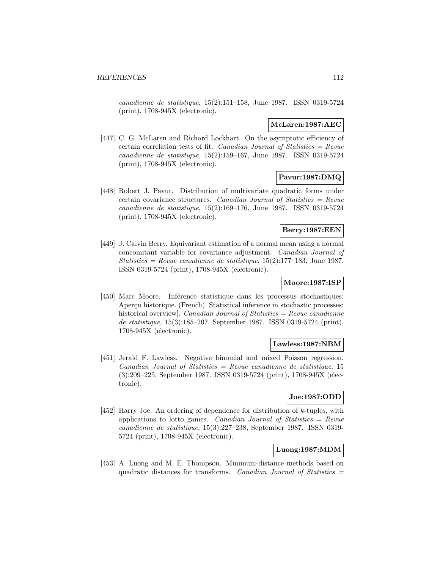canadienne de statistique, 15(2):151–158, June 1987. ISSN 0319-5724 (print), 1708-945X (electronic).

#### **McLaren:1987:AEC**

[447] C. G. McLaren and Richard Lockhart. On the asymptotic efficiency of certain correlation tests of fit. Canadian Journal of Statistics =  $Re$ vue canadienne de statistique, 15(2):159–167, June 1987. ISSN 0319-5724 (print), 1708-945X (electronic).

# **Pavur:1987:DMQ**

[448] Robert J. Pavur. Distribution of multivariate quadratic forms under certain covariance structures. Canadian Journal of Statistics  $=$  Revue canadienne de statistique, 15(2):169–176, June 1987. ISSN 0319-5724 (print), 1708-945X (electronic).

## **Berry:1987:EEN**

[449] J. Calvin Berry. Equivariant estimation of a normal mean using a normal concomitant variable for covariance adjustment. Canadian Journal of Statistics = Revue canadienne de statistique,  $15(2):177-183$ , June 1987. ISSN 0319-5724 (print), 1708-945X (electronic).

## **Moore:1987:ISP**

[450] Marc Moore. Inférence statistique dans les processus stochastiques: Aperçu historique. (French) [Statistical inference in stochastic processes: historical overview]. Canadian Journal of Statistics  $=$  Revue canadienne de statistique, 15(3):185–207, September 1987. ISSN 0319-5724 (print), 1708-945X (electronic).

## **Lawless:1987:NBM**

[451] Jerald F. Lawless. Negative binomial and mixed Poisson regression.  $Canadian Journal of Statistics = Review canadienne de statistic, 15$ (3):209–225, September 1987. ISSN 0319-5724 (print), 1708-945X (electronic).

# **Joe:1987:ODD**

[452] Harry Joe. An ordering of dependence for distribution of k-tuples, with applications to lotto games. Canadian Journal of Statistics  $=$  Revue canadienne de statistique, 15(3):227–238, September 1987. ISSN 0319- 5724 (print), 1708-945X (electronic).

# **Luong:1987:MDM**

[453] A. Luong and M. E. Thompson. Minimum-distance methods based on quadratic distances for transforms. Canadian Journal of Statistics  $=$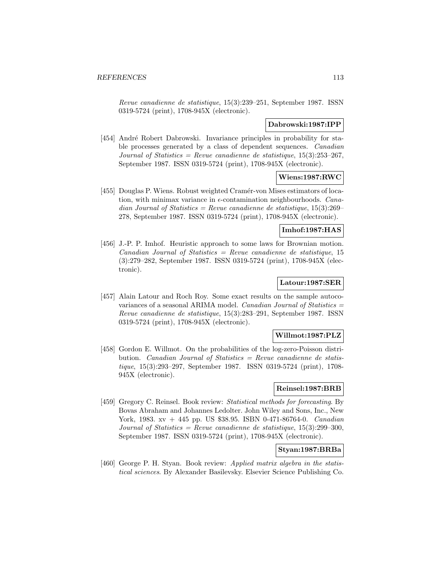Revue canadienne de statistique, 15(3):239–251, September 1987. ISSN 0319-5724 (print), 1708-945X (electronic).

### **Dabrowski:1987:IPP**

[454] André Robert Dabrowski. Invariance principles in probability for stable processes generated by a class of dependent sequences. Canadian Journal of Statistics = Revue canadienne de statistique,  $15(3):253-267$ , September 1987. ISSN 0319-5724 (print), 1708-945X (electronic).

# **Wiens:1987:RWC**

[455] Douglas P. Wiens. Robust weighted Cram´er-von Mises estimators of location, with minimax variance in  $\epsilon$ -contamination neighbourhoods. Canadian Journal of Statistics = Revue canadienne de statistique,  $15(3):269-$ 278, September 1987. ISSN 0319-5724 (print), 1708-945X (electronic).

# **Imhof:1987:HAS**

[456] J.-P. P. Imhof. Heuristic approach to some laws for Brownian motion.  $Canadian Journal of Statistics = Review canadienne de statistic, 15$ (3):279–282, September 1987. ISSN 0319-5724 (print), 1708-945X (electronic).

## **Latour:1987:SER**

[457] Alain Latour and Roch Roy. Some exact results on the sample autocovariances of a seasonal ARIMA model. Canadian Journal of Statistics  $=$ Revue canadienne de statistique, 15(3):283–291, September 1987. ISSN 0319-5724 (print), 1708-945X (electronic).

#### **Willmot:1987:PLZ**

[458] Gordon E. Willmot. On the probabilities of the log-zero-Poisson distribution. *Canadian Journal of Statistics = Revue canadienne de statis*tique, 15(3):293–297, September 1987. ISSN 0319-5724 (print), 1708- 945X (electronic).

#### **Reinsel:1987:BRB**

[459] Gregory C. Reinsel. Book review: Statistical methods for forecasting. By Bovas Abraham and Johannes Ledolter. John Wiley and Sons, Inc., New York, 1983. xv + 445 pp. US \$38.95. ISBN 0-471-86764-0. *Canadian* Journal of Statistics = Revue canadienne de statistique,  $15(3):299-300$ , September 1987. ISSN 0319-5724 (print), 1708-945X (electronic).

# **Styan:1987:BRBa**

[460] George P. H. Styan. Book review: Applied matrix algebra in the statistical sciences. By Alexander Basilevsky. Elsevier Science Publishing Co.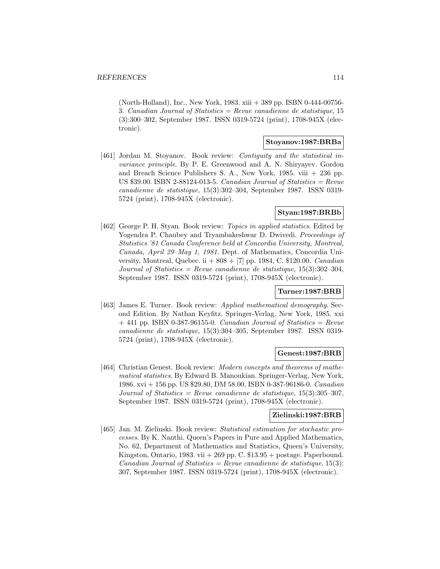(North-Holland), Inc., New York, 1983. xiii + 389 pp. ISBN 0-444-00756- 3. Canadian Journal of Statistics = Revue canadienne de statistique,  $15$ (3):300–302, September 1987. ISSN 0319-5724 (print), 1708-945X (electronic).

## **Stoyanov:1987:BRBa**

[461] Jordan M. Stoyanov. Book review: Contiguity and the statistical invariance principle. By P. E. Greenwood and A. N. Shiryayev. Gordon and Breach Science Publishers S. A., New York, 1985. viii + 236 pp. US  $$39.00.$  ISBN 2-88124-013-5. Canadian Journal of Statistics = Revue canadienne de statistique, 15(3):302–304, September 1987. ISSN 0319- 5724 (print), 1708-945X (electronic).

# **Styan:1987:BRBb**

[462] George P. H. Styan. Book review: Topics in applied statistics. Edited by Yogendra P. Chaubey and Tryambakeshwar D. Dwivedi. Proceedings of Statistics '81 Canada Conference held at Concordia University, Montreal, Canada, April 29–May 1, 1981. Dept. of Mathematics, Concordia University, Montreal, Quebec. ii  $+808 + [7]$  pp. 1984, C. \$120.00. Canadian Journal of Statistics = Revue canadienne de statistique,  $15(3):302-304$ , September 1987. ISSN 0319-5724 (print), 1708-945X (electronic).

## **Turner:1987:BRB**

[463] James E. Turner. Book review: Applied mathematical demography. Second Edition. By Nathan Keyfitz. Springer-Verlag, New York, 1985. xxi  $+$  441 pp. ISBN 0-387-96155-0. Canadian Journal of Statistics = Revue canadienne de statistique, 15(3):304–305, September 1987. ISSN 0319- 5724 (print), 1708-945X (electronic).

#### **Genest:1987:BRB**

[464] Christian Genest. Book review: Modern concepts and theorems of mathematical statistics. By Edward B. Manoukian. Springer-Verlag, New York, 1986. xvi + 156 pp. US \$29.80, DM 58.00, ISBN 0-387-96186-0. Canadian Journal of Statistics = Revue canadienne de statistique,  $15(3):305-307$ , September 1987. ISSN 0319-5724 (print), 1708-945X (electronic).

## **Zielinski:1987:BRB**

[465] Jan. M. Zielinski. Book review: Statistical estimation for stochastic processes. By K. Nanthi. Queen's Papers in Pure and Applied Mathematics, No. 62, Department of Mathematics and Statistics, Queen's University, Kingston, Ontario, 1983. vii  $+269$  pp. C.  $$13.95 +$  postage. Paperbound.  $Canadian Journal of Statistics = Review candidate$  de statistique, 15(3): 307, September 1987. ISSN 0319-5724 (print), 1708-945X (electronic).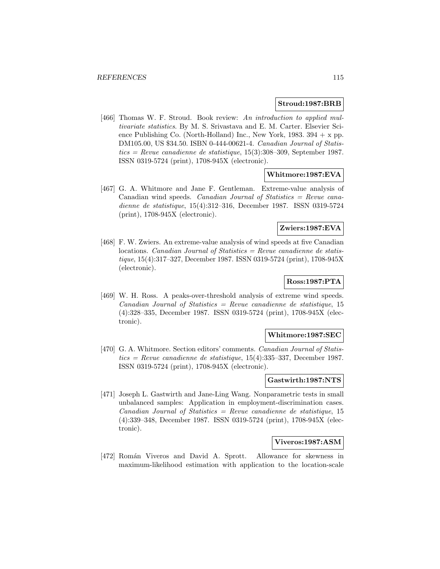#### **Stroud:1987:BRB**

[466] Thomas W. F. Stroud. Book review: An introduction to applied multivariate statistics. By M. S. Srivastava and E. M. Carter. Elsevier Science Publishing Co. (North-Holland) Inc., New York,  $1983. 394 + x$  pp. DM105.00, US \$34.50. ISBN 0-444-00621-4. Canadian Journal of Statis $tics = Revue$  canadienne de statistique, 15(3):308–309, September 1987.ISSN 0319-5724 (print), 1708-945X (electronic).

## **Whitmore:1987:EVA**

[467] G. A. Whitmore and Jane F. Gentleman. Extreme-value analysis of Canadian wind speeds. Canadian Journal of Statistics = Revue canadienne de statistique, 15(4):312–316, December 1987. ISSN 0319-5724 (print), 1708-945X (electronic).

## **Zwiers:1987:EVA**

[468] F. W. Zwiers. An extreme-value analysis of wind speeds at five Canadian locations. Canadian Journal of Statistics = Revue canadienne de statistique, 15(4):317–327, December 1987. ISSN 0319-5724 (print), 1708-945X (electronic).

# **Ross:1987:PTA**

[469] W. H. Ross. A peaks-over-threshold analysis of extreme wind speeds.  $Canadian Journal of Statistics = Review can a dienne de statistique, 15$ (4):328–335, December 1987. ISSN 0319-5724 (print), 1708-945X (electronic).

## **Whitmore:1987:SEC**

[470] G. A. Whitmore. Section editors' comments. *Canadian Journal of Statis*tics = Revue canadienne de statistique,  $15(4)$ :335-337, December 1987. ISSN 0319-5724 (print), 1708-945X (electronic).

## **Gastwirth:1987:NTS**

[471] Joseph L. Gastwirth and Jane-Ling Wang. Nonparametric tests in small unbalanced samples: Application in employment-discrimination cases.  $Canadian Journal of Statistics = Review canadienne de statistique, 15$ (4):339–348, December 1987. ISSN 0319-5724 (print), 1708-945X (electronic).

#### **Viveros:1987:ASM**

[472] Román Viveros and David A. Sprott. Allowance for skewness in maximum-likelihood estimation with application to the location-scale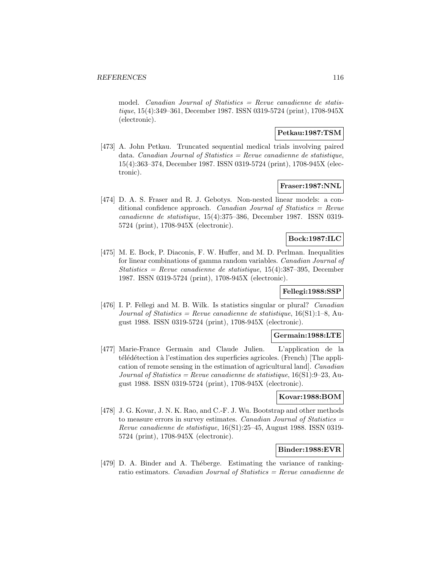model. *Canadian Journal of Statistics = Revue canadienne de statis*tique, 15(4):349–361, December 1987. ISSN 0319-5724 (print), 1708-945X (electronic).

## **Petkau:1987:TSM**

[473] A. John Petkau. Truncated sequential medical trials involving paired data. Canadian Journal of Statistics = Revue canadienne de statistique, 15(4):363–374, December 1987. ISSN 0319-5724 (print), 1708-945X (electronic).

#### **Fraser:1987:NNL**

[474] D. A. S. Fraser and R. J. Gebotys. Non-nested linear models: a conditional confidence approach. *Canadian Journal of Statistics = Revue* canadienne de statistique, 15(4):375–386, December 1987. ISSN 0319- 5724 (print), 1708-945X (electronic).

# **Bock:1987:ILC**

[475] M. E. Bock, P. Diaconis, F. W. Huffer, and M. D. Perlman. Inequalities for linear combinations of gamma random variables. Canadian Journal of Statistics = Revue canadienne de statistique,  $15(4)$ :387-395, December 1987. ISSN 0319-5724 (print), 1708-945X (electronic).

# **Fellegi:1988:SSP**

[476] I. P. Fellegi and M. B. Wilk. Is statistics singular or plural? *Canadian* Journal of Statistics = Revue canadienne de statistique,  $16(S1):1-8$ , August 1988. ISSN 0319-5724 (print), 1708-945X (electronic).

#### **Germain:1988:LTE**

[477] Marie-France Germain and Claude Julien. L'application de la télédétection à l'estimation des superficies agricoles. (French) [The application of remote sensing in the estimation of agricultural land]. Canadian Journal of Statistics = Revue canadienne de statistique,  $16(S1):9-23$ , August 1988. ISSN 0319-5724 (print), 1708-945X (electronic).

## **Kovar:1988:BOM**

[478] J. G. Kovar, J. N. K. Rao, and C.-F. J. Wu. Bootstrap and other methods to measure errors in survey estimates. Canadian Journal of Statistics  $=$ Revue canadienne de statistique, 16(S1):25–45, August 1988. ISSN 0319- 5724 (print), 1708-945X (electronic).

## **Binder:1988:EVR**

[479] D. A. Binder and A. Théberge. Estimating the variance of rankingratio estimators. Canadian Journal of Statistics = Revue canadienne de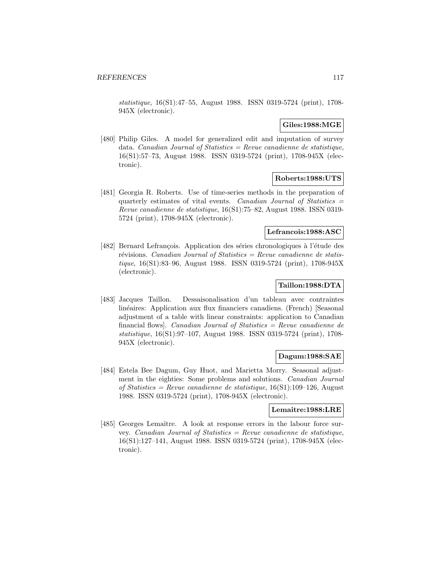statistique, 16(S1):47–55, August 1988. ISSN 0319-5724 (print), 1708- 945X (electronic).

## **Giles:1988:MGE**

[480] Philip Giles. A model for generalized edit and imputation of survey data. *Canadian Journal of Statistics = Revue canadienne de statistique,* 16(S1):57–73, August 1988. ISSN 0319-5724 (print), 1708-945X (electronic).

## **Roberts:1988:UTS**

[481] Georgia R. Roberts. Use of time-series methods in the preparation of quarterly estimates of vital events. Canadian Journal of Statistics  $=$ Revue canadienne de statistique, 16(S1):75–82, August 1988. ISSN 0319- 5724 (print), 1708-945X (electronic).

#### **Lefrancois:1988:ASC**

[482] Bernard Lefrançois. Application des séries chronologiques à l'étude des révisions. Canadian Journal of Statistics = Revue canadienne de statistique, 16(S1):83–96, August 1988. ISSN 0319-5724 (print), 1708-945X (electronic).

# **Taillon:1988:DTA**

[483] Jacques Taillon. Dessaisonalisation d'un tableau avec contraintes linéaires: Application aux flux financiers canadiens. (French) [Seasonal adjustment of a table with linear constraints: application to Canadian financial flows]. Canadian Journal of Statistics = Revue canadienne de statistique, 16(S1):97–107, August 1988. ISSN 0319-5724 (print), 1708- 945X (electronic).

## **Dagum:1988:SAE**

[484] Estela Bee Dagum, Guy Huot, and Marietta Morry. Seasonal adjustment in the eighties: Some problems and solutions. Canadian Journal of Statistics = Revue canadienne de statistique,  $16(S1):109-126$ , August 1988. ISSN 0319-5724 (print), 1708-945X (electronic).

# **Lemaitre:1988:LRE**

[485] Georges Lemaître. A look at response errors in the labour force survey. Canadian Journal of Statistics  $=$  Revue canadienne de statistique, 16(S1):127–141, August 1988. ISSN 0319-5724 (print), 1708-945X (electronic).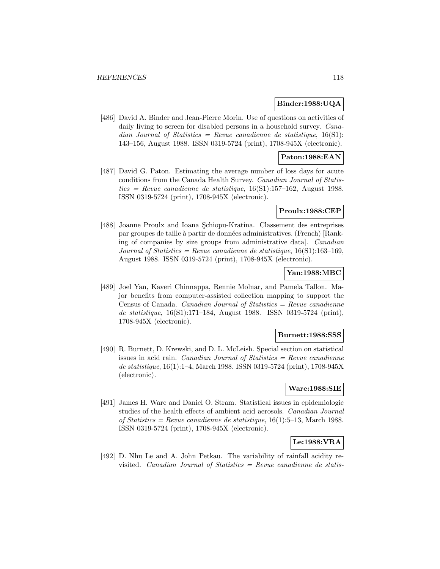#### **Binder:1988:UQA**

[486] David A. Binder and Jean-Pierre Morin. Use of questions on activities of daily living to screen for disabled persons in a household survey. *Cana*dian Journal of Statistics = Revue canadienne de statistique,  $16(S1)$ : 143–156, August 1988. ISSN 0319-5724 (print), 1708-945X (electronic).

# **Paton:1988:EAN**

[487] David G. Paton. Estimating the average number of loss days for acute conditions from the Canada Health Survey. Canadian Journal of Statis $tics = Revue$  canadienne de statistique, 16(S1):157–162, August 1988.ISSN 0319-5724 (print), 1708-945X (electronic).

### **Proulx:1988:CEP**

[488] Joanne Proulx and Ioana Şchiopu-Kratina. Classement des entreprises par groupes de taille à partir de données administratives. (French) [Ranking of companies by size groups from administrative data]. Canadian Journal of Statistics = Revue canadienne de statistique,  $16(S1):163-169$ , August 1988. ISSN 0319-5724 (print), 1708-945X (electronic).

## **Yan:1988:MBC**

[489] Joel Yan, Kaveri Chinnappa, Rennie Molnar, and Pamela Tallon. Major benefits from computer-assisted collection mapping to support the Census of Canada. Canadian Journal of Statistics  $=$  Revue canadienne de statistique, 16(S1):171–184, August 1988. ISSN 0319-5724 (print), 1708-945X (electronic).

## **Burnett:1988:SSS**

[490] R. Burnett, D. Krewski, and D. L. McLeish. Special section on statistical issues in acid rain. *Canadian Journal of Statistics = Revue canadienne* de statistique, 16(1):1–4, March 1988. ISSN 0319-5724 (print), 1708-945X (electronic).

## **Ware:1988:SIE**

[491] James H. Ware and Daniel O. Stram. Statistical issues in epidemiologic studies of the health effects of ambient acid aerosols. Canadian Journal of Statistics = Revue canadienne de statistique,  $16(1)$ :5-13, March 1988. ISSN 0319-5724 (print), 1708-945X (electronic).

# **Le:1988:VRA**

[492] D. Nhu Le and A. John Petkau. The variability of rainfall acidity revisited. Canadian Journal of Statistics  $=$  Revue canadienne de statis-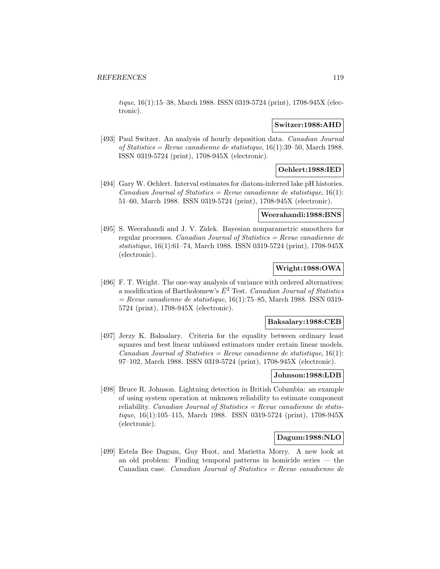tique, 16(1):15–38, March 1988. ISSN 0319-5724 (print), 1708-945X (electronic).

#### **Switzer:1988:AHD**

[493] Paul Switzer. An analysis of hourly deposition data. Canadian Journal of Statistics = Revue canadienne de statistique,  $16(1):39-50$ , March 1988. ISSN 0319-5724 (print), 1708-945X (electronic).

## **Oehlert:1988:IED**

[494] Gary W. Oehlert. Interval estimates for diatom-inferred lake pH histories. Canadian Journal of Statistics = Revue canadienne de statistique,  $16(1)$ : 51–60, March 1988. ISSN 0319-5724 (print), 1708-945X (electronic).

# **Weerahandi:1988:BNS**

[495] S. Weerahandi and J. V. Zidek. Bayesian nonparametric smoothers for regular processes. Canadian Journal of Statistics = Revue canadienne de statistique, 16(1):61–74, March 1988. ISSN 0319-5724 (print), 1708-945X (electronic).

# **Wright:1988:OWA**

[496] F. T. Wright. The one-way analysis of variance with ordered alternatives: a modification of Bartholomew's  $\bar{E}^2$  Test. Canadian Journal of Statistics  $=$  Revue canadienne de statistique, 16(1):75–85, March 1988. ISSN 0319-5724 (print), 1708-945X (electronic).

#### **Baksalary:1988:CEB**

[497] Jerzy K. Baksalary. Criteria for the equality between ordinary least squares and best linear unbiased estimators under certain linear models. Canadian Journal of Statistics = Revue canadienne de statistique,  $16(1)$ : 97–102, March 1988. ISSN 0319-5724 (print), 1708-945X (electronic).

#### **Johnson:1988:LDB**

[498] Bruce R. Johnson. Lightning detection in British Columbia: an example of using system operation at unknown reliability to estimate component reliability. *Canadian Journal of Statistics = Revue canadienne de statis*tique, 16(1):105–115, March 1988. ISSN 0319-5724 (print), 1708-945X (electronic).

### **Dagum:1988:NLO**

[499] Estela Bee Dagum, Guy Huot, and Marietta Morry. A new look at an old problem: Finding temporal patterns in homicide series — the Canadian case. Canadian Journal of Statistics = Revue canadienne de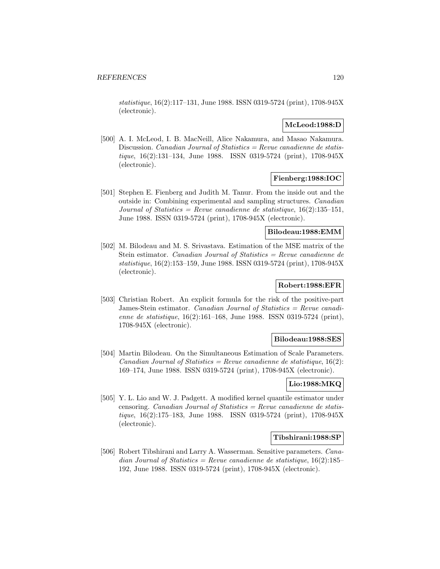statistique, 16(2):117–131, June 1988. ISSN 0319-5724 (print), 1708-945X (electronic).

## **McLeod:1988:D**

[500] A. I. McLeod, I. B. MacNeill, Alice Nakamura, and Masao Nakamura. Discussion. *Canadian Journal of Statistics = Revue canadienne de statis*tique, 16(2):131–134, June 1988. ISSN 0319-5724 (print), 1708-945X (electronic).

# **Fienberg:1988:IOC**

[501] Stephen E. Fienberg and Judith M. Tanur. From the inside out and the outside in: Combining experimental and sampling structures. Canadian Journal of Statistics = Revue canadienne de statistique,  $16(2):135-151$ , June 1988. ISSN 0319-5724 (print), 1708-945X (electronic).

#### **Bilodeau:1988:EMM**

[502] M. Bilodeau and M. S. Srivastava. Estimation of the MSE matrix of the Stein estimator. Canadian Journal of Statistics = Revue canadienne de statistique, 16(2):153–159, June 1988. ISSN 0319-5724 (print), 1708-945X (electronic).

# **Robert:1988:EFR**

[503] Christian Robert. An explicit formula for the risk of the positive-part James-Stein estimator. Canadian Journal of Statistics = Revue canadienne de statistique, 16(2):161–168, June 1988. ISSN 0319-5724 (print), 1708-945X (electronic).

#### **Bilodeau:1988:SES**

[504] Martin Bilodeau. On the Simultaneous Estimation of Scale Parameters. Canadian Journal of Statistics = Revue canadienne de statistique,  $16(2)$ : 169–174, June 1988. ISSN 0319-5724 (print), 1708-945X (electronic).

## **Lio:1988:MKQ**

[505] Y. L. Lio and W. J. Padgett. A modified kernel quantile estimator under censoring. Canadian Journal of Statistics =  $Rewue$  canadienne de statistique, 16(2):175–183, June 1988. ISSN 0319-5724 (print), 1708-945X (electronic).

### **Tibshirani:1988:SP**

[506] Robert Tibshirani and Larry A. Wasserman. Sensitive parameters. *Cana*dian Journal of Statistics = Revue canadienne de statistique,  $16(2):185-$ 192, June 1988. ISSN 0319-5724 (print), 1708-945X (electronic).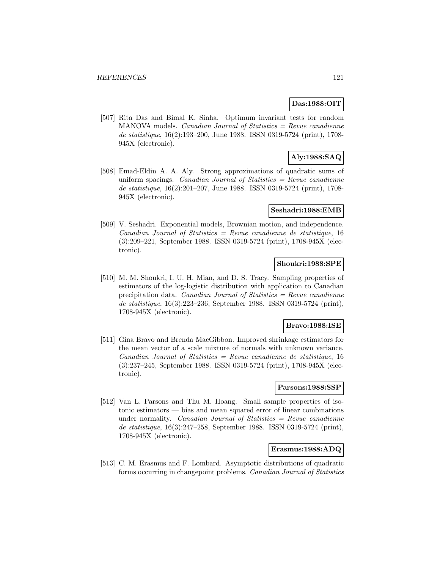## **Das:1988:OIT**

[507] Rita Das and Bimal K. Sinha. Optimum invariant tests for random  $MANOVA$  models. *Canadian Journal of Statistics = Revue canadienne* de statistique, 16(2):193–200, June 1988. ISSN 0319-5724 (print), 1708- 945X (electronic).

# **Aly:1988:SAQ**

[508] Emad-Eldin A. A. Aly. Strong approximations of quadratic sums of uniform spacings. *Canadian Journal of Statistics = Revue canadienne* de statistique, 16(2):201–207, June 1988. ISSN 0319-5724 (print), 1708- 945X (electronic).

#### **Seshadri:1988:EMB**

[509] V. Seshadri. Exponential models, Brownian motion, and independence.  $Canadian Journal of Statistics = Review canadienne de statistique, 16$ (3):209–221, September 1988. ISSN 0319-5724 (print), 1708-945X (electronic).

## **Shoukri:1988:SPE**

[510] M. M. Shoukri, I. U. H. Mian, and D. S. Tracy. Sampling properties of estimators of the log-logistic distribution with application to Canadian precipitation data. Canadian Journal of Statistics = Revue canadienne de statistique, 16(3):223–236, September 1988. ISSN 0319-5724 (print), 1708-945X (electronic).

#### **Bravo:1988:ISE**

[511] Gina Bravo and Brenda MacGibbon. Improved shrinkage estimators for the mean vector of a scale mixture of normals with unknown variance.  $Canadian Journal of Statistics = Review canadienne de statistic, 16$ (3):237–245, September 1988. ISSN 0319-5724 (print), 1708-945X (electronic).

## **Parsons:1988:SSP**

[512] Van L. Parsons and Thu M. Hoang. Small sample properties of isotonic estimators — bias and mean squared error of linear combinations under normality. Canadian Journal of Statistics  $=$  Revue canadienne de statistique, 16(3):247–258, September 1988. ISSN 0319-5724 (print), 1708-945X (electronic).

# **Erasmus:1988:ADQ**

[513] C. M. Erasmus and F. Lombard. Asymptotic distributions of quadratic forms occurring in changepoint problems. Canadian Journal of Statistics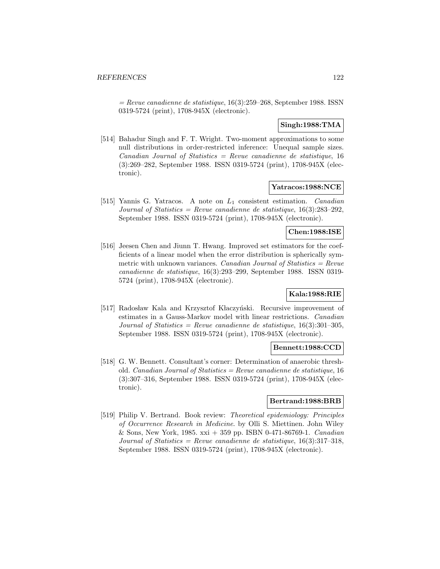$=$  Revue canadienne de statistique, 16(3):259–268, September 1988. ISSN 0319-5724 (print), 1708-945X (electronic).

# **Singh:1988:TMA**

[514] Bahadur Singh and F. T. Wright. Two-moment approximations to some null distributions in order-restricted inference: Unequal sample sizes.  $Canadian Journal of Statistics = Revenue canadienne de statistic, 16$ (3):269–282, September 1988. ISSN 0319-5724 (print), 1708-945X (electronic).

## **Yatracos:1988:NCE**

[515] Yannis G. Yatracos. A note on  $L_1$  consistent estimation. Canadian Journal of Statistics = Revue canadienne de statistique,  $16(3):283-292$ , September 1988. ISSN 0319-5724 (print), 1708-945X (electronic).

#### **Chen:1988:ISE**

[516] Jeesen Chen and Jiunn T. Hwang. Improved set estimators for the coefficients of a linear model when the error distribution is spherically symmetric with unknown variances. *Canadian Journal of Statistics = Revue* canadienne de statistique, 16(3):293–299, September 1988. ISSN 0319- 5724 (print), 1708-945X (electronic).

## **Kala:1988:RIE**

[517] Radosław Kala and Krzysztof Kłaczyński. Recursive improvement of estimates in a Gauss-Markov model with linear restrictions. Canadian Journal of Statistics = Revue canadienne de statistique,  $16(3):301-305$ , September 1988. ISSN 0319-5724 (print), 1708-945X (electronic).

### **Bennett:1988:CCD**

[518] G. W. Bennett. Consultant's corner: Determination of anaerobic threshold. Canadian Journal of Statistics = Revue canadienne de statistique, 16 (3):307–316, September 1988. ISSN 0319-5724 (print), 1708-945X (electronic).

#### **Bertrand:1988:BRB**

[519] Philip V. Bertrand. Book review: Theoretical epidemiology: Principles of Occurrence Research in Medicine. by Olli S. Miettinen. John Wiley & Sons, New York, 1985. xxi + 359 pp. ISBN 0-471-86769-1. Canadian Journal of Statistics = Revue canadienne de statistique,  $16(3):317-318$ , September 1988. ISSN 0319-5724 (print), 1708-945X (electronic).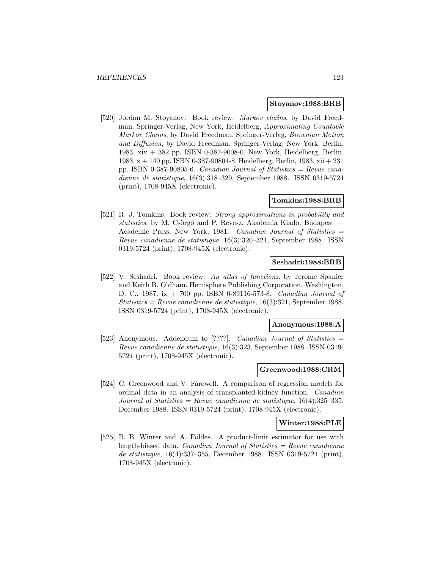#### **Stoyanov:1988:BRB**

[520] Jordan M. Stoyanov. Book review: Markov chains. by David Freedman. Springer-Verlag, New York, Heidelberg, Approximating Countable Markov Chains, by David Freedman. Springer-Verlag, Brownian Motion and Diffusion, by David Freedman. Springer-Verlag, New York, Berlin, 1983. xiv + 382 pp. ISBN 0-387-9008-0. New York, Heidelberg, Berlin, 1983. x + 140 pp. ISBN 0-387-90804-8. Heidelberg, Berlin, 1983. xii + 231 pp. ISBN 0-387-90805-6. Canadian Journal of Statistics = Revue canadienne de statistique, 16(3):318–320, September 1988. ISSN 0319-5724 (print), 1708-945X (electronic).

## **Tomkins:1988:BRB**

[521] R. J. Tomkins. Book review: Strong approximations in probability and statistics. by M. Csörgő and P. Revesz. Akademia Kiado, Budapest  $-$ Academic Press, New York, 1981. Canadian Journal of Statistics = Revue canadienne de statistique, 16(3):320–321, September 1988. ISSN 0319-5724 (print), 1708-945X (electronic).

## **Seshadri:1988:BRB**

[522] V. Seshadri. Book review: An atlas of functions. by Jerome Spanier and Keith B. Oldham. Hemisphere Publishing Corporation, Washington, D. C., 1987. ix + 700 pp. ISBN 0-89116-573-8. Canadian Journal of Statistics = Revue canadienne de statistique,  $16(3):321$ , September 1988. ISSN 0319-5724 (print), 1708-945X (electronic).

#### **Anonymous:1988:A**

[523] Anonymous. Addendum to [????]. *Canadian Journal of Statistics* = Revue canadienne de statistique, 16(3):323, September 1988. ISSN 0319- 5724 (print), 1708-945X (electronic).

#### **Greenwood:1988:CRM**

[524] C. Greenwood and V. Farewell. A comparison of regression models for ordinal data in an analysis of transplanted-kidney function. Canadian Journal of Statistics = Revue canadienne de statistique,  $16(4):325-335$ , December 1988. ISSN 0319-5724 (print), 1708-945X (electronic).

#### **Winter:1988:PLE**

[525] B. B. Winter and A. Földes. A product-limit estimator for use with length-biased data. *Canadian Journal of Statistics = Revue canadienne* de statistique, 16(4):337–355, December 1988. ISSN 0319-5724 (print), 1708-945X (electronic).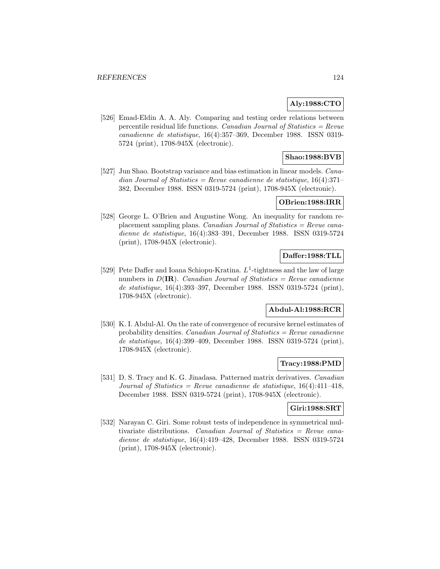# **Aly:1988:CTO**

[526] Emad-Eldin A. A. Aly. Comparing and testing order relations between percentile residual life functions. Canadian Journal of Statistics =  $Re$ vue canadienne de statistique, 16(4):357–369, December 1988. ISSN 0319- 5724 (print), 1708-945X (electronic).

# **Shao:1988:BVB**

[527] Jun Shao. Bootstrap variance and bias estimation in linear models. Canadian Journal of Statistics = Revue canadienne de statistique,  $16(4):371-$ 382, December 1988. ISSN 0319-5724 (print), 1708-945X (electronic).

## **OBrien:1988:IRR**

[528] George L. O'Brien and Augustine Wong. An inequality for random replacement sampling plans. Canadian Journal of Statistics = Revue canadienne de statistique, 16(4):383–391, December 1988. ISSN 0319-5724 (print), 1708-945X (electronic).

## **Daffer:1988:TLL**

[529] Pete Daffer and Ioana Schiopu-Kratina.  $L^1$ -tightness and the law of large numbers in  $D(\mathbf{IR})$ . Canadian Journal of Statistics = Revue canadienne de statistique, 16(4):393–397, December 1988. ISSN 0319-5724 (print), 1708-945X (electronic).

## **Abdul-Al:1988:RCR**

[530] K. I. Abdul-Al. On the rate of convergence of recursive kernel estimates of probability densities. *Canadian Journal of Statistics = Revue canadienne* de statistique, 16(4):399–409, December 1988. ISSN 0319-5724 (print), 1708-945X (electronic).

#### **Tracy:1988:PMD**

[531] D. S. Tracy and K. G. Jinadasa. Patterned matrix derivatives. Canadian Journal of Statistics = Revue canadienne de statistique,  $16(4):411-418$ , December 1988. ISSN 0319-5724 (print), 1708-945X (electronic).

#### **Giri:1988:SRT**

[532] Narayan C. Giri. Some robust tests of independence in symmetrical multivariate distributions. Canadian Journal of Statistics = Revue canadienne de statistique, 16(4):419–428, December 1988. ISSN 0319-5724 (print), 1708-945X (electronic).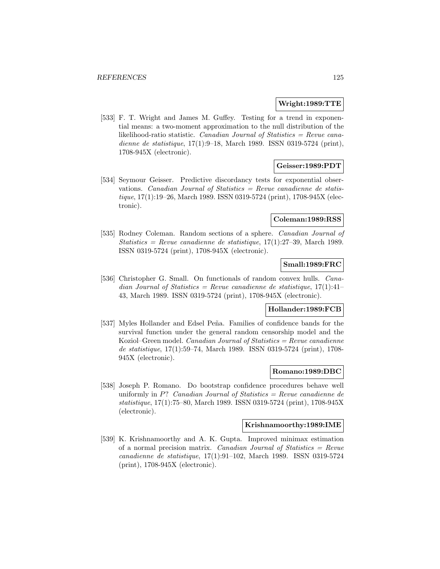#### **Wright:1989:TTE**

[533] F. T. Wright and James M. Guffey. Testing for a trend in exponential means: a two-moment approximation to the null distribution of the likelihood-ratio statistic. Canadian Journal of Statistics = Revue canadienne de statistique, 17(1):9–18, March 1989. ISSN 0319-5724 (print), 1708-945X (electronic).

## **Geisser:1989:PDT**

[534] Seymour Geisser. Predictive discordancy tests for exponential observations. Canadian Journal of Statistics = Revue canadienne de statistique, 17(1):19–26, March 1989. ISSN 0319-5724 (print), 1708-945X (electronic).

### **Coleman:1989:RSS**

[535] Rodney Coleman. Random sections of a sphere. Canadian Journal of  $Statistics = Revenue canadienne de statistique, 17(1):27–39, March 1989.$ ISSN 0319-5724 (print), 1708-945X (electronic).

## **Small:1989:FRC**

[536] Christopher G. Small. On functionals of random convex hulls. *Cana*dian Journal of Statistics = Revue canadienne de statistique,  $17(1):41-$ 43, March 1989. ISSN 0319-5724 (print), 1708-945X (electronic).

# **Hollander:1989:FCB**

[537] Myles Hollander and Edsel Peña. Families of confidence bands for the survival function under the general random censorship model and the Koziol–Green model. Canadian Journal of Statistics =  $Re$ vue canadienne de statistique, 17(1):59–74, March 1989. ISSN 0319-5724 (print), 1708- 945X (electronic).

## **Romano:1989:DBC**

[538] Joseph P. Romano. Do bootstrap confidence procedures behave well uniformly in  $P$ ? Canadian Journal of Statistics = Revue canadienne de statistique, 17(1):75–80, March 1989. ISSN 0319-5724 (print), 1708-945X (electronic).

#### **Krishnamoorthy:1989:IME**

[539] K. Krishnamoorthy and A. K. Gupta. Improved minimax estimation of a normal precision matrix. Canadian Journal of Statistics  $=$  Revue canadienne de statistique, 17(1):91–102, March 1989. ISSN 0319-5724 (print), 1708-945X (electronic).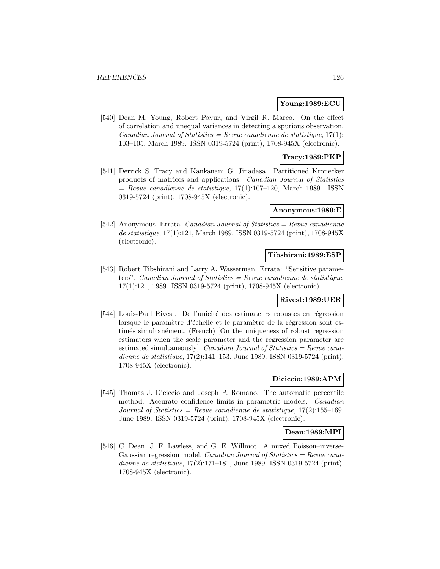#### **Young:1989:ECU**

[540] Dean M. Young, Robert Pavur, and Virgil R. Marco. On the effect of correlation and unequal variances in detecting a spurious observation. Canadian Journal of Statistics = Revue canadienne de statistique,  $17(1)$ : 103–105, March 1989. ISSN 0319-5724 (print), 1708-945X (electronic).

### **Tracy:1989:PKP**

[541] Derrick S. Tracy and Kankanam G. Jinadasa. Partitioned Kronecker products of matrices and applications. Canadian Journal of Statistics  $=$  Revue canadienne de statistique, 17(1):107–120, March 1989. ISSN 0319-5724 (print), 1708-945X (electronic).

#### **Anonymous:1989:E**

[542] Anonymous. Errata. Canadian Journal of Statistics = Revue canadienne de statistique, 17(1):121, March 1989. ISSN 0319-5724 (print), 1708-945X (electronic).

#### **Tibshirani:1989:ESP**

[543] Robert Tibshirani and Larry A. Wasserman. Errata: "Sensitive parameters". Canadian Journal of Statistics = Revue canadienne de statistique, 17(1):121, 1989. ISSN 0319-5724 (print), 1708-945X (electronic).

#### **Rivest:1989:UER**

[544] Louis-Paul Rivest. De l'unicité des estimateurs robustes en régression lorsque le paramètre d'échelle et le paramètre de la régression sont estimés simultanément. (French) [On the uniqueness of robust regression estimators when the scale parameter and the regression parameter are estimated simultaneously. Canadian Journal of Statistics  $=$  Revue canadienne de statistique, 17(2):141-153, June 1989. ISSN 0319-5724 (print), 1708-945X (electronic).

## **Diciccio:1989:APM**

[545] Thomas J. Diciccio and Joseph P. Romano. The automatic percentile method: Accurate confidence limits in parametric models. Canadian Journal of Statistics = Revue canadienne de statistique,  $17(2)$ :155-169, June 1989. ISSN 0319-5724 (print), 1708-945X (electronic).

### **Dean:1989:MPI**

[546] C. Dean, J. F. Lawless, and G. E. Willmot. A mixed Poisson–inverse-Gaussian regression model. Canadian Journal of Statistics =  $Re$ vue canadienne de statistique, 17(2):171–181, June 1989. ISSN 0319-5724 (print), 1708-945X (electronic).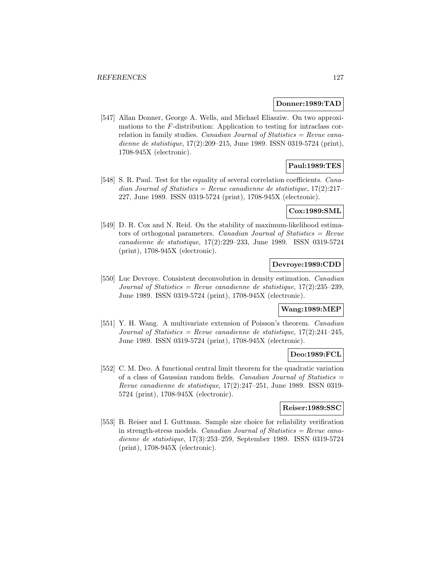#### **Donner:1989:TAD**

[547] Allan Donner, George A. Wells, and Michael Eliasziw. On two approximations to the F-distribution: Application to testing for intraclass correlation in family studies. Canadian Journal of Statistics  $=$  Revue canadienne de statistique, 17(2):209–215, June 1989. ISSN 0319-5724 (print), 1708-945X (electronic).

## **Paul:1989:TES**

[548] S. R. Paul. Test for the equality of several correlation coefficients. *Cana*dian Journal of Statistics = Revue canadienne de statistique,  $17(2):217-$ 227, June 1989. ISSN 0319-5724 (print), 1708-945X (electronic).

## **Cox:1989:SML**

[549] D. R. Cox and N. Reid. On the stability of maximum-likelihood estimators of orthogonal parameters. Canadian Journal of Statistics  $=$  Revue canadienne de statistique, 17(2):229–233, June 1989. ISSN 0319-5724 (print), 1708-945X (electronic).

# **Devroye:1989:CDD**

[550] Luc Devroye. Consistent deconvolution in density estimation. Canadian Journal of Statistics = Revue canadienne de statistique,  $17(2):235-239$ , June 1989. ISSN 0319-5724 (print), 1708-945X (electronic).

## **Wang:1989:MEP**

[551] Y. H. Wang. A multivariate extension of Poisson's theorem. Canadian Journal of Statistics = Revue canadienne de statistique,  $17(2):241-245$ , June 1989. ISSN 0319-5724 (print), 1708-945X (electronic).

# **Deo:1989:FCL**

[552] C. M. Deo. A functional central limit theorem for the quadratic variation of a class of Gaussian random fields. Canadian Journal of Statistics  $=$ Revue canadienne de statistique, 17(2):247–251, June 1989. ISSN 0319- 5724 (print), 1708-945X (electronic).

## **Reiser:1989:SSC**

[553] B. Reiser and I. Guttman. Sample size choice for reliability verification in strength-stress models. Canadian Journal of Statistics  $=$  Revue canadienne de statistique, 17(3):253–259, September 1989. ISSN 0319-5724 (print), 1708-945X (electronic).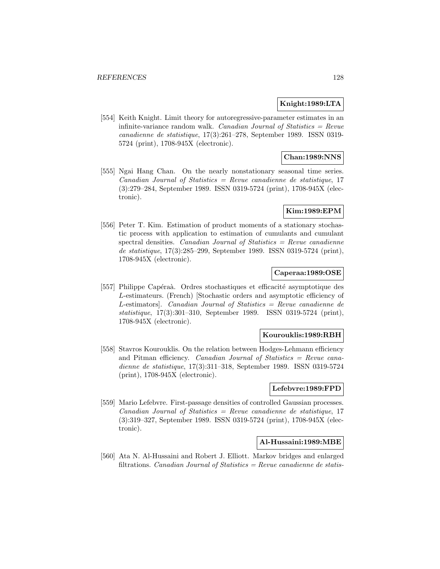### **Knight:1989:LTA**

[554] Keith Knight. Limit theory for autoregressive-parameter estimates in an infinite-variance random walk. Canadian Journal of Statistics  $=$  Revue canadienne de statistique, 17(3):261–278, September 1989. ISSN 0319- 5724 (print), 1708-945X (electronic).

# **Chan:1989:NNS**

[555] Ngai Hang Chan. On the nearly nonstationary seasonal time series. Canadian Journal of Statistics = Revue canadienne de statistique, 17 (3):279–284, September 1989. ISSN 0319-5724 (print), 1708-945X (electronic).

### **Kim:1989:EPM**

[556] Peter T. Kim. Estimation of product moments of a stationary stochastic process with application to estimation of cumulants and cumulant spectral densities. *Canadian Journal of Statistics = Revue canadienne* de statistique, 17(3):285–299, September 1989. ISSN 0319-5724 (print), 1708-945X (electronic).

### **Caperaa:1989:OSE**

[557] Philippe Capéraà. Ordres stochastiques et efficacité asymptotique des L-estimateurs. (French) [Stochastic orders and asymptotic efficiency of  $L$ -estimators]. Canadian Journal of Statistics = Revue canadienne de statistique, 17(3):301–310, September 1989. ISSN 0319-5724 (print), 1708-945X (electronic).

## **Kourouklis:1989:RBH**

[558] Stavros Kourouklis. On the relation between Hodges-Lehmann efficiency and Pitman efficiency. Canadian Journal of Statistics = Revue canadienne de statistique, 17(3):311–318, September 1989. ISSN 0319-5724 (print), 1708-945X (electronic).

## **Lefebvre:1989:FPD**

[559] Mario Lefebvre. First-passage densities of controlled Gaussian processes.  $Canadian Journal of Statistics = Review canadienne de statistique, 17$ (3):319–327, September 1989. ISSN 0319-5724 (print), 1708-945X (electronic).

## **Al-Hussaini:1989:MBE**

[560] Ata N. Al-Hussaini and Robert J. Elliott. Markov bridges and enlarged filtrations. *Canadian Journal of Statistics = Revue canadienne de statis-*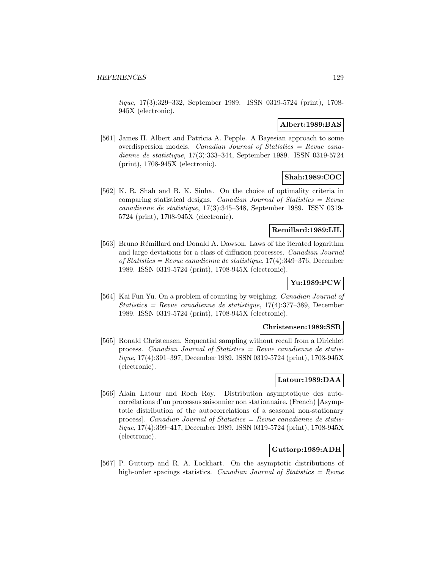tique, 17(3):329–332, September 1989. ISSN 0319-5724 (print), 1708- 945X (electronic).

## **Albert:1989:BAS**

[561] James H. Albert and Patricia A. Pepple. A Bayesian approach to some overdispersion models. Canadian Journal of Statistics = Revue canadienne de statistique, 17(3):333–344, September 1989. ISSN 0319-5724 (print), 1708-945X (electronic).

# **Shah:1989:COC**

[562] K. R. Shah and B. K. Sinha. On the choice of optimality criteria in comparing statistical designs. Canadian Journal of Statistics  $=$  Revue canadienne de statistique, 17(3):345–348, September 1989. ISSN 0319- 5724 (print), 1708-945X (electronic).

# **Remillard:1989:LIL**

[563] Bruno Rémillard and Donald A. Dawson. Laws of the iterated logarithm and large deviations for a class of diffusion processes. Canadian Journal of Statistics = Revue canadienne de statistique, 17(4):349–376, December 1989. ISSN 0319-5724 (print), 1708-945X (electronic).

# **Yu:1989:PCW**

[564] Kai Fun Yu. On a problem of counting by weighing. Canadian Journal of Statistics = Revue canadienne de statistique,  $17(4):377-389$ , December 1989. ISSN 0319-5724 (print), 1708-945X (electronic).

## **Christensen:1989:SSR**

[565] Ronald Christensen. Sequential sampling without recall from a Dirichlet process. Canadian Journal of Statistics = Revue canadienne de statistique, 17(4):391–397, December 1989. ISSN 0319-5724 (print), 1708-945X (electronic).

# **Latour:1989:DAA**

[566] Alain Latour and Roch Roy. Distribution asymptotique des autocorrélations d'un processus saisonnier non stationnaire. (French) [Asymptotic distribution of the autocorrelations of a seasonal non-stationary process. Canadian Journal of Statistics  $=$  Revue canadienne de statistique, 17(4):399–417, December 1989. ISSN 0319-5724 (print), 1708-945X (electronic).

# **Guttorp:1989:ADH**

[567] P. Guttorp and R. A. Lockhart. On the asymptotic distributions of high-order spacings statistics. Canadian Journal of Statistics  $=$  Revue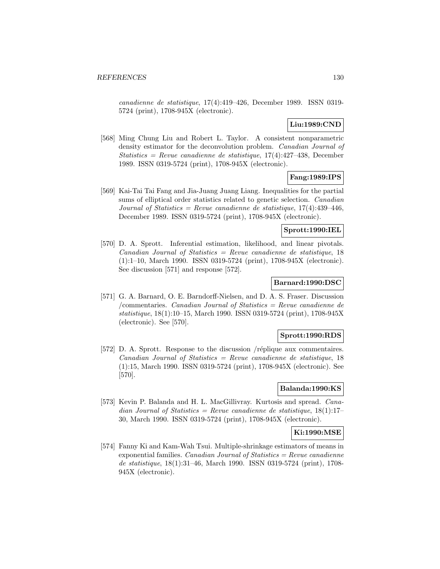canadienne de statistique, 17(4):419–426, December 1989. ISSN 0319- 5724 (print), 1708-945X (electronic).

# **Liu:1989:CND**

[568] Ming Chung Liu and Robert L. Taylor. A consistent nonparametric density estimator for the deconvolution problem. Canadian Journal of Statistics = Revue canadienne de statistique,  $17(4)$ : $427-438$ , December 1989. ISSN 0319-5724 (print), 1708-945X (electronic).

# **Fang:1989:IPS**

[569] Kai-Tai Tai Fang and Jia-Juang Juang Liang. Inequalities for the partial sums of elliptical order statistics related to genetic selection. *Canadian* Journal of Statistics = Revue canadienne de statistique,  $17(4)$ : 439-446, December 1989. ISSN 0319-5724 (print), 1708-945X (electronic).

# **Sprott:1990:IEL**

[570] D. A. Sprott. Inferential estimation, likelihood, and linear pivotals.  $Canadian Journal of Statistics = Review canadienne de statistic, 18$ (1):1–10, March 1990. ISSN 0319-5724 (print), 1708-945X (electronic). See discussion [571] and response [572].

## **Barnard:1990:DSC**

[571] G. A. Barnard, O. E. Barndorff-Nielsen, and D. A. S. Fraser. Discussion /commentaries. Canadian Journal of Statistics = Revue canadienne de statistique, 18(1):10–15, March 1990. ISSN 0319-5724 (print), 1708-945X (electronic). See [570].

## **Sprott:1990:RDS**

[572] D. A. Sprott. Response to the discussion /réplique aux commentaires.  $Canadian Journal of Statistics = Review canadienne de statistic, 18$ (1):15, March 1990. ISSN 0319-5724 (print), 1708-945X (electronic). See [570].

#### **Balanda:1990:KS**

[573] Kevin P. Balanda and H. L. MacGillivray. Kurtosis and spread. Canadian Journal of Statistics = Revue canadienne de statistique,  $18(1):17-$ 30, March 1990. ISSN 0319-5724 (print), 1708-945X (electronic).

## **Ki:1990:MSE**

[574] Fanny Ki and Kam-Wah Tsui. Multiple-shrinkage estimators of means in exponential families. *Canadian Journal of Statistics = Revue canadienne* de statistique, 18(1):31–46, March 1990. ISSN 0319-5724 (print), 1708- 945X (electronic).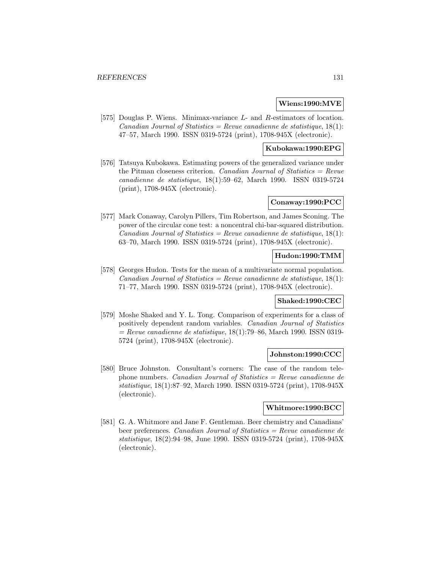#### **Wiens:1990:MVE**

[575] Douglas P. Wiens. Minimax-variance L- and R-estimators of location. Canadian Journal of Statistics = Revue canadienne de statistique,  $18(1)$ : 47–57, March 1990. ISSN 0319-5724 (print), 1708-945X (electronic).

## **Kubokawa:1990:EPG**

[576] Tatsuya Kubokawa. Estimating powers of the generalized variance under the Pitman closeness criterion. Canadian Journal of Statistics =  $Re$ vue canadienne de statistique, 18(1):59–62, March 1990. ISSN 0319-5724 (print), 1708-945X (electronic).

#### **Conaway:1990:PCC**

[577] Mark Conaway, Carolyn Pillers, Tim Robertson, and James Sconing. The power of the circular cone test: a noncentral chi-bar-squared distribution. Canadian Journal of Statistics = Revue canadienne de statistique,  $18(1)$ : 63–70, March 1990. ISSN 0319-5724 (print), 1708-945X (electronic).

#### **Hudon:1990:TMM**

[578] Georges Hudon. Tests for the mean of a multivariate normal population. Canadian Journal of Statistics = Revue canadienne de statistique,  $18(1)$ : 71–77, March 1990. ISSN 0319-5724 (print), 1708-945X (electronic).

#### **Shaked:1990:CEC**

[579] Moshe Shaked and Y. L. Tong. Comparison of experiments for a class of positively dependent random variables. Canadian Journal of Statistics  $=$  Revue canadienne de statistique, 18(1):79–86, March 1990. ISSN 0319-5724 (print), 1708-945X (electronic).

#### **Johnston:1990:CCC**

[580] Bruce Johnston. Consultant's corners: The case of the random telephone numbers. Canadian Journal of Statistics = Revue canadienne de statistique, 18(1):87–92, March 1990. ISSN 0319-5724 (print), 1708-945X (electronic).

#### **Whitmore:1990:BCC**

[581] G. A. Whitmore and Jane F. Gentleman. Beer chemistry and Canadians' beer preferences. Canadian Journal of Statistics = Revue canadienne de statistique, 18(2):94–98, June 1990. ISSN 0319-5724 (print), 1708-945X (electronic).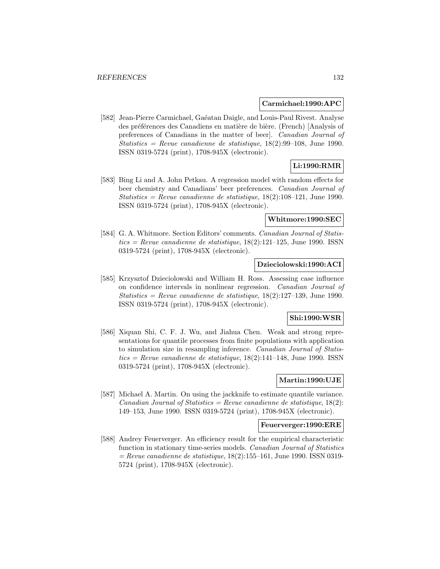#### **Carmichael:1990:APC**

[582] Jean-Pierre Carmichael, Gaéatan Daigle, and Louis-Paul Rivest. Analyse des préférences des Canadiens en matière de bière. (French) [Analysis of preferences of Canadians in the matter of beer]. Canadian Journal of Statistics = Revue canadienne de statistique,  $18(2):99-108$ , June 1990. ISSN 0319-5724 (print), 1708-945X (electronic).

# **Li:1990:RMR**

[583] Bing Li and A. John Petkau. A regression model with random effects for beer chemistry and Canadians' beer preferences. Canadian Journal of Statistics = Revue canadienne de statistique,  $18(2):108-121$ , June 1990. ISSN 0319-5724 (print), 1708-945X (electronic).

#### **Whitmore:1990:SEC**

[584] G. A. Whitmore. Section Editors' comments. Canadian Journal of Statis $tics = Revenue canadienne de statisticque, 18(2):121–125, June 1990. ISSN$ 0319-5724 (print), 1708-945X (electronic).

## **Dzieciolowski:1990:ACI**

[585] Krzysztof Dzieciolowski and William H. Ross. Assessing case influence on confidence intervals in nonlinear regression. Canadian Journal of Statistics = Revue canadienne de statistique,  $18(2):127-139$ , June 1990. ISSN 0319-5724 (print), 1708-945X (electronic).

### **Shi:1990:WSR**

[586] Xiquan Shi, C. F. J. Wu, and Jiahua Chen. Weak and strong representations for quantile processes from finite populations with application to simulation size in resampling inference. Canadian Journal of Statis $tics = Revue$  canadienne de statistique, 18(2):141–148, June 1990. ISSN0319-5724 (print), 1708-945X (electronic).

# **Martin:1990:UJE**

[587] Michael A. Martin. On using the jackknife to estimate quantile variance. Canadian Journal of Statistics = Revue canadienne de statistique,  $18(2)$ : 149–153, June 1990. ISSN 0319-5724 (print), 1708-945X (electronic).

#### **Feuerverger:1990:ERE**

[588] Andrey Feuerverger. An efficiency result for the empirical characteristic function in stationary time-series models. Canadian Journal of Statistics  $=$  Revue canadienne de statistique, 18(2):155–161, June 1990. ISSN 0319-5724 (print), 1708-945X (electronic).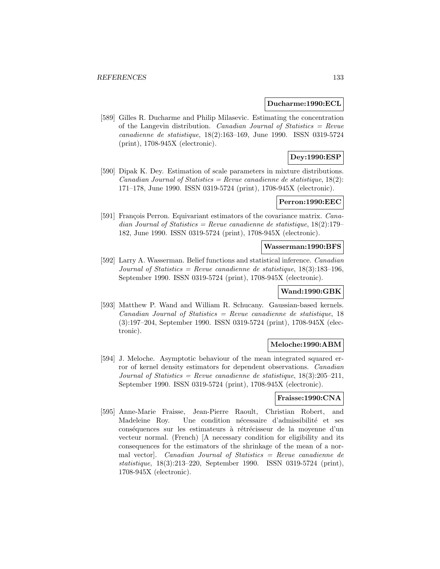#### **Ducharme:1990:ECL**

[589] Gilles R. Ducharme and Philip Milasevic. Estimating the concentration of the Langevin distribution. *Canadian Journal of Statistics = Revue* canadienne de statistique, 18(2):163–169, June 1990. ISSN 0319-5724 (print), 1708-945X (electronic).

# **Dey:1990:ESP**

[590] Dipak K. Dey. Estimation of scale parameters in mixture distributions. Canadian Journal of Statistics = Revue canadienne de statistique,  $18(2)$ : 171–178, June 1990. ISSN 0319-5724 (print), 1708-945X (electronic).

# **Perron:1990:EEC**

[591] François Perron. Equivariant estimators of the covariance matrix. Canadian Journal of Statistics = Revue canadienne de statistique,  $18(2):179-$ 182, June 1990. ISSN 0319-5724 (print), 1708-945X (electronic).

#### **Wasserman:1990:BFS**

[592] Larry A. Wasserman. Belief functions and statistical inference. Canadian Journal of Statistics = Revue canadienne de statistique,  $18(3):183-196$ , September 1990. ISSN 0319-5724 (print), 1708-945X (electronic).

#### **Wand:1990:GBK**

[593] Matthew P. Wand and William R. Schucany. Gaussian-based kernels.  $Canadian Journal of Statistics = Review canadienne de statistic, 18$ (3):197–204, September 1990. ISSN 0319-5724 (print), 1708-945X (electronic).

#### **Meloche:1990:ABM**

[594] J. Meloche. Asymptotic behaviour of the mean integrated squared error of kernel density estimators for dependent observations. Canadian Journal of Statistics = Revue canadienne de statistique,  $18(3):205-211$ , September 1990. ISSN 0319-5724 (print), 1708-945X (electronic).

#### **Fraisse:1990:CNA**

[595] Anne-Marie Fraisse, Jean-Pierre Raoult, Christian Robert, and Madeleine Roy. Une condition nécessaire d'admissibilité et ses conséquences sur les estimateurs à rétrécisseur de la moyenne d'un vecteur normal. (French) [A necessary condition for eligibility and its consequences for the estimators of the shrinkage of the mean of a normal vector]. Canadian Journal of Statistics = Revue canadienne de statistique, 18(3):213–220, September 1990. ISSN 0319-5724 (print), 1708-945X (electronic).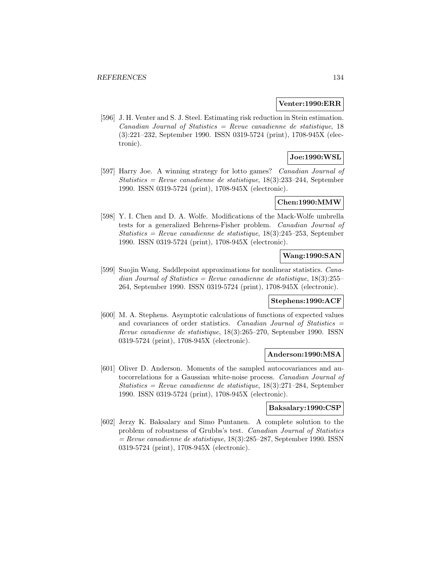#### **Venter:1990:ERR**

[596] J. H. Venter and S. J. Steel. Estimating risk reduction in Stein estimation.  $Canadian Journal of Statistics = Review can a dienne de statistique, 18$ (3):221–232, September 1990. ISSN 0319-5724 (print), 1708-945X (electronic).

# **Joe:1990:WSL**

[597] Harry Joe. A winning strategy for lotto games? Canadian Journal of  $Statistics = Revenue canadienne de statistique, 18(3):233-244, September$ 1990. ISSN 0319-5724 (print), 1708-945X (electronic).

## **Chen:1990:MMW**

[598] Y. I. Chen and D. A. Wolfe. Modifications of the Mack-Wolfe umbrella tests for a generalized Behrens-Fisher problem. Canadian Journal of Statistics = Revue canadienne de statistique,  $18(3):245-253$ , September 1990. ISSN 0319-5724 (print), 1708-945X (electronic).

## **Wang:1990:SAN**

[599] Suojin Wang. Saddlepoint approximations for nonlinear statistics. Canadian Journal of Statistics = Revue canadienne de statistique,  $18(3):255-$ 264, September 1990. ISSN 0319-5724 (print), 1708-945X (electronic).

#### **Stephens:1990:ACF**

[600] M. A. Stephens. Asymptotic calculations of functions of expected values and covariances of order statistics. Canadian Journal of Statistics = Revue canadienne de statistique, 18(3):265–270, September 1990. ISSN 0319-5724 (print), 1708-945X (electronic).

#### **Anderson:1990:MSA**

[601] Oliver D. Anderson. Moments of the sampled autocovariances and autocorrelations for a Gaussian white-noise process. Canadian Journal of Statistics = Revue canadienne de statistique,  $18(3):271-284$ , September 1990. ISSN 0319-5724 (print), 1708-945X (electronic).

#### **Baksalary:1990:CSP**

[602] Jerzy K. Baksalary and Simo Puntanen. A complete solution to the problem of robustness of Grubbs's test. Canadian Journal of Statistics  $=$  Revue canadienne de statistique, 18(3):285–287, September 1990. ISSN 0319-5724 (print), 1708-945X (electronic).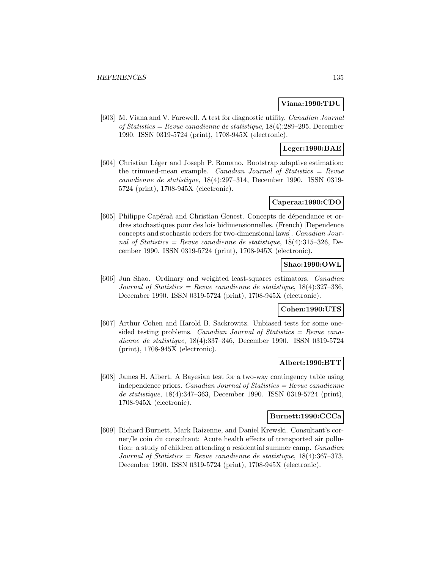### **Viana:1990:TDU**

[603] M. Viana and V. Farewell. A test for diagnostic utility. Canadian Journal of Statistics = Revue canadienne de statistique, 18(4):289–295, December 1990. ISSN 0319-5724 (print), 1708-945X (electronic).

# **Leger:1990:BAE**

[604] Christian Léger and Joseph P. Romano. Bootstrap adaptive estimation: the trimmed-mean example. Canadian Journal of Statistics  $=$  Revue canadienne de statistique, 18(4):297–314, December 1990. ISSN 0319- 5724 (print), 1708-945X (electronic).

#### **Caperaa:1990:CDO**

[605] Philippe Capéraà and Christian Genest. Concepts de dépendance et ordres stochastiques pour des lois bidimensionnelles. (French) [Dependence concepts and stochastic orders for two-dimensional laws]. Canadian Journal of Statistics = Revue canadienne de statistique,  $18(4):315-326$ , December 1990. ISSN 0319-5724 (print), 1708-945X (electronic).

# **Shao:1990:OWL**

[606] Jun Shao. Ordinary and weighted least-squares estimators. Canadian Journal of Statistics = Revue canadienne de statistique,  $18(4):327-336$ , December 1990. ISSN 0319-5724 (print), 1708-945X (electronic).

## **Cohen:1990:UTS**

[607] Arthur Cohen and Harold B. Sackrowitz. Unbiased tests for some onesided testing problems. Canadian Journal of Statistics  $=$  Revue canadienne de statistique, 18(4):337–346, December 1990. ISSN 0319-5724 (print), 1708-945X (electronic).

### **Albert:1990:BTT**

[608] James H. Albert. A Bayesian test for a two-way contingency table using independence priors. *Canadian Journal of Statistics = Revue canadienne* de statistique, 18(4):347–363, December 1990. ISSN 0319-5724 (print), 1708-945X (electronic).

#### **Burnett:1990:CCCa**

[609] Richard Burnett, Mark Raizenne, and Daniel Krewski. Consultant's corner/le coin du consultant: Acute health effects of transported air pollution: a study of children attending a residential summer camp. Canadian Journal of Statistics = Revue canadienne de statistique,  $18(4):367-373$ , December 1990. ISSN 0319-5724 (print), 1708-945X (electronic).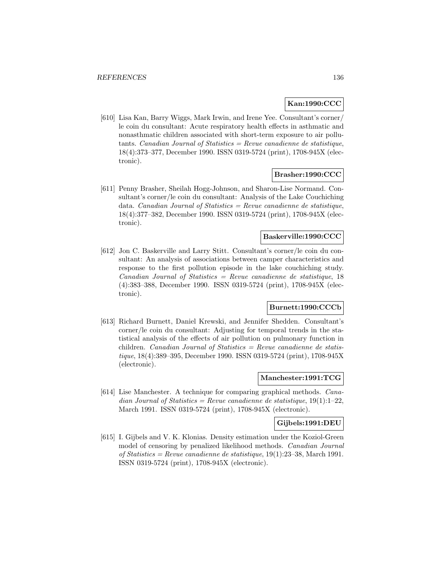## **Kan:1990:CCC**

[610] Lisa Kan, Barry Wiggs, Mark Irwin, and Irene Yee. Consultant's corner/ le coin du consultant: Acute respiratory health effects in asthmatic and nonasthmatic children associated with short-term exposure to air pollutants. Canadian Journal of Statistics = Revue canadienne de statistique, 18(4):373–377, December 1990. ISSN 0319-5724 (print), 1708-945X (electronic).

#### **Brasher:1990:CCC**

[611] Penny Brasher, Sheilah Hogg-Johnson, and Sharon-Lise Normand. Consultant's corner/le coin du consultant: Analysis of the Lake Couchiching data. Canadian Journal of Statistics = Revue canadienne de statistique, 18(4):377–382, December 1990. ISSN 0319-5724 (print), 1708-945X (electronic).

# **Baskerville:1990:CCC**

[612] Jon C. Baskerville and Larry Stitt. Consultant's corner/le coin du consultant: An analysis of associations between camper characteristics and response to the first pollution episode in the lake couchiching study.  $Canadian Journal of Statistics = Review canadienne de statistic, 18$ (4):383–388, December 1990. ISSN 0319-5724 (print), 1708-945X (electronic).

# **Burnett:1990:CCCb**

[613] Richard Burnett, Daniel Krewski, and Jennifer Shedden. Consultant's corner/le coin du consultant: Adjusting for temporal trends in the statistical analysis of the effects of air pollution on pulmonary function in children. Canadian Journal of Statistics = Revue canadienne de statistique, 18(4):389–395, December 1990. ISSN 0319-5724 (print), 1708-945X (electronic).

#### **Manchester:1991:TCG**

[614] Lise Manchester. A technique for comparing graphical methods. Canadian Journal of Statistics = Revue canadienne de statistique,  $19(1):1-22$ , March 1991. ISSN 0319-5724 (print), 1708-945X (electronic).

#### **Gijbels:1991:DEU**

[615] I. Gijbels and V. K. Klonias. Density estimation under the Koziol-Green model of censoring by penalized likelihood methods. Canadian Journal of Statistics = Revue canadienne de statistique,  $19(1):23-38$ , March 1991. ISSN 0319-5724 (print), 1708-945X (electronic).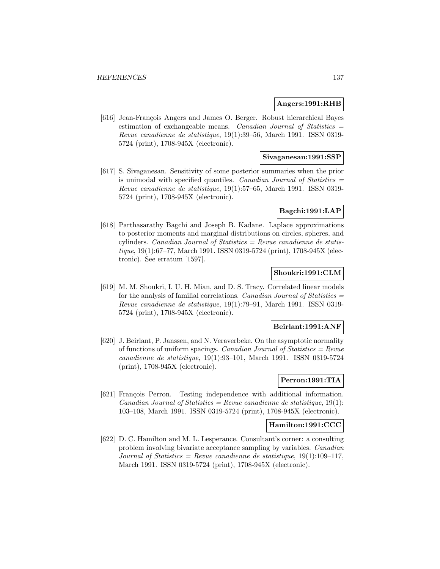#### **Angers:1991:RHB**

[616] Jean-François Angers and James O. Berger. Robust hierarchical Bayes estimation of exchangeable means. Canadian Journal of Statistics = Revue canadienne de statistique, 19(1):39–56, March 1991. ISSN 0319- 5724 (print), 1708-945X (electronic).

## **Sivaganesan:1991:SSP**

[617] S. Sivaganesan. Sensitivity of some posterior summaries when the prior is unimodal with specified quantiles. Canadian Journal of Statistics  $=$ Revue canadienne de statistique, 19(1):57–65, March 1991. ISSN 0319- 5724 (print), 1708-945X (electronic).

## **Bagchi:1991:LAP**

[618] Parthasarathy Bagchi and Joseph B. Kadane. Laplace approximations to posterior moments and marginal distributions on circles, spheres, and cylinders. *Canadian Journal of Statistics = Revue canadienne de statis*tique, 19(1):67–77, March 1991. ISSN 0319-5724 (print), 1708-945X (electronic). See erratum [1597].

## **Shoukri:1991:CLM**

[619] M. M. Shoukri, I. U. H. Mian, and D. S. Tracy. Correlated linear models for the analysis of familial correlations. Canadian Journal of Statistics  $=$ Revue canadienne de statistique, 19(1):79–91, March 1991. ISSN 0319- 5724 (print), 1708-945X (electronic).

#### **Beirlant:1991:ANF**

[620] J. Beirlant, P. Janssen, and N. Veraverbeke. On the asymptotic normality of functions of uniform spacings. Canadian Journal of Statistics  $=$  Revue canadienne de statistique, 19(1):93–101, March 1991. ISSN 0319-5724 (print), 1708-945X (electronic).

# **Perron:1991:TIA**

[621] François Perron. Testing independence with additional information. Canadian Journal of Statistics = Revue canadienne de statistique,  $19(1)$ : 103–108, March 1991. ISSN 0319-5724 (print), 1708-945X (electronic).

#### **Hamilton:1991:CCC**

[622] D. C. Hamilton and M. L. Lesperance. Consultant's corner: a consulting problem involving bivariate acceptance sampling by variables. Canadian Journal of Statistics = Revue canadienne de statistique,  $19(1):109-117$ , March 1991. ISSN 0319-5724 (print), 1708-945X (electronic).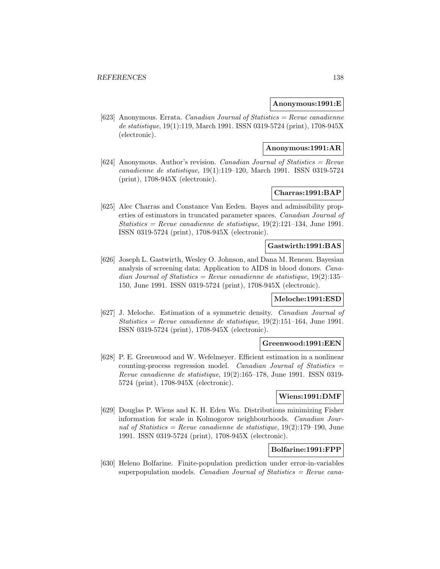### **Anonymous:1991:E**

[623] Anonymous. Errata. Canadian Journal of Statistics = Revue canadienne de statistique, 19(1):119, March 1991. ISSN 0319-5724 (print), 1708-945X (electronic).

#### **Anonymous:1991:AR**

[624] Anonymous. Author's revision. Canadian Journal of Statistics = Revue canadienne de statistique, 19(1):119–120, March 1991. ISSN 0319-5724 (print), 1708-945X (electronic).

# **Charras:1991:BAP**

[625] Alec Charras and Constance Van Eeden. Bayes and admissibility properties of estimators in truncated parameter spaces. Canadian Journal of Statistics = Revue canadienne de statistique,  $19(2):121-134$ , June 1991. ISSN 0319-5724 (print), 1708-945X (electronic).

#### **Gastwirth:1991:BAS**

[626] Joseph L. Gastwirth, Wesley O. Johnson, and Dana M. Reneau. Bayesian analysis of screening data: Application to AIDS in blood donors. Canadian Journal of Statistics = Revue canadienne de statistique,  $19(2):135-$ 150, June 1991. ISSN 0319-5724 (print), 1708-945X (electronic).

#### **Meloche:1991:ESD**

[627] J. Meloche. Estimation of a symmetric density. Canadian Journal of Statistics = Revue canadienne de statistique,  $19(2):151-164$ , June 1991. ISSN 0319-5724 (print), 1708-945X (electronic).

## **Greenwood:1991:EEN**

[628] P. E. Greenwood and W. Wefelmeyer. Efficient estimation in a nonlinear counting-process regression model. Canadian Journal of Statistics  $=$ Revue canadienne de statistique, 19(2):165–178, June 1991. ISSN 0319- 5724 (print), 1708-945X (electronic).

## **Wiens:1991:DMF**

[629] Douglas P. Wiens and K. H. Eden Wu. Distributions minimizing Fisher information for scale in Kolmogorov neighbourhoods. Canadian Journal of Statistics = Revue canadienne de statistique,  $19(2):179-190$ , June 1991. ISSN 0319-5724 (print), 1708-945X (electronic).

# **Bolfarine:1991:FPP**

[630] Heleno Bolfarine. Finite-population prediction under error-in-variables superpopulation models. Canadian Journal of Statistics  $=$  Revue cana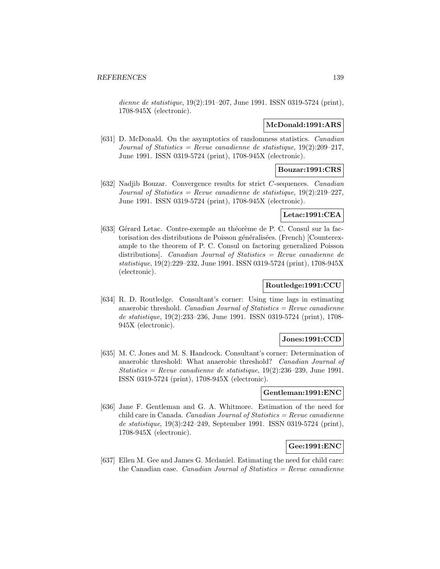dienne de statistique, 19(2):191–207, June 1991. ISSN 0319-5724 (print), 1708-945X (electronic).

#### **McDonald:1991:ARS**

[631] D. McDonald. On the asymptotics of randomness statistics. Canadian Journal of Statistics = Revue canadienne de statistique,  $19(2):209-217$ , June 1991. ISSN 0319-5724 (print), 1708-945X (electronic).

#### **Bouzar:1991:CRS**

[632] Nadjib Bouzar. Convergence results for strict C-sequences. Canadian Journal of Statistics = Revue canadienne de statistique,  $19(2):219-227$ , June 1991. ISSN 0319-5724 (print), 1708-945X (electronic).

# **Letac:1991:CEA**

[633] Gérard Letac. Contre-exemple au théorème de P. C. Consul sur la factorisation des distributions de Poisson généralisées. (French) [Counterexample to the theorem of P. C. Consul on factoring generalized Poisson distributions]. Canadian Journal of Statistics = Revue canadienne de statistique, 19(2):229–232, June 1991. ISSN 0319-5724 (print), 1708-945X (electronic).

# **Routledge:1991:CCU**

[634] R. D. Routledge. Consultant's corner: Using time lags in estimating anaerobic threshold. Canadian Journal of Statistics  $=$  Revue canadienne de statistique, 19(2):233–236, June 1991. ISSN 0319-5724 (print), 1708- 945X (electronic).

### **Jones:1991:CCD**

[635] M. C. Jones and M. S. Handcock. Consultant's corner: Determination of anaerobic threshold: What anaerobic threshold? Canadian Journal of Statistics = Revue canadienne de statistique,  $19(2):236-239$ , June 1991. ISSN 0319-5724 (print), 1708-945X (electronic).

## **Gentleman:1991:ENC**

[636] Jane F. Gentleman and G. A. Whitmore. Estimation of the need for child care in Canada. Canadian Journal of Statistics  $=$  Revue canadienne de statistique, 19(3):242–249, September 1991. ISSN 0319-5724 (print), 1708-945X (electronic).

# **Gee:1991:ENC**

[637] Ellen M. Gee and James G. Mcdaniel. Estimating the need for child care: the Canadian case. *Canadian Journal of Statistics = Revue canadienne*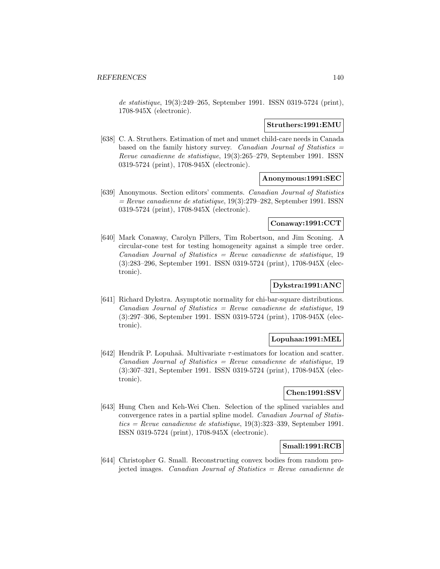de statistique, 19(3):249–265, September 1991. ISSN 0319-5724 (print), 1708-945X (electronic).

#### **Struthers:1991:EMU**

[638] C. A. Struthers. Estimation of met and unmet child-care needs in Canada based on the family history survey. Canadian Journal of Statistics  $=$ Revue canadienne de statistique, 19(3):265–279, September 1991. ISSN 0319-5724 (print), 1708-945X (electronic).

#### **Anonymous:1991:SEC**

[639] Anonymous. Section editors' comments. Canadian Journal of Statistics  $=$  Revue canadienne de statistique, 19(3):279–282, September 1991. ISSN 0319-5724 (print), 1708-945X (electronic).

#### **Conaway:1991:CCT**

[640] Mark Conaway, Carolyn Pillers, Tim Robertson, and Jim Sconing. A circular-cone test for testing homogeneity against a simple tree order.  $Canadian Journal of Statistics = Review can a dienne de statistique, 19$ (3):283–296, September 1991. ISSN 0319-5724 (print), 1708-945X (electronic).

# **Dykstra:1991:ANC**

[641] Richard Dykstra. Asymptotic normality for chi-bar-square distributions.  $Canadian Journal of Statistics = Review can a dienne de statistic, 19$ (3):297–306, September 1991. ISSN 0319-5724 (print), 1708-945X (electronic).

#### **Lopuhaa:1991:MEL**

[642] Hendrik P. Lopuhaä. Multivariate  $\tau$ -estimators for location and scatter. Canadian Journal of Statistics = Revue canadienne de statistique, 19 (3):307–321, September 1991. ISSN 0319-5724 (print), 1708-945X (electronic).

## **Chen:1991:SSV**

[643] Hung Chen and Keh-Wei Chen. Selection of the splined variables and convergence rates in a partial spline model. Canadian Journal of Statis $tics = Revue$  canadienne de statistique, 19(3):323-339, September 1991.ISSN 0319-5724 (print), 1708-945X (electronic).

# **Small:1991:RCB**

[644] Christopher G. Small. Reconstructing convex bodies from random projected images. Canadian Journal of Statistics = Revue canadienne de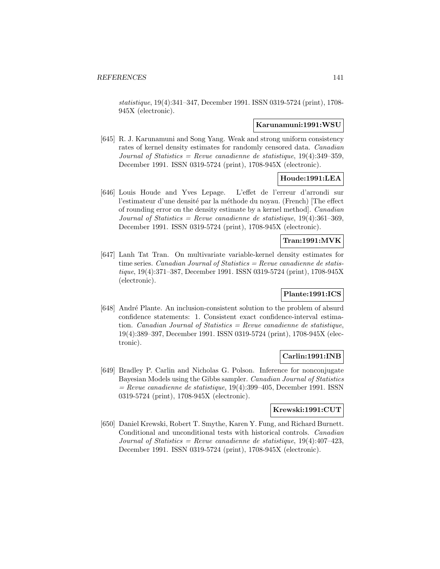statistique, 19(4):341–347, December 1991. ISSN 0319-5724 (print), 1708- 945X (electronic).

#### **Karunamuni:1991:WSU**

[645] R. J. Karunamuni and Song Yang. Weak and strong uniform consistency rates of kernel density estimates for randomly censored data. Canadian Journal of Statistics = Revue canadienne de statistique,  $19(4):349-359$ , December 1991. ISSN 0319-5724 (print), 1708-945X (electronic).

## **Houde:1991:LEA**

[646] Louis Houde and Yves Lepage. L'effet de l'erreur d'arrondi sur l'estimateur d'une densité par la méthode du noyau. (French) [The effect of rounding error on the density estimate by a kernel method]. Canadian Journal of Statistics = Revue canadienne de statistique,  $19(4):361-369$ . December 1991. ISSN 0319-5724 (print), 1708-945X (electronic).

#### **Tran:1991:MVK**

[647] Lanh Tat Tran. On multivariate variable-kernel density estimates for time series. Canadian Journal of Statistics = Revue canadienne de statistique, 19(4):371–387, December 1991. ISSN 0319-5724 (print), 1708-945X (electronic).

## **Plante:1991:ICS**

[648] André Plante. An inclusion-consistent solution to the problem of absurd confidence statements: 1. Consistent exact confidence-interval estimation. Canadian Journal of Statistics  $=$  Revue canadienne de statistique, 19(4):389–397, December 1991. ISSN 0319-5724 (print), 1708-945X (electronic).

# **Carlin:1991:INB**

[649] Bradley P. Carlin and Nicholas G. Polson. Inference for nonconjugate Bayesian Models using the Gibbs sampler. Canadian Journal of Statistics  $=$  Revue canadienne de statistique, 19(4):399–405, December 1991. ISSN 0319-5724 (print), 1708-945X (electronic).

#### **Krewski:1991:CUT**

[650] Daniel Krewski, Robert T. Smythe, Karen Y. Fung, and Richard Burnett. Conditional and unconditional tests with historical controls. Canadian Journal of Statistics = Revue canadienne de statistique,  $19(4):407-423$ , December 1991. ISSN 0319-5724 (print), 1708-945X (electronic).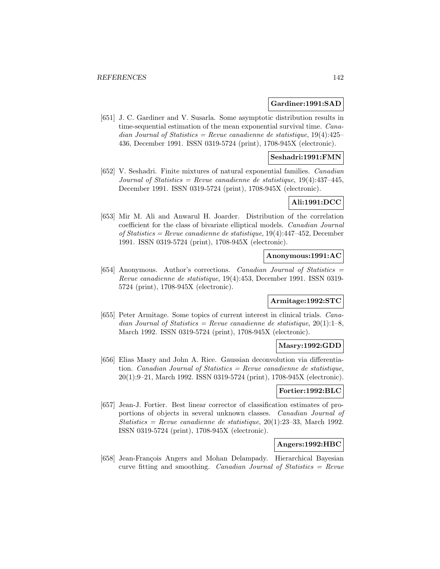#### **Gardiner:1991:SAD**

[651] J. C. Gardiner and V. Susarla. Some asymptotic distribution results in time-sequential estimation of the mean exponential survival time. Canadian Journal of Statistics = Revue canadienne de statistique,  $19(4):425-$ 436, December 1991. ISSN 0319-5724 (print), 1708-945X (electronic).

## **Seshadri:1991:FMN**

[652] V. Seshadri. Finite mixtures of natural exponential families. Canadian Journal of Statistics = Revue canadienne de statistique,  $19(4):437-445$ , December 1991. ISSN 0319-5724 (print), 1708-945X (electronic).

### **Ali:1991:DCC**

[653] Mir M. Ali and Anwarul H. Joarder. Distribution of the correlation coefficient for the class of bivariate elliptical models. Canadian Journal of Statistics = Revue canadienne de statistique, 19(4):447–452, December 1991. ISSN 0319-5724 (print), 1708-945X (electronic).

#### **Anonymous:1991:AC**

[654] Anonymous. Author's corrections. Canadian Journal of Statistics = Revue canadienne de statistique, 19(4):453, December 1991. ISSN 0319- 5724 (print), 1708-945X (electronic).

#### **Armitage:1992:STC**

[655] Peter Armitage. Some topics of current interest in clinical trials. Canadian Journal of Statistics = Revue canadienne de statistique,  $20(1):1-8$ , March 1992. ISSN 0319-5724 (print), 1708-945X (electronic).

#### **Masry:1992:GDD**

[656] Elias Masry and John A. Rice. Gaussian deconvolution via differentiation. Canadian Journal of Statistics  $=$  Revue canadienne de statistique, 20(1):9–21, March 1992. ISSN 0319-5724 (print), 1708-945X (electronic).

## **Fortier:1992:BLC**

[657] Jean-J. Fortier. Best linear corrector of classification estimates of proportions of objects in several unknown classes. Canadian Journal of Statistics = Revue canadienne de statistique,  $20(1):23-33$ , March 1992. ISSN 0319-5724 (print), 1708-945X (electronic).

# **Angers:1992:HBC**

[658] Jean-François Angers and Mohan Delampady. Hierarchical Bayesian curve fitting and smoothing. Canadian Journal of Statistics = Revue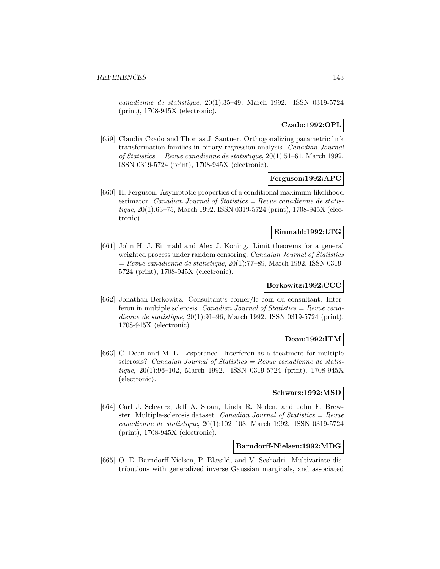canadienne de statistique, 20(1):35–49, March 1992. ISSN 0319-5724 (print), 1708-945X (electronic).

#### **Czado:1992:OPL**

[659] Claudia Czado and Thomas J. Santner. Orthogonalizing parametric link transformation families in binary regression analysis. Canadian Journal of Statistics = Revue canadienne de statistique,  $20(1):51-61$ , March 1992. ISSN 0319-5724 (print), 1708-945X (electronic).

## **Ferguson:1992:APC**

[660] H. Ferguson. Asymptotic properties of a conditional maximum-likelihood estimator. *Canadian Journal of Statistics = Revue canadienne de statis*tique, 20(1):63–75, March 1992. ISSN 0319-5724 (print), 1708-945X (electronic).

#### **Einmahl:1992:LTG**

[661] John H. J. Einmahl and Alex J. Koning. Limit theorems for a general weighted process under random censoring. Canadian Journal of Statistics  $=$  Revue canadienne de statistique, 20(1):77–89, March 1992. ISSN 0319-5724 (print), 1708-945X (electronic).

# **Berkowitz:1992:CCC**

[662] Jonathan Berkowitz. Consultant's corner/le coin du consultant: Interferon in multiple sclerosis. Canadian Journal of Statistics  $=$  Revue canadienne de statistique, 20(1):91–96, March 1992. ISSN 0319-5724 (print), 1708-945X (electronic).

### **Dean:1992:ITM**

[663] C. Dean and M. L. Lesperance. Interferon as a treatment for multiple sclerosis? Canadian Journal of Statistics  $=$  Revue canadienne de statistique, 20(1):96–102, March 1992. ISSN 0319-5724 (print), 1708-945X (electronic).

## **Schwarz:1992:MSD**

[664] Carl J. Schwarz, Jeff A. Sloan, Linda R. Neden, and John F. Brewster. Multiple-sclerosis dataset. Canadian Journal of Statistics =  $Re$ vue canadienne de statistique, 20(1):102–108, March 1992. ISSN 0319-5724 (print), 1708-945X (electronic).

### **Barndorff-Nielsen:1992:MDG**

[665] O. E. Barndorff-Nielsen, P. Blæsild, and V. Seshadri. Multivariate distributions with generalized inverse Gaussian marginals, and associated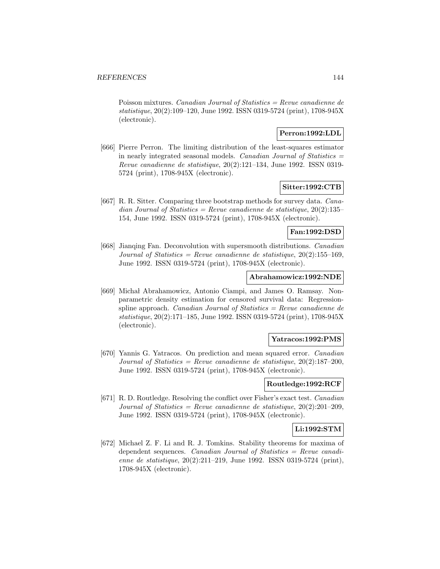Poisson mixtures. *Canadian Journal of Statistics = Revue canadienne de* statistique, 20(2):109–120, June 1992. ISSN 0319-5724 (print), 1708-945X (electronic).

## **Perron:1992:LDL**

[666] Pierre Perron. The limiting distribution of the least-squares estimator in nearly integrated seasonal models. Canadian Journal of Statistics  $=$ Revue canadienne de statistique, 20(2):121–134, June 1992. ISSN 0319- 5724 (print), 1708-945X (electronic).

## **Sitter:1992:CTB**

[667] R. R. Sitter. Comparing three bootstrap methods for survey data. Canadian Journal of Statistics = Revue canadienne de statistique,  $20(2):135-$ 154, June 1992. ISSN 0319-5724 (print), 1708-945X (electronic).

#### **Fan:1992:DSD**

[668] Jianqing Fan. Deconvolution with supersmooth distributions. Canadian Journal of Statistics = Revue canadienne de statistique,  $20(2):155-169$ , June 1992. ISSN 0319-5724 (print), 1708-945X (electronic).

#### **Abrahamowicz:1992:NDE**

[669] Michał Abrahamowicz, Antonio Ciampi, and James O. Ramsay. Nonparametric density estimation for censored survival data: Regressionspline approach. *Canadian Journal of Statistics = Revue canadienne de* statistique, 20(2):171–185, June 1992. ISSN 0319-5724 (print), 1708-945X (electronic).

#### **Yatracos:1992:PMS**

[670] Yannis G. Yatracos. On prediction and mean squared error. Canadian Journal of Statistics = Revue canadienne de statistique,  $20(2):187-200$ , June 1992. ISSN 0319-5724 (print), 1708-945X (electronic).

#### **Routledge:1992:RCF**

[671] R. D. Routledge. Resolving the conflict over Fisher's exact test. Canadian Journal of Statistics = Revue canadienne de statistique,  $20(2):201-209$ , June 1992. ISSN 0319-5724 (print), 1708-945X (electronic).

## **Li:1992:STM**

[672] Michael Z. F. Li and R. J. Tomkins. Stability theorems for maxima of dependent sequences. Canadian Journal of Statistics = Revue canadienne de statistique, 20(2):211–219, June 1992. ISSN 0319-5724 (print), 1708-945X (electronic).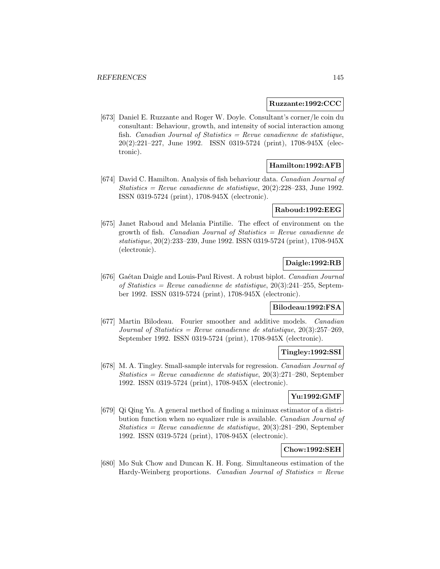#### **Ruzzante:1992:CCC**

[673] Daniel E. Ruzzante and Roger W. Doyle. Consultant's corner/le coin du consultant: Behaviour, growth, and intensity of social interaction among fish. Canadian Journal of Statistics  $=$  Revue canadienne de statistique, 20(2):221–227, June 1992. ISSN 0319-5724 (print), 1708-945X (electronic).

# **Hamilton:1992:AFB**

[674] David C. Hamilton. Analysis of fish behaviour data. Canadian Journal of Statistics = Revue canadienne de statistique,  $20(2):228-233$ , June 1992. ISSN 0319-5724 (print), 1708-945X (electronic).

#### **Raboud:1992:EEG**

[675] Janet Raboud and Melania Pintilie. The effect of environment on the growth of fish. Canadian Journal of Statistics = Revue canadienne de statistique, 20(2):233–239, June 1992. ISSN 0319-5724 (print), 1708-945X (electronic).

# **Daigle:1992:RB**

[676] Gaétan Daigle and Louis-Paul Rivest. A robust biplot. Canadian Journal of Statistics = Revue canadienne de statistique,  $20(3):241-255$ , September 1992. ISSN 0319-5724 (print), 1708-945X (electronic).

# **Bilodeau:1992:FSA**

[677] Martin Bilodeau. Fourier smoother and additive models. Canadian Journal of Statistics = Revue canadienne de statistique,  $20(3):257-269$ . September 1992. ISSN 0319-5724 (print), 1708-945X (electronic).

#### **Tingley:1992:SSI**

[678] M. A. Tingley. Small-sample intervals for regression. Canadian Journal of Statistics = Revue canadienne de statistique,  $20(3):271-280$ , September 1992. ISSN 0319-5724 (print), 1708-945X (electronic).

## **Yu:1992:GMF**

[679] Qi Qing Yu. A general method of finding a minimax estimator of a distribution function when no equalizer rule is available. Canadian Journal of Statistics = Revue canadienne de statistique, 20(3):281–290, September 1992. ISSN 0319-5724 (print), 1708-945X (electronic).

## **Chow:1992:SEH**

[680] Mo Suk Chow and Duncan K. H. Fong. Simultaneous estimation of the Hardy-Weinberg proportions. Canadian Journal of Statistics  $=$  Revue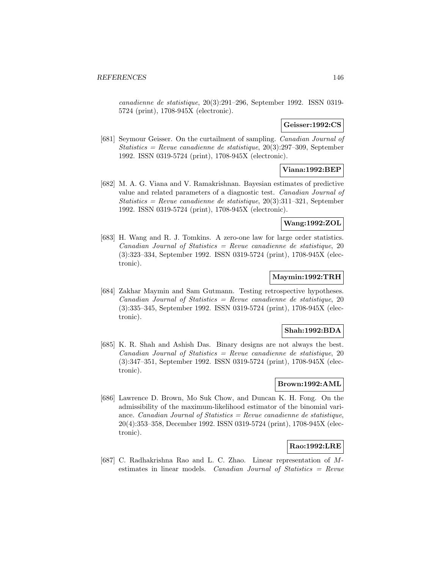canadienne de statistique, 20(3):291–296, September 1992. ISSN 0319- 5724 (print), 1708-945X (electronic).

## **Geisser:1992:CS**

[681] Seymour Geisser. On the curtailment of sampling. Canadian Journal of Statistics = Revue canadienne de statistique, 20(3):297–309, September 1992. ISSN 0319-5724 (print), 1708-945X (electronic).

# **Viana:1992:BEP**

[682] M. A. G. Viana and V. Ramakrishnan. Bayesian estimates of predictive value and related parameters of a diagnostic test. Canadian Journal of Statistics = Revue canadienne de statistique,  $20(3):311-321$ , September 1992. ISSN 0319-5724 (print), 1708-945X (electronic).

## **Wang:1992:ZOL**

[683] H. Wang and R. J. Tomkins. A zero-one law for large order statistics. Canadian Journal of Statistics = Revue canadienne de statistique, 20 (3):323–334, September 1992. ISSN 0319-5724 (print), 1708-945X (electronic).

# **Maymin:1992:TRH**

[684] Zakhar Maymin and Sam Gutmann. Testing retrospective hypotheses.  $Canadian Journal of Statistics = Review canadienne de statistic, 20$ (3):335–345, September 1992. ISSN 0319-5724 (print), 1708-945X (electronic).

#### **Shah:1992:BDA**

[685] K. R. Shah and Ashish Das. Binary designs are not always the best.  $Canadian Journal of Statistics = Review canadienne de statistic, 20$ (3):347–351, September 1992. ISSN 0319-5724 (print), 1708-945X (electronic).

#### **Brown:1992:AML**

[686] Lawrence D. Brown, Mo Suk Chow, and Duncan K. H. Fong. On the admissibility of the maximum-likelihood estimator of the binomial variance. Canadian Journal of Statistics = Revue canadienne de statistique, 20(4):353–358, December 1992. ISSN 0319-5724 (print), 1708-945X (electronic).

# **Rao:1992:LRE**

[687] C. Radhakrishna Rao and L. C. Zhao. Linear representation of Mestimates in linear models. Canadian Journal of Statistics = Revue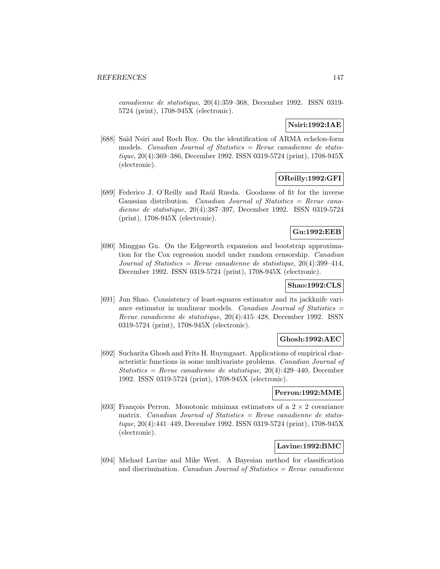canadienne de statistique, 20(4):359–368, December 1992. ISSN 0319- 5724 (print), 1708-945X (electronic).

# **Nsiri:1992:IAE**

[688] Saïd Nsiri and Roch Roy. On the identification of ARMA echelon-form models. *Canadian Journal of Statistics = Revue canadienne de statis*tique, 20(4):369–386, December 1992. ISSN 0319-5724 (print), 1708-945X (electronic).

## **OReilly:1992:GFI**

[689] Federico J. O'Reilly and Raúl Rueda. Goodness of fit for the inverse Gaussian distribution. Canadian Journal of Statistics  $=$  Revue canadienne de statistique, 20(4):387–397, December 1992. ISSN 0319-5724 (print), 1708-945X (electronic).

## **Gu:1992:EEB**

[690] Minggao Gu. On the Edgeworth expansion and bootstrap approximation for the Cox regression model under random censorship. Canadian Journal of Statistics = Revue canadienne de statistique,  $20(4):399-414$ , December 1992. ISSN 0319-5724 (print), 1708-945X (electronic).

# **Shao:1992:CLS**

[691] Jun Shao. Consistency of least-squares estimator and its jackknife variance estimator in nonlinear models. Canadian Journal of Statistics  $=$ Revue canadienne de statistique, 20(4):415–428, December 1992. ISSN 0319-5724 (print), 1708-945X (electronic).

## **Ghosh:1992:AEC**

[692] Sucharita Ghosh and Frits H. Ruymgaart. Applications of empirical characteristic functions in some multivariate problems. Canadian Journal of Statistics = Revue canadienne de statistique,  $20(4):429-440$ , December 1992. ISSN 0319-5724 (print), 1708-945X (electronic).

#### **Perron:1992:MME**

[693] François Perron. Monotonic minimax estimators of a  $2 \times 2$  covariance matrix. Canadian Journal of Statistics  $=$  Revue canadienne de statistique, 20(4):441–449, December 1992. ISSN 0319-5724 (print), 1708-945X (electronic).

#### **Lavine:1992:BMC**

[694] Michael Lavine and Mike West. A Bayesian method for classification and discrimination. *Canadian Journal of Statistics = Revue canadienne*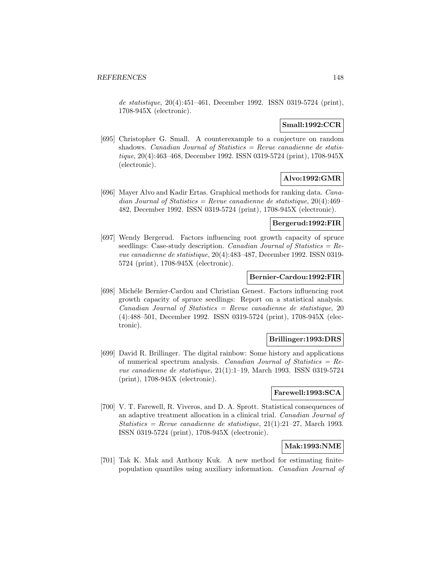de statistique, 20(4):451–461, December 1992. ISSN 0319-5724 (print), 1708-945X (electronic).

## **Small:1992:CCR**

[695] Christopher G. Small. A counterexample to a conjecture on random shadows. *Canadian Journal of Statistics = Revue canadienne de statis*tique, 20(4):463–468, December 1992. ISSN 0319-5724 (print), 1708-945X (electronic).

# **Alvo:1992:GMR**

[696] Mayer Alvo and Kadir Ertas. Graphical methods for ranking data. Canadian Journal of Statistics = Revue canadienne de statistique,  $20(4):469-$ 482, December 1992. ISSN 0319-5724 (print), 1708-945X (electronic).

## **Bergerud:1992:FIR**

[697] Wendy Bergerud. Factors influencing root growth capacity of spruce seedlings: Case-study description. Canadian Journal of Statistics  $=$  Revue canadienne de statistique, 20(4):483–487, December 1992. ISSN 0319- 5724 (print), 1708-945X (electronic).

## **Bernier-Cardou:1992:FIR**

[698] Michéle Bernier-Cardou and Christian Genest. Factors influencing root growth capacity of spruce seedlings: Report on a statistical analysis.  $Canadian Journal of Statistics = Review candidate, the statistic is 20$ (4):488–501, December 1992. ISSN 0319-5724 (print), 1708-945X (electronic).

#### **Brillinger:1993:DRS**

[699] David R. Brillinger. The digital rainbow: Some history and applications of numerical spectrum analysis. Canadian Journal of Statistics  $=$  Revue canadienne de statistique, 21(1):1–19, March 1993. ISSN 0319-5724 (print), 1708-945X (electronic).

#### **Farewell:1993:SCA**

[700] V. T. Farewell, R. Viveros, and D. A. Sprott. Statistical consequences of an adaptive treatment allocation in a clinical trial. Canadian Journal of Statistics = Revue canadienne de statistique,  $21(1):21-27$ , March 1993. ISSN 0319-5724 (print), 1708-945X (electronic).

#### **Mak:1993:NME**

[701] Tak K. Mak and Anthony Kuk. A new method for estimating finitepopulation quantiles using auxiliary information. Canadian Journal of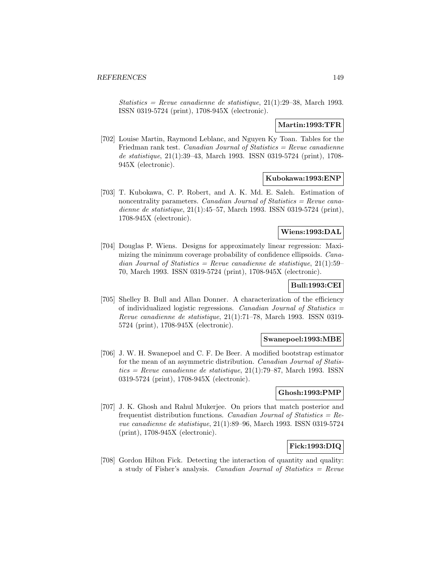Statistics = Revue canadienne de statistique,  $21(1):29-38$ , March 1993. ISSN 0319-5724 (print), 1708-945X (electronic).

## **Martin:1993:TFR**

[702] Louise Martin, Raymond Leblanc, and Nguyen Ky Toan. Tables for the Friedman rank test. Canadian Journal of Statistics = Revue canadienne de statistique, 21(1):39–43, March 1993. ISSN 0319-5724 (print), 1708- 945X (electronic).

## **Kubokawa:1993:ENP**

[703] T. Kubokawa, C. P. Robert, and A. K. Md. E. Saleh. Estimation of noncentrality parameters. Canadian Journal of Statistics = Revue canadienne de statistique, 21(1):45–57, March 1993. ISSN 0319-5724 (print), 1708-945X (electronic).

#### **Wiens:1993:DAL**

[704] Douglas P. Wiens. Designs for approximately linear regression: Maximizing the minimum coverage probability of confidence ellipsoids. Canadian Journal of Statistics = Revue canadienne de statistique,  $21(1):59-$ 70, March 1993. ISSN 0319-5724 (print), 1708-945X (electronic).

# **Bull:1993:CEI**

[705] Shelley B. Bull and Allan Donner. A characterization of the efficiency of individualized logistic regressions. Canadian Journal of Statistics  $=$ Revue canadienne de statistique, 21(1):71–78, March 1993. ISSN 0319- 5724 (print), 1708-945X (electronic).

#### **Swanepoel:1993:MBE**

[706] J. W. H. Swanepoel and C. F. De Beer. A modified bootstrap estimator for the mean of an asymmetric distribution. Canadian Journal of Statis $tics = Revue$  canadienne de statistique, 21(1):79–87, March 1993. ISSN0319-5724 (print), 1708-945X (electronic).

#### **Ghosh:1993:PMP**

[707] J. K. Ghosh and Rahul Mukerjee. On priors that match posterior and frequentist distribution functions. Canadian Journal of Statistics =  $Re$ vue canadienne de statistique, 21(1):89–96, March 1993. ISSN 0319-5724 (print), 1708-945X (electronic).

# **Fick:1993:DIQ**

[708] Gordon Hilton Fick. Detecting the interaction of quantity and quality: a study of Fisher's analysis. Canadian Journal of Statistics  $=$  Revue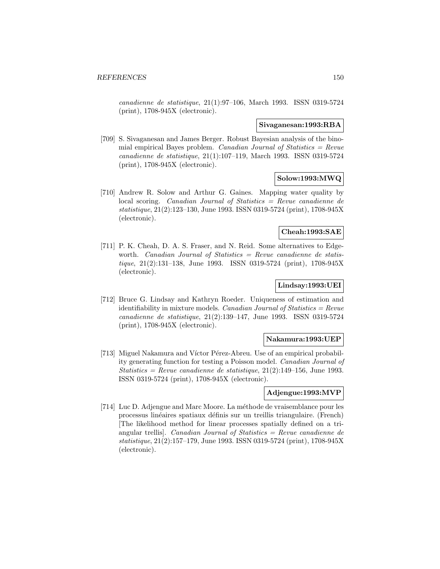canadienne de statistique, 21(1):97–106, March 1993. ISSN 0319-5724 (print), 1708-945X (electronic).

#### **Sivaganesan:1993:RBA**

[709] S. Sivaganesan and James Berger. Robust Bayesian analysis of the binomial empirical Bayes problem. Canadian Journal of Statistics  $=$  Revue canadienne de statistique, 21(1):107–119, March 1993. ISSN 0319-5724 (print), 1708-945X (electronic).

# **Solow:1993:MWQ**

[710] Andrew R. Solow and Arthur G. Gaines. Mapping water quality by local scoring. Canadian Journal of Statistics = Revue canadienne de statistique, 21(2):123–130, June 1993. ISSN 0319-5724 (print), 1708-945X (electronic).

#### **Cheah:1993:SAE**

[711] P. K. Cheah, D. A. S. Fraser, and N. Reid. Some alternatives to Edgeworth. Canadian Journal of Statistics  $=$  Revue canadienne de statistique, 21(2):131–138, June 1993. ISSN 0319-5724 (print), 1708-945X (electronic).

# **Lindsay:1993:UEI**

[712] Bruce G. Lindsay and Kathryn Roeder. Uniqueness of estimation and identifiability in mixture models. Canadian Journal of Statistics =  $Re$ vue canadienne de statistique, 21(2):139–147, June 1993. ISSN 0319-5724 (print), 1708-945X (electronic).

#### **Nakamura:1993:UEP**

[713] Miguel Nakamura and Víctor Pérez-Abreu. Use of an empirical probability generating function for testing a Poisson model. Canadian Journal of Statistics = Revue canadienne de statistique,  $21(2):149-156$ , June 1993. ISSN 0319-5724 (print), 1708-945X (electronic).

## **Adjengue:1993:MVP**

[714] Luc D. Adjengue and Marc Moore. La méthode de vraisemblance pour les processus lin´eaires spatiaux d´efinis sur un treillis triangulaire. (French) [The likelihood method for linear processes spatially defined on a triangular trellis]. Canadian Journal of Statistics = Revue canadienne de statistique, 21(2):157–179, June 1993. ISSN 0319-5724 (print), 1708-945X (electronic).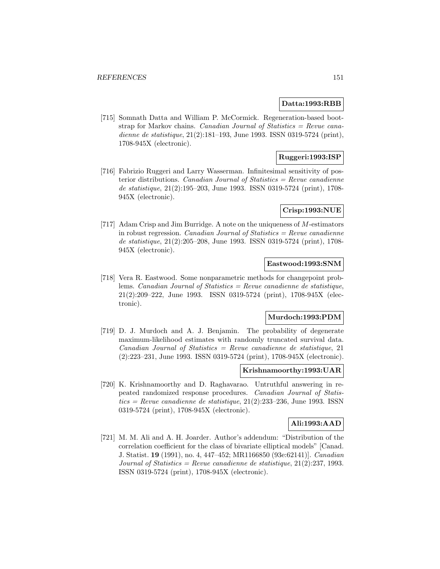## **Datta:1993:RBB**

[715] Somnath Datta and William P. McCormick. Regeneration-based bootstrap for Markov chains. Canadian Journal of Statistics = Revue canadienne de statistique, 21(2):181–193, June 1993. ISSN 0319-5724 (print), 1708-945X (electronic).

## **Ruggeri:1993:ISP**

[716] Fabrizio Ruggeri and Larry Wasserman. Infinitesimal sensitivity of posterior distributions. Canadian Journal of Statistics  $=$  Revue canadienne de statistique, 21(2):195–203, June 1993. ISSN 0319-5724 (print), 1708- 945X (electronic).

## **Crisp:1993:NUE**

[717] Adam Crisp and Jim Burridge. A note on the uniqueness of M-estimators in robust regression. *Canadian Journal of Statistics = Revue canadienne* de statistique, 21(2):205–208, June 1993. ISSN 0319-5724 (print), 1708- 945X (electronic).

#### **Eastwood:1993:SNM**

[718] Vera R. Eastwood. Some nonparametric methods for changepoint problems. Canadian Journal of Statistics = Revue canadienne de statistique, 21(2):209–222, June 1993. ISSN 0319-5724 (print), 1708-945X (electronic).

#### **Murdoch:1993:PDM**

[719] D. J. Murdoch and A. J. Benjamin. The probability of degenerate maximum-likelihood estimates with randomly truncated survival data.  $Canadian Journal of Statistics = Review canadienne de statistique, 21$ (2):223–231, June 1993. ISSN 0319-5724 (print), 1708-945X (electronic).

## **Krishnamoorthy:1993:UAR**

[720] K. Krishnamoorthy and D. Raghavarao. Untruthful answering in repeated randomized response procedures. Canadian Journal of Statis $tics = Revue$  canadienne de statistique, 21(2):233–236, June 1993. ISSN0319-5724 (print), 1708-945X (electronic).

## **Ali:1993:AAD**

[721] M. M. Ali and A. H. Joarder. Author's addendum: "Distribution of the correlation coefficient for the class of bivariate elliptical models" [Canad. J. Statist. **19** (1991), no. 4, 447–452; MR1166850 (93e:62141)]. Canadian Journal of Statistics = Revue canadienne de statistique,  $21(2):237$ , 1993. ISSN 0319-5724 (print), 1708-945X (electronic).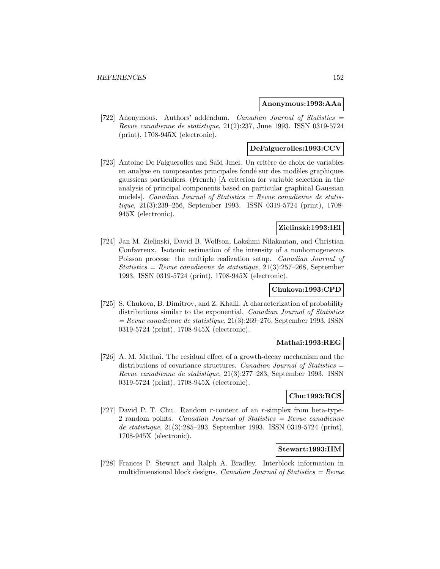#### **Anonymous:1993:AAa**

[722] Anonymous. Authors' addendum. Canadian Journal of Statistics = Revue canadienne de statistique, 21(2):237, June 1993. ISSN 0319-5724 (print), 1708-945X (electronic).

#### **DeFalguerolles:1993:CCV**

[723] Antoine De Falguerolles and Saïd Jmel. Un critère de choix de variables en analyse en composantes principales fondé sur des modèles graphiques gaussiens particuliers. (French) [A criterion for variable selection in the analysis of principal components based on particular graphical Gaussian models. Canadian Journal of Statistics  $=$  Revue canadienne de statistique, 21(3):239–256, September 1993. ISSN 0319-5724 (print), 1708- 945X (electronic).

# **Zielinski:1993:IEI**

[724] Jan M. Zielinski, David B. Wolfson, Lakshmi Nilakantan, and Christian Confavreux. Isotonic estimation of the intensity of a nonhomogeneous Poisson process: the multiple realization setup. Canadian Journal of Statistics = Revue canadienne de statistique,  $21(3):257-268$ , September 1993. ISSN 0319-5724 (print), 1708-945X (electronic).

## **Chukova:1993:CPD**

[725] S. Chukova, B. Dimitrov, and Z. Khalil. A characterization of probability distributions similar to the exponential. Canadian Journal of Statistics  $=$  Revue canadienne de statistique, 21(3):269–276, September 1993. ISSN 0319-5724 (print), 1708-945X (electronic).

#### **Mathai:1993:REG**

[726] A. M. Mathai. The residual effect of a growth-decay mechanism and the distributions of covariance structures. Canadian Journal of Statistics  $=$ Revue canadienne de statistique, 21(3):277–283, September 1993. ISSN 0319-5724 (print), 1708-945X (electronic).

## **Chu:1993:RCS**

[727] David P. T. Chu. Random r-content of an r-simplex from beta-type-2 random points. Canadian Journal of Statistics  $=$  Revue canadienne de statistique, 21(3):285–293, September 1993. ISSN 0319-5724 (print), 1708-945X (electronic).

#### **Stewart:1993:IIM**

[728] Frances P. Stewart and Ralph A. Bradley. Interblock information in multidimensional block designs. *Canadian Journal of Statistics = Revue*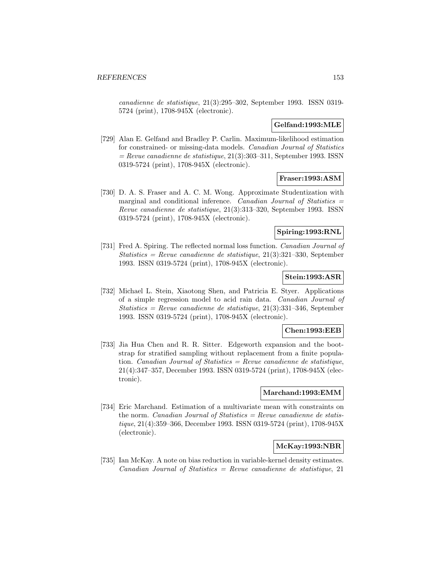canadienne de statistique, 21(3):295–302, September 1993. ISSN 0319- 5724 (print), 1708-945X (electronic).

## **Gelfand:1993:MLE**

[729] Alan E. Gelfand and Bradley P. Carlin. Maximum-likelihood estimation for constrained- or missing-data models. Canadian Journal of Statistics  $=$  Revue canadienne de statistique, 21(3):303–311, September 1993. ISSN 0319-5724 (print), 1708-945X (electronic).

## **Fraser:1993:ASM**

[730] D. A. S. Fraser and A. C. M. Wong. Approximate Studentization with marginal and conditional inference. Canadian Journal of Statistics  $=$ Revue canadienne de statistique, 21(3):313–320, September 1993. ISSN 0319-5724 (print), 1708-945X (electronic).

## **Spiring:1993:RNL**

[731] Fred A. Spiring. The reflected normal loss function. Canadian Journal of Statistics = Revue canadienne de statistique, 21(3):321–330, September 1993. ISSN 0319-5724 (print), 1708-945X (electronic).

## **Stein:1993:ASR**

[732] Michael L. Stein, Xiaotong Shen, and Patricia E. Styer. Applications of a simple regression model to acid rain data. Canadian Journal of Statistics = Revue canadienne de statistique,  $21(3):331-346$ , September 1993. ISSN 0319-5724 (print), 1708-945X (electronic).

#### **Chen:1993:EEB**

[733] Jia Hua Chen and R. R. Sitter. Edgeworth expansion and the bootstrap for stratified sampling without replacement from a finite population. Canadian Journal of Statistics = Revue canadienne de statistique, 21(4):347–357, December 1993. ISSN 0319-5724 (print), 1708-945X (electronic).

#### **Marchand:1993:EMM**

[734] Eric Marchand. Estimation of a multivariate mean with constraints on the norm. *Canadian Journal of Statistics = Revue canadienne de statis*tique, 21(4):359–366, December 1993. ISSN 0319-5724 (print), 1708-945X (electronic).

# **McKay:1993:NBR**

[735] Ian McKay. A note on bias reduction in variable-kernel density estimates.  $Canadian Journal of Statistics = Review candidate$  de statistique, 21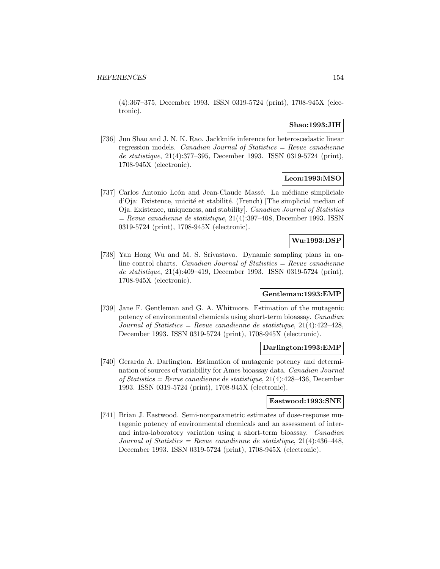(4):367–375, December 1993. ISSN 0319-5724 (print), 1708-945X (electronic).

## **Shao:1993:JIH**

[736] Jun Shao and J. N. K. Rao. Jackknife inference for heteroscedastic linear regression models. Canadian Journal of Statistics = Revue canadienne de statistique, 21(4):377–395, December 1993. ISSN 0319-5724 (print), 1708-945X (electronic).

## **Leon:1993:MSO**

[737] Carlos Antonio León and Jean-Claude Massé. La médiane simpliciale d'Oja: Existence, unicité et stabilité. (French) [The simplicial median of Oja. Existence, uniqueness, and stability]. Canadian Journal of Statistics  $=$  Revue canadienne de statistique, 21(4):397–408, December 1993. ISSN 0319-5724 (print), 1708-945X (electronic).

# **Wu:1993:DSP**

[738] Yan Hong Wu and M. S. Srivastava. Dynamic sampling plans in online control charts. Canadian Journal of Statistics  $=$  Revue canadienne de statistique, 21(4):409–419, December 1993. ISSN 0319-5724 (print), 1708-945X (electronic).

#### **Gentleman:1993:EMP**

[739] Jane F. Gentleman and G. A. Whitmore. Estimation of the mutagenic potency of environmental chemicals using short-term bioassay. Canadian Journal of Statistics = Revue canadienne de statistique,  $21(4):422-428$ , December 1993. ISSN 0319-5724 (print), 1708-945X (electronic).

#### **Darlington:1993:EMP**

[740] Gerarda A. Darlington. Estimation of mutagenic potency and determination of sources of variability for Ames bioassay data. Canadian Journal of Statistics = Revue canadienne de statistique, 21(4):428–436, December 1993. ISSN 0319-5724 (print), 1708-945X (electronic).

#### **Eastwood:1993:SNE**

[741] Brian J. Eastwood. Semi-nonparametric estimates of dose-response mutagenic potency of environmental chemicals and an assessment of interand intra-laboratory variation using a short-term bioassay. Canadian Journal of Statistics = Revue canadienne de statistique,  $21(4):436-448$ , December 1993. ISSN 0319-5724 (print), 1708-945X (electronic).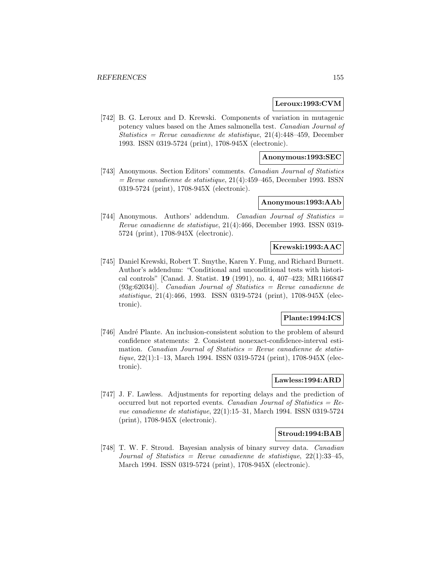#### **Leroux:1993:CVM**

[742] B. G. Leroux and D. Krewski. Components of variation in mutagenic potency values based on the Ames salmonella test. Canadian Journal of Statistics = Revue canadienne de statistique,  $21(4)$ :448-459, December 1993. ISSN 0319-5724 (print), 1708-945X (electronic).

#### **Anonymous:1993:SEC**

[743] Anonymous. Section Editors' comments. Canadian Journal of Statistics  $=$  Revue canadienne de statistique, 21(4):459–465, December 1993. ISSN 0319-5724 (print), 1708-945X (electronic).

#### **Anonymous:1993:AAb**

[744] Anonymous. Authors' addendum. Canadian Journal of Statistics = Revue canadienne de statistique, 21(4):466, December 1993. ISSN 0319- 5724 (print), 1708-945X (electronic).

# **Krewski:1993:AAC**

[745] Daniel Krewski, Robert T. Smythe, Karen Y. Fung, and Richard Burnett. Author's addendum: "Conditional and unconditional tests with historical controls" [Canad. J. Statist. **19** (1991), no. 4, 407–423; MR1166847  $(93g:62034)$ ]. Canadian Journal of Statistics = Revue canadienne de statistique, 21(4):466, 1993. ISSN 0319-5724 (print), 1708-945X (electronic).

## **Plante:1994:ICS**

[746] André Plante. An inclusion-consistent solution to the problem of absurd confidence statements: 2. Consistent nonexact-confidence-interval estimation. Canadian Journal of Statistics = Revue canadienne de statistique, 22(1):1–13, March 1994. ISSN 0319-5724 (print), 1708-945X (electronic).

## **Lawless:1994:ARD**

[747] J. F. Lawless. Adjustments for reporting delays and the prediction of occurred but not reported events. Canadian Journal of Statistics =  $Re$ vue canadienne de statistique, 22(1):15–31, March 1994. ISSN 0319-5724 (print), 1708-945X (electronic).

#### **Stroud:1994:BAB**

[748] T. W. F. Stroud. Bayesian analysis of binary survey data. Canadian Journal of Statistics = Revue canadienne de statistique,  $22(1):33-45$ , March 1994. ISSN 0319-5724 (print), 1708-945X (electronic).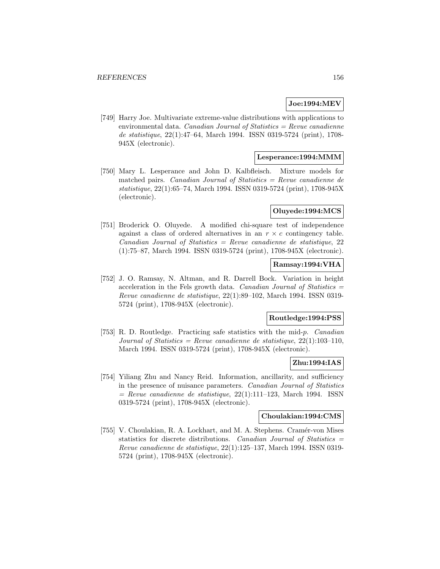# **Joe:1994:MEV**

[749] Harry Joe. Multivariate extreme-value distributions with applications to environmental data. Canadian Journal of Statistics  $=$  Revue canadienne de statistique, 22(1):47–64, March 1994. ISSN 0319-5724 (print), 1708- 945X (electronic).

## **Lesperance:1994:MMM**

[750] Mary L. Lesperance and John D. Kalbfleisch. Mixture models for matched pairs. Canadian Journal of Statistics  $=$  Revue canadienne de statistique, 22(1):65–74, March 1994. ISSN 0319-5724 (print), 1708-945X (electronic).

## **Oluyede:1994:MCS**

[751] Broderick O. Oluyede. A modified chi-square test of independence against a class of ordered alternatives in an  $r \times c$  contingency table. Canadian Journal of Statistics = Revue canadienne de statistique, 22 (1):75–87, March 1994. ISSN 0319-5724 (print), 1708-945X (electronic).

## **Ramsay:1994:VHA**

[752] J. O. Ramsay, N. Altman, and R. Darrell Bock. Variation in height acceleration in the Fels growth data. Canadian Journal of Statistics  $=$ Revue canadienne de statistique, 22(1):89–102, March 1994. ISSN 0319- 5724 (print), 1708-945X (electronic).

#### **Routledge:1994:PSS**

[753] R. D. Routledge. Practicing safe statistics with the mid-p. Canadian Journal of Statistics = Revue canadienne de statistique,  $22(1):103-110$ , March 1994. ISSN 0319-5724 (print), 1708-945X (electronic).

## **Zhu:1994:IAS**

[754] Yiliang Zhu and Nancy Reid. Information, ancillarity, and sufficiency in the presence of nuisance parameters. Canadian Journal of Statistics  $=$  Revue canadienne de statistique, 22(1):111–123, March 1994. ISSN 0319-5724 (print), 1708-945X (electronic).

#### **Choulakian:1994:CMS**

[755] V. Choulakian, R. A. Lockhart, and M. A. Stephens. Cramér-von Mises statistics for discrete distributions. Canadian Journal of Statistics = Revue canadienne de statistique, 22(1):125–137, March 1994. ISSN 0319- 5724 (print), 1708-945X (electronic).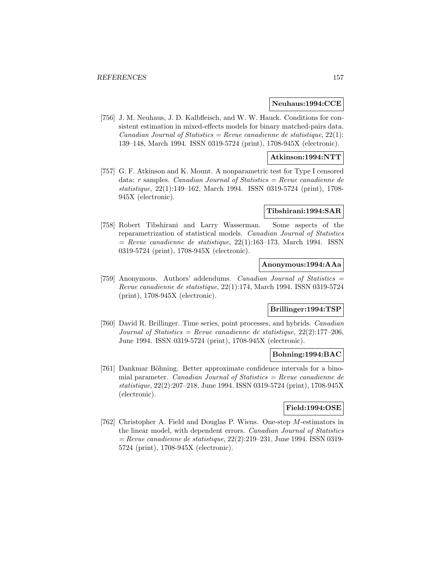#### **Neuhaus:1994:CCE**

[756] J. M. Neuhaus, J. D. Kalbfleisch, and W. W. Hauck. Conditions for consistent estimation in mixed-effects models for binary matched-pairs data. Canadian Journal of Statistics = Revue canadienne de statistique,  $22(1)$ : 139–148, March 1994. ISSN 0319-5724 (print), 1708-945X (electronic).

## **Atkinson:1994:NTT**

[757] G. F. Atkinson and K. Mount. A nonparametric test for Type I censored data: r samples. Canadian Journal of Statistics = Revue canadienne de statistique, 22(1):149–162, March 1994. ISSN 0319-5724 (print), 1708- 945X (electronic).

#### **Tibshirani:1994:SAR**

[758] Robert Tibshirani and Larry Wasserman. Some aspects of the reparametrization of statistical models. Canadian Journal of Statistics  $=$  Revue canadienne de statistique, 22(1):163–173, March 1994. ISSN 0319-5724 (print), 1708-945X (electronic).

## **Anonymous:1994:AAa**

[759] Anonymous. Authors' addendums. Canadian Journal of Statistics = Revue canadienne de statistique, 22(1):174, March 1994. ISSN 0319-5724 (print), 1708-945X (electronic).

# **Brillinger:1994:TSP**

[760] David R. Brillinger. Time series, point processes, and hybrids. Canadian Journal of Statistics = Revue canadienne de statistique,  $22(2):177-206$ , June 1994. ISSN 0319-5724 (print), 1708-945X (electronic).

#### **Bohning:1994:BAC**

[761] Dankmar Böhning. Better approximate confidence intervals for a binomial parameter. *Canadian Journal of Statistics = Revue canadienne de* statistique, 22(2):207–218, June 1994. ISSN 0319-5724 (print), 1708-945X (electronic).

#### **Field:1994:OSE**

[762] Christopher A. Field and Douglas P. Wiens. One-step M-estimators in the linear model, with dependent errors. Canadian Journal of Statistics  $=$  Revue canadienne de statistique, 22(2):219–231, June 1994. ISSN 0319-5724 (print), 1708-945X (electronic).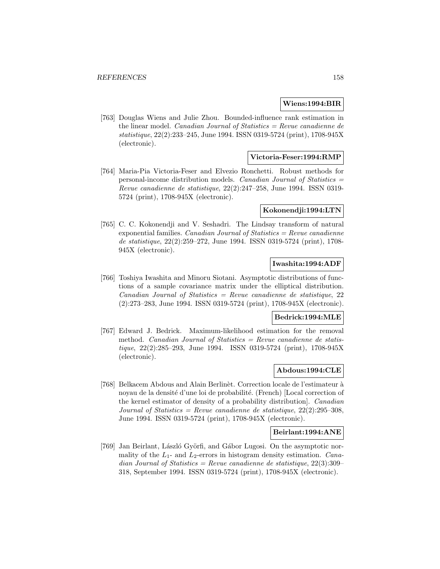#### **Wiens:1994:BIR**

[763] Douglas Wiens and Julie Zhou. Bounded-influence rank estimation in the linear model. *Canadian Journal of Statistics = Revue canadienne de* statistique, 22(2):233–245, June 1994. ISSN 0319-5724 (print), 1708-945X (electronic).

#### **Victoria-Feser:1994:RMP**

[764] Maria-Pia Victoria-Feser and Elvezio Ronchetti. Robust methods for personal-income distribution models. Canadian Journal of Statistics  $=$ Revue canadienne de statistique, 22(2):247–258, June 1994. ISSN 0319- 5724 (print), 1708-945X (electronic).

#### **Kokonendji:1994:LTN**

[765] C. C. Kokonendji and V. Seshadri. The Lindsay transform of natural exponential families. *Canadian Journal of Statistics = Revue canadienne* de statistique, 22(2):259–272, June 1994. ISSN 0319-5724 (print), 1708- 945X (electronic).

# **Iwashita:1994:ADF**

[766] Toshiya Iwashita and Minoru Siotani. Asymptotic distributions of functions of a sample covariance matrix under the elliptical distribution.  $Canadian Journal of Statistics = Review can a dienne de statistique, 22$ (2):273–283, June 1994. ISSN 0319-5724 (print), 1708-945X (electronic).

#### **Bedrick:1994:MLE**

[767] Edward J. Bedrick. Maximum-likelihood estimation for the removal method. Canadian Journal of Statistics = Revue canadienne de statistique, 22(2):285–293, June 1994. ISSN 0319-5724 (print), 1708-945X (electronic).

## **Abdous:1994:CLE**

[768] Belkacem Abdous and Alain Berlinèt. Correction locale de l'estimateur à noyau de la densité d'une loi de probabilité. (French) [Local correction of the kernel estimator of density of a probability distribution]. Canadian Journal of Statistics = Revue canadienne de statistique,  $22(2):295-308$ , June 1994. ISSN 0319-5724 (print), 1708-945X (electronic).

#### **Beirlant:1994:ANE**

[769] Jan Beirlant, László Györfi, and Gábor Lugosi. On the asymptotic normality of the  $L_1$ - and  $L_2$ -errors in histogram density estimation. Canadian Journal of Statistics = Revue canadienne de statistique,  $22(3):309-$ 318, September 1994. ISSN 0319-5724 (print), 1708-945X (electronic).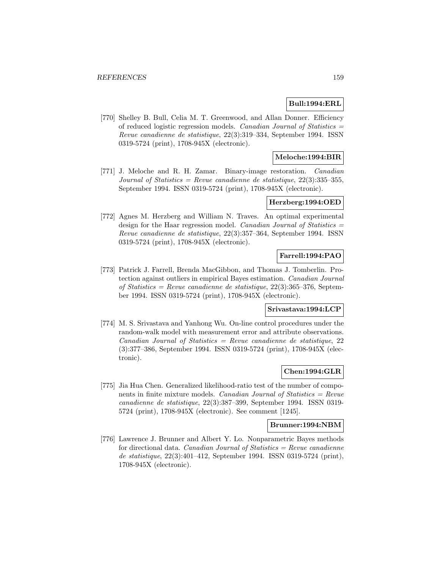## **Bull:1994:ERL**

[770] Shelley B. Bull, Celia M. T. Greenwood, and Allan Donner. Efficiency of reduced logistic regression models. Canadian Journal of Statistics  $=$ Revue canadienne de statistique, 22(3):319–334, September 1994. ISSN 0319-5724 (print), 1708-945X (electronic).

## **Meloche:1994:BIR**

[771] J. Meloche and R. H. Zamar. Binary-image restoration. Canadian Journal of Statistics = Revue canadienne de statistique,  $22(3)$ :335-355, September 1994. ISSN 0319-5724 (print), 1708-945X (electronic).

#### **Herzberg:1994:OED**

[772] Agnes M. Herzberg and William N. Traves. An optimal experimental design for the Haar regression model. *Canadian Journal of Statistics* = Revue canadienne de statistique, 22(3):357–364, September 1994. ISSN 0319-5724 (print), 1708-945X (electronic).

## **Farrell:1994:PAO**

[773] Patrick J. Farrell, Brenda MacGibbon, and Thomas J. Tomberlin. Protection against outliers in empirical Bayes estimation. Canadian Journal of Statistics = Revue canadienne de statistique,  $22(3)$ :365-376, September 1994. ISSN 0319-5724 (print), 1708-945X (electronic).

## **Srivastava:1994:LCP**

[774] M. S. Srivastava and Yanhong Wu. On-line control procedures under the random-walk model with measurement error and attribute observations.  $Canadian Journal of Statistics = Review canadienne de statistic, 22$ (3):377–386, September 1994. ISSN 0319-5724 (print), 1708-945X (electronic).

## **Chen:1994:GLR**

[775] Jia Hua Chen. Generalized likelihood-ratio test of the number of components in finite mixture models. Canadian Journal of Statistics = Revue canadienne de statistique, 22(3):387–399, September 1994. ISSN 0319- 5724 (print), 1708-945X (electronic). See comment [1245].

#### **Brunner:1994:NBM**

[776] Lawrence J. Brunner and Albert Y. Lo. Nonparametric Bayes methods for directional data. Canadian Journal of Statistics  $=$  Revue canadienne de statistique, 22(3):401–412, September 1994. ISSN 0319-5724 (print), 1708-945X (electronic).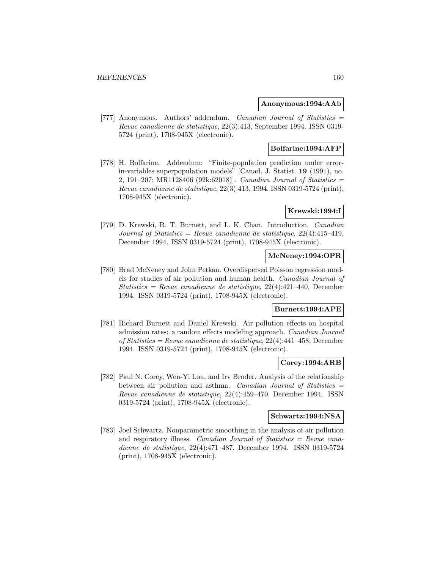#### **Anonymous:1994:AAb**

[777] Anonymous. Authors' addendum. Canadian Journal of Statistics = Revue canadienne de statistique, 22(3):413, September 1994. ISSN 0319- 5724 (print), 1708-945X (electronic).

# **Bolfarine:1994:AFP**

[778] H. Bolfarine. Addendum: "Finite-population prediction under errorin-variables superpopulation models" [Canad. J. Statist. **19** (1991), no. 2, 191–207; MR1128406 (92k:62018). *Canadian Journal of Statistics*  $=$ Revue canadienne de statistique, 22(3):413, 1994. ISSN 0319-5724 (print), 1708-945X (electronic).

## **Krewski:1994:I**

[779] D. Krewski, R. T. Burnett, and L. K. Chan. Introduction. Canadian Journal of Statistics = Revue canadienne de statistique,  $22(4):415-419$ , December 1994. ISSN 0319-5724 (print), 1708-945X (electronic).

## **McNeney:1994:OPR**

[780] Brad McNeney and John Petkau. Overdispersed Poisson regression models for studies of air pollution and human health. Canadian Journal of Statistics = Revue canadienne de statistique,  $22(4)$ :421-440, December 1994. ISSN 0319-5724 (print), 1708-945X (electronic).

## **Burnett:1994:APE**

[781] Richard Burnett and Daniel Krewski. Air pollution effects on hospital admission rates: a random effects modeling approach. Canadian Journal of Statistics = Revue canadienne de statistique, 22(4):441–458, December 1994. ISSN 0319-5724 (print), 1708-945X (electronic).

#### **Corey:1994:ARB**

[782] Paul N. Corey, Wen-Yi Lou, and Irv Broder. Analysis of the relationship between air pollution and asthma. Canadian Journal of Statistics = Revue canadienne de statistique, 22(4):459–470, December 1994. ISSN 0319-5724 (print), 1708-945X (electronic).

#### **Schwartz:1994:NSA**

[783] Joel Schwartz. Nonparametric smoothing in the analysis of air pollution and respiratory illness. Canadian Journal of Statistics = Revue canadienne de statistique, 22(4):471–487, December 1994. ISSN 0319-5724 (print), 1708-945X (electronic).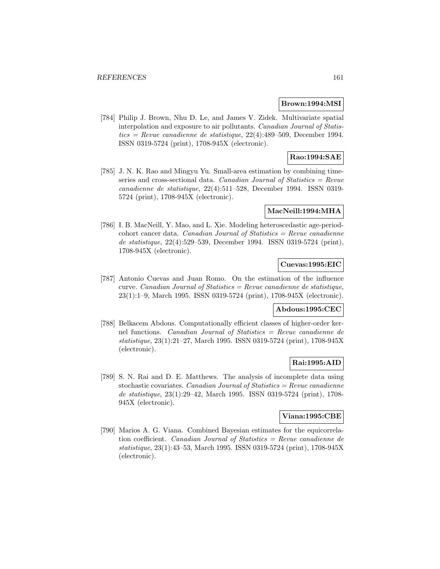#### **Brown:1994:MSI**

[784] Philip J. Brown, Nhu D. Le, and James V. Zidek. Multivariate spatial interpolation and exposure to air pollutants. Canadian Journal of Statistics = Revue canadienne de statistique,  $22(4)$ :489-509, December 1994. ISSN 0319-5724 (print), 1708-945X (electronic).

# **Rao:1994:SAE**

[785] J. N. K. Rao and Mingyu Yu. Small-area estimation by combining timeseries and cross-sectional data. Canadian Journal of Statistics  $=$  Revue canadienne de statistique, 22(4):511–528, December 1994. ISSN 0319- 5724 (print), 1708-945X (electronic).

## **MacNeill:1994:MHA**

[786] I. B. MacNeill, Y. Mao, and L. Xie. Modeling heteroscedastic age-period- $\text{cohort cancer data.}$  *Canadian Journal of Statistics = Revue canadienne* de statistique, 22(4):529–539, December 1994. ISSN 0319-5724 (print), 1708-945X (electronic).

# **Cuevas:1995:EIC**

[787] Antonio Cuevas and Juan Romo. On the estimation of the influence curve. Canadian Journal of Statistics = Revue canadienne de statistique, 23(1):1–9, March 1995. ISSN 0319-5724 (print), 1708-945X (electronic).

## **Abdous:1995:CEC**

[788] Belkacem Abdous. Computationally efficient classes of higher-order kernel functions. Canadian Journal of Statistics = Revue canadienne de statistique, 23(1):21–27, March 1995. ISSN 0319-5724 (print), 1708-945X (electronic).

## **Rai:1995:AID**

[789] S. N. Rai and D. E. Matthews. The analysis of incomplete data using stochastic covariates. Canadian Journal of Statistics = Revue canadienne de statistique, 23(1):29–42, March 1995. ISSN 0319-5724 (print), 1708- 945X (electronic).

# **Viana:1995:CBE**

[790] Marios A. G. Viana. Combined Bayesian estimates for the equicorrelation coefficient. Canadian Journal of Statistics = Revue canadienne de statistique, 23(1):43–53, March 1995. ISSN 0319-5724 (print), 1708-945X (electronic).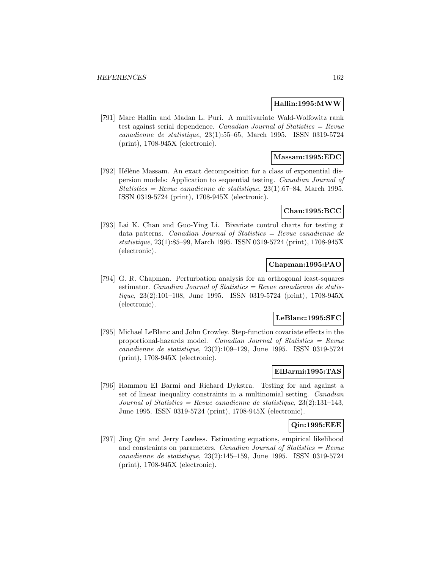#### **Hallin:1995:MWW**

[791] Marc Hallin and Madan L. Puri. A multivariate Wald-Wolfowitz rank test against serial dependence. Canadian Journal of Statistics = Revue canadienne de statistique, 23(1):55–65, March 1995. ISSN 0319-5724 (print), 1708-945X (electronic).

## **Massam:1995:EDC**

[792] Hélène Massam. An exact decomposition for a class of exponential dispersion models: Application to sequential testing. Canadian Journal of Statistics = Revue canadienne de statistique,  $23(1):67-84$ , March 1995. ISSN 0319-5724 (print), 1708-945X (electronic).

## **Chan:1995:BCC**

[793] Lai K. Chan and Guo-Ying Li. Bivariate control charts for testing  $\bar{x}$ data patterns. Canadian Journal of Statistics = Revue canadienne de statistique, 23(1):85–99, March 1995. ISSN 0319-5724 (print), 1708-945X (electronic).

## **Chapman:1995:PAO**

[794] G. R. Chapman. Perturbation analysis for an orthogonal least-squares estimator. Canadian Journal of Statistics =  $Review$  canadienne de statistique, 23(2):101–108, June 1995. ISSN 0319-5724 (print), 1708-945X (electronic).

#### **LeBlanc:1995:SFC**

[795] Michael LeBlanc and John Crowley. Step-function covariate effects in the proportional-hazards model. Canadian Journal of Statistics = Revue canadienne de statistique, 23(2):109–129, June 1995. ISSN 0319-5724 (print), 1708-945X (electronic).

## **ElBarmi:1995:TAS**

[796] Hammou El Barmi and Richard Dykstra. Testing for and against a set of linear inequality constraints in a multinomial setting. Canadian Journal of Statistics = Revue canadienne de statistique,  $23(2):131-143$ , June 1995. ISSN 0319-5724 (print), 1708-945X (electronic).

## **Qin:1995:EEE**

[797] Jing Qin and Jerry Lawless. Estimating equations, empirical likelihood and constraints on parameters. Canadian Journal of Statistics  $=$  Revue canadienne de statistique, 23(2):145–159, June 1995. ISSN 0319-5724 (print), 1708-945X (electronic).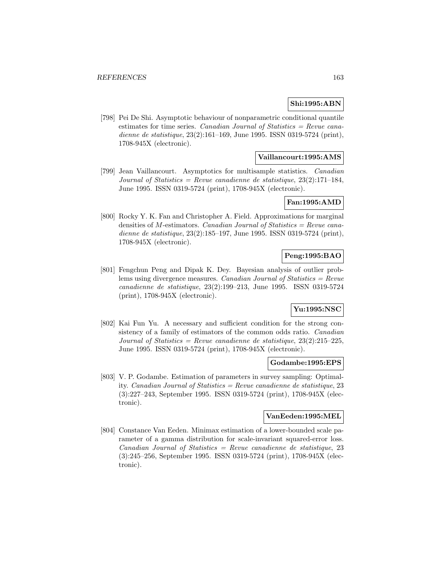## **Shi:1995:ABN**

[798] Pei De Shi. Asymptotic behaviour of nonparametric conditional quantile estimates for time series. Canadian Journal of Statistics = Revue canadienne de statistique, 23(2):161–169, June 1995. ISSN 0319-5724 (print), 1708-945X (electronic).

## **Vaillancourt:1995:AMS**

[799] Jean Vaillancourt. Asymptotics for multisample statistics. Canadian Journal of Statistics = Revue canadienne de statistique,  $23(2):171-184$ , June 1995. ISSN 0319-5724 (print), 1708-945X (electronic).

#### **Fan:1995:AMD**

[800] Rocky Y. K. Fan and Christopher A. Field. Approximations for marginal densities of  $M$ -estimators. Canadian Journal of Statistics = Revue canadienne de statistique, 23(2):185–197, June 1995. ISSN 0319-5724 (print), 1708-945X (electronic).

## **Peng:1995:BAO**

[801] Fengchun Peng and Dipak K. Dey. Bayesian analysis of outlier problems using divergence measures. *Canadian Journal of Statistics = Revue* canadienne de statistique, 23(2):199–213, June 1995. ISSN 0319-5724 (print), 1708-945X (electronic).

## **Yu:1995:NSC**

[802] Kai Fun Yu. A necessary and sufficient condition for the strong consistency of a family of estimators of the common odds ratio. Canadian Journal of Statistics = Revue canadienne de statistique,  $23(2):215-225$ , June 1995. ISSN 0319-5724 (print), 1708-945X (electronic).

#### **Godambe:1995:EPS**

[803] V. P. Godambe. Estimation of parameters in survey sampling: Optimality. Canadian Journal of Statistics = Revue canadienne de statistique, 23 (3):227–243, September 1995. ISSN 0319-5724 (print), 1708-945X (electronic).

#### **VanEeden:1995:MEL**

[804] Constance Van Eeden. Minimax estimation of a lower-bounded scale parameter of a gamma distribution for scale-invariant squared-error loss.  $Canadian Journal of Statistics = Review canadienne de statistic, 23$ (3):245–256, September 1995. ISSN 0319-5724 (print), 1708-945X (electronic).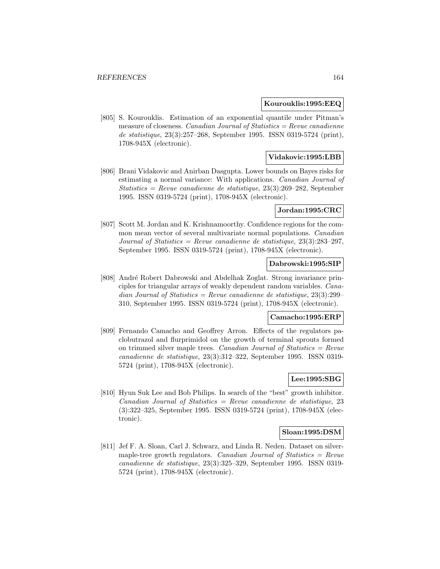#### **Kourouklis:1995:EEQ**

[805] S. Kourouklis. Estimation of an exponential quantile under Pitman's measure of closeness. *Canadian Journal of Statistics = Revue canadienne* de statistique, 23(3):257–268, September 1995. ISSN 0319-5724 (print), 1708-945X (electronic).

#### **Vidakovic:1995:LBB**

[806] Brani Vidakovic and Anirban Dasgupta. Lower bounds on Bayes risks for estimating a normal variance: With applications. Canadian Journal of Statistics = Revue canadienne de statistique,  $23(3):269-282$ , September 1995. ISSN 0319-5724 (print), 1708-945X (electronic).

#### **Jordan:1995:CRC**

[807] Scott M. Jordan and K. Krishnamoorthy. Confidence regions for the common mean vector of several multivariate normal populations. Canadian Journal of Statistics = Revue canadienne de statistique,  $23(3):283-297$ , September 1995. ISSN 0319-5724 (print), 1708-945X (electronic).

#### **Dabrowski:1995:SIP**

[808] André Robert Dabrowski and Abdelhak Zoglat. Strong invariance principles for triangular arrays of weakly dependent random variables. Canadian Journal of Statistics = Revue canadienne de statistique,  $23(3):299-$ 310, September 1995. ISSN 0319-5724 (print), 1708-945X (electronic).

#### **Camacho:1995:ERP**

[809] Fernando Camacho and Geoffrey Arron. Effects of the regulators paclobutrazol and flurprimidol on the growth of terminal sprouts formed on trimmed silver maple trees. Canadian Journal of Statistics  $=$  Revue canadienne de statistique, 23(3):312–322, September 1995. ISSN 0319- 5724 (print), 1708-945X (electronic).

# **Lee:1995:SBG**

[810] Hyun Suk Lee and Bob Philips. In search of the "best" growth inhibitor. Canadian Journal of Statistics = Revue canadienne de statistique, 23 (3):322–325, September 1995. ISSN 0319-5724 (print), 1708-945X (electronic).

## **Sloan:1995:DSM**

[811] Jef F. A. Sloan, Carl J. Schwarz, and Linda R. Neden. Dataset on silvermaple-tree growth regulators. Canadian Journal of Statistics  $=$  Revue canadienne de statistique, 23(3):325–329, September 1995. ISSN 0319- 5724 (print), 1708-945X (electronic).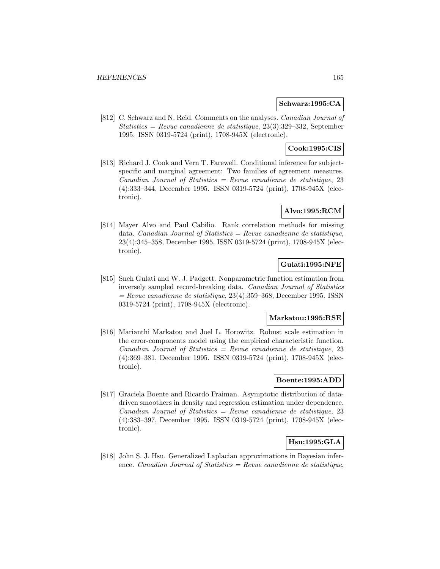#### **Schwarz:1995:CA**

[812] C. Schwarz and N. Reid. Comments on the analyses. Canadian Journal of Statistics = Revue canadienne de statistique,  $23(3):329-332$ , September 1995. ISSN 0319-5724 (print), 1708-945X (electronic).

# **Cook:1995:CIS**

[813] Richard J. Cook and Vern T. Farewell. Conditional inference for subjectspecific and marginal agreement: Two families of agreement measures. Canadian Journal of Statistics = Revue canadienne de statistique, 23 (4):333–344, December 1995. ISSN 0319-5724 (print), 1708-945X (electronic).

## **Alvo:1995:RCM**

[814] Mayer Alvo and Paul Cabilio. Rank correlation methods for missing data. Canadian Journal of Statistics = Revue canadienne de statistique, 23(4):345–358, December 1995. ISSN 0319-5724 (print), 1708-945X (electronic).

# **Gulati:1995:NFE**

[815] Sneh Gulati and W. J. Padgett. Nonparametric function estimation from inversely sampled record-breaking data. Canadian Journal of Statistics  $=$  Revue canadienne de statistique, 23(4):359–368, December 1995. ISSN 0319-5724 (print), 1708-945X (electronic).

#### **Markatou:1995:RSE**

[816] Marianthi Markatou and Joel L. Horowitz. Robust scale estimation in the error-components model using the empirical characteristic function.  $Canadian Journal of Statistics = Review canadienne de statistic, 23$ (4):369–381, December 1995. ISSN 0319-5724 (print), 1708-945X (electronic).

## **Boente:1995:ADD**

[817] Graciela Boente and Ricardo Fraiman. Asymptotic distribution of datadriven smoothers in density and regression estimation under dependence.  $Canadian Journal of Statistics = Review canadienne de statistique, 23$ (4):383–397, December 1995. ISSN 0319-5724 (print), 1708-945X (electronic).

# **Hsu:1995:GLA**

[818] John S. J. Hsu. Generalized Laplacian approximations in Bayesian inference. Canadian Journal of Statistics  $=$  Revue canadienne de statistique,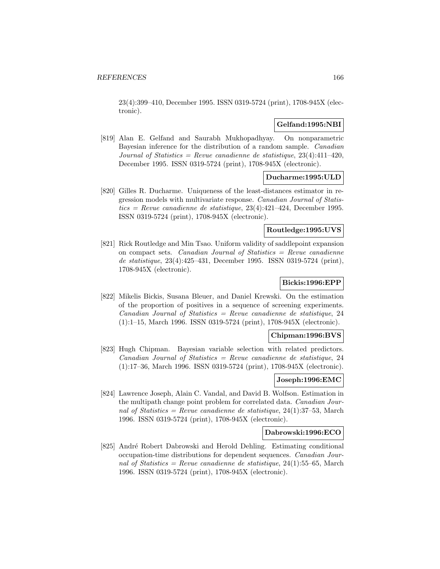23(4):399–410, December 1995. ISSN 0319-5724 (print), 1708-945X (electronic).

## **Gelfand:1995:NBI**

[819] Alan E. Gelfand and Saurabh Mukhopadhyay. On nonparametric Bayesian inference for the distribution of a random sample. Canadian Journal of Statistics = Revue canadienne de statistique,  $23(4):411-420$ , December 1995. ISSN 0319-5724 (print), 1708-945X (electronic).

# **Ducharme:1995:ULD**

[820] Gilles R. Ducharme. Uniqueness of the least-distances estimator in regression models with multivariate response. Canadian Journal of Statistics = Revue canadienne de statistique,  $23(4)$ : $421-424$ , December 1995. ISSN 0319-5724 (print), 1708-945X (electronic).

# **Routledge:1995:UVS**

[821] Rick Routledge and Min Tsao. Uniform validity of saddlepoint expansion on compact sets. Canadian Journal of Statistics  $=$  Revue canadienne de statistique, 23(4):425–431, December 1995. ISSN 0319-5724 (print), 1708-945X (electronic).

## **Bickis:1996:EPP**

[822] Mikelis Bickis, Susana Bleuer, and Daniel Krewski. On the estimation of the proportion of positives in a sequence of screening experiments.  $Canadian Journal of Statistics = Review can a dienne de statistic, 24$ (1):1–15, March 1996. ISSN 0319-5724 (print), 1708-945X (electronic).

## **Chipman:1996:BVS**

[823] Hugh Chipman. Bayesian variable selection with related predictors.  $Canadian Journal of Statistics = Review canadienne de statistic, 24$ (1):17–36, March 1996. ISSN 0319-5724 (print), 1708-945X (electronic).

#### **Joseph:1996:EMC**

[824] Lawrence Joseph, Alain C. Vandal, and David B. Wolfson. Estimation in the multipath change point problem for correlated data. Canadian Journal of Statistics = Revue canadienne de statistique,  $24(1):37-53$ , March 1996. ISSN 0319-5724 (print), 1708-945X (electronic).

## **Dabrowski:1996:ECO**

[825] André Robert Dabrowski and Herold Dehling. Estimating conditional occupation-time distributions for dependent sequences. Canadian Journal of Statistics = Revue canadienne de statistique,  $24(1)$ :55–65, March 1996. ISSN 0319-5724 (print), 1708-945X (electronic).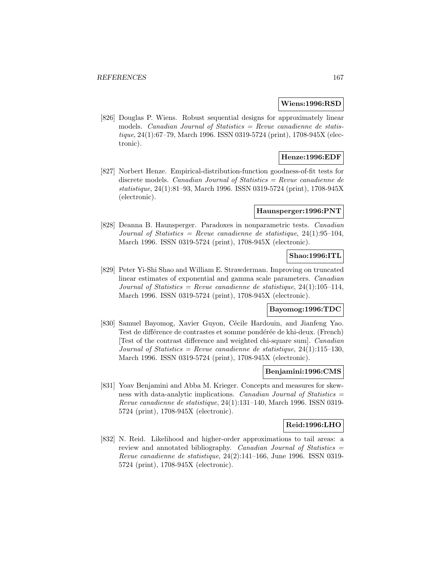#### **Wiens:1996:RSD**

[826] Douglas P. Wiens. Robust sequential designs for approximately linear models. Canadian Journal of Statistics = Revue canadienne de statistique, 24(1):67–79, March 1996. ISSN 0319-5724 (print), 1708-945X (electronic).

## **Henze:1996:EDF**

[827] Norbert Henze. Empirical-distribution-function goodness-of-fit tests for discrete models. *Canadian Journal of Statistics = Revue canadienne de* statistique, 24(1):81–93, March 1996. ISSN 0319-5724 (print), 1708-945X (electronic).

#### **Haunsperger:1996:PNT**

[828] Deanna B. Haunsperger. Paradoxes in nonparametric tests. Canadian Journal of Statistics = Revue canadienne de statistique,  $24(1):95-104$ , March 1996. ISSN 0319-5724 (print), 1708-945X (electronic).

## **Shao:1996:ITL**

[829] Peter Yi-Shi Shao and William E. Strawderman. Improving on truncated linear estimates of exponential and gamma scale parameters. Canadian Journal of Statistics = Revue canadienne de statistique,  $24(1):105-114$ , March 1996. ISSN 0319-5724 (print), 1708-945X (electronic).

## **Bayomog:1996:TDC**

[830] Samuel Bayomog, Xavier Guyon, Cécile Hardouin, and Jianfeng Yao. Test de différence de contrastes et somme pondérée de khi-deux. (French) [Test of the contrast difference and weighted chi-square sum]. Canadian Journal of Statistics = Revue canadienne de statistique,  $24(1):115-130$ , March 1996. ISSN 0319-5724 (print), 1708-945X (electronic).

#### **Benjamini:1996:CMS**

[831] Yoav Benjamini and Abba M. Krieger. Concepts and measures for skewness with data-analytic implications. Canadian Journal of Statistics = Revue canadienne de statistique, 24(1):131–140, March 1996. ISSN 0319- 5724 (print), 1708-945X (electronic).

#### **Reid:1996:LHO**

[832] N. Reid. Likelihood and higher-order approximations to tail areas: a review and annotated bibliography. Canadian Journal of Statistics = Revue canadienne de statistique, 24(2):141–166, June 1996. ISSN 0319- 5724 (print), 1708-945X (electronic).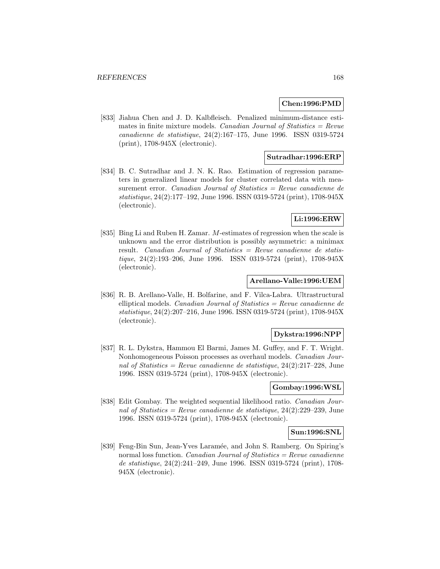## **Chen:1996:PMD**

[833] Jiahua Chen and J. D. Kalbfleisch. Penalized minimum-distance estimates in finite mixture models. Canadian Journal of Statistics  $=$  Revue canadienne de statistique, 24(2):167–175, June 1996. ISSN 0319-5724 (print), 1708-945X (electronic).

## **Sutradhar:1996:ERP**

[834] B. C. Sutradhar and J. N. K. Rao. Estimation of regression parameters in generalized linear models for cluster correlated data with measurement error. Canadian Journal of Statistics = Revue canadienne de statistique, 24(2):177–192, June 1996. ISSN 0319-5724 (print), 1708-945X (electronic).

## **Li:1996:ERW**

[835] Bing Li and Ruben H. Zamar. M-estimates of regression when the scale is unknown and the error distribution is possibly asymmetric: a minimax result. Canadian Journal of Statistics  $=$  Revue canadienne de statistique, 24(2):193–206, June 1996. ISSN 0319-5724 (print), 1708-945X (electronic).

#### **Arellano-Valle:1996:UEM**

[836] R. B. Arellano-Valle, H. Bolfarine, and F. Vilca-Labra. Ultrastructural elliptical models. *Canadian Journal of Statistics = Revue canadienne de* statistique, 24(2):207–216, June 1996. ISSN 0319-5724 (print), 1708-945X (electronic).

## **Dykstra:1996:NPP**

[837] R. L. Dykstra, Hammou El Barmi, James M. Guffey, and F. T. Wright. Nonhomogeneous Poisson processes as overhaul models. Canadian Journal of Statistics = Revue canadienne de statistique,  $24(2):217-228$ , June 1996. ISSN 0319-5724 (print), 1708-945X (electronic).

## **Gombay:1996:WSL**

[838] Edit Gombay. The weighted sequential likelihood ratio. Canadian Journal of Statistics = Revue canadienne de statistique,  $24(2):229-239$ , June 1996. ISSN 0319-5724 (print), 1708-945X (electronic).

#### **Sun:1996:SNL**

[839] Feng-Bin Sun, Jean-Yves Laramée, and John S. Ramberg. On Spiring's normal loss function. *Canadian Journal of Statistics = Revue canadienne* de statistique, 24(2):241–249, June 1996. ISSN 0319-5724 (print), 1708- 945X (electronic).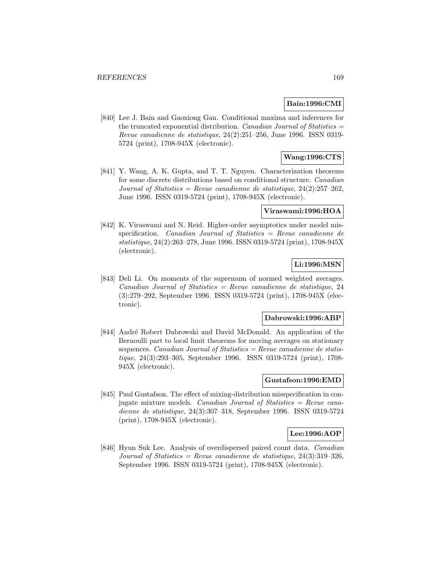## **Bain:1996:CMI**

[840] Lee J. Bain and Gaoxiong Gan. Conditional maxima and inferences for the truncated exponential distribution. Canadian Journal of Statistics  $=$ Revue canadienne de statistique, 24(2):251–256, June 1996. ISSN 0319- 5724 (print), 1708-945X (electronic).

# **Wang:1996:CTS**

[841] Y. Wang, A. K. Gupta, and T. T. Nguyen. Characterization theorems for some discrete distributions based on conditional structure. Canadian Journal of Statistics = Revue canadienne de statistique,  $24(2):257-262$ , June 1996. ISSN 0319-5724 (print), 1708-945X (electronic).

#### **Viraswami:1996:HOA**

[842] K. Viraswami and N. Reid. Higher-order asymptotics under model misspecification. Canadian Journal of Statistics = Revue canadienne de statistique, 24(2):263–278, June 1996. ISSN 0319-5724 (print), 1708-945X (electronic).

# **Li:1996:MSN**

[843] Deli Li. On moments of the supremum of normed weighted averages.  $Canadian Journal of Statistics = Revenue canadienne de statistic, 24$ (3):279–292, September 1996. ISSN 0319-5724 (print), 1708-945X (electronic).

#### **Dabrowski:1996:ABP**

[844] André Robert Dabrowski and David McDonald. An application of the Bernoulli part to local limit theorems for moving averages on stationary sequences. Canadian Journal of Statistics =  $Re$ vue canadienne de statistique, 24(3):293–305, September 1996. ISSN 0319-5724 (print), 1708- 945X (electronic).

## **Gustafson:1996:EMD**

[845] Paul Gustafson. The effect of mixing-distribution misspecification in conjugate mixture models. Canadian Journal of Statistics = Revue canadienne de statistique, 24(3):307–318, September 1996. ISSN 0319-5724 (print), 1708-945X (electronic).

## **Lee:1996:AOP**

[846] Hyun Suk Lee. Analysis of overdispersed paired count data. Canadian Journal of Statistics = Revue canadienne de statistique,  $24(3):319-326$ , September 1996. ISSN 0319-5724 (print), 1708-945X (electronic).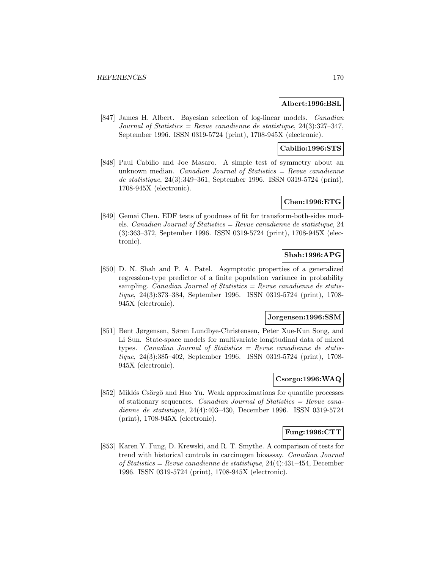#### **Albert:1996:BSL**

[847] James H. Albert. Bayesian selection of log-linear models. Canadian Journal of Statistics = Revue canadienne de statistique,  $24(3):327-347$ , September 1996. ISSN 0319-5724 (print), 1708-945X (electronic).

## **Cabilio:1996:STS**

[848] Paul Cabilio and Joe Masaro. A simple test of symmetry about an unknown median. Canadian Journal of Statistics  $=$  Revue canadienne de statistique, 24(3):349–361, September 1996. ISSN 0319-5724 (print), 1708-945X (electronic).

# **Chen:1996:ETG**

[849] Gemai Chen. EDF tests of goodness of fit for transform-both-sides models. Canadian Journal of Statistics = Revue canadienne de statistique,  $24$ (3):363–372, September 1996. ISSN 0319-5724 (print), 1708-945X (electronic).

## **Shah:1996:APG**

[850] D. N. Shah and P. A. Patel. Asymptotic properties of a generalized regression-type predictor of a finite population variance in probability sampling. *Canadian Journal of Statistics = Revue canadienne de statis*tique, 24(3):373–384, September 1996. ISSN 0319-5724 (print), 1708- 945X (electronic).

#### **Jorgensen:1996:SSM**

[851] Bent Jørgensen, Søren Lundbye-Christensen, Peter Xue-Kun Song, and Li Sun. State-space models for multivariate longitudinal data of mixed types. Canadian Journal of Statistics = Revue canadienne de statistique, 24(3):385–402, September 1996. ISSN 0319-5724 (print), 1708- 945X (electronic).

## **Csorgo:1996:WAQ**

[852] Miklós Csörgő and Hao Yu. Weak approximations for quantile processes of stationary sequences. Canadian Journal of Statistics  $=$  Revue canadienne de statistique, 24(4):403–430, December 1996. ISSN 0319-5724 (print), 1708-945X (electronic).

# **Fung:1996:CTT**

[853] Karen Y. Fung, D. Krewski, and R. T. Smythe. A comparison of tests for trend with historical controls in carcinogen bioassay. Canadian Journal of Statistics = Revue canadienne de statistique, 24(4):431–454, December 1996. ISSN 0319-5724 (print), 1708-945X (electronic).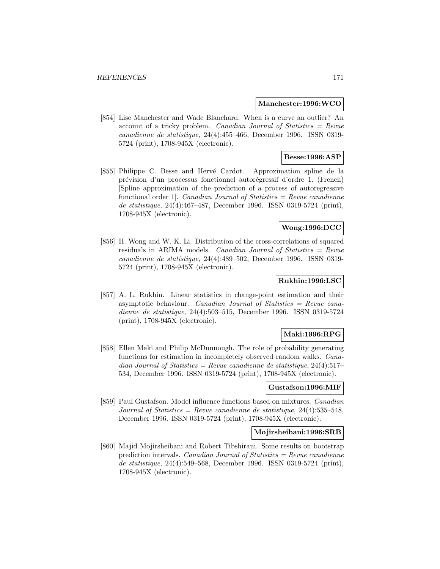#### **Manchester:1996:WCO**

[854] Lise Manchester and Wade Blanchard. When is a curve an outlier? An account of a tricky problem. Canadian Journal of Statistics = Revue canadienne de statistique, 24(4):455–466, December 1996. ISSN 0319- 5724 (print), 1708-945X (electronic).

## **Besse:1996:ASP**

[855] Philippe C. Besse and Hervé Cardot. Approximation spline de la pr´evision d'un processus fonctionnel autor´egressif d'ordre 1. (French) [Spline approximation of the prediction of a process of autoregressive functional order 1. Canadian Journal of Statistics  $=$  Revue canadienne de statistique, 24(4):467–487, December 1996. ISSN 0319-5724 (print), 1708-945X (electronic).

## **Wong:1996:DCC**

[856] H. Wong and W. K. Li. Distribution of the cross-correlations of squared residuals in ARIMA models. Canadian Journal of Statistics  $=$  Revue canadienne de statistique, 24(4):489–502, December 1996. ISSN 0319- 5724 (print), 1708-945X (electronic).

## **Rukhin:1996:LSC**

[857] A. L. Rukhin. Linear statistics in change-point estimation and their asymptotic behaviour. Canadian Journal of Statistics = Revue canadienne de statistique, 24(4):503–515, December 1996. ISSN 0319-5724 (print), 1708-945X (electronic).

## **Maki:1996:RPG**

[858] Ellen Maki and Philip McDunnough. The role of probability generating functions for estimation in incompletely observed random walks. Canadian Journal of Statistics = Revue canadienne de statistique,  $24(4):517-$ 534, December 1996. ISSN 0319-5724 (print), 1708-945X (electronic).

#### **Gustafson:1996:MIF**

[859] Paul Gustafson. Model influence functions based on mixtures. Canadian Journal of Statistics = Revue canadienne de statistique,  $24(4):535-548$ , December 1996. ISSN 0319-5724 (print), 1708-945X (electronic).

#### **Mojirsheibani:1996:SRB**

[860] Majid Mojirsheibani and Robert Tibshirani. Some results on bootstrap prediction intervals. Canadian Journal of Statistics  $=$  Revue canadienne de statistique, 24(4):549–568, December 1996. ISSN 0319-5724 (print), 1708-945X (electronic).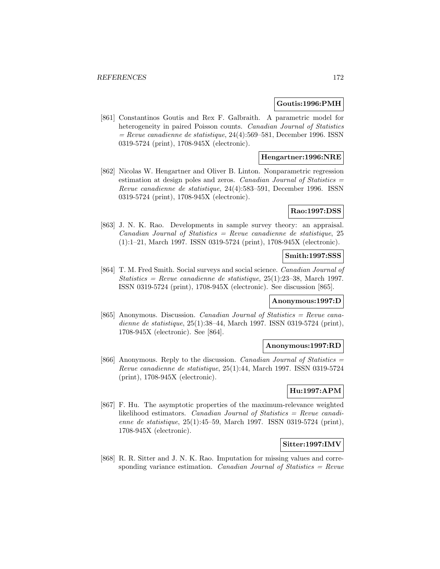#### **Goutis:1996:PMH**

[861] Constantinos Goutis and Rex F. Galbraith. A parametric model for heterogeneity in paired Poisson counts. Canadian Journal of Statistics  $=$  Revue canadienne de statistique, 24(4):569–581, December 1996. ISSN 0319-5724 (print), 1708-945X (electronic).

## **Hengartner:1996:NRE**

[862] Nicolas W. Hengartner and Oliver B. Linton. Nonparametric regression estimation at design poles and zeros. Canadian Journal of Statistics  $=$ Revue canadienne de statistique, 24(4):583–591, December 1996. ISSN 0319-5724 (print), 1708-945X (electronic).

## **Rao:1997:DSS**

[863] J. N. K. Rao. Developments in sample survey theory: an appraisal.  $Canadian Journal of Statistics = Revenue canadienne de statistic, 25$ (1):1–21, March 1997. ISSN 0319-5724 (print), 1708-945X (electronic).

#### **Smith:1997:SSS**

[864] T. M. Fred Smith. Social surveys and social science. Canadian Journal of Statistics = Revue canadienne de statistique,  $25(1):23-38$ , March 1997. ISSN 0319-5724 (print), 1708-945X (electronic). See discussion [865].

#### **Anonymous:1997:D**

[865] Anonymous. Discussion. Canadian Journal of Statistics = Revue canadienne de statistique, 25(1):38–44, March 1997. ISSN 0319-5724 (print), 1708-945X (electronic). See [864].

#### **Anonymous:1997:RD**

[866] Anonymous. Reply to the discussion. Canadian Journal of Statistics = Revue canadienne de statistique, 25(1):44, March 1997. ISSN 0319-5724 (print), 1708-945X (electronic).

# **Hu:1997:APM**

[867] F. Hu. The asymptotic properties of the maximum-relevance weighted likelihood estimators. *Canadian Journal of Statistics = Revue canadi*enne de statistique, 25(1):45–59, March 1997. ISSN 0319-5724 (print), 1708-945X (electronic).

## **Sitter:1997:IMV**

[868] R. R. Sitter and J. N. K. Rao. Imputation for missing values and corresponding variance estimation. Canadian Journal of Statistics  $=$  Revue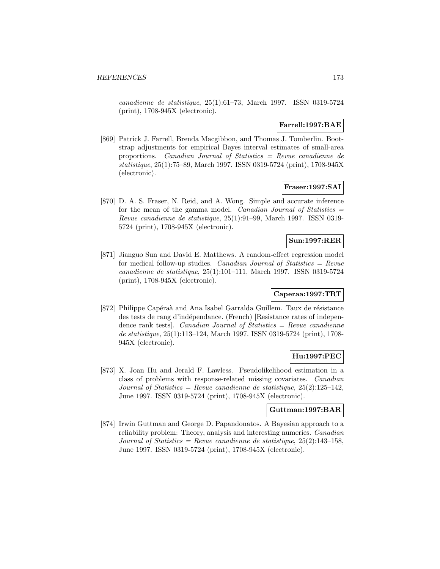canadienne de statistique, 25(1):61–73, March 1997. ISSN 0319-5724 (print), 1708-945X (electronic).

## **Farrell:1997:BAE**

[869] Patrick J. Farrell, Brenda Macgibbon, and Thomas J. Tomberlin. Bootstrap adjustments for empirical Bayes interval estimates of small-area proportions. Canadian Journal of Statistics = Revue canadienne de statistique, 25(1):75–89, March 1997. ISSN 0319-5724 (print), 1708-945X (electronic).

## **Fraser:1997:SAI**

[870] D. A. S. Fraser, N. Reid, and A. Wong. Simple and accurate inference for the mean of the gamma model. Canadian Journal of Statistics  $=$ Revue canadienne de statistique, 25(1):91–99, March 1997. ISSN 0319- 5724 (print), 1708-945X (electronic).

## **Sun:1997:RER**

[871] Jianguo Sun and David E. Matthews. A random-effect regression model for medical follow-up studies. Canadian Journal of Statistics  $=$  Revue canadienne de statistique, 25(1):101–111, March 1997. ISSN 0319-5724 (print), 1708-945X (electronic).

## **Caperaa:1997:TRT**

[872] Philippe Capéraà and Ana Isabel Garralda Guillem. Taux de résistance des tests de rang d'indépendance. (French) [Resistance rates of independence rank tests. Canadian Journal of Statistics  $=$  Revue canadienne de statistique, 25(1):113–124, March 1997. ISSN 0319-5724 (print), 1708- 945X (electronic).

# **Hu:1997:PEC**

[873] X. Joan Hu and Jerald F. Lawless. Pseudolikelihood estimation in a class of problems with response-related missing covariates. Canadian Journal of Statistics = Revue canadienne de statistique,  $25(2):125-142$ , June 1997. ISSN 0319-5724 (print), 1708-945X (electronic).

# **Guttman:1997:BAR**

[874] Irwin Guttman and George D. Papandonatos. A Bayesian approach to a reliability problem: Theory, analysis and interesting numerics. Canadian Journal of Statistics = Revue canadienne de statistique,  $25(2):143-158$ , June 1997. ISSN 0319-5724 (print), 1708-945X (electronic).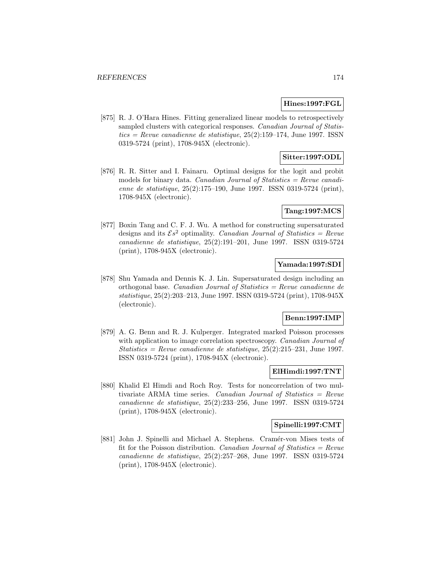## **Hines:1997:FGL**

[875] R. J. O'Hara Hines. Fitting generalized linear models to retrospectively sampled clusters with categorical responses. Canadian Journal of Statis $tics = Revue$  canadienne de statistique, 25(2):159–174, June 1997. ISSN0319-5724 (print), 1708-945X (electronic).

# **Sitter:1997:ODL**

[876] R. R. Sitter and I. Fainaru. Optimal designs for the logit and probit models for binary data. Canadian Journal of Statistics  $=$  Revue canadienne de statistique, 25(2):175–190, June 1997. ISSN 0319-5724 (print), 1708-945X (electronic).

## **Tang:1997:MCS**

[877] Boxin Tang and C. F. J. Wu. A method for constructing supersaturated designs and its  $\mathcal{E}s^2$  optimality. Canadian Journal of Statistics = Revue canadienne de statistique, 25(2):191–201, June 1997. ISSN 0319-5724 (print), 1708-945X (electronic).

## **Yamada:1997:SDI**

[878] Shu Yamada and Dennis K. J. Lin. Supersaturated design including an orthogonal base. Canadian Journal of Statistics = Revue canadienne de statistique, 25(2):203–213, June 1997. ISSN 0319-5724 (print), 1708-945X (electronic).

#### **Benn:1997:IMP**

[879] A. G. Benn and R. J. Kulperger. Integrated marked Poisson processes with application to image correlation spectroscopy. *Canadian Journal of* Statistics = Revue canadienne de statistique,  $25(2):215-231$ , June 1997. ISSN 0319-5724 (print), 1708-945X (electronic).

## **ElHimdi:1997:TNT**

[880] Khalid El Himdi and Roch Roy. Tests for noncorrelation of two multivariate ARMA time series. Canadian Journal of Statistics = Revue canadienne de statistique, 25(2):233–256, June 1997. ISSN 0319-5724 (print), 1708-945X (electronic).

#### **Spinelli:1997:CMT**

[881] John J. Spinelli and Michael A. Stephens. Cramér-von Mises tests of fit for the Poisson distribution. *Canadian Journal of Statistics = Revue* canadienne de statistique, 25(2):257–268, June 1997. ISSN 0319-5724 (print), 1708-945X (electronic).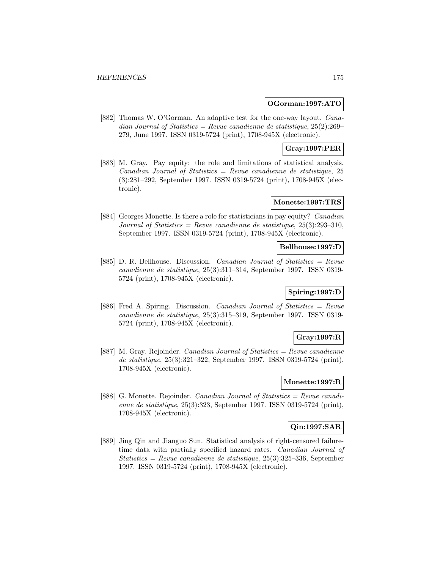#### **OGorman:1997:ATO**

[882] Thomas W. O'Gorman. An adaptive test for the one-way layout. Canadian Journal of Statistics = Revue canadienne de statistique,  $25(2):269-$ 279, June 1997. ISSN 0319-5724 (print), 1708-945X (electronic).

# **Gray:1997:PER**

[883] M. Gray. Pay equity: the role and limitations of statistical analysis.  $Canadian Journal of Statistics = Revenue canadienne de statistic, 25$ (3):281–292, September 1997. ISSN 0319-5724 (print), 1708-945X (electronic).

# **Monette:1997:TRS**

[884] Georges Monette. Is there a role for statisticians in pay equity? Canadian Journal of Statistics = Revue canadienne de statistique,  $25(3):293-310$ , September 1997. ISSN 0319-5724 (print), 1708-945X (electronic).

## **Bellhouse:1997:D**

[885] D. R. Bellhouse. Discussion. Canadian Journal of Statistics = Revue canadienne de statistique, 25(3):311–314, September 1997. ISSN 0319- 5724 (print), 1708-945X (electronic).

# **Spiring:1997:D**

[886] Fred A. Spiring. Discussion. Canadian Journal of Statistics = Revue canadienne de statistique, 25(3):315–319, September 1997. ISSN 0319- 5724 (print), 1708-945X (electronic).

## **Gray:1997:R**

[887] M. Gray. Rejoinder. Canadian Journal of Statistics = Revue canadienne de statistique, 25(3):321–322, September 1997. ISSN 0319-5724 (print), 1708-945X (electronic).

# **Monette:1997:R**

[888] G. Monette. Rejoinder. Canadian Journal of Statistics = Revue canadienne de statistique, 25(3):323, September 1997. ISSN 0319-5724 (print), 1708-945X (electronic).

# **Qin:1997:SAR**

[889] Jing Qin and Jianguo Sun. Statistical analysis of right-censored failuretime data with partially specified hazard rates. Canadian Journal of Statistics = Revue canadienne de statistique,  $25(3):325-336$ , September 1997. ISSN 0319-5724 (print), 1708-945X (electronic).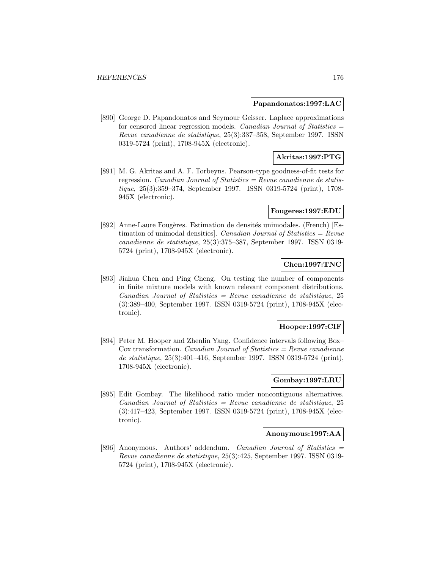#### **Papandonatos:1997:LAC**

[890] George D. Papandonatos and Seymour Geisser. Laplace approximations for censored linear regression models. Canadian Journal of Statistics = Revue canadienne de statistique, 25(3):337–358, September 1997. ISSN 0319-5724 (print), 1708-945X (electronic).

## **Akritas:1997:PTG**

[891] M. G. Akritas and A. F. Torbeyns. Pearson-type goodness-of-fit tests for regression. Canadian Journal of Statistics  $=$  Revue canadienne de statistique, 25(3):359–374, September 1997. ISSN 0319-5724 (print), 1708- 945X (electronic).

#### **Fougeres:1997:EDU**

[892] Anne-Laure Fougères. Estimation de densités unimodales. (French) [Estimation of unimodal densities]. Canadian Journal of Statistics  $=$  Revue canadienne de statistique, 25(3):375–387, September 1997. ISSN 0319- 5724 (print), 1708-945X (electronic).

# **Chen:1997:TNC**

[893] Jiahua Chen and Ping Cheng. On testing the number of components in finite mixture models with known relevant component distributions.  $Canadian Journal of Statistics = Review canadienne de statistic, 25$ (3):389–400, September 1997. ISSN 0319-5724 (print), 1708-945X (electronic).

## **Hooper:1997:CIF**

[894] Peter M. Hooper and Zhenlin Yang. Confidence intervals following Box–  $\cos$  transformation. *Canadian Journal of Statistics = Revue canadienne* de statistique, 25(3):401–416, September 1997. ISSN 0319-5724 (print), 1708-945X (electronic).

## **Gombay:1997:LRU**

[895] Edit Gombay. The likelihood ratio under noncontiguous alternatives.  $Canadian Journal of Statistics = Review can a dienne de statistique, 25$ (3):417–423, September 1997. ISSN 0319-5724 (print), 1708-945X (electronic).

#### **Anonymous:1997:AA**

[896] Anonymous. Authors' addendum. Canadian Journal of Statistics = Revue canadienne de statistique, 25(3):425, September 1997. ISSN 0319- 5724 (print), 1708-945X (electronic).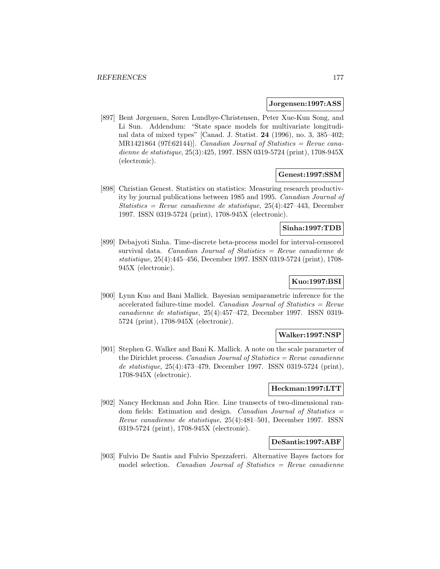#### **Jorgensen:1997:ASS**

[897] Bent Jørgensen, Søren Lundbye-Christensen, Peter Xue-Kun Song, and Li Sun. Addendum: "State space models for multivariate longitudinal data of mixed types" [Canad. J. Statist. **24** (1996), no. 3, 385–402;  $MR1421864$  (97f:62144)]. *Canadian Journal of Statistics = Revue cana*dienne de statistique, 25(3):425, 1997. ISSN 0319-5724 (print), 1708-945X (electronic).

## **Genest:1997:SSM**

[898] Christian Genest. Statistics on statistics: Measuring research productivity by journal publications between 1985 and 1995. Canadian Journal of Statistics = Revue canadienne de statistique,  $25(4)$ :427-443, December 1997. ISSN 0319-5724 (print), 1708-945X (electronic).

## **Sinha:1997:TDB**

[899] Debajyoti Sinha. Time-discrete beta-process model for interval-censored survival data. Canadian Journal of Statistics = Revue canadienne de statistique, 25(4):445–456, December 1997. ISSN 0319-5724 (print), 1708- 945X (electronic).

# **Kuo:1997:BSI**

[900] Lynn Kuo and Bani Mallick. Bayesian semiparametric inference for the accelerated failure-time model. Canadian Journal of Statistics =  $Re$ vue canadienne de statistique, 25(4):457–472, December 1997. ISSN 0319- 5724 (print), 1708-945X (electronic).

## **Walker:1997:NSP**

[901] Stephen G. Walker and Bani K. Mallick. A note on the scale parameter of the Dirichlet process. *Canadian Journal of Statistics = Revue canadienne* de statistique, 25(4):473–479, December 1997. ISSN 0319-5724 (print), 1708-945X (electronic).

#### **Heckman:1997:LTT**

[902] Nancy Heckman and John Rice. Line transects of two-dimensional random fields: Estimation and design. Canadian Journal of Statistics = Revue canadienne de statistique, 25(4):481–501, December 1997. ISSN 0319-5724 (print), 1708-945X (electronic).

#### **DeSantis:1997:ABF**

[903] Fulvio De Santis and Fulvio Spezzaferri. Alternative Bayes factors for model selection. *Canadian Journal of Statistics = Revue canadienne*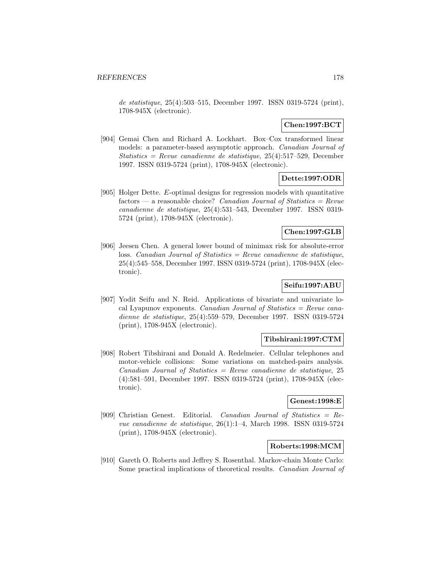de statistique, 25(4):503–515, December 1997. ISSN 0319-5724 (print), 1708-945X (electronic).

## **Chen:1997:BCT**

[904] Gemai Chen and Richard A. Lockhart. Box–Cox transformed linear models: a parameter-based asymptotic approach. Canadian Journal of Statistics = Revue canadienne de statistique,  $25(4):517-529$ , December 1997. ISSN 0319-5724 (print), 1708-945X (electronic).

## **Dette:1997:ODR**

[905] Holger Dette. E-optimal designs for regression models with quantitative factors — a reasonable choice? Canadian Journal of Statistics = Revue canadienne de statistique, 25(4):531–543, December 1997. ISSN 0319- 5724 (print), 1708-945X (electronic).

## **Chen:1997:GLB**

[906] Jeesen Chen. A general lower bound of minimax risk for absolute-error loss. Canadian Journal of Statistics = Revue canadienne de statistique, 25(4):545–558, December 1997. ISSN 0319-5724 (print), 1708-945X (electronic).

# **Seifu:1997:ABU**

[907] Yodit Seifu and N. Reid. Applications of bivariate and univariate local Lyapunov exponents. Canadian Journal of Statistics = Revue canadienne de statistique, 25(4):559–579, December 1997. ISSN 0319-5724 (print), 1708-945X (electronic).

#### **Tibshirani:1997:CTM**

[908] Robert Tibshirani and Donald A. Redelmeier. Cellular telephones and motor-vehicle collisions: Some variations on matched-pairs analysis.  $Canadian Journal of Statistics = Review can a dienne de statistique, 25$ (4):581–591, December 1997. ISSN 0319-5724 (print), 1708-945X (electronic).

#### **Genest:1998:E**

[909] Christian Genest. Editorial. Canadian Journal of Statistics = Revue canadienne de statistique, 26(1):1–4, March 1998. ISSN 0319-5724 (print), 1708-945X (electronic).

#### **Roberts:1998:MCM**

[910] Gareth O. Roberts and Jeffrey S. Rosenthal. Markov-chain Monte Carlo: Some practical implications of theoretical results. Canadian Journal of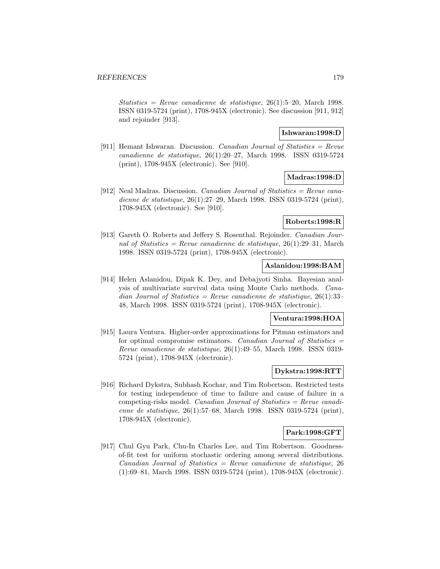Statistics = Revue canadienne de statistique,  $26(1):5-20$ , March 1998. ISSN 0319-5724 (print), 1708-945X (electronic). See discussion [911, 912] and rejoinder [913].

## **Ishwaran:1998:D**

[911] Hemant Ishwaran. Discussion. Canadian Journal of Statistics = Revue canadienne de statistique, 26(1):20–27, March 1998. ISSN 0319-5724 (print), 1708-945X (electronic). See [910].

# **Madras:1998:D**

[912] Neal Madras. Discussion. *Canadian Journal of Statistics = Revue cana*dienne de statistique, 26(1):27–29, March 1998. ISSN 0319-5724 (print), 1708-945X (electronic). See [910].

## **Roberts:1998:R**

[913] Gareth O. Roberts and Jeffery S. Rosenthal. Rejoinder. Canadian Journal of Statistics = Revue canadienne de statistique,  $26(1):29-31$ , March 1998. ISSN 0319-5724 (print), 1708-945X (electronic).

## **Aslanidou:1998:BAM**

[914] Helen Aslanidou, Dipak K. Dey, and Debajyoti Sinha. Bayesian analysis of multivariate survival data using Monte Carlo methods. Canadian Journal of Statistics = Revue canadienne de statistique, 26(1):33-48, March 1998. ISSN 0319-5724 (print), 1708-945X (electronic).

#### **Ventura:1998:HOA**

[915] Laura Ventura. Higher-order approximations for Pitman estimators and for optimal compromise estimators. Canadian Journal of Statistics  $=$ Revue canadienne de statistique, 26(1):49–55, March 1998. ISSN 0319- 5724 (print), 1708-945X (electronic).

## **Dykstra:1998:RTT**

[916] Richard Dykstra, Subhash Kochar, and Tim Robertson. Restricted tests for testing independence of time to failure and cause of failure in a competing-risks model. *Canadian Journal of Statistics = Revue canadi*enne de statistique, 26(1):57–68, March 1998. ISSN 0319-5724 (print), 1708-945X (electronic).

## **Park:1998:GFT**

[917] Chul Gyu Park, Chu-In Charles Lee, and Tim Robertson. Goodnessof-fit test for uniform stochastic ordering among several distributions.  $Canadian Journal of Statistics = Revenue canadienne de statistic, 26$ (1):69–81, March 1998. ISSN 0319-5724 (print), 1708-945X (electronic).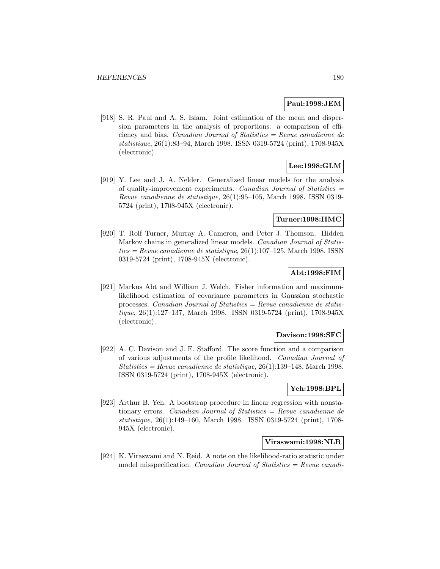## **Paul:1998:JEM**

[918] S. R. Paul and A. S. Islam. Joint estimation of the mean and dispersion parameters in the analysis of proportions: a comparison of efficiency and bias. Canadian Journal of Statistics = Revue canadienne de statistique, 26(1):83–94, March 1998. ISSN 0319-5724 (print), 1708-945X (electronic).

# **Lee:1998:GLM**

[919] Y. Lee and J. A. Nelder. Generalized linear models for the analysis of quality-improvement experiments. Canadian Journal of Statistics = Revue canadienne de statistique, 26(1):95–105, March 1998. ISSN 0319- 5724 (print), 1708-945X (electronic).

## **Turner:1998:HMC**

[920] T. Rolf Turner, Murray A. Cameron, and Peter J. Thomson. Hidden Markov chains in generalized linear models. Canadian Journal of Statis $tics = Revenue canadienne de statistique, 26(1):107–125, March 1998. ISSN$ 0319-5724 (print), 1708-945X (electronic).

## **Abt:1998:FIM**

[921] Markus Abt and William J. Welch. Fisher information and maximumlikelihood estimation of covariance parameters in Gaussian stochastic processes. Canadian Journal of Statistics  $=$  Revue canadienne de statistique, 26(1):127–137, March 1998. ISSN 0319-5724 (print), 1708-945X (electronic).

#### **Davison:1998:SFC**

[922] A. C. Davison and J. E. Stafford. The score function and a comparison of various adjustments of the profile likelihood. Canadian Journal of Statistics = Revue canadienne de statistique,  $26(1):139-148$ , March 1998. ISSN 0319-5724 (print), 1708-945X (electronic).

## **Yeh:1998:BPL**

[923] Arthur B. Yeh. A bootstrap procedure in linear regression with nonstationary errors. Canadian Journal of Statistics = Revue canadienne de statistique, 26(1):149–160, March 1998. ISSN 0319-5724 (print), 1708- 945X (electronic).

## **Viraswami:1998:NLR**

[924] K. Viraswami and N. Reid. A note on the likelihood-ratio statistic under model misspecification. *Canadian Journal of Statistics = Revue canadi-*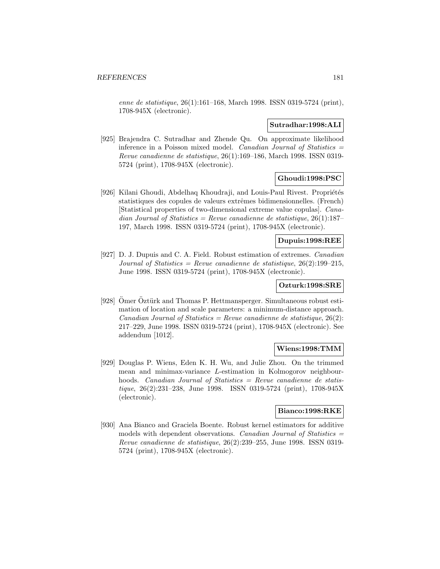enne de statistique, 26(1):161–168, March 1998. ISSN 0319-5724 (print), 1708-945X (electronic).

#### **Sutradhar:1998:ALI**

[925] Brajendra C. Sutradhar and Zhende Qu. On approximate likelihood inference in a Poisson mixed model. Canadian Journal of Statistics = Revue canadienne de statistique, 26(1):169–186, March 1998. ISSN 0319- 5724 (print), 1708-945X (electronic).

## **Ghoudi:1998:PSC**

[926] Kilani Ghoudi, Abdelhaq Khoudraji, and Louis-Paul Rivest. Propriétés statistiques des copules de valeurs extrêmes bidimensionnelles. (French) [Statistical properties of two-dimensional extreme value copulas]. Canadian Journal of Statistics = Revue canadienne de statistique,  $26(1):187-$ 197, March 1998. ISSN 0319-5724 (print), 1708-945X (electronic).

## **Dupuis:1998:REE**

[927] D. J. Dupuis and C. A. Field. Robust estimation of extremes. Canadian Journal of Statistics = Revue canadienne de statistique,  $26(2):199-215$ , June 1998. ISSN 0319-5724 (print), 1708-945X (electronic).

## **Ozturk:1998:SRE**

[928] Ömer Öztürk and Thomas P. Hettmansperger. Simultaneous robust estimation of location and scale parameters: a minimum-distance approach. Canadian Journal of Statistics = Revue canadienne de statistique,  $26(2)$ : 217–229, June 1998. ISSN 0319-5724 (print), 1708-945X (electronic). See addendum [1012].

### **Wiens:1998:TMM**

[929] Douglas P. Wiens, Eden K. H. Wu, and Julie Zhou. On the trimmed mean and minimax-variance L-estimation in Kolmogorov neighbourhoods. Canadian Journal of Statistics = Revue canadienne de statistique, 26(2):231–238, June 1998. ISSN 0319-5724 (print), 1708-945X (electronic).

### **Bianco:1998:RKE**

[930] Ana Bianco and Graciela Boente. Robust kernel estimators for additive models with dependent observations. Canadian Journal of Statistics  $=$ Revue canadienne de statistique, 26(2):239–255, June 1998. ISSN 0319- 5724 (print), 1708-945X (electronic).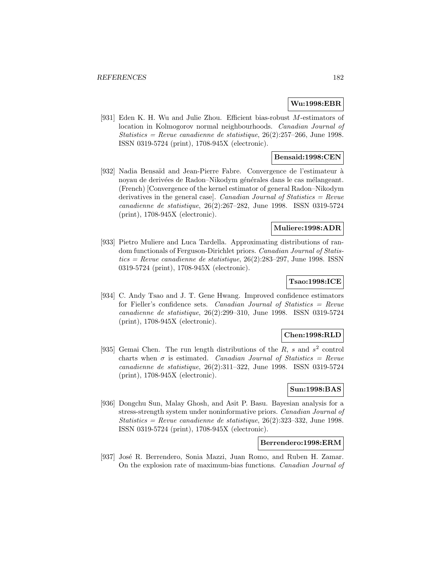### **Wu:1998:EBR**

[931] Eden K. H. Wu and Julie Zhou. Efficient bias-robust M-estimators of location in Kolmogorov normal neighbourhoods. Canadian Journal of Statistics = Revue canadienne de statistique,  $26(2):257-266$ , June 1998. ISSN 0319-5724 (print), 1708-945X (electronic).

## **Bensaid:1998:CEN**

[932] Nadia Bensaïd and Jean-Pierre Fabre. Convergence de l'estimateur à noyau de derivées de Radon–Nikodym générales dans le cas mélangeant. (French) [Convergence of the kernel estimator of general Radon–Nikodym derivatives in the general case. Canadian Journal of Statistics  $=$  Revue canadienne de statistique, 26(2):267–282, June 1998. ISSN 0319-5724 (print), 1708-945X (electronic).

## **Muliere:1998:ADR**

[933] Pietro Muliere and Luca Tardella. Approximating distributions of random functionals of Ferguson-Dirichlet priors. Canadian Journal of Statis $tics = Revue$  canadienne de statistique, 26(2):283–297, June 1998. ISSN0319-5724 (print), 1708-945X (electronic).

# **Tsao:1998:ICE**

[934] C. Andy Tsao and J. T. Gene Hwang. Improved confidence estimators for Fieller's confidence sets. Canadian Journal of Statistics = Revue canadienne de statistique, 26(2):299–310, June 1998. ISSN 0319-5724 (print), 1708-945X (electronic).

### **Chen:1998:RLD**

[935] Gemai Chen. The run length distributions of the R, s and  $s<sup>2</sup>$  control charts when  $\sigma$  is estimated. Canadian Journal of Statistics = Revue canadienne de statistique, 26(2):311–322, June 1998. ISSN 0319-5724 (print), 1708-945X (electronic).

# **Sun:1998:BAS**

[936] Dongchu Sun, Malay Ghosh, and Asit P. Basu. Bayesian analysis for a stress-strength system under noninformative priors. Canadian Journal of Statistics = Revue canadienne de statistique,  $26(2):323-332$ , June 1998. ISSN 0319-5724 (print), 1708-945X (electronic).

### **Berrendero:1998:ERM**

[937] José R. Berrendero, Sonia Mazzi, Juan Romo, and Ruben H. Zamar. On the explosion rate of maximum-bias functions. Canadian Journal of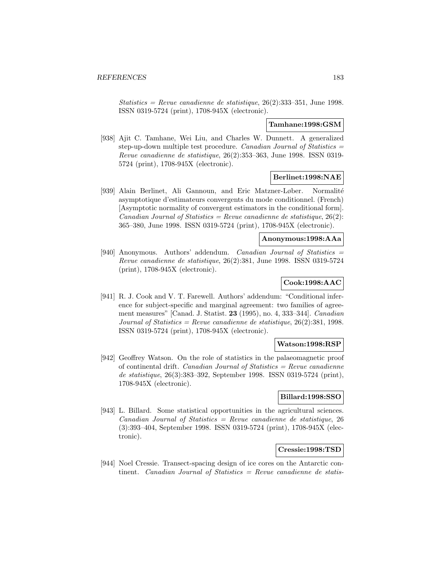Statistics = Revue canadienne de statistique,  $26(2):333-351$ , June 1998. ISSN 0319-5724 (print), 1708-945X (electronic).

#### **Tamhane:1998:GSM**

[938] Ajit C. Tamhane, Wei Liu, and Charles W. Dunnett. A generalized step-up-down multiple test procedure. Canadian Journal of Statistics  $=$ Revue canadienne de statistique, 26(2):353–363, June 1998. ISSN 0319- 5724 (print), 1708-945X (electronic).

# **Berlinet:1998:NAE**

[939] Alain Berlinet, Ali Gannoun, and Eric Matzner-Løber. Normalité asymptotique d'estimateurs convergents du mode conditionnel. (French) [Asymptotic normality of convergent estimators in the conditional form]. Canadian Journal of Statistics = Revue canadienne de statistique,  $26(2)$ : 365–380, June 1998. ISSN 0319-5724 (print), 1708-945X (electronic).

#### **Anonymous:1998:AAa**

[940] Anonymous. Authors' addendum. Canadian Journal of Statistics  $=$ Revue canadienne de statistique, 26(2):381, June 1998. ISSN 0319-5724 (print), 1708-945X (electronic).

# **Cook:1998:AAC**

[941] R. J. Cook and V. T. Farewell. Authors' addendum: "Conditional inference for subject-specific and marginal agreement: two families of agreement measures" [Canad. J. Statist. **23** (1995), no. 4, 333–344]. Canadian Journal of Statistics = Revue canadienne de statistique,  $26(2):381, 1998$ . ISSN 0319-5724 (print), 1708-945X (electronic).

## **Watson:1998:RSP**

[942] Geoffrey Watson. On the role of statistics in the palaeomagnetic proof of continental drift. *Canadian Journal of Statistics = Revue canadienne* de statistique, 26(3):383–392, September 1998. ISSN 0319-5724 (print), 1708-945X (electronic).

## **Billard:1998:SSO**

[943] L. Billard. Some statistical opportunities in the agricultural sciences.  $Canadian Journal of Statistics = Review canadienne de statistique, 26$ (3):393–404, September 1998. ISSN 0319-5724 (print), 1708-945X (electronic).

## **Cressie:1998:TSD**

[944] Noel Cressie. Transect-spacing design of ice cores on the Antarctic continent. *Canadian Journal of Statistics = Revue canadienne de statis-*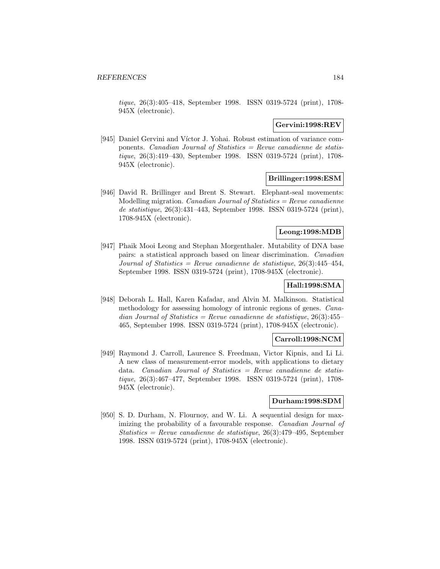tique, 26(3):405–418, September 1998. ISSN 0319-5724 (print), 1708- 945X (electronic).

### **Gervini:1998:REV**

[945] Daniel Gervini and Víctor J. Yohai. Robust estimation of variance components. Canadian Journal of Statistics  $=$  Revue canadienne de statistique, 26(3):419–430, September 1998. ISSN 0319-5724 (print), 1708- 945X (electronic).

### **Brillinger:1998:ESM**

[946] David R. Brillinger and Brent S. Stewart. Elephant-seal movements: Modelling migration. *Canadian Journal of Statistics = Revue canadienne* de statistique, 26(3):431–443, September 1998. ISSN 0319-5724 (print), 1708-945X (electronic).

#### **Leong:1998:MDB**

[947] Phaik Mooi Leong and Stephan Morgenthaler. Mutability of DNA base pairs: a statistical approach based on linear discrimination. Canadian Journal of Statistics = Revue canadienne de statistique,  $26(3)$ :445-454, September 1998. ISSN 0319-5724 (print), 1708-945X (electronic).

# **Hall:1998:SMA**

[948] Deborah L. Hall, Karen Kafadar, and Alvin M. Malkinson. Statistical methodology for assessing homology of intronic regions of genes. Canadian Journal of Statistics = Revue canadienne de statistique,  $26(3):455-$ 465, September 1998. ISSN 0319-5724 (print), 1708-945X (electronic).

### **Carroll:1998:NCM**

[949] Raymond J. Carroll, Laurence S. Freedman, Victor Kipnis, and Li Li. A new class of measurement-error models, with applications to dietary data. Canadian Journal of Statistics = Revue canadienne de statistique, 26(3):467–477, September 1998. ISSN 0319-5724 (print), 1708- 945X (electronic).

#### **Durham:1998:SDM**

[950] S. D. Durham, N. Flournoy, and W. Li. A sequential design for maximizing the probability of a favourable response. Canadian Journal of Statistics = Revue canadienne de statistique, 26(3):479–495, September 1998. ISSN 0319-5724 (print), 1708-945X (electronic).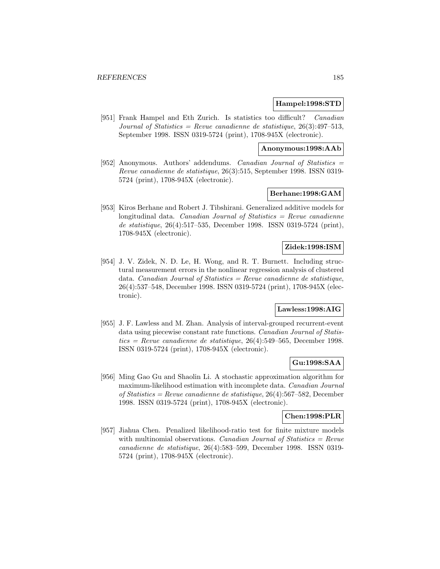#### **Hampel:1998:STD**

[951] Frank Hampel and Eth Zurich. Is statistics too difficult? Canadian Journal of Statistics = Revue canadienne de statistique,  $26(3):497-513$ , September 1998. ISSN 0319-5724 (print), 1708-945X (electronic).

#### **Anonymous:1998:AAb**

[952] Anonymous. Authors' addendums. Canadian Journal of Statistics = Revue canadienne de statistique, 26(3):515, September 1998. ISSN 0319- 5724 (print), 1708-945X (electronic).

## **Berhane:1998:GAM**

[953] Kiros Berhane and Robert J. Tibshirani. Generalized additive models for longitudinal data. Canadian Journal of Statistics  $=$  Revue canadienne de statistique, 26(4):517–535, December 1998. ISSN 0319-5724 (print), 1708-945X (electronic).

## **Zidek:1998:ISM**

[954] J. V. Zidek, N. D. Le, H. Wong, and R. T. Burnett. Including structural measurement errors in the nonlinear regression analysis of clustered data. *Canadian Journal of Statistics = Revue canadienne de statistique,* 26(4):537–548, December 1998. ISSN 0319-5724 (print), 1708-945X (electronic).

# **Lawless:1998:AIG**

[955] J. F. Lawless and M. Zhan. Analysis of interval-grouped recurrent-event data using piecewise constant rate functions. Canadian Journal of Statistics = Revue canadienne de statistique,  $26(4)$ :549-565, December 1998. ISSN 0319-5724 (print), 1708-945X (electronic).

### **Gu:1998:SAA**

[956] Ming Gao Gu and Shaolin Li. A stochastic approximation algorithm for maximum-likelihood estimation with incomplete data. Canadian Journal of Statistics = Revue canadienne de statistique, 26(4):567–582, December 1998. ISSN 0319-5724 (print), 1708-945X (electronic).

#### **Chen:1998:PLR**

[957] Jiahua Chen. Penalized likelihood-ratio test for finite mixture models with multinomial observations. Canadian Journal of Statistics =  $Re$ vue canadienne de statistique, 26(4):583–599, December 1998. ISSN 0319- 5724 (print), 1708-945X (electronic).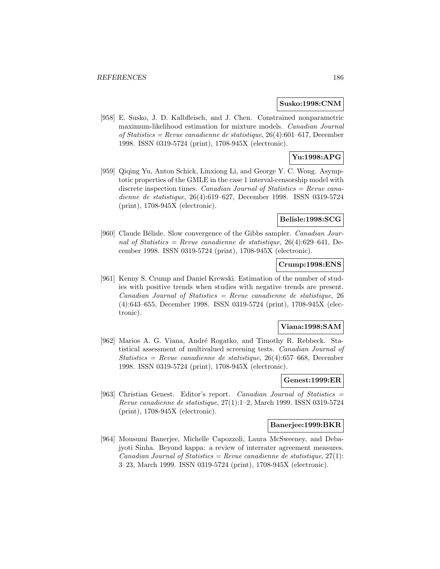#### **Susko:1998:CNM**

[958] E. Susko, J. D. Kalbfleisch, and J. Chen. Constrained nonparametric maximum-likelihood estimation for mixture models. Canadian Journal of Statistics = Revue canadienne de statistique, 26(4):601–617, December 1998. ISSN 0319-5724 (print), 1708-945X (electronic).

# **Yu:1998:APG**

[959] Qiqing Yu, Anton Schick, Linxiong Li, and George Y. C. Wong. Asymptotic properties of the GMLE in the case 1 interval-censorship model with discrete inspection times. *Canadian Journal of Statistics = Revue cana*dienne de statistique, 26(4):619–627, December 1998. ISSN 0319-5724 (print), 1708-945X (electronic).

#### **Belisle:1998:SCG**

[960] Claude Bélisle. Slow convergence of the Gibbs sampler. *Canadian Jour*nal of Statistics = Revue canadienne de statistique,  $26(4):629-641$ , December 1998. ISSN 0319-5724 (print), 1708-945X (electronic).

## **Crump:1998:ENS**

[961] Kenny S. Crump and Daniel Krewski. Estimation of the number of studies with positive trends when studies with negative trends are present.  $Canadian Journal of Statistics = Review canadienne de statistic, 26$ (4):643–655, December 1998. ISSN 0319-5724 (print), 1708-945X (electronic).

### **Viana:1998:SAM**

[962] Marios A. G. Viana, André Rogatko, and Timothy R. Rebbeck. Statistical assessment of multivalued screening tests. Canadian Journal of Statistics = Revue canadienne de statistique,  $26(4)$ :657–668, December 1998. ISSN 0319-5724 (print), 1708-945X (electronic).

## **Genest:1999:ER**

[963] Christian Genest. Editor's report. Canadian Journal of Statistics = Revue canadienne de statistique, 27(1):1–2, March 1999. ISSN 0319-5724 (print), 1708-945X (electronic).

#### **Banerjee:1999:BKR**

[964] Mousumi Banerjee, Michelle Capozzoli, Laura McSweeney, and Debajyoti Sinha. Beyond kappa: a review of interrater agreement measures. Canadian Journal of Statistics = Revue canadienne de statistique,  $27(1)$ : 3–23, March 1999. ISSN 0319-5724 (print), 1708-945X (electronic).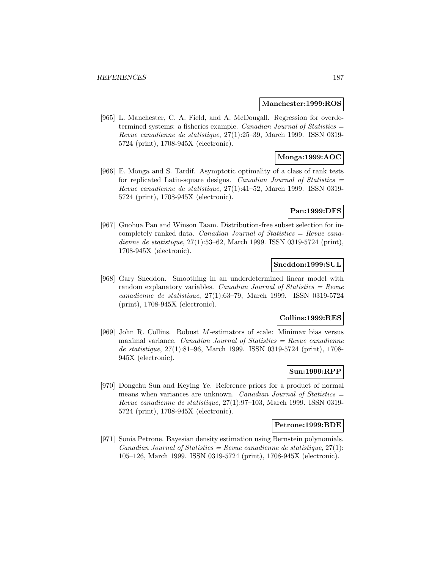#### **Manchester:1999:ROS**

[965] L. Manchester, C. A. Field, and A. McDougall. Regression for overdetermined systems: a fisheries example. Canadian Journal of Statistics = Revue canadienne de statistique, 27(1):25–39, March 1999. ISSN 0319- 5724 (print), 1708-945X (electronic).

## **Monga:1999:AOC**

[966] E. Monga and S. Tardif. Asymptotic optimality of a class of rank tests for replicated Latin-square designs. Canadian Journal of Statistics  $=$ Revue canadienne de statistique, 27(1):41–52, March 1999. ISSN 0319- 5724 (print), 1708-945X (electronic).

### **Pan:1999:DFS**

[967] Guohua Pan and Winson Taam. Distribution-free subset selection for incompletely ranked data. Canadian Journal of Statistics  $=$  Revue canadienne de statistique, 27(1):53–62, March 1999. ISSN 0319-5724 (print), 1708-945X (electronic).

## **Sneddon:1999:SUL**

[968] Gary Sneddon. Smoothing in an underdetermined linear model with random explanatory variables. Canadian Journal of Statistics =  $Re$ vue canadienne de statistique, 27(1):63–79, March 1999. ISSN 0319-5724 (print), 1708-945X (electronic).

#### **Collins:1999:RES**

[969] John R. Collins. Robust M-estimators of scale: Minimax bias versus maximal variance. *Canadian Journal of Statistics = Revue canadienne* de statistique, 27(1):81–96, March 1999. ISSN 0319-5724 (print), 1708- 945X (electronic).

### **Sun:1999:RPP**

[970] Dongchu Sun and Keying Ye. Reference priors for a product of normal means when variances are unknown. Canadian Journal of Statistics  $=$ Revue canadienne de statistique, 27(1):97–103, March 1999. ISSN 0319- 5724 (print), 1708-945X (electronic).

### **Petrone:1999:BDE**

[971] Sonia Petrone. Bayesian density estimation using Bernstein polynomials. Canadian Journal of Statistics = Revue canadienne de statistique,  $27(1)$ : 105–126, March 1999. ISSN 0319-5724 (print), 1708-945X (electronic).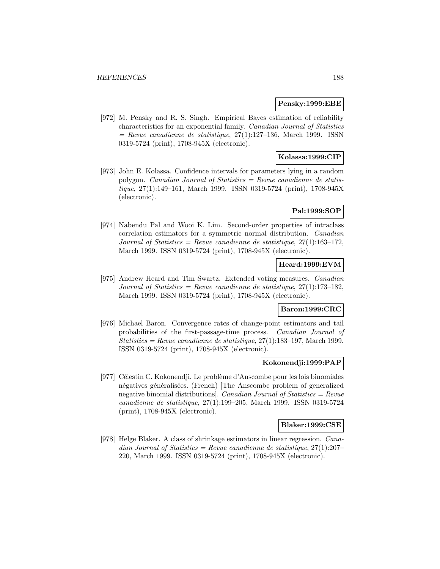#### **Pensky:1999:EBE**

[972] M. Pensky and R. S. Singh. Empirical Bayes estimation of reliability characteristics for an exponential family. Canadian Journal of Statistics  $=$  Revue canadienne de statistique, 27(1):127–136, March 1999. ISSN 0319-5724 (print), 1708-945X (electronic).

## **Kolassa:1999:CIP**

[973] John E. Kolassa. Confidence intervals for parameters lying in a random polygon. Canadian Journal of Statistics = Revue canadienne de statistique, 27(1):149–161, March 1999. ISSN 0319-5724 (print), 1708-945X (electronic).

# **Pal:1999:SOP**

[974] Nabendu Pal and Wooi K. Lim. Second-order properties of intraclass correlation estimators for a symmetric normal distribution. Canadian Journal of Statistics = Revue canadienne de statistique,  $27(1):163-172$ , March 1999. ISSN 0319-5724 (print), 1708-945X (electronic).

# **Heard:1999:EVM**

[975] Andrew Heard and Tim Swartz. Extended voting measures. Canadian Journal of Statistics = Revue canadienne de statistique,  $27(1):173-182$ , March 1999. ISSN 0319-5724 (print), 1708-945X (electronic).

## **Baron:1999:CRC**

[976] Michael Baron. Convergence rates of change-point estimators and tail probabilities of the first-passage-time process. Canadian Journal of Statistics = Revue canadienne de statistique,  $27(1)$ :183-197, March 1999. ISSN 0319-5724 (print), 1708-945X (electronic).

#### **Kokonendji:1999:PAP**

[977] Célestin C. Kokonendji. Le problème d'Anscombe pour les lois binomiales négatives généralisées. (French) [The Anscombe problem of generalized negative binomial distributions]. Canadian Journal of Statistics =  $Re$ vue canadienne de statistique, 27(1):199–205, March 1999. ISSN 0319-5724 (print), 1708-945X (electronic).

#### **Blaker:1999:CSE**

[978] Helge Blaker. A class of shrinkage estimators in linear regression. Canadian Journal of Statistics = Revue canadienne de statistique,  $27(1):207-$ 220, March 1999. ISSN 0319-5724 (print), 1708-945X (electronic).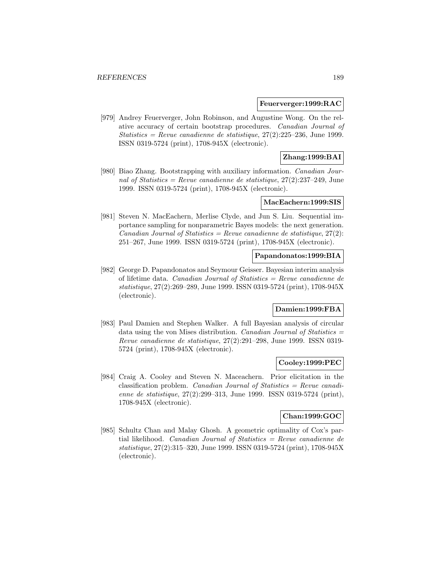#### **Feuerverger:1999:RAC**

[979] Andrey Feuerverger, John Robinson, and Augustine Wong. On the relative accuracy of certain bootstrap procedures. Canadian Journal of Statistics = Revue canadienne de statistique,  $27(2):225-236$ , June 1999. ISSN 0319-5724 (print), 1708-945X (electronic).

# **Zhang:1999:BAI**

[980] Biao Zhang. Bootstrapping with auxiliary information. Canadian Journal of Statistics = Revue canadienne de statistique,  $27(2):237-249$ , June 1999. ISSN 0319-5724 (print), 1708-945X (electronic).

#### **MacEachern:1999:SIS**

[981] Steven N. MacEachern, Merlise Clyde, and Jun S. Liu. Sequential importance sampling for nonparametric Bayes models: the next generation. Canadian Journal of Statistics = Revue canadienne de statistique,  $27(2)$ : 251–267, June 1999. ISSN 0319-5724 (print), 1708-945X (electronic).

#### **Papandonatos:1999:BIA**

[982] George D. Papandonatos and Seymour Geisser. Bayesian interim analysis of lifetime data. *Canadian Journal of Statistics = Revue canadienne de* statistique, 27(2):269–289, June 1999. ISSN 0319-5724 (print), 1708-945X (electronic).

# **Damien:1999:FBA**

[983] Paul Damien and Stephen Walker. A full Bayesian analysis of circular data using the von Mises distribution. Canadian Journal of Statistics  $=$ Revue canadienne de statistique, 27(2):291–298, June 1999. ISSN 0319- 5724 (print), 1708-945X (electronic).

#### **Cooley:1999:PEC**

[984] Craig A. Cooley and Steven N. Maceachern. Prior elicitation in the classification problem. *Canadian Journal of Statistics = Revue canadi*enne de statistique, 27(2):299–313, June 1999. ISSN 0319-5724 (print), 1708-945X (electronic).

### **Chan:1999:GOC**

[985] Schultz Chan and Malay Ghosh. A geometric optimality of Cox's partial likelihood. Canadian Journal of Statistics  $=$  Revue canadienne de statistique, 27(2):315–320, June 1999. ISSN 0319-5724 (print), 1708-945X (electronic).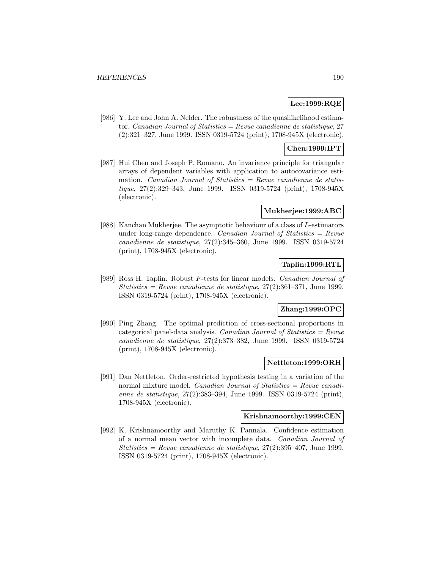## **Lee:1999:RQE**

[986] Y. Lee and John A. Nelder. The robustness of the quasilikelihood estimator. Canadian Journal of Statistics = Revue canadienne de statistique, 27 (2):321–327, June 1999. ISSN 0319-5724 (print), 1708-945X (electronic).

# **Chen:1999:IPT**

[987] Hui Chen and Joseph P. Romano. An invariance principle for triangular arrays of dependent variables with application to autocovariance estimation. Canadian Journal of Statistics  $=$  Revue canadienne de statistique, 27(2):329–343, June 1999. ISSN 0319-5724 (print), 1708-945X (electronic).

### **Mukherjee:1999:ABC**

[988] Kanchan Mukherjee. The asymptotic behaviour of a class of L-estimators under long-range dependence. Canadian Journal of Statistics  $=$  Revue canadienne de statistique, 27(2):345–360, June 1999. ISSN 0319-5724 (print), 1708-945X (electronic).

# **Taplin:1999:RTL**

[989] Ross H. Taplin. Robust F-tests for linear models. Canadian Journal of Statistics = Revue canadienne de statistique,  $27(2):361-371$ , June 1999. ISSN 0319-5724 (print), 1708-945X (electronic).

# **Zhang:1999:OPC**

[990] Ping Zhang. The optimal prediction of cross-sectional proportions in categorical panel-data analysis. Canadian Journal of Statistics  $=$  Revue canadienne de statistique, 27(2):373–382, June 1999. ISSN 0319-5724 (print), 1708-945X (electronic).

#### **Nettleton:1999:ORH**

[991] Dan Nettleton. Order-restricted hypothesis testing in a variation of the normal mixture model. *Canadian Journal of Statistics = Revue canadi*enne de statistique, 27(2):383–394, June 1999. ISSN 0319-5724 (print), 1708-945X (electronic).

#### **Krishnamoorthy:1999:CEN**

[992] K. Krishnamoorthy and Maruthy K. Pannala. Confidence estimation of a normal mean vector with incomplete data. Canadian Journal of Statistics = Revue canadienne de statistique,  $27(2):395-407$ , June 1999. ISSN 0319-5724 (print), 1708-945X (electronic).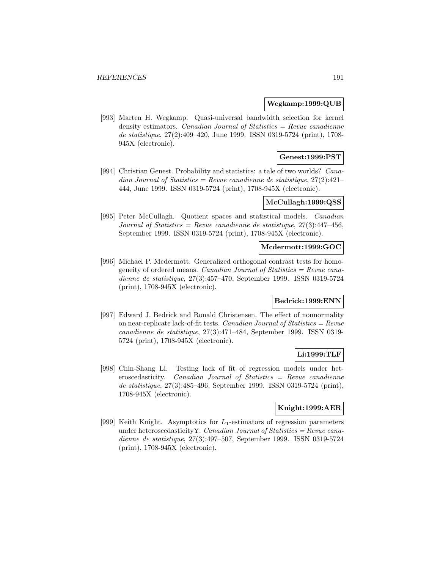#### **Wegkamp:1999:QUB**

[993] Marten H. Wegkamp. Quasi-universal bandwidth selection for kernel density estimators. Canadian Journal of Statistics  $=$  Revue canadienne de statistique, 27(2):409–420, June 1999. ISSN 0319-5724 (print), 1708- 945X (electronic).

## **Genest:1999:PST**

[994] Christian Genest. Probability and statistics: a tale of two worlds? Canadian Journal of Statistics = Revue canadienne de statistique,  $27(2):421-$ 444, June 1999. ISSN 0319-5724 (print), 1708-945X (electronic).

### **McCullagh:1999:QSS**

[995] Peter McCullagh. Quotient spaces and statistical models. Canadian Journal of Statistics = Revue canadienne de statistique,  $27(3):447-456$ , September 1999. ISSN 0319-5724 (print), 1708-945X (electronic).

## **Mcdermott:1999:GOC**

[996] Michael P. Mcdermott. Generalized orthogonal contrast tests for homogeneity of ordered means. *Canadian Journal of Statistics = Revue cana*dienne de statistique, 27(3):457–470, September 1999. ISSN 0319-5724 (print), 1708-945X (electronic).

### **Bedrick:1999:ENN**

[997] Edward J. Bedrick and Ronald Christensen. The effect of nonnormality on near-replicate lack-of-fit tests. Canadian Journal of Statistics =  $Review$ canadienne de statistique, 27(3):471–484, September 1999. ISSN 0319- 5724 (print), 1708-945X (electronic).

### **Li:1999:TLF**

[998] Chin-Shang Li. Testing lack of fit of regression models under het $e$  eroscedasticity. *Canadian Journal of Statistics = Revue canadienne* de statistique, 27(3):485–496, September 1999. ISSN 0319-5724 (print), 1708-945X (electronic).

### **Knight:1999:AER**

[999] Keith Knight. Asymptotics for  $L_1$ -estimators of regression parameters under heteroscedasticity Y. Canadian Journal of Statistics = Revue canadienne de statistique, 27(3):497–507, September 1999. ISSN 0319-5724 (print), 1708-945X (electronic).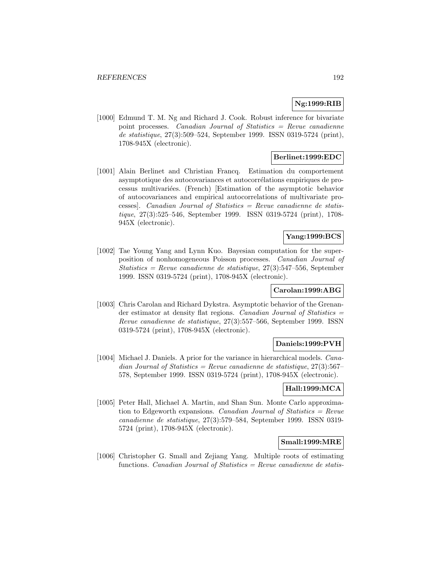## **Ng:1999:RIB**

[1000] Edmund T. M. Ng and Richard J. Cook. Robust inference for bivariate point processes. Canadian Journal of Statistics = Revue canadienne de statistique, 27(3):509–524, September 1999. ISSN 0319-5724 (print), 1708-945X (electronic).

## **Berlinet:1999:EDC**

[1001] Alain Berlinet and Christian Francq. Estimation du comportement asymptotique des autocovariances et autocorrélations empiriques de processus multivari´ees. (French) [Estimation of the asymptotic behavior of autocovariances and empirical autocorrelations of multivariate processes]. Canadian Journal of Statistics = Revue canadienne de statistique, 27(3):525–546, September 1999. ISSN 0319-5724 (print), 1708- 945X (electronic).

## **Yang:1999:BCS**

[1002] Tae Young Yang and Lynn Kuo. Bayesian computation for the superposition of nonhomogeneous Poisson processes. Canadian Journal of Statistics = Revue canadienne de statistique,  $27(3):547-556$ , September 1999. ISSN 0319-5724 (print), 1708-945X (electronic).

### **Carolan:1999:ABG**

[1003] Chris Carolan and Richard Dykstra. Asymptotic behavior of the Grenander estimator at density flat regions. Canadian Journal of Statistics = Revue canadienne de statistique, 27(3):557–566, September 1999. ISSN 0319-5724 (print), 1708-945X (electronic).

## **Daniels:1999:PVH**

[1004] Michael J. Daniels. A prior for the variance in hierarchical models. Canadian Journal of Statistics = Revue canadienne de statistique,  $27(3):567-$ 578, September 1999. ISSN 0319-5724 (print), 1708-945X (electronic).

### **Hall:1999:MCA**

[1005] Peter Hall, Michael A. Martin, and Shan Sun. Monte Carlo approximation to Edgeworth expansions. Canadian Journal of Statistics = Revue canadienne de statistique, 27(3):579–584, September 1999. ISSN 0319- 5724 (print), 1708-945X (electronic).

## **Small:1999:MRE**

[1006] Christopher G. Small and Zejiang Yang. Multiple roots of estimating functions. Canadian Journal of Statistics = Revue canadienne de statis-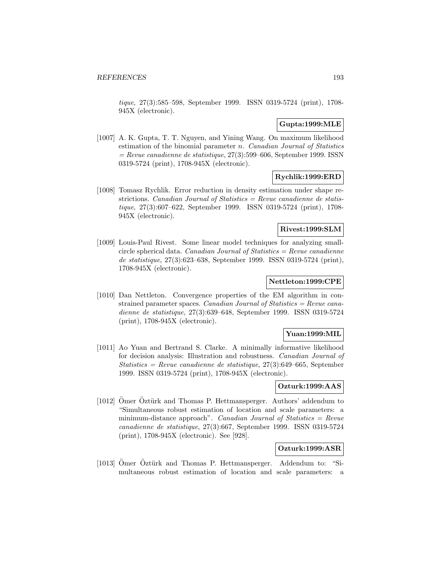tique, 27(3):585–598, September 1999. ISSN 0319-5724 (print), 1708- 945X (electronic).

## **Gupta:1999:MLE**

[1007] A. K. Gupta, T. T. Nguyen, and Yining Wang. On maximum likelihood estimation of the binomial parameter  $n$ . Canadian Journal of Statistics  $=$  Revue canadienne de statistique, 27(3):599–606, September 1999. ISSN 0319-5724 (print), 1708-945X (electronic).

## **Rychlik:1999:ERD**

[1008] Tomasz Rychlik. Error reduction in density estimation under shape restrictions. *Canadian Journal of Statistics = Revue canadienne de statis*tique, 27(3):607–622, September 1999. ISSN 0319-5724 (print), 1708- 945X (electronic).

## **Rivest:1999:SLM**

[1009] Louis-Paul Rivest. Some linear model techniques for analyzing smallcircle spherical data. *Canadian Journal of Statistics = Revue canadienne* de statistique, 27(3):623–638, September 1999. ISSN 0319-5724 (print), 1708-945X (electronic).

#### **Nettleton:1999:CPE**

[1010] Dan Nettleton. Convergence properties of the EM algorithm in constrained parameter spaces. Canadian Journal of Statistics = Revue canadienne de statistique, 27(3):639–648, September 1999. ISSN 0319-5724 (print), 1708-945X (electronic).

## **Yuan:1999:MIL**

[1011] Ao Yuan and Bertrand S. Clarke. A minimally informative likelihood for decision analysis: Illustration and robustness. Canadian Journal of Statistics = Revue canadienne de statistique, 27(3):649–665, September 1999. ISSN 0319-5724 (print), 1708-945X (electronic).

### **Ozturk:1999:AAS**

[1012] Ömer Öztürk and Thomas P. Hettmansperger. Authors' addendum to "Simultaneous robust estimation of location and scale parameters: a minimum-distance approach". Canadian Journal of Statistics  $=$  Revue canadienne de statistique, 27(3):667, September 1999. ISSN 0319-5724 (print), 1708-945X (electronic). See [928].

#### **Ozturk:1999:ASR**

 $[1013]$  Omer Oztürk and Thomas P. Hettmansperger. Addendum to: "Simultaneous robust estimation of location and scale parameters: a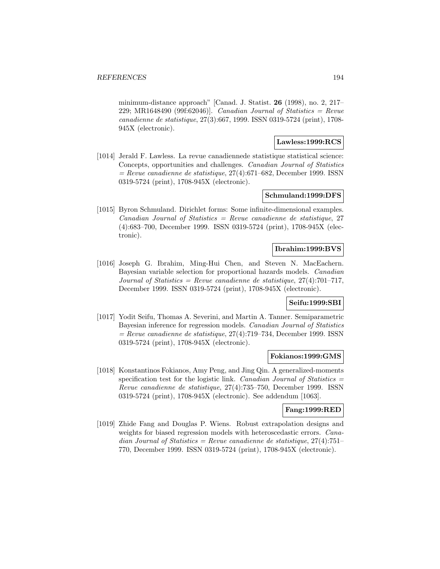minimum-distance approach" [Canad. J. Statist. **26** (1998), no. 2, 217– 229; MR1648490 (99f:62046)]. Canadian Journal of Statistics = Revue canadienne de statistique, 27(3):667, 1999. ISSN 0319-5724 (print), 1708- 945X (electronic).

#### **Lawless:1999:RCS**

[1014] Jerald F. Lawless. La revue canadiennede statistique statistical science: Concepts, opportunities and challenges. Canadian Journal of Statistics  $=$  Revue canadienne de statistique, 27(4):671–682, December 1999. ISSN 0319-5724 (print), 1708-945X (electronic).

#### **Schmuland:1999:DFS**

[1015] Byron Schmuland. Dirichlet forms: Some infinite-dimensional examples.  $Canadian Journal of Statistics = Review canadienne de statistic, 27$ (4):683–700, December 1999. ISSN 0319-5724 (print), 1708-945X (electronic).

## **Ibrahim:1999:BVS**

[1016] Joseph G. Ibrahim, Ming-Hui Chen, and Steven N. MacEachern. Bayesian variable selection for proportional hazards models. Canadian Journal of Statistics = Revue canadienne de statistique,  $27(4)$ :701–717, December 1999. ISSN 0319-5724 (print), 1708-945X (electronic).

### **Seifu:1999:SBI**

[1017] Yodit Seifu, Thomas A. Severini, and Martin A. Tanner. Semiparametric Bayesian inference for regression models. Canadian Journal of Statistics  $=$  Revue canadienne de statistique, 27(4):719–734, December 1999. ISSN 0319-5724 (print), 1708-945X (electronic).

## **Fokianos:1999:GMS**

[1018] Konstantinos Fokianos, Amy Peng, and Jing Qin. A generalized-moments specification test for the logistic link. Canadian Journal of Statistics  $=$ Revue canadienne de statistique, 27(4):735–750, December 1999. ISSN 0319-5724 (print), 1708-945X (electronic). See addendum [1063].

### **Fang:1999:RED**

[1019] Zhide Fang and Douglas P. Wiens. Robust extrapolation designs and weights for biased regression models with heteroscedastic errors. *Cana*dian Journal of Statistics = Revue canadienne de statistique,  $27(4)$ :751– 770, December 1999. ISSN 0319-5724 (print), 1708-945X (electronic).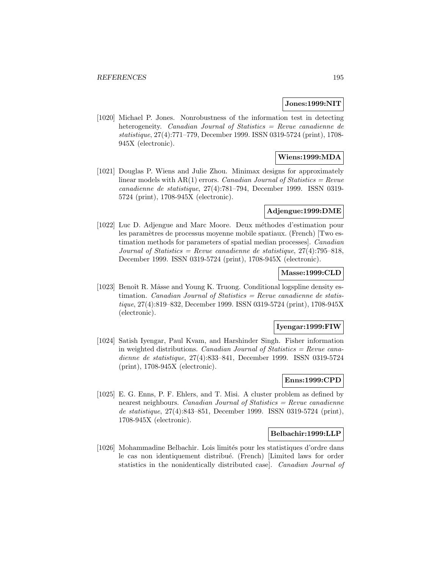#### **Jones:1999:NIT**

[1020] Michael P. Jones. Nonrobustness of the information test in detecting heterogeneity. Canadian Journal of Statistics = Revue canadienne de statistique, 27(4):771–779, December 1999. ISSN 0319-5724 (print), 1708- 945X (electronic).

## **Wiens:1999:MDA**

[1021] Douglas P. Wiens and Julie Zhou. Minimax designs for approximately linear models with  $AR(1)$  errors. *Canadian Journal of Statistics = Revue* canadienne de statistique, 27(4):781–794, December 1999. ISSN 0319- 5724 (print), 1708-945X (electronic).

### **Adjengue:1999:DME**

[1022] Luc D. Adjengue and Marc Moore. Deux méthodes d'estimation pour les paramètres de processus moyenne mobile spatiaux. (French) [Two estimation methods for parameters of spatial median processes]. Canadian Journal of Statistics = Revue canadienne de statistique,  $27(4)$ :795-818, December 1999. ISSN 0319-5724 (print), 1708-945X (electronic).

### **Masse:1999:CLD**

[1023] Benoît R. Mâsse and Young K. Truong. Conditional logspline density estimation. *Canadian Journal of Statistics = Revue canadienne de statis*tique, 27(4):819–832, December 1999. ISSN 0319-5724 (print), 1708-945X (electronic).

#### **Iyengar:1999:FIW**

[1024] Satish Iyengar, Paul Kvam, and Harshinder Singh. Fisher information in weighted distributions. *Canadian Journal of Statistics = Revue cana*dienne de statistique, 27(4):833–841, December 1999. ISSN 0319-5724 (print), 1708-945X (electronic).

## **Enns:1999:CPD**

[1025] E. G. Enns, P. F. Ehlers, and T. Misi. A cluster problem as defined by nearest neighbours. Canadian Journal of Statistics = Revue canadienne de statistique, 27(4):843–851, December 1999. ISSN 0319-5724 (print), 1708-945X (electronic).

### **Belbachir:1999:LLP**

[1026] Mohammadine Belbachir. Lois limités pour les statistiques d'ordre dans le cas non identiquement distribué. (French) [Limited laws for order statistics in the nonidentically distributed case]. Canadian Journal of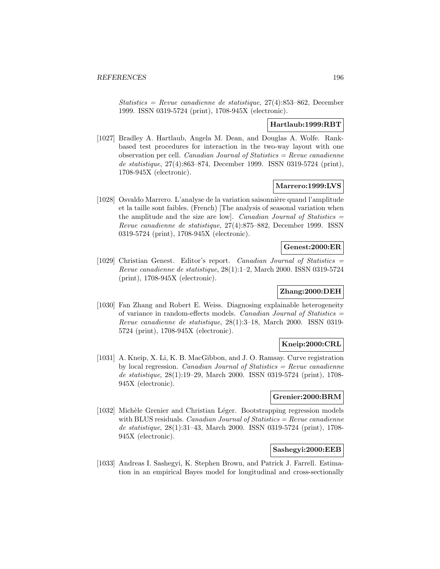Statistics = Revue canadienne de statistique,  $27(4)$ :853-862, December 1999. ISSN 0319-5724 (print), 1708-945X (electronic).

## **Hartlaub:1999:RBT**

[1027] Bradley A. Hartlaub, Angela M. Dean, and Douglas A. Wolfe. Rankbased test procedures for interaction in the two-way layout with one observation per cell. Canadian Journal of Statistics  $=$  Revue canadienne de statistique, 27(4):863–874, December 1999. ISSN 0319-5724 (print), 1708-945X (electronic).

## **Marrero:1999:LVS**

[1028] Osvaldo Marrero. L'analyse de la variation saisonnière quand l'amplitude et la taille sont faibles. (French) [The analysis of seasonal variation when the amplitude and the size are low]. Canadian Journal of Statistics  $=$ Revue canadienne de statistique, 27(4):875–882, December 1999. ISSN 0319-5724 (print), 1708-945X (electronic).

### **Genest:2000:ER**

[1029] Christian Genest. Editor's report. Canadian Journal of Statistics = Revue canadienne de statistique, 28(1):1–2, March 2000. ISSN 0319-5724 (print), 1708-945X (electronic).

# **Zhang:2000:DEH**

[1030] Fan Zhang and Robert E. Weiss. Diagnosing explainable heterogeneity of variance in random-effects models. Canadian Journal of Statistics  $=$ Revue canadienne de statistique, 28(1):3–18, March 2000. ISSN 0319- 5724 (print), 1708-945X (electronic).

# **Kneip:2000:CRL**

[1031] A. Kneip, X. Li, K. B. MacGibbon, and J. O. Ramsay. Curve registration by local regression. *Canadian Journal of Statistics = Revue canadienne* de statistique, 28(1):19–29, March 2000. ISSN 0319-5724 (print), 1708- 945X (electronic).

# **Grenier:2000:BRM**

[1032] Michèle Grenier and Christian Léger. Bootstrapping regression models with BLUS residuals. *Canadian Journal of Statistics = Revue canadienne* de statistique, 28(1):31–43, March 2000. ISSN 0319-5724 (print), 1708- 945X (electronic).

# **Sashegyi:2000:EEB**

[1033] Andreas I. Sashegyi, K. Stephen Brown, and Patrick J. Farrell. Estimation in an empirical Bayes model for longitudinal and cross-sectionally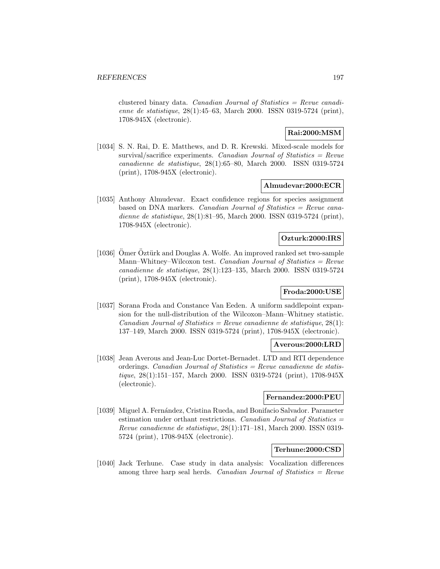clustered binary data. Canadian Journal of Statistics  $=$  Revue canadienne de statistique, 28(1):45–63, March 2000. ISSN 0319-5724 (print), 1708-945X (electronic).

## **Rai:2000:MSM**

[1034] S. N. Rai, D. E. Matthews, and D. R. Krewski. Mixed-scale models for survival/sacrifice experiments. Canadian Journal of Statistics  $=$  Revue canadienne de statistique, 28(1):65–80, March 2000. ISSN 0319-5724 (print), 1708-945X (electronic).

#### **Almudevar:2000:ECR**

[1035] Anthony Almudevar. Exact confidence regions for species assignment based on DNA markers. Canadian Journal of Statistics = Revue canadienne de statistique, 28(1):81–95, March 2000. ISSN 0319-5724 (print), 1708-945X (electronic).

## **Ozturk:2000:IRS**

[1036] Omer Oztürk and Douglas A. Wolfe. An improved ranked set two-sample Mann–Whitney–Wilcoxon test. Canadian Journal of Statistics =  $Review$ canadienne de statistique, 28(1):123–135, March 2000. ISSN 0319-5724 (print), 1708-945X (electronic).

## **Froda:2000:USE**

[1037] Sorana Froda and Constance Van Eeden. A uniform saddlepoint expansion for the null-distribution of the Wilcoxon–Mann–Whitney statistic.  $Canadian Journal of Statistics = Review candidate$  de statistique, 28(1): 137–149, March 2000. ISSN 0319-5724 (print), 1708-945X (electronic).

#### **Averous:2000:LRD**

[1038] Jean Averous and Jean-Luc Dortet-Bernadet. LTD and RTI dependence orderings. Canadian Journal of Statistics = Revue canadienne de statistique, 28(1):151–157, March 2000. ISSN 0319-5724 (print), 1708-945X (electronic).

#### **Fernandez:2000:PEU**

[1039] Miguel A. Fernández, Cristina Rueda, and Bonifacio Salvador. Parameter estimation under orthant restrictions. Canadian Journal of Statistics = Revue canadienne de statistique, 28(1):171–181, March 2000. ISSN 0319- 5724 (print), 1708-945X (electronic).

## **Terhune:2000:CSD**

[1040] Jack Terhune. Case study in data analysis: Vocalization differences among three harp seal herds. Canadian Journal of Statistics  $=$  Revue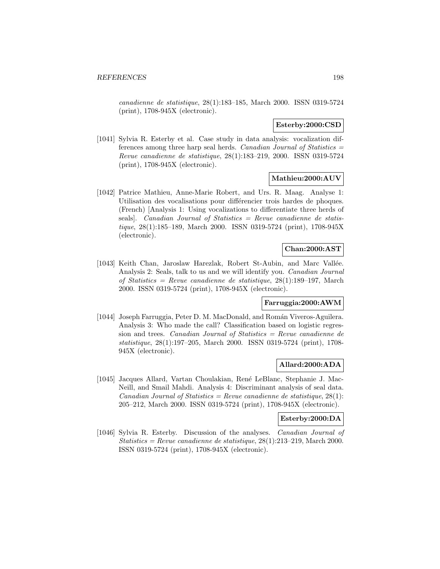canadienne de statistique, 28(1):183–185, March 2000. ISSN 0319-5724 (print), 1708-945X (electronic).

#### **Esterby:2000:CSD**

[1041] Sylvia R. Esterby et al. Case study in data analysis: vocalization differences among three harp seal herds. Canadian Journal of Statistics  $=$ Revue canadienne de statistique, 28(1):183–219, 2000. ISSN 0319-5724 (print), 1708-945X (electronic).

### **Mathieu:2000:AUV**

[1042] Patrice Mathieu, Anne-Marie Robert, and Urs. R. Maag. Analyse 1: Utilisation des vocalisations pour différencier trois hardes de phoques. (French) [Analysis 1: Using vocalizations to differentiate three herds of seals). Canadian Journal of Statistics  $=$  Revue canadienne de statistique, 28(1):185–189, March 2000. ISSN 0319-5724 (print), 1708-945X (electronic).

# **Chan:2000:AST**

[1043] Keith Chan, Jaroslaw Harezlak, Robert St-Aubin, and Marc Vallée. Analysis 2: Seals, talk to us and we will identify you. Canadian Journal of Statistics = Revue canadienne de statistique,  $28(1):189-197$ , March 2000. ISSN 0319-5724 (print), 1708-945X (electronic).

### **Farruggia:2000:AWM**

[1044] Joseph Farruggia, Peter D. M. MacDonald, and Román Viveros-Aguilera. Analysis 3: Who made the call? Classification based on logistic regression and trees. Canadian Journal of Statistics = Revue canadienne de statistique, 28(1):197–205, March 2000. ISSN 0319-5724 (print), 1708- 945X (electronic).

#### **Allard:2000:ADA**

[1045] Jacques Allard, Vartan Choulakian, Ren´e LeBlanc, Stephanie J. Mac-Neill, and Smail Mahdi. Analysis 4: Discriminant analysis of seal data. Canadian Journal of Statistics = Revue canadienne de statistique,  $28(1)$ : 205–212, March 2000. ISSN 0319-5724 (print), 1708-945X (electronic).

## **Esterby:2000:DA**

[1046] Sylvia R. Esterby. Discussion of the analyses. Canadian Journal of  $Statistics = Revenue canadienne de statistique, 28(1):213-219, March 2000.$ ISSN 0319-5724 (print), 1708-945X (electronic).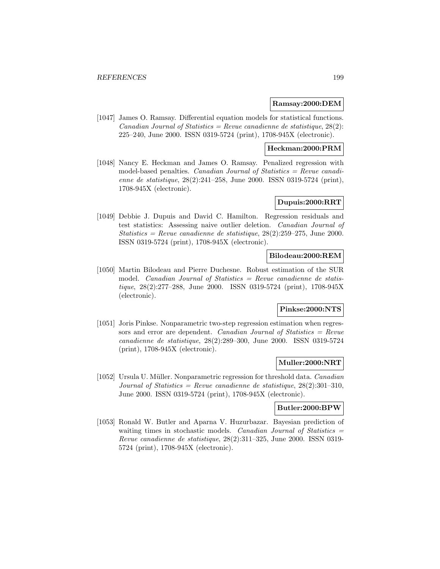### **Ramsay:2000:DEM**

[1047] James O. Ramsay. Differential equation models for statistical functions. Canadian Journal of Statistics = Revue canadienne de statistique,  $28(2)$ : 225–240, June 2000. ISSN 0319-5724 (print), 1708-945X (electronic).

## **Heckman:2000:PRM**

[1048] Nancy E. Heckman and James O. Ramsay. Penalized regression with model-based penalties. *Canadian Journal of Statistics = Revue canadi*enne de statistique, 28(2):241–258, June 2000. ISSN 0319-5724 (print), 1708-945X (electronic).

## **Dupuis:2000:RRT**

[1049] Debbie J. Dupuis and David C. Hamilton. Regression residuals and test statistics: Assessing naive outlier deletion. Canadian Journal of Statistics = Revue canadienne de statistique,  $28(2):259-275$ , June 2000. ISSN 0319-5724 (print), 1708-945X (electronic).

## **Bilodeau:2000:REM**

[1050] Martin Bilodeau and Pierre Duchesne. Robust estimation of the SUR model. *Canadian Journal of Statistics = Revue canadienne de statis*tique, 28(2):277–288, June 2000. ISSN 0319-5724 (print), 1708-945X (electronic).

# **Pinkse:2000:NTS**

[1051] Joris Pinkse. Nonparametric two-step regression estimation when regressors and error are dependent. Canadian Journal of Statistics  $=$  Revue canadienne de statistique, 28(2):289–300, June 2000. ISSN 0319-5724 (print), 1708-945X (electronic).

#### **Muller:2000:NRT**

[1052] Ursula U. Müller. Nonparametric regression for threshold data. *Canadian* Journal of Statistics = Revue canadienne de statistique,  $28(2):301-310$ , June 2000. ISSN 0319-5724 (print), 1708-945X (electronic).

### **Butler:2000:BPW**

[1053] Ronald W. Butler and Aparna V. Huzurbazar. Bayesian prediction of waiting times in stochastic models. Canadian Journal of Statistics  $=$ Revue canadienne de statistique, 28(2):311–325, June 2000. ISSN 0319- 5724 (print), 1708-945X (electronic).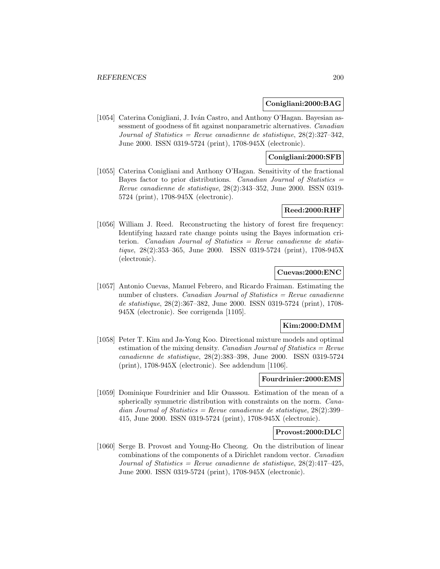### **Conigliani:2000:BAG**

[1054] Caterina Conigliani, J. Iván Castro, and Anthony O'Hagan. Bayesian assessment of goodness of fit against nonparametric alternatives. Canadian Journal of Statistics = Revue canadienne de statistique,  $28(2):327-342$ , June 2000. ISSN 0319-5724 (print), 1708-945X (electronic).

## **Conigliani:2000:SFB**

[1055] Caterina Conigliani and Anthony O'Hagan. Sensitivity of the fractional Bayes factor to prior distributions. Canadian Journal of Statistics = Revue canadienne de statistique, 28(2):343–352, June 2000. ISSN 0319- 5724 (print), 1708-945X (electronic).

#### **Reed:2000:RHF**

[1056] William J. Reed. Reconstructing the history of forest fire frequency: Identifying hazard rate change points using the Bayes information criterion. Canadian Journal of Statistics  $=$  Revue canadienne de statistique, 28(2):353–365, June 2000. ISSN 0319-5724 (print), 1708-945X (electronic).

#### **Cuevas:2000:ENC**

[1057] Antonio Cuevas, Manuel Febrero, and Ricardo Fraiman. Estimating the number of clusters. *Canadian Journal of Statistics = Revue canadienne* de statistique, 28(2):367–382, June 2000. ISSN 0319-5724 (print), 1708- 945X (electronic). See corrigenda [1105].

### **Kim:2000:DMM**

[1058] Peter T. Kim and Ja-Yong Koo. Directional mixture models and optimal estimation of the mixing density. Canadian Journal of Statistics  $=$  Revue canadienne de statistique, 28(2):383–398, June 2000. ISSN 0319-5724 (print), 1708-945X (electronic). See addendum [1106].

### **Fourdrinier:2000:EMS**

[1059] Dominique Fourdrinier and Idir Ouassou. Estimation of the mean of a spherically symmetric distribution with constraints on the norm. Canadian Journal of Statistics = Revue canadienne de statistique,  $28(2):399-$ 415, June 2000. ISSN 0319-5724 (print), 1708-945X (electronic).

### **Provost:2000:DLC**

[1060] Serge B. Provost and Young-Ho Cheong. On the distribution of linear combinations of the components of a Dirichlet random vector. Canadian Journal of Statistics = Revue canadienne de statistique,  $28(2)$ :417-425, June 2000. ISSN 0319-5724 (print), 1708-945X (electronic).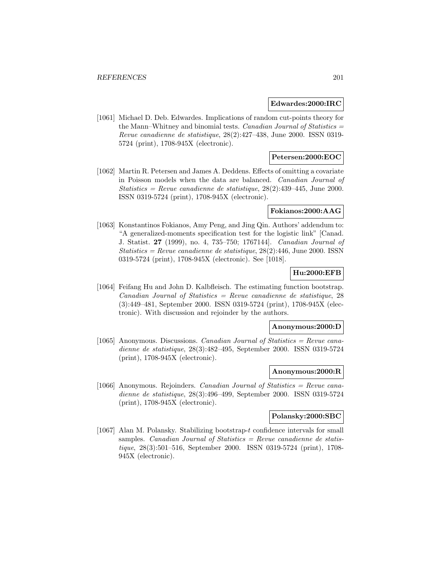#### **Edwardes:2000:IRC**

[1061] Michael D. Deb. Edwardes. Implications of random cut-points theory for the Mann–Whitney and binomial tests. Canadian Journal of Statistics = Revue canadienne de statistique, 28(2):427–438, June 2000. ISSN 0319- 5724 (print), 1708-945X (electronic).

## **Petersen:2000:EOC**

[1062] Martin R. Petersen and James A. Deddens. Effects of omitting a covariate in Poisson models when the data are balanced. Canadian Journal of Statistics = Revue canadienne de statistique,  $28(2):439-445$ , June 2000. ISSN 0319-5724 (print), 1708-945X (electronic).

### **Fokianos:2000:AAG**

[1063] Konstantinos Fokianos, Amy Peng, and Jing Qin. Authors' addendum to: "A generalized-moments specification test for the logistic link" [Canad. J. Statist. **27** (1999), no. 4, 735–750; 1767144]. Canadian Journal of Statistics = Revue canadienne de statistique,  $28(2):446$ , June 2000. ISSN 0319-5724 (print), 1708-945X (electronic). See [1018].

## **Hu:2000:EFB**

[1064] Feifang Hu and John D. Kalbfleisch. The estimating function bootstrap.  $Canadian Journal of Statistics = Review can a dienne de statistic, 28$ (3):449–481, September 2000. ISSN 0319-5724 (print), 1708-945X (electronic). With discussion and rejoinder by the authors.

### **Anonymous:2000:D**

[1065] Anonymous. Discussions. Canadian Journal of Statistics = Revue canadienne de statistique, 28(3):482–495, September 2000. ISSN 0319-5724 (print), 1708-945X (electronic).

#### **Anonymous:2000:R**

[1066] Anonymous. Rejoinders. Canadian Journal of Statistics = Revue canadienne de statistique, 28(3):496–499, September 2000. ISSN 0319-5724 (print), 1708-945X (electronic).

## **Polansky:2000:SBC**

[1067] Alan M. Polansky. Stabilizing bootstrap-t confidence intervals for small samples. Canadian Journal of Statistics  $=$  Revue canadienne de statistique, 28(3):501–516, September 2000. ISSN 0319-5724 (print), 1708- 945X (electronic).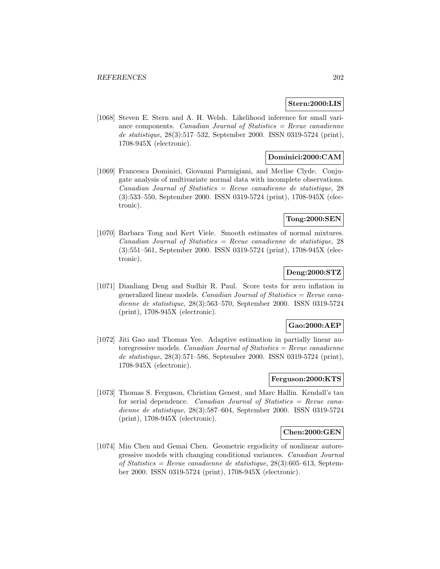#### **Stern:2000:LIS**

[1068] Steven E. Stern and A. H. Welsh. Likelihood inference for small variance components. Canadian Journal of Statistics  $=$  Revue canadienne de statistique, 28(3):517–532, September 2000. ISSN 0319-5724 (print), 1708-945X (electronic).

## **Dominici:2000:CAM**

[1069] Francesca Dominici, Giovanni Parmigiani, and Merlise Clyde. Conjugate analysis of multivariate normal data with incomplete observations.  $Canadian Journal of Statistics = Review can a dienne de statistic, 28$ (3):533–550, September 2000. ISSN 0319-5724 (print), 1708-945X (electronic).

### **Tong:2000:SEN**

[1070] Barbara Tong and Kert Viele. Smooth estimates of normal mixtures.  $Canadian Journal of Statistics = Review canadienne de statistique, 28$ (3):551–561, September 2000. ISSN 0319-5724 (print), 1708-945X (electronic).

## **Deng:2000:STZ**

[1071] Dianliang Deng and Sudhir R. Paul. Score tests for zero inflation in generalized linear models. Canadian Journal of Statistics  $=$  Revue canadienne de statistique, 28(3):563–570, September 2000. ISSN 0319-5724 (print), 1708-945X (electronic).

### **Gao:2000:AEP**

[1072] Jiti Gao and Thomas Yee. Adaptive estimation in partially linear autoregressive models. *Canadian Journal of Statistics = Revue canadienne* de statistique, 28(3):571–586, September 2000. ISSN 0319-5724 (print), 1708-945X (electronic).

## **Ferguson:2000:KTS**

[1073] Thomas S. Ferguson, Christian Genest, and Marc Hallin. Kendall's tau for serial dependence. Canadian Journal of Statistics = Revue canadienne de statistique, 28(3):587–604, September 2000. ISSN 0319-5724 (print), 1708-945X (electronic).

### **Chen:2000:GEN**

[1074] Min Chen and Gemai Chen. Geometric ergodicity of nonlinear autoregressive models with changing conditional variances. Canadian Journal of Statistics = Revue canadienne de statistique,  $28(3):605-613$ , September 2000. ISSN 0319-5724 (print), 1708-945X (electronic).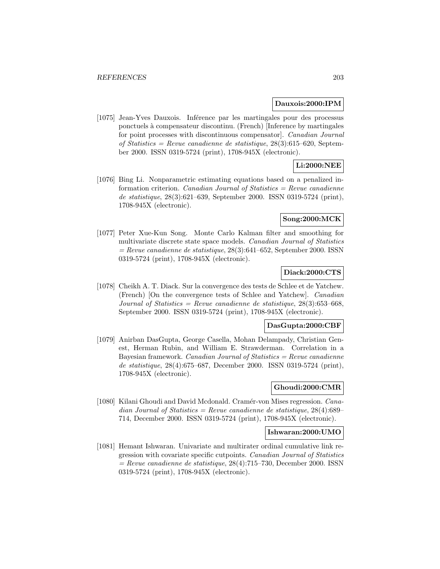#### **Dauxois:2000:IPM**

[1075] Jean-Yves Dauxois. Inférence par les martingales pour des processus ponctuels `a compensateur discontinu. (French) [Inference by martingales for point processes with discontinuous compensator]. Canadian Journal of Statistics = Revue canadienne de statistique,  $28(3):615-620$ , September 2000. ISSN 0319-5724 (print), 1708-945X (electronic).

# **Li:2000:NEE**

[1076] Bing Li. Nonparametric estimating equations based on a penalized information criterion. Canadian Journal of Statistics  $=$  Revue canadienne de statistique, 28(3):621–639, September 2000. ISSN 0319-5724 (print), 1708-945X (electronic).

## **Song:2000:MCK**

[1077] Peter Xue-Kun Song. Monte Carlo Kalman filter and smoothing for multivariate discrete state space models. Canadian Journal of Statistics  $=$  Revue canadienne de statistique, 28(3):641–652, September 2000. ISSN 0319-5724 (print), 1708-945X (electronic).

## **Diack:2000:CTS**

[1078] Cheikh A. T. Diack. Sur la convergence des tests de Schlee et de Yatchew. (French) [On the convergence tests of Schlee and Yatchew]. Canadian Journal of Statistics = Revue canadienne de statistique,  $28(3)$ :653-668, September 2000. ISSN 0319-5724 (print), 1708-945X (electronic).

#### **DasGupta:2000:CBF**

[1079] Anirban DasGupta, George Casella, Mohan Delampady, Christian Genest, Herman Rubin, and William E. Strawderman. Correlation in a Bayesian framework. *Canadian Journal of Statistics = Revue canadienne* de statistique, 28(4):675–687, December 2000. ISSN 0319-5724 (print), 1708-945X (electronic).

# **Ghoudi:2000:CMR**

[1080] Kilani Ghoudi and David Mcdonald. Cramér-von Mises regression. *Cana*dian Journal of Statistics = Revue canadienne de statistique,  $28(4):689-$ 714, December 2000. ISSN 0319-5724 (print), 1708-945X (electronic).

#### **Ishwaran:2000:UMO**

[1081] Hemant Ishwaran. Univariate and multirater ordinal cumulative link regression with covariate specific cutpoints. Canadian Journal of Statistics  $=$  Revue canadienne de statistique, 28(4):715–730, December 2000. ISSN 0319-5724 (print), 1708-945X (electronic).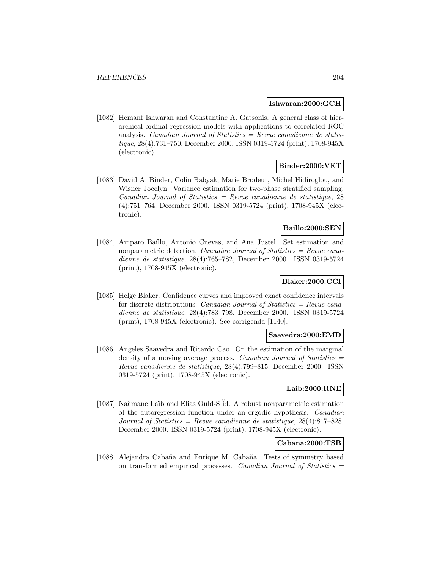#### **Ishwaran:2000:GCH**

[1082] Hemant Ishwaran and Constantine A. Gatsonis. A general class of hierarchical ordinal regression models with applications to correlated ROC analysis. Canadian Journal of Statistics  $=$  Revue canadienne de statistique, 28(4):731–750, December 2000. ISSN 0319-5724 (print), 1708-945X (electronic).

# **Binder:2000:VET**

[1083] David A. Binder, Colin Babyak, Marie Brodeur, Michel Hidiroglou, and Wisner Jocelyn. Variance estimation for two-phase stratified sampling.  $Canadian Journal of Statistics = Review can a dienne de statistic, 28$ (4):751–764, December 2000. ISSN 0319-5724 (print), 1708-945X (electronic).

## **Baillo:2000:SEN**

[1084] Amparo Baíllo, Antonio Cuevas, and Ana Justel. Set estimation and nonparametric detection. *Canadian Journal of Statistics = Revue cana*dienne de statistique, 28(4):765–782, December 2000. ISSN 0319-5724 (print), 1708-945X (electronic).

### **Blaker:2000:CCI**

[1085] Helge Blaker. Confidence curves and improved exact confidence intervals for discrete distributions. *Canadian Journal of Statistics = Revue cana*dienne de statistique, 28(4):783–798, December 2000. ISSN 0319-5724 (print), 1708-945X (electronic). See corrigenda [1140].

#### **Saavedra:2000:EMD**

[1086] Angeles Saavedra and Ricardo Cao. On the estimation of the marginal density of a moving average process. Canadian Journal of Statistics = Revue canadienne de statistique, 28(4):799–815, December 2000. ISSN 0319-5724 (print), 1708-945X (electronic).

#### **Laib:2000:RNE**

[1087] Naämane Laïb and Elias Ould-S id. A robust nonparametric estimation of the autoregression function under an ergodic hypothesis. Canadian Journal of Statistics = Revue canadienne de statistique,  $28(4):817-828$ , December 2000. ISSN 0319-5724 (print), 1708-945X (electronic).

#### **Cabana:2000:TSB**

[1088] Alejandra Cabaña and Enrique M. Cabaña. Tests of symmetry based on transformed empirical processes. Canadian Journal of Statistics =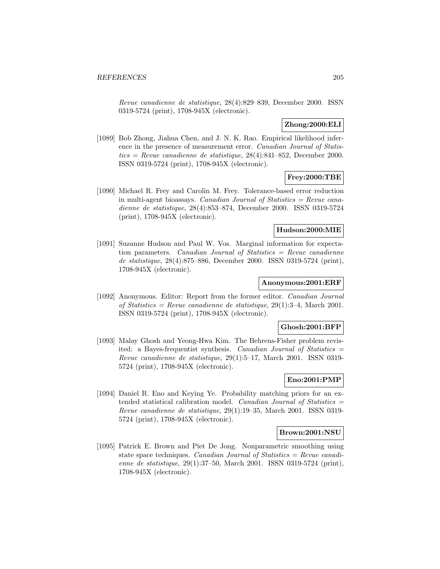Revue canadienne de statistique, 28(4):829–839, December 2000. ISSN 0319-5724 (print), 1708-945X (electronic).

## **Zhong:2000:ELI**

[1089] Bob Zhong, Jiahua Chen, and J. N. K. Rao. Empirical likelihood inference in the presence of measurement error. Canadian Journal of Statistics = Revue canadienne de statistique,  $28(4)$ :841–852, December 2000. ISSN 0319-5724 (print), 1708-945X (electronic).

# **Frey:2000:TBE**

[1090] Michael R. Frey and Carolin M. Frey. Tolerance-based error reduction in multi-agent bioassays. Canadian Journal of Statistics = Revue canadienne de statistique, 28(4):853–874, December 2000. ISSN 0319-5724 (print), 1708-945X (electronic).

### **Hudson:2000:MIE**

[1091] Suzanne Hudson and Paul W. Vos. Marginal information for expectation parameters. Canadian Journal of Statistics = Revue canadienne de statistique, 28(4):875–886, December 2000. ISSN 0319-5724 (print), 1708-945X (electronic).

#### **Anonymous:2001:ERF**

[1092] Anonymous. Editor: Report from the former editor. Canadian Journal of Statistics = Revue canadienne de statistique,  $29(1):3-4$ , March 2001. ISSN 0319-5724 (print), 1708-945X (electronic).

#### **Ghosh:2001:BFP**

[1093] Malay Ghosh and Yeong-Hwa Kim. The Behrens-Fisher problem revisited: a Bayes-frequentist synthesis. Canadian Journal of Statistics  $=$ Revue canadienne de statistique, 29(1):5–17, March 2001. ISSN 0319- 5724 (print), 1708-945X (electronic).

# **Eno:2001:PMP**

[1094] Daniel R. Eno and Keying Ye. Probability matching priors for an extended statistical calibration model. Canadian Journal of Statistics  $=$ Revue canadienne de statistique, 29(1):19–35, March 2001. ISSN 0319- 5724 (print), 1708-945X (electronic).

#### **Brown:2001:NSU**

[1095] Patrick E. Brown and Piet De Jong. Nonparametric smoothing using state space techniques. Canadian Journal of Statistics  $=$  Revue canadienne de statistique, 29(1):37–50, March 2001. ISSN 0319-5724 (print), 1708-945X (electronic).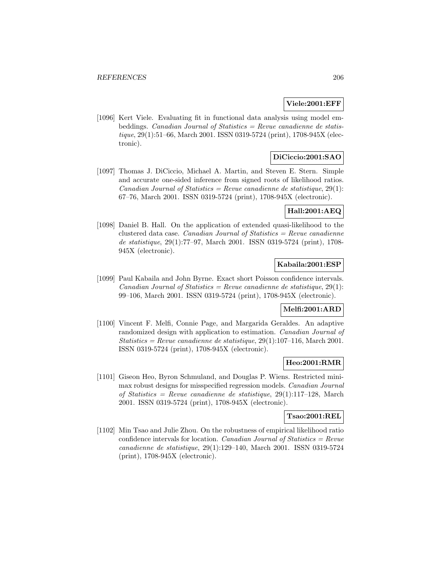#### **Viele:2001:EFF**

[1096] Kert Viele. Evaluating fit in functional data analysis using model embeddings. *Canadian Journal of Statistics = Revue canadienne de statis*tique, 29(1):51–66, March 2001. ISSN 0319-5724 (print), 1708-945X (electronic).

# **DiCiccio:2001:SAO**

[1097] Thomas J. DiCiccio, Michael A. Martin, and Steven E. Stern. Simple and accurate one-sided inference from signed roots of likelihood ratios. Canadian Journal of Statistics = Revue canadienne de statistique,  $29(1)$ : 67–76, March 2001. ISSN 0319-5724 (print), 1708-945X (electronic).

# **Hall:2001:AEQ**

[1098] Daniel B. Hall. On the application of extended quasi-likelihood to the clustered data case. Canadian Journal of Statistics  $=$  Revue canadienne de statistique, 29(1):77–97, March 2001. ISSN 0319-5724 (print), 1708- 945X (electronic).

## **Kabaila:2001:ESP**

[1099] Paul Kabaila and John Byrne. Exact short Poisson confidence intervals. Canadian Journal of Statistics = Revue canadienne de statistique,  $29(1)$ : 99–106, March 2001. ISSN 0319-5724 (print), 1708-945X (electronic).

## **Melfi:2001:ARD**

[1100] Vincent F. Melfi, Connie Page, and Margarida Geraldes. An adaptive randomized design with application to estimation. Canadian Journal of Statistics = Revue canadienne de statistique,  $29(1):107-116$ , March 2001. ISSN 0319-5724 (print), 1708-945X (electronic).

#### **Heo:2001:RMR**

[1101] Giseon Heo, Byron Schmuland, and Douglas P. Wiens. Restricted minimax robust designs for misspecified regression models. Canadian Journal of Statistics = Revue canadienne de statistique,  $29(1):117-128$ , March 2001. ISSN 0319-5724 (print), 1708-945X (electronic).

#### **Tsao:2001:REL**

[1102] Min Tsao and Julie Zhou. On the robustness of empirical likelihood ratio confidence intervals for location. Canadian Journal of Statistics =  $Re$ vue canadienne de statistique, 29(1):129–140, March 2001. ISSN 0319-5724 (print), 1708-945X (electronic).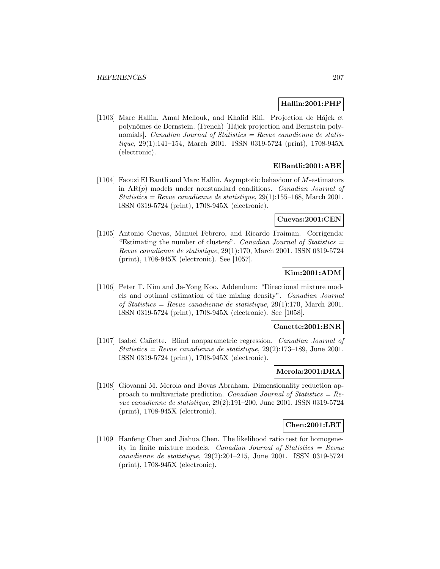## **Hallin:2001:PHP**

[1103] Marc Hallin, Amal Mellouk, and Khalid Rifi. Projection de Hájek et polynômes de Bernstein. (French) [Hájek projection and Bernstein polynomials]. *Canadian Journal of Statistics = Revue canadienne de statis*tique, 29(1):141–154, March 2001. ISSN 0319-5724 (print), 1708-945X (electronic).

# **ElBantli:2001:ABE**

[1104] Faouzi El Bantli and Marc Hallin. Asymptotic behaviour of M-estimators in  $AR(p)$  models under nonstandard conditions. Canadian Journal of  $Statistics = Revenue canadienne de statistic, 29(1):155-168$ , March 2001. ISSN 0319-5724 (print), 1708-945X (electronic).

### **Cuevas:2001:CEN**

[1105] Antonio Cuevas, Manuel Febrero, and Ricardo Fraiman. Corrigenda: "Estimating the number of clusters". Canadian Journal of Statistics = Revue canadienne de statistique, 29(1):170, March 2001. ISSN 0319-5724 (print), 1708-945X (electronic). See [1057].

# **Kim:2001:ADM**

[1106] Peter T. Kim and Ja-Yong Koo. Addendum: "Directional mixture models and optimal estimation of the mixing density". Canadian Journal of Statistics = Revue canadienne de statistique,  $29(1):170$ , March 2001. ISSN 0319-5724 (print), 1708-945X (electronic). See [1058].

#### **Canette:2001:BNR**

[1107] Isabel Cañette. Blind nonparametric regression. Canadian Journal of Statistics = Revue canadienne de statistique,  $29(2):173-189$ , June 2001. ISSN 0319-5724 (print), 1708-945X (electronic).

### **Merola:2001:DRA**

[1108] Giovanni M. Merola and Bovas Abraham. Dimensionality reduction approach to multivariate prediction. Canadian Journal of Statistics =  $Re$ vue canadienne de statistique, 29(2):191–200, June 2001. ISSN 0319-5724 (print), 1708-945X (electronic).

#### **Chen:2001:LRT**

[1109] Hanfeng Chen and Jiahua Chen. The likelihood ratio test for homogeneity in finite mixture models. Canadian Journal of Statistics = Revue canadienne de statistique, 29(2):201–215, June 2001. ISSN 0319-5724 (print), 1708-945X (electronic).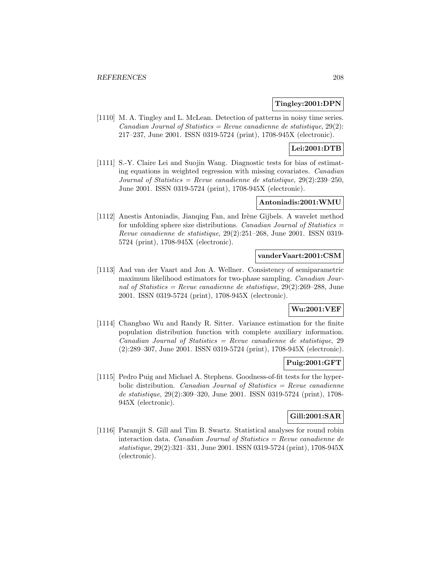### **Tingley:2001:DPN**

[1110] M. A. Tingley and L. McLean. Detection of patterns in noisy time series. Canadian Journal of Statistics = Revue canadienne de statistique,  $29(2)$ : 217–237, June 2001. ISSN 0319-5724 (print), 1708-945X (electronic).

# **Lei:2001:DTB**

[1111] S.-Y. Claire Lei and Suojin Wang. Diagnostic tests for bias of estimating equations in weighted regression with missing covariates. Canadian Journal of Statistics = Revue canadienne de statistique,  $29(2):239-250$ , June 2001. ISSN 0319-5724 (print), 1708-945X (electronic).

## **Antoniadis:2001:WMU**

[1112] Anestis Antoniadis, Jianqing Fan, and Irène Gijbels. A wavelet method for unfolding sphere size distributions. Canadian Journal of Statistics  $=$ Revue canadienne de statistique, 29(2):251–268, June 2001. ISSN 0319- 5724 (print), 1708-945X (electronic).

### **vanderVaart:2001:CSM**

[1113] Aad van der Vaart and Jon A. Wellner. Consistency of semiparametric maximum likelihood estimators for two-phase sampling. *Canadian Jour*nal of Statistics = Revue canadienne de statistique,  $29(2):269-288$ , June 2001. ISSN 0319-5724 (print), 1708-945X (electronic).

# **Wu:2001:VEF**

[1114] Changbao Wu and Randy R. Sitter. Variance estimation for the finite population distribution function with complete auxiliary information.  $Canadian Journal of Statistics = Revenue canadienne de statistic, 29$ (2):289–307, June 2001. ISSN 0319-5724 (print), 1708-945X (electronic).

### **Puig:2001:GFT**

[1115] Pedro Puig and Michael A. Stephens. Goodness-of-fit tests for the hyperbolic distribution. Canadian Journal of Statistics  $=$  Revue canadienne de statistique, 29(2):309–320, June 2001. ISSN 0319-5724 (print), 1708- 945X (electronic).

### **Gill:2001:SAR**

[1116] Paramjit S. Gill and Tim B. Swartz. Statistical analyses for round robin interaction data. Canadian Journal of Statistics  $=$  Revue canadienne de statistique, 29(2):321–331, June 2001. ISSN 0319-5724 (print), 1708-945X (electronic).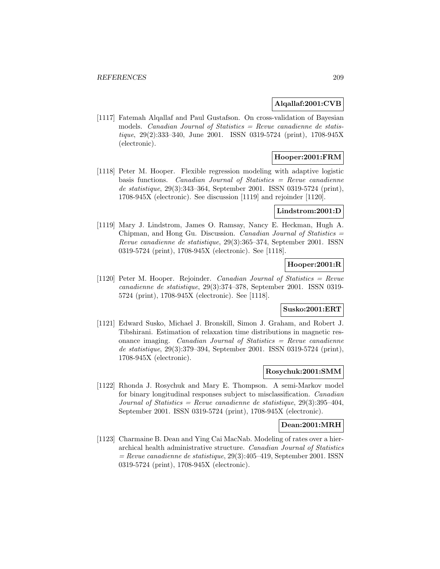## **Alqallaf:2001:CVB**

[1117] Fatemah Alqallaf and Paul Gustafson. On cross-validation of Bayesian models. *Canadian Journal of Statistics = Revue canadienne de statis*tique, 29(2):333–340, June 2001. ISSN 0319-5724 (print), 1708-945X (electronic).

# **Hooper:2001:FRM**

[1118] Peter M. Hooper. Flexible regression modeling with adaptive logistic basis functions. Canadian Journal of Statistics  $=$  Revue canadienne de statistique, 29(3):343–364, September 2001. ISSN 0319-5724 (print), 1708-945X (electronic). See discussion [1119] and rejoinder [1120].

#### **Lindstrom:2001:D**

[1119] Mary J. Lindstrom, James O. Ramsay, Nancy E. Heckman, Hugh A. Chipman, and Hong Gu. Discussion. Canadian Journal of Statistics = Revue canadienne de statistique, 29(3):365–374, September 2001. ISSN 0319-5724 (print), 1708-945X (electronic). See [1118].

# **Hooper:2001:R**

[1120] Peter M. Hooper. Rejoinder. Canadian Journal of Statistics = Revue canadienne de statistique, 29(3):374–378, September 2001. ISSN 0319- 5724 (print), 1708-945X (electronic). See [1118].

## **Susko:2001:ERT**

[1121] Edward Susko, Michael J. Bronskill, Simon J. Graham, and Robert J. Tibshirani. Estimation of relaxation time distributions in magnetic resonance imaging. Canadian Journal of Statistics  $=$  Revue canadienne de statistique, 29(3):379–394, September 2001. ISSN 0319-5724 (print), 1708-945X (electronic).

### **Rosychuk:2001:SMM**

[1122] Rhonda J. Rosychuk and Mary E. Thompson. A semi-Markov model for binary longitudinal responses subject to misclassification. Canadian Journal of Statistics = Revue canadienne de statistique,  $29(3):395-404$ , September 2001. ISSN 0319-5724 (print), 1708-945X (electronic).

#### **Dean:2001:MRH**

[1123] Charmaine B. Dean and Ying Cai MacNab. Modeling of rates over a hierarchical health administrative structure. Canadian Journal of Statistics  $=$  Revue canadienne de statistique, 29(3):405–419, September 2001. ISSN 0319-5724 (print), 1708-945X (electronic).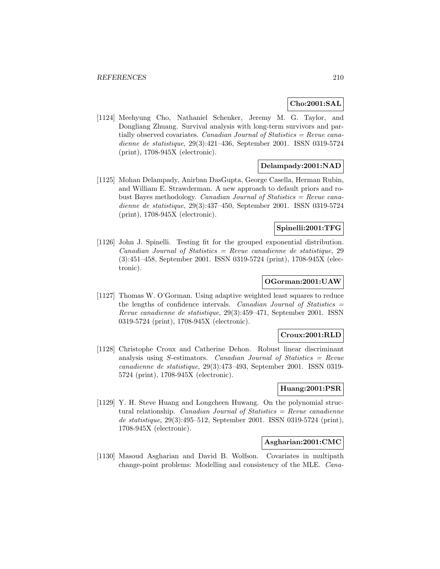## **Cho:2001:SAL**

[1124] Meehyung Cho, Nathaniel Schenker, Jeremy M. G. Taylor, and Dongliang Zhuang. Survival analysis with long-term survivors and partially observed covariates. Canadian Journal of Statistics  $=$  Revue canadienne de statistique, 29(3):421–436, September 2001. ISSN 0319-5724 (print), 1708-945X (electronic).

## **Delampady:2001:NAD**

[1125] Mohan Delampady, Anirban DasGupta, George Casella, Herman Rubin, and William E. Strawderman. A new approach to default priors and robust Bayes methodology. Canadian Journal of Statistics = Revue canadienne de statistique, 29(3):437–450, September 2001. ISSN 0319-5724 (print), 1708-945X (electronic).

## **Spinelli:2001:TFG**

[1126] John J. Spinelli. Testing fit for the grouped exponential distribution.  $Canadian Journal of Statistics = Revenue canadienne de statistic, 29$ (3):451–458, September 2001. ISSN 0319-5724 (print), 1708-945X (electronic).

## **OGorman:2001:UAW**

[1127] Thomas W. O'Gorman. Using adaptive weighted least squares to reduce the lengths of confidence intervals. Canadian Journal of Statistics  $=$ Revue canadienne de statistique, 29(3):459–471, September 2001. ISSN 0319-5724 (print), 1708-945X (electronic).

# **Croux:2001:RLD**

[1128] Christophe Croux and Catherine Dehon. Robust linear discriminant analysis using S-estimators. Canadian Journal of Statistics  $=$  Revue canadienne de statistique, 29(3):473–493, September 2001. ISSN 0319- 5724 (print), 1708-945X (electronic).

### **Huang:2001:PSR**

[1129] Y. H. Steve Huang and Longcheen Huwang. On the polynomial structural relationship. *Canadian Journal of Statistics = Revue canadienne* de statistique, 29(3):495–512, September 2001. ISSN 0319-5724 (print), 1708-945X (electronic).

# **Asgharian:2001:CMC**

[1130] Masoud Asgharian and David B. Wolfson. Covariates in multipath change-point problems: Modelling and consistency of the MLE. Cana-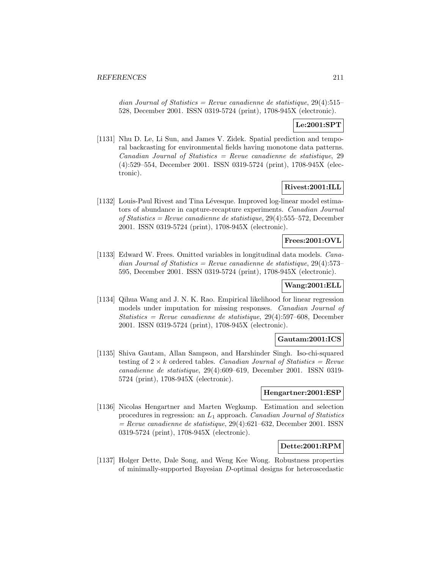dian Journal of Statistics = Revue canadienne de statistique,  $29(4):515-$ 528, December 2001. ISSN 0319-5724 (print), 1708-945X (electronic).

# **Le:2001:SPT**

[1131] Nhu D. Le, Li Sun, and James V. Zidek. Spatial prediction and temporal backcasting for environmental fields having monotone data patterns.  $Canadian Journal of Statistics = Revenue canadienne de statistic, 29$ (4):529–554, December 2001. ISSN 0319-5724 (print), 1708-945X (electronic).

#### **Rivest:2001:ILL**

[1132] Louis-Paul Rivest and Tina Lévesque. Improved log-linear model estimators of abundance in capture-recapture experiments. Canadian Journal of Statistics = Revue canadienne de statistique, 29(4):555–572, December 2001. ISSN 0319-5724 (print), 1708-945X (electronic).

#### **Frees:2001:OVL**

[1133] Edward W. Frees. Omitted variables in longitudinal data models. Canadian Journal of Statistics = Revue canadienne de statistique,  $29(4):573-$ 595, December 2001. ISSN 0319-5724 (print), 1708-945X (electronic).

# **Wang:2001:ELL**

[1134] Qihua Wang and J. N. K. Rao. Empirical likelihood for linear regression models under imputation for missing responses. Canadian Journal of Statistics = Revue canadienne de statistique,  $29(4):597-608$ , December 2001. ISSN 0319-5724 (print), 1708-945X (electronic).

#### **Gautam:2001:ICS**

[1135] Shiva Gautam, Allan Sampson, and Harshinder Singh. Iso-chi-squared testing of  $2 \times k$  ordered tables. Canadian Journal of Statistics = Revue canadienne de statistique, 29(4):609–619, December 2001. ISSN 0319- 5724 (print), 1708-945X (electronic).

# **Hengartner:2001:ESP**

[1136] Nicolas Hengartner and Marten Wegkamp. Estimation and selection procedures in regression: an  $L_1$  approach. Canadian Journal of Statistics  $=$  Revue canadienne de statistique, 29(4):621–632, December 2001. ISSN 0319-5724 (print), 1708-945X (electronic).

### **Dette:2001:RPM**

[1137] Holger Dette, Dale Song, and Weng Kee Wong. Robustness properties of minimally-supported Bayesian D-optimal designs for heteroscedastic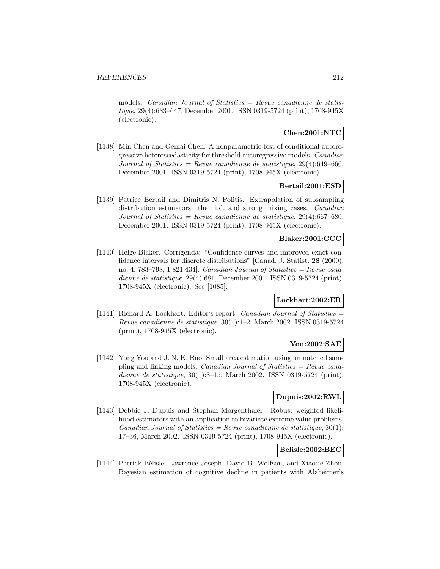models. *Canadian Journal of Statistics = Revue canadienne de statis*tique, 29(4):633–647, December 2001. ISSN 0319-5724 (print), 1708-945X (electronic).

# **Chen:2001:NTC**

[1138] Min Chen and Gemai Chen. A nonparametric test of conditional autoregressive heteroscedasticity for threshold autoregressive models. Canadian Journal of Statistics = Revue canadienne de statistique,  $29(4)$ :649-666, December 2001. ISSN 0319-5724 (print), 1708-945X (electronic).

## **Bertail:2001:ESD**

[1139] Patrice Bertail and Dimitris N. Politis. Extrapolation of subsampling distribution estimators: the i.i.d. and strong mixing cases. *Canadian* Journal of Statistics = Revue canadienne de statistique,  $29(4)$ :667-680, December 2001. ISSN 0319-5724 (print), 1708-945X (electronic).

## **Blaker:2001:CCC**

[1140] Helge Blaker. Corrigenda: "Confidence curves and improved exact confidence intervals for discrete distributions" [Canad. J. Statist. **28** (2000), no. 4, 783–798; 1 821 434]. *Canadian Journal of Statistics = Revue cana*dienne de statistique, 29(4):681, December 2001. ISSN 0319-5724 (print), 1708-945X (electronic). See [1085].

# **Lockhart:2002:ER**

[1141] Richard A. Lockhart. Editor's report. Canadian Journal of Statistics  $=$ Revue canadienne de statistique, 30(1):1–2, March 2002. ISSN 0319-5724 (print), 1708-945X (electronic).

# **You:2002:SAE**

[1142] Yong You and J. N. K. Rao. Small area estimation using unmatched sampling and linking models. *Canadian Journal of Statistics = Revue cana*dienne de statistique, 30(1):3–15, March 2002. ISSN 0319-5724 (print), 1708-945X (electronic).

# **Dupuis:2002:RWL**

[1143] Debbie J. Dupuis and Stephan Morgenthaler. Robust weighted likelihood estimators with an application to bivariate extreme value problems. Canadian Journal of Statistics = Revue canadienne de statistique,  $30(1)$ : 17–36, March 2002. ISSN 0319-5724 (print), 1708-945X (electronic).

# **Belisle:2002:BEC**

[1144] Patrick Bélisle, Lawrence Joseph, David B. Wolfson, and Xiaojie Zhou. Bayesian estimation of cognitive decline in patients with Alzheimer's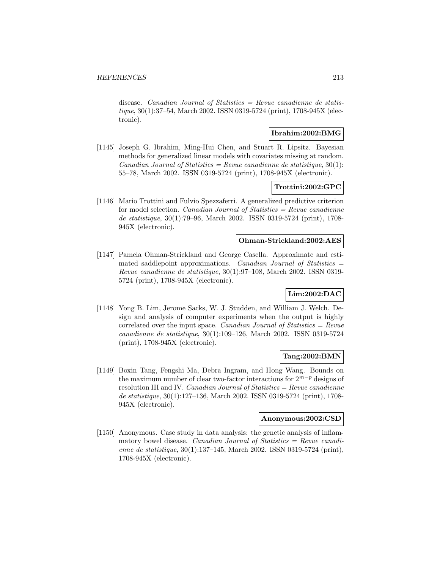disease. Canadian Journal of Statistics  $=$  Revue canadienne de statistique, 30(1):37–54, March 2002. ISSN 0319-5724 (print), 1708-945X (electronic).

## **Ibrahim:2002:BMG**

[1145] Joseph G. Ibrahim, Ming-Hui Chen, and Stuart R. Lipsitz. Bayesian methods for generalized linear models with covariates missing at random. Canadian Journal of Statistics = Revue canadienne de statistique,  $30(1)$ : 55–78, March 2002. ISSN 0319-5724 (print), 1708-945X (electronic).

## **Trottini:2002:GPC**

[1146] Mario Trottini and Fulvio Spezzaferri. A generalized predictive criterion for model selection. Canadian Journal of Statistics  $=$  Revue canadienne de statistique, 30(1):79–96, March 2002. ISSN 0319-5724 (print), 1708- 945X (electronic).

### **Ohman-Strickland:2002:AES**

[1147] Pamela Ohman-Strickland and George Casella. Approximate and estimated saddlepoint approximations. Canadian Journal of Statistics = Revue canadienne de statistique, 30(1):97–108, March 2002. ISSN 0319- 5724 (print), 1708-945X (electronic).

## **Lim:2002:DAC**

[1148] Yong B. Lim, Jerome Sacks, W. J. Studden, and William J. Welch. Design and analysis of computer experiments when the output is highly correlated over the input space. *Canadian Journal of Statistics = Revue* canadienne de statistique, 30(1):109–126, March 2002. ISSN 0319-5724 (print), 1708-945X (electronic).

## **Tang:2002:BMN**

[1149] Boxin Tang, Fengshi Ma, Debra Ingram, and Hong Wang. Bounds on the maximum number of clear two-factor interactions for  $2^{m-p}$  designs of resolution III and IV. Canadian Journal of Statistics =  $Re$ vue canadienne de statistique, 30(1):127–136, March 2002. ISSN 0319-5724 (print), 1708- 945X (electronic).

#### **Anonymous:2002:CSD**

[1150] Anonymous. Case study in data analysis: the genetic analysis of inflammatory bowel disease. Canadian Journal of Statistics  $=$  Revue canadienne de statistique, 30(1):137–145, March 2002. ISSN 0319-5724 (print), 1708-945X (electronic).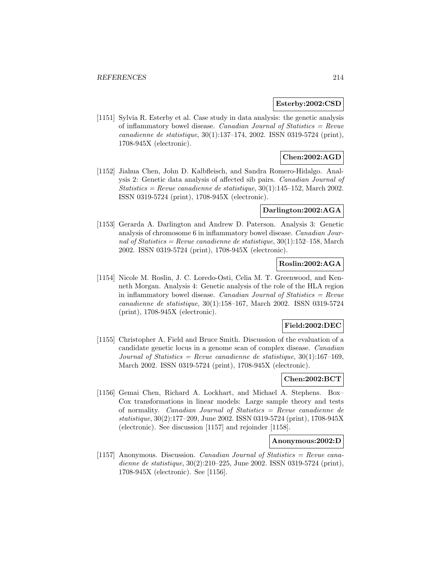#### **Esterby:2002:CSD**

[1151] Sylvia R. Esterby et al. Case study in data analysis: the genetic analysis of inflammatory bowel disease. *Canadian Journal of Statistics = Revue* canadienne de statistique, 30(1):137–174, 2002. ISSN 0319-5724 (print), 1708-945X (electronic).

# **Chen:2002:AGD**

[1152] Jiahua Chen, John D. Kalbfleisch, and Sandra Romero-Hidalgo. Analysis 2: Genetic data analysis of affected sib pairs. Canadian Journal of Statistics = Revue canadienne de statistique,  $30(1):145-152$ , March 2002. ISSN 0319-5724 (print), 1708-945X (electronic).

#### **Darlington:2002:AGA**

[1153] Gerarda A. Darlington and Andrew D. Paterson. Analysis 3: Genetic analysis of chromosome 6 in inflammatory bowel disease. Canadian Journal of Statistics = Revue canadienne de statistique,  $30(1):152-158$ , March 2002. ISSN 0319-5724 (print), 1708-945X (electronic).

# **Roslin:2002:AGA**

[1154] Nicole M. Roslin, J. C. Loredo-Osti, Celia M. T. Greenwood, and Kenneth Morgan. Analysis 4: Genetic analysis of the role of the HLA region in inflammatory bowel disease. Canadian Journal of Statistics  $=$  Revue canadienne de statistique, 30(1):158–167, March 2002. ISSN 0319-5724 (print), 1708-945X (electronic).

### **Field:2002:DEC**

[1155] Christopher A. Field and Bruce Smith. Discussion of the evaluation of a candidate genetic locus in a genome scan of complex disease. Canadian Journal of Statistics = Revue canadienne de statistique,  $30(1):167-169$ . March 2002. ISSN 0319-5724 (print), 1708-945X (electronic).

## **Chen:2002:BCT**

[1156] Gemai Chen, Richard A. Lockhart, and Michael A. Stephens. Box– Cox transformations in linear models: Large sample theory and tests of normality. Canadian Journal of Statistics = Revue canadienne de statistique, 30(2):177–209, June 2002. ISSN 0319-5724 (print), 1708-945X (electronic). See discussion [1157] and rejoinder [1158].

#### **Anonymous:2002:D**

[1157] Anonymous. Discussion. Canadian Journal of Statistics = Revue canadienne de statistique, 30(2):210–225, June 2002. ISSN 0319-5724 (print), 1708-945X (electronic). See [1156].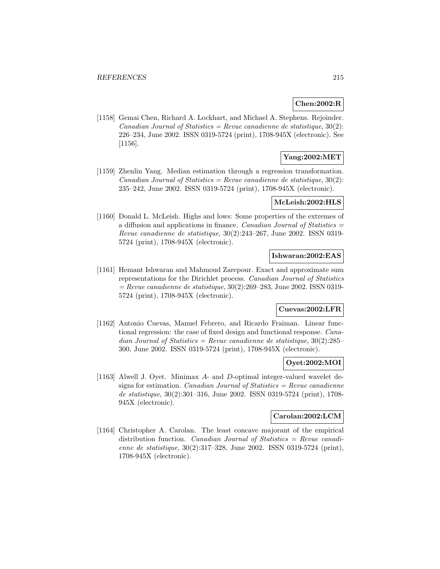#### **Chen:2002:R**

[1158] Gemai Chen, Richard A. Lockhart, and Michael A. Stephens. Rejoinder. Canadian Journal of Statistics = Revue canadienne de statistique,  $30(2)$ : 226–234, June 2002. ISSN 0319-5724 (print), 1708-945X (electronic). See [1156].

## **Yang:2002:MET**

[1159] Zhenlin Yang. Median estimation through a regression transformation. Canadian Journal of Statistics = Revue canadienne de statistique,  $30(2)$ : 235–242, June 2002. ISSN 0319-5724 (print), 1708-945X (electronic).

### **McLeish:2002:HLS**

[1160] Donald L. McLeish. Highs and lows: Some properties of the extremes of a diffusion and applications in finance. Canadian Journal of Statistics = Revue canadienne de statistique, 30(2):243–267, June 2002. ISSN 0319- 5724 (print), 1708-945X (electronic).

## **Ishwaran:2002:EAS**

[1161] Hemant Ishwaran and Mahmoud Zarepour. Exact and approximate sum representations for the Dirichlet process. Canadian Journal of Statistics  $=$  Revue canadienne de statistique, 30(2):269–283, June 2002. ISSN 0319-5724 (print), 1708-945X (electronic).

# **Cuevas:2002:LFR**

[1162] Antonio Cuevas, Manuel Febrero, and Ricardo Fraiman. Linear functional regression: the case of fixed design and functional response. Canadian Journal of Statistics = Revue canadienne de statistique,  $30(2):285-$ 300, June 2002. ISSN 0319-5724 (print), 1708-945X (electronic).

#### **Oyet:2002:MOI**

[1163] Alwell J. Oyet. Minimax A- and D-optimal integer-valued wavelet designs for estimation. *Canadian Journal of Statistics = Revue canadienne* de statistique, 30(2):301–316, June 2002. ISSN 0319-5724 (print), 1708- 945X (electronic).

## **Carolan:2002:LCM**

[1164] Christopher A. Carolan. The least concave majorant of the empirical distribution function. Canadian Journal of Statistics = Revue canadienne de statistique, 30(2):317–328, June 2002. ISSN 0319-5724 (print), 1708-945X (electronic).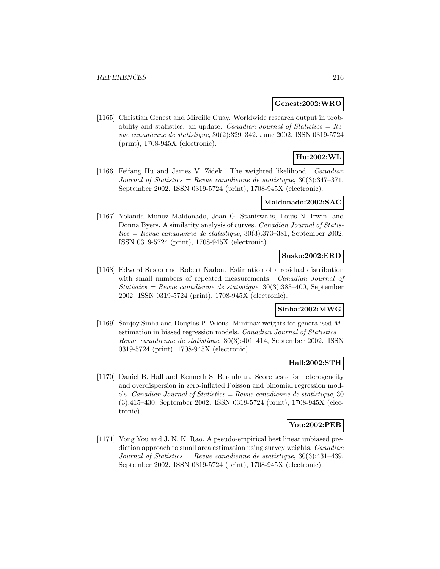### **Genest:2002:WRO**

[1165] Christian Genest and Mireille Guay. Worldwide research output in probability and statistics: an update. Canadian Journal of Statistics =  $Re$ vue canadienne de statistique, 30(2):329–342, June 2002. ISSN 0319-5724 (print), 1708-945X (electronic).

# **Hu:2002:WL**

[1166] Feifang Hu and James V. Zidek. The weighted likelihood. Canadian Journal of Statistics = Revue canadienne de statistique,  $30(3):347-371$ , September 2002. ISSN 0319-5724 (print), 1708-945X (electronic).

### **Maldonado:2002:SAC**

[1167] Yolanda Muñoz Maldonado, Joan G. Staniswalis, Louis N. Irwin, and Donna Byers. A similarity analysis of curves. Canadian Journal of Statistics = Revue canadienne de statistique,  $30(3):373-381$ , September 2002. ISSN 0319-5724 (print), 1708-945X (electronic).

## **Susko:2002:ERD**

[1168] Edward Susko and Robert Nadon. Estimation of a residual distribution with small numbers of repeated measurements. *Canadian Journal of* Statistics = Revue canadienne de statistique,  $30(3):383-400$ , September 2002. ISSN 0319-5724 (print), 1708-945X (electronic).

# **Sinha:2002:MWG**

[1169] Sanjoy Sinha and Douglas P. Wiens. Minimax weights for generalised Mestimation in biased regression models. Canadian Journal of Statistics  $=$ Revue canadienne de statistique, 30(3):401–414, September 2002. ISSN 0319-5724 (print), 1708-945X (electronic).

### **Hall:2002:STH**

[1170] Daniel B. Hall and Kenneth S. Berenhaut. Score tests for heterogeneity and overdispersion in zero-inflated Poisson and binomial regression models. Canadian Journal of Statistics = Revue canadienne de statistique, 30 (3):415–430, September 2002. ISSN 0319-5724 (print), 1708-945X (electronic).

### **You:2002:PEB**

[1171] Yong You and J. N. K. Rao. A pseudo-empirical best linear unbiased prediction approach to small area estimation using survey weights. Canadian Journal of Statistics = Revue canadienne de statistique,  $30(3):431-439$ , September 2002. ISSN 0319-5724 (print), 1708-945X (electronic).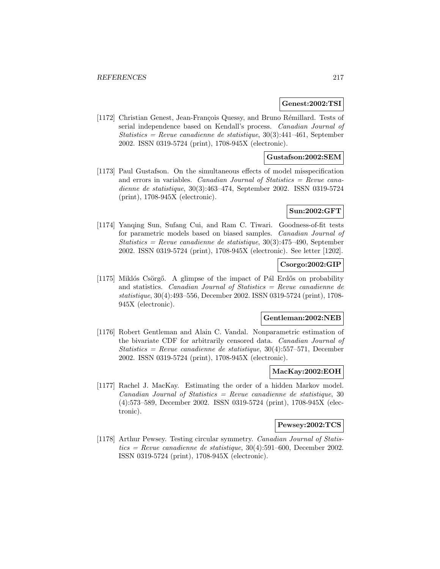### **Genest:2002:TSI**

[1172] Christian Genest, Jean-François Quessy, and Bruno Rémillard. Tests of serial independence based on Kendall's process. Canadian Journal of Statistics = Revue canadienne de statistique,  $30(3):441-461$ , September 2002. ISSN 0319-5724 (print), 1708-945X (electronic).

### **Gustafson:2002:SEM**

[1173] Paul Gustafson. On the simultaneous effects of model misspecification and errors in variables. *Canadian Journal of Statistics = Revue cana*dienne de statistique, 30(3):463–474, September 2002. ISSN 0319-5724 (print), 1708-945X (electronic).

### **Sun:2002:GFT**

[1174] Yanqing Sun, Sufang Cui, and Ram C. Tiwari. Goodness-of-fit tests for parametric models based on biased samples. Canadian Journal of Statistics = Revue canadienne de statistique,  $30(3):475-490$ , September 2002. ISSN 0319-5724 (print), 1708-945X (electronic). See letter [1202].

# **Csorgo:2002:GIP**

[1175] Miklós Csörgő. A glimpse of the impact of Pál Erdős on probability and statistics. Canadian Journal of Statistics = Revue canadienne de statistique, 30(4):493–556, December 2002. ISSN 0319-5724 (print), 1708- 945X (electronic).

#### **Gentleman:2002:NEB**

[1176] Robert Gentleman and Alain C. Vandal. Nonparametric estimation of the bivariate CDF for arbitrarily censored data. Canadian Journal of Statistics = Revue canadienne de statistique,  $30(4):557-571$ , December 2002. ISSN 0319-5724 (print), 1708-945X (electronic).

### **MacKay:2002:EOH**

[1177] Rachel J. MacKay. Estimating the order of a hidden Markov model.  $Canadian Journal of Statistics = Review can a dienne de statistic, 30$ (4):573–589, December 2002. ISSN 0319-5724 (print), 1708-945X (electronic).

### **Pewsey:2002:TCS**

[1178] Arthur Pewsey. Testing circular symmetry. Canadian Journal of Statistics = Revue canadienne de statistique,  $30(4):591-600$ , December 2002. ISSN 0319-5724 (print), 1708-945X (electronic).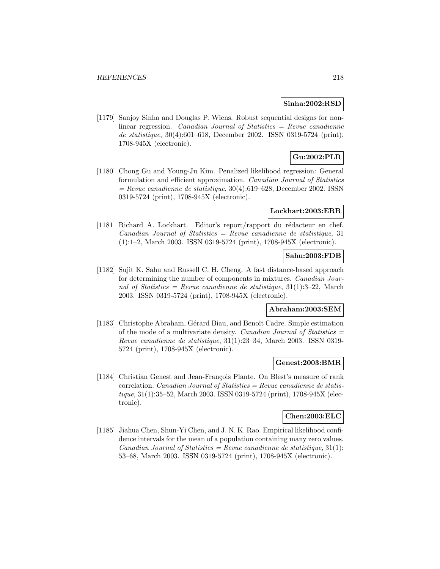### **Sinha:2002:RSD**

[1179] Sanjoy Sinha and Douglas P. Wiens. Robust sequential designs for nonlinear regression. Canadian Journal of Statistics = Revue canadienne de statistique, 30(4):601–618, December 2002. ISSN 0319-5724 (print), 1708-945X (electronic).

# **Gu:2002:PLR**

[1180] Chong Gu and Young-Ju Kim. Penalized likelihood regression: General formulation and efficient approximation. Canadian Journal of Statistics  $=$  Revue canadienne de statistique, 30(4):619–628, December 2002. ISSN 0319-5724 (print), 1708-945X (electronic).

# **Lockhart:2003:ERR**

[1181] Richard A. Lockhart. Editor's report/rapport du rédacteur en chef.  $Canadian Journal of Statistics = Revenue canadienne de statistic, 31$ (1):1–2, March 2003. ISSN 0319-5724 (print), 1708-945X (electronic).

### **Sahu:2003:FDB**

[1182] Sujit K. Sahu and Russell C. H. Cheng. A fast distance-based approach for determining the number of components in mixtures. Canadian Journal of Statistics = Revue canadienne de statistique,  $31(1):3-22$ , March 2003. ISSN 0319-5724 (print), 1708-945X (electronic).

# **Abraham:2003:SEM**

[1183] Christophe Abraham, Gérard Biau, and Benoît Cadre. Simple estimation of the mode of a multivariate density. Canadian Journal of Statistics  $=$ Revue canadienne de statistique, 31(1):23–34, March 2003. ISSN 0319- 5724 (print), 1708-945X (electronic).

#### **Genest:2003:BMR**

[1184] Christian Genest and Jean-François Plante. On Blest's measure of rank correlation. Canadian Journal of Statistics = Revue canadienne de statistique, 31(1):35–52, March 2003. ISSN 0319-5724 (print), 1708-945X (electronic).

# **Chen:2003:ELC**

[1185] Jiahua Chen, Shun-Yi Chen, and J. N. K. Rao. Empirical likelihood confidence intervals for the mean of a population containing many zero values. Canadian Journal of Statistics = Revue canadienne de statistique,  $31(1)$ : 53–68, March 2003. ISSN 0319-5724 (print), 1708-945X (electronic).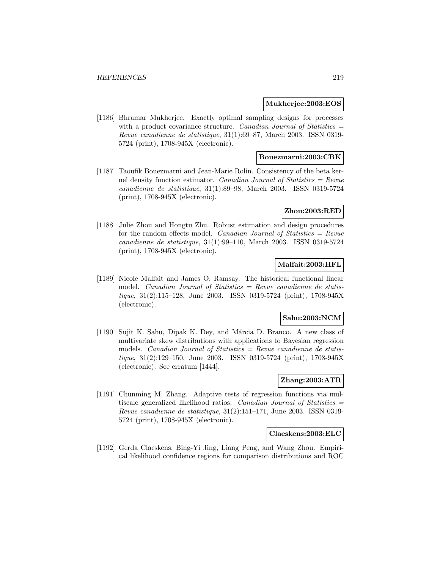#### **Mukherjee:2003:EOS**

[1186] Bhramar Mukherjee. Exactly optimal sampling designs for processes with a product covariance structure. Canadian Journal of Statistics  $=$ Revue canadienne de statistique, 31(1):69–87, March 2003. ISSN 0319- 5724 (print), 1708-945X (electronic).

### **Bouezmarni:2003:CBK**

[1187] Taoufik Bouezmarni and Jean-Marie Rolin. Consistency of the beta kernel density function estimator. Canadian Journal of Statistics  $=$  Revue canadienne de statistique, 31(1):89–98, March 2003. ISSN 0319-5724 (print), 1708-945X (electronic).

### **Zhou:2003:RED**

[1188] Julie Zhou and Hongtu Zhu. Robust estimation and design procedures for the random effects model. Canadian Journal of Statistics  $=$  Revue canadienne de statistique, 31(1):99–110, March 2003. ISSN 0319-5724 (print), 1708-945X (electronic).

### **Malfait:2003:HFL**

[1189] Nicole Malfait and James O. Ramsay. The historical functional linear model. *Canadian Journal of Statistics = Revue canadienne de statis*tique, 31(2):115–128, June 2003. ISSN 0319-5724 (print), 1708-945X (electronic).

#### **Sahu:2003:NCM**

[1190] Sujit K. Sahu, Dipak K. Dey, and Márcia D. Branco. A new class of multivariate skew distributions with applications to Bayesian regression models. *Canadian Journal of Statistics = Revue canadienne de statis*tique, 31(2):129–150, June 2003. ISSN 0319-5724 (print), 1708-945X (electronic). See erratum [1444].

# **Zhang:2003:ATR**

[1191] Chunming M. Zhang. Adaptive tests of regression functions via multiscale generalized likelihood ratios. Canadian Journal of Statistics = Revue canadienne de statistique, 31(2):151–171, June 2003. ISSN 0319- 5724 (print), 1708-945X (electronic).

#### **Claeskens:2003:ELC**

[1192] Gerda Claeskens, Bing-Yi Jing, Liang Peng, and Wang Zhou. Empirical likelihood confidence regions for comparison distributions and ROC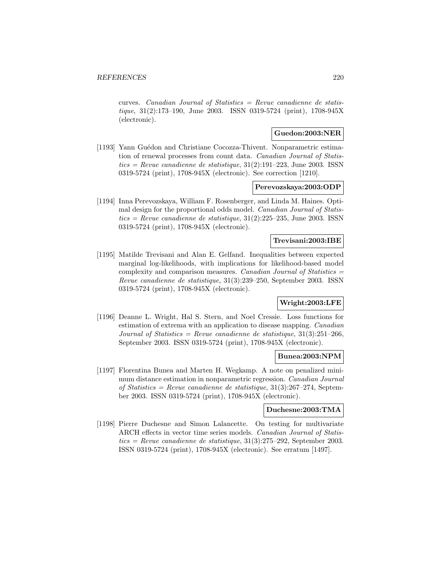curves. Canadian Journal of Statistics  $=$  Revue canadienne de statistique, 31(2):173–190, June 2003. ISSN 0319-5724 (print), 1708-945X (electronic).

# **Guedon:2003:NER**

[1193] Yann Guédon and Christiane Cocozza-Thivent. Nonparametric estimation of renewal processes from count data. Canadian Journal of Statis $tics = Revue$  canadienne de statistique, 31(2):191–223, June 2003. ISSN0319-5724 (print), 1708-945X (electronic). See correction [1210].

### **Perevozskaya:2003:ODP**

[1194] Inna Perevozskaya, William F. Rosenberger, and Linda M. Haines. Optimal design for the proportional odds model. Canadian Journal of Statis $tics = Revue$  canadienne de statistique, 31(2):225–235, June 2003. ISSN0319-5724 (print), 1708-945X (electronic).

### **Trevisani:2003:IBE**

[1195] Matilde Trevisani and Alan E. Gelfand. Inequalities between expected marginal log-likelihoods, with implications for likelihood-based model complexity and comparison measures. Canadian Journal of Statistics = Revue canadienne de statistique, 31(3):239–250, September 2003. ISSN 0319-5724 (print), 1708-945X (electronic).

# **Wright:2003:LFE**

[1196] Deanne L. Wright, Hal S. Stern, and Noel Cressie. Loss functions for estimation of extrema with an application to disease mapping. Canadian Journal of Statistics = Revue canadienne de statistique,  $31(3):251-266$ , September 2003. ISSN 0319-5724 (print), 1708-945X (electronic).

### **Bunea:2003:NPM**

[1197] Florentina Bunea and Marten H. Wegkamp. A note on penalized minimum distance estimation in nonparametric regression. Canadian Journal of Statistics = Revue canadienne de statistique,  $31(3):267-274$ , September 2003. ISSN 0319-5724 (print), 1708-945X (electronic).

### **Duchesne:2003:TMA**

[1198] Pierre Duchesne and Simon Lalancette. On testing for multivariate ARCH effects in vector time series models. Canadian Journal of Statistics = Revue canadienne de statistique,  $31(3):275-292$ , September 2003. ISSN 0319-5724 (print), 1708-945X (electronic). See erratum [1497].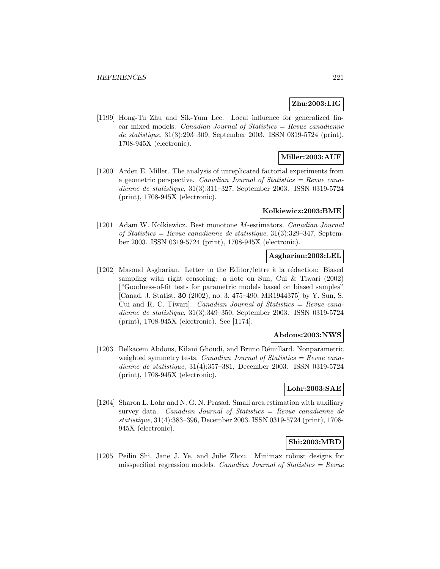# **Zhu:2003:LIG**

[1199] Hong-Tu Zhu and Sik-Yum Lee. Local influence for generalized linear mixed models. *Canadian Journal of Statistics = Revue canadienne* de statistique, 31(3):293–309, September 2003. ISSN 0319-5724 (print), 1708-945X (electronic).

# **Miller:2003:AUF**

[1200] Arden E. Miller. The analysis of unreplicated factorial experiments from a geometric perspective. Canadian Journal of Statistics  $=$  Revue canadienne de statistique, 31(3):311–327, September 2003. ISSN 0319-5724 (print), 1708-945X (electronic).

#### **Kolkiewicz:2003:BME**

[1201] Adam W. Kolkiewicz. Best monotone M-estimators. Canadian Journal of Statistics = Revue canadienne de statistique, 31(3):329–347, September 2003. ISSN 0319-5724 (print), 1708-945X (electronic).

### **Asgharian:2003:LEL**

[1202] Masoud Asgharian. Letter to the Editor/lettre  $\hat{a}$  la rédaction: Biased sampling with right censoring: a note on Sun, Cui & Tiwari (2002) ["Goodness-of-fit tests for parametric models based on biased samples" [Canad. J. Statist. **30** (2002), no. 3, 475–490; MR1944375] by Y. Sun, S. Cui and R. C. Tiwari]. Canadian Journal of Statistics = Revue canadienne de statistique, 31(3):349–350, September 2003. ISSN 0319-5724 (print), 1708-945X (electronic). See [1174].

#### **Abdous:2003:NWS**

[1203] Belkacem Abdous, Kilani Ghoudi, and Bruno Rémillard. Nonparametric weighted symmetry tests. Canadian Journal of Statistics  $=$  Revue canadienne de statistique, 31(4):357–381, December 2003. ISSN 0319-5724 (print), 1708-945X (electronic).

### **Lohr:2003:SAE**

[1204] Sharon L. Lohr and N. G. N. Prasad. Small area estimation with auxiliary survey data. Canadian Journal of Statistics = Revue canadienne de statistique, 31(4):383–396, December 2003. ISSN 0319-5724 (print), 1708- 945X (electronic).

# **Shi:2003:MRD**

[1205] Peilin Shi, Jane J. Ye, and Julie Zhou. Minimax robust designs for misspecified regression models. Canadian Journal of Statistics  $=$  Revue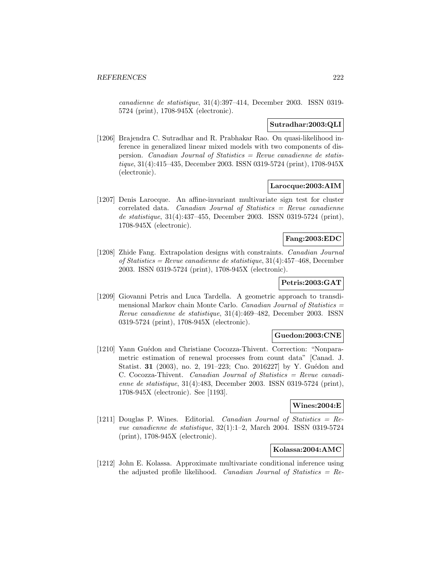canadienne de statistique, 31(4):397–414, December 2003. ISSN 0319- 5724 (print), 1708-945X (electronic).

## **Sutradhar:2003:QLI**

[1206] Brajendra C. Sutradhar and R. Prabhakar Rao. On quasi-likelihood inference in generalized linear mixed models with two components of dispersion. Canadian Journal of Statistics  $=$  Revue canadienne de statistique, 31(4):415–435, December 2003. ISSN 0319-5724 (print), 1708-945X (electronic).

### **Larocque:2003:AIM**

[1207] Denis Larocque. An affine-invariant multivariate sign test for cluster correlated data. *Canadian Journal of Statistics = Revue canadienne* de statistique, 31(4):437–455, December 2003. ISSN 0319-5724 (print), 1708-945X (electronic).

# **Fang:2003:EDC**

[1208] Zhide Fang. Extrapolation designs with constraints. Canadian Journal of Statistics = Revue canadienne de statistique, 31(4):457–468, December 2003. ISSN 0319-5724 (print), 1708-945X (electronic).

# **Petris:2003:GAT**

[1209] Giovanni Petris and Luca Tardella. A geometric approach to transdimensional Markov chain Monte Carlo. Canadian Journal of Statistics = Revue canadienne de statistique, 31(4):469–482, December 2003. ISSN 0319-5724 (print), 1708-945X (electronic).

### **Guedon:2003:CNE**

[1210] Yann Guédon and Christiane Cocozza-Thivent. Correction: "Nonparametric estimation of renewal processes from count data" [Canad. J. Statist. **31** (2003), no. 2, 191–223; Cno. 2016227] by Y. Guédon and C. Cocozza-Thivent. Canadian Journal of Statistics = Revue canadienne de statistique, 31(4):483, December 2003. ISSN 0319-5724 (print), 1708-945X (electronic). See [1193].

#### **Wines:2004:E**

[1211] Douglas P. Wines. Editorial. *Canadian Journal of Statistics = Re*vue canadienne de statistique, 32(1):1–2, March 2004. ISSN 0319-5724 (print), 1708-945X (electronic).

# **Kolassa:2004:AMC**

[1212] John E. Kolassa. Approximate multivariate conditional inference using the adjusted profile likelihood. Canadian Journal of Statistics  $=$  Re-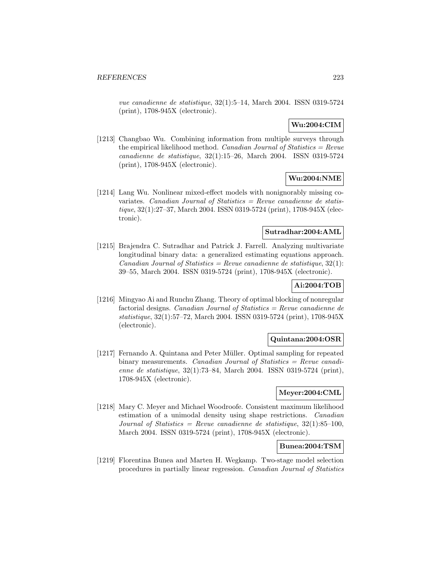vue canadienne de statistique, 32(1):5–14, March 2004. ISSN 0319-5724 (print), 1708-945X (electronic).

# **Wu:2004:CIM**

[1213] Changbao Wu. Combining information from multiple surveys through the empirical likelihood method. *Canadian Journal of Statistics = Revue* canadienne de statistique, 32(1):15–26, March 2004. ISSN 0319-5724 (print), 1708-945X (electronic).

### **Wu:2004:NME**

[1214] Lang Wu. Nonlinear mixed-effect models with nonignorably missing covariates. Canadian Journal of Statistics = Revue canadienne de statistique, 32(1):27–37, March 2004. ISSN 0319-5724 (print), 1708-945X (electronic).

#### **Sutradhar:2004:AML**

[1215] Brajendra C. Sutradhar and Patrick J. Farrell. Analyzing multivariate longitudinal binary data: a generalized estimating equations approach. Canadian Journal of Statistics = Revue canadienne de statistique,  $32(1)$ : 39–55, March 2004. ISSN 0319-5724 (print), 1708-945X (electronic).

# **Ai:2004:TOB**

[1216] Mingyao Ai and Runchu Zhang. Theory of optimal blocking of nonregular factorial designs. Canadian Journal of Statistics  $=$  Revue canadienne de statistique, 32(1):57–72, March 2004. ISSN 0319-5724 (print), 1708-945X (electronic).

### **Quintana:2004:OSR**

[1217] Fernando A. Quintana and Peter M¨uller. Optimal sampling for repeated binary measurements. Canadian Journal of Statistics = Revue canadienne de statistique, 32(1):73–84, March 2004. ISSN 0319-5724 (print), 1708-945X (electronic).

### **Meyer:2004:CML**

[1218] Mary C. Meyer and Michael Woodroofe. Consistent maximum likelihood estimation of a unimodal density using shape restrictions. Canadian Journal of Statistics = Revue canadienne de statistique,  $32(1)$ :85-100, March 2004. ISSN 0319-5724 (print), 1708-945X (electronic).

# **Bunea:2004:TSM**

[1219] Florentina Bunea and Marten H. Wegkamp. Two-stage model selection procedures in partially linear regression. Canadian Journal of Statistics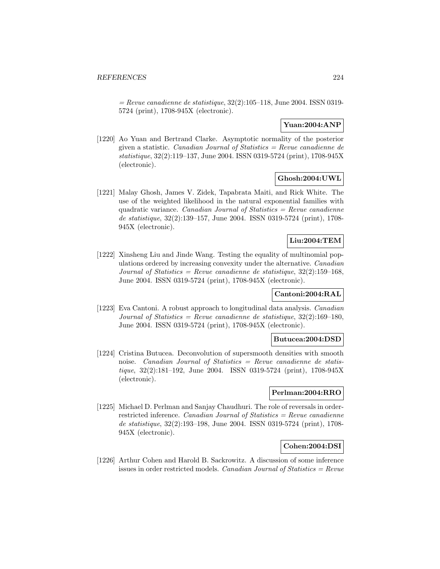$=$  Revue canadienne de statistique, 32(2):105–118, June 2004. ISSN 0319-5724 (print), 1708-945X (electronic).

# **Yuan:2004:ANP**

[1220] Ao Yuan and Bertrand Clarke. Asymptotic normality of the posterior given a statistic. *Canadian Journal of Statistics = Revue canadienne de* statistique, 32(2):119–137, June 2004. ISSN 0319-5724 (print), 1708-945X (electronic).

### **Ghosh:2004:UWL**

[1221] Malay Ghosh, James V. Zidek, Tapabrata Maiti, and Rick White. The use of the weighted likelihood in the natural exponential families with quadratic variance. Canadian Journal of Statistics  $=$  Revue canadienne de statistique, 32(2):139–157, June 2004. ISSN 0319-5724 (print), 1708- 945X (electronic).

# **Liu:2004:TEM**

[1222] Xinsheng Liu and Jinde Wang. Testing the equality of multinomial populations ordered by increasing convexity under the alternative. Canadian Journal of Statistics = Revue canadienne de statistique,  $32(2):159-168$ , June 2004. ISSN 0319-5724 (print), 1708-945X (electronic).

### **Cantoni:2004:RAL**

[1223] Eva Cantoni. A robust approach to longitudinal data analysis. Canadian Journal of Statistics = Revue canadienne de statistique,  $32(2):169-180$ , June 2004. ISSN 0319-5724 (print), 1708-945X (electronic).

#### **Butucea:2004:DSD**

[1224] Cristina Butucea. Deconvolution of supersmooth densities with smooth noise. Canadian Journal of Statistics = Revue canadienne de statistique, 32(2):181–192, June 2004. ISSN 0319-5724 (print), 1708-945X (electronic).

### **Perlman:2004:RRO**

[1225] Michael D. Perlman and Sanjay Chaudhuri. The role of reversals in orderrestricted inference. Canadian Journal of Statistics  $=$  Revue canadienne de statistique, 32(2):193–198, June 2004. ISSN 0319-5724 (print), 1708- 945X (electronic).

# **Cohen:2004:DSI**

[1226] Arthur Cohen and Harold B. Sackrowitz. A discussion of some inference issues in order restricted models. Canadian Journal of Statistics =  $Re$ vue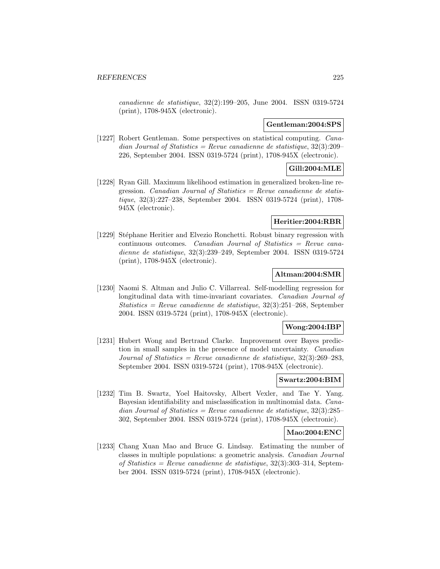canadienne de statistique, 32(2):199–205, June 2004. ISSN 0319-5724 (print), 1708-945X (electronic).

### **Gentleman:2004:SPS**

[1227] Robert Gentleman. Some perspectives on statistical computing. Canadian Journal of Statistics = Revue canadienne de statistique,  $32(3):209$ 226, September 2004. ISSN 0319-5724 (print), 1708-945X (electronic).

# **Gill:2004:MLE**

[1228] Ryan Gill. Maximum likelihood estimation in generalized broken-line regression. *Canadian Journal of Statistics = Revue canadienne de statis*tique, 32(3):227–238, September 2004. ISSN 0319-5724 (print), 1708- 945X (electronic).

# **Heritier:2004:RBR**

[1229] Stéphane Heritier and Elvezio Ronchetti. Robust binary regression with continuous outcomes. Canadian Journal of Statistics = Revue canadienne de statistique, 32(3):239–249, September 2004. ISSN 0319-5724 (print), 1708-945X (electronic).

### **Altman:2004:SMR**

[1230] Naomi S. Altman and Julio C. Villarreal. Self-modelling regression for longitudinal data with time-invariant covariates. Canadian Journal of Statistics = Revue canadienne de statistique,  $32(3):251-268$ , September 2004. ISSN 0319-5724 (print), 1708-945X (electronic).

### **Wong:2004:IBP**

[1231] Hubert Wong and Bertrand Clarke. Improvement over Bayes prediction in small samples in the presence of model uncertainty. Canadian Journal of Statistics = Revue canadienne de statistique,  $32(3):269-283$ . September 2004. ISSN 0319-5724 (print), 1708-945X (electronic).

# **Swartz:2004:BIM**

[1232] Tim B. Swartz, Yoel Haitovsky, Albert Vexler, and Tae Y. Yang. Bayesian identifiability and misclassification in multinomial data. Canadian Journal of Statistics = Revue canadienne de statistique,  $32(3):285$ 302, September 2004. ISSN 0319-5724 (print), 1708-945X (electronic).

### **Mao:2004:ENC**

[1233] Chang Xuan Mao and Bruce G. Lindsay. Estimating the number of classes in multiple populations: a geometric analysis. Canadian Journal of Statistics = Revue canadienne de statistique, 32(3):303–314, September 2004. ISSN 0319-5724 (print), 1708-945X (electronic).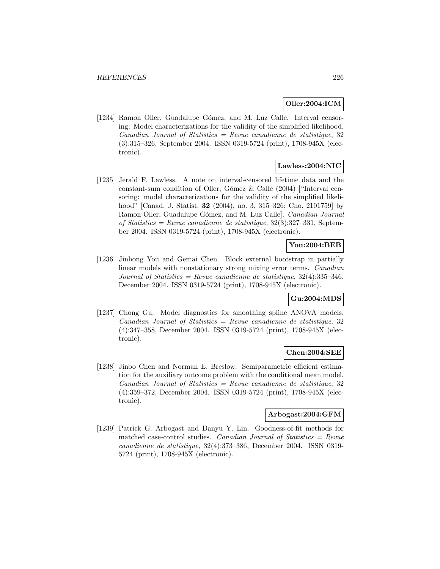### **Oller:2004:ICM**

[1234] Ramon Oller, Guadalupe Gómez, and M. Luz Calle. Interval censoring: Model characterizations for the validity of the simplified likelihood.  $Canadian Journal of Statistics = Review canadienne de statistic, 32$ (3):315–326, September 2004. ISSN 0319-5724 (print), 1708-945X (electronic).

# **Lawless:2004:NIC**

[1235] Jerald F. Lawless. A note on interval-censored lifetime data and the constant-sum condition of Oller, Gómez & Calle  $(2004)$  ["Interval censoring: model characterizations for the validity of the simplified likelihood" [Canad. J. Statist. **32** (2004), no. 3, 315–326; Cno. 2101759] by Ramon Oller, Guadalupe Gómez, and M. Luz Calle. Canadian Journal of Statistics = Revue canadienne de statistique,  $32(3):327-331$ , September 2004. ISSN 0319-5724 (print), 1708-945X (electronic).

# **You:2004:BEB**

[1236] Jinhong You and Gemai Chen. Block external bootstrap in partially linear models with nonstationary strong mixing error terms. Canadian Journal of Statistics = Revue canadienne de statistique,  $32(4):335-346$ , December 2004. ISSN 0319-5724 (print), 1708-945X (electronic).

### **Gu:2004:MDS**

[1237] Chong Gu. Model diagnostics for smoothing spline ANOVA models.  $Canadian Journal of Statistics = Review canadienne de statistic, 32$ (4):347–358, December 2004. ISSN 0319-5724 (print), 1708-945X (electronic).

#### **Chen:2004:SEE**

[1238] Jinbo Chen and Norman E. Breslow. Semiparametric efficient estimation for the auxiliary outcome problem with the conditional mean model.  $Canadian Journal of Statistics = Revenue canadienne de statistic, 32$ (4):359–372, December 2004. ISSN 0319-5724 (print), 1708-945X (electronic).

# **Arbogast:2004:GFM**

[1239] Patrick G. Arbogast and Danyu Y. Lin. Goodness-of-fit methods for matched case-control studies. Canadian Journal of Statistics = Revue canadienne de statistique, 32(4):373–386, December 2004. ISSN 0319- 5724 (print), 1708-945X (electronic).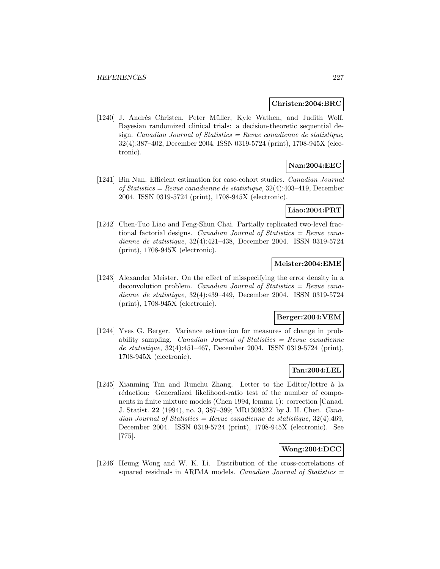#### **Christen:2004:BRC**

[1240] J. Andrés Christen, Peter Müller, Kyle Wathen, and Judith Wolf. Bayesian randomized clinical trials: a decision-theoretic sequential design. Canadian Journal of Statistics  $=$  Revue canadienne de statistique, 32(4):387–402, December 2004. ISSN 0319-5724 (print), 1708-945X (electronic).

# **Nan:2004:EEC**

[1241] Bin Nan. Efficient estimation for case-cohort studies. Canadian Journal of Statistics = Revue canadienne de statistique, 32(4):403–419, December 2004. ISSN 0319-5724 (print), 1708-945X (electronic).

#### **Liao:2004:PRT**

[1242] Chen-Tuo Liao and Feng-Shun Chai. Partially replicated two-level fractional factorial designs. Canadian Journal of Statistics = Revue canadienne de statistique, 32(4):421–438, December 2004. ISSN 0319-5724 (print), 1708-945X (electronic).

#### **Meister:2004:EME**

[1243] Alexander Meister. On the effect of misspecifying the error density in a deconvolution problem. Canadian Journal of Statistics = Revue canadienne de statistique, 32(4):439–449, December 2004. ISSN 0319-5724 (print), 1708-945X (electronic).

#### **Berger:2004:VEM**

[1244] Yves G. Berger. Variance estimation for measures of change in probability sampling. Canadian Journal of Statistics  $=$  Revue canadienne de statistique, 32(4):451–467, December 2004. ISSN 0319-5724 (print), 1708-945X (electronic).

# **Tan:2004:LEL**

[1245] Xianming Tan and Runchu Zhang. Letter to the Editor/lettre  $\grave{a}$  la rédaction: Generalized likelihood-ratio test of the number of components in finite mixture models (Chen 1994, lemma 1): correction [Canad. J. Statist. **22** (1994), no. 3, 387–399; MR1309322] by J. H. Chen. Canadian Journal of Statistics = Revue canadienne de statistique,  $32(4):469$ , December 2004. ISSN 0319-5724 (print), 1708-945X (electronic). See [775].

### **Wong:2004:DCC**

[1246] Heung Wong and W. K. Li. Distribution of the cross-correlations of squared residuals in ARIMA models. *Canadian Journal of Statistics*  $=$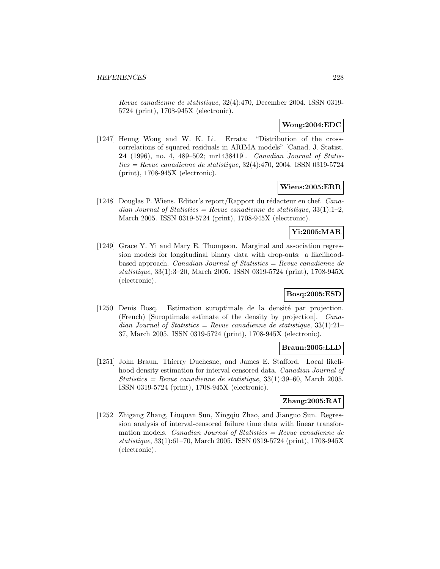Revue canadienne de statistique, 32(4):470, December 2004. ISSN 0319- 5724 (print), 1708-945X (electronic).

## **Wong:2004:EDC**

[1247] Heung Wong and W. K. Li. Errata: "Distribution of the crosscorrelations of squared residuals in ARIMA models" [Canad. J. Statist. **24** (1996), no. 4, 489–502; mr1438419]. Canadian Journal of Statis $tics = Revue$  canadienne de statistique, 32(4):470, 2004. ISSN 0319-5724(print), 1708-945X (electronic).

### **Wiens:2005:ERR**

[1248] Douglas P. Wiens. Editor's report/Rapport du rédacteur en chef.  $Cana$ dian Journal of Statistics = Revue canadienne de statistique,  $33(1):1-2$ , March 2005. ISSN 0319-5724 (print), 1708-945X (electronic).

### **Yi:2005:MAR**

[1249] Grace Y. Yi and Mary E. Thompson. Marginal and association regression models for longitudinal binary data with drop-outs: a likelihoodbased approach. *Canadian Journal of Statistics = Revue canadienne de* statistique, 33(1):3–20, March 2005. ISSN 0319-5724 (print), 1708-945X (electronic).

### **Bosq:2005:ESD**

[1250] Denis Bosq. Estimation suroptimale de la densité par projection. (French) [Suroptimale estimate of the density by projection]. Canadian Journal of Statistics = Revue canadienne de statistique,  $33(1):21-$ 37, March 2005. ISSN 0319-5724 (print), 1708-945X (electronic).

### **Braun:2005:LLD**

[1251] John Braun, Thierry Duchesne, and James E. Stafford. Local likelihood density estimation for interval censored data. Canadian Journal of  $Statistics = Revenue canadienne de statistic, 33(1):39-60, March 2005.$ ISSN 0319-5724 (print), 1708-945X (electronic).

### **Zhang:2005:RAI**

[1252] Zhigang Zhang, Liuquan Sun, Xingqiu Zhao, and Jianguo Sun. Regression analysis of interval-censored failure time data with linear transformation models. Canadian Journal of Statistics = Revue canadienne de statistique, 33(1):61–70, March 2005. ISSN 0319-5724 (print), 1708-945X (electronic).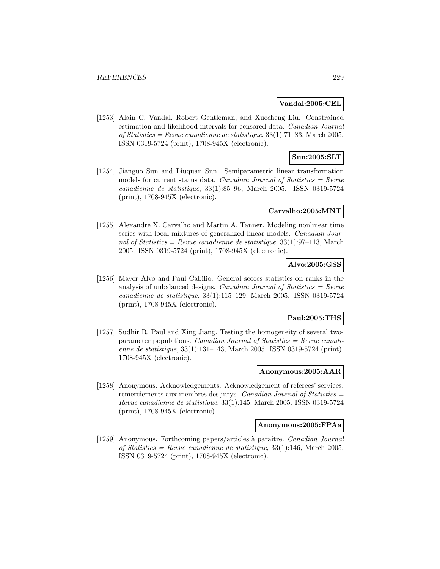#### **Vandal:2005:CEL**

[1253] Alain C. Vandal, Robert Gentleman, and Xuecheng Liu. Constrained estimation and likelihood intervals for censored data. Canadian Journal of Statistics = Revue canadienne de statistique,  $33(1)$ :71–83, March 2005. ISSN 0319-5724 (print), 1708-945X (electronic).

# **Sun:2005:SLT**

[1254] Jianguo Sun and Liuquan Sun. Semiparametric linear transformation models for current status data. Canadian Journal of Statistics  $=$  Revue canadienne de statistique, 33(1):85–96, March 2005. ISSN 0319-5724 (print), 1708-945X (electronic).

### **Carvalho:2005:MNT**

[1255] Alexandre X. Carvalho and Martin A. Tanner. Modeling nonlinear time series with local mixtures of generalized linear models. Canadian Journal of Statistics = Revue canadienne de statistique,  $33(1):97-113$ , March 2005. ISSN 0319-5724 (print), 1708-945X (electronic).

# **Alvo:2005:GSS**

[1256] Mayer Alvo and Paul Cabilio. General scores statistics on ranks in the analysis of unbalanced designs. Canadian Journal of Statistics  $=$  Revue canadienne de statistique, 33(1):115–129, March 2005. ISSN 0319-5724 (print), 1708-945X (electronic).

# **Paul:2005:THS**

[1257] Sudhir R. Paul and Xing Jiang. Testing the homogeneity of several twoparameter populations. Canadian Journal of Statistics = Revue canadienne de statistique, 33(1):131–143, March 2005. ISSN 0319-5724 (print), 1708-945X (electronic).

### **Anonymous:2005:AAR**

[1258] Anonymous. Acknowledgements: Acknowledgement of referees' services. remerciements aux membres des jurys. Canadian Journal of Statistics = Revue canadienne de statistique, 33(1):145, March 2005. ISSN 0319-5724 (print), 1708-945X (electronic).

### **Anonymous:2005:FPAa**

[1259] Anonymous. Forthcoming papers/articles à paraître. Canadian Journal of Statistics = Revue canadienne de statistique,  $33(1):146$ , March 2005. ISSN 0319-5724 (print), 1708-945X (electronic).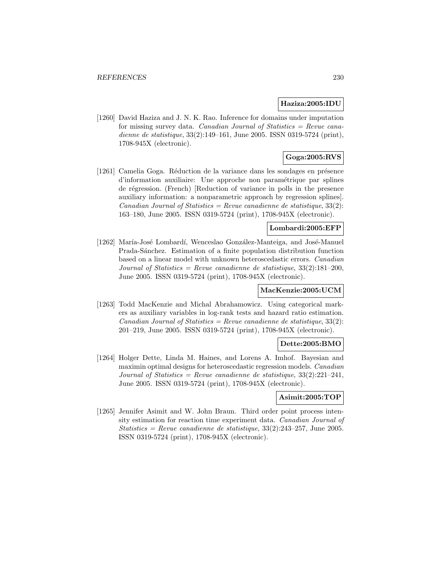### **Haziza:2005:IDU**

[1260] David Haziza and J. N. K. Rao. Inference for domains under imputation for missing survey data. Canadian Journal of Statistics  $=$  Revue canadienne de statistique, 33(2):149–161, June 2005. ISSN 0319-5724 (print), 1708-945X (electronic).

# **Goga:2005:RVS**

[1261] Camelia Goga. Réduction de la variance dans les sondages en présence d'information auxiliaire: Une approche non param´etrique par splines de régression. (French) [Reduction of variance in polls in the presence auxiliary information: a nonparametric approach by regression splines]. Canadian Journal of Statistics = Revue canadienne de statistique,  $33(2)$ : 163–180, June 2005. ISSN 0319-5724 (print), 1708-945X (electronic).

### **Lombardi:2005:EFP**

[1262] María-José Lombardí, Wenceslao González-Manteiga, and José-Manuel Prada-Sánchez. Estimation of a finite population distribution function based on a linear model with unknown heteroscedastic errors. Canadian Journal of Statistics = Revue canadienne de statistique,  $33(2):181-200$ , June 2005. ISSN 0319-5724 (print), 1708-945X (electronic).

### **MacKenzie:2005:UCM**

[1263] Todd MacKenzie and Michal Abrahamowicz. Using categorical markers as auxiliary variables in log-rank tests and hazard ratio estimation.  $Canadian Journal of Statistics = Review canadienne de statistic, 33(2):$ 201–219, June 2005. ISSN 0319-5724 (print), 1708-945X (electronic).

### **Dette:2005:BMO**

[1264] Holger Dette, Linda M. Haines, and Lorens A. Imhof. Bayesian and maximin optimal designs for heteroscedastic regression models. Canadian Journal of Statistics = Revue canadienne de statistique,  $33(2):221-241$ , June 2005. ISSN 0319-5724 (print), 1708-945X (electronic).

#### **Asimit:2005:TOP**

[1265] Jennifer Asimit and W. John Braun. Third order point process intensity estimation for reaction time experiment data. Canadian Journal of Statistics = Revue canadienne de statistique,  $33(2):243-257$ , June 2005. ISSN 0319-5724 (print), 1708-945X (electronic).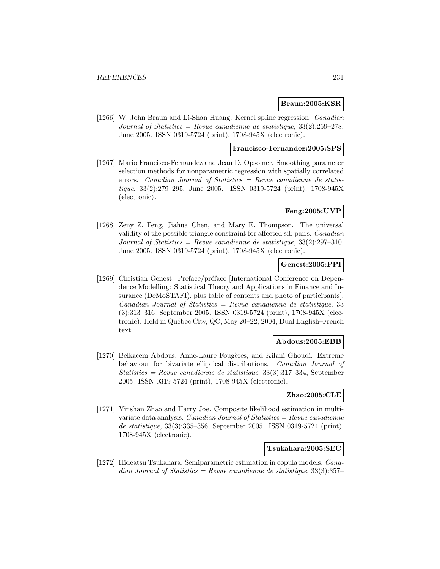### **Braun:2005:KSR**

[1266] W. John Braun and Li-Shan Huang. Kernel spline regression. Canadian Journal of Statistics = Revue canadienne de statistique,  $33(2):259-278$ , June 2005. ISSN 0319-5724 (print), 1708-945X (electronic).

# **Francisco-Fernandez:2005:SPS**

[1267] Mario Francisco-Fernandez and Jean D. Opsomer. Smoothing parameter selection methods for nonparametric regression with spatially correlated errors. *Canadian Journal of Statistics = Revue canadienne de statis*tique, 33(2):279–295, June 2005. ISSN 0319-5724 (print), 1708-945X (electronic).

### **Feng:2005:UVP**

[1268] Zeny Z. Feng, Jiahua Chen, and Mary E. Thompson. The universal validity of the possible triangle constraint for affected sib pairs. Canadian Journal of Statistics = Revue canadienne de statistique,  $33(2):297-310$ , June 2005. ISSN 0319-5724 (print), 1708-945X (electronic).

# **Genest:2005:PPI**

[1269] Christian Genest. Preface/préface [International Conference on Dependence Modelling: Statistical Theory and Applications in Finance and Insurance (DeMoSTAFI), plus table of contents and photo of participants].  $Canadian Journal of Statistics = Review can a dienne de statistic, 33$ (3):313–316, September 2005. ISSN 0319-5724 (print), 1708-945X (electronic). Held in Québec City, QC, May 20-22, 2004, Dual English–French text.

#### **Abdous:2005:EBB**

[1270] Belkacem Abdous, Anne-Laure Fougères, and Kilani Ghoudi. Extreme behaviour for bivariate elliptical distributions. Canadian Journal of Statistics = Revue canadienne de statistique, 33(3):317–334, September 2005. ISSN 0319-5724 (print), 1708-945X (electronic).

# **Zhao:2005:CLE**

[1271] Yinshan Zhao and Harry Joe. Composite likelihood estimation in multivariate data analysis. *Canadian Journal of Statistics = Revue canadienne* de statistique, 33(3):335–356, September 2005. ISSN 0319-5724 (print), 1708-945X (electronic).

### **Tsukahara:2005:SEC**

[1272] Hideatsu Tsukahara. Semiparametric estimation in copula models. Canadian Journal of Statistics = Revue canadienne de statistique,  $33(3):357-$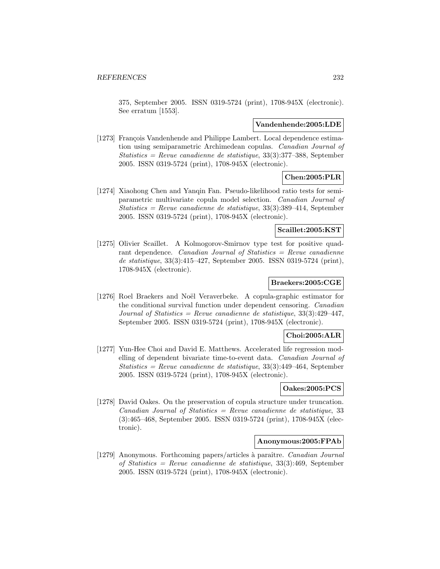375, September 2005. ISSN 0319-5724 (print), 1708-945X (electronic). See erratum [1553].

#### **Vandenhende:2005:LDE**

[1273] François Vandenhende and Philippe Lambert. Local dependence estimation using semiparametric Archimedean copulas. Canadian Journal of  $Statistics = Revenue canadienne de statistic, 33(3): 377-388$ , September 2005. ISSN 0319-5724 (print), 1708-945X (electronic).

# **Chen:2005:PLR**

[1274] Xiaohong Chen and Yanqin Fan. Pseudo-likelihood ratio tests for semiparametric multivariate copula model selection. Canadian Journal of Statistics = Revue canadienne de statistique, 33(3):389–414, September 2005. ISSN 0319-5724 (print), 1708-945X (electronic).

# **Scaillet:2005:KST**

[1275] Olivier Scaillet. A Kolmogorov-Smirnov type test for positive quadrant dependence. Canadian Journal of Statistics = Revue canadienne de statistique, 33(3):415–427, September 2005. ISSN 0319-5724 (print), 1708-945X (electronic).

# **Braekers:2005:CGE**

[1276] Roel Braekers and Noël Veraverbeke. A copula-graphic estimator for the conditional survival function under dependent censoring. Canadian Journal of Statistics = Revue canadienne de statistique,  $33(3):429-447$ , September 2005. ISSN 0319-5724 (print), 1708-945X (electronic).

### **Choi:2005:ALR**

[1277] Yun-Hee Choi and David E. Matthews. Accelerated life regression modelling of dependent bivariate time-to-event data. Canadian Journal of  $Statistics = Revenue canadienne de statistic, 33(3):449-464$ , September 2005. ISSN 0319-5724 (print), 1708-945X (electronic).

### **Oakes:2005:PCS**

[1278] David Oakes. On the preservation of copula structure under truncation.  $Canadian Journal of Statistics = Review canadienne de statistic, 33$ (3):465–468, September 2005. ISSN 0319-5724 (print), 1708-945X (electronic).

### **Anonymous:2005:FPAb**

[1279] Anonymous. Forthcoming papers/articles à paraître. Canadian Journal of Statistics = Revue canadienne de statistique, 33(3):469, September 2005. ISSN 0319-5724 (print), 1708-945X (electronic).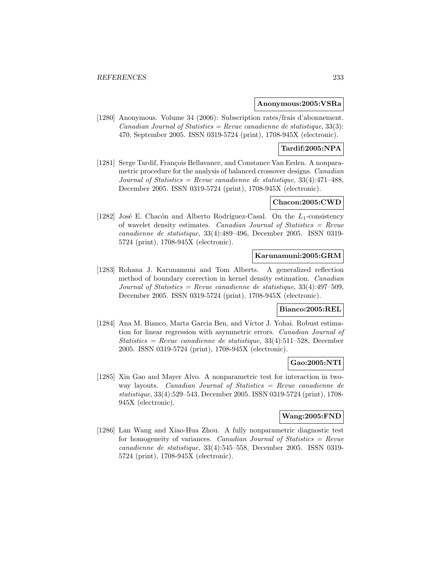#### **Anonymous:2005:VSRa**

[1280] Anonymous. Volume 34 (2006): Subscription rates/frais d'abonnement. Canadian Journal of Statistics = Revue canadienne de statistique,  $33(3)$ : 470, September 2005. ISSN 0319-5724 (print), 1708-945X (electronic).

## **Tardif:2005:NPA**

[1281] Serge Tardif, François Bellavance, and Constance Van Eeden. A nonparametric procedure for the analysis of balanced crossover designs. Canadian Journal of Statistics = Revue canadienne de statistique,  $33(4)$ :471-488. December 2005. ISSN 0319-5724 (print), 1708-945X (electronic).

### **Chacon:2005:CWD**

[1282] José E. Chacón and Alberto Rodríguez-Casal. On the  $L_1$ -consistency of wavelet density estimates. Canadian Journal of Statistics = Revue canadienne de statistique, 33(4):489–496, December 2005. ISSN 0319- 5724 (print), 1708-945X (electronic).

### **Karunamuni:2005:GRM**

[1283] Rohana J. Karunamuni and Tom Alberts. A generalized reflection method of boundary correction in kernel density estimation. Canadian Journal of Statistics = Revue canadienne de statistique,  $33(4):497-509$ , December 2005. ISSN 0319-5724 (print), 1708-945X (electronic).

### **Bianco:2005:REL**

[1284] Ana M. Bianco, Marta Garcia Ben, and Víctor J. Yohai. Robust estimation for linear regression with asymmetric errors. Canadian Journal of Statistics = Revue canadienne de statistique,  $33(4):511-528$ , December 2005. ISSN 0319-5724 (print), 1708-945X (electronic).

#### **Gao:2005:NTI**

[1285] Xin Gao and Mayer Alvo. A nonparametric test for interaction in twoway layouts. Canadian Journal of Statistics = Revue canadienne de statistique, 33(4):529–543, December 2005. ISSN 0319-5724 (print), 1708- 945X (electronic).

# **Wang:2005:FND**

[1286] Lan Wang and Xiao-Hua Zhou. A fully nonparametric diagnostic test for homogeneity of variances. Canadian Journal of Statistics =  $Re$ vue canadienne de statistique, 33(4):545–558, December 2005. ISSN 0319- 5724 (print), 1708-945X (electronic).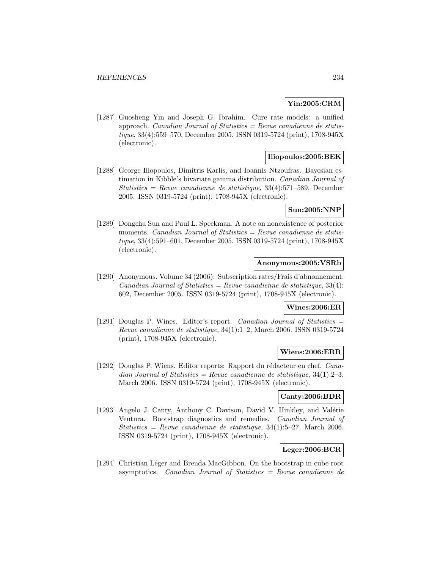# **Yin:2005:CRM**

[1287] Guosheng Yin and Joseph G. Ibrahim. Cure rate models: a unified approach. Canadian Journal of Statistics  $=$  Revue canadienne de statistique, 33(4):559–570, December 2005. ISSN 0319-5724 (print), 1708-945X (electronic).

# **Iliopoulos:2005:BEK**

[1288] George Iliopoulos, Dimitris Karlis, and Ioannis Ntzoufras. Bayesian estimation in Kibble's bivariate gamma distribution. Canadian Journal of  $Statistics = Revenue canadienne de statistic, 33(4):571-589, December$ 2005. ISSN 0319-5724 (print), 1708-945X (electronic).

### **Sun:2005:NNP**

[1289] Dongchu Sun and Paul L. Speckman. A note on nonexistence of posterior moments. Canadian Journal of Statistics  $=$  Revue canadienne de statistique, 33(4):591–601, December 2005. ISSN 0319-5724 (print), 1708-945X (electronic).

### **Anonymous:2005:VSRb**

[1290] Anonymous. Volume 34 (2006): Subscription rates/Frais d'abnonnement.  $Canadian Journal of Statistics = Review canadienne de statistic, 33(4):$ 602, December 2005. ISSN 0319-5724 (print), 1708-945X (electronic).

# **Wines:2006:ER**

[1291] Douglas P. Wines. Editor's report. Canadian Journal of Statistics  $=$ Revue canadienne de statistique, 34(1):1–2, March 2006. ISSN 0319-5724 (print), 1708-945X (electronic).

#### **Wiens:2006:ERR**

[1292] Douglas P. Wiens. Editor reports: Rapport du rédacteur en chef. Canadian Journal of Statistics = Revue canadienne de statistique,  $34(1):2-3$ , March 2006. ISSN 0319-5724 (print), 1708-945X (electronic).

#### **Canty:2006:BDR**

[1293] Angelo J. Canty, Anthony C. Davison, David V. Hinkley, and Valérie Ventura. Bootstrap diagnostics and remedies. Canadian Journal of Statistics = Revue canadienne de statistique,  $34(1)$ :5–27, March 2006. ISSN 0319-5724 (print), 1708-945X (electronic).

# **Leger:2006:BCR**

[1294] Christian Léger and Brenda MacGibbon. On the bootstrap in cube root asymptotics. Canadian Journal of Statistics = Revue canadienne de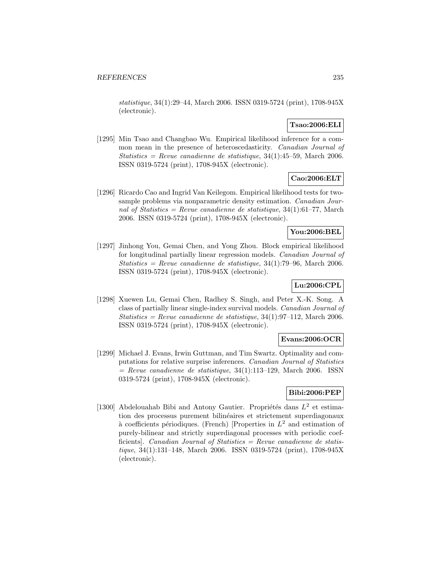statistique, 34(1):29–44, March 2006. ISSN 0319-5724 (print), 1708-945X (electronic).

# **Tsao:2006:ELI**

[1295] Min Tsao and Changbao Wu. Empirical likelihood inference for a common mean in the presence of heteroscedasticity. Canadian Journal of Statistics = Revue canadienne de statistique,  $34(1):45-59$ , March 2006. ISSN 0319-5724 (print), 1708-945X (electronic).

### **Cao:2006:ELT**

[1296] Ricardo Cao and Ingrid Van Keilegom. Empirical likelihood tests for twosample problems via nonparametric density estimation. *Canadian Jour*nal of Statistics = Revue canadienne de statistique,  $34(1):61-77$ , March 2006. ISSN 0319-5724 (print), 1708-945X (electronic).

## **You:2006:BEL**

[1297] Jinhong You, Gemai Chen, and Yong Zhou. Block empirical likelihood for longitudinal partially linear regression models. Canadian Journal of Statistics = Revue canadienne de statistique,  $34(1)$ :79–96, March 2006. ISSN 0319-5724 (print), 1708-945X (electronic).

# **Lu:2006:CPL**

[1298] Xuewen Lu, Gemai Chen, Radhey S. Singh, and Peter X.-K. Song. A class of partially linear single-index survival models. Canadian Journal of Statistics = Revue canadienne de statistique,  $34(1):97-112$ , March 2006. ISSN 0319-5724 (print), 1708-945X (electronic).

### **Evans:2006:OCR**

[1299] Michael J. Evans, Irwin Guttman, and Tim Swartz. Optimality and computations for relative surprise inferences. Canadian Journal of Statistics  $=$  Revue canadienne de statistique, 34(1):113–129, March 2006. ISSN 0319-5724 (print), 1708-945X (electronic).

# **Bibi:2006:PEP**

[1300] Abdelouahab Bibi and Antony Gautier. Propriétés dans  $L^2$  et estimation des processus purement bilinéaires et strictement superdiagonaux à coefficients périodiques. (French) [Properties in  $L^2$  and estimation of purely-bilinear and strictly superdiagonal processes with periodic coefficients]. Canadian Journal of Statistics = Revue canadienne de statistique, 34(1):131–148, March 2006. ISSN 0319-5724 (print), 1708-945X (electronic).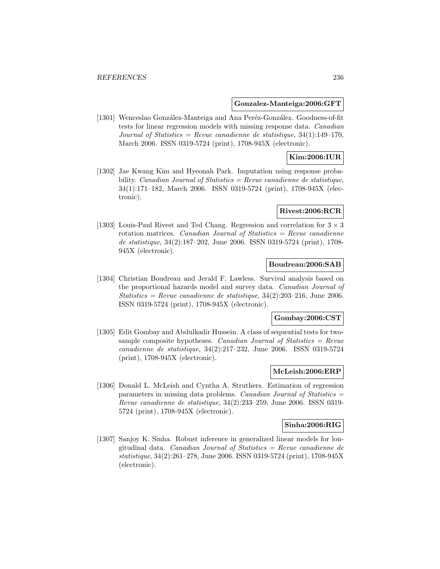#### **Gonzalez-Manteiga:2006:GFT**

[1301] Wenceslao González-Manteiga and Ana Peréz-González. Goodness-of-fit tests for linear regression models with missing response data. Canadian Journal of Statistics = Revue canadienne de statistique,  $34(1):149-170$ , March 2006. ISSN 0319-5724 (print), 1708-945X (electronic).

### **Kim:2006:IUR**

[1302] Jae Kwang Kim and Hyeonah Park. Imputation using response probability. Canadian Journal of Statistics = Revue canadienne de statistique, 34(1):171–182, March 2006. ISSN 0319-5724 (print), 1708-945X (electronic).

### **Rivest:2006:RCR**

[1303] Louis-Paul Rivest and Ted Chang. Regression and correlation for  $3 \times 3$ rotation matrices. Canadian Journal of Statistics  $=$  Revue canadienne de statistique, 34(2):187–202, June 2006. ISSN 0319-5724 (print), 1708- 945X (electronic).

### **Boudreau:2006:SAB**

[1304] Christian Boudreau and Jerald F. Lawless. Survival analysis based on the proportional hazards model and survey data. Canadian Journal of Statistics = Revue canadienne de statistique,  $34(2):203-216$ , June 2006. ISSN 0319-5724 (print), 1708-945X (electronic).

#### **Gombay:2006:CST**

[1305] Edit Gombay and Abdulkadir Hussein. A class of sequential tests for twosample composite hypotheses. Canadian Journal of Statistics =  $Re$ vue canadienne de statistique, 34(2):217–232, June 2006. ISSN 0319-5724 (print), 1708-945X (electronic).

### **McLeish:2006:ERP**

[1306] Donald L. McLeish and Cyntha A. Struthers. Estimation of regression parameters in missing data problems. Canadian Journal of Statistics = Revue canadienne de statistique, 34(2):233–259, June 2006. ISSN 0319- 5724 (print), 1708-945X (electronic).

#### **Sinha:2006:RIG**

[1307] Sanjoy K. Sinha. Robust inference in generalized linear models for longitudinal data. Canadian Journal of Statistics = Revue canadienne de statistique, 34(2):261–278, June 2006. ISSN 0319-5724 (print), 1708-945X (electronic).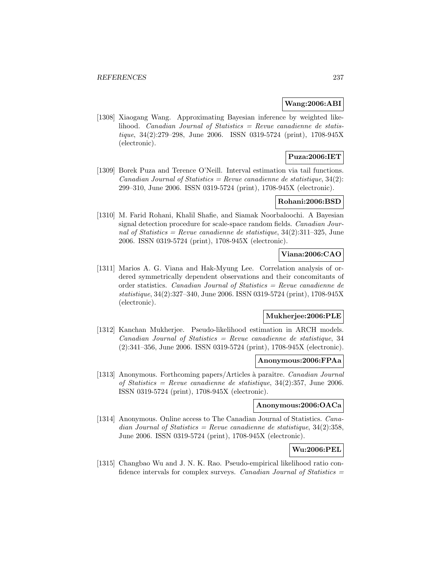### **Wang:2006:ABI**

[1308] Xiaogang Wang. Approximating Bayesian inference by weighted likelihood. Canadian Journal of Statistics = Revue canadienne de statistique, 34(2):279–298, June 2006. ISSN 0319-5724 (print), 1708-945X (electronic).

# **Puza:2006:IET**

[1309] Borek Puza and Terence O'Neill. Interval estimation via tail functions.  $Canadian Journal of Statistics = Review canadienne de statistic, 34(2):$ 299–310, June 2006. ISSN 0319-5724 (print), 1708-945X (electronic).

# **Rohani:2006:BSD**

[1310] M. Farid Rohani, Khalil Shafie, and Siamak Noorbaloochi. A Bayesian signal detection procedure for scale-space random fields. Canadian Journal of Statistics = Revue canadienne de statistique,  $34(2):311-325$ , June 2006. ISSN 0319-5724 (print), 1708-945X (electronic).

# **Viana:2006:CAO**

[1311] Marios A. G. Viana and Hak-Myung Lee. Correlation analysis of ordered symmetrically dependent observations and their concomitants of order statistics. Canadian Journal of Statistics = Revue canadienne de statistique, 34(2):327–340, June 2006. ISSN 0319-5724 (print), 1708-945X (electronic).

### **Mukherjee:2006:PLE**

[1312] Kanchan Mukherjee. Pseudo-likelihood estimation in ARCH models.  $Canadian Journal of Statistics = Review canadienne de statistic, 34$ (2):341–356, June 2006. ISSN 0319-5724 (print), 1708-945X (electronic).

#### **Anonymous:2006:FPAa**

[1313] Anonymous. Forthcoming papers/Articles à paraître. Canadian Journal of Statistics = Revue canadienne de statistique,  $34(2):357$ , June 2006. ISSN 0319-5724 (print), 1708-945X (electronic).

### **Anonymous:2006:OACa**

[1314] Anonymous. Online access to The Canadian Journal of Statistics. Canadian Journal of Statistics = Revue canadienne de statistique,  $34(2):358$ , June 2006. ISSN 0319-5724 (print), 1708-945X (electronic).

# **Wu:2006:PEL**

[1315] Changbao Wu and J. N. K. Rao. Pseudo-empirical likelihood ratio confidence intervals for complex surveys. Canadian Journal of Statistics  $=$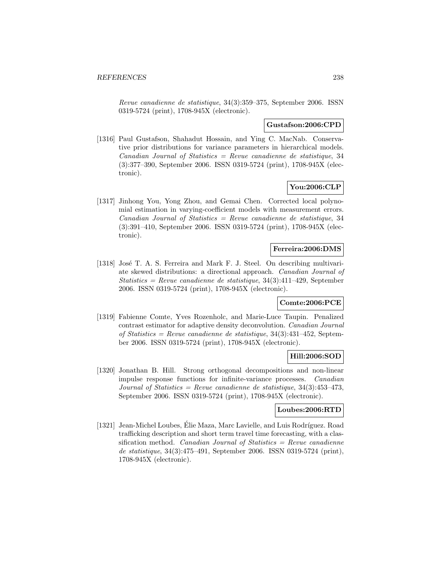Revue canadienne de statistique, 34(3):359–375, September 2006. ISSN 0319-5724 (print), 1708-945X (electronic).

#### **Gustafson:2006:CPD**

[1316] Paul Gustafson, Shahadut Hossain, and Ying C. MacNab. Conservative prior distributions for variance parameters in hierarchical models.  $Canadian Journal of Statistics = Review canadienne de statistic, 34$ (3):377–390, September 2006. ISSN 0319-5724 (print), 1708-945X (electronic).

# **You:2006:CLP**

[1317] Jinhong You, Yong Zhou, and Gemai Chen. Corrected local polynomial estimation in varying-coefficient models with measurement errors.  $Canadian Journal of Statistics = Review canadienne de statistic, 34$ (3):391–410, September 2006. ISSN 0319-5724 (print), 1708-945X (electronic).

# **Ferreira:2006:DMS**

[1318] José T. A. S. Ferreira and Mark F. J. Steel. On describing multivariate skewed distributions: a directional approach. Canadian Journal of Statistics = Revue canadienne de statistique, 34(3):411–429, September 2006. ISSN 0319-5724 (print), 1708-945X (electronic).

### **Comte:2006:PCE**

[1319] Fabienne Comte, Yves Rozenholc, and Marie-Luce Taupin. Penalized contrast estimator for adaptive density deconvolution. Canadian Journal of Statistics = Revue canadienne de statistique,  $34(3):431-452$ , September 2006. ISSN 0319-5724 (print), 1708-945X (electronic).

### **Hill:2006:SOD**

[1320] Jonathan B. Hill. Strong orthogonal decompositions and non-linear impulse response functions for infinite-variance processes. Canadian Journal of Statistics = Revue canadienne de statistique,  $34(3):453-473$ , September 2006. ISSN 0319-5724 (print), 1708-945X (electronic).

### **Loubes:2006:RTD**

[1321] Jean-Michel Loubes, Élie Maza, Marc Lavielle, and Luis Rodríguez. Road trafficking description and short term travel time forecasting, with a classification method. Canadian Journal of Statistics  $=$  Revue canadienne de statistique, 34(3):475–491, September 2006. ISSN 0319-5724 (print), 1708-945X (electronic).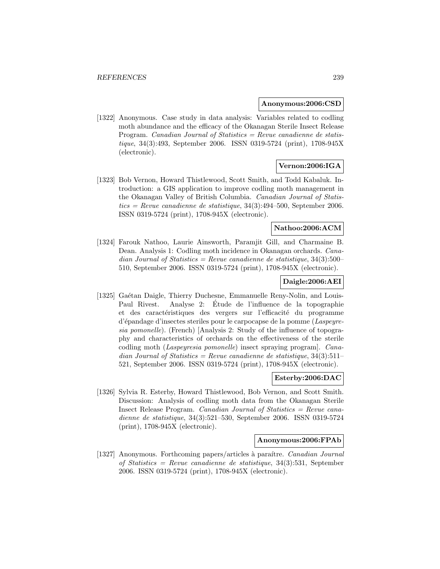#### **Anonymous:2006:CSD**

[1322] Anonymous. Case study in data analysis: Variables related to codling moth abundance and the efficacy of the Okanagan Sterile Insect Release Program. Canadian Journal of Statistics = Revue canadienne de statistique, 34(3):493, September 2006. ISSN 0319-5724 (print), 1708-945X (electronic).

# **Vernon:2006:IGA**

[1323] Bob Vernon, Howard Thistlewood, Scott Smith, and Todd Kabaluk. Introduction: a GIS application to improve codling moth management in the Okanagan Valley of British Columbia. Canadian Journal of Statis $tics = Revue$  canadienne de statistique, 34(3):494–500, September 2006.ISSN 0319-5724 (print), 1708-945X (electronic).

# **Nathoo:2006:ACM**

[1324] Farouk Nathoo, Laurie Ainsworth, Paramjit Gill, and Charmaine B. Dean. Analysis 1: Codling moth incidence in Okanagan orchards. Canadian Journal of Statistics = Revue canadienne de statistique,  $34(3):500-$ 510, September 2006. ISSN 0319-5724 (print), 1708-945X (electronic).

### **Daigle:2006:AEI**

[1325] Gaétan Daigle, Thierry Duchesne, Emmanuelle Reny-Nolin, and Louis-Paul Rivest. Analyse 2: Etude de l'influence de la topographie ´ et des caractéristiques des vergers sur l'efficacité du programme d'´epandage d'insectes steriles pour le carpocapse de la pomme (Laspeyresia pomonelle). (French) [Analysis 2: Study of the influence of topography and characteristics of orchards on the effectiveness of the sterile codling moth (Laspeyresia pomonelle) insect spraying program]. Canadian Journal of Statistics = Revue canadienne de statistique,  $34(3):511-$ 521, September 2006. ISSN 0319-5724 (print), 1708-945X (electronic).

### **Esterby:2006:DAC**

[1326] Sylvia R. Esterby, Howard Thistlewood, Bob Vernon, and Scott Smith. Discussion: Analysis of codling moth data from the Okanagan Sterile Insect Release Program. Canadian Journal of Statistics = Revue canadienne de statistique, 34(3):521–530, September 2006. ISSN 0319-5724 (print), 1708-945X (electronic).

### **Anonymous:2006:FPAb**

[1327] Anonymous. Forthcoming papers/articles à paraître. Canadian Journal of Statistics = Revue canadienne de statistique, 34(3):531, September 2006. ISSN 0319-5724 (print), 1708-945X (electronic).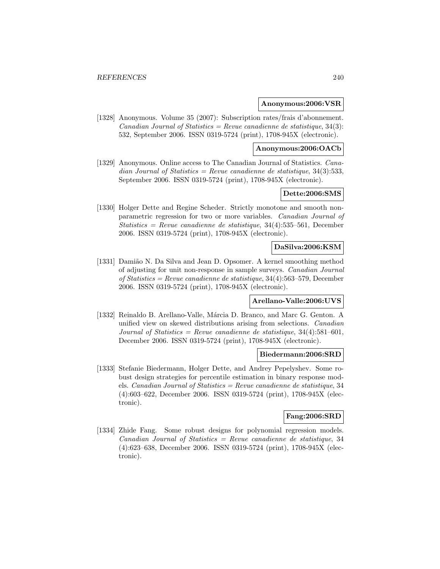#### **Anonymous:2006:VSR**

[1328] Anonymous. Volume 35 (2007): Subscription rates/frais d'abonnement. Canadian Journal of Statistics = Revue canadienne de statistique,  $34(3)$ : 532, September 2006. ISSN 0319-5724 (print), 1708-945X (electronic).

#### **Anonymous:2006:OACb**

[1329] Anonymous. Online access to The Canadian Journal of Statistics. Canadian Journal of Statistics = Revue canadienne de statistique,  $34(3):533$ , September 2006. ISSN 0319-5724 (print), 1708-945X (electronic).

### **Dette:2006:SMS**

[1330] Holger Dette and Regine Scheder. Strictly monotone and smooth nonparametric regression for two or more variables. Canadian Journal of Statistics = Revue canadienne de statistique,  $34(4):535-561$ , December 2006. ISSN 0319-5724 (print), 1708-945X (electronic).

# **DaSilva:2006:KSM**

[1331] Damião N. Da Silva and Jean D. Opsomer. A kernel smoothing method of adjusting for unit non-response in sample surveys. Canadian Journal of Statistics = Revue canadienne de statistique,  $34(4)$ :563-579, December 2006. ISSN 0319-5724 (print), 1708-945X (electronic).

### **Arellano-Valle:2006:UVS**

[1332] Reinaldo B. Arellano-Valle, Márcia D. Branco, and Marc G. Genton. A unified view on skewed distributions arising from selections. Canadian Journal of Statistics = Revue canadienne de statistique,  $34(4):581-601$ , December 2006. ISSN 0319-5724 (print), 1708-945X (electronic).

### **Biedermann:2006:SRD**

[1333] Stefanie Biedermann, Holger Dette, and Andrey Pepelyshev. Some robust design strategies for percentile estimation in binary response models. Canadian Journal of Statistics = Revue canadienne de statistique, 34 (4):603–622, December 2006. ISSN 0319-5724 (print), 1708-945X (electronic).

# **Fang:2006:SRD**

[1334] Zhide Fang. Some robust designs for polynomial regression models.  $Canadian Journal of Statistics = Revenue canadienne de statistic, 34$ (4):623–638, December 2006. ISSN 0319-5724 (print), 1708-945X (electronic).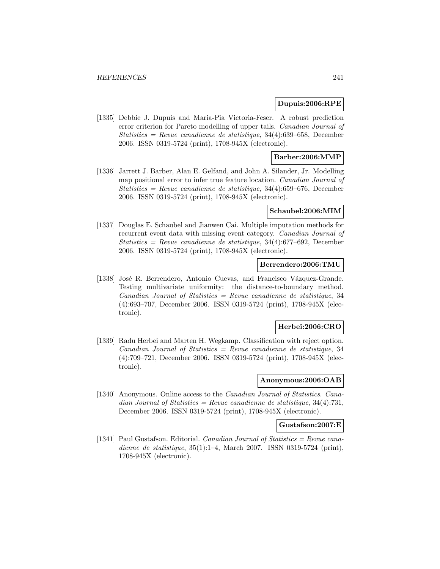#### **Dupuis:2006:RPE**

[1335] Debbie J. Dupuis and Maria-Pia Victoria-Feser. A robust prediction error criterion for Pareto modelling of upper tails. Canadian Journal of  $Statistics = Revenue canadienne de statistic, 34(4):639-658, December$ 2006. ISSN 0319-5724 (print), 1708-945X (electronic).

# **Barber:2006:MMP**

[1336] Jarrett J. Barber, Alan E. Gelfand, and John A. Silander, Jr. Modelling map positional error to infer true feature location. Canadian Journal of Statistics = Revue canadienne de statistique,  $34(4)$ :659-676, December 2006. ISSN 0319-5724 (print), 1708-945X (electronic).

### **Schaubel:2006:MIM**

[1337] Douglas E. Schaubel and Jianwen Cai. Multiple imputation methods for recurrent event data with missing event category. Canadian Journal of  $Statistics = Revenue canadienne de statistic, 34(4):677-692, December$ 2006. ISSN 0319-5724 (print), 1708-945X (electronic).

### **Berrendero:2006:TMU**

[1338] José R. Berrendero, Antonio Cuevas, and Francisco Vázquez-Grande. Testing multivariate uniformity: the distance-to-boundary method.  $Canadian Journal of Statistics = Review canadienne de statistic, 34$ (4):693–707, December 2006. ISSN 0319-5724 (print), 1708-945X (electronic).

#### **Herbei:2006:CRO**

[1339] Radu Herbei and Marten H. Wegkamp. Classification with reject option.  $Canadian Journal of Statistics = Review can a dienne de statistic, 34$ (4):709–721, December 2006. ISSN 0319-5724 (print), 1708-945X (electronic).

# **Anonymous:2006:OAB**

[1340] Anonymous. Online access to the Canadian Journal of Statistics. Canadian Journal of Statistics = Revue canadienne de statistique,  $34(4):731$ , December 2006. ISSN 0319-5724 (print), 1708-945X (electronic).

#### **Gustafson:2007:E**

[1341] Paul Gustafson. Editorial. Canadian Journal of Statistics = Revue canadienne de statistique, 35(1):1–4, March 2007. ISSN 0319-5724 (print), 1708-945X (electronic).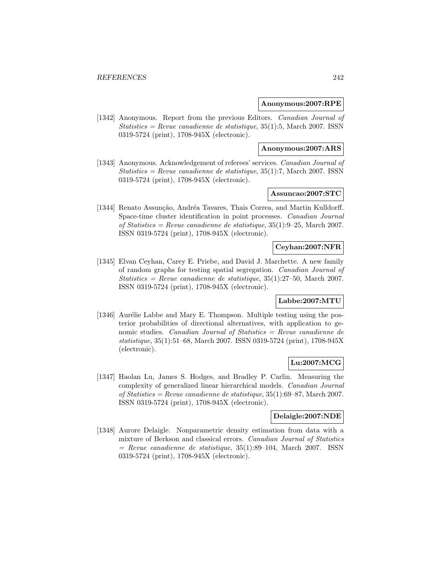#### **Anonymous:2007:RPE**

[1342] Anonymous. Report from the previous Editors. Canadian Journal of  $Statistics = Revenue canadienne de statistique, 35(1):5, March 2007. ISSN$ 0319-5724 (print), 1708-945X (electronic).

### **Anonymous:2007:ARS**

[1343] Anonymous. Acknowledgement of referees' services. Canadian Journal of  $Statistics = Revenue canadienne de statistique, 35(1):7, March 2007. ISSN$ 0319-5724 (print), 1708-945X (electronic).

# **Assuncao:2007:STC**

[1344] Renato Assunção, Andréa Tavares, Thais Correa, and Martin Kulldorff. Space-time cluster identification in point processes. Canadian Journal of Statistics = Revue canadienne de statistique,  $35(1):9-25$ , March 2007. ISSN 0319-5724 (print), 1708-945X (electronic).

# **Ceyhan:2007:NFR**

[1345] Elvan Ceyhan, Carey E. Priebe, and David J. Marchette. A new family of random graphs for testing spatial segregation. Canadian Journal of  $Statistics = Revenue canadienne de statistique, 35(1):27–50, March 2007.$ ISSN 0319-5724 (print), 1708-945X (electronic).

### **Labbe:2007:MTU**

[1346] Aurélie Labbe and Mary E. Thompson. Multiple testing using the posterior probabilities of directional alternatives, with application to genomic studies. Canadian Journal of Statistics = Revue canadienne de statistique, 35(1):51–68, March 2007. ISSN 0319-5724 (print), 1708-945X (electronic).

### **Lu:2007:MCG**

[1347] Haolan Lu, James S. Hodges, and Bradley P. Carlin. Measuring the complexity of generalized linear hierarchical models. Canadian Journal of Statistics = Revue canadienne de statistique,  $35(1):69-87$ , March 2007. ISSN 0319-5724 (print), 1708-945X (electronic).

### **Delaigle:2007:NDE**

[1348] Aurore Delaigle. Nonparametric density estimation from data with a mixture of Berkson and classical errors. Canadian Journal of Statistics  $=$  Revue canadienne de statistique, 35(1):89–104, March 2007. ISSN 0319-5724 (print), 1708-945X (electronic).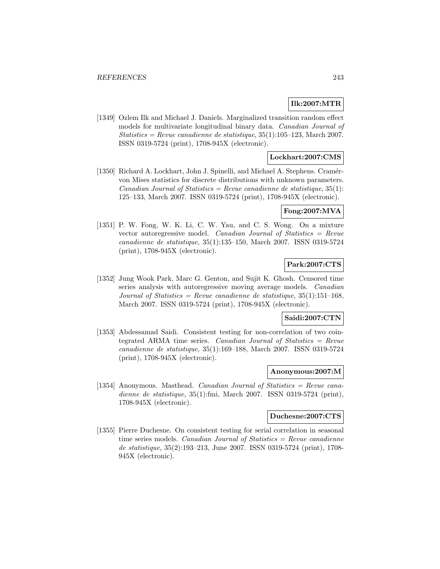# **Ilk:2007:MTR**

[1349] Ozlem Ilk and Michael J. Daniels. Marginalized transition random effect models for multivariate longitudinal binary data. Canadian Journal of  $Statistics = Revenue canadienne de statistique, 35(1):105–123, March 2007.$ ISSN 0319-5724 (print), 1708-945X (electronic).

### **Lockhart:2007:CMS**

[1350] Richard A. Lockhart, John J. Spinelli, and Michael A. Stephens. Cramérvon Mises statistics for discrete distributions with unknown parameters. Canadian Journal of Statistics = Revue canadienne de statistique,  $35(1)$ : 125–133, March 2007. ISSN 0319-5724 (print), 1708-945X (electronic).

# **Fong:2007:MVA**

[1351] P. W. Fong, W. K. Li, C. W. Yau, and C. S. Wong. On a mixture vector autoregressive model. Canadian Journal of Statistics = Revue canadienne de statistique, 35(1):135–150, March 2007. ISSN 0319-5724 (print), 1708-945X (electronic).

# **Park:2007:CTS**

[1352] Jung Wook Park, Marc G. Genton, and Sujit K. Ghosh. Censored time series analysis with autoregressive moving average models. Canadian Journal of Statistics = Revue canadienne de statistique,  $35(1):151-168$ , March 2007. ISSN 0319-5724 (print), 1708-945X (electronic).

### **Saidi:2007:CTN**

[1353] Abdessamad Saidi. Consistent testing for non-correlation of two cointegrated ARMA time series. Canadian Journal of Statistics  $=$  Revue canadienne de statistique, 35(1):169–188, March 2007. ISSN 0319-5724 (print), 1708-945X (electronic).

### **Anonymous:2007:M**

[1354] Anonymous. Masthead. Canadian Journal of Statistics = Revue canadienne de statistique, 35(1):fmi, March 2007. ISSN 0319-5724 (print), 1708-945X (electronic).

### **Duchesne:2007:CTS**

[1355] Pierre Duchesne. On consistent testing for serial correlation in seasonal time series models. Canadian Journal of Statistics  $=$  Revue canadienne de statistique, 35(2):193–213, June 2007. ISSN 0319-5724 (print), 1708- 945X (electronic).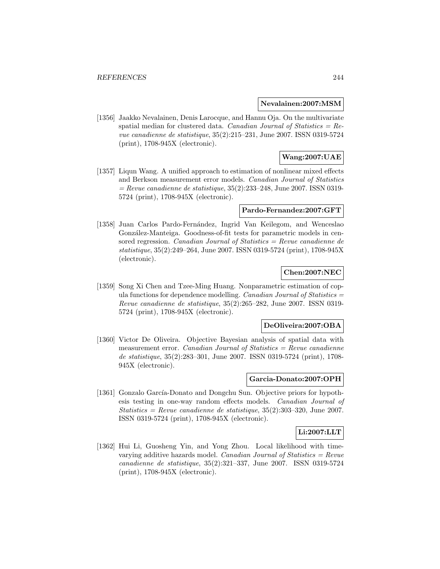#### **Nevalainen:2007:MSM**

[1356] Jaakko Nevalainen, Denis Larocque, and Hannu Oja. On the multivariate spatial median for clustered data. Canadian Journal of Statistics =  $Re$ vue canadienne de statistique, 35(2):215–231, June 2007. ISSN 0319-5724 (print), 1708-945X (electronic).

# **Wang:2007:UAE**

[1357] Liqun Wang. A unified approach to estimation of nonlinear mixed effects and Berkson measurement error models. Canadian Journal of Statistics  $=$  Revue canadienne de statistique, 35(2):233–248, June 2007. ISSN 0319-5724 (print), 1708-945X (electronic).

#### **Pardo-Fernandez:2007:GFT**

[1358] Juan Carlos Pardo-Fernández, Ingrid Van Keilegom, and Wenceslao González-Manteiga. Goodness-of-fit tests for parametric models in censored regression. Canadian Journal of Statistics  $=$  Revue canadienne de statistique, 35(2):249–264, June 2007. ISSN 0319-5724 (print), 1708-945X (electronic).

# **Chen:2007:NEC**

[1359] Song Xi Chen and Tzee-Ming Huang. Nonparametric estimation of copula functions for dependence modelling. Canadian Journal of Statistics  $=$ Revue canadienne de statistique, 35(2):265–282, June 2007. ISSN 0319- 5724 (print), 1708-945X (electronic).

### **DeOliveira:2007:OBA**

[1360] Victor De Oliveira. Objective Bayesian analysis of spatial data with measurement error. Canadian Journal of Statistics  $=$  Revue canadienne de statistique, 35(2):283–301, June 2007. ISSN 0319-5724 (print), 1708- 945X (electronic).

### **Garcia-Donato:2007:OPH**

[1361] Gonzalo García-Donato and Dongchu Sun. Objective priors for hypothesis testing in one-way random effects models. Canadian Journal of Statistics = Revue canadienne de statistique,  $35(2):303-320$ , June 2007. ISSN 0319-5724 (print), 1708-945X (electronic).

### **Li:2007:LLT**

[1362] Hui Li, Guosheng Yin, and Yong Zhou. Local likelihood with timevarying additive hazards model. Canadian Journal of Statistics =  $Re$ vue canadienne de statistique, 35(2):321–337, June 2007. ISSN 0319-5724 (print), 1708-945X (electronic).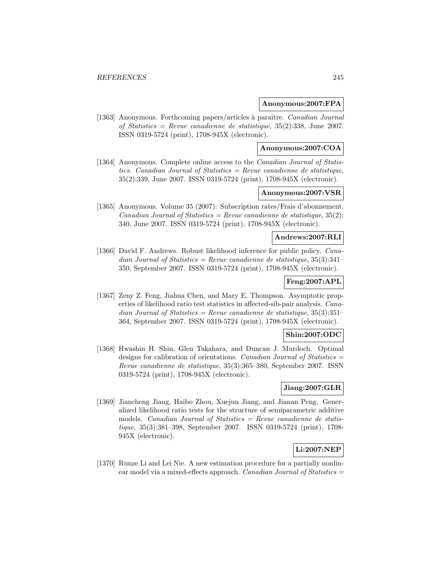#### **Anonymous:2007:FPA**

[1363] Anonymous. Forthcoming papers/articles à paraître. Canadian Journal of Statistics = Revue canadienne de statistique,  $35(2):338$ , June 2007. ISSN 0319-5724 (print), 1708-945X (electronic).

# **Anonymous:2007:COA**

[1364] Anonymous. Complete online access to the *Canadian Journal of Statis*tics. Canadian Journal of Statistics  $=$  Revue canadienne de statistique, 35(2):339, June 2007. ISSN 0319-5724 (print), 1708-945X (electronic).

# **Anonymous:2007:VSR**

[1365] Anonymous. Volume 35 (2007): Subscription rates/Frais d'abonnement. Canadian Journal of Statistics = Revue canadienne de statistique,  $35(2)$ : 340, June 2007. ISSN 0319-5724 (print), 1708-945X (electronic).

# **Andrews:2007:RLI**

[1366] David F. Andrews. Robust likelihood inference for public policy. Canadian Journal of Statistics = Revue canadienne de statistique,  $35(3):341-$ 350, September 2007. ISSN 0319-5724 (print), 1708-945X (electronic).

# **Feng:2007:APL**

[1367] Zeny Z. Feng, Jiahua Chen, and Mary E. Thompson. Asymptotic properties of likelihood ratio test statistics in affected-sib-pair analysis. Canadian Journal of Statistics = Revue canadienne de statistique,  $35(3):351-$ 364, September 2007. ISSN 0319-5724 (print), 1708-945X (electronic).

#### **Shin:2007:ODC**

[1368] Hwashin H. Shin, Glen Takahara, and Duncan J. Murdoch. Optimal designs for calibration of orientations. Canadian Journal of Statistics  $=$ Revue canadienne de statistique, 35(3):365–380, September 2007. ISSN 0319-5724 (print), 1708-945X (electronic).

# **Jiang:2007:GLR**

[1369] Jiancheng Jiang, Haibo Zhou, Xuejun Jiang, and Jianan Peng. Generalized likelihood ratio tests for the structure of semiparametric additive models. *Canadian Journal of Statistics = Revue canadienne de statis*tique, 35(3):381–398, September 2007. ISSN 0319-5724 (print), 1708- 945X (electronic).

# **Li:2007:NEP**

[1370] Runze Li and Lei Nie. A new estimation procedure for a partially nonlinear model via a mixed-effects approach. Canadian Journal of Statistics  $=$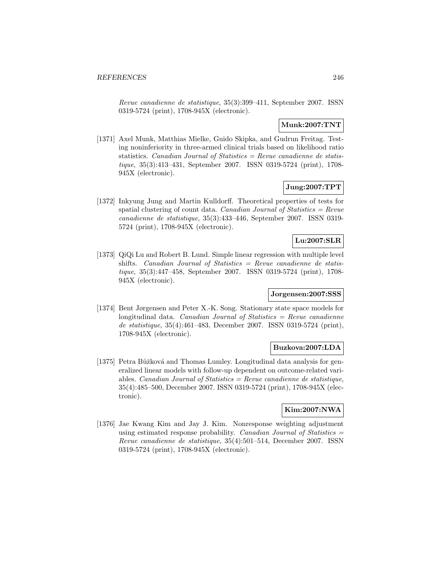Revue canadienne de statistique, 35(3):399–411, September 2007. ISSN 0319-5724 (print), 1708-945X (electronic).

# **Munk:2007:TNT**

[1371] Axel Munk, Matthias Mielke, Guido Skipka, and Gudrun Freitag. Testing noninferiority in three-armed clinical trials based on likelihood ratio statistics. Canadian Journal of Statistics = Revue canadienne de statistique, 35(3):413–431, September 2007. ISSN 0319-5724 (print), 1708- 945X (electronic).

# **Jung:2007:TPT**

[1372] Inkyung Jung and Martin Kulldorff. Theoretical properties of tests for spatial clustering of count data. Canadian Journal of Statistics =  $Re$ vue canadienne de statistique, 35(3):433–446, September 2007. ISSN 0319- 5724 (print), 1708-945X (electronic).

# **Lu:2007:SLR**

[1373] QiQi Lu and Robert B. Lund. Simple linear regression with multiple level shifts. Canadian Journal of Statistics = Revue canadienne de statistique, 35(3):447–458, September 2007. ISSN 0319-5724 (print), 1708- 945X (electronic).

# **Jorgensen:2007:SSS**

[1374] Bent Jørgensen and Peter X.-K. Song. Stationary state space models for longitudinal data. Canadian Journal of Statistics  $=$  Revue canadienne de statistique, 35(4):461–483, December 2007. ISSN 0319-5724 (print), 1708-945X (electronic).

### **Buzkova:2007:LDA**

[1375] Petra Bůžková and Thomas Lumley. Longitudinal data analysis for generalized linear models with follow-up dependent on outcome-related variables. *Canadian Journal of Statistics = Revue canadienne de statistique*, 35(4):485–500, December 2007. ISSN 0319-5724 (print), 1708-945X (electronic).

### **Kim:2007:NWA**

[1376] Jae Kwang Kim and Jay J. Kim. Nonresponse weighting adjustment using estimated response probability. Canadian Journal of Statistics  $=$ Revue canadienne de statistique, 35(4):501–514, December 2007. ISSN 0319-5724 (print), 1708-945X (electronic).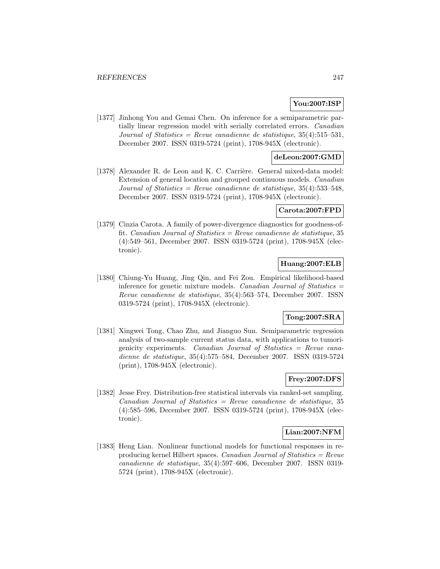# **You:2007:ISP**

[1377] Jinhong You and Gemai Chen. On inference for a semiparametric partially linear regression model with serially correlated errors. Canadian Journal of Statistics = Revue canadienne de statistique,  $35(4):515-531$ , December 2007. ISSN 0319-5724 (print), 1708-945X (electronic).

### **deLeon:2007:GMD**

[1378] Alexander R. de Leon and K. C. Carrière. General mixed-data model: Extension of general location and grouped continuous models. Canadian Journal of Statistics = Revue canadienne de statistique,  $35(4):533-548$ , December 2007. ISSN 0319-5724 (print), 1708-945X (electronic).

#### **Carota:2007:FPD**

[1379] Cinzia Carota. A family of power-divergence diagnostics for goodness-offit. Canadian Journal of Statistics = Revue canadienne de statistique, 35 (4):549–561, December 2007. ISSN 0319-5724 (print), 1708-945X (electronic).

### **Huang:2007:ELB**

[1380] Chiung-Yu Huang, Jing Qin, and Fei Zou. Empirical likelihood-based inference for genetic mixture models. Canadian Journal of Statistics  $=$ Revue canadienne de statistique, 35(4):563–574, December 2007. ISSN 0319-5724 (print), 1708-945X (electronic).

# **Tong:2007:SRA**

[1381] Xingwei Tong, Chao Zhu, and Jianguo Sun. Semiparametric regression analysis of two-sample current status data, with applications to tumorigenicity experiments. Canadian Journal of Statistics = Revue canadienne de statistique, 35(4):575–584, December 2007. ISSN 0319-5724 (print), 1708-945X (electronic).

### **Frey:2007:DFS**

[1382] Jesse Frey. Distribution-free statistical intervals via ranked-set sampling. Canadian Journal of Statistics = Revue canadienne de statistique, 35 (4):585–596, December 2007. ISSN 0319-5724 (print), 1708-945X (electronic).

### **Lian:2007:NFM**

[1383] Heng Lian. Nonlinear functional models for functional responses in reproducing kernel Hilbert spaces. Canadian Journal of Statistics = Revue canadienne de statistique, 35(4):597–606, December 2007. ISSN 0319- 5724 (print), 1708-945X (electronic).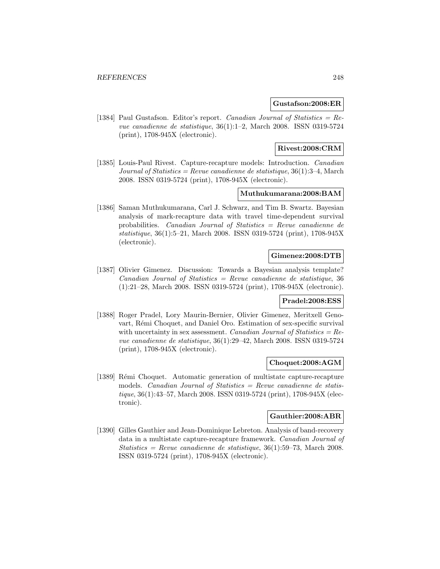### **Gustafson:2008:ER**

[1384] Paul Gustafson. Editor's report. Canadian Journal of Statistics = Revue canadienne de statistique, 36(1):1–2, March 2008. ISSN 0319-5724 (print), 1708-945X (electronic).

## **Rivest:2008:CRM**

[1385] Louis-Paul Rivest. Capture-recapture models: Introduction. Canadian Journal of Statistics = Revue canadienne de statistique,  $36(1)$ :3-4, March 2008. ISSN 0319-5724 (print), 1708-945X (electronic).

### **Muthukumarana:2008:BAM**

[1386] Saman Muthukumarana, Carl J. Schwarz, and Tim B. Swartz. Bayesian analysis of mark-recapture data with travel time-dependent survival probabilities. Canadian Journal of Statistics = Revue canadienne de statistique, 36(1):5–21, March 2008. ISSN 0319-5724 (print), 1708-945X (electronic).

## **Gimenez:2008:DTB**

[1387] Olivier Gimenez. Discussion: Towards a Bayesian analysis template? Canadian Journal of Statistics = Revue canadienne de statistique, 36 (1):21–28, March 2008. ISSN 0319-5724 (print), 1708-945X (electronic).

### **Pradel:2008:ESS**

[1388] Roger Pradel, Lory Maurin-Bernier, Olivier Gimenez, Meritxell Genovart, Rémi Choquet, and Daniel Oro. Estimation of sex-specific survival with uncertainty in sex assessment. Canadian Journal of Statistics =  $Re$ vue canadienne de statistique, 36(1):29–42, March 2008. ISSN 0319-5724 (print), 1708-945X (electronic).

#### **Choquet:2008:AGM**

[1389] R´emi Choquet. Automatic generation of multistate capture-recapture models. Canadian Journal of Statistics = Revue canadienne de statistique, 36(1):43–57, March 2008. ISSN 0319-5724 (print), 1708-945X (electronic).

# **Gauthier:2008:ABR**

[1390] Gilles Gauthier and Jean-Dominique Lebreton. Analysis of band-recovery data in a multistate capture-recapture framework. Canadian Journal of  $Statistics = Revenue canadienne de statistic, 36(1):59-73, March 2008.$ ISSN 0319-5724 (print), 1708-945X (electronic).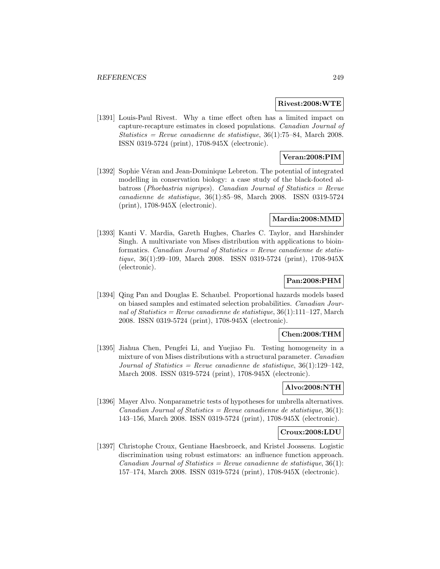#### **Rivest:2008:WTE**

[1391] Louis-Paul Rivest. Why a time effect often has a limited impact on capture-recapture estimates in closed populations. Canadian Journal of  $Statistics = Revenue canadienne de statistic, 36(1):75-84, March 2008.$ ISSN 0319-5724 (print), 1708-945X (electronic).

### **Veran:2008:PIM**

[1392] Sophie Véran and Jean-Dominique Lebreton. The potential of integrated modelling in conservation biology: a case study of the black-footed albatross (Phoebastria nigripes). Canadian Journal of Statistics =  $Re$ vue canadienne de statistique, 36(1):85–98, March 2008. ISSN 0319-5724 (print), 1708-945X (electronic).

### **Mardia:2008:MMD**

[1393] Kanti V. Mardia, Gareth Hughes, Charles C. Taylor, and Harshinder Singh. A multivariate von Mises distribution with applications to bioinformatics. *Canadian Journal of Statistics = Revue canadienne de statis*tique, 36(1):99–109, March 2008. ISSN 0319-5724 (print), 1708-945X (electronic).

# **Pan:2008:PHM**

[1394] Qing Pan and Douglas E. Schaubel. Proportional hazards models based on biased samples and estimated selection probabilities. Canadian Journal of Statistics = Revue canadienne de statistique,  $36(1):111-127$ , March 2008. ISSN 0319-5724 (print), 1708-945X (electronic).

### **Chen:2008:THM**

[1395] Jiahua Chen, Pengfei Li, and Yuejiao Fu. Testing homogeneity in a mixture of von Mises distributions with a structural parameter. Canadian Journal of Statistics = Revue canadienne de statistique,  $36(1):129-142$ . March 2008. ISSN 0319-5724 (print), 1708-945X (electronic).

# **Alvo:2008:NTH**

[1396] Mayer Alvo. Nonparametric tests of hypotheses for umbrella alternatives. Canadian Journal of Statistics = Revue canadienne de statistique,  $36(1)$ : 143–156, March 2008. ISSN 0319-5724 (print), 1708-945X (electronic).

### **Croux:2008:LDU**

[1397] Christophe Croux, Gentiane Haesbroeck, and Kristel Joossens. Logistic discrimination using robust estimators: an influence function approach. Canadian Journal of Statistics = Revue canadienne de statistique,  $36(1)$ : 157–174, March 2008. ISSN 0319-5724 (print), 1708-945X (electronic).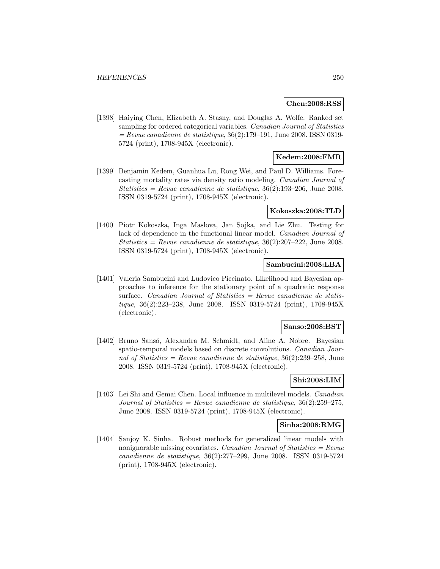#### **Chen:2008:RSS**

[1398] Haiying Chen, Elizabeth A. Stasny, and Douglas A. Wolfe. Ranked set sampling for ordered categorical variables. Canadian Journal of Statistics  $=$  Revue canadienne de statistique, 36(2):179–191, June 2008. ISSN 0319-5724 (print), 1708-945X (electronic).

# **Kedem:2008:FMR**

[1399] Benjamin Kedem, Guanhua Lu, Rong Wei, and Paul D. Williams. Forecasting mortality rates via density ratio modeling. Canadian Journal of Statistics = Revue canadienne de statistique,  $36(2):193-206$ , June 2008. ISSN 0319-5724 (print), 1708-945X (electronic).

### **Kokoszka:2008:TLD**

[1400] Piotr Kokoszka, Inga Maslova, Jan Sojka, and Lie Zhu. Testing for lack of dependence in the functional linear model. Canadian Journal of  $Statistics = Revenue canadienne de statistic, 36(2):207-222, June 2008.$ ISSN 0319-5724 (print), 1708-945X (electronic).

### **Sambucini:2008:LBA**

[1401] Valeria Sambucini and Ludovico Piccinato. Likelihood and Bayesian approaches to inference for the stationary point of a quadratic response surface. Canadian Journal of Statistics  $=$  Revue canadienne de statistique, 36(2):223–238, June 2008. ISSN 0319-5724 (print), 1708-945X (electronic).

#### **Sanso:2008:BST**

[1402] Bruno Sansó, Alexandra M. Schmidt, and Aline A. Nobre. Bayesian spatio-temporal models based on discrete convolutions. Canadian Journal of Statistics = Revue canadienne de statistique,  $36(2):239-258$ , June 2008. ISSN 0319-5724 (print), 1708-945X (electronic).

# **Shi:2008:LIM**

[1403] Lei Shi and Gemai Chen. Local influence in multilevel models. Canadian Journal of Statistics = Revue canadienne de statistique,  $36(2):259-275$ , June 2008. ISSN 0319-5724 (print), 1708-945X (electronic).

#### **Sinha:2008:RMG**

[1404] Sanjoy K. Sinha. Robust methods for generalized linear models with nonignorable missing covariates. Canadian Journal of Statistics  $=$  Revue canadienne de statistique, 36(2):277–299, June 2008. ISSN 0319-5724 (print), 1708-945X (electronic).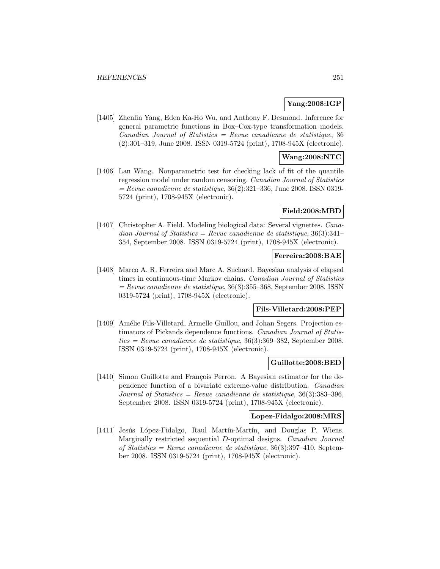### **Yang:2008:IGP**

[1405] Zhenlin Yang, Eden Ka-Ho Wu, and Anthony F. Desmond. Inference for general parametric functions in Box–Cox-type transformation models.  $Canadian Journal of Statistics = Review canadienne de statistic, 36$ (2):301–319, June 2008. ISSN 0319-5724 (print), 1708-945X (electronic).

# **Wang:2008:NTC**

[1406] Lan Wang. Nonparametric test for checking lack of fit of the quantile regression model under random censoring. Canadian Journal of Statistics  $=$  Revue canadienne de statistique, 36(2):321–336, June 2008. ISSN 0319-5724 (print), 1708-945X (electronic).

### **Field:2008:MBD**

[1407] Christopher A. Field. Modeling biological data: Several vignettes. Canadian Journal of Statistics = Revue canadienne de statistique,  $36(3):341-$ 354, September 2008. ISSN 0319-5724 (print), 1708-945X (electronic).

### **Ferreira:2008:BAE**

[1408] Marco A. R. Ferreira and Marc A. Suchard. Bayesian analysis of elapsed times in continuous-time Markov chains. Canadian Journal of Statistics  $=$  Revue canadienne de statistique, 36(3):355–368, September 2008. ISSN 0319-5724 (print), 1708-945X (electronic).

# **Fils-Villetard:2008:PEP**

[1409] Amélie Fils-Villetard, Armelle Guillou, and Johan Segers. Projection estimators of Pickands dependence functions. Canadian Journal of Statistics = Revue canadienne de statistique,  $36(3):369-382$ , September 2008. ISSN 0319-5724 (print), 1708-945X (electronic).

#### **Guillotte:2008:BED**

[1410] Simon Guillotte and François Perron. A Bayesian estimator for the dependence function of a bivariate extreme-value distribution. Canadian Journal of Statistics = Revue canadienne de statistique,  $36(3):383-396$ , September 2008. ISSN 0319-5724 (print), 1708-945X (electronic).

### **Lopez-Fidalgo:2008:MRS**

[1411] Jesús López-Fidalgo, Raul Martín-Martín, and Douglas P. Wiens. Marginally restricted sequential D-optimal designs. Canadian Journal of Statistics = Revue canadienne de statistique,  $36(3):397-410$ , September 2008. ISSN 0319-5724 (print), 1708-945X (electronic).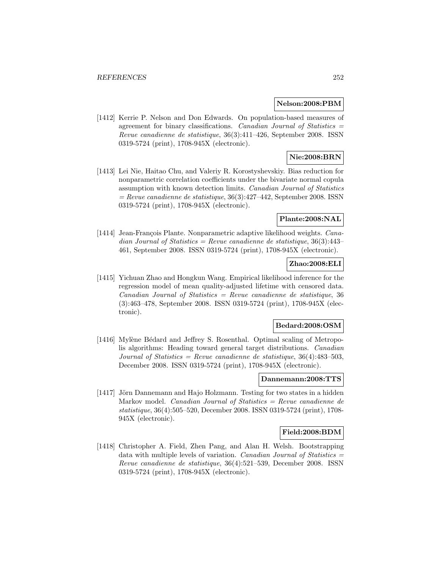#### **Nelson:2008:PBM**

[1412] Kerrie P. Nelson and Don Edwards. On population-based measures of agreement for binary classifications. *Canadian Journal of Statistics* = Revue canadienne de statistique, 36(3):411–426, September 2008. ISSN 0319-5724 (print), 1708-945X (electronic).

# **Nie:2008:BRN**

[1413] Lei Nie, Haitao Chu, and Valeriy R. Korostyshevskiy. Bias reduction for nonparametric correlation coefficients under the bivariate normal copula assumption with known detection limits. Canadian Journal of Statistics  $=$  Revue canadienne de statistique, 36(3):427–442, September 2008. ISSN 0319-5724 (print), 1708-945X (electronic).

# **Plante:2008:NAL**

[1414] Jean-François Plante. Nonparametric adaptive likelihood weights. Canadian Journal of Statistics = Revue canadienne de statistique,  $36(3):443-$ 461, September 2008. ISSN 0319-5724 (print), 1708-945X (electronic).

# **Zhao:2008:ELI**

[1415] Yichuan Zhao and Hongkun Wang. Empirical likelihood inference for the regression model of mean quality-adjusted lifetime with censored data.  $Canadian Journal of Statistics = Review canadienne de statistic, 36$ (3):463–478, September 2008. ISSN 0319-5724 (print), 1708-945X (electronic).

### **Bedard:2008:OSM**

[1416] Mylène Bédard and Jeffrey S. Rosenthal. Optimal scaling of Metropolis algorithms: Heading toward general target distributions. Canadian Journal of Statistics = Revue canadienne de statistique,  $36(4)$ : 483-503, December 2008. ISSN 0319-5724 (print), 1708-945X (electronic).

### **Dannemann:2008:TTS**

[1417] Jörn Dannemann and Hajo Holzmann. Testing for two states in a hidden Markov model. *Canadian Journal of Statistics = Revue canadienne de* statistique, 36(4):505–520, December 2008. ISSN 0319-5724 (print), 1708- 945X (electronic).

### **Field:2008:BDM**

[1418] Christopher A. Field, Zhen Pang, and Alan H. Welsh. Bootstrapping data with multiple levels of variation. Canadian Journal of Statistics  $=$ Revue canadienne de statistique, 36(4):521–539, December 2008. ISSN 0319-5724 (print), 1708-945X (electronic).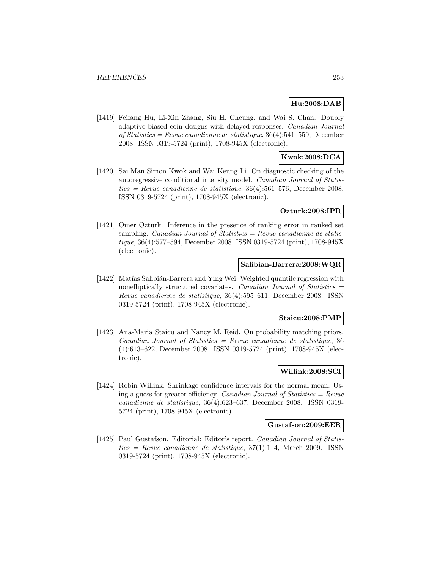# **Hu:2008:DAB**

[1419] Feifang Hu, Li-Xin Zhang, Siu H. Cheung, and Wai S. Chan. Doubly adaptive biased coin designs with delayed responses. Canadian Journal of Statistics = Revue canadienne de statistique,  $36(4):541-559$ , December 2008. ISSN 0319-5724 (print), 1708-945X (electronic).

### **Kwok:2008:DCA**

[1420] Sai Man Simon Kwok and Wai Keung Li. On diagnostic checking of the autoregressive conditional intensity model. Canadian Journal of Statistics = Revue canadienne de statistique,  $36(4):561-576$ , December 2008. ISSN 0319-5724 (print), 1708-945X (electronic).

### **Ozturk:2008:IPR**

[1421] Omer Ozturk. Inference in the presence of ranking error in ranked set sampling. Canadian Journal of Statistics  $=$  Revue canadienne de statistique, 36(4):577–594, December 2008. ISSN 0319-5724 (print), 1708-945X (electronic).

### **Salibian-Barrera:2008:WQR**

[1422] Matías Salibián-Barrera and Ying Wei. Weighted quantile regression with nonelliptically structured covariates. Canadian Journal of Statistics  $=$ Revue canadienne de statistique, 36(4):595–611, December 2008. ISSN 0319-5724 (print), 1708-945X (electronic).

#### **Staicu:2008:PMP**

[1423] Ana-Maria Staicu and Nancy M. Reid. On probability matching priors.  $Canadian Journal of Statistics = Revenue canadienne de statistic, 36$ (4):613–622, December 2008. ISSN 0319-5724 (print), 1708-945X (electronic).

### **Willink:2008:SCI**

[1424] Robin Willink. Shrinkage confidence intervals for the normal mean: Using a guess for greater efficiency. Canadian Journal of Statistics  $=$  Revue canadienne de statistique, 36(4):623–637, December 2008. ISSN 0319- 5724 (print), 1708-945X (electronic).

#### **Gustafson:2009:EER**

[1425] Paul Gustafson. Editorial: Editor's report. Canadian Journal of Statis $tics = Revenue canadienne de statistic 37(1):1-4$ , March 2009. ISSN 0319-5724 (print), 1708-945X (electronic).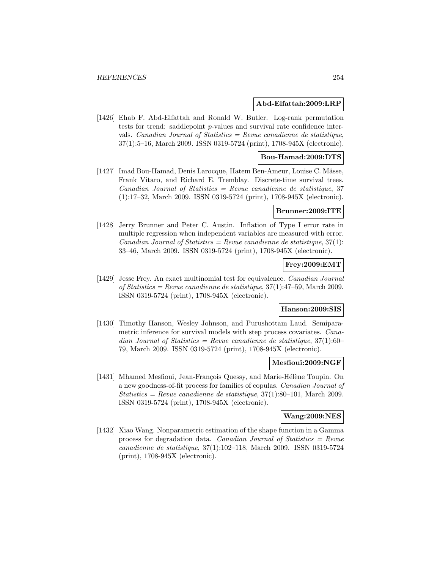#### **Abd-Elfattah:2009:LRP**

[1426] Ehab F. Abd-Elfattah and Ronald W. Butler. Log-rank permutation tests for trend: saddlepoint p-values and survival rate confidence intervals. Canadian Journal of Statistics  $=$  Revue canadienne de statistique, 37(1):5–16, March 2009. ISSN 0319-5724 (print), 1708-945X (electronic).

### **Bou-Hamad:2009:DTS**

[1427] Imad Bou-Hamad, Denis Larocque, Hatem Ben-Ameur, Louise C. Mâsse, Frank Vitaro, and Richard E. Tremblay. Discrete-time survival trees.  $Canadian Journal of Statistics = Revenue canadienne de statistic, 37$ (1):17–32, March 2009. ISSN 0319-5724 (print), 1708-945X (electronic).

#### **Brunner:2009:ITE**

[1428] Jerry Brunner and Peter C. Austin. Inflation of Type I error rate in multiple regression when independent variables are measured with error. Canadian Journal of Statistics = Revue canadienne de statistique,  $37(1)$ : 33–46, March 2009. ISSN 0319-5724 (print), 1708-945X (electronic).

## **Frey:2009:EMT**

[1429] Jesse Frey. An exact multinomial test for equivalence. Canadian Journal of Statistics = Revue canadienne de statistique,  $37(1):47-59$ , March 2009. ISSN 0319-5724 (print), 1708-945X (electronic).

### **Hanson:2009:SIS**

[1430] Timothy Hanson, Wesley Johnson, and Purushottam Laud. Semiparametric inference for survival models with step process covariates. Canadian Journal of Statistics = Revue canadienne de statistique,  $37(1):60-$ 79, March 2009. ISSN 0319-5724 (print), 1708-945X (electronic).

#### **Mesfioui:2009:NGF**

[1431] Mhamed Mesfioui, Jean-François Quessy, and Marie-Hélène Toupin. On a new goodness-of-fit process for families of copulas. Canadian Journal of Statistics = Revue canadienne de statistique,  $37(1):80-101$ , March 2009. ISSN 0319-5724 (print), 1708-945X (electronic).

### **Wang:2009:NES**

[1432] Xiao Wang. Nonparametric estimation of the shape function in a Gamma process for degradation data. Canadian Journal of Statistics =  $Re$ vue canadienne de statistique, 37(1):102–118, March 2009. ISSN 0319-5724 (print), 1708-945X (electronic).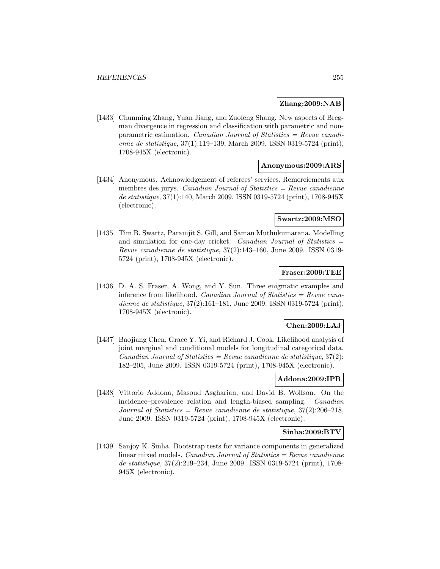#### **Zhang:2009:NAB**

[1433] Chunming Zhang, Yuan Jiang, and Zuofeng Shang. New aspects of Bregman divergence in regression and classification with parametric and nonparametric estimation. Canadian Journal of Statistics = Revue canadienne de statistique, 37(1):119–139, March 2009. ISSN 0319-5724 (print), 1708-945X (electronic).

#### **Anonymous:2009:ARS**

[1434] Anonymous. Acknowledgement of referees' services. Remerciements aux membres des jurys. Canadian Journal of Statistics  $=$  Revue canadienne de statistique, 37(1):140, March 2009. ISSN 0319-5724 (print), 1708-945X (electronic).

#### **Swartz:2009:MSO**

[1435] Tim B. Swartz, Paramjit S. Gill, and Saman Muthukumarana. Modelling and simulation for one-day cricket. Canadian Journal of Statistics = Revue canadienne de statistique, 37(2):143–160, June 2009. ISSN 0319- 5724 (print), 1708-945X (electronic).

#### **Fraser:2009:TEE**

[1436] D. A. S. Fraser, A. Wong, and Y. Sun. Three enigmatic examples and inference from likelihood. Canadian Journal of Statistics =  $Re$ vue canadienne de statistique, 37(2):161–181, June 2009. ISSN 0319-5724 (print), 1708-945X (electronic).

#### **Chen:2009:LAJ**

[1437] Baojiang Chen, Grace Y. Yi, and Richard J. Cook. Likelihood analysis of joint marginal and conditional models for longitudinal categorical data.  $Canadian Journal of Statistics = Review canadienne de statistic, 37(2):$ 182–205, June 2009. ISSN 0319-5724 (print), 1708-945X (electronic).

## **Addona:2009:IPR**

[1438] Vittorio Addona, Masoud Asgharian, and David B. Wolfson. On the incidence–prevalence relation and length-biased sampling. Canadian Journal of Statistics = Revue canadienne de statistique,  $37(2):206-218$ , June 2009. ISSN 0319-5724 (print), 1708-945X (electronic).

## **Sinha:2009:BTV**

[1439] Sanjoy K. Sinha. Bootstrap tests for variance components in generalized linear mixed models. Canadian Journal of Statistics = Revue canadienne de statistique, 37(2):219–234, June 2009. ISSN 0319-5724 (print), 1708- 945X (electronic).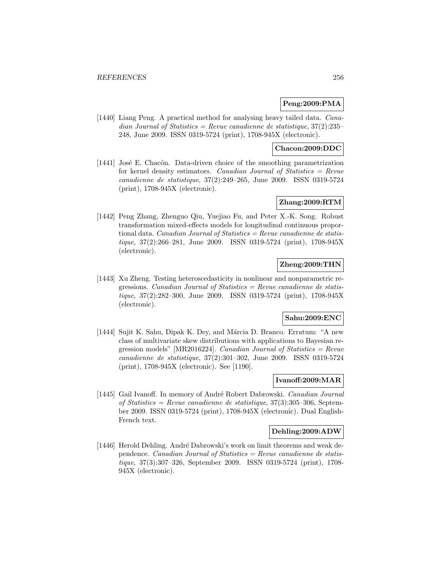## **Peng:2009:PMA**

[1440] Liang Peng. A practical method for analysing heavy tailed data. *Cana*dian Journal of Statistics = Revue canadienne de statistique,  $37(2):235$ 248, June 2009. ISSN 0319-5724 (print), 1708-945X (electronic).

### **Chacon:2009:DDC**

[1441] José E. Chacón. Data-driven choice of the smoothing parametrization for kernel density estimators. Canadian Journal of Statistics  $=$  Revue canadienne de statistique, 37(2):249–265, June 2009. ISSN 0319-5724 (print), 1708-945X (electronic).

## **Zhang:2009:RTM**

[1442] Peng Zhang, Zhenguo Qiu, Yuejiao Fu, and Peter X.-K. Song. Robust transformation mixed-effects models for longitudinal continuous proportional data. Canadian Journal of Statistics = Revue canadienne de statistique, 37(2):266–281, June 2009. ISSN 0319-5724 (print), 1708-945X (electronic).

### **Zheng:2009:THN**

[1443] Xu Zheng. Testing heteroscedasticity in nonlinear and nonparametric regressions. Canadian Journal of Statistics =  $Re$ vue canadienne de statistique, 37(2):282–300, June 2009. ISSN 0319-5724 (print), 1708-945X (electronic).

### **Sahu:2009:ENC**

[1444] Sujit K. Sahu, Dipak K. Dey, and Márcia D. Branco. Erratum: "A new class of multivariate skew distributions with applications to Bayesian regression models" [MR2016224]. *Canadian Journal of Statistics = Revue* canadienne de statistique, 37(2):301–302, June 2009. ISSN 0319-5724 (print), 1708-945X (electronic). See [1190].

### **Ivanoff:2009:MAR**

[1445] Gail Ivanoff. In memory of André Robert Dabrowski. Canadian Journal of Statistics = Revue canadienne de statistique, 37(3):305–306, September 2009. ISSN 0319-5724 (print), 1708-945X (electronic). Dual English-French text.

#### **Dehling:2009:ADW**

[1446] Herold Dehling. André Dabrowski's work on limit theorems and weak dependence. Canadian Journal of Statistics = Revue canadienne de statistique, 37(3):307–326, September 2009. ISSN 0319-5724 (print), 1708- 945X (electronic).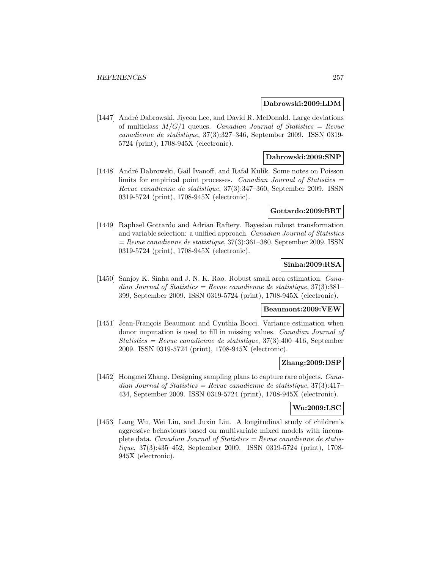#### **Dabrowski:2009:LDM**

[1447] André Dabrowski, Jiyeon Lee, and David R. McDonald. Large deviations of multiclass  $M/G/1$  queues. *Canadian Journal of Statistics = Revue* canadienne de statistique, 37(3):327–346, September 2009. ISSN 0319- 5724 (print), 1708-945X (electronic).

#### **Dabrowski:2009:SNP**

[1448] André Dabrowski, Gail Ivanoff, and Rafał Kulik. Some notes on Poisson limits for empirical point processes. Canadian Journal of Statistics  $=$ Revue canadienne de statistique, 37(3):347–360, September 2009. ISSN 0319-5724 (print), 1708-945X (electronic).

#### **Gottardo:2009:BRT**

[1449] Raphael Gottardo and Adrian Raftery. Bayesian robust transformation and variable selection: a unified approach. Canadian Journal of Statistics  $=$  Revue canadienne de statistique, 37(3):361–380, September 2009. ISSN 0319-5724 (print), 1708-945X (electronic).

# **Sinha:2009:RSA**

[1450] Sanjoy K. Sinha and J. N. K. Rao. Robust small area estimation. Canadian Journal of Statistics = Revue canadienne de statistique,  $37(3):381-$ 399, September 2009. ISSN 0319-5724 (print), 1708-945X (electronic).

### **Beaumont:2009:VEW**

[1451] Jean-François Beaumont and Cynthia Bocci. Variance estimation when donor imputation is used to fill in missing values. Canadian Journal of Statistics = Revue canadienne de statistique,  $37(3):400-416$ , September 2009. ISSN 0319-5724 (print), 1708-945X (electronic).

#### **Zhang:2009:DSP**

[1452] Hongmei Zhang. Designing sampling plans to capture rare objects. Canadian Journal of Statistics = Revue canadienne de statistique,  $37(3):417-$ 434, September 2009. ISSN 0319-5724 (print), 1708-945X (electronic).

## **Wu:2009:LSC**

[1453] Lang Wu, Wei Liu, and Juxin Liu. A longitudinal study of children's aggressive behaviours based on multivariate mixed models with incomplete data. Canadian Journal of Statistics = Revue canadienne de statistique, 37(3):435–452, September 2009. ISSN 0319-5724 (print), 1708- 945X (electronic).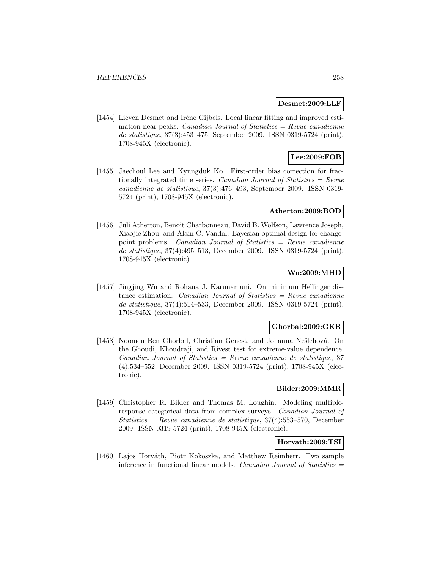#### **Desmet:2009:LLF**

[1454] Lieven Desmet and Irène Gijbels. Local linear fitting and improved estimation near peaks. Canadian Journal of Statistics  $=$  Revue canadienne de statistique, 37(3):453–475, September 2009. ISSN 0319-5724 (print), 1708-945X (electronic).

# **Lee:2009:FOB**

[1455] Jaechoul Lee and Kyungduk Ko. First-order bias correction for fractionally integrated time series. Canadian Journal of Statistics  $=$  Revue canadienne de statistique, 37(3):476–493, September 2009. ISSN 0319- 5724 (print), 1708-945X (electronic).

#### **Atherton:2009:BOD**

[1456] Juli Atherton, Benoit Charbonneau, David B. Wolfson, Lawrence Joseph, Xiaojie Zhou, and Alain C. Vandal. Bayesian optimal design for changepoint problems. Canadian Journal of Statistics = Revue canadienne de statistique, 37(4):495–513, December 2009. ISSN 0319-5724 (print), 1708-945X (electronic).

### **Wu:2009:MHD**

[1457] Jingjing Wu and Rohana J. Karunamuni. On minimum Hellinger distance estimation. Canadian Journal of Statistics  $=$  Revue canadienne de statistique, 37(4):514–533, December 2009. ISSN 0319-5724 (print), 1708-945X (electronic).

#### **Ghorbal:2009:GKR**

[1458] Noomen Ben Ghorbal, Christian Genest, and Johanna Nešlehová. On the Ghoudi, Khoudraji, and Rivest test for extreme-value dependence.  $Canadian Journal of Statistics = Review can a dienne de statistic, 37$ (4):534–552, December 2009. ISSN 0319-5724 (print), 1708-945X (electronic).

#### **Bilder:2009:MMR**

[1459] Christopher R. Bilder and Thomas M. Loughin. Modeling multipleresponse categorical data from complex surveys. Canadian Journal of  $Statistics = Revenue canadienne de statistique, 37(4): 553-570, December$ 2009. ISSN 0319-5724 (print), 1708-945X (electronic).

## **Horvath:2009:TSI**

[1460] Lajos Horváth, Piotr Kokoszka, and Matthew Reimherr. Two sample inference in functional linear models. Canadian Journal of Statistics  $=$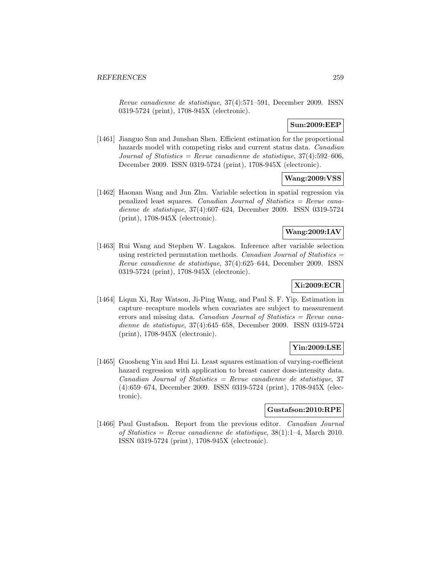Revue canadienne de statistique, 37(4):571–591, December 2009. ISSN 0319-5724 (print), 1708-945X (electronic).

### **Sun:2009:EEP**

[1461] Jianguo Sun and Junshan Shen. Efficient estimation for the proportional hazards model with competing risks and current status data. Canadian Journal of Statistics = Revue canadienne de statistique,  $37(4):592-606$ , December 2009. ISSN 0319-5724 (print), 1708-945X (electronic).

### **Wang:2009:VSS**

[1462] Haonan Wang and Jun Zhu. Variable selection in spatial regression via penalized least squares. Canadian Journal of Statistics  $=$  Revue canadienne de statistique, 37(4):607–624, December 2009. ISSN 0319-5724 (print), 1708-945X (electronic).

### **Wang:2009:IAV**

[1463] Rui Wang and Stephen W. Lagakos. Inference after variable selection using restricted permutation methods. Canadian Journal of Statistics  $=$ Revue canadienne de statistique, 37(4):625–644, December 2009. ISSN 0319-5724 (print), 1708-945X (electronic).

# **Xi:2009:ECR**

[1464] Liqun Xi, Ray Watson, Ji-Ping Wang, and Paul S. F. Yip. Estimation in capture–recapture models when covariates are subject to measurement errors and missing data. Canadian Journal of Statistics  $=$  Revue canadienne de statistique, 37(4):645–658, December 2009. ISSN 0319-5724 (print), 1708-945X (electronic).

#### **Yin:2009:LSE**

[1465] Guosheng Yin and Hui Li. Least squares estimation of varying-coefficient hazard regression with application to breast cancer dose-intensity data.  $Canadian Journal of Statistics = Review canadienne de statistic, 37$ (4):659–674, December 2009. ISSN 0319-5724 (print), 1708-945X (electronic).

#### **Gustafson:2010:RPE**

[1466] Paul Gustafson. Report from the previous editor. Canadian Journal of Statistics = Revue canadienne de statistique,  $38(1):1-4$ , March 2010. ISSN 0319-5724 (print), 1708-945X (electronic).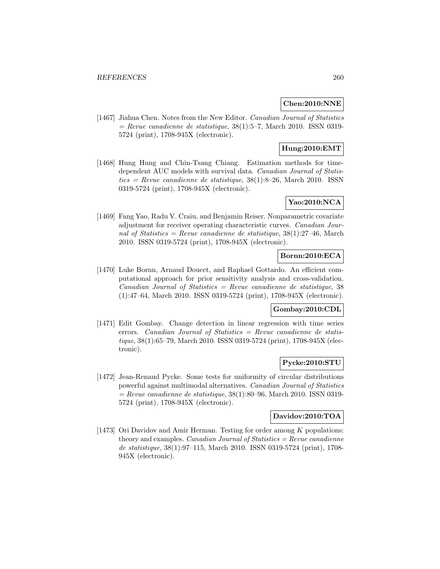## **Chen:2010:NNE**

[1467] Jiahua Chen. Notes from the New Editor. Canadian Journal of Statistics  $=$  Revue canadienne de statistique, 38(1):5–7, March 2010. ISSN 0319-5724 (print), 1708-945X (electronic).

# **Hung:2010:EMT**

[1468] Hung Hung and Chin-Tsang Chiang. Estimation methods for timedependent AUC models with survival data. Canadian Journal of Statistics = Revue canadienne de statistique,  $38(1)$ :8–26, March 2010. ISSN 0319-5724 (print), 1708-945X (electronic).

# **Yao:2010:NCA**

[1469] Fang Yao, Radu V. Craiu, and Benjamin Reiser. Nonparametric covariate adjustment for receiver operating characteristic curves. Canadian Journal of Statistics = Revue canadienne de statistique,  $38(1):27-46$ , March 2010. ISSN 0319-5724 (print), 1708-945X (electronic).

### **Bornn:2010:ECA**

[1470] Luke Bornn, Arnaud Doucet, and Raphael Gottardo. An efficient computational approach for prior sensitivity analysis and cross-validation.  $Canadian Journal of Statistics = Revenue canadienne de statistic, 38$ (1):47–64, March 2010. ISSN 0319-5724 (print), 1708-945X (electronic).

### **Gombay:2010:CDL**

[1471] Edit Gombay. Change detection in linear regression with time series errors. Canadian Journal of Statistics  $=$  Revue canadienne de statistique, 38(1):65–79, March 2010. ISSN 0319-5724 (print), 1708-945X (electronic).

## **Pycke:2010:STU**

[1472] Jean-Renaud Pycke. Some tests for uniformity of circular distributions powerful against multimodal alternatives. Canadian Journal of Statistics  $=$  Revue canadienne de statistique, 38(1):80–96, March 2010. ISSN 0319-5724 (print), 1708-945X (electronic).

## **Davidov:2010:TOA**

[1473] Ori Davidov and Amir Herman. Testing for order among  $K$  populations: theory and examples. *Canadian Journal of Statistics = Revue canadienne* de statistique, 38(1):97–115, March 2010. ISSN 0319-5724 (print), 1708- 945X (electronic).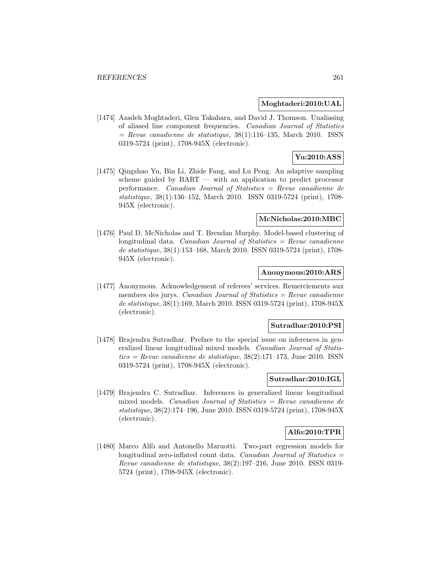### **Moghtaderi:2010:UAL**

[1474] Azadeh Moghtaderi, Glen Takahara, and David J. Thomson. Unaliasing of aliased line component frequencies. Canadian Journal of Statistics  $=$  Revue canadienne de statistique, 38(1):116–135, March 2010. ISSN 0319-5724 (print), 1708-945X (electronic).

### **Yu:2010:ASS**

[1475] Qingzhao Yu, Bin Li, Zhide Fang, and Lu Peng. An adaptive sampling scheme guided by BART — with an application to predict processor performance. Canadian Journal of Statistics = Revue canadienne de statistique, 38(1):136–152, March 2010. ISSN 0319-5724 (print), 1708- 945X (electronic).

#### **McNicholas:2010:MBC**

[1476] Paul D. McNicholas and T. Brendan Murphy. Model-based clustering of longitudinal data. Canadian Journal of Statistics  $=$  Revue canadienne de statistique, 38(1):153–168, March 2010. ISSN 0319-5724 (print), 1708- 945X (electronic).

#### **Anonymous:2010:ARS**

[1477] Anonymous. Acknowledgement of referees' services. Remerciements aux membres des jurys. Canadian Journal of Statistics  $=$  Revue canadienne de statistique, 38(1):169, March 2010. ISSN 0319-5724 (print), 1708-945X (electronic).

#### **Sutradhar:2010:PSI**

[1478] Brajendra Sutradhar. Preface to the special issue on inferences in generalized linear longitudinal mixed models. Canadian Journal of Statis $tics = Revue$  canadienne de statistique, 38(2):171–173, June 2010. ISSN0319-5724 (print), 1708-945X (electronic).

### **Sutradhar:2010:IGL**

[1479] Brajendra C. Sutradhar. Inferences in generalized linear longitudinal mixed models. Canadian Journal of Statistics = Revue canadienne de statistique, 38(2):174–196, June 2010. ISSN 0319-5724 (print), 1708-945X (electronic).

## **Alfo:2010:TPR**

[1480] Marco Alfò and Antonello Maruotti. Two-part regression models for longitudinal zero-inflated count data. Canadian Journal of Statistics  $=$ Revue canadienne de statistique, 38(2):197–216, June 2010. ISSN 0319- 5724 (print), 1708-945X (electronic).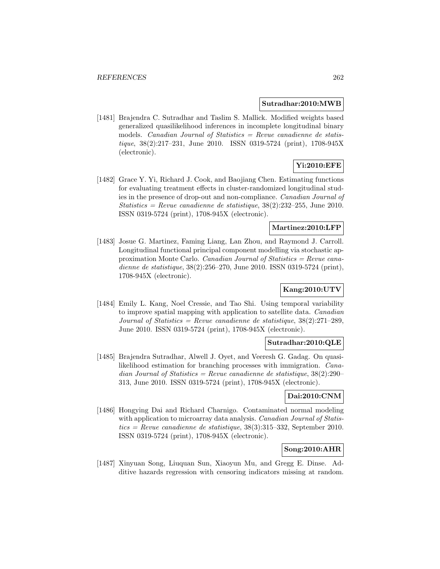#### **Sutradhar:2010:MWB**

[1481] Brajendra C. Sutradhar and Taslim S. Mallick. Modified weights based generalized quasilikelihood inferences in incomplete longitudinal binary models. Canadian Journal of Statistics  $=$  Revue canadienne de statistique, 38(2):217–231, June 2010. ISSN 0319-5724 (print), 1708-945X (electronic).

# **Yi:2010:EFE**

[1482] Grace Y. Yi, Richard J. Cook, and Baojiang Chen. Estimating functions for evaluating treatment effects in cluster-randomized longitudinal studies in the presence of drop-out and non-compliance. Canadian Journal of Statistics = Revue canadienne de statistique,  $38(2):232-255$ , June 2010. ISSN 0319-5724 (print), 1708-945X (electronic).

## **Martinez:2010:LFP**

[1483] Josue G. Martinez, Faming Liang, Lan Zhou, and Raymond J. Carroll. Longitudinal functional principal component modelling via stochastic approximation Monte Carlo. Canadian Journal of Statistics = Revue canadienne de statistique, 38(2):256–270, June 2010. ISSN 0319-5724 (print), 1708-945X (electronic).

## **Kang:2010:UTV**

[1484] Emily L. Kang, Noel Cressie, and Tao Shi. Using temporal variability to improve spatial mapping with application to satellite data. Canadian Journal of Statistics = Revue canadienne de statistique,  $38(2):271-289$ , June 2010. ISSN 0319-5724 (print), 1708-945X (electronic).

## **Sutradhar:2010:QLE**

[1485] Brajendra Sutradhar, Alwell J. Oyet, and Veeresh G. Gadag. On quasilikelihood estimation for branching processes with immigration. Canadian Journal of Statistics = Revue canadienne de statistique,  $38(2):290-$ 313, June 2010. ISSN 0319-5724 (print), 1708-945X (electronic).

#### **Dai:2010:CNM**

[1486] Hongying Dai and Richard Charnigo. Contaminated normal modeling with application to microarray data analysis. *Canadian Journal of Statis*tics = Revue canadienne de statistique,  $38(3):315-332$ , September 2010. ISSN 0319-5724 (print), 1708-945X (electronic).

### **Song:2010:AHR**

[1487] Xinyuan Song, Liuquan Sun, Xiaoyun Mu, and Gregg E. Dinse. Additive hazards regression with censoring indicators missing at random.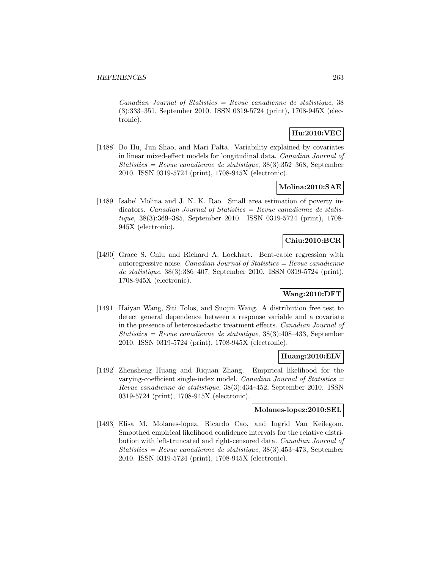$Canadian Journal of Statistics = Revenue canadienne de statistic, 38$ (3):333–351, September 2010. ISSN 0319-5724 (print), 1708-945X (electronic).

# **Hu:2010:VEC**

[1488] Bo Hu, Jun Shao, and Mari Palta. Variability explained by covariates in linear mixed-effect models for longitudinal data. Canadian Journal of Statistics = Revue canadienne de statistique, 38(3):352–368, September 2010. ISSN 0319-5724 (print), 1708-945X (electronic).

#### **Molina:2010:SAE**

[1489] Isabel Molina and J. N. K. Rao. Small area estimation of poverty indicators. Canadian Journal of Statistics = Revue canadienne de statistique, 38(3):369–385, September 2010. ISSN 0319-5724 (print), 1708- 945X (electronic).

## **Chiu:2010:BCR**

[1490] Grace S. Chiu and Richard A. Lockhart. Bent-cable regression with autoregressive noise. *Canadian Journal of Statistics = Revue canadienne* de statistique, 38(3):386–407, September 2010. ISSN 0319-5724 (print), 1708-945X (electronic).

## **Wang:2010:DFT**

[1491] Haiyan Wang, Siti Tolos, and Suojin Wang. A distribution free test to detect general dependence between a response variable and a covariate in the presence of heteroscedastic treatment effects. Canadian Journal of Statistics = Revue canadienne de statistique, 38(3):408–433, September 2010. ISSN 0319-5724 (print), 1708-945X (electronic).

## **Huang:2010:ELV**

[1492] Zhensheng Huang and Riquan Zhang. Empirical likelihood for the varying-coefficient single-index model. Canadian Journal of Statistics  $=$ Revue canadienne de statistique, 38(3):434–452, September 2010. ISSN 0319-5724 (print), 1708-945X (electronic).

### **Molanes-lopez:2010:SEL**

[1493] Elisa M. Molanes-lopez, Ricardo Cao, and Ingrid Van Keilegom. Smoothed empirical likelihood confidence intervals for the relative distribution with left-truncated and right-censored data. Canadian Journal of Statistics = Revue canadienne de statistique,  $38(3):453-473$ , September 2010. ISSN 0319-5724 (print), 1708-945X (electronic).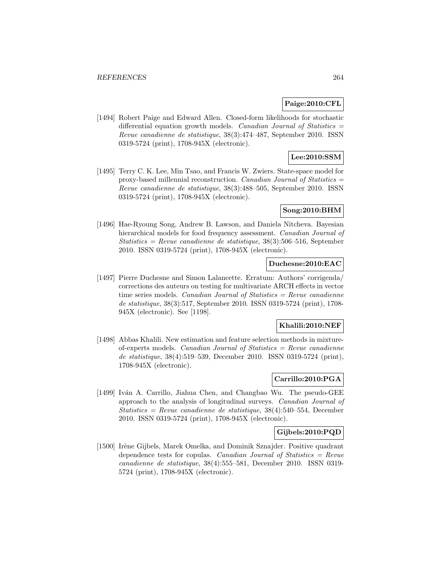#### **Paige:2010:CFL**

[1494] Robert Paige and Edward Allen. Closed-form likelihoods for stochastic differential equation growth models. *Canadian Journal of Statistics* = Revue canadienne de statistique, 38(3):474–487, September 2010. ISSN 0319-5724 (print), 1708-945X (electronic).

# **Lee:2010:SSM**

[1495] Terry C. K. Lee, Min Tsao, and Francis W. Zwiers. State-space model for proxy-based millennial reconstruction. Canadian Journal of Statistics  $=$ Revue canadienne de statistique, 38(3):488–505, September 2010. ISSN 0319-5724 (print), 1708-945X (electronic).

### **Song:2010:BHM**

[1496] Hae-Ryoung Song, Andrew B. Lawson, and Daniela Nitcheva. Bayesian hierarchical models for food frequency assessment. *Canadian Journal of*  $Statistics = Revenue canadienne de statistic, 38(3):506-516, September$ 2010. ISSN 0319-5724 (print), 1708-945X (electronic).

### **Duchesne:2010:EAC**

[1497] Pierre Duchesne and Simon Lalancette. Erratum: Authors' corrigenda/ corrections des auteurs on testing for multivariate ARCH effects in vector time series models. Canadian Journal of Statistics  $=$  Revue canadienne de statistique, 38(3):517, September 2010. ISSN 0319-5724 (print), 1708- 945X (electronic). See [1198].

#### **Khalili:2010:NEF**

[1498] Abbas Khalili. New estimation and feature selection methods in mixtureof-experts models. Canadian Journal of Statistics = Revue canadienne de statistique, 38(4):519–539, December 2010. ISSN 0319-5724 (print), 1708-945X (electronic).

## **Carrillo:2010:PGA**

[1499] Iván A. Carrillo, Jiahua Chen, and Changbao Wu. The pseudo-GEE approach to the analysis of longitudinal surveys. Canadian Journal of  $Statistics = Revenue canadienne de statistic, 38(4):540-554$ , December 2010. ISSN 0319-5724 (print), 1708-945X (electronic).

#### **Gijbels:2010:PQD**

[1500] Irène Gijbels, Marek Omelka, and Dominik Sznajder. Positive quadrant dependence tests for copulas. Canadian Journal of Statistics =  $Re$ vue canadienne de statistique, 38(4):555–581, December 2010. ISSN 0319- 5724 (print), 1708-945X (electronic).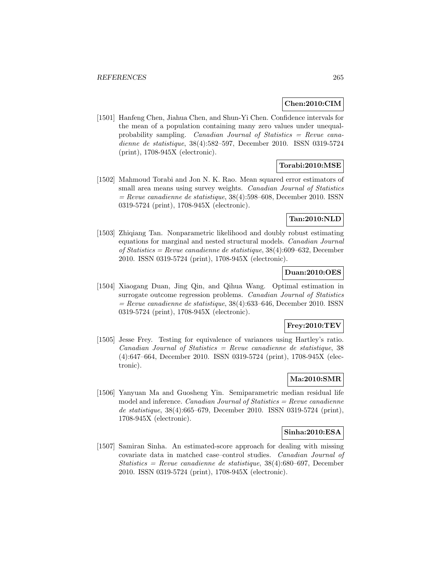### **Chen:2010:CIM**

[1501] Hanfeng Chen, Jiahua Chen, and Shun-Yi Chen. Confidence intervals for the mean of a population containing many zero values under unequalprobability sampling. Canadian Journal of Statistics = Revue canadienne de statistique, 38(4):582–597, December 2010. ISSN 0319-5724 (print), 1708-945X (electronic).

### **Torabi:2010:MSE**

[1502] Mahmoud Torabi and Jon N. K. Rao. Mean squared error estimators of small area means using survey weights. Canadian Journal of Statistics  $=$  Revue canadienne de statistique, 38(4):598–608, December 2010. ISSN 0319-5724 (print), 1708-945X (electronic).

### **Tan:2010:NLD**

[1503] Zhiqiang Tan. Nonparametric likelihood and doubly robust estimating equations for marginal and nested structural models. Canadian Journal of Statistics = Revue canadienne de statistique,  $38(4)$ :609-632, December 2010. ISSN 0319-5724 (print), 1708-945X (electronic).

#### **Duan:2010:OES**

[1504] Xiaogang Duan, Jing Qin, and Qihua Wang. Optimal estimation in surrogate outcome regression problems. *Canadian Journal of Statistics*  $=$  Revue canadienne de statistique, 38(4):633–646, December 2010. ISSN 0319-5724 (print), 1708-945X (electronic).

#### **Frey:2010:TEV**

[1505] Jesse Frey. Testing for equivalence of variances using Hartley's ratio.  $Canadian Journal of Statistics = Review canadienne de statistic, 38$ (4):647–664, December 2010. ISSN 0319-5724 (print), 1708-945X (electronic).

## **Ma:2010:SMR**

[1506] Yanyuan Ma and Guosheng Yin. Semiparametric median residual life model and inference. *Canadian Journal of Statistics = Revue canadienne* de statistique, 38(4):665–679, December 2010. ISSN 0319-5724 (print), 1708-945X (electronic).

#### **Sinha:2010:ESA**

[1507] Samiran Sinha. An estimated-score approach for dealing with missing covariate data in matched case–control studies. Canadian Journal of Statistics = Revue canadienne de statistique,  $38(4):680-697$ , December 2010. ISSN 0319-5724 (print), 1708-945X (electronic).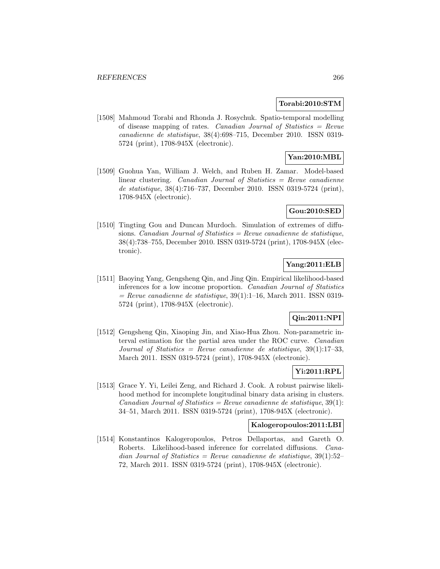#### **Torabi:2010:STM**

[1508] Mahmoud Torabi and Rhonda J. Rosychuk. Spatio-temporal modelling of disease mapping of rates. Canadian Journal of Statistics = Revue canadienne de statistique, 38(4):698–715, December 2010. ISSN 0319- 5724 (print), 1708-945X (electronic).

# **Yan:2010:MBL**

[1509] Guohua Yan, William J. Welch, and Ruben H. Zamar. Model-based linear clustering. Canadian Journal of Statistics  $=$  Revue canadienne de statistique, 38(4):716–737, December 2010. ISSN 0319-5724 (print), 1708-945X (electronic).

### **Gou:2010:SED**

[1510] Tingting Gou and Duncan Murdoch. Simulation of extremes of diffusions. Canadian Journal of Statistics = Revue canadienne de statistique, 38(4):738–755, December 2010. ISSN 0319-5724 (print), 1708-945X (electronic).

### **Yang:2011:ELB**

[1511] Baoying Yang, Gengsheng Qin, and Jing Qin. Empirical likelihood-based inferences for a low income proportion. Canadian Journal of Statistics  $=$  Revue canadienne de statistique, 39(1):1–16, March 2011. ISSN 0319-5724 (print), 1708-945X (electronic).

## **Qin:2011:NPI**

[1512] Gengsheng Qin, Xiaoping Jin, and Xiao-Hua Zhou. Non-parametric interval estimation for the partial area under the ROC curve. Canadian Journal of Statistics = Revue canadienne de statistique,  $39(1):17-33$ , March 2011. ISSN 0319-5724 (print), 1708-945X (electronic).

### **Yi:2011:RPL**

[1513] Grace Y. Yi, Leilei Zeng, and Richard J. Cook. A robust pairwise likelihood method for incomplete longitudinal binary data arising in clusters. Canadian Journal of Statistics = Revue canadienne de statistique,  $39(1)$ : 34–51, March 2011. ISSN 0319-5724 (print), 1708-945X (electronic).

### **Kalogeropoulos:2011:LBI**

[1514] Konstantinos Kalogeropoulos, Petros Dellaportas, and Gareth O. Roberts. Likelihood-based inference for correlated diffusions. Canadian Journal of Statistics = Revue canadienne de statistique,  $39(1):52-$ 72, March 2011. ISSN 0319-5724 (print), 1708-945X (electronic).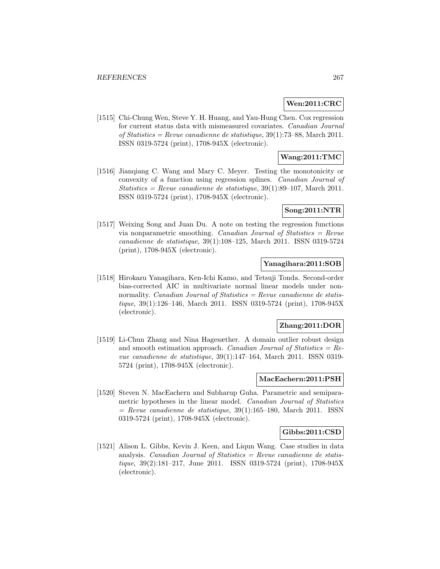#### **Wen:2011:CRC**

[1515] Chi-Chung Wen, Steve Y. H. Huang, and Yau-Hung Chen. Cox regression for current status data with mismeasured covariates. Canadian Journal of Statistics = Revue canadienne de statistique,  $39(1)$ :73–88, March 2011. ISSN 0319-5724 (print), 1708-945X (electronic).

## **Wang:2011:TMC**

[1516] Jianqiang C. Wang and Mary C. Meyer. Testing the monotonicity or convexity of a function using regression splines. Canadian Journal of Statistics = Revue canadienne de statistique,  $39(1):89-107$ , March 2011. ISSN 0319-5724 (print), 1708-945X (electronic).

### **Song:2011:NTR**

[1517] Weixing Song and Juan Du. A note on testing the regression functions via nonparametric smoothing. Canadian Journal of Statistics = Revue canadienne de statistique, 39(1):108–125, March 2011. ISSN 0319-5724 (print), 1708-945X (electronic).

### **Yanagihara:2011:SOB**

[1518] Hirokazu Yanagihara, Ken-Ichi Kamo, and Tetsuji Tonda. Second-order bias-corrected AIC in multivariate normal linear models under nonnormality. *Canadian Journal of Statistics = Revue canadienne de statis*tique, 39(1):126–146, March 2011. ISSN 0319-5724 (print), 1708-945X (electronic).

#### **Zhang:2011:DOR**

[1519] Li-Chun Zhang and Nina Hagesæther. A domain outlier robust design and smooth estimation approach. Canadian Journal of Statistics  $=$  Revue canadienne de statistique, 39(1):147–164, March 2011. ISSN 0319- 5724 (print), 1708-945X (electronic).

### **MacEachern:2011:PSH**

[1520] Steven N. MacEachern and Subharup Guha. Parametric and semiparametric hypotheses in the linear model. Canadian Journal of Statistics  $=$  Revue canadienne de statistique, 39(1):165–180, March 2011. ISSN 0319-5724 (print), 1708-945X (electronic).

#### **Gibbs:2011:CSD**

[1521] Alison L. Gibbs, Kevin J. Keen, and Liqun Wang. Case studies in data analysis. Canadian Journal of Statistics  $=$  Revue canadienne de statistique, 39(2):181–217, June 2011. ISSN 0319-5724 (print), 1708-945X (electronic).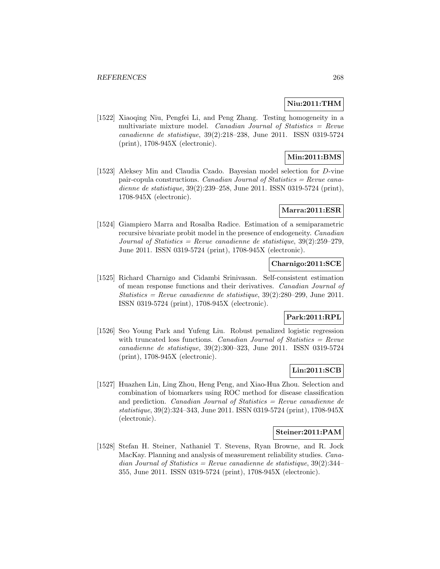### **Niu:2011:THM**

[1522] Xiaoqing Niu, Pengfei Li, and Peng Zhang. Testing homogeneity in a multivariate mixture model. Canadian Journal of Statistics = Revue canadienne de statistique, 39(2):218–238, June 2011. ISSN 0319-5724 (print), 1708-945X (electronic).

## **Min:2011:BMS**

[1523] Aleksey Min and Claudia Czado. Bayesian model selection for D-vine pair-copula constructions. *Canadian Journal of Statistics = Revue cana*dienne de statistique, 39(2):239–258, June 2011. ISSN 0319-5724 (print), 1708-945X (electronic).

### **Marra:2011:ESR**

[1524] Giampiero Marra and Rosalba Radice. Estimation of a semiparametric recursive bivariate probit model in the presence of endogeneity. Canadian Journal of Statistics = Revue canadienne de statistique,  $39(2):259-279$ , June 2011. ISSN 0319-5724 (print), 1708-945X (electronic).

### **Charnigo:2011:SCE**

[1525] Richard Charnigo and Cidambi Srinivasan. Self-consistent estimation of mean response functions and their derivatives. Canadian Journal of Statistics = Revue canadienne de statistique,  $39(2):280-299$ , June 2011. ISSN 0319-5724 (print), 1708-945X (electronic).

### **Park:2011:RPL**

[1526] Seo Young Park and Yufeng Liu. Robust penalized logistic regression with truncated loss functions. Canadian Journal of Statistics  $=$  Revue canadienne de statistique, 39(2):300–323, June 2011. ISSN 0319-5724 (print), 1708-945X (electronic).

### **Lin:2011:SCB**

[1527] Huazhen Lin, Ling Zhou, Heng Peng, and Xiao-Hua Zhou. Selection and combination of biomarkers using ROC method for disease classification and prediction. *Canadian Journal of Statistics = Revue canadienne de* statistique, 39(2):324–343, June 2011. ISSN 0319-5724 (print), 1708-945X (electronic).

#### **Steiner:2011:PAM**

[1528] Stefan H. Steiner, Nathaniel T. Stevens, Ryan Browne, and R. Jock MacKay. Planning and analysis of measurement reliability studies. Canadian Journal of Statistics = Revue canadienne de statistique,  $39(2):344-$ 355, June 2011. ISSN 0319-5724 (print), 1708-945X (electronic).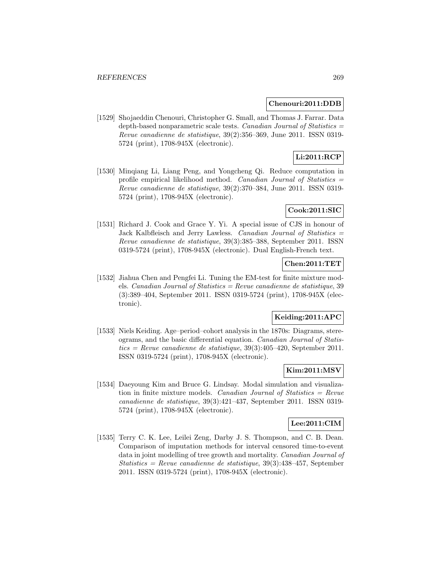#### **Chenouri:2011:DDB**

[1529] Shojaeddin Chenouri, Christopher G. Small, and Thomas J. Farrar. Data depth-based nonparametric scale tests. Canadian Journal of Statistics  $=$ Revue canadienne de statistique, 39(2):356–369, June 2011. ISSN 0319- 5724 (print), 1708-945X (electronic).

# **Li:2011:RCP**

[1530] Minqiang Li, Liang Peng, and Yongcheng Qi. Reduce computation in profile empirical likelihood method. Canadian Journal of Statistics  $=$ Revue canadienne de statistique, 39(2):370–384, June 2011. ISSN 0319- 5724 (print), 1708-945X (electronic).

### **Cook:2011:SIC**

[1531] Richard J. Cook and Grace Y. Yi. A special issue of CJS in honour of Jack Kalbfleisch and Jerry Lawless. Canadian Journal of Statistics = Revue canadienne de statistique, 39(3):385–388, September 2011. ISSN 0319-5724 (print), 1708-945X (electronic). Dual English-French text.

#### **Chen:2011:TET**

[1532] Jiahua Chen and Pengfei Li. Tuning the EM-test for finite mixture models. Canadian Journal of Statistics = Revue canadienne de statistique, 39 (3):389–404, September 2011. ISSN 0319-5724 (print), 1708-945X (electronic).

### **Keiding:2011:APC**

[1533] Niels Keiding. Age–period–cohort analysis in the 1870s: Diagrams, stereograms, and the basic differential equation. Canadian Journal of Statis $tics = Revue$  canadienne de statistique, 39(3):405–420, September 2011.ISSN 0319-5724 (print), 1708-945X (electronic).

#### **Kim:2011:MSV**

[1534] Daeyoung Kim and Bruce G. Lindsay. Modal simulation and visualization in finite mixture models. Canadian Journal of Statistics  $=$  Revue canadienne de statistique, 39(3):421–437, September 2011. ISSN 0319- 5724 (print), 1708-945X (electronic).

#### **Lee:2011:CIM**

[1535] Terry C. K. Lee, Leilei Zeng, Darby J. S. Thompson, and C. B. Dean. Comparison of imputation methods for interval censored time-to-event data in joint modelling of tree growth and mortality. Canadian Journal of Statistics = Revue canadienne de statistique, 39(3):438–457, September 2011. ISSN 0319-5724 (print), 1708-945X (electronic).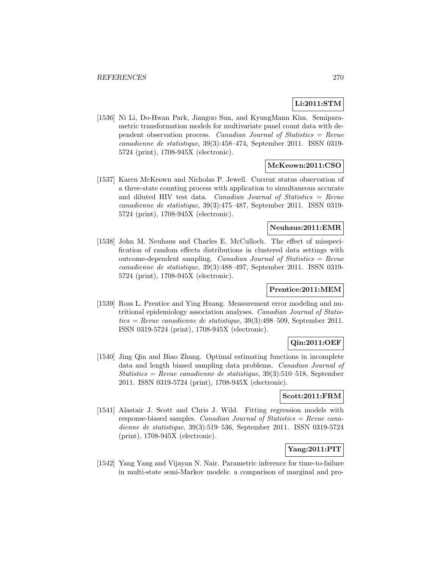### **Li:2011:STM**

[1536] Ni Li, Do-Hwan Park, Jianguo Sun, and KyungMann Kim. Semiparametric transformation models for multivariate panel count data with dependent observation process. Canadian Journal of Statistics = Revue canadienne de statistique, 39(3):458–474, September 2011. ISSN 0319- 5724 (print), 1708-945X (electronic).

#### **McKeown:2011:CSO**

[1537] Karen McKeown and Nicholas P. Jewell. Current status observation of a three-state counting process with application to simultaneous accurate and diluted HIV test data. Canadian Journal of Statistics = Revue canadienne de statistique, 39(3):475–487, September 2011. ISSN 0319- 5724 (print), 1708-945X (electronic).

## **Neuhaus:2011:EMR**

[1538] John M. Neuhaus and Charles E. McCulloch. The effect of misspecification of random effects distributions in clustered data settings with outcome-dependent sampling. Canadian Journal of Statistics  $=$  Revue canadienne de statistique, 39(3):488–497, September 2011. ISSN 0319- 5724 (print), 1708-945X (electronic).

### **Prentice:2011:MEM**

[1539] Ross L. Prentice and Ying Huang. Measurement error modeling and nutritional epidemiology association analyses. Canadian Journal of Statistics = Revue canadienne de statistique,  $39(3):498-509$ , September 2011. ISSN 0319-5724 (print), 1708-945X (electronic).

## **Qin:2011:OEF**

[1540] Jing Qin and Biao Zhang. Optimal estimating functions in incomplete data and length biased sampling data problems. Canadian Journal of Statistics = Revue canadienne de statistique,  $39(3):510-518$ , September 2011. ISSN 0319-5724 (print), 1708-945X (electronic).

#### **Scott:2011:FRM**

[1541] Alastair J. Scott and Chris J. Wild. Fitting regression models with response-biased samples. Canadian Journal of Statistics  $=$  Revue canadienne de statistique, 39(3):519–536, September 2011. ISSN 0319-5724 (print), 1708-945X (electronic).

## **Yang:2011:PIT**

[1542] Yang Yang and Vijayan N. Nair. Parametric inference for time-to-failure in multi-state semi-Markov models: a comparison of marginal and pro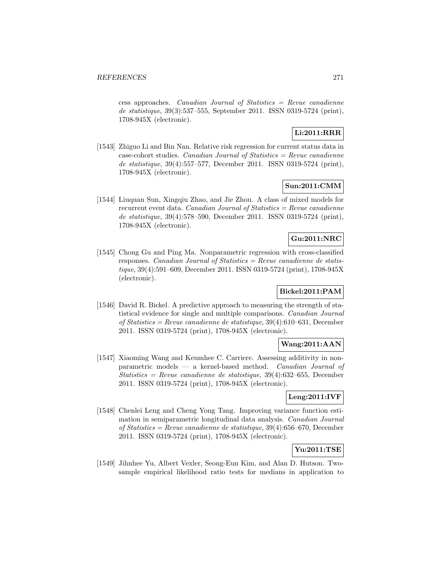$\cos$  approaches. *Canadian Journal of Statistics = Revue canadienne* de statistique, 39(3):537–555, September 2011. ISSN 0319-5724 (print), 1708-945X (electronic).

# **Li:2011:RRR**

[1543] Zhiguo Li and Bin Nan. Relative risk regression for current status data in  $case-color$  studies. *Canadian Journal of Statistics = Revue canadienne* de statistique, 39(4):557–577, December 2011. ISSN 0319-5724 (print), 1708-945X (electronic).

# **Sun:2011:CMM**

[1544] Liuquan Sun, Xingqiu Zhao, and Jie Zhou. A class of mixed models for recurrent event data. Canadian Journal of Statistics  $=$  Revue canadienne de statistique, 39(4):578–590, December 2011. ISSN 0319-5724 (print), 1708-945X (electronic).

## **Gu:2011:NRC**

[1545] Chong Gu and Ping Ma. Nonparametric regression with cross-classified responses. Canadian Journal of Statistics = Revue canadienne de statistique, 39(4):591–609, December 2011. ISSN 0319-5724 (print), 1708-945X (electronic).

## **Bickel:2011:PAM**

[1546] David R. Bickel. A predictive approach to measuring the strength of statistical evidence for single and multiple comparisons. Canadian Journal of Statistics = Revue canadienne de statistique, 39(4):610–631, December 2011. ISSN 0319-5724 (print), 1708-945X (electronic).

## **Wang:2011:AAN**

[1547] Xiaoming Wang and Keumhee C. Carriere. Assessing additivity in nonparametric models — a kernel-based method. Canadian Journal of Statistics = Revue canadienne de statistique,  $39(4)$ :632-655, December 2011. ISSN 0319-5724 (print), 1708-945X (electronic).

# **Leng:2011:IVF**

[1548] Chenlei Leng and Cheng Yong Tang. Improving variance function estimation in semiparametric longitudinal data analysis. Canadian Journal of Statistics = Revue canadienne de statistique, 39(4):656–670, December 2011. ISSN 0319-5724 (print), 1708-945X (electronic).

# **Yu:2011:TSE**

[1549] Jihnhee Yu, Albert Vexler, Seong-Eun Kim, and Alan D. Hutson. Twosample empirical likelihood ratio tests for medians in application to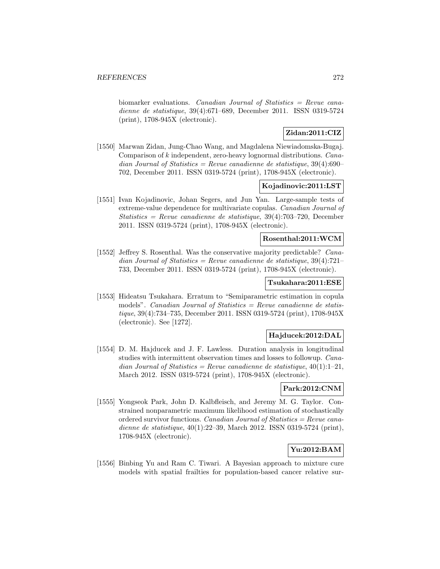biomarker evaluations. Canadian Journal of Statistics = Revue canadienne de statistique, 39(4):671–689, December 2011. ISSN 0319-5724 (print), 1708-945X (electronic).

# **Zidan:2011:CIZ**

[1550] Marwan Zidan, Jung-Chao Wang, and Magdalena Niewiadomska-Bugaj. Comparison of k independent, zero-heavy lognormal distributions. Canadian Journal of Statistics = Revue canadienne de statistique,  $39(4):690-$ 702, December 2011. ISSN 0319-5724 (print), 1708-945X (electronic).

## **Kojadinovic:2011:LST**

[1551] Ivan Kojadinovic, Johan Segers, and Jun Yan. Large-sample tests of extreme-value dependence for multivariate copulas. Canadian Journal of Statistics = Revue canadienne de statistique,  $39(4)$ :703-720, December 2011. ISSN 0319-5724 (print), 1708-945X (electronic).

## **Rosenthal:2011:WCM**

[1552] Jeffrey S. Rosenthal. Was the conservative majority predictable? Canadian Journal of Statistics = Revue canadienne de statistique,  $39(4):721-$ 733, December 2011. ISSN 0319-5724 (print), 1708-945X (electronic).

### **Tsukahara:2011:ESE**

[1553] Hideatsu Tsukahara. Erratum to "Semiparametric estimation in copula models". Canadian Journal of Statistics  $=$  Revue canadienne de statistique, 39(4):734–735, December 2011. ISSN 0319-5724 (print), 1708-945X (electronic). See [1272].

#### **Hajducek:2012:DAL**

[1554] D. M. Hajducek and J. F. Lawless. Duration analysis in longitudinal studies with intermittent observation times and losses to followup. Canadian Journal of Statistics = Revue canadienne de statistique,  $40(1):1-21$ , March 2012. ISSN 0319-5724 (print), 1708-945X (electronic).

### **Park:2012:CNM**

[1555] Yongseok Park, John D. Kalbfleisch, and Jeremy M. G. Taylor. Constrained nonparametric maximum likelihood estimation of stochastically ordered survivor functions. Canadian Journal of Statistics = Revue canadienne de statistique, 40(1):22–39, March 2012. ISSN 0319-5724 (print), 1708-945X (electronic).

# **Yu:2012:BAM**

[1556] Binbing Yu and Ram C. Tiwari. A Bayesian approach to mixture cure models with spatial frailties for population-based cancer relative sur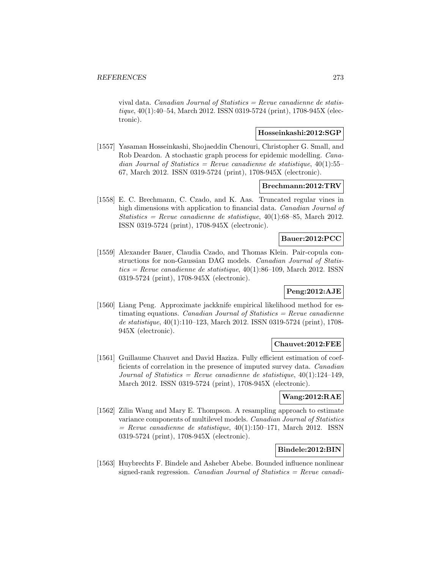vival data. Canadian Journal of Statistics = Revue canadienne de statistique, 40(1):40–54, March 2012. ISSN 0319-5724 (print), 1708-945X (electronic).

## **Hosseinkashi:2012:SGP**

[1557] Yasaman Hosseinkashi, Shojaeddin Chenouri, Christopher G. Small, and Rob Deardon. A stochastic graph process for epidemic modelling. Canadian Journal of Statistics = Revue canadienne de statistique,  $40(1):55-$ 67, March 2012. ISSN 0319-5724 (print), 1708-945X (electronic).

#### **Brechmann:2012:TRV**

[1558] E. C. Brechmann, C. Czado, and K. Aas. Truncated regular vines in high dimensions with application to financial data. *Canadian Journal of* Statistics = Revue canadienne de statistique,  $40(1)$ :68-85, March 2012. ISSN 0319-5724 (print), 1708-945X (electronic).

## **Bauer:2012:PCC**

[1559] Alexander Bauer, Claudia Czado, and Thomas Klein. Pair-copula constructions for non-Gaussian DAG models. Canadian Journal of Statis $tics = Revenue canadienne de statisticque, 40(1):86–109, March 2012. ISSN$ 0319-5724 (print), 1708-945X (electronic).

## **Peng:2012:AJE**

[1560] Liang Peng. Approximate jackknife empirical likelihood method for estimating equations. Canadian Journal of Statistics  $=$  Revue canadienne de statistique, 40(1):110–123, March 2012. ISSN 0319-5724 (print), 1708- 945X (electronic).

### **Chauvet:2012:FEE**

[1561] Guillaume Chauvet and David Haziza. Fully efficient estimation of coefficients of correlation in the presence of imputed survey data. Canadian Journal of Statistics = Revue canadienne de statistique,  $40(1):124-149$ , March 2012. ISSN 0319-5724 (print), 1708-945X (electronic).

## **Wang:2012:RAE**

[1562] Zilin Wang and Mary E. Thompson. A resampling approach to estimate variance components of multilevel models. Canadian Journal of Statistics  $=$  Revue canadienne de statistique, 40(1):150–171, March 2012. ISSN 0319-5724 (print), 1708-945X (electronic).

### **Bindele:2012:BIN**

[1563] Huybrechts F. Bindele and Asheber Abebe. Bounded influence nonlinear signed-rank regression. Canadian Journal of Statistics  $=$  Revue canadi-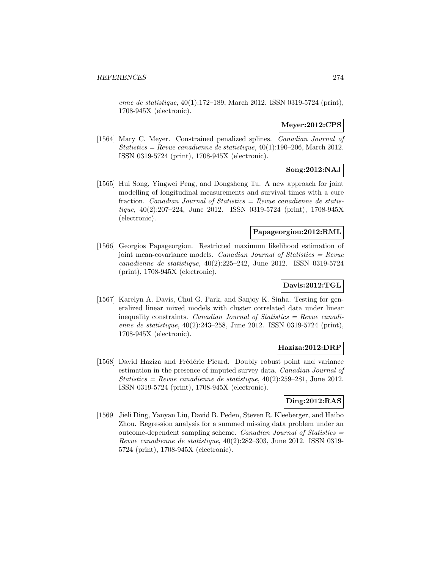enne de statistique, 40(1):172–189, March 2012. ISSN 0319-5724 (print), 1708-945X (electronic).

# **Meyer:2012:CPS**

[1564] Mary C. Meyer. Constrained penalized splines. Canadian Journal of Statistics = Revue canadienne de statistique,  $40(1):190-206$ , March 2012. ISSN 0319-5724 (print), 1708-945X (electronic).

# **Song:2012:NAJ**

[1565] Hui Song, Yingwei Peng, and Dongsheng Tu. A new approach for joint modelling of longitudinal measurements and survival times with a cure fraction. *Canadian Journal of Statistics = Revue canadienne de statis*tique, 40(2):207–224, June 2012. ISSN 0319-5724 (print), 1708-945X (electronic).

#### **Papageorgiou:2012:RML**

[1566] Georgios Papageorgiou. Restricted maximum likelihood estimation of joint mean-covariance models. Canadian Journal of Statistics = Revue canadienne de statistique, 40(2):225–242, June 2012. ISSN 0319-5724 (print), 1708-945X (electronic).

# **Davis:2012:TGL**

[1567] Karelyn A. Davis, Chul G. Park, and Sanjoy K. Sinha. Testing for generalized linear mixed models with cluster correlated data under linear inequality constraints. Canadian Journal of Statistics  $=$  Revue canadienne de statistique, 40(2):243–258, June 2012. ISSN 0319-5724 (print), 1708-945X (electronic).

#### **Haziza:2012:DRP**

[1568] David Haziza and Frédéric Picard. Doubly robust point and variance estimation in the presence of imputed survey data. Canadian Journal of Statistics = Revue canadienne de statistique,  $40(2):259-281$ , June 2012. ISSN 0319-5724 (print), 1708-945X (electronic).

#### **Ding:2012:RAS**

[1569] Jieli Ding, Yanyan Liu, David B. Peden, Steven R. Kleeberger, and Haibo Zhou. Regression analysis for a summed missing data problem under an outcome-dependent sampling scheme. Canadian Journal of Statistics  $=$ Revue canadienne de statistique, 40(2):282–303, June 2012. ISSN 0319- 5724 (print), 1708-945X (electronic).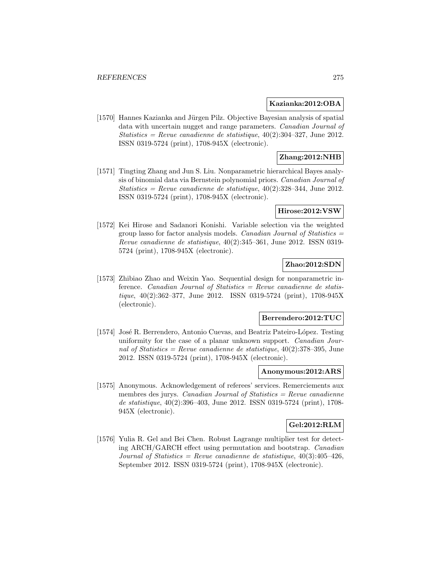#### **Kazianka:2012:OBA**

[1570] Hannes Kazianka and Jürgen Pilz. Objective Bayesian analysis of spatial data with uncertain nugget and range parameters. Canadian Journal of Statistics = Revue canadienne de statistique,  $40(2):304-327$ , June 2012. ISSN 0319-5724 (print), 1708-945X (electronic).

# **Zhang:2012:NHB**

[1571] Tingting Zhang and Jun S. Liu. Nonparametric hierarchical Bayes analysis of binomial data via Bernstein polynomial priors. Canadian Journal of Statistics = Revue canadienne de statistique,  $40(2):328-344$ , June 2012. ISSN 0319-5724 (print), 1708-945X (electronic).

#### **Hirose:2012:VSW**

[1572] Kei Hirose and Sadanori Konishi. Variable selection via the weighted group lasso for factor analysis models. Canadian Journal of Statistics  $=$ Revue canadienne de statistique, 40(2):345–361, June 2012. ISSN 0319- 5724 (print), 1708-945X (electronic).

# **Zhao:2012:SDN**

[1573] Zhibiao Zhao and Weixin Yao. Sequential design for nonparametric inference. Canadian Journal of Statistics = Revue canadienne de statistique, 40(2):362–377, June 2012. ISSN 0319-5724 (print), 1708-945X (electronic).

#### **Berrendero:2012:TUC**

[1574] José R. Berrendero, Antonio Cuevas, and Beatriz Pateiro-López. Testing uniformity for the case of a planar unknown support. Canadian Journal of Statistics = Revue canadienne de statistique,  $40(2):378-395$ , June 2012. ISSN 0319-5724 (print), 1708-945X (electronic).

#### **Anonymous:2012:ARS**

[1575] Anonymous. Acknowledgement of referees' services. Remerciements aux membres des jurys. Canadian Journal of Statistics  $=$  Revue canadienne de statistique, 40(2):396–403, June 2012. ISSN 0319-5724 (print), 1708- 945X (electronic).

#### **Gel:2012:RLM**

[1576] Yulia R. Gel and Bei Chen. Robust Lagrange multiplier test for detecting ARCH/GARCH effect using permutation and bootstrap. Canadian Journal of Statistics = Revue canadienne de statistique,  $40(3):405-426$ , September 2012. ISSN 0319-5724 (print), 1708-945X (electronic).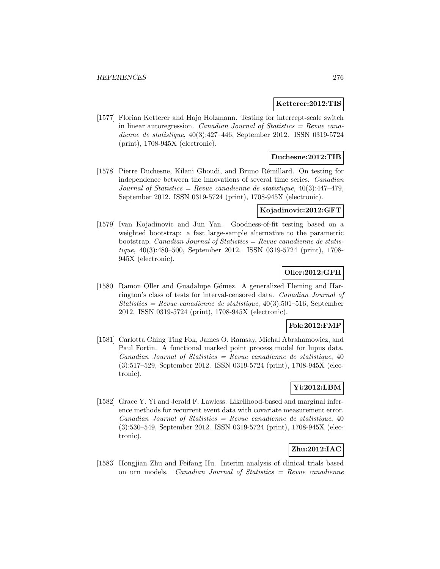#### **Ketterer:2012:TIS**

[1577] Florian Ketterer and Hajo Holzmann. Testing for intercept-scale switch in linear autoregression. Canadian Journal of Statistics  $=$  Revue canadienne de statistique, 40(3):427–446, September 2012. ISSN 0319-5724 (print), 1708-945X (electronic).

### **Duchesne:2012:TIB**

[1578] Pierre Duchesne, Kilani Ghoudi, and Bruno Rémillard. On testing for independence between the innovations of several time series. Canadian Journal of Statistics = Revue canadienne de statistique,  $40(3):447-479$ , September 2012. ISSN 0319-5724 (print), 1708-945X (electronic).

#### **Kojadinovic:2012:GFT**

[1579] Ivan Kojadinovic and Jun Yan. Goodness-of-fit testing based on a weighted bootstrap: a fast large-sample alternative to the parametric bootstrap. Canadian Journal of Statistics  $=$  Revue canadienne de statistique, 40(3):480–500, September 2012. ISSN 0319-5724 (print), 1708- 945X (electronic).

## **Oller:2012:GFH**

[1580] Ramon Oller and Guadalupe Gómez. A generalized Fleming and Harrington's class of tests for interval-censored data. Canadian Journal of  $Statistics = Revenue canadienne de statistic, 40(3):501-516, September$ 2012. ISSN 0319-5724 (print), 1708-945X (electronic).

#### **Fok:2012:FMP**

[1581] Carlotta Ching Ting Fok, James O. Ramsay, Michal Abrahamowicz, and Paul Fortin. A functional marked point process model for lupus data.  $Canadian Journal of Statistics = Review canadienne de statistic, 40$ (3):517–529, September 2012. ISSN 0319-5724 (print), 1708-945X (electronic).

# **Yi:2012:LBM**

[1582] Grace Y. Yi and Jerald F. Lawless. Likelihood-based and marginal inference methods for recurrent event data with covariate measurement error.  $Canadian Journal of Statistics = Revenue canadienne de statistic, 40$ (3):530–549, September 2012. ISSN 0319-5724 (print), 1708-945X (electronic).

## **Zhu:2012:IAC**

[1583] Hongjian Zhu and Feifang Hu. Interim analysis of clinical trials based on urn models. Canadian Journal of Statistics = Revue canadienne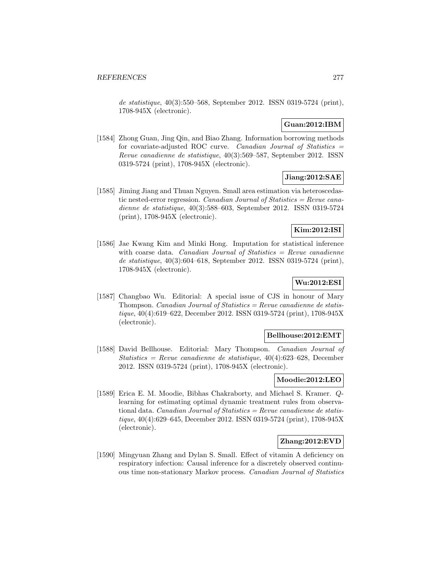de statistique, 40(3):550–568, September 2012. ISSN 0319-5724 (print), 1708-945X (electronic).

## **Guan:2012:IBM**

[1584] Zhong Guan, Jing Qin, and Biao Zhang. Information borrowing methods for covariate-adjusted ROC curve. Canadian Journal of Statistics  $=$ Revue canadienne de statistique, 40(3):569–587, September 2012. ISSN 0319-5724 (print), 1708-945X (electronic).

# **Jiang:2012:SAE**

[1585] Jiming Jiang and Thuan Nguyen. Small area estimation via heteroscedastic nested-error regression. Canadian Journal of Statistics = Revue canadienne de statistique, 40(3):588–603, September 2012. ISSN 0319-5724 (print), 1708-945X (electronic).

# **Kim:2012:ISI**

[1586] Jae Kwang Kim and Minki Hong. Imputation for statistical inference with coarse data. Canadian Journal of Statistics  $=$  Revue canadienne de statistique, 40(3):604–618, September 2012. ISSN 0319-5724 (print), 1708-945X (electronic).

### **Wu:2012:ESI**

[1587] Changbao Wu. Editorial: A special issue of CJS in honour of Mary Thompson. *Canadian Journal of Statistics = Revue canadienne de statis*tique, 40(4):619–622, December 2012. ISSN 0319-5724 (print), 1708-945X (electronic).

#### **Bellhouse:2012:EMT**

[1588] David Bellhouse. Editorial: Mary Thompson. Canadian Journal of Statistics = Revue canadienne de statistique,  $40(4)$ :623–628, December 2012. ISSN 0319-5724 (print), 1708-945X (electronic).

### **Moodie:2012:LEO**

[1589] Erica E. M. Moodie, Bibhas Chakraborty, and Michael S. Kramer. Qlearning for estimating optimal dynamic treatment rules from observational data. Canadian Journal of Statistics = Revue canadienne de statistique, 40(4):629–645, December 2012. ISSN 0319-5724 (print), 1708-945X (electronic).

### **Zhang:2012:EVD**

[1590] Mingyuan Zhang and Dylan S. Small. Effect of vitamin A deficiency on respiratory infection: Causal inference for a discretely observed continuous time non-stationary Markov process. Canadian Journal of Statistics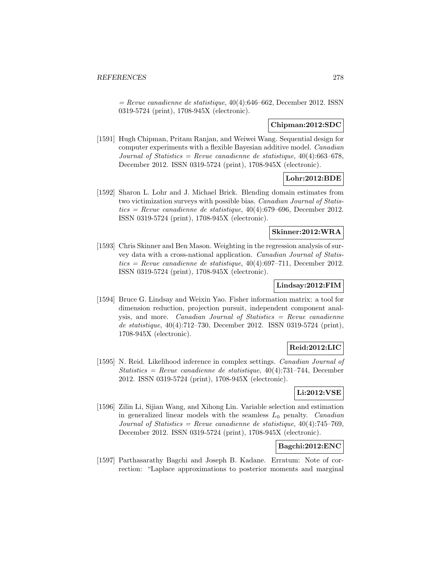$=$  Revue canadienne de statistique, 40(4):646–662, December 2012. ISSN 0319-5724 (print), 1708-945X (electronic).

#### **Chipman:2012:SDC**

[1591] Hugh Chipman, Pritam Ranjan, and Weiwei Wang. Sequential design for computer experiments with a flexible Bayesian additive model. Canadian Journal of Statistics = Revue canadienne de statistique,  $40(4)$ :663-678, December 2012. ISSN 0319-5724 (print), 1708-945X (electronic).

### **Lohr:2012:BDE**

[1592] Sharon L. Lohr and J. Michael Brick. Blending domain estimates from two victimization surveys with possible bias. Canadian Journal of Statistics = Revue canadienne de statistique,  $40(4)$ :679–696, December 2012. ISSN 0319-5724 (print), 1708-945X (electronic).

### **Skinner:2012:WRA**

[1593] Chris Skinner and Ben Mason. Weighting in the regression analysis of survey data with a cross-national application. Canadian Journal of Statistics = Revue canadienne de statistique,  $40(4):697-711$ , December 2012. ISSN 0319-5724 (print), 1708-945X (electronic).

## **Lindsay:2012:FIM**

[1594] Bruce G. Lindsay and Weixin Yao. Fisher information matrix: a tool for dimension reduction, projection pursuit, independent component analysis, and more. Canadian Journal of Statistics = Revue canadienne de statistique, 40(4):712–730, December 2012. ISSN 0319-5724 (print), 1708-945X (electronic).

## **Reid:2012:LIC**

[1595] N. Reid. Likelihood inference in complex settings. Canadian Journal of Statistics = Revue canadienne de statistique,  $40(4)$ :731–744, December 2012. ISSN 0319-5724 (print), 1708-945X (electronic).

#### **Li:2012:VSE**

[1596] Zilin Li, Sijian Wang, and Xihong Lin. Variable selection and estimation in generalized linear models with the seamless  $L_0$  penalty. *Canadian* Journal of Statistics = Revue canadienne de statistique,  $40(4)$ :745-769, December 2012. ISSN 0319-5724 (print), 1708-945X (electronic).

## **Bagchi:2012:ENC**

[1597] Parthasarathy Bagchi and Joseph B. Kadane. Erratum: Note of correction: "Laplace approximations to posterior moments and marginal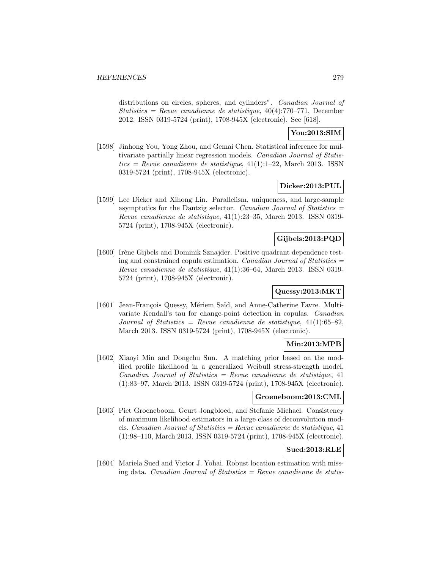distributions on circles, spheres, and cylinders". *Canadian Journal of* Statistics = Revue canadienne de statistique,  $40(4)$ :770–771, December 2012. ISSN 0319-5724 (print), 1708-945X (electronic). See [618].

## **You:2013:SIM**

[1598] Jinhong You, Yong Zhou, and Gemai Chen. Statistical inference for multivariate partially linear regression models. Canadian Journal of Statis $tics = Revue$  canadienne de statistique, 41(1):1-22, March 2013. ISSN0319-5724 (print), 1708-945X (electronic).

### **Dicker:2013:PUL**

[1599] Lee Dicker and Xihong Lin. Parallelism, uniqueness, and large-sample asymptotics for the Dantzig selector. Canadian Journal of Statistics  $=$ Revue canadienne de statistique, 41(1):23–35, March 2013. ISSN 0319- 5724 (print), 1708-945X (electronic).

## **Gijbels:2013:PQD**

[1600] Irène Gijbels and Dominik Sznajder. Positive quadrant dependence testing and constrained copula estimation. Canadian Journal of Statistics  $=$ Revue canadienne de statistique, 41(1):36–64, March 2013. ISSN 0319- 5724 (print), 1708-945X (electronic).

## **Quessy:2013:MKT**

[1601] Jean-François Quessy, Mériem Saïd, and Anne-Catherine Favre. Multivariate Kendall's tau for change-point detection in copulas. Canadian Journal of Statistics = Revue canadienne de statistique,  $41(1):65-82$ . March 2013. ISSN 0319-5724 (print), 1708-945X (electronic).

## **Min:2013:MPB**

[1602] Xiaoyi Min and Dongchu Sun. A matching prior based on the modified profile likelihood in a generalized Weibull stress-strength model.  $Canadian Journal of Statistics = Review can a dienne de statistic, 41$ (1):83–97, March 2013. ISSN 0319-5724 (print), 1708-945X (electronic).

## **Groeneboom:2013:CML**

[1603] Piet Groeneboom, Geurt Jongbloed, and Stefanie Michael. Consistency of maximum likelihood estimators in a large class of deconvolution models. Canadian Journal of Statistics = Revue canadienne de statistique,  $41$ (1):98–110, March 2013. ISSN 0319-5724 (print), 1708-945X (electronic).

## **Sued:2013:RLE**

[1604] Mariela Sued and Victor J. Yohai. Robust location estimation with missing data. Canadian Journal of Statistics  $=$  Revue canadienne de statis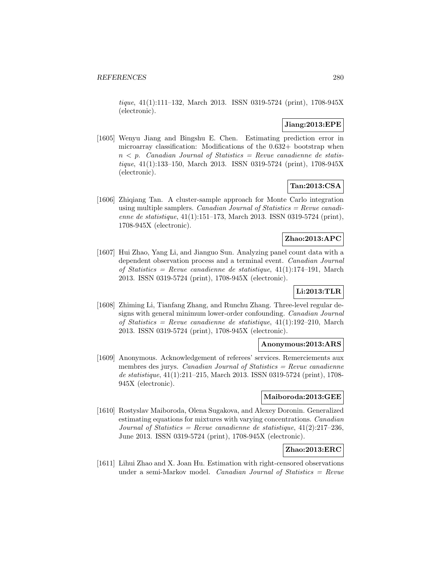tique, 41(1):111–132, March 2013. ISSN 0319-5724 (print), 1708-945X (electronic).

## **Jiang:2013:EPE**

[1605] Wenyu Jiang and Bingshu E. Chen. Estimating prediction error in microarray classification: Modifications of the 0.632+ bootstrap when  $n \leq p$ . Canadian Journal of Statistics = Revue canadienne de statistique, 41(1):133–150, March 2013. ISSN 0319-5724 (print), 1708-945X (electronic).

# **Tan:2013:CSA**

[1606] Zhiqiang Tan. A cluster-sample approach for Monte Carlo integration using multiple samplers. *Canadian Journal of Statistics = Revue canadi*enne de statistique, 41(1):151–173, March 2013. ISSN 0319-5724 (print), 1708-945X (electronic).

## **Zhao:2013:APC**

[1607] Hui Zhao, Yang Li, and Jianguo Sun. Analyzing panel count data with a dependent observation process and a terminal event. Canadian Journal of Statistics = Revue canadienne de statistique, 41(1):174–191, March 2013. ISSN 0319-5724 (print), 1708-945X (electronic).

# **Li:2013:TLR**

[1608] Zhiming Li, Tianfang Zhang, and Runchu Zhang. Three-level regular designs with general minimum lower-order confounding. Canadian Journal of Statistics = Revue canadienne de statistique,  $41(1):192-210$ , March 2013. ISSN 0319-5724 (print), 1708-945X (electronic).

### **Anonymous:2013:ARS**

[1609] Anonymous. Acknowledgement of referees' services. Remerciements aux membres des jurys. Canadian Journal of Statistics  $=$  Revue canadienne de statistique, 41(1):211–215, March 2013. ISSN 0319-5724 (print), 1708- 945X (electronic).

#### **Maiboroda:2013:GEE**

[1610] Rostyslav Maiboroda, Olena Sugakova, and Alexey Doronin. Generalized estimating equations for mixtures with varying concentrations. Canadian Journal of Statistics = Revue canadienne de statistique,  $41(2):217-236$ , June 2013. ISSN 0319-5724 (print), 1708-945X (electronic).

## **Zhao:2013:ERC**

[1611] Lihui Zhao and X. Joan Hu. Estimation with right-censored observations under a semi-Markov model. Canadian Journal of Statistics  $=$  Revue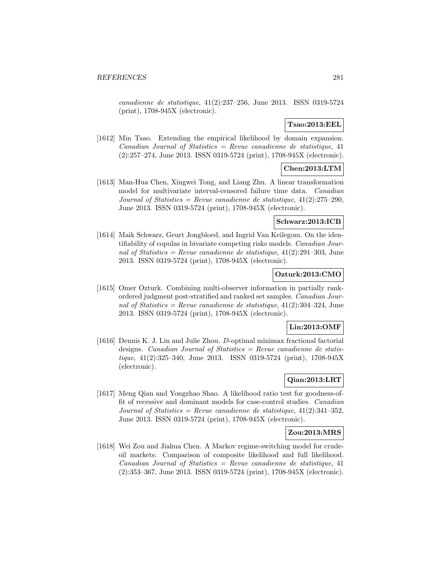canadienne de statistique, 41(2):237–256, June 2013. ISSN 0319-5724 (print), 1708-945X (electronic).

## **Tsao:2013:EEL**

[1612] Min Tsao. Extending the empirical likelihood by domain expansion.  $Canadian Journal of Statistics = Review can a dienne de statistic, 41$ (2):257–274, June 2013. ISSN 0319-5724 (print), 1708-945X (electronic).

# **Chen:2013:LTM**

[1613] Man-Hua Chen, Xingwei Tong, and Liang Zhu. A linear transformation model for multivariate interval-censored failure time data. Canadian Journal of Statistics = Revue canadienne de statistique,  $41(2):275-290$ , June 2013. ISSN 0319-5724 (print), 1708-945X (electronic).

#### **Schwarz:2013:ICB**

[1614] Maik Schwarz, Geurt Jongbloed, and Ingrid Van Keilegom. On the identifiability of copulas in bivariate competing risks models. Canadian Journal of Statistics = Revue canadienne de statistique,  $41(2):291-303$ , June 2013. ISSN 0319-5724 (print), 1708-945X (electronic).

#### **Ozturk:2013:CMO**

[1615] Omer Ozturk. Combining multi-observer information in partially rankordered judgment post-stratified and ranked set samples. Canadian Journal of Statistics = Revue canadienne de statistique,  $41(2):304-324$ , June 2013. ISSN 0319-5724 (print), 1708-945X (electronic).

## **Lin:2013:OMF**

[1616] Dennis K. J. Lin and Julie Zhou. D-optimal minimax fractional factorial designs. Canadian Journal of Statistics  $=$  Revue canadienne de statistique, 41(2):325–340, June 2013. ISSN 0319-5724 (print), 1708-945X (electronic).

## **Qian:2013:LRT**

[1617] Meng Qian and Yongzhao Shao. A likelihood ratio test for goodness-offit of recessive and dominant models for case-control studies. Canadian Journal of Statistics = Revue canadienne de statistique,  $41(2):341-352$ , June 2013. ISSN 0319-5724 (print), 1708-945X (electronic).

#### **Zou:2013:MRS**

[1618] Wei Zou and Jiahua Chen. A Markov regime-switching model for crudeoil markets: Comparison of composite likelihood and full likelihood.  $Canadian Journal of Statistics = Review can a dienne de statistic, 41$ (2):353–367, June 2013. ISSN 0319-5724 (print), 1708-945X (electronic).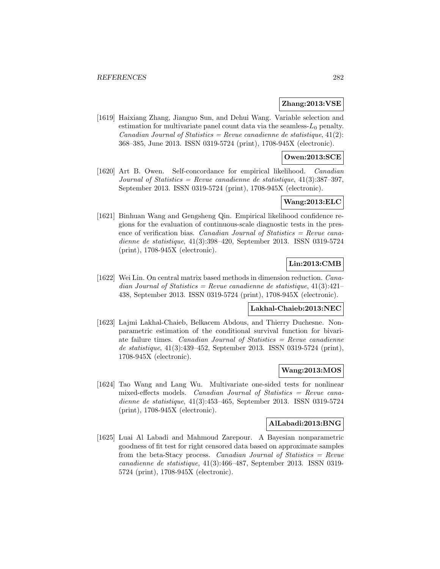### **Zhang:2013:VSE**

[1619] Haixiang Zhang, Jianguo Sun, and Dehui Wang. Variable selection and estimation for multivariate panel count data via the seamless- $L_0$  penalty. Canadian Journal of Statistics = Revue canadienne de statistique,  $41(2)$ : 368–385, June 2013. ISSN 0319-5724 (print), 1708-945X (electronic).

### **Owen:2013:SCE**

[1620] Art B. Owen. Self-concordance for empirical likelihood. Canadian Journal of Statistics = Revue canadienne de statistique,  $41(3):387-397$ , September 2013. ISSN 0319-5724 (print), 1708-945X (electronic).

# **Wang:2013:ELC**

[1621] Binhuan Wang and Gengsheng Qin. Empirical likelihood confidence regions for the evaluation of continuous-scale diagnostic tests in the presence of verification bias. *Canadian Journal of Statistics = Revue cana*dienne de statistique, 41(3):398–420, September 2013. ISSN 0319-5724 (print), 1708-945X (electronic).

### **Lin:2013:CMB**

[1622] Wei Lin. On central matrix based methods in dimension reduction. Canadian Journal of Statistics = Revue canadienne de statistique,  $41(3):421-$ 438, September 2013. ISSN 0319-5724 (print), 1708-945X (electronic).

### **Lakhal-Chaieb:2013:NEC**

[1623] Lajmi Lakhal-Chaieb, Belkacem Abdous, and Thierry Duchesne. Nonparametric estimation of the conditional survival function for bivariate failure times. Canadian Journal of Statistics  $=$  Revue canadienne de statistique, 41(3):439–452, September 2013. ISSN 0319-5724 (print), 1708-945X (electronic).

### **Wang:2013:MOS**

[1624] Tao Wang and Lang Wu. Multivariate one-sided tests for nonlinear mixed-effects models. Canadian Journal of Statistics = Revue canadienne de statistique, 41(3):453–465, September 2013. ISSN 0319-5724 (print), 1708-945X (electronic).

#### **AlLabadi:2013:BNG**

[1625] Luai Al Labadi and Mahmoud Zarepour. A Bayesian nonparametric goodness of fit test for right censored data based on approximate samples from the beta-Stacy process. Canadian Journal of Statistics =  $Re$ vue canadienne de statistique, 41(3):466–487, September 2013. ISSN 0319- 5724 (print), 1708-945X (electronic).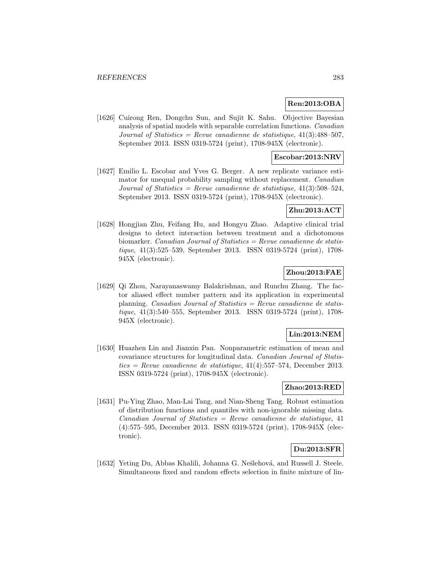#### **Ren:2013:OBA**

[1626] Cuirong Ren, Dongchu Sun, and Sujit K. Sahu. Objective Bayesian analysis of spatial models with separable correlation functions. Canadian Journal of Statistics = Revue canadienne de statistique,  $41(3):488-507$ , September 2013. ISSN 0319-5724 (print), 1708-945X (electronic).

#### **Escobar:2013:NRV**

[1627] Emilio L. Escobar and Yves G. Berger. A new replicate variance estimator for unequal probability sampling without replacement. Canadian Journal of Statistics = Revue canadienne de statistique,  $41(3):508-524$ , September 2013. ISSN 0319-5724 (print), 1708-945X (electronic).

#### **Zhu:2013:ACT**

[1628] Hongjian Zhu, Feifang Hu, and Hongyu Zhao. Adaptive clinical trial designs to detect interaction between treatment and a dichotomous biomarker. Canadian Journal of Statistics = Revue canadienne de statistique, 41(3):525–539, September 2013. ISSN 0319-5724 (print), 1708- 945X (electronic).

#### **Zhou:2013:FAE**

[1629] Qi Zhou, Narayanaswamy Balakrishnan, and Runchu Zhang. The factor aliased effect number pattern and its application in experimental planning. *Canadian Journal of Statistics = Revue canadienne de statis*tique, 41(3):540–555, September 2013. ISSN 0319-5724 (print), 1708- 945X (electronic).

### **Lin:2013:NEM**

[1630] Huazhen Lin and Jianxin Pan. Nonparametric estimation of mean and covariance structures for longitudinal data. Canadian Journal of Statistics = Revue canadienne de statistique,  $41(4)$ :557–574, December 2013. ISSN 0319-5724 (print), 1708-945X (electronic).

### **Zhao:2013:RED**

[1631] Pu-Ying Zhao, Man-Lai Tang, and Nian-Sheng Tang. Robust estimation of distribution functions and quantiles with non-ignorable missing data.  $Canadian Journal of Statistics = Review can a dienne de statistic, 41$ (4):575–595, December 2013. ISSN 0319-5724 (print), 1708-945X (electronic).

## **Du:2013:SFR**

[1632] Yeting Du, Abbas Khalili, Johanna G. Nešlehová, and Russell J. Steele. Simultaneous fixed and random effects selection in finite mixture of lin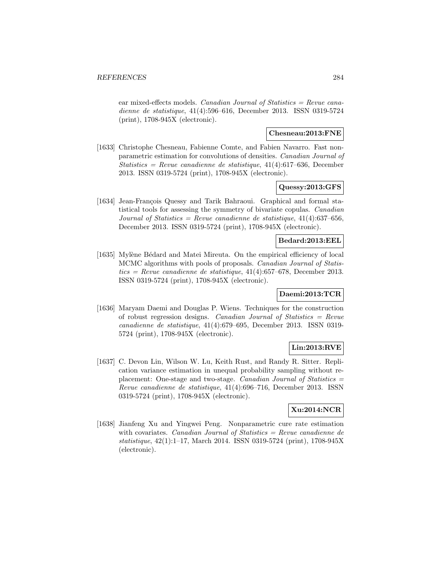ear mixed-effects models. Canadian Journal of Statistics  $=$  Revue canadienne de statistique, 41(4):596–616, December 2013. ISSN 0319-5724 (print), 1708-945X (electronic).

### **Chesneau:2013:FNE**

[1633] Christophe Chesneau, Fabienne Comte, and Fabien Navarro. Fast nonparametric estimation for convolutions of densities. Canadian Journal of Statistics = Revue canadienne de statistique,  $41(4):617-636$ , December 2013. ISSN 0319-5724 (print), 1708-945X (electronic).

#### **Quessy:2013:GFS**

[1634] Jean-François Quessy and Tarik Bahraoui. Graphical and formal statistical tools for assessing the symmetry of bivariate copulas. Canadian Journal of Statistics = Revue canadienne de statistique,  $41(4)$ :637-656, December 2013. ISSN 0319-5724 (print), 1708-945X (electronic).

### **Bedard:2013:EEL**

[1635] Mylène Bédard and Matei Mireuta. On the empirical efficiency of local MCMC algorithms with pools of proposals. Canadian Journal of Statistics = Revue canadienne de statistique,  $41(4)$ :657–678, December 2013. ISSN 0319-5724 (print), 1708-945X (electronic).

#### **Daemi:2013:TCR**

[1636] Maryam Daemi and Douglas P. Wiens. Techniques for the construction of robust regression designs. Canadian Journal of Statistics = Revue canadienne de statistique, 41(4):679–695, December 2013. ISSN 0319- 5724 (print), 1708-945X (electronic).

#### **Lin:2013:RVE**

[1637] C. Devon Lin, Wilson W. Lu, Keith Rust, and Randy R. Sitter. Replication variance estimation in unequal probability sampling without replacement: One-stage and two-stage. *Canadian Journal of Statistics*  $=$ Revue canadienne de statistique, 41(4):696–716, December 2013. ISSN 0319-5724 (print), 1708-945X (electronic).

## **Xu:2014:NCR**

[1638] Jianfeng Xu and Yingwei Peng. Nonparametric cure rate estimation with covariates. Canadian Journal of Statistics  $=$  Revue canadienne de statistique, 42(1):1–17, March 2014. ISSN 0319-5724 (print), 1708-945X (electronic).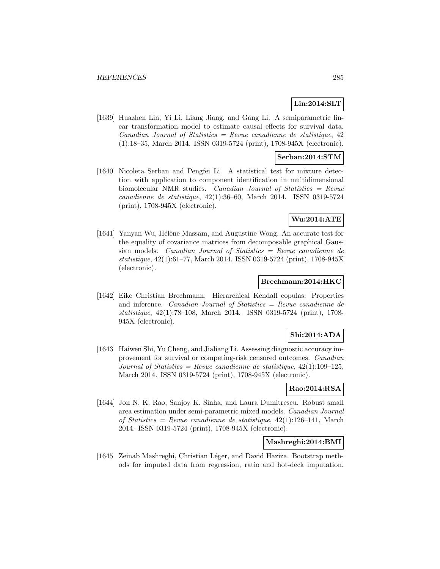### **Lin:2014:SLT**

[1639] Huazhen Lin, Yi Li, Liang Jiang, and Gang Li. A semiparametric linear transformation model to estimate causal effects for survival data.  $Canadian Journal of Statistics = Review canadienne de statistique, 42$ (1):18–35, March 2014. ISSN 0319-5724 (print), 1708-945X (electronic).

### **Serban:2014:STM**

[1640] Nicoleta Serban and Pengfei Li. A statistical test for mixture detection with application to component identification in multidimensional biomolecular NMR studies. Canadian Journal of Statistics = Revue canadienne de statistique, 42(1):36–60, March 2014. ISSN 0319-5724 (print), 1708-945X (electronic).

### **Wu:2014:ATE**

[1641] Yanyan Wu, Hélène Massam, and Augustine Wong. An accurate test for the equality of covariance matrices from decomposable graphical Gaussian models. Canadian Journal of Statistics = Revue canadienne de statistique, 42(1):61–77, March 2014. ISSN 0319-5724 (print), 1708-945X (electronic).

#### **Brechmann:2014:HKC**

[1642] Eike Christian Brechmann. Hierarchical Kendall copulas: Properties and inference. Canadian Journal of Statistics = Revue canadienne de statistique, 42(1):78–108, March 2014. ISSN 0319-5724 (print), 1708- 945X (electronic).

### **Shi:2014:ADA**

[1643] Haiwen Shi, Yu Cheng, and Jialiang Li. Assessing diagnostic accuracy improvement for survival or competing-risk censored outcomes. Canadian Journal of Statistics = Revue canadienne de statistique,  $42(1):109-125$ , March 2014. ISSN 0319-5724 (print), 1708-945X (electronic).

### **Rao:2014:RSA**

[1644] Jon N. K. Rao, Sanjoy K. Sinha, and Laura Dumitrescu. Robust small area estimation under semi-parametric mixed models. Canadian Journal of Statistics = Revue canadienne de statistique,  $42(1):126-141$ , March 2014. ISSN 0319-5724 (print), 1708-945X (electronic).

## **Mashreghi:2014:BMI**

[1645] Zeinab Mashreghi, Christian Léger, and David Haziza. Bootstrap methods for imputed data from regression, ratio and hot-deck imputation.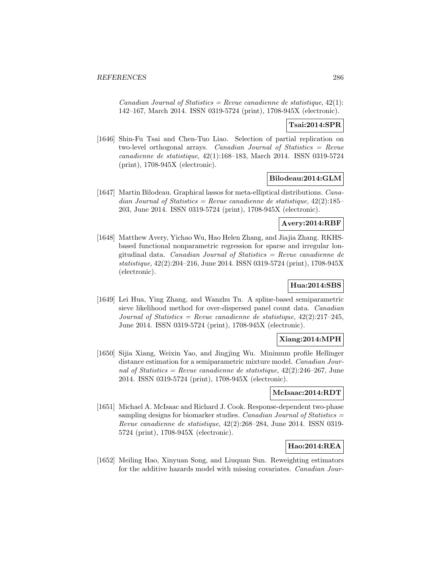Canadian Journal of Statistics = Revue canadienne de statistique,  $42(1)$ : 142–167, March 2014. ISSN 0319-5724 (print), 1708-945X (electronic).

## **Tsai:2014:SPR**

[1646] Shin-Fu Tsai and Chen-Tuo Liao. Selection of partial replication on two-level orthogonal arrays. *Canadian Journal of Statistics = Revue* canadienne de statistique, 42(1):168–183, March 2014. ISSN 0319-5724 (print), 1708-945X (electronic).

#### **Bilodeau:2014:GLM**

[1647] Martin Bilodeau. Graphical lassos for meta-elliptical distributions. Canadian Journal of Statistics = Revue canadienne de statistique,  $42(2):185-$ 203, June 2014. ISSN 0319-5724 (print), 1708-945X (electronic).

# **Avery:2014:RBF**

[1648] Matthew Avery, Yichao Wu, Hao Helen Zhang, and Jiajia Zhang. RKHSbased functional nonparametric regression for sparse and irregular longitudinal data. Canadian Journal of Statistics = Revue canadienne de statistique, 42(2):204–216, June 2014. ISSN 0319-5724 (print), 1708-945X (electronic).

# **Hua:2014:SBS**

[1649] Lei Hua, Ying Zhang, and Wanzhu Tu. A spline-based semiparametric sieve likelihood method for over-dispersed panel count data. Canadian Journal of Statistics = Revue canadienne de statistique,  $42(2):217-245$ , June 2014. ISSN 0319-5724 (print), 1708-945X (electronic).

#### **Xiang:2014:MPH**

[1650] Sijia Xiang, Weixin Yao, and Jingjing Wu. Minimum profile Hellinger distance estimation for a semiparametric mixture model. Canadian Journal of Statistics = Revue canadienne de statistique,  $42(2):246-267$ , June 2014. ISSN 0319-5724 (print), 1708-945X (electronic).

#### **McIsaac:2014:RDT**

[1651] Michael A. McIsaac and Richard J. Cook. Response-dependent two-phase sampling designs for biomarker studies. Canadian Journal of Statistics = Revue canadienne de statistique, 42(2):268–284, June 2014. ISSN 0319- 5724 (print), 1708-945X (electronic).

# **Hao:2014:REA**

[1652] Meiling Hao, Xinyuan Song, and Liuquan Sun. Reweighting estimators for the additive hazards model with missing covariates. Canadian Jour-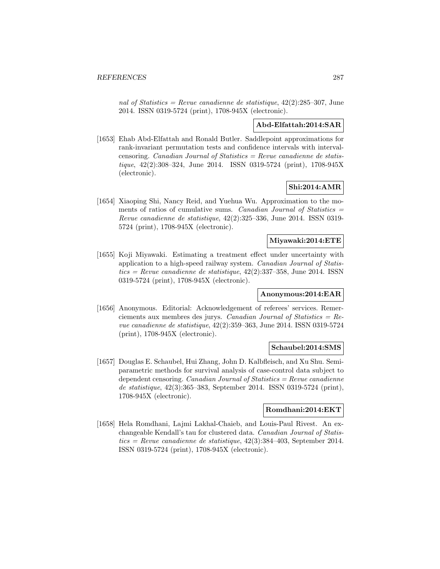nal of Statistics = Revue canadienne de statistique,  $42(2):285-307$ , June 2014. ISSN 0319-5724 (print), 1708-945X (electronic).

### **Abd-Elfattah:2014:SAR**

[1653] Ehab Abd-Elfattah and Ronald Butler. Saddlepoint approximations for rank-invariant permutation tests and confidence intervals with intervalcensoring. *Canadian Journal of Statistics = Revue canadienne de statis*tique, 42(2):308–324, June 2014. ISSN 0319-5724 (print), 1708-945X (electronic).

## **Shi:2014:AMR**

[1654] Xiaoping Shi, Nancy Reid, and Yuehua Wu. Approximation to the moments of ratios of cumulative sums. Canadian Journal of Statistics  $=$ Revue canadienne de statistique, 42(2):325–336, June 2014. ISSN 0319- 5724 (print), 1708-945X (electronic).

### **Miyawaki:2014:ETE**

[1655] Koji Miyawaki. Estimating a treatment effect under uncertainty with application to a high-speed railway system. Canadian Journal of Statis $tics = Revenue canadienne de statisticque, 42(2):337-358, June 2014. ISSN$ 0319-5724 (print), 1708-945X (electronic).

#### **Anonymous:2014:EAR**

[1656] Anonymous. Editorial: Acknowledgement of referees' services. Remerciements aux membres des jurys. Canadian Journal of Statistics =  $Re$ vue canadienne de statistique, 42(2):359–363, June 2014. ISSN 0319-5724 (print), 1708-945X (electronic).

### **Schaubel:2014:SMS**

[1657] Douglas E. Schaubel, Hui Zhang, John D. Kalbfleisch, and Xu Shu. Semiparametric methods for survival analysis of case-control data subject to dependent censoring. *Canadian Journal of Statistics = Revue canadienne* de statistique, 42(3):365–383, September 2014. ISSN 0319-5724 (print), 1708-945X (electronic).

#### **Romdhani:2014:EKT**

[1658] Hela Romdhani, Lajmi Lakhal-Chaieb, and Louis-Paul Rivest. An exchangeable Kendall's tau for clustered data. Canadian Journal of Statistics = Revue canadienne de statistique,  $42(3):384-403$ , September 2014. ISSN 0319-5724 (print), 1708-945X (electronic).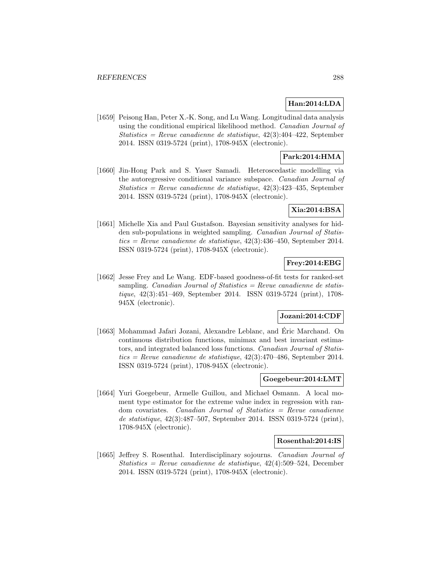## **Han:2014:LDA**

[1659] Peisong Han, Peter X.-K. Song, and Lu Wang. Longitudinal data analysis using the conditional empirical likelihood method. Canadian Journal of Statistics = Revue canadienne de statistique, 42(3):404–422, September 2014. ISSN 0319-5724 (print), 1708-945X (electronic).

# **Park:2014:HMA**

[1660] Jin-Hong Park and S. Yaser Samadi. Heteroscedastic modelling via the autoregressive conditional variance subspace. Canadian Journal of Statistics = Revue canadienne de statistique,  $42(3):423-435$ , September 2014. ISSN 0319-5724 (print), 1708-945X (electronic).

## **Xia:2014:BSA**

[1661] Michelle Xia and Paul Gustafson. Bayesian sensitivity analyses for hidden sub-populations in weighted sampling. Canadian Journal of Statis $tics = Revue$  canadienne de statistique, 42(3):436–450, September 2014.ISSN 0319-5724 (print), 1708-945X (electronic).

## **Frey:2014:EBG**

[1662] Jesse Frey and Le Wang. EDF-based goodness-of-fit tests for ranked-set sampling. *Canadian Journal of Statistics = Revue canadienne de statis*tique, 42(3):451–469, September 2014. ISSN 0319-5724 (print), 1708- 945X (electronic).

## **Jozani:2014:CDF**

[1663] Mohammad Jafari Jozani, Alexandre Leblanc, and Eric Marchand. On ´ continuous distribution functions, minimax and best invariant estimators, and integrated balanced loss functions. Canadian Journal of Statistics = Revue canadienne de statistique,  $42(3):470-486$ , September 2014. ISSN 0319-5724 (print), 1708-945X (electronic).

### **Goegebeur:2014:LMT**

[1664] Yuri Goegebeur, Armelle Guillou, and Michael Osmann. A local moment type estimator for the extreme value index in regression with random covariates. Canadian Journal of Statistics = Revue canadienne de statistique, 42(3):487–507, September 2014. ISSN 0319-5724 (print), 1708-945X (electronic).

#### **Rosenthal:2014:IS**

[1665] Jeffrey S. Rosenthal. Interdisciplinary sojourns. Canadian Journal of Statistics = Revue canadienne de statistique,  $42(4):509-524$ , December 2014. ISSN 0319-5724 (print), 1708-945X (electronic).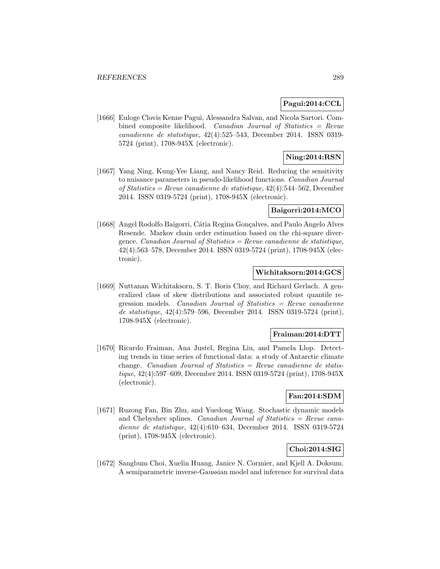## **Pagui:2014:CCL**

[1666] Euloge Clovis Kenne Pagui, Alessandra Salvan, and Nicola Sartori. Combined composite likelihood. Canadian Journal of Statistics = Revue canadienne de statistique, 42(4):525–543, December 2014. ISSN 0319- 5724 (print), 1708-945X (electronic).

## **Ning:2014:RSN**

[1667] Yang Ning, Kung-Yee Liang, and Nancy Reid. Reducing the sensitivity to nuisance parameters in pseudo-likelihood functions. Canadian Journal of Statistics = Revue canadienne de statistique, 42(4):544–562, December 2014. ISSN 0319-5724 (print), 1708-945X (electronic).

### **Baigorri:2014:MCO**

[1668] Angel Rodolfo Baigorri, Cátia Regina Gonçalves, and Paulo Angelo Alves Resende. Markov chain order estimation based on the chi-square divergence. *Canadian Journal of Statistics = Revue canadienne de statistique*, 42(4):563–578, December 2014. ISSN 0319-5724 (print), 1708-945X (electronic).

### **Wichitaksorn:2014:GCS**

[1669] Nuttanan Wichitaksorn, S. T. Boris Choy, and Richard Gerlach. A generalized class of skew distributions and associated robust quantile regression models. Canadian Journal of Statistics  $=$  Revue canadienne de statistique, 42(4):579–596, December 2014. ISSN 0319-5724 (print), 1708-945X (electronic).

## **Fraiman:2014:DTT**

[1670] Ricardo Fraiman, Ana Justel, Regina Liu, and Pamela Llop. Detecting trends in time series of functional data: a study of Antarctic climate change. *Canadian Journal of Statistics = Revue canadienne de statis*tique, 42(4):597–609, December 2014. ISSN 0319-5724 (print), 1708-945X (electronic).

#### **Fan:2014:SDM**

[1671] Ruzong Fan, Bin Zhu, and Yuedong Wang. Stochastic dynamic models and Chebyshev splines. Canadian Journal of Statistics  $=$  Revue canadienne de statistique, 42(4):610–634, December 2014. ISSN 0319-5724 (print), 1708-945X (electronic).

## **Choi:2014:SIG**

[1672] Sangbum Choi, Xuelin Huang, Janice N. Cormier, and Kjell A. Doksum. A semiparametric inverse-Gaussian model and inference for survival data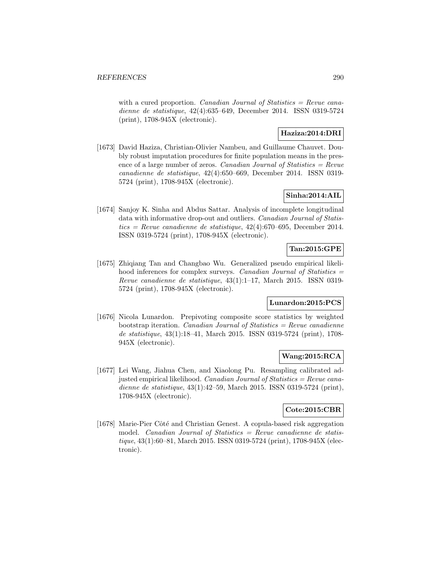with a cured proportion. *Canadian Journal of Statistics = Revue cana*dienne de statistique, 42(4):635–649, December 2014. ISSN 0319-5724 (print), 1708-945X (electronic).

## **Haziza:2014:DRI**

[1673] David Haziza, Christian-Olivier Nambeu, and Guillaume Chauvet. Doubly robust imputation procedures for finite population means in the presence of a large number of zeros. *Canadian Journal of Statistics = Revue* canadienne de statistique, 42(4):650–669, December 2014. ISSN 0319- 5724 (print), 1708-945X (electronic).

## **Sinha:2014:AIL**

[1674] Sanjoy K. Sinha and Abdus Sattar. Analysis of incomplete longitudinal data with informative drop-out and outliers. Canadian Journal of Statistics = Revue canadienne de statistique,  $42(4)$ :670–695, December 2014. ISSN 0319-5724 (print), 1708-945X (electronic).

# **Tan:2015:GPE**

[1675] Zhiqiang Tan and Changbao Wu. Generalized pseudo empirical likelihood inferences for complex surveys. *Canadian Journal of Statistics* = Revue canadienne de statistique, 43(1):1–17, March 2015. ISSN 0319- 5724 (print), 1708-945X (electronic).

## **Lunardon:2015:PCS**

[1676] Nicola Lunardon. Prepivoting composite score statistics by weighted bootstrap iteration. *Canadian Journal of Statistics = Revue canadienne* de statistique, 43(1):18–41, March 2015. ISSN 0319-5724 (print), 1708- 945X (electronic).

# **Wang:2015:RCA**

[1677] Lei Wang, Jiahua Chen, and Xiaolong Pu. Resampling calibrated adjusted empirical likelihood. Canadian Journal of Statistics = Revue canadienne de statistique, 43(1):42–59, March 2015. ISSN 0319-5724 (print), 1708-945X (electronic).

### **Cote:2015:CBR**

[1678] Marie-Pier Côté and Christian Genest. A copula-based risk aggregation model. *Canadian Journal of Statistics = Revue canadienne de statis*tique, 43(1):60–81, March 2015. ISSN 0319-5724 (print), 1708-945X (electronic).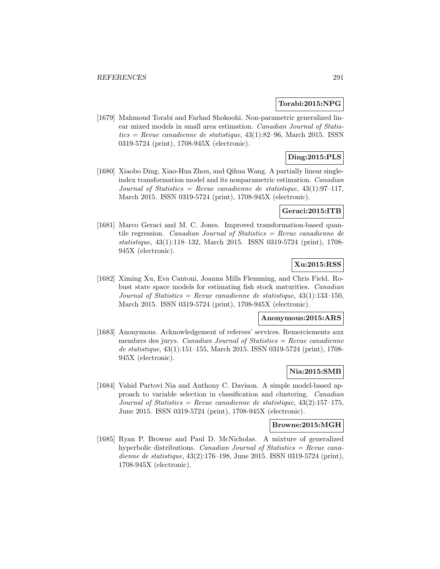#### **Torabi:2015:NPG**

[1679] Mahmoud Torabi and Farhad Shokoohi. Non-parametric generalized linear mixed models in small area estimation. Canadian Journal of Statis $tics = Revue$  canadienne de statistique, 43(1):82–96, March 2015. ISSN0319-5724 (print), 1708-945X (electronic).

# **Ding:2015:PLS**

[1680] Xiaobo Ding, Xiao-Hua Zhou, and Qihua Wang. A partially linear singleindex transformation model and its nonparametric estimation. Canadian Journal of Statistics = Revue canadienne de statistique,  $43(1):97-117$ , March 2015. ISSN 0319-5724 (print), 1708-945X (electronic).

## **Geraci:2015:ITB**

[1681] Marco Geraci and M. C. Jones. Improved transformation-based quantile regression. Canadian Journal of Statistics = Revue canadienne de statistique, 43(1):118–132, March 2015. ISSN 0319-5724 (print), 1708- 945X (electronic).

## **Xu:2015:RSS**

[1682] Ximing Xu, Eva Cantoni, Joanna Mills Flemming, and Chris Field. Robust state space models for estimating fish stock maturities. Canadian Journal of Statistics = Revue canadienne de statistique,  $43(1):133-150$ , March 2015. ISSN 0319-5724 (print), 1708-945X (electronic).

#### **Anonymous:2015:ARS**

[1683] Anonymous. Acknowledgement of referees' services. Remerciements aux membres des jurys. Canadian Journal of Statistics  $=$  Revue canadienne de statistique, 43(1):151–155, March 2015. ISSN 0319-5724 (print), 1708- 945X (electronic).

## **Nia:2015:SMB**

[1684] Vahid Partovi Nia and Anthony C. Davison. A simple model-based approach to variable selection in classification and clustering. Canadian Journal of Statistics = Revue canadienne de statistique,  $43(2):157-175$ , June 2015. ISSN 0319-5724 (print), 1708-945X (electronic).

#### **Browne:2015:MGH**

[1685] Ryan P. Browne and Paul D. McNicholas. A mixture of generalized hyperbolic distributions. *Canadian Journal of Statistics = Revue cana*dienne de statistique, 43(2):176–198, June 2015. ISSN 0319-5724 (print), 1708-945X (electronic).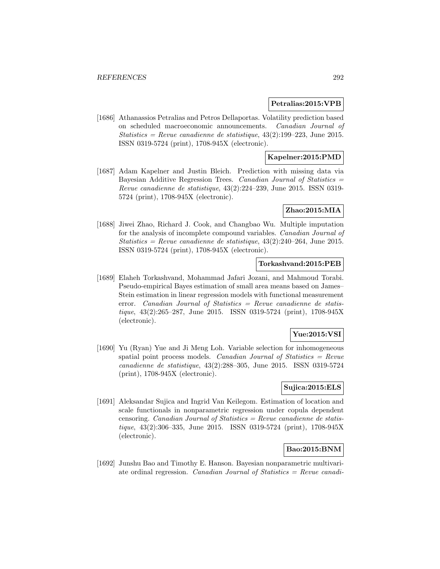#### **Petralias:2015:VPB**

[1686] Athanassios Petralias and Petros Dellaportas. Volatility prediction based on scheduled macroeconomic announcements. Canadian Journal of Statistics = Revue canadienne de statistique,  $43(2):199-223$ , June 2015. ISSN 0319-5724 (print), 1708-945X (electronic).

### **Kapelner:2015:PMD**

[1687] Adam Kapelner and Justin Bleich. Prediction with missing data via Bayesian Additive Regression Trees. Canadian Journal of Statistics = Revue canadienne de statistique, 43(2):224–239, June 2015. ISSN 0319- 5724 (print), 1708-945X (electronic).

#### **Zhao:2015:MIA**

[1688] Jiwei Zhao, Richard J. Cook, and Changbao Wu. Multiple imputation for the analysis of incomplete compound variables. Canadian Journal of Statistics = Revue canadienne de statistique,  $43(2):240-264$ , June 2015. ISSN 0319-5724 (print), 1708-945X (electronic).

### **Torkashvand:2015:PEB**

[1689] Elaheh Torkashvand, Mohammad Jafari Jozani, and Mahmoud Torabi. Pseudo-empirical Bayes estimation of small area means based on James– Stein estimation in linear regression models with functional measurement error. Canadian Journal of Statistics = Revue canadienne de statistique, 43(2):265–287, June 2015. ISSN 0319-5724 (print), 1708-945X (electronic).

#### **Yue:2015:VSI**

[1690] Yu (Ryan) Yue and Ji Meng Loh. Variable selection for inhomogeneous spatial point process models. Canadian Journal of Statistics  $=$  Revue canadienne de statistique, 43(2):288–305, June 2015. ISSN 0319-5724 (print), 1708-945X (electronic).

## **Sujica:2015:ELS**

[1691] Aleksandar Sujica and Ingrid Van Keilegom. Estimation of location and scale functionals in nonparametric regression under copula dependent censoring. Canadian Journal of Statistics = Revue canadienne de statistique, 43(2):306–335, June 2015. ISSN 0319-5724 (print), 1708-945X (electronic).

#### **Bao:2015:BNM**

[1692] Junshu Bao and Timothy E. Hanson. Bayesian nonparametric multivariate ordinal regression. Canadian Journal of Statistics = Revue canadi-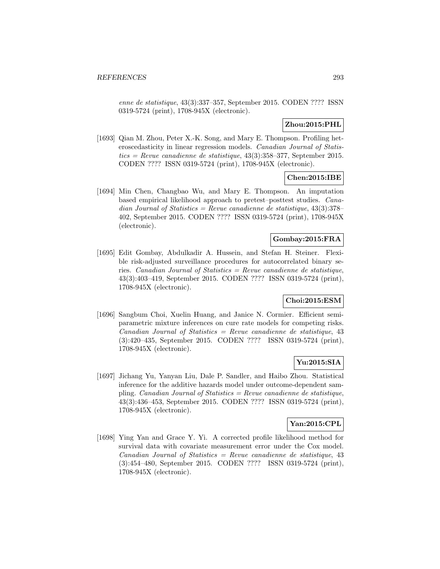enne de statistique, 43(3):337–357, September 2015. CODEN ???? ISSN 0319-5724 (print), 1708-945X (electronic).

## **Zhou:2015:PHL**

[1693] Qian M. Zhou, Peter X.-K. Song, and Mary E. Thompson. Profiling heteroscedasticity in linear regression models. Canadian Journal of Statistics = Revue canadienne de statistique,  $43(3):358-377$ , September 2015. CODEN ???? ISSN 0319-5724 (print), 1708-945X (electronic).

## **Chen:2015:IBE**

[1694] Min Chen, Changbao Wu, and Mary E. Thompson. An imputation based empirical likelihood approach to pretest–posttest studies. Canadian Journal of Statistics = Revue canadienne de statistique,  $43(3):378-$ 402, September 2015. CODEN ???? ISSN 0319-5724 (print), 1708-945X (electronic).

### **Gombay:2015:FRA**

[1695] Edit Gombay, Abdulkadir A. Hussein, and Stefan H. Steiner. Flexible risk-adjusted surveillance procedures for autocorrelated binary series. Canadian Journal of Statistics = Revue canadienne de statistique, 43(3):403–419, September 2015. CODEN ???? ISSN 0319-5724 (print), 1708-945X (electronic).

## **Choi:2015:ESM**

[1696] Sangbum Choi, Xuelin Huang, and Janice N. Cormier. Efficient semiparametric mixture inferences on cure rate models for competing risks.  $Canadian Journal of Statistics = Review canadienne de statistic, 43$ (3):420–435, September 2015. CODEN ???? ISSN 0319-5724 (print), 1708-945X (electronic).

#### **Yu:2015:SIA**

[1697] Jichang Yu, Yanyan Liu, Dale P. Sandler, and Haibo Zhou. Statistical inference for the additive hazards model under outcome-dependent sampling. *Canadian Journal of Statistics = Revue canadienne de statistique*, 43(3):436–453, September 2015. CODEN ???? ISSN 0319-5724 (print), 1708-945X (electronic).

#### **Yan:2015:CPL**

[1698] Ying Yan and Grace Y. Yi. A corrected profile likelihood method for survival data with covariate measurement error under the Cox model.  $Canadian Journal of Statistics = Revenue canadienne de statistic, 43$ (3):454–480, September 2015. CODEN ???? ISSN 0319-5724 (print), 1708-945X (electronic).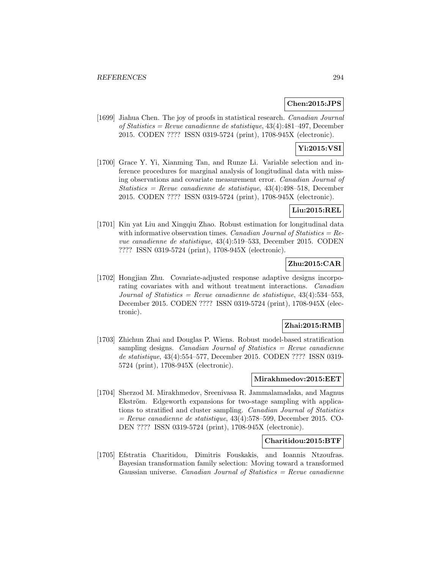### **Chen:2015:JPS**

[1699] Jiahua Chen. The joy of proofs in statistical research. Canadian Journal of Statistics = Revue canadienne de statistique, 43(4):481–497, December 2015. CODEN ???? ISSN 0319-5724 (print), 1708-945X (electronic).

# **Yi:2015:VSI**

[1700] Grace Y. Yi, Xianming Tan, and Runze Li. Variable selection and inference procedures for marginal analysis of longitudinal data with missing observations and covariate measurement error. Canadian Journal of Statistics = Revue canadienne de statistique,  $43(4):498-518$ , December 2015. CODEN ???? ISSN 0319-5724 (print), 1708-945X (electronic).

### **Liu:2015:REL**

[1701] Kin yat Liu and Xingqiu Zhao. Robust estimation for longitudinal data with informative observation times. Canadian Journal of Statistics =  $Re$ vue canadienne de statistique, 43(4):519–533, December 2015. CODEN ???? ISSN 0319-5724 (print), 1708-945X (electronic).

## **Zhu:2015:CAR**

[1702] Hongjian Zhu. Covariate-adjusted response adaptive designs incorporating covariates with and without treatment interactions. Canadian Journal of Statistics = Revue canadienne de statistique,  $43(4):534-553$ , December 2015. CODEN ???? ISSN 0319-5724 (print), 1708-945X (electronic).

#### **Zhai:2015:RMB**

[1703] Zhichun Zhai and Douglas P. Wiens. Robust model-based stratification sampling designs. Canadian Journal of Statistics  $=$  Revue canadienne de statistique, 43(4):554–577, December 2015. CODEN ???? ISSN 0319- 5724 (print), 1708-945X (electronic).

#### **Mirakhmedov:2015:EET**

[1704] Sherzod M. Mirakhmedov, Sreenivasa R. Jammalamadaka, and Magnus Ekström. Edgeworth expansions for two-stage sampling with applications to stratified and cluster sampling. Canadian Journal of Statistics  $=$  Revue canadienne de statistique, 43(4):578–599, December 2015. CO-DEN ???? ISSN 0319-5724 (print), 1708-945X (electronic).

#### **Charitidou:2015:BTF**

[1705] Efstratia Charitidou, Dimitris Fouskakis, and Ioannis Ntzoufras. Bayesian transformation family selection: Moving toward a transformed Gaussian universe. Canadian Journal of Statistics = Revue canadienne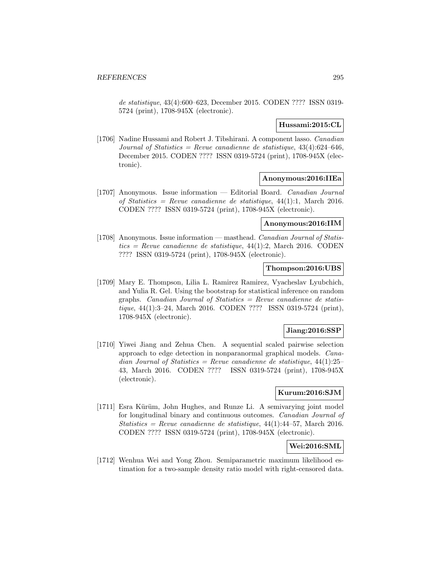de statistique, 43(4):600–623, December 2015. CODEN ???? ISSN 0319- 5724 (print), 1708-945X (electronic).

### **Hussami:2015:CL**

[1706] Nadine Hussami and Robert J. Tibshirani. A component lasso. Canadian Journal of Statistics = Revue canadienne de statistique,  $43(4)$ :624-646, December 2015. CODEN ???? ISSN 0319-5724 (print), 1708-945X (electronic).

### **Anonymous:2016:IIEa**

[1707] Anonymous. Issue information — Editorial Board. Canadian Journal of Statistics = Revue canadienne de statistique,  $44(1)$ :1, March 2016. CODEN ???? ISSN 0319-5724 (print), 1708-945X (electronic).

#### **Anonymous:2016:IIM**

[1708] Anonymous. Issue information — masthead. Canadian Journal of Statistics = Revue canadienne de statistique,  $44(1)$ :2, March 2016. CODEN ???? ISSN 0319-5724 (print), 1708-945X (electronic).

#### **Thompson:2016:UBS**

[1709] Mary E. Thompson, Lilia L. Ramirez Ramirez, Vyacheslav Lyubchich, and Yulia R. Gel. Using the bootstrap for statistical inference on random graphs. Canadian Journal of Statistics  $=$  Revue canadienne de statistique, 44(1):3–24, March 2016. CODEN ???? ISSN 0319-5724 (print), 1708-945X (electronic).

#### **Jiang:2016:SSP**

[1710] Yiwei Jiang and Zehua Chen. A sequential scaled pairwise selection approach to edge detection in nonparanormal graphical models. Canadian Journal of Statistics = Revue canadienne de statistique,  $44(1):25-$ 43, March 2016. CODEN ???? ISSN 0319-5724 (print), 1708-945X (electronic).

### **Kurum:2016:SJM**

[1711] Esra Kürüm, John Hughes, and Runze Li. A semivarying joint model for longitudinal binary and continuous outcomes. Canadian Journal of  $Statistics = Revenue canadienne de statistic, 44(1):44-57, March 2016.$ CODEN ???? ISSN 0319-5724 (print), 1708-945X (electronic).

## **Wei:2016:SML**

[1712] Wenhua Wei and Yong Zhou. Semiparametric maximum likelihood estimation for a two-sample density ratio model with right-censored data.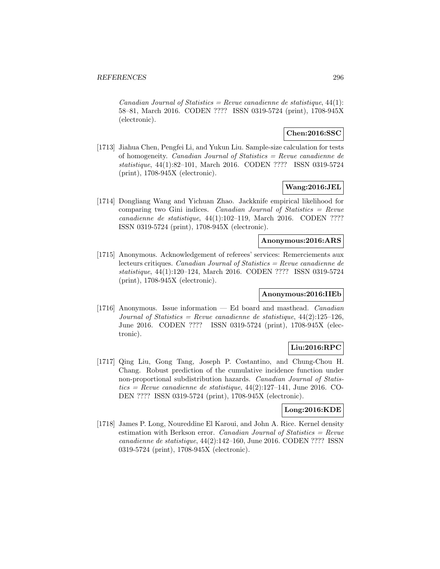$Canadian Journal of Statistics = Review candidate$  de statistique, 44(1): 58–81, March 2016. CODEN ???? ISSN 0319-5724 (print), 1708-945X (electronic).

### **Chen:2016:SSC**

[1713] Jiahua Chen, Pengfei Li, and Yukun Liu. Sample-size calculation for tests of homogeneity. Canadian Journal of Statistics = Revue canadienne de statistique, 44(1):82–101, March 2016. CODEN ???? ISSN 0319-5724 (print), 1708-945X (electronic).

#### **Wang:2016:JEL**

[1714] Dongliang Wang and Yichuan Zhao. Jackknife empirical likelihood for comparing two Gini indices. Canadian Journal of Statistics =  $Re$ vue canadienne de statistique, 44(1):102–119, March 2016. CODEN ???? ISSN 0319-5724 (print), 1708-945X (electronic).

#### **Anonymous:2016:ARS**

[1715] Anonymous. Acknowledgement of referees' services: Remerciements aux lecteurs critiques. Canadian Journal of Statistics = Revue canadienne de statistique, 44(1):120–124, March 2016. CODEN ???? ISSN 0319-5724 (print), 1708-945X (electronic).

#### **Anonymous:2016:IIEb**

[1716] Anonymous. Issue information  $-$  Ed board and masthead. Canadian Journal of Statistics = Revue canadienne de statistique,  $44(2):125-126$ , June 2016. CODEN ???? ISSN 0319-5724 (print), 1708-945X (electronic).

#### **Liu:2016:RPC**

[1717] Qing Liu, Gong Tang, Joseph P. Costantino, and Chung-Chou H. Chang. Robust prediction of the cumulative incidence function under non-proportional subdistribution hazards. Canadian Journal of Statis $tics = Revue$  canadienne de statistique, 44(2):127–141, June 2016. CO-DEN ???? ISSN 0319-5724 (print), 1708-945X (electronic).

### **Long:2016:KDE**

[1718] James P. Long, Noureddine El Karoui, and John A. Rice. Kernel density estimation with Berkson error. Canadian Journal of Statistics  $=$  Revue canadienne de statistique, 44(2):142–160, June 2016. CODEN ???? ISSN 0319-5724 (print), 1708-945X (electronic).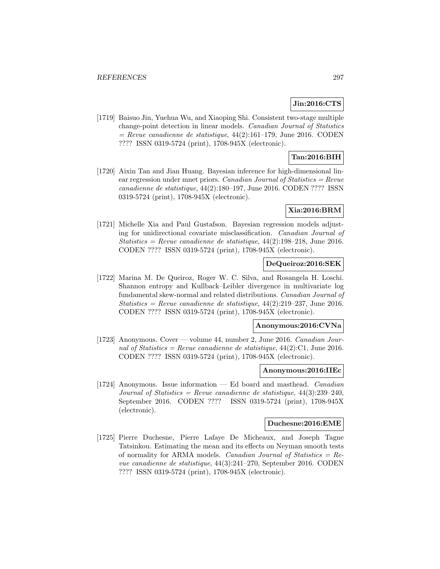### **Jin:2016:CTS**

[1719] Baisuo Jin, Yuehua Wu, and Xiaoping Shi. Consistent two-stage multiple change-point detection in linear models. Canadian Journal of Statistics  $=$  Revue canadienne de statistique, 44(2):161–179, June 2016. CODEN ???? ISSN 0319-5724 (print), 1708-945X (electronic).

## **Tan:2016:BIH**

[1720] Aixin Tan and Jian Huang. Bayesian inference for high-dimensional linear regression under mnet priors. Canadian Journal of Statistics = Revue canadienne de statistique, 44(2):180–197, June 2016. CODEN ???? ISSN 0319-5724 (print), 1708-945X (electronic).

#### **Xia:2016:BRM**

[1721] Michelle Xia and Paul Gustafson. Bayesian regression models adjusting for unidirectional covariate misclassification. Canadian Journal of Statistics = Revue canadienne de statistique,  $44(2):198-218$ , June 2016. CODEN ???? ISSN 0319-5724 (print), 1708-945X (electronic).

#### **DeQueiroz:2016:SEK**

[1722] Marina M. De Queiroz, Roger W. C. Silva, and Rosangela H. Loschi. Shannon entropy and Kullback–Leibler divergence in multivariate log fundamental skew-normal and related distributions. Canadian Journal of Statistics = Revue canadienne de statistique,  $44(2):219-237$ , June 2016. CODEN ???? ISSN 0319-5724 (print), 1708-945X (electronic).

#### **Anonymous:2016:CVNa**

[1723] Anonymous. Cover — volume 44, number 2, June 2016. Canadian Journal of Statistics = Revue canadienne de statistique,  $44(2)$ :C1, June 2016. CODEN ???? ISSN 0319-5724 (print), 1708-945X (electronic).

#### **Anonymous:2016:IIEc**

[1724] Anonymous. Issue information — Ed board and masthead. Canadian Journal of Statistics = Revue canadienne de statistique,  $44(3):239-240$ . September 2016. CODEN ???? ISSN 0319-5724 (print), 1708-945X (electronic).

#### **Duchesne:2016:EME**

[1725] Pierre Duchesne, Pierre Lafaye De Micheaux, and Joseph Tagne Tatsinkou. Estimating the mean and its effects on Neyman smooth tests of normality for ARMA models. Canadian Journal of Statistics =  $Re$ vue canadienne de statistique, 44(3):241–270, September 2016. CODEN ???? ISSN 0319-5724 (print), 1708-945X (electronic).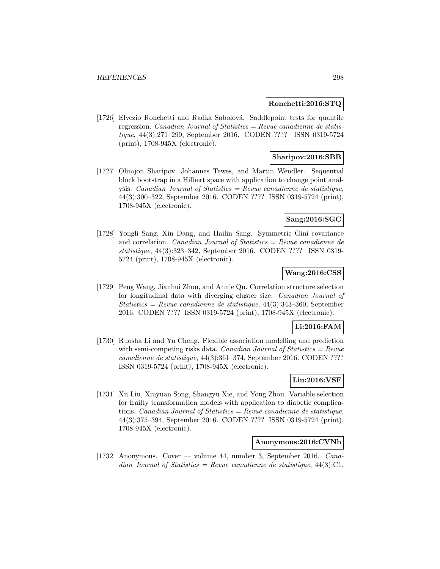### **Ronchetti:2016:STQ**

[1726] Elvezio Ronchetti and Radka Sabolová. Saddlepoint tests for quantile regression. Canadian Journal of Statistics =  $Review$  canadienne de statistique, 44(3):271–299, September 2016. CODEN ???? ISSN 0319-5724 (print), 1708-945X (electronic).

### **Sharipov:2016:SBB**

[1727] Olimjon Sharipov, Johannes Tewes, and Martin Wendler. Sequential block bootstrap in a Hilbert space with application to change point analysis. Canadian Journal of Statistics = Revue canadienne de statistique, 44(3):300–322, September 2016. CODEN ???? ISSN 0319-5724 (print), 1708-945X (electronic).

#### **Sang:2016:SGC**

[1728] Yongli Sang, Xin Dang, and Hailin Sang. Symmetric Gini covariance and correlation. *Canadian Journal of Statistics = Revue canadienne de* statistique, 44(3):323–342, September 2016. CODEN ???? ISSN 0319- 5724 (print), 1708-945X (electronic).

## **Wang:2016:CSS**

[1729] Peng Wang, Jianhui Zhou, and Annie Qu. Correlation structure selection for longitudinal data with diverging cluster size. Canadian Journal of Statistics = Revue canadienne de statistique, 44(3):343–360, September 2016. CODEN ???? ISSN 0319-5724 (print), 1708-945X (electronic).

#### **Li:2016:FAM**

[1730] Ruosha Li and Yu Cheng. Flexible association modelling and prediction with semi-competing risks data. Canadian Journal of Statistics  $=$  Revue canadienne de statistique, 44(3):361–374, September 2016. CODEN ???? ISSN 0319-5724 (print), 1708-945X (electronic).

# **Liu:2016:VSF**

[1731] Xu Liu, Xinyuan Song, Shangyu Xie, and Yong Zhou. Variable selection for frailty transformation models with application to diabetic complications. Canadian Journal of Statistics = Revue canadienne de statistique, 44(3):375–394, September 2016. CODEN ???? ISSN 0319-5724 (print), 1708-945X (electronic).

#### **Anonymous:2016:CVNb**

[1732] Anonymous. Cover — volume 44, number 3, September 2016. Canadian Journal of Statistics = Revue canadienne de statistique,  $44(3)$ :C1,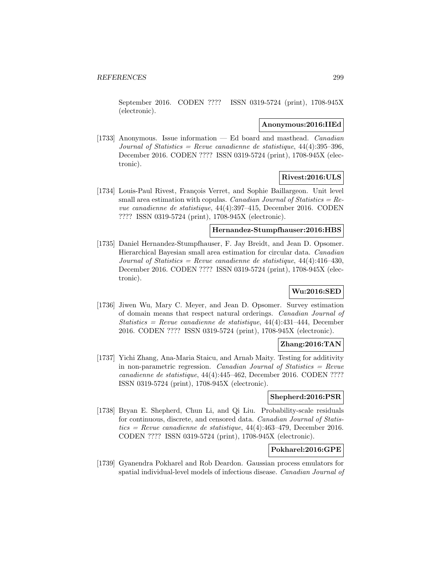September 2016. CODEN ???? ISSN 0319-5724 (print), 1708-945X (electronic).

#### **Anonymous:2016:IIEd**

[1733] Anonymous. Issue information  $-$  Ed board and masthead. *Canadian* Journal of Statistics = Revue canadienne de statistique,  $44(4):395-396$ , December 2016. CODEN ???? ISSN 0319-5724 (print), 1708-945X (electronic).

# **Rivest:2016:ULS**

[1734] Louis-Paul Rivest, François Verret, and Sophie Baillargeon. Unit level small area estimation with copulas. Canadian Journal of Statistics =  $Re$ vue canadienne de statistique, 44(4):397–415, December 2016. CODEN ???? ISSN 0319-5724 (print), 1708-945X (electronic).

## **Hernandez-Stumpfhauser:2016:HBS**

[1735] Daniel Hernandez-Stumpfhauser, F. Jay Breidt, and Jean D. Opsomer. Hierarchical Bayesian small area estimation for circular data. Canadian Journal of Statistics = Revue canadienne de statistique,  $44(4):416-430$ , December 2016. CODEN ???? ISSN 0319-5724 (print), 1708-945X (electronic).

# **Wu:2016:SED**

[1736] Jiwen Wu, Mary C. Meyer, and Jean D. Opsomer. Survey estimation of domain means that respect natural orderings. Canadian Journal of Statistics = Revue canadienne de statistique,  $44(4)$ : $431-444$ , December 2016. CODEN ???? ISSN 0319-5724 (print), 1708-945X (electronic).

## **Zhang:2016:TAN**

[1737] Yichi Zhang, Ana-Maria Staicu, and Arnab Maity. Testing for additivity in non-parametric regression. Canadian Journal of Statistics  $=$  Revue canadienne de statistique, 44(4):445–462, December 2016. CODEN ???? ISSN 0319-5724 (print), 1708-945X (electronic).

# **Shepherd:2016:PSR**

[1738] Bryan E. Shepherd, Chun Li, and Qi Liu. Probability-scale residuals for continuous, discrete, and censored data. Canadian Journal of Statistics = Revue canadienne de statistique,  $44(4)$ : $463-479$ , December 2016. CODEN ???? ISSN 0319-5724 (print), 1708-945X (electronic).

## **Pokharel:2016:GPE**

[1739] Gyanendra Pokharel and Rob Deardon. Gaussian process emulators for spatial individual-level models of infectious disease. Canadian Journal of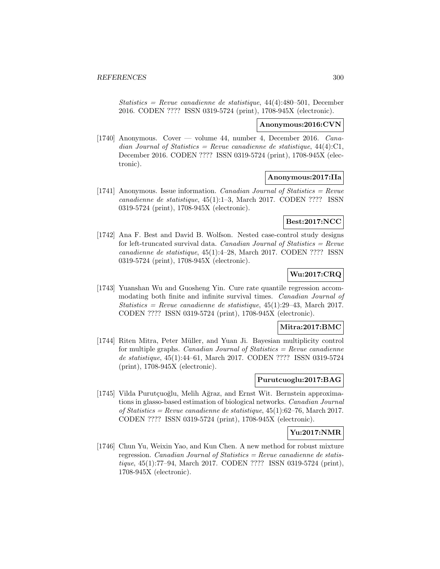Statistics = Revue canadienne de statistique,  $44(4):480-501$ , December 2016. CODEN ???? ISSN 0319-5724 (print), 1708-945X (electronic).

#### **Anonymous:2016:CVN**

[1740] Anonymous. Cover — volume 44, number 4, December 2016. Canadian Journal of Statistics = Revue canadienne de statistique,  $44(4)$ :C1, December 2016. CODEN ???? ISSN 0319-5724 (print), 1708-945X (electronic).

#### **Anonymous:2017:IIa**

[1741] Anonymous. Issue information. *Canadian Journal of Statistics = Revue* canadienne de statistique, 45(1):1–3, March 2017. CODEN ???? ISSN 0319-5724 (print), 1708-945X (electronic).

## **Best:2017:NCC**

[1742] Ana F. Best and David B. Wolfson. Nested case-control study designs for left-truncated survival data. Canadian Journal of Statistics =  $Re$ vue canadienne de statistique, 45(1):4–28, March 2017. CODEN ???? ISSN 0319-5724 (print), 1708-945X (electronic).

### **Wu:2017:CRQ**

[1743] Yuanshan Wu and Guosheng Yin. Cure rate quantile regression accommodating both finite and infinite survival times. Canadian Journal of  $Statistics = Revenue canadienne de statistic, 45(1):29-43, March 2017.$ CODEN ???? ISSN 0319-5724 (print), 1708-945X (electronic).

#### **Mitra:2017:BMC**

[1744] Riten Mitra, Peter Müller, and Yuan Ji. Bayesian multiplicity control for multiple graphs. *Canadian Journal of Statistics = Revue canadienne* de statistique, 45(1):44–61, March 2017. CODEN ???? ISSN 0319-5724 (print), 1708-945X (electronic).

## **Purutcuoglu:2017:BAG**

[1745] Vilda Purutçuoğlu, Melih Ağraz, and Ernst Wit. Bernstein approximations in glasso-based estimation of biological networks. Canadian Journal of Statistics = Revue canadienne de statistique,  $45(1):62-76$ , March 2017. CODEN ???? ISSN 0319-5724 (print), 1708-945X (electronic).

#### **Yu:2017:NMR**

[1746] Chun Yu, Weixin Yao, and Kun Chen. A new method for robust mixture regression. Canadian Journal of Statistics =  $Re$ vue canadienne de statistique, 45(1):77–94, March 2017. CODEN ???? ISSN 0319-5724 (print), 1708-945X (electronic).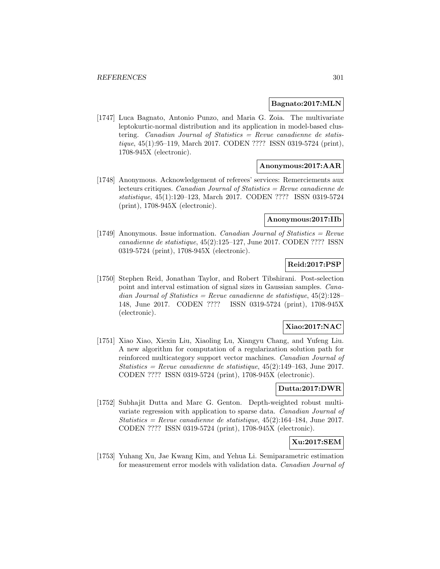#### **Bagnato:2017:MLN**

[1747] Luca Bagnato, Antonio Punzo, and Maria G. Zoia. The multivariate leptokurtic-normal distribution and its application in model-based clustering. Canadian Journal of Statistics  $=$  Revue canadienne de statistique, 45(1):95–119, March 2017. CODEN ???? ISSN 0319-5724 (print), 1708-945X (electronic).

### **Anonymous:2017:AAR**

[1748] Anonymous. Acknowledgement of referees' services: Remerciements aux lecteurs critiques. Canadian Journal of Statistics = Revue canadienne de statistique, 45(1):120–123, March 2017. CODEN ???? ISSN 0319-5724 (print), 1708-945X (electronic).

#### **Anonymous:2017:IIb**

[1749] Anonymous. Issue information. *Canadian Journal of Statistics = Revue* canadienne de statistique, 45(2):125–127, June 2017. CODEN ???? ISSN 0319-5724 (print), 1708-945X (electronic).

## **Reid:2017:PSP**

[1750] Stephen Reid, Jonathan Taylor, and Robert Tibshirani. Post-selection point and interval estimation of signal sizes in Gaussian samples. Canadian Journal of Statistics = Revue canadienne de statistique,  $45(2):128-$ 148, June 2017. CODEN ???? ISSN 0319-5724 (print), 1708-945X (electronic).

#### **Xiao:2017:NAC**

[1751] Xiao Xiao, Xiexin Liu, Xiaoling Lu, Xiangyu Chang, and Yufeng Liu. A new algorithm for computation of a regularization solution path for reinforced multicategory support vector machines. Canadian Journal of Statistics = Revue canadienne de statistique,  $45(2):149-163$ , June 2017. CODEN ???? ISSN 0319-5724 (print), 1708-945X (electronic).

#### **Dutta:2017:DWR**

[1752] Subhajit Dutta and Marc G. Genton. Depth-weighted robust multivariate regression with application to sparse data. Canadian Journal of  $Statistics = Revenue canadienne de statistic, 45(2):164-184, June 2017.$ CODEN ???? ISSN 0319-5724 (print), 1708-945X (electronic).

## **Xu:2017:SEM**

[1753] Yuhang Xu, Jae Kwang Kim, and Yehua Li. Semiparametric estimation for measurement error models with validation data. Canadian Journal of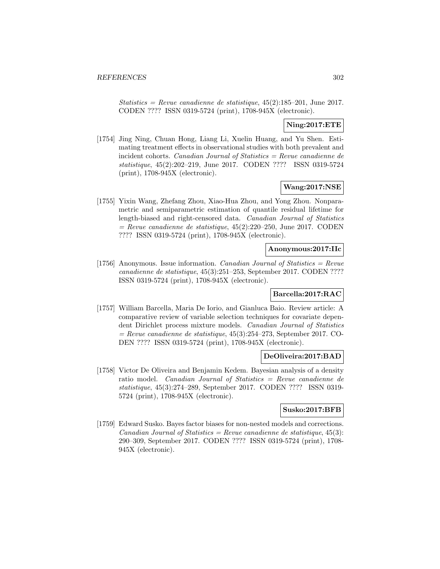Statistics = Revue canadienne de statistique,  $45(2):185-201$ , June 2017. CODEN ???? ISSN 0319-5724 (print), 1708-945X (electronic).

## **Ning:2017:ETE**

[1754] Jing Ning, Chuan Hong, Liang Li, Xuelin Huang, and Yu Shen. Estimating treatment effects in observational studies with both prevalent and incident cohorts. Canadian Journal of Statistics = Revue canadienne de statistique, 45(2):202–219, June 2017. CODEN ???? ISSN 0319-5724 (print), 1708-945X (electronic).

## **Wang:2017:NSE**

[1755] Yixin Wang, Zhefang Zhou, Xiao-Hua Zhou, and Yong Zhou. Nonparametric and semiparametric estimation of quantile residual lifetime for length-biased and right-censored data. Canadian Journal of Statistics  $=$  Revue canadienne de statistique, 45(2):220–250, June 2017. CODEN ???? ISSN 0319-5724 (print), 1708-945X (electronic).

### **Anonymous:2017:IIc**

[1756] Anonymous. Issue information. *Canadian Journal of Statistics = Revue* canadienne de statistique, 45(3):251–253, September 2017. CODEN ???? ISSN 0319-5724 (print), 1708-945X (electronic).

### **Barcella:2017:RAC**

[1757] William Barcella, Maria De Iorio, and Gianluca Baio. Review article: A comparative review of variable selection techniques for covariate dependent Dirichlet process mixture models. Canadian Journal of Statistics  $=$  Revue canadienne de statistique, 45(3):254–273, September 2017. CO-DEN ???? ISSN 0319-5724 (print), 1708-945X (electronic).

## **DeOliveira:2017:BAD**

[1758] Victor De Oliveira and Benjamin Kedem. Bayesian analysis of a density ratio model. Canadian Journal of Statistics = Revue canadienne de statistique, 45(3):274–289, September 2017. CODEN ???? ISSN 0319- 5724 (print), 1708-945X (electronic).

#### **Susko:2017:BFB**

[1759] Edward Susko. Bayes factor biases for non-nested models and corrections. Canadian Journal of Statistics = Revue canadienne de statistique,  $45(3)$ : 290–309, September 2017. CODEN ???? ISSN 0319-5724 (print), 1708- 945X (electronic).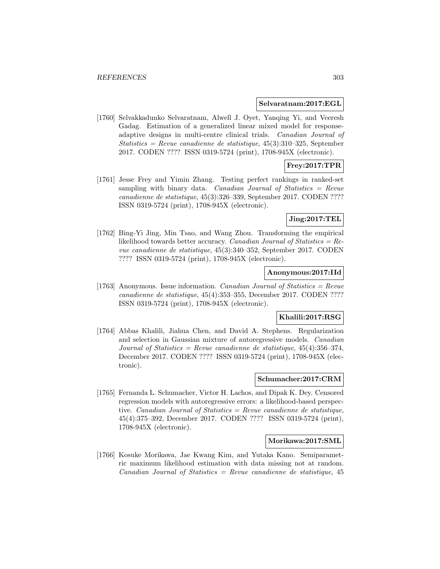#### **Selvaratnam:2017:EGL**

[1760] Selvakkadunko Selvaratnam, Alwell J. Oyet, Yanqing Yi, and Veeresh Gadag. Estimation of a generalized linear mixed model for responseadaptive designs in multi-centre clinical trials. Canadian Journal of  $Statistics = Revenue canadienne de statistique, 45(3):310-325, September$ 2017. CODEN ???? ISSN 0319-5724 (print), 1708-945X (electronic).

# **Frey:2017:TPR**

[1761] Jesse Frey and Yimin Zhang. Testing perfect rankings in ranked-set sampling with binary data. Canadian Journal of Statistics  $=$  Revue canadienne de statistique, 45(3):326–339, September 2017. CODEN ???? ISSN 0319-5724 (print), 1708-945X (electronic).

### **Jing:2017:TEL**

[1762] Bing-Yi Jing, Min Tsao, and Wang Zhou. Transforming the empirical likelihood towards better accuracy. Canadian Journal of Statistics =  $Re$ vue canadienne de statistique, 45(3):340–352, September 2017. CODEN ???? ISSN 0319-5724 (print), 1708-945X (electronic).

#### **Anonymous:2017:IId**

[1763] Anonymous. Issue information. *Canadian Journal of Statistics = Revue* canadienne de statistique, 45(4):353–355, December 2017. CODEN ???? ISSN 0319-5724 (print), 1708-945X (electronic).

#### **Khalili:2017:RSG**

[1764] Abbas Khalili, Jiahua Chen, and David A. Stephens. Regularization and selection in Gaussian mixture of autoregressive models. Canadian Journal of Statistics = Revue canadienne de statistique,  $45(4):356-374$ , December 2017. CODEN ???? ISSN 0319-5724 (print), 1708-945X (electronic).

#### **Schumacher:2017:CRM**

[1765] Fernanda L. Schumacher, Victor H. Lachos, and Dipak K. Dey. Censored regression models with autoregressive errors: a likelihood-based perspective. Canadian Journal of Statistics  $=$  Revue canadienne de statistique, 45(4):375–392, December 2017. CODEN ???? ISSN 0319-5724 (print), 1708-945X (electronic).

#### **Morikawa:2017:SML**

[1766] Kosuke Morikawa, Jae Kwang Kim, and Yutaka Kano. Semiparametric maximum likelihood estimation with data missing not at random.  $Canadian Journal of Statistics = Review canadienne de statistique, 45$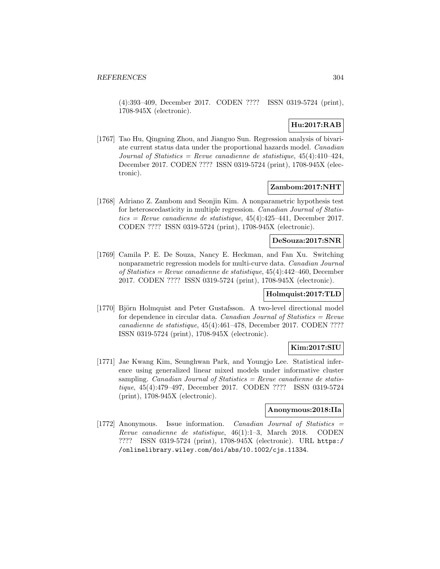(4):393–409, December 2017. CODEN ???? ISSN 0319-5724 (print), 1708-945X (electronic).

# **Hu:2017:RAB**

[1767] Tao Hu, Qingning Zhou, and Jianguo Sun. Regression analysis of bivariate current status data under the proportional hazards model. Canadian Journal of Statistics = Revue canadienne de statistique,  $45(4):410-424$ , December 2017. CODEN ???? ISSN 0319-5724 (print), 1708-945X (electronic).

#### **Zambom:2017:NHT**

[1768] Adriano Z. Zambom and Seonjin Kim. A nonparametric hypothesis test for heteroscedasticity in multiple regression. Canadian Journal of Statistics = Revue canadienne de statistique,  $45(4):425-441$ , December 2017. CODEN ???? ISSN 0319-5724 (print), 1708-945X (electronic).

#### **DeSouza:2017:SNR**

[1769] Camila P. E. De Souza, Nancy E. Heckman, and Fan Xu. Switching nonparametric regression models for multi-curve data. Canadian Journal of Statistics = Revue canadienne de statistique, 45(4):442–460, December 2017. CODEN ???? ISSN 0319-5724 (print), 1708-945X (electronic).

#### **Holmquist:2017:TLD**

[1770] Björn Holmquist and Peter Gustafsson. A two-level directional model for dependence in circular data. Canadian Journal of Statistics  $=$  Revue canadienne de statistique, 45(4):461–478, December 2017. CODEN ???? ISSN 0319-5724 (print), 1708-945X (electronic).

#### **Kim:2017:SIU**

[1771] Jae Kwang Kim, Seunghwan Park, and Youngjo Lee. Statistical inference using generalized linear mixed models under informative cluster sampling. *Canadian Journal of Statistics = Revue canadienne de statis*tique, 45(4):479–497, December 2017. CODEN ???? ISSN 0319-5724 (print), 1708-945X (electronic).

#### **Anonymous:2018:IIa**

[1772] Anonymous. Issue information. Canadian Journal of Statistics = Revue canadienne de statistique, 46(1):1–3, March 2018. CODEN ???? ISSN 0319-5724 (print), 1708-945X (electronic). URL https:/ /onlinelibrary.wiley.com/doi/abs/10.1002/cjs.11334.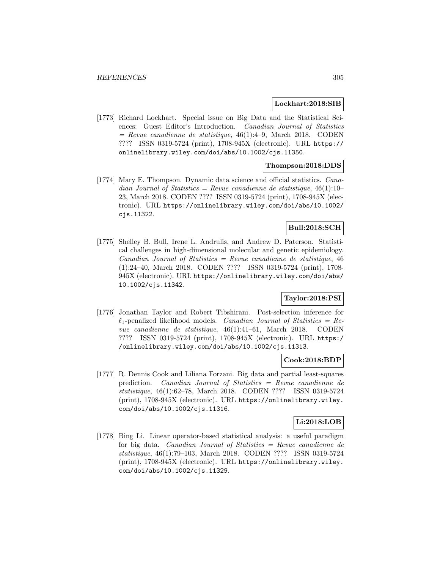#### **Lockhart:2018:SIB**

[1773] Richard Lockhart. Special issue on Big Data and the Statistical Sciences: Guest Editor's Introduction. Canadian Journal of Statistics  $=$  Revue canadienne de statistique, 46(1):4–9, March 2018. CODEN ???? ISSN 0319-5724 (print), 1708-945X (electronic). URL https:// onlinelibrary.wiley.com/doi/abs/10.1002/cjs.11350.

### **Thompson:2018:DDS**

[1774] Mary E. Thompson. Dynamic data science and official statistics. Canadian Journal of Statistics = Revue canadienne de statistique,  $46(1):10-$ 23, March 2018. CODEN ???? ISSN 0319-5724 (print), 1708-945X (electronic). URL https://onlinelibrary.wiley.com/doi/abs/10.1002/ cjs.11322.

## **Bull:2018:SCH**

[1775] Shelley B. Bull, Irene L. Andrulis, and Andrew D. Paterson. Statistical challenges in high-dimensional molecular and genetic epidemiology.  $Canadian Journal of Statistics = Review can a dienne de statistic, 46$ (1):24–40, March 2018. CODEN ???? ISSN 0319-5724 (print), 1708- 945X (electronic). URL https://onlinelibrary.wiley.com/doi/abs/ 10.1002/cjs.11342.

## **Taylor:2018:PSI**

[1776] Jonathan Taylor and Robert Tibshirani. Post-selection inference for  $\ell_1$ -penalized likelihood models. *Canadian Journal of Statistics = Re*vue canadienne de statistique, 46(1):41–61, March 2018. CODEN ???? ISSN 0319-5724 (print), 1708-945X (electronic). URL https:/ /onlinelibrary.wiley.com/doi/abs/10.1002/cjs.11313.

#### **Cook:2018:BDP**

[1777] R. Dennis Cook and Liliana Forzani. Big data and partial least-squares prediction. Canadian Journal of Statistics = Revue canadienne de statistique, 46(1):62–78, March 2018. CODEN ???? ISSN 0319-5724 (print), 1708-945X (electronic). URL https://onlinelibrary.wiley. com/doi/abs/10.1002/cjs.11316.

## **Li:2018:LOB**

[1778] Bing Li. Linear operator-based statistical analysis: a useful paradigm for big data. Canadian Journal of Statistics = Revue canadienne de statistique, 46(1):79–103, March 2018. CODEN ???? ISSN 0319-5724 (print), 1708-945X (electronic). URL https://onlinelibrary.wiley. com/doi/abs/10.1002/cjs.11329.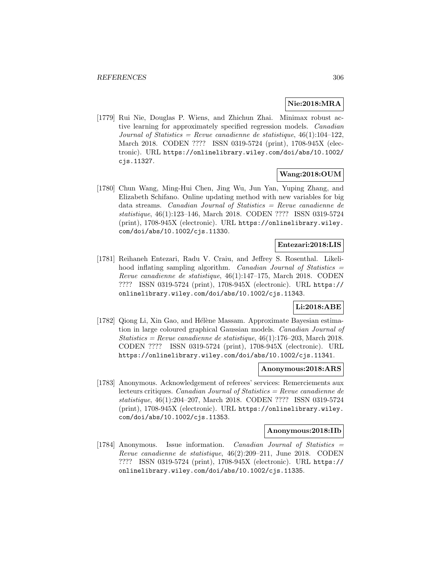## **Nie:2018:MRA**

[1779] Rui Nie, Douglas P. Wiens, and Zhichun Zhai. Minimax robust active learning for approximately specified regression models. Canadian Journal of Statistics = Revue canadienne de statistique,  $46(1):104-122$ , March 2018. CODEN ???? ISSN 0319-5724 (print), 1708-945X (electronic). URL https://onlinelibrary.wiley.com/doi/abs/10.1002/ cjs.11327.

### **Wang:2018:OUM**

[1780] Chun Wang, Ming-Hui Chen, Jing Wu, Jun Yan, Yuping Zhang, and Elizabeth Schifano. Online updating method with new variables for big data streams. Canadian Journal of Statistics = Revue canadienne de statistique, 46(1):123–146, March 2018. CODEN ???? ISSN 0319-5724 (print), 1708-945X (electronic). URL https://onlinelibrary.wiley. com/doi/abs/10.1002/cjs.11330.

### **Entezari:2018:LIS**

[1781] Reihaneh Entezari, Radu V. Craiu, and Jeffrey S. Rosenthal. Likelihood inflating sampling algorithm. Canadian Journal of Statistics = Revue canadienne de statistique, 46(1):147–175, March 2018. CODEN ???? ISSN 0319-5724 (print), 1708-945X (electronic). URL https:// onlinelibrary.wiley.com/doi/abs/10.1002/cjs.11343.

# **Li:2018:ABE**

[1782] Qiong Li, Xin Gao, and Hélène Massam. Approximate Bayesian estimation in large coloured graphical Gaussian models. Canadian Journal of Statistics = Revue canadienne de statistique,  $46(1):176-203$ , March 2018. CODEN ???? ISSN 0319-5724 (print), 1708-945X (electronic). URL https://onlinelibrary.wiley.com/doi/abs/10.1002/cjs.11341.

#### **Anonymous:2018:ARS**

[1783] Anonymous. Acknowledgement of referees' services: Remerciements aux lecteurs critiques. Canadian Journal of Statistics = Revue canadienne de statistique, 46(1):204–207, March 2018. CODEN ???? ISSN 0319-5724 (print), 1708-945X (electronic). URL https://onlinelibrary.wiley. com/doi/abs/10.1002/cjs.11353.

#### **Anonymous:2018:IIb**

[1784] Anonymous. Issue information. Canadian Journal of Statistics = Revue canadienne de statistique, 46(2):209–211, June 2018. CODEN ???? ISSN 0319-5724 (print), 1708-945X (electronic). URL https:// onlinelibrary.wiley.com/doi/abs/10.1002/cjs.11335.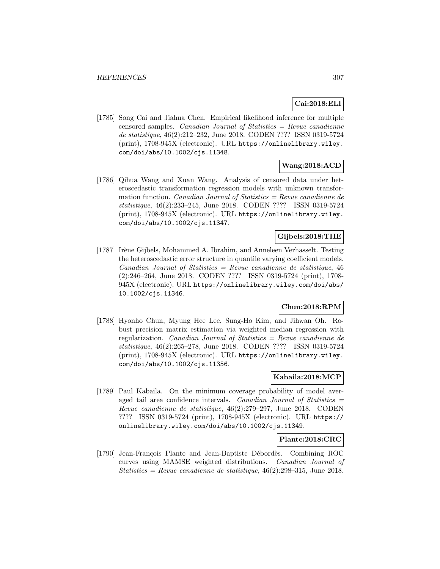## **Cai:2018:ELI**

[1785] Song Cai and Jiahua Chen. Empirical likelihood inference for multiple censored samples. Canadian Journal of Statistics  $=$  Revue canadienne de statistique, 46(2):212–232, June 2018. CODEN ???? ISSN 0319-5724 (print), 1708-945X (electronic). URL https://onlinelibrary.wiley. com/doi/abs/10.1002/cjs.11348.

# **Wang:2018:ACD**

[1786] Qihua Wang and Xuan Wang. Analysis of censored data under heteroscedastic transformation regression models with unknown transformation function. *Canadian Journal of Statistics = Revue canadienne de* statistique, 46(2):233–245, June 2018. CODEN ???? ISSN 0319-5724 (print), 1708-945X (electronic). URL https://onlinelibrary.wiley. com/doi/abs/10.1002/cjs.11347.

## **Gijbels:2018:THE**

[1787] Irène Gijbels, Mohammed A. Ibrahim, and Anneleen Verhasselt. Testing the heteroscedastic error structure in quantile varying coefficient models.  $Canadian Journal of Statistics = Review can a dienne de statistique, 46$ (2):246–264, June 2018. CODEN ???? ISSN 0319-5724 (print), 1708- 945X (electronic). URL https://onlinelibrary.wiley.com/doi/abs/ 10.1002/cjs.11346.

## **Chun:2018:RPM**

[1788] Hyonho Chun, Myung Hee Lee, Sung-Ho Kim, and Jihwan Oh. Robust precision matrix estimation via weighted median regression with regularization. Canadian Journal of Statistics = Revue canadienne de statistique, 46(2):265–278, June 2018. CODEN ???? ISSN 0319-5724 (print), 1708-945X (electronic). URL https://onlinelibrary.wiley. com/doi/abs/10.1002/cjs.11356.

#### **Kabaila:2018:MCP**

[1789] Paul Kabaila. On the minimum coverage probability of model averaged tail area confidence intervals. Canadian Journal of Statistics = Revue canadienne de statistique, 46(2):279–297, June 2018. CODEN ???? ISSN 0319-5724 (print), 1708-945X (electronic). URL https:// onlinelibrary.wiley.com/doi/abs/10.1002/cjs.11349.

#### **Plante:2018:CRC**

[1790] Jean-François Plante and Jean-Baptiste Débordès. Combining ROC curves using MAMSE weighted distributions. Canadian Journal of Statistics = Revue canadienne de statistique,  $46(2):298-315$ , June 2018.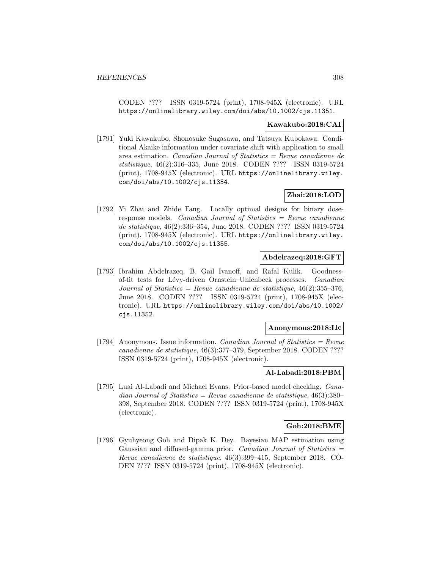CODEN ???? ISSN 0319-5724 (print), 1708-945X (electronic). URL https://onlinelibrary.wiley.com/doi/abs/10.1002/cjs.11351.

#### **Kawakubo:2018:CAI**

[1791] Yuki Kawakubo, Shonosuke Sugasawa, and Tatsuya Kubokawa. Conditional Akaike information under covariate shift with application to small area estimation. Canadian Journal of Statistics = Revue canadienne de statistique, 46(2):316–335, June 2018. CODEN ???? ISSN 0319-5724 (print), 1708-945X (electronic). URL https://onlinelibrary.wiley. com/doi/abs/10.1002/cjs.11354.

# **Zhai:2018:LOD**

[1792] Yi Zhai and Zhide Fang. Locally optimal designs for binary doseresponse models. Canadian Journal of Statistics = Revue canadienne de statistique, 46(2):336–354, June 2018. CODEN ???? ISSN 0319-5724 (print), 1708-945X (electronic). URL https://onlinelibrary.wiley. com/doi/abs/10.1002/cjs.11355.

#### **Abdelrazeq:2018:GFT**

[1793] Ibrahim Abdelrazeq, B. Gail Ivanoff, and Rafal Kulik. Goodnessof-fit tests for Lévy-driven Ornstein–Uhlenbeck processes. Canadian Journal of Statistics = Revue canadienne de statistique,  $46(2):355-376$ , June 2018. CODEN ???? ISSN 0319-5724 (print), 1708-945X (electronic). URL https://onlinelibrary.wiley.com/doi/abs/10.1002/ cjs.11352.

#### **Anonymous:2018:IIc**

[1794] Anonymous. Issue information. *Canadian Journal of Statistics = Revue* canadienne de statistique, 46(3):377–379, September 2018. CODEN ???? ISSN 0319-5724 (print), 1708-945X (electronic).

#### **Al-Labadi:2018:PBM**

[1795] Luai Al-Labadi and Michael Evans. Prior-based model checking. Canadian Journal of Statistics = Revue canadienne de statistique,  $46(3):380-$ 398, September 2018. CODEN ???? ISSN 0319-5724 (print), 1708-945X (electronic).

### **Goh:2018:BME**

[1796] Gyuhyeong Goh and Dipak K. Dey. Bayesian MAP estimation using Gaussian and diffused-gamma prior. Canadian Journal of Statistics  $=$ Revue canadienne de statistique, 46(3):399–415, September 2018. CO-DEN ???? ISSN 0319-5724 (print), 1708-945X (electronic).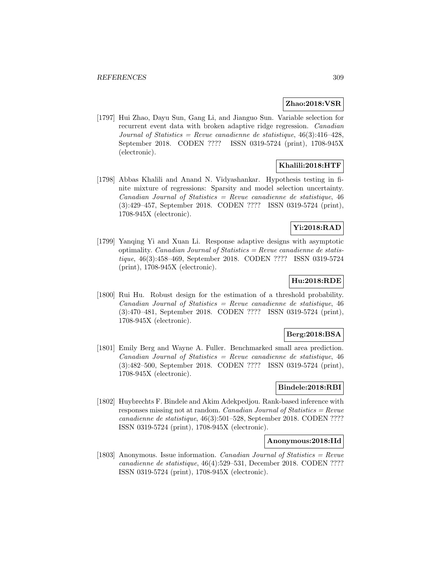#### **Zhao:2018:VSR**

[1797] Hui Zhao, Dayu Sun, Gang Li, and Jianguo Sun. Variable selection for recurrent event data with broken adaptive ridge regression. Canadian Journal of Statistics = Revue canadienne de statistique,  $46(3):416-428$ , September 2018. CODEN ???? ISSN 0319-5724 (print), 1708-945X (electronic).

### **Khalili:2018:HTF**

[1798] Abbas Khalili and Anand N. Vidyashankar. Hypothesis testing in finite mixture of regressions: Sparsity and model selection uncertainty.  $Canadian Journal of Statistics = Review canadienne de statistique, 46$ (3):429–457, September 2018. CODEN ???? ISSN 0319-5724 (print), 1708-945X (electronic).

## **Yi:2018:RAD**

[1799] Yanqing Yi and Xuan Li. Response adaptive designs with asymptotic optimality. *Canadian Journal of Statistics = Revue canadienne de statis*tique, 46(3):458–469, September 2018. CODEN ???? ISSN 0319-5724 (print), 1708-945X (electronic).

# **Hu:2018:RDE**

[1800] Rui Hu. Robust design for the estimation of a threshold probability.  $Canadian Journal of Statistics = Review canadienne de statistique, 46$ (3):470–481, September 2018. CODEN ???? ISSN 0319-5724 (print), 1708-945X (electronic).

#### **Berg:2018:BSA**

[1801] Emily Berg and Wayne A. Fuller. Benchmarked small area prediction.  $Canadian Journal of Statistics = Review canadienne de statistic, 46$ (3):482–500, September 2018. CODEN ???? ISSN 0319-5724 (print), 1708-945X (electronic).

## **Bindele:2018:RBI**

[1802] Huybrechts F. Bindele and Akim Adekpedjou. Rank-based inference with responses missing not at random. Canadian Journal of Statistics =  $Re$ vue canadienne de statistique, 46(3):501–528, September 2018. CODEN ???? ISSN 0319-5724 (print), 1708-945X (electronic).

#### **Anonymous:2018:IId**

[1803] Anonymous. Issue information. *Canadian Journal of Statistics = Revue* canadienne de statistique, 46(4):529–531, December 2018. CODEN ???? ISSN 0319-5724 (print), 1708-945X (electronic).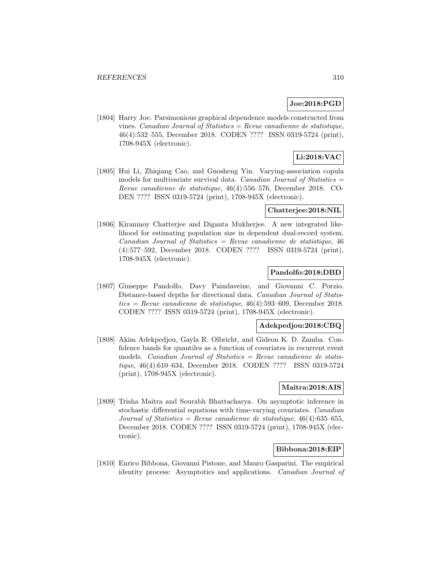## **Joe:2018:PGD**

[1804] Harry Joe. Parsimonious graphical dependence models constructed from vines. Canadian Journal of Statistics = Revue canadienne de statistique, 46(4):532–555, December 2018. CODEN ???? ISSN 0319-5724 (print), 1708-945X (electronic).

# **Li:2018:VAC**

[1805] Hui Li, Zhiqiang Cao, and Guosheng Yin. Varying-association copula models for multivariate survival data. Canadian Journal of Statistics  $=$ Revue canadienne de statistique, 46(4):556–576, December 2018. CO-DEN ???? ISSN 0319-5724 (print), 1708-945X (electronic).

### **Chatterjee:2018:NIL**

[1806] Kiranmoy Chatterjee and Diganta Mukherjee. A new integrated likelihood for estimating population size in dependent dual-record system.  $Canadian Journal of Statistics = Review canadienne de statistique, 46$ (4):577–592, December 2018. CODEN ???? ISSN 0319-5724 (print), 1708-945X (electronic).

#### **Pandolfo:2018:DBD**

[1807] Giuseppe Pandolfo, Davy Paindaveine, and Giovanni C. Porzio. Distance-based depths for directional data. Canadian Journal of Statis $tics = Revue$  canadienne de statistique, 46(4):593–609, December 2018.CODEN ???? ISSN 0319-5724 (print), 1708-945X (electronic).

#### **Adekpedjou:2018:CBQ**

[1808] Akim Adekpedjou, Gayla R. Olbricht, and Gideon K. D. Zamba. Confidence bands for quantiles as a function of covariates in recurrent event models. *Canadian Journal of Statistics = Revue canadienne de statis*tique, 46(4):610–634, December 2018. CODEN ???? ISSN 0319-5724 (print), 1708-945X (electronic).

#### **Maitra:2018:AIS**

[1809] Trisha Maitra and Sourabh Bhattacharya. On asymptotic inference in stochastic differential equations with time-varying covariates. Canadian Journal of Statistics = Revue canadienne de statistique,  $46(4)$ :635-655, December 2018. CODEN ???? ISSN 0319-5724 (print), 1708-945X (electronic).

#### **Bibbona:2018:EIP**

[1810] Enrico Bibbona, Giovanni Pistone, and Mauro Gasparini. The empirical identity process: Asymptotics and applications. Canadian Journal of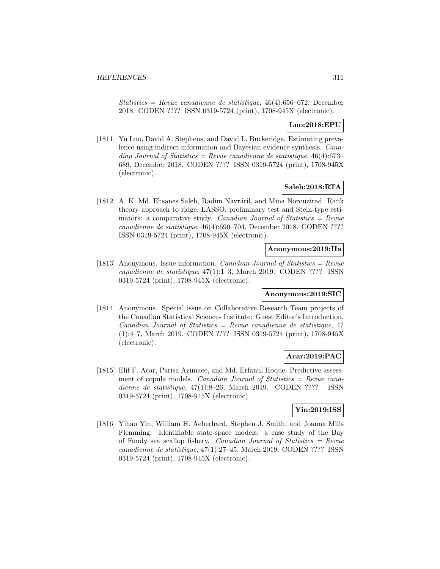Statistics = Revue canadienne de statistique,  $46(4):656-672$ , December 2018. CODEN ???? ISSN 0319-5724 (print), 1708-945X (electronic).

### **Luo:2018:EPU**

[1811] Yu Luo, David A. Stephens, and David L. Buckeridge. Estimating prevalence using indirect information and Bayesian evidence synthesis. Canadian Journal of Statistics = Revue canadienne de statistique,  $46(4):673-$ 689, December 2018. CODEN ???? ISSN 0319-5724 (print), 1708-945X (electronic).

## **Saleh:2018:RTA**

[1812] A. K. Md. Ehsanes Saleh, Radim Navrátil, and Mina Norouzirad. Rank theory approach to ridge, LASSO, preliminary test and Stein-type estimators: a comparative study. Canadian Journal of Statistics  $=$  Revue canadienne de statistique, 46(4):690–704, December 2018. CODEN ???? ISSN 0319-5724 (print), 1708-945X (electronic).

### **Anonymous:2019:IIa**

[1813] Anonymous. Issue information. *Canadian Journal of Statistics = Revue* canadienne de statistique, 47(1):1–3, March 2019. CODEN ???? ISSN 0319-5724 (print), 1708-945X (electronic).

#### **Anonymous:2019:SIC**

[1814] Anonymous. Special issue on Collaborative Research Team projects of the Canadian Statistical Sciences Institute: Guest Editor's Introduction.  $Canadian Journal of Statistics = Review canadienne de statistic, 47$ (1):4–7, March 2019. CODEN ???? ISSN 0319-5724 (print), 1708-945X (electronic).

### **Acar:2019:PAC**

[1815] Elif F. Acar, Parisa Azimaee, and Md. Erfanul Hoque. Predictive assessment of copula models. *Canadian Journal of Statistics = Revue cana*dienne de statistique, 47(1):8–26, March 2019. CODEN ???? ISSN 0319-5724 (print), 1708-945X (electronic).

### **Yin:2019:ISS**

[1816] Yihao Yin, William H. Aeberhard, Stephen J. Smith, and Joanna Mills Flemming. Identifiable state-space models: a case study of the Bay of Fundy sea scallop fishery. Canadian Journal of Statistics = Revue canadienne de statistique, 47(1):27–45, March 2019. CODEN ???? ISSN 0319-5724 (print), 1708-945X (electronic).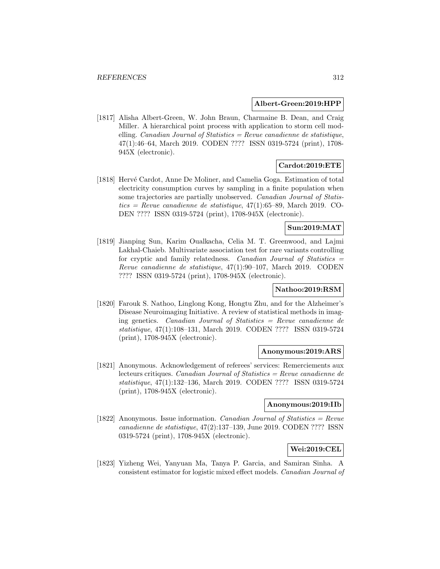#### **Albert-Green:2019:HPP**

[1817] Alisha Albert-Green, W. John Braun, Charmaine B. Dean, and Craig Miller. A hierarchical point process with application to storm cell modelling. *Canadian Journal of Statistics = Revue canadienne de statistique*, 47(1):46–64, March 2019. CODEN ???? ISSN 0319-5724 (print), 1708- 945X (electronic).

## **Cardot:2019:ETE**

[1818] Hervé Cardot, Anne De Moliner, and Camelia Goga. Estimation of total electricity consumption curves by sampling in a finite population when some trajectories are partially unobserved. Canadian Journal of Statis $tics = Revue\ can a dienne\ de\ statistique, 47(1):65–89, March 2019. CO-$ DEN ???? ISSN 0319-5724 (print), 1708-945X (electronic).

## **Sun:2019:MAT**

[1819] Jianping Sun, Karim Oualkacha, Celia M. T. Greenwood, and Lajmi Lakhal-Chaieb. Multivariate association test for rare variants controlling for cryptic and family relatedness. Canadian Journal of Statistics  $=$ Revue canadienne de statistique, 47(1):90–107, March 2019. CODEN ???? ISSN 0319-5724 (print), 1708-945X (electronic).

#### **Nathoo:2019:RSM**

[1820] Farouk S. Nathoo, Linglong Kong, Hongtu Zhu, and for the Alzheimer's Disease Neuroimaging Initiative. A review of statistical methods in imaging genetics. Canadian Journal of Statistics = Revue canadienne de statistique, 47(1):108–131, March 2019. CODEN ???? ISSN 0319-5724 (print), 1708-945X (electronic).

#### **Anonymous:2019:ARS**

[1821] Anonymous. Acknowledgement of referees' services: Remerciements aux lecteurs critiques. Canadian Journal of Statistics = Revue canadienne de statistique, 47(1):132–136, March 2019. CODEN ???? ISSN 0319-5724 (print), 1708-945X (electronic).

## **Anonymous:2019:IIb**

[1822] Anonymous. Issue information. *Canadian Journal of Statistics = Revue* canadienne de statistique, 47(2):137–139, June 2019. CODEN ???? ISSN 0319-5724 (print), 1708-945X (electronic).

## **Wei:2019:CEL**

[1823] Yizheng Wei, Yanyuan Ma, Tanya P. Garcia, and Samiran Sinha. A consistent estimator for logistic mixed effect models. Canadian Journal of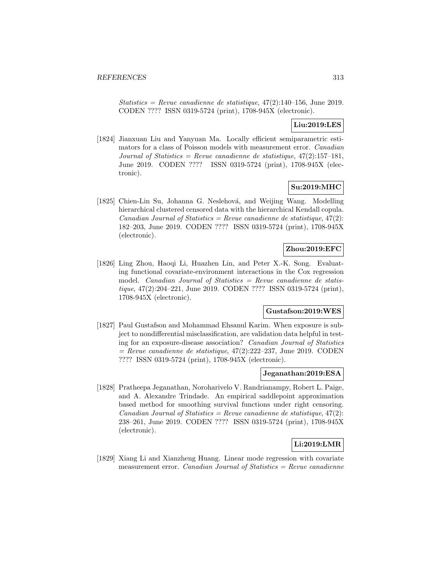Statistics = Revue canadienne de statistique,  $47(2):140-156$ , June 2019. CODEN ???? ISSN 0319-5724 (print), 1708-945X (electronic).

## **Liu:2019:LES**

[1824] Jianxuan Liu and Yanyuan Ma. Locally efficient semiparametric estimators for a class of Poisson models with measurement error. Canadian Journal of Statistics = Revue canadienne de statistique,  $47(2):157-181$ , June 2019. CODEN ???? ISSN 0319-5724 (print), 1708-945X (electronic).

## **Su:2019:MHC**

[1825] Chien-Lin Su, Johanna G. Neslehová, and Weijing Wang. Modelling hierarchical clustered censored data with the hierarchical Kendall copula.  $Canadian Journal of Statistics = Review candidate$  de statistique, 47(2): 182–203, June 2019. CODEN ???? ISSN 0319-5724 (print), 1708-945X (electronic).

# **Zhou:2019:EFC**

[1826] Ling Zhou, Haoqi Li, Huazhen Lin, and Peter X.-K. Song. Evaluating functional covariate-environment interactions in the Cox regression model. *Canadian Journal of Statistics = Revue canadienne de statis*tique, 47(2):204–221, June 2019. CODEN ???? ISSN 0319-5724 (print), 1708-945X (electronic).

### **Gustafson:2019:WES**

[1827] Paul Gustafson and Mohammad Ehsanul Karim. When exposure is subject to nondifferential misclassification, are validation data helpful in testing for an exposure-disease association? Canadian Journal of Statistics  $=$  Revue canadienne de statistique, 47(2):222–237, June 2019. CODEN ???? ISSN 0319-5724 (print), 1708-945X (electronic).

#### **Jeganathan:2019:ESA**

[1828] Pratheepa Jeganathan, Noroharivelo V. Randrianampy, Robert L. Paige, and A. Alexandre Trindade. An empirical saddlepoint approximation based method for smoothing survival functions under right censoring. Canadian Journal of Statistics = Revue canadienne de statistique,  $47(2)$ : 238–261, June 2019. CODEN ???? ISSN 0319-5724 (print), 1708-945X (electronic).

## **Li:2019:LMR**

[1829] Xiang Li and Xianzheng Huang. Linear mode regression with covariate measurement error. Canadian Journal of Statistics  $=$  Revue canadienne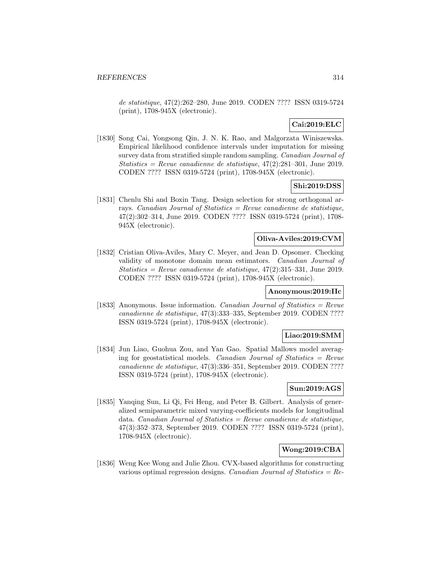de statistique, 47(2):262–280, June 2019. CODEN ???? ISSN 0319-5724 (print), 1708-945X (electronic).

# **Cai:2019:ELC**

[1830] Song Cai, Yongsong Qin, J. N. K. Rao, and Malgorzata Winiszewska. Empirical likelihood confidence intervals under imputation for missing survey data from stratified simple random sampling. Canadian Journal of Statistics = Revue canadienne de statistique,  $47(2):281-301$ , June 2019. CODEN ???? ISSN 0319-5724 (print), 1708-945X (electronic).

## **Shi:2019:DSS**

[1831] Chenlu Shi and Boxin Tang. Design selection for strong orthogonal arrays. Canadian Journal of Statistics = Revue canadienne de statistique, 47(2):302–314, June 2019. CODEN ???? ISSN 0319-5724 (print), 1708- 945X (electronic).

### **Oliva-Aviles:2019:CVM**

[1832] Cristian Oliva-Aviles, Mary C. Meyer, and Jean D. Opsomer. Checking validity of monotone domain mean estimators. Canadian Journal of Statistics = Revue canadienne de statistique,  $47(2):315-331$ , June 2019. CODEN ???? ISSN 0319-5724 (print), 1708-945X (electronic).

#### **Anonymous:2019:IIc**

[1833] Anonymous. Issue information. *Canadian Journal of Statistics = Revue* canadienne de statistique, 47(3):333–335, September 2019. CODEN ???? ISSN 0319-5724 (print), 1708-945X (electronic).

## **Liao:2019:SMM**

[1834] Jun Liao, Guohua Zou, and Yan Gao. Spatial Mallows model averaging for geostatistical models. Canadian Journal of Statistics  $=$  Revue canadienne de statistique, 47(3):336–351, September 2019. CODEN ???? ISSN 0319-5724 (print), 1708-945X (electronic).

## **Sun:2019:AGS**

[1835] Yanqing Sun, Li Qi, Fei Heng, and Peter B. Gilbert. Analysis of generalized semiparametric mixed varying-coefficients models for longitudinal data. Canadian Journal of Statistics = Revue canadienne de statistique, 47(3):352–373, September 2019. CODEN ???? ISSN 0319-5724 (print), 1708-945X (electronic).

## **Wong:2019:CBA**

[1836] Weng Kee Wong and Julie Zhou. CVX-based algorithms for constructing various optimal regression designs. Canadian Journal of Statistics  $= Re$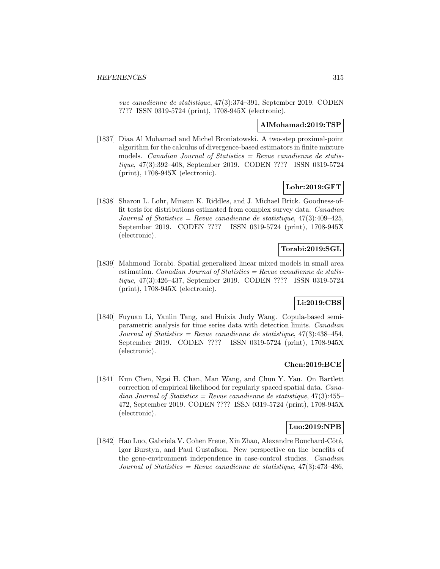vue canadienne de statistique, 47(3):374–391, September 2019. CODEN ???? ISSN 0319-5724 (print), 1708-945X (electronic).

### **AlMohamad:2019:TSP**

[1837] Diaa Al Mohamad and Michel Broniatowski. A two-step proximal-point algorithm for the calculus of divergence-based estimators in finite mixture models. Canadian Journal of Statistics  $=$  Revue canadienne de statistique, 47(3):392–408, September 2019. CODEN ???? ISSN 0319-5724 (print), 1708-945X (electronic).

### **Lohr:2019:GFT**

[1838] Sharon L. Lohr, Minsun K. Riddles, and J. Michael Brick. Goodness-offit tests for distributions estimated from complex survey data. Canadian Journal of Statistics = Revue canadienne de statistique,  $47(3)$ : $409-425$ , September 2019. CODEN ???? ISSN 0319-5724 (print), 1708-945X (electronic).

# **Torabi:2019:SGL**

[1839] Mahmoud Torabi. Spatial generalized linear mixed models in small area estimation. Canadian Journal of Statistics =  $Re$ vue canadienne de statistique, 47(3):426–437, September 2019. CODEN ???? ISSN 0319-5724 (print), 1708-945X (electronic).

# **Li:2019:CBS**

[1840] Fuyuan Li, Yanlin Tang, and Huixia Judy Wang. Copula-based semiparametric analysis for time series data with detection limits. Canadian Journal of Statistics = Revue canadienne de statistique,  $47(3)$ :  $438-454$ , September 2019. CODEN ???? ISSN 0319-5724 (print), 1708-945X (electronic).

## **Chen:2019:BCE**

[1841] Kun Chen, Ngai H. Chan, Man Wang, and Chun Y. Yau. On Bartlett correction of empirical likelihood for regularly spaced spatial data. Canadian Journal of Statistics = Revue canadienne de statistique,  $47(3)$ : $455-$ 472, September 2019. CODEN ???? ISSN 0319-5724 (print), 1708-945X (electronic).

## **Luo:2019:NPB**

[1842] Hao Luo, Gabriela V. Cohen Freue, Xin Zhao, Alexandre Bouchard-Côté, Igor Burstyn, and Paul Gustafson. New perspective on the benefits of the gene-environment independence in case-control studies. Canadian Journal of Statistics = Revue canadienne de statistique,  $47(3)$ : $473-486$ ,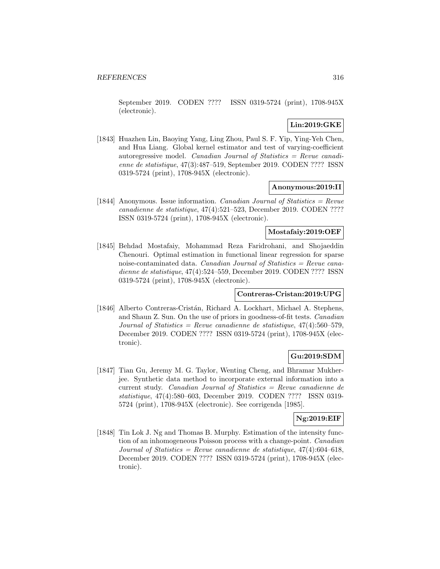September 2019. CODEN ???? ISSN 0319-5724 (print), 1708-945X (electronic).

## **Lin:2019:GKE**

[1843] Huazhen Lin, Baoying Yang, Ling Zhou, Paul S. F. Yip, Ying-Yeh Chen, and Hua Liang. Global kernel estimator and test of varying-coefficient autoregressive model. Canadian Journal of Statistics = Revue canadienne de statistique, 47(3):487–519, September 2019. CODEN ???? ISSN 0319-5724 (print), 1708-945X (electronic).

#### **Anonymous:2019:II**

[1844] Anonymous. Issue information. *Canadian Journal of Statistics = Revue* canadienne de statistique, 47(4):521–523, December 2019. CODEN ???? ISSN 0319-5724 (print), 1708-945X (electronic).

#### **Mostafaiy:2019:OEF**

[1845] Behdad Mostafaiy, Mohammad Reza Faridrohani, and Shojaeddin Chenouri. Optimal estimation in functional linear regression for sparse noise-contaminated data. Canadian Journal of Statistics  $=$  Revue canadienne de statistique, 47(4):524–559, December 2019. CODEN ???? ISSN 0319-5724 (print), 1708-945X (electronic).

#### **Contreras-Cristan:2019:UPG**

[1846] Alberto Contreras-Cristán, Richard A. Lockhart, Michael A. Stephens, and Shaun Z. Sun. On the use of priors in goodness-of-fit tests. Canadian Journal of Statistics = Revue canadienne de statistique,  $47(4):560-579$ , December 2019. CODEN ???? ISSN 0319-5724 (print), 1708-945X (electronic).

## **Gu:2019:SDM**

[1847] Tian Gu, Jeremy M. G. Taylor, Wenting Cheng, and Bhramar Mukherjee. Synthetic data method to incorporate external information into a current study. Canadian Journal of Statistics = Revue canadienne de statistique, 47(4):580–603, December 2019. CODEN ???? ISSN 0319- 5724 (print), 1708-945X (electronic). See corrigenda [1985].

### **Ng:2019:EIF**

[1848] Tin Lok J. Ng and Thomas B. Murphy. Estimation of the intensity function of an inhomogeneous Poisson process with a change-point. Canadian Journal of Statistics = Revue canadienne de statistique,  $47(4):604-618$ , December 2019. CODEN ???? ISSN 0319-5724 (print), 1708-945X (electronic).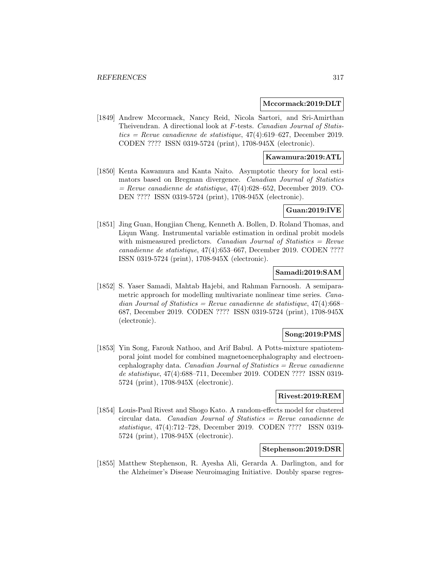#### **Mccormack:2019:DLT**

[1849] Andrew Mccormack, Nancy Reid, Nicola Sartori, and Sri-Amirthan Theivendran. A directional look at F-tests. Canadian Journal of Statistics = Revue canadienne de statistique,  $47(4)$ :619–627, December 2019. CODEN ???? ISSN 0319-5724 (print), 1708-945X (electronic).

#### **Kawamura:2019:ATL**

[1850] Kenta Kawamura and Kanta Naito. Asymptotic theory for local estimators based on Bregman divergence. Canadian Journal of Statistics  $=$  Revue canadienne de statistique, 47(4):628–652, December 2019. CO-DEN ???? ISSN 0319-5724 (print), 1708-945X (electronic).

#### **Guan:2019:IVE**

[1851] Jing Guan, Hongjian Cheng, Kenneth A. Bollen, D. Roland Thomas, and Liqun Wang. Instrumental variable estimation in ordinal probit models with mismeasured predictors. Canadian Journal of Statistics  $=$  Revue canadienne de statistique, 47(4):653–667, December 2019. CODEN ???? ISSN 0319-5724 (print), 1708-945X (electronic).

#### **Samadi:2019:SAM**

[1852] S. Yaser Samadi, Mahtab Hajebi, and Rahman Farnoosh. A semiparametric approach for modelling multivariate nonlinear time series. Canadian Journal of Statistics = Revue canadienne de statistique,  $47(4)$ :668– 687, December 2019. CODEN ???? ISSN 0319-5724 (print), 1708-945X (electronic).

#### **Song:2019:PMS**

[1853] Yin Song, Farouk Nathoo, and Arif Babul. A Potts-mixture spatiotemporal joint model for combined magnetoencephalography and electroencephalography data. Canadian Journal of Statistics  $=$  Revue canadienne de statistique, 47(4):688–711, December 2019. CODEN ???? ISSN 0319- 5724 (print), 1708-945X (electronic).

#### **Rivest:2019:REM**

[1854] Louis-Paul Rivest and Shogo Kato. A random-effects model for clustered circular data. Canadian Journal of Statistics = Revue canadienne de statistique, 47(4):712–728, December 2019. CODEN ???? ISSN 0319- 5724 (print), 1708-945X (electronic).

#### **Stephenson:2019:DSR**

[1855] Matthew Stephenson, R. Ayesha Ali, Gerarda A. Darlington, and for the Alzheimer's Disease Neuroimaging Initiative. Doubly sparse regres-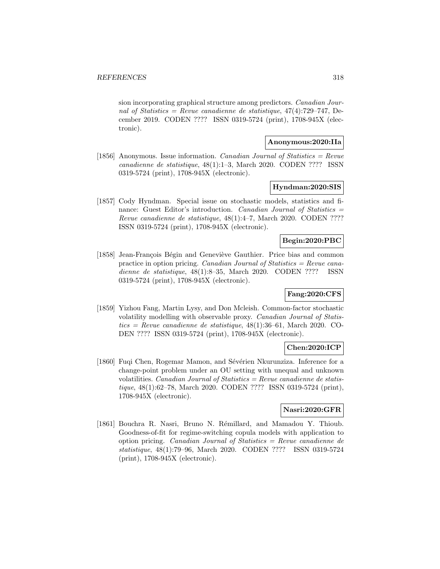sion incorporating graphical structure among predictors. Canadian Journal of Statistics = Revue canadienne de statistique,  $47(4)$ :729-747, December 2019. CODEN ???? ISSN 0319-5724 (print), 1708-945X (electronic).

## **Anonymous:2020:IIa**

[1856] Anonymous. Issue information. *Canadian Journal of Statistics = Revue* canadienne de statistique, 48(1):1–3, March 2020. CODEN ???? ISSN 0319-5724 (print), 1708-945X (electronic).

#### **Hyndman:2020:SIS**

[1857] Cody Hyndman. Special issue on stochastic models, statistics and finance: Guest Editor's introduction. Canadian Journal of Statistics = Revue canadienne de statistique, 48(1):4–7, March 2020. CODEN ???? ISSN 0319-5724 (print), 1708-945X (electronic).

### **Begin:2020:PBC**

[1858] Jean-François Bégin and Geneviève Gauthier. Price bias and common practice in option pricing. Canadian Journal of Statistics = Revue canadienne de statistique, 48(1):8–35, March 2020. CODEN ???? ISSN 0319-5724 (print), 1708-945X (electronic).

## **Fang:2020:CFS**

[1859] Yizhou Fang, Martin Lysy, and Don Mcleish. Common-factor stochastic volatility modelling with observable proxy. Canadian Journal of Statis $tics = Revenue canadienne de statisticque, 48(1):36–61, March 2020. CO-$ DEN ???? ISSN 0319-5724 (print), 1708-945X (electronic).

### **Chen:2020:ICP**

[1860] Fuqi Chen, Rogemar Mamon, and Sévérien Nkurunziza. Inference for a change-point problem under an OU setting with unequal and unknown volatilities. *Canadian Journal of Statistics = Revue canadienne de statis*tique, 48(1):62–78, March 2020. CODEN ???? ISSN 0319-5724 (print), 1708-945X (electronic).

### **Nasri:2020:GFR**

[1861] Bouchra R. Nasri, Bruno N. Rémillard, and Mamadou Y. Thioub. Goodness-of-fit for regime-switching copula models with application to option pricing. Canadian Journal of Statistics = Revue canadienne de statistique, 48(1):79–96, March 2020. CODEN ???? ISSN 0319-5724 (print), 1708-945X (electronic).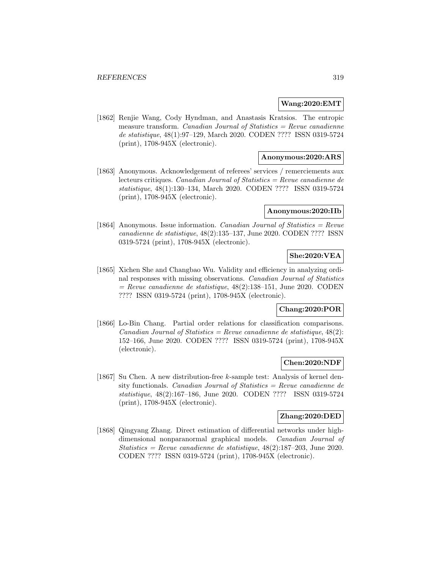#### **Wang:2020:EMT**

[1862] Renjie Wang, Cody Hyndman, and Anastasis Kratsios. The entropic measure transform. Canadian Journal of Statistics  $=$  Revue canadienne de statistique, 48(1):97–129, March 2020. CODEN ???? ISSN 0319-5724 (print), 1708-945X (electronic).

### **Anonymous:2020:ARS**

[1863] Anonymous. Acknowledgement of referees' services / remerciements aux lecteurs critiques. Canadian Journal of Statistics = Revue canadienne de statistique, 48(1):130–134, March 2020. CODEN ???? ISSN 0319-5724 (print), 1708-945X (electronic).

#### **Anonymous:2020:IIb**

[1864] Anonymous. Issue information. *Canadian Journal of Statistics = Revue* canadienne de statistique, 48(2):135–137, June 2020. CODEN ???? ISSN 0319-5724 (print), 1708-945X (electronic).

# **She:2020:VEA**

[1865] Xichen She and Changbao Wu. Validity and efficiency in analyzing ordinal responses with missing observations. Canadian Journal of Statistics  $=$  Revue canadienne de statistique, 48(2):138–151, June 2020. CODEN ???? ISSN 0319-5724 (print), 1708-945X (electronic).

## **Chang:2020:POR**

[1866] Lo-Bin Chang. Partial order relations for classification comparisons.  $Canadian Journal of Statistics = Review candidate$  de statistique, 48(2): 152–166, June 2020. CODEN ???? ISSN 0319-5724 (print), 1708-945X (electronic).

#### **Chen:2020:NDF**

[1867] Su Chen. A new distribution-free k-sample test: Analysis of kernel density functionals. Canadian Journal of Statistics = Revue canadienne de statistique, 48(2):167–186, June 2020. CODEN ???? ISSN 0319-5724 (print), 1708-945X (electronic).

#### **Zhang:2020:DED**

[1868] Qingyang Zhang. Direct estimation of differential networks under highdimensional nonparanormal graphical models. Canadian Journal of Statistics = Revue canadienne de statistique,  $48(2):187-203$ , June 2020. CODEN ???? ISSN 0319-5724 (print), 1708-945X (electronic).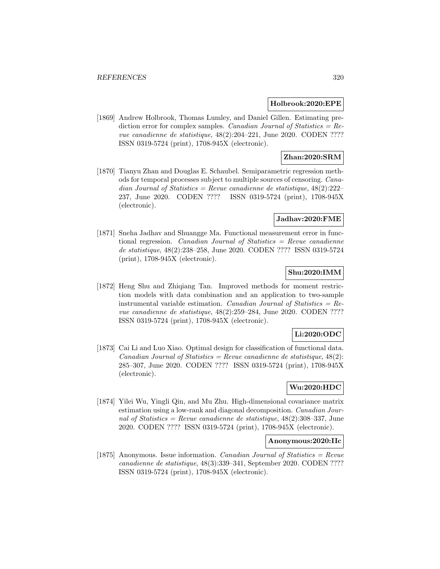#### **Holbrook:2020:EPE**

[1869] Andrew Holbrook, Thomas Lumley, and Daniel Gillen. Estimating prediction error for complex samples. Canadian Journal of Statistics =  $Re$ vue canadienne de statistique, 48(2):204–221, June 2020. CODEN ???? ISSN 0319-5724 (print), 1708-945X (electronic).

### **Zhan:2020:SRM**

[1870] Tianyu Zhan and Douglas E. Schaubel. Semiparametric regression methods for temporal processes subject to multiple sources of censoring. Canadian Journal of Statistics = Revue canadienne de statistique,  $48(2):222-$ 237, June 2020. CODEN ???? ISSN 0319-5724 (print), 1708-945X (electronic).

#### **Jadhav:2020:FME**

[1871] Sneha Jadhav and Shuangge Ma. Functional measurement error in functional regression. Canadian Journal of Statistics  $=$  Revue canadienne de statistique, 48(2):238–258, June 2020. CODEN ???? ISSN 0319-5724 (print), 1708-945X (electronic).

## **Shu:2020:IMM**

[1872] Heng Shu and Zhiqiang Tan. Improved methods for moment restriction models with data combination and an application to two-sample instrumental variable estimation. Canadian Journal of Statistics =  $Re$ vue canadienne de statistique, 48(2):259–284, June 2020. CODEN ???? ISSN 0319-5724 (print), 1708-945X (electronic).

## **Li:2020:ODC**

[1873] Cai Li and Luo Xiao. Optimal design for classification of functional data.  $Canadian Journal of Statistics = Review candidate$  de statistique, 48(2): 285–307, June 2020. CODEN ???? ISSN 0319-5724 (print), 1708-945X (electronic).

## **Wu:2020:HDC**

[1874] Yilei Wu, Yingli Qin, and Mu Zhu. High-dimensional covariance matrix estimation using a low-rank and diagonal decomposition. Canadian Journal of Statistics = Revue canadienne de statistique,  $48(2):308-337$ , June 2020. CODEN ???? ISSN 0319-5724 (print), 1708-945X (electronic).

#### **Anonymous:2020:IIc**

[1875] Anonymous. Issue information. *Canadian Journal of Statistics = Revue* canadienne de statistique, 48(3):339–341, September 2020. CODEN ???? ISSN 0319-5724 (print), 1708-945X (electronic).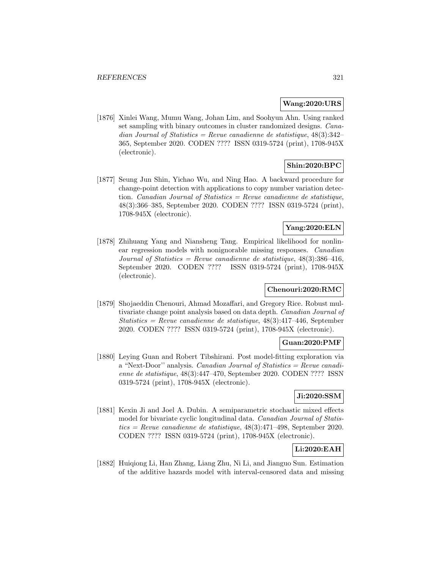#### **Wang:2020:URS**

[1876] Xinlei Wang, Mumu Wang, Johan Lim, and Soohyun Ahn. Using ranked set sampling with binary outcomes in cluster randomized designs. Canadian Journal of Statistics = Revue canadienne de statistique,  $48(3):342-$ 365, September 2020. CODEN ???? ISSN 0319-5724 (print), 1708-945X (electronic).

## **Shin:2020:BPC**

[1877] Seung Jun Shin, Yichao Wu, and Ning Hao. A backward procedure for change-point detection with applications to copy number variation detection. Canadian Journal of Statistics  $=$  Revue canadienne de statistique, 48(3):366–385, September 2020. CODEN ???? ISSN 0319-5724 (print), 1708-945X (electronic).

## **Yang:2020:ELN**

[1878] Zhihuang Yang and Niansheng Tang. Empirical likelihood for nonlinear regression models with nonignorable missing responses. Canadian Journal of Statistics = Revue canadienne de statistique,  $48(3):386-416$ , September 2020. CODEN ???? ISSN 0319-5724 (print), 1708-945X (electronic).

## **Chenouri:2020:RMC**

[1879] Shojaeddin Chenouri, Ahmad Mozaffari, and Gregory Rice. Robust multivariate change point analysis based on data depth. Canadian Journal of Statistics = Revue canadienne de statistique,  $48(3):417-446$ , September 2020. CODEN ???? ISSN 0319-5724 (print), 1708-945X (electronic).

## **Guan:2020:PMF**

[1880] Leying Guan and Robert Tibshirani. Post model-fitting exploration via a "Next-Door'' analysis. Canadian Journal of Statistics = Revue canadienne de statistique, 48(3):447–470, September 2020. CODEN ???? ISSN 0319-5724 (print), 1708-945X (electronic).

#### **Ji:2020:SSM**

[1881] Kexin Ji and Joel A. Dubin. A semiparametric stochastic mixed effects model for bivariate cyclic longitudinal data. Canadian Journal of Statistics = Revue canadienne de statistique,  $48(3):471-498$ , September 2020. CODEN ???? ISSN 0319-5724 (print), 1708-945X (electronic).

## **Li:2020:EAH**

[1882] Huiqiong Li, Han Zhang, Liang Zhu, Ni Li, and Jianguo Sun. Estimation of the additive hazards model with interval-censored data and missing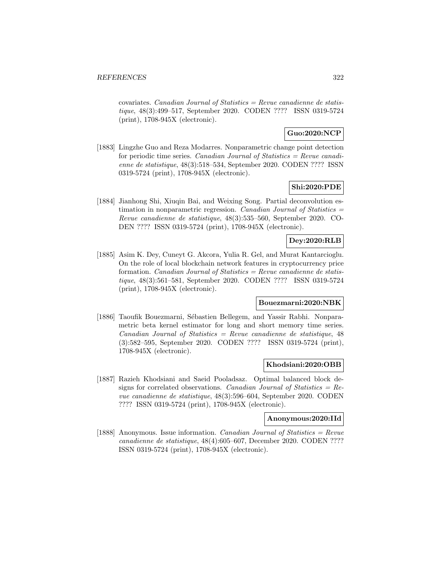covariates. Canadian Journal of Statistics = Revue canadienne de statistique, 48(3):499–517, September 2020. CODEN ???? ISSN 0319-5724 (print), 1708-945X (electronic).

## **Guo:2020:NCP**

[1883] Lingzhe Guo and Reza Modarres. Nonparametric change point detection for periodic time series. Canadian Journal of Statistics  $=$  Revue canadienne de statistique, 48(3):518–534, September 2020. CODEN ???? ISSN 0319-5724 (print), 1708-945X (electronic).

## **Shi:2020:PDE**

[1884] Jianhong Shi, Xiuqin Bai, and Weixing Song. Partial deconvolution estimation in nonparametric regression. Canadian Journal of Statistics  $=$ Revue canadienne de statistique, 48(3):535–560, September 2020. CO-DEN ???? ISSN 0319-5724 (print), 1708-945X (electronic).

## **Dey:2020:RLB**

[1885] Asim K. Dey, Cuneyt G. Akcora, Yulia R. Gel, and Murat Kantarcioglu. On the role of local blockchain network features in cryptocurrency price formation. *Canadian Journal of Statistics = Revue canadienne de statis*tique, 48(3):561–581, September 2020. CODEN ???? ISSN 0319-5724 (print), 1708-945X (electronic).

#### **Bouezmarni:2020:NBK**

[1886] Taoufik Bouezmarni, Sébastien Bellegem, and Yassir Rabhi. Nonparametric beta kernel estimator for long and short memory time series.  $Canadian Journal of Statistics = Review canadienne de statistic, 48$ (3):582–595, September 2020. CODEN ???? ISSN 0319-5724 (print), 1708-945X (electronic).

#### **Khodsiani:2020:OBB**

[1887] Razieh Khodsiani and Saeid Pooladsaz. Optimal balanced block designs for correlated observations. Canadian Journal of Statistics =  $Re$ vue canadienne de statistique, 48(3):596–604, September 2020. CODEN ???? ISSN 0319-5724 (print), 1708-945X (electronic).

#### **Anonymous:2020:IId**

[1888] Anonymous. Issue information. *Canadian Journal of Statistics = Revue* canadienne de statistique, 48(4):605–607, December 2020. CODEN ???? ISSN 0319-5724 (print), 1708-945X (electronic).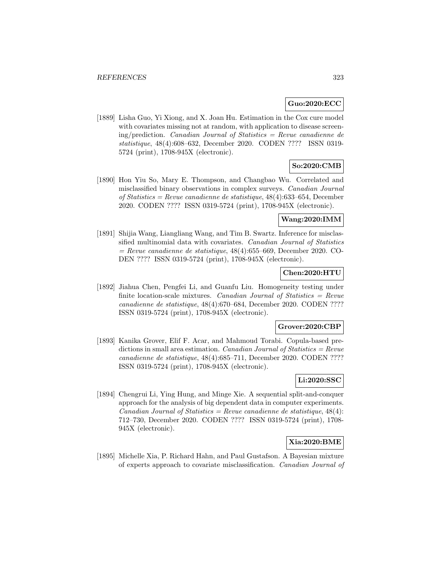### **Guo:2020:ECC**

[1889] Lisha Guo, Yi Xiong, and X. Joan Hu. Estimation in the Cox cure model with covariates missing not at random, with application to disease screening/prediction. *Canadian Journal of Statistics = Revue canadienne de* statistique, 48(4):608–632, December 2020. CODEN ???? ISSN 0319- 5724 (print), 1708-945X (electronic).

# **So:2020:CMB**

[1890] Hon Yiu So, Mary E. Thompson, and Changbao Wu. Correlated and misclassified binary observations in complex surveys. Canadian Journal of Statistics = Revue canadienne de statistique, 48(4):633–654, December 2020. CODEN ???? ISSN 0319-5724 (print), 1708-945X (electronic).

### **Wang:2020:IMM**

[1891] Shijia Wang, Liangliang Wang, and Tim B. Swartz. Inference for misclassified multinomial data with covariates. Canadian Journal of Statistics  $=$  Revue canadienne de statistique, 48(4):655–669, December 2020. CO-DEN ???? ISSN 0319-5724 (print), 1708-945X (electronic).

## **Chen:2020:HTU**

[1892] Jiahua Chen, Pengfei Li, and Guanfu Liu. Homogeneity testing under finite location-scale mixtures. Canadian Journal of Statistics  $=$  Revue canadienne de statistique, 48(4):670–684, December 2020. CODEN ???? ISSN 0319-5724 (print), 1708-945X (electronic).

#### **Grover:2020:CBP**

[1893] Kanika Grover, Elif F. Acar, and Mahmoud Torabi. Copula-based predictions in small area estimation. Canadian Journal of Statistics =  $Re$ vue canadienne de statistique, 48(4):685–711, December 2020. CODEN ???? ISSN 0319-5724 (print), 1708-945X (electronic).

# **Li:2020:SSC**

[1894] Chengrui Li, Ying Hung, and Minge Xie. A sequential split-and-conquer approach for the analysis of big dependent data in computer experiments. Canadian Journal of Statistics = Revue canadienne de statistique,  $48(4)$ : 712–730, December 2020. CODEN ???? ISSN 0319-5724 (print), 1708- 945X (electronic).

## **Xia:2020:BME**

[1895] Michelle Xia, P. Richard Hahn, and Paul Gustafson. A Bayesian mixture of experts approach to covariate misclassification. Canadian Journal of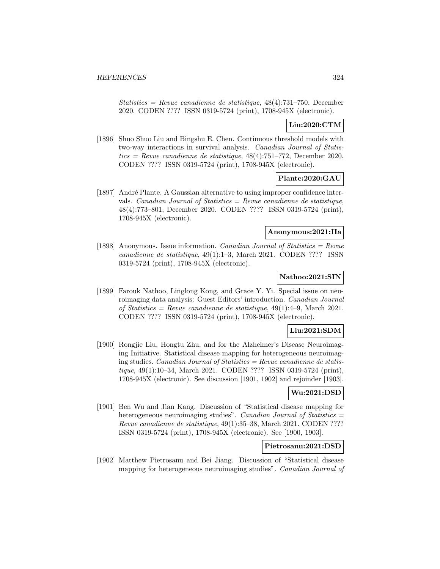Statistics = Revue canadienne de statistique,  $48(4)$ :731–750, December 2020. CODEN ???? ISSN 0319-5724 (print), 1708-945X (electronic).

## **Liu:2020:CTM**

[1896] Shuo Shuo Liu and Bingshu E. Chen. Continuous threshold models with two-way interactions in survival analysis. Canadian Journal of Statistics = Revue canadienne de statistique,  $48(4)$ :751–772, December 2020. CODEN ???? ISSN 0319-5724 (print), 1708-945X (electronic).

### **Plante:2020:GAU**

[1897] Andr´e Plante. A Gaussian alternative to using improper confidence intervals. Canadian Journal of Statistics  $=$  Revue canadienne de statistique, 48(4):773–801, December 2020. CODEN ???? ISSN 0319-5724 (print), 1708-945X (electronic).

## **Anonymous:2021:IIa**

[1898] Anonymous. Issue information. *Canadian Journal of Statistics = Revue* canadienne de statistique, 49(1):1–3, March 2021. CODEN ???? ISSN 0319-5724 (print), 1708-945X (electronic).

### **Nathoo:2021:SIN**

[1899] Farouk Nathoo, Linglong Kong, and Grace Y. Yi. Special issue on neuroimaging data analysis: Guest Editors' introduction. Canadian Journal of Statistics = Revue canadienne de statistique,  $49(1):4-9$ , March 2021. CODEN ???? ISSN 0319-5724 (print), 1708-945X (electronic).

### **Liu:2021:SDM**

[1900] Rongjie Liu, Hongtu Zhu, and for the Alzheimer's Disease Neuroimaging Initiative. Statistical disease mapping for heterogeneous neuroimaging studies. *Canadian Journal of Statistics = Revue canadienne de statis*tique, 49(1):10–34, March 2021. CODEN ???? ISSN 0319-5724 (print), 1708-945X (electronic). See discussion [1901, 1902] and rejoinder [1903].

#### **Wu:2021:DSD**

[1901] Ben Wu and Jian Kang. Discussion of "Statistical disease mapping for heterogeneous neuroimaging studies". Canadian Journal of Statistics = Revue canadienne de statistique, 49(1):35–38, March 2021. CODEN ???? ISSN 0319-5724 (print), 1708-945X (electronic). See [1900, 1903].

## **Pietrosanu:2021:DSD**

[1902] Matthew Pietrosanu and Bei Jiang. Discussion of "Statistical disease mapping for heterogeneous neuroimaging studies". Canadian Journal of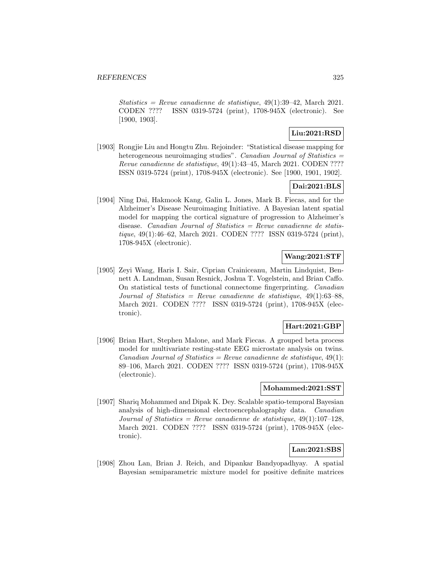Statistics = Revue canadienne de statistique,  $49(1):39-42$ , March 2021. CODEN ???? ISSN 0319-5724 (print), 1708-945X (electronic). See [1900, 1903].

# **Liu:2021:RSD**

[1903] Rongjie Liu and Hongtu Zhu. Rejoinder: "Statistical disease mapping for heterogeneous neuroimaging studies". Canadian Journal of Statistics = Revue canadienne de statistique, 49(1):43–45, March 2021. CODEN ???? ISSN 0319-5724 (print), 1708-945X (electronic). See [1900, 1901, 1902].

## **Dai:2021:BLS**

[1904] Ning Dai, Hakmook Kang, Galin L. Jones, Mark B. Fiecas, and for the Alzheimer's Disease Neuroimaging Initiative. A Bayesian latent spatial model for mapping the cortical signature of progression to Alzheimer's disease. Canadian Journal of Statistics  $=$  Revue canadienne de statistique, 49(1):46–62, March 2021. CODEN ???? ISSN 0319-5724 (print), 1708-945X (electronic).

# **Wang:2021:STF**

[1905] Zeyi Wang, Haris I. Sair, Ciprian Crainiceanu, Martin Lindquist, Bennett A. Landman, Susan Resnick, Joshua T. Vogelstein, and Brian Caffo. On statistical tests of functional connectome fingerprinting. Canadian Journal of Statistics = Revue canadienne de statistique,  $49(1):63-88$ , March 2021. CODEN ???? ISSN 0319-5724 (print), 1708-945X (electronic).

## **Hart:2021:GBP**

[1906] Brian Hart, Stephen Malone, and Mark Fiecas. A grouped beta process model for multivariate resting-state EEG microstate analysis on twins. Canadian Journal of Statistics = Revue canadienne de statistique,  $49(1)$ : 89–106, March 2021. CODEN ???? ISSN 0319-5724 (print), 1708-945X (electronic).

#### **Mohammed:2021:SST**

[1907] Shariq Mohammed and Dipak K. Dey. Scalable spatio-temporal Bayesian analysis of high-dimensional electroencephalography data. Canadian Journal of Statistics = Revue canadienne de statistique,  $49(1):107-128$ , March 2021. CODEN ???? ISSN 0319-5724 (print), 1708-945X (electronic).

## **Lan:2021:SBS**

[1908] Zhou Lan, Brian J. Reich, and Dipankar Bandyopadhyay. A spatial Bayesian semiparametric mixture model for positive definite matrices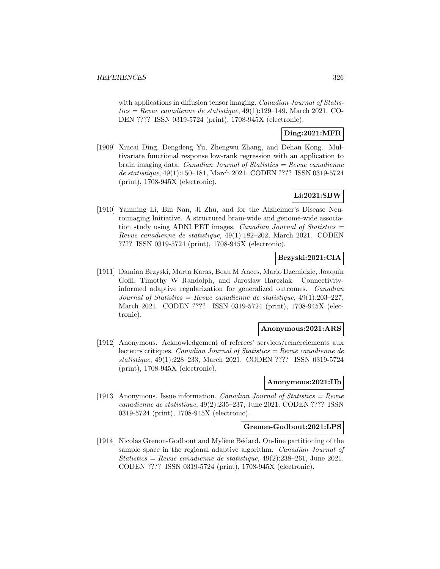with applications in diffusion tensor imaging. *Canadian Journal of Statis* $tics = Revenue canadienne de statistique, 49(1):129-149, March 2021. CO-$ DEN ???? ISSN 0319-5724 (print), 1708-945X (electronic).

## **Ding:2021:MFR**

[1909] Xiucai Ding, Dengdeng Yu, Zhengwu Zhang, and Dehan Kong. Multivariate functional response low-rank regression with an application to brain imaging data. Canadian Journal of Statistics  $=$  Revue canadienne de statistique, 49(1):150–181, March 2021. CODEN ???? ISSN 0319-5724 (print), 1708-945X (electronic).

## **Li:2021:SBW**

[1910] Yanming Li, Bin Nan, Ji Zhu, and for the Alzheimer's Disease Neuroimaging Initiative. A structured brain-wide and genome-wide association study using ADNI PET images. Canadian Journal of Statistics  $=$ Revue canadienne de statistique, 49(1):182–202, March 2021. CODEN ???? ISSN 0319-5724 (print), 1708-945X (electronic).

## **Brzyski:2021:CIA**

[1911] Damian Brzyski, Marta Karas, Beau M Ances, Mario Dzemidzic, Joaquín Goñi, Timothy W Randolph, and Jaroslaw Harezlak. Connectivityinformed adaptive regularization for generalized outcomes. Canadian Journal of Statistics = Revue canadienne de statistique,  $49(1):203-227$ , March 2021. CODEN ???? ISSN 0319-5724 (print), 1708-945X (electronic).

### **Anonymous:2021:ARS**

[1912] Anonymous. Acknowledgement of referees' services/remerciements aux lecteurs critiques. Canadian Journal of Statistics = Revue canadienne de statistique, 49(1):228–233, March 2021. CODEN ???? ISSN 0319-5724 (print), 1708-945X (electronic).

### **Anonymous:2021:IIb**

[1913] Anonymous. Issue information. *Canadian Journal of Statistics = Revue* canadienne de statistique, 49(2):235–237, June 2021. CODEN ???? ISSN 0319-5724 (print), 1708-945X (electronic).

### **Grenon-Godbout:2021:LPS**

[1914] Nicolas Grenon-Godbout and Mylène Bédard. On-line partitioning of the sample space in the regional adaptive algorithm. *Canadian Journal of* Statistics = Revue canadienne de statistique,  $49(2):238-261$ , June 2021. CODEN ???? ISSN 0319-5724 (print), 1708-945X (electronic).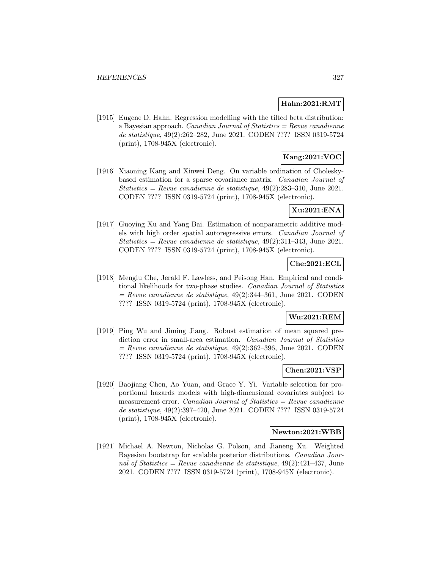### **Hahn:2021:RMT**

[1915] Eugene D. Hahn. Regression modelling with the tilted beta distribution: a Bayesian approach. Canadian Journal of Statistics = Revue canadienne de statistique, 49(2):262–282, June 2021. CODEN ???? ISSN 0319-5724 (print), 1708-945X (electronic).

## **Kang:2021:VOC**

[1916] Xiaoning Kang and Xinwei Deng. On variable ordination of Choleskybased estimation for a sparse covariance matrix. Canadian Journal of Statistics = Revue canadienne de statistique,  $49(2):283-310$ , June 2021. CODEN ???? ISSN 0319-5724 (print), 1708-945X (electronic).

### **Xu:2021:ENA**

[1917] Guoying Xu and Yang Bai. Estimation of nonparametric additive models with high order spatial autoregressive errors. Canadian Journal of Statistics = Revue canadienne de statistique,  $49(2):311-343$ , June 2021. CODEN ???? ISSN 0319-5724 (print), 1708-945X (electronic).

# **Che:2021:ECL**

[1918] Menglu Che, Jerald F. Lawless, and Peisong Han. Empirical and conditional likelihoods for two-phase studies. Canadian Journal of Statistics  $=$  Revue canadienne de statistique, 49(2):344–361, June 2021. CODEN ???? ISSN 0319-5724 (print), 1708-945X (electronic).

### **Wu:2021:REM**

[1919] Ping Wu and Jiming Jiang. Robust estimation of mean squared prediction error in small-area estimation. Canadian Journal of Statistics  $=$  Revue canadienne de statistique, 49(2):362–396, June 2021. CODEN ???? ISSN 0319-5724 (print), 1708-945X (electronic).

### **Chen:2021:VSP**

[1920] Baojiang Chen, Ao Yuan, and Grace Y. Yi. Variable selection for proportional hazards models with high-dimensional covariates subject to measurement error. Canadian Journal of Statistics  $=$  Revue canadienne de statistique, 49(2):397–420, June 2021. CODEN ???? ISSN 0319-5724 (print), 1708-945X (electronic).

#### **Newton:2021:WBB**

[1921] Michael A. Newton, Nicholas G. Polson, and Jianeng Xu. Weighted Bayesian bootstrap for scalable posterior distributions. Canadian Journal of Statistics = Revue canadienne de statistique,  $49(2):421-437$ , June 2021. CODEN ???? ISSN 0319-5724 (print), 1708-945X (electronic).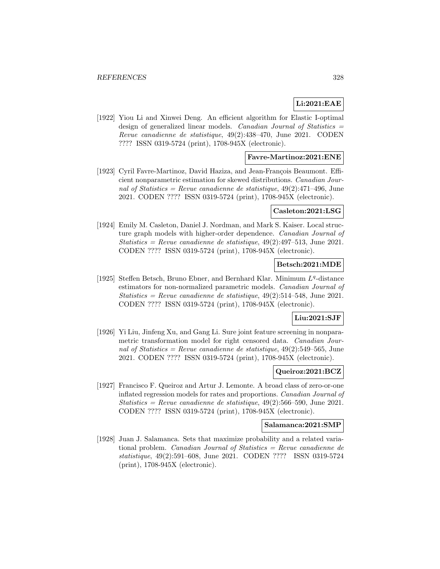# **Li:2021:EAE**

[1922] Yiou Li and Xinwei Deng. An efficient algorithm for Elastic I-optimal design of generalized linear models. Canadian Journal of Statistics = Revue canadienne de statistique, 49(2):438–470, June 2021. CODEN ???? ISSN 0319-5724 (print), 1708-945X (electronic).

### **Favre-Martinoz:2021:ENE**

[1923] Cyril Favre-Martinoz, David Haziza, and Jean-François Beaumont. Efficient nonparametric estimation for skewed distributions. Canadian Journal of Statistics = Revue canadienne de statistique,  $49(2):471-496$ , June 2021. CODEN ???? ISSN 0319-5724 (print), 1708-945X (electronic).

## **Casleton:2021:LSG**

[1924] Emily M. Casleton, Daniel J. Nordman, and Mark S. Kaiser. Local structure graph models with higher-order dependence. Canadian Journal of  $Statistics = Revenue canadienne de statistic, 49(2):497-513, June 2021.$ CODEN ???? ISSN 0319-5724 (print), 1708-945X (electronic).

### **Betsch:2021:MDE**

[1925] Steffen Betsch, Bruno Ebner, and Bernhard Klar. Minimum  $L^q$ -distance estimators for non-normalized parametric models. Canadian Journal of Statistics = Revue canadienne de statistique,  $49(2):514-548$ , June 2021. CODEN ???? ISSN 0319-5724 (print), 1708-945X (electronic).

#### **Liu:2021:SJF**

[1926] Yi Liu, Jinfeng Xu, and Gang Li. Sure joint feature screening in nonparametric transformation model for right censored data. Canadian Journal of Statistics = Revue canadienne de statistique,  $49(2)$ :549-565, June 2021. CODEN ???? ISSN 0319-5724 (print), 1708-945X (electronic).

#### **Queiroz:2021:BCZ**

[1927] Francisco F. Queiroz and Artur J. Lemonte. A broad class of zero-or-one inflated regression models for rates and proportions. Canadian Journal of Statistics = Revue canadienne de statistique,  $49(2):566-590$ , June 2021. CODEN ???? ISSN 0319-5724 (print), 1708-945X (electronic).

#### **Salamanca:2021:SMP**

[1928] Juan J. Salamanca. Sets that maximize probability and a related variational problem. Canadian Journal of Statistics = Revue canadienne de statistique, 49(2):591–608, June 2021. CODEN ???? ISSN 0319-5724 (print), 1708-945X (electronic).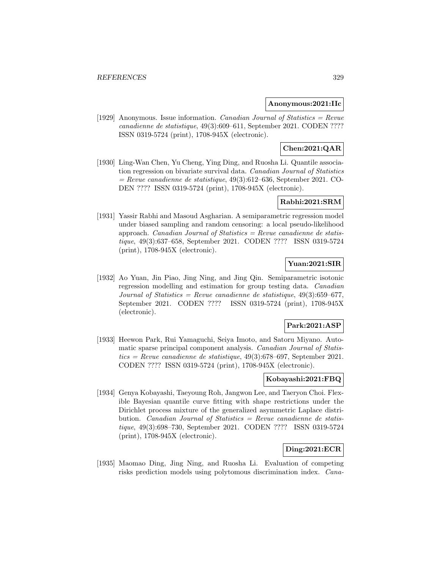#### **Anonymous:2021:IIc**

[1929] Anonymous. Issue information. *Canadian Journal of Statistics = Revue* canadienne de statistique, 49(3):609–611, September 2021. CODEN ???? ISSN 0319-5724 (print), 1708-945X (electronic).

# **Chen:2021:QAR**

[1930] Ling-Wan Chen, Yu Cheng, Ying Ding, and Ruosha Li. Quantile association regression on bivariate survival data. Canadian Journal of Statistics  $=$  Revue canadienne de statistique, 49(3):612–636, September 2021. CO-DEN ???? ISSN 0319-5724 (print), 1708-945X (electronic).

# **Rabhi:2021:SRM**

[1931] Yassir Rabhi and Masoud Asgharian. A semiparametric regression model under biased sampling and random censoring: a local pseudo-likelihood approach. *Canadian Journal of Statistics = Revue canadienne de statis*tique, 49(3):637–658, September 2021. CODEN ???? ISSN 0319-5724 (print), 1708-945X (electronic).

### **Yuan:2021:SIR**

[1932] Ao Yuan, Jin Piao, Jing Ning, and Jing Qin. Semiparametric isotonic regression modelling and estimation for group testing data. Canadian Journal of Statistics = Revue canadienne de statistique,  $49(3):659-677$ , September 2021. CODEN ???? ISSN 0319-5724 (print), 1708-945X (electronic).

### **Park:2021:ASP**

[1933] Heewon Park, Rui Yamaguchi, Seiya Imoto, and Satoru Miyano. Automatic sparse principal component analysis. Canadian Journal of Statistics = Revue canadienne de statistique,  $49(3)$ :678–697, September 2021. CODEN ???? ISSN 0319-5724 (print), 1708-945X (electronic).

## **Kobayashi:2021:FBQ**

[1934] Genya Kobayashi, Taeyoung Roh, Jangwon Lee, and Taeryon Choi. Flexible Bayesian quantile curve fitting with shape restrictions under the Dirichlet process mixture of the generalized asymmetric Laplace distribution. Canadian Journal of Statistics = Revue canadienne de statistique, 49(3):698–730, September 2021. CODEN ???? ISSN 0319-5724 (print), 1708-945X (electronic).

### **Ding:2021:ECR**

[1935] Maomao Ding, Jing Ning, and Ruosha Li. Evaluation of competing risks prediction models using polytomous discrimination index. Cana-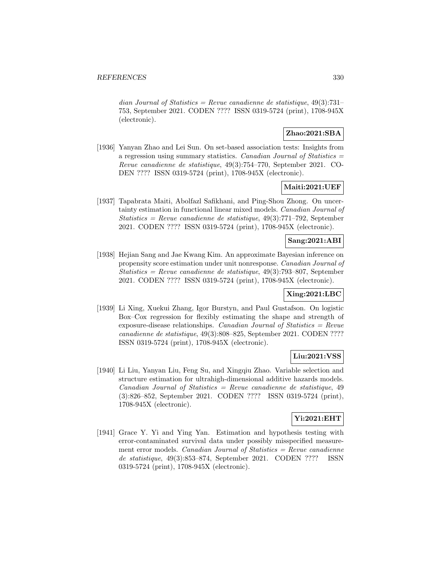dian Journal of Statistics = Revue canadienne de statistique,  $49(3):731-$ 753, September 2021. CODEN ???? ISSN 0319-5724 (print), 1708-945X (electronic).

### **Zhao:2021:SBA**

[1936] Yanyan Zhao and Lei Sun. On set-based association tests: Insights from a regression using summary statistics. Canadian Journal of Statistics = Revue canadienne de statistique, 49(3):754–770, September 2021. CO-DEN ???? ISSN 0319-5724 (print), 1708-945X (electronic).

### **Maiti:2021:UEF**

[1937] Tapabrata Maiti, Abolfazl Safikhani, and Ping-Shou Zhong. On uncertainty estimation in functional linear mixed models. Canadian Journal of Statistics = Revue canadienne de statistique,  $49(3)$ :771–792, September 2021. CODEN ???? ISSN 0319-5724 (print), 1708-945X (electronic).

## **Sang:2021:ABI**

[1938] Hejian Sang and Jae Kwang Kim. An approximate Bayesian inference on propensity score estimation under unit nonresponse. Canadian Journal of Statistics = Revue canadienne de statistique,  $49(3)$ :793-807, September 2021. CODEN ???? ISSN 0319-5724 (print), 1708-945X (electronic).

## **Xing:2021:LBC**

[1939] Li Xing, Xuekui Zhang, Igor Burstyn, and Paul Gustafson. On logistic Box–Cox regression for flexibly estimating the shape and strength of exposure-disease relationships. Canadian Journal of Statistics  $=$  Revue canadienne de statistique, 49(3):808–825, September 2021. CODEN ???? ISSN 0319-5724 (print), 1708-945X (electronic).

# **Liu:2021:VSS**

[1940] Li Liu, Yanyan Liu, Feng Su, and Xingqiu Zhao. Variable selection and structure estimation for ultrahigh-dimensional additive hazards models.  $Canadian Journal of Statistics = Review can a dienne de statistic, 49$ (3):826–852, September 2021. CODEN ???? ISSN 0319-5724 (print), 1708-945X (electronic).

## **Yi:2021:EHT**

[1941] Grace Y. Yi and Ying Yan. Estimation and hypothesis testing with error-contaminated survival data under possibly misspecified measurement error models. Canadian Journal of Statistics  $=$  Revue canadienne de statistique, 49(3):853–874, September 2021. CODEN ???? ISSN 0319-5724 (print), 1708-945X (electronic).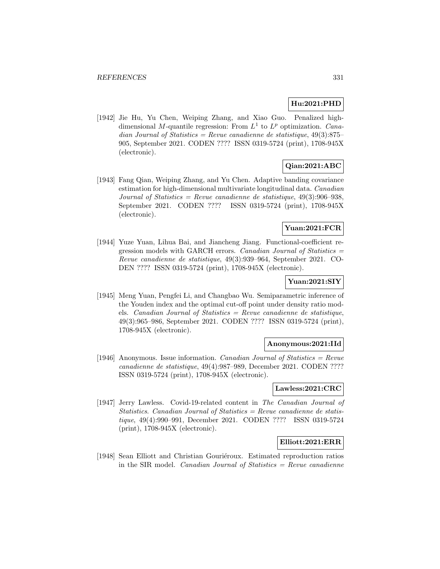# **Hu:2021:PHD**

[1942] Jie Hu, Yu Chen, Weiping Zhang, and Xiao Guo. Penalized highdimensional M-quantile regression: From  $L^1$  to  $L^p$  optimization. *Cana*dian Journal of Statistics = Revue canadienne de statistique,  $49(3):875-$ 905, September 2021. CODEN ???? ISSN 0319-5724 (print), 1708-945X (electronic).

# **Qian:2021:ABC**

[1943] Fang Qian, Weiping Zhang, and Yu Chen. Adaptive banding covariance estimation for high-dimensional multivariate longitudinal data. Canadian Journal of Statistics = Revue canadienne de statistique,  $49(3):906-938$ , September 2021. CODEN ???? ISSN 0319-5724 (print), 1708-945X (electronic).

## **Yuan:2021:FCR**

[1944] Yuze Yuan, Lihua Bai, and Jiancheng Jiang. Functional-coefficient regression models with GARCH errors. *Canadian Journal of Statistics*  $=$ Revue canadienne de statistique, 49(3):939–964, September 2021. CO-DEN ???? ISSN 0319-5724 (print), 1708-945X (electronic).

### **Yuan:2021:SIY**

[1945] Meng Yuan, Pengfei Li, and Changbao Wu. Semiparametric inference of the Youden index and the optimal cut-off point under density ratio models. Canadian Journal of Statistics = Revue canadienne de statistique, 49(3):965–986, September 2021. CODEN ???? ISSN 0319-5724 (print), 1708-945X (electronic).

### **Anonymous:2021:IId**

[1946] Anonymous. Issue information. *Canadian Journal of Statistics = Revue* canadienne de statistique, 49(4):987–989, December 2021. CODEN ???? ISSN 0319-5724 (print), 1708-945X (electronic).

#### **Lawless:2021:CRC**

[1947] Jerry Lawless. Covid-19-related content in The Canadian Journal of Statistics. Canadian Journal of Statistics  $=$  Revue canadienne de statistique, 49(4):990–991, December 2021. CODEN ???? ISSN 0319-5724 (print), 1708-945X (electronic).

### **Elliott:2021:ERR**

[1948] Sean Elliott and Christian Gouriéroux. Estimated reproduction ratios in the SIR model. *Canadian Journal of Statistics = Revue canadienne*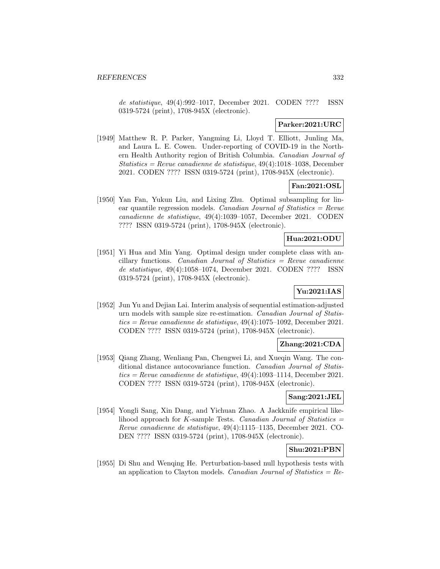de statistique, 49(4):992–1017, December 2021. CODEN ???? ISSN 0319-5724 (print), 1708-945X (electronic).

## **Parker:2021:URC**

[1949] Matthew R. P. Parker, Yangming Li, Lloyd T. Elliott, Junling Ma, and Laura L. E. Cowen. Under-reporting of COVID-19 in the Northern Health Authority region of British Columbia. Canadian Journal of Statistics = Revue canadienne de statistique, 49(4):1018–1038, December 2021. CODEN ???? ISSN 0319-5724 (print), 1708-945X (electronic).

# **Fan:2021:OSL**

[1950] Yan Fan, Yukun Liu, and Lixing Zhu. Optimal subsampling for linear quantile regression models. Canadian Journal of Statistics  $=$  Revue canadienne de statistique, 49(4):1039–1057, December 2021. CODEN ???? ISSN 0319-5724 (print), 1708-945X (electronic).

## **Hua:2021:ODU**

[1951] Yi Hua and Min Yang. Optimal design under complete class with ancillary functions. Canadian Journal of Statistics =  $Re$ vue canadienne de statistique, 49(4):1058–1074, December 2021. CODEN ???? ISSN 0319-5724 (print), 1708-945X (electronic).

# **Yu:2021:IAS**

[1952] Jun Yu and Dejian Lai. Interim analysis of sequential estimation-adjusted urn models with sample size re-estimation. Canadian Journal of Statis $tics = Revenue canadienne de statistique, 49(4):1075-1092, December 2021.$ CODEN ???? ISSN 0319-5724 (print), 1708-945X (electronic).

# **Zhang:2021:CDA**

[1953] Qiang Zhang, Wenliang Pan, Chengwei Li, and Xueqin Wang. The conditional distance autocovariance function. Canadian Journal of Statis $tics = Revenue canadienne de statistique, 49(4):1093-1114, December 2021.$ CODEN ???? ISSN 0319-5724 (print), 1708-945X (electronic).

### **Sang:2021:JEL**

[1954] Yongli Sang, Xin Dang, and Yichuan Zhao. A Jackknife empirical likelihood approach for K-sample Tests. Canadian Journal of Statistics  $=$ Revue canadienne de statistique, 49(4):1115–1135, December 2021. CO-DEN ???? ISSN 0319-5724 (print), 1708-945X (electronic).

## **Shu:2021:PBN**

[1955] Di Shu and Wenqing He. Perturbation-based null hypothesis tests with an application to Clayton models. Canadian Journal of Statistics  $=$  Re-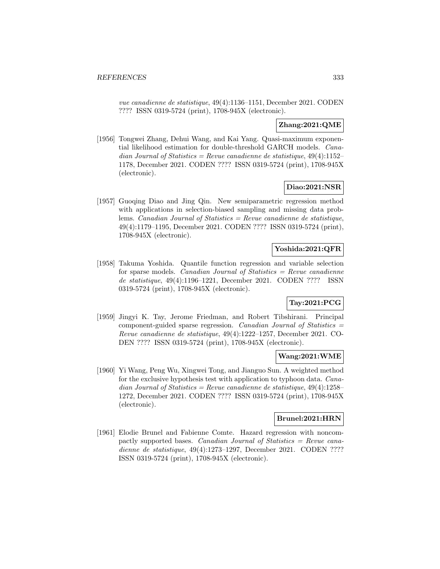vue canadienne de statistique, 49(4):1136–1151, December 2021. CODEN ???? ISSN 0319-5724 (print), 1708-945X (electronic).

## **Zhang:2021:QME**

[1956] Tongwei Zhang, Dehui Wang, and Kai Yang. Quasi-maximum exponential likelihood estimation for double-threshold GARCH models. Canadian Journal of Statistics = Revue canadienne de statistique,  $49(4):1152-$ 1178, December 2021. CODEN ???? ISSN 0319-5724 (print), 1708-945X (electronic).

## **Diao:2021:NSR**

[1957] Guoqing Diao and Jing Qin. New semiparametric regression method with applications in selection-biased sampling and missing data problems. *Canadian Journal of Statistics = Revue canadienne de statistique*, 49(4):1179–1195, December 2021. CODEN ???? ISSN 0319-5724 (print), 1708-945X (electronic).

## **Yoshida:2021:QFR**

[1958] Takuma Yoshida. Quantile function regression and variable selection for sparse models. Canadian Journal of Statistics = Revue canadienne de statistique, 49(4):1196–1221, December 2021. CODEN ???? ISSN 0319-5724 (print), 1708-945X (electronic).

# **Tay:2021:PCG**

[1959] Jingyi K. Tay, Jerome Friedman, and Robert Tibshirani. Principal component-guided sparse regression. Canadian Journal of Statistics  $=$ Revue canadienne de statistique, 49(4):1222–1257, December 2021. CO-DEN ???? ISSN 0319-5724 (print), 1708-945X (electronic).

## **Wang:2021:WME**

[1960] Yi Wang, Peng Wu, Xingwei Tong, and Jianguo Sun. A weighted method for the exclusive hypothesis test with application to typhoon data. Canadian Journal of Statistics = Revue canadienne de statistique,  $49(4):1258-$ 1272, December 2021. CODEN ???? ISSN 0319-5724 (print), 1708-945X (electronic).

## **Brunel:2021:HRN**

[1961] Elodie Brunel and Fabienne Comte. Hazard regression with noncompactly supported bases. Canadian Journal of Statistics = Revue canadienne de statistique, 49(4):1273–1297, December 2021. CODEN ???? ISSN 0319-5724 (print), 1708-945X (electronic).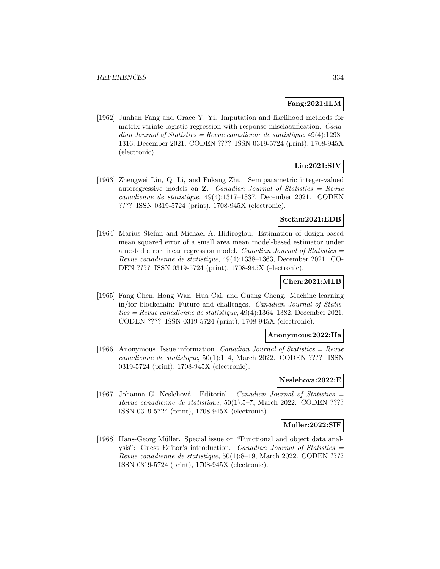### **Fang:2021:ILM**

[1962] Junhan Fang and Grace Y. Yi. Imputation and likelihood methods for matrix-variate logistic regression with response misclassification. Canadian Journal of Statistics = Revue canadienne de statistique,  $49(4):1298-$ 1316, December 2021. CODEN ???? ISSN 0319-5724 (print), 1708-945X (electronic).

## **Liu:2021:SIV**

[1963] Zhengwei Liu, Qi Li, and Fukang Zhu. Semiparametric integer-valued autoregressive models on **Z**. Canadian Journal of Statistics = Revue canadienne de statistique, 49(4):1317–1337, December 2021. CODEN ???? ISSN 0319-5724 (print), 1708-945X (electronic).

## **Stefan:2021:EDB**

[1964] Marius Stefan and Michael A. Hidiroglou. Estimation of design-based mean squared error of a small area mean model-based estimator under a nested error linear regression model. Canadian Journal of Statistics = Revue canadienne de statistique, 49(4):1338–1363, December 2021. CO-DEN ???? ISSN 0319-5724 (print), 1708-945X (electronic).

## **Chen:2021:MLB**

[1965] Fang Chen, Hong Wan, Hua Cai, and Guang Cheng. Machine learning in/for blockchain: Future and challenges. Canadian Journal of Statis $tics = Revenue canadienne de statisticque, 49(4):1364-1382, December 2021.$ CODEN ???? ISSN 0319-5724 (print), 1708-945X (electronic).

### **Anonymous:2022:IIa**

[1966] Anonymous. Issue information. *Canadian Journal of Statistics = Revue* canadienne de statistique, 50(1):1–4, March 2022. CODEN ???? ISSN 0319-5724 (print), 1708-945X (electronic).

# **Neslehova:2022:E**

[1967] Johanna G. Neslehová. Editorial. Canadian Journal of Statistics  $=$ Revue canadienne de statistique, 50(1):5–7, March 2022. CODEN ???? ISSN 0319-5724 (print), 1708-945X (electronic).

#### **Muller:2022:SIF**

[1968] Hans-Georg Müller. Special issue on "Functional and object data analysis": Guest Editor's introduction. Canadian Journal of Statistics = Revue canadienne de statistique, 50(1):8–19, March 2022. CODEN ???? ISSN 0319-5724 (print), 1708-945X (electronic).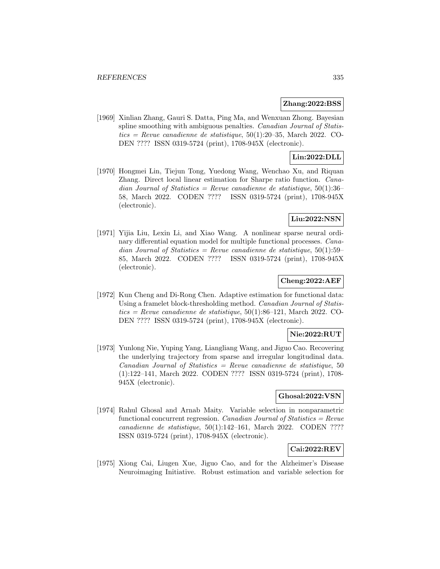### **Zhang:2022:BSS**

[1969] Xinlian Zhang, Gauri S. Datta, Ping Ma, and Wenxuan Zhong. Bayesian spline smoothing with ambiguous penalties. Canadian Journal of Statis $tics = Revenue canadienne de statisticque, 50(1):20-35, March 2022. CO-$ DEN ???? ISSN 0319-5724 (print), 1708-945X (electronic).

## **Lin:2022:DLL**

[1970] Hongmei Lin, Tiejun Tong, Yuedong Wang, Wenchao Xu, and Riquan Zhang. Direct local linear estimation for Sharpe ratio function. Canadian Journal of Statistics = Revue canadienne de statistique,  $50(1):36-$ 58, March 2022. CODEN ???? ISSN 0319-5724 (print), 1708-945X (electronic).

## **Liu:2022:NSN**

[1971] Yijia Liu, Lexin Li, and Xiao Wang. A nonlinear sparse neural ordinary differential equation model for multiple functional processes. Canadian Journal of Statistics = Revue canadienne de statistique,  $50(1):59-$ 85, March 2022. CODEN ???? ISSN 0319-5724 (print), 1708-945X (electronic).

## **Cheng:2022:AEF**

[1972] Kun Cheng and Di-Rong Chen. Adaptive estimation for functional data: Using a framelet block-thresholding method. Canadian Journal of Statis $tics = Revue$  canadienne de statistique, 50(1):86–121, March 2022. CO-DEN ???? ISSN 0319-5724 (print), 1708-945X (electronic).

## **Nie:2022:RUT**

[1973] Yunlong Nie, Yuping Yang, Liangliang Wang, and Jiguo Cao. Recovering the underlying trajectory from sparse and irregular longitudinal data.  $Canadian Journal of Statistics = Review canadienne de statistic, 50$ (1):122–141, March 2022. CODEN ???? ISSN 0319-5724 (print), 1708- 945X (electronic).

### **Ghosal:2022:VSN**

[1974] Rahul Ghosal and Arnab Maity. Variable selection in nonparametric functional concurrent regression. Canadian Journal of Statistics =  $Re$ vue canadienne de statistique, 50(1):142–161, March 2022. CODEN ???? ISSN 0319-5724 (print), 1708-945X (electronic).

#### **Cai:2022:REV**

[1975] Xiong Cai, Liugen Xue, Jiguo Cao, and for the Alzheimer's Disease Neuroimaging Initiative. Robust estimation and variable selection for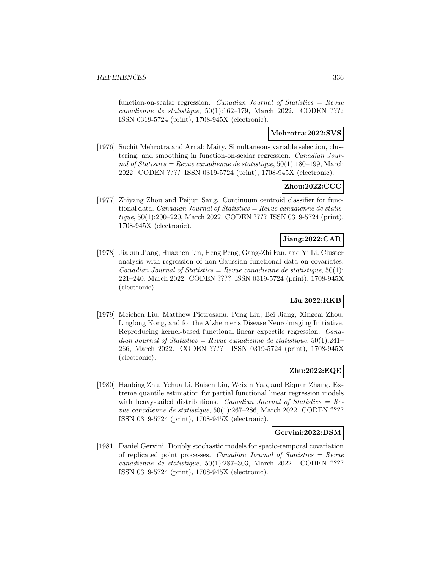function-on-scalar regression. Canadian Journal of Statistics  $=$  Revue canadienne de statistique, 50(1):162–179, March 2022. CODEN ???? ISSN 0319-5724 (print), 1708-945X (electronic).

# **Mehrotra:2022:SVS**

[1976] Suchit Mehrotra and Arnab Maity. Simultaneous variable selection, clustering, and smoothing in function-on-scalar regression. Canadian Journal of Statistics = Revue canadienne de statistique,  $50(1):180-199$ , March 2022. CODEN ???? ISSN 0319-5724 (print), 1708-945X (electronic).

## **Zhou:2022:CCC**

[1977] Zhiyang Zhou and Peijun Sang. Continuum centroid classifier for functional data. Canadian Journal of Statistics = Revue canadienne de statistique, 50(1):200–220, March 2022. CODEN ???? ISSN 0319-5724 (print), 1708-945X (electronic).

## **Jiang:2022:CAR**

[1978] Jiakun Jiang, Huazhen Lin, Heng Peng, Gang-Zhi Fan, and Yi Li. Cluster analysis with regression of non-Gaussian functional data on covariates. Canadian Journal of Statistics = Revue canadienne de statistique,  $50(1)$ : 221–240, March 2022. CODEN ???? ISSN 0319-5724 (print), 1708-945X (electronic).

# **Liu:2022:RKB**

[1979] Meichen Liu, Matthew Pietrosanu, Peng Liu, Bei Jiang, Xingcai Zhou, Linglong Kong, and for the Alzheimer's Disease Neuroimaging Initiative. Reproducing kernel-based functional linear expectile regression. Canadian Journal of Statistics = Revue canadienne de statistique,  $50(1):241-$ 266, March 2022. CODEN ???? ISSN 0319-5724 (print), 1708-945X (electronic).

# **Zhu:2022:EQE**

[1980] Hanbing Zhu, Yehua Li, Baisen Liu, Weixin Yao, and Riquan Zhang. Extreme quantile estimation for partial functional linear regression models with heavy-tailed distributions. Canadian Journal of Statistics =  $Re$ vue canadienne de statistique, 50(1):267–286, March 2022. CODEN ???? ISSN 0319-5724 (print), 1708-945X (electronic).

### **Gervini:2022:DSM**

[1981] Daniel Gervini. Doubly stochastic models for spatio-temporal covariation of replicated point processes. Canadian Journal of Statistics  $=$  Revue canadienne de statistique, 50(1):287–303, March 2022. CODEN ???? ISSN 0319-5724 (print), 1708-945X (electronic).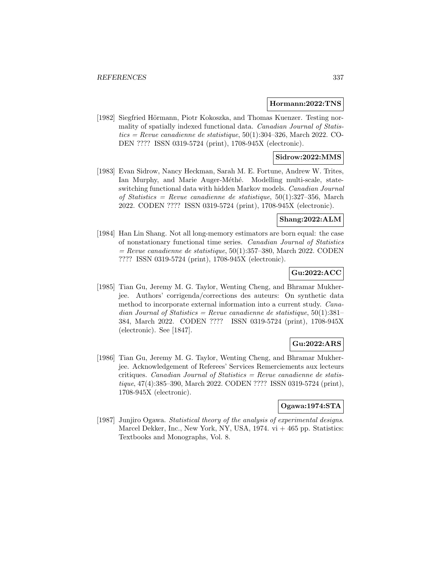#### **Hormann:2022:TNS**

[1982] Siegfried Hörmann, Piotr Kokoszka, and Thomas Kuenzer. Testing normality of spatially indexed functional data. Canadian Journal of Statis $tics = Revue$  canadienne de statistique, 50(1):304-326, March 2022. CO-DEN ???? ISSN 0319-5724 (print), 1708-945X (electronic).

### **Sidrow:2022:MMS**

[1983] Evan Sidrow, Nancy Heckman, Sarah M. E. Fortune, Andrew W. Trites, Ian Murphy, and Marie Auger-Méthé. Modelling multi-scale, stateswitching functional data with hidden Markov models. Canadian Journal of Statistics = Revue canadienne de statistique,  $50(1):327-356$ , March 2022. CODEN ???? ISSN 0319-5724 (print), 1708-945X (electronic).

### **Shang:2022:ALM**

[1984] Han Lin Shang. Not all long-memory estimators are born equal: the case of nonstationary functional time series. Canadian Journal of Statistics  $=$  Revue canadienne de statistique, 50(1):357–380, March 2022. CODEN ???? ISSN 0319-5724 (print), 1708-945X (electronic).

## **Gu:2022:ACC**

[1985] Tian Gu, Jeremy M. G. Taylor, Wenting Cheng, and Bhramar Mukherjee. Authors' corrigenda/corrections des auteurs: On synthetic data method to incorporate external information into a current study. Canadian Journal of Statistics = Revue canadienne de statistique,  $50(1):381-$ 384, March 2022. CODEN ???? ISSN 0319-5724 (print), 1708-945X (electronic). See [1847].

# **Gu:2022:ARS**

[1986] Tian Gu, Jeremy M. G. Taylor, Wenting Cheng, and Bhramar Mukherjee. Acknowledgement of Referees' Services Remerciements aux lecteurs critiques. Canadian Journal of Statistics =  $Re$ vue canadienne de statistique, 47(4):385–390, March 2022. CODEN ???? ISSN 0319-5724 (print), 1708-945X (electronic).

### **Ogawa:1974:STA**

[1987] Junjiro Ogawa. Statistical theory of the analysis of experimental designs. Marcel Dekker, Inc., New York, NY, USA,  $1974. vi + 465$  pp. Statistics: Textbooks and Monographs, Vol. 8.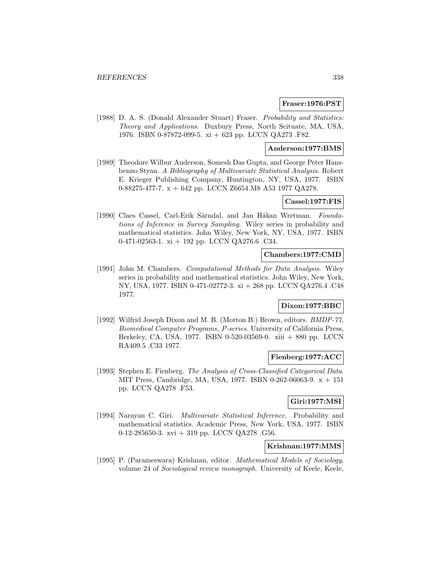#### **Fraser:1976:PST**

[1988] D. A. S. (Donald Alexander Stuart) Fraser. Probability and Statistics: Theory and Applications. Duxbury Press, North Scituate, MA, USA, 1976. ISBN 0-87872-099-5. xi + 623 pp. LCCN QA273 .F82.

#### **Anderson:1977:BMS**

[1989] Theodore Wilbur Anderson, Somesh Das Gupta, and George Peter Hansbenno Styan. A Bibliography of Multivariate Statistical Analysis. Robert E. Krieger Publishing Company, Huntington, NY, USA, 1977. ISBN 0-88275-477-7. x + 642 pp. LCCN Z6654.M8 A53 1977 QA278.

## **Cassel:1977:FIS**

[1990] Claes Cassel, Carl-Erik Särndal, and Jan Håkan Wretman. Foundations of Inference in Survey Sampling. Wiley series in probability and mathematical statistics. John Wiley, New York, NY, USA, 1977. ISBN 0-471-02563-1. xi + 192 pp. LCCN QA276.6 .C34.

### **Chambers:1977:CMD**

[1991] John M. Chambers. Computational Methods for Data Analysis. Wiley series in probability and mathematical statistics. John Wiley, New York, NY, USA, 1977. ISBN 0-471-02772-3. xi + 268 pp. LCCN QA276.4 .C48 1977.

### **Dixon:1977:BBC**

[1992] Wilfrid Joseph Dixon and M. B. (Morton B.) Brown, editors. BMDP-77, Biomedical Computer Programs, P-series. University of California Press, Berkeley, CA, USA, 1977. ISBN 0-520-03569-0. xiii + 880 pp. LCCN RA409.5 .C33 1977.

## **Fienberg:1977:ACC**

[1993] Stephen E. Fienberg. The Analysis of Cross-Classified Categorical Data. MIT Press, Cambridge, MA, USA, 1977. ISBN 0-262-06063-9. x + 151 pp. LCCN QA278 .F53.

## **Giri:1977:MSI**

[1994] Narayan C. Giri. Multivariate Statistical Inference. Probability and mathematical statistics. Academic Press, New York, USA, 1977. ISBN 0-12-285650-3. xvi + 319 pp. LCCN QA278 .G56.

## **Krishnan:1977:MMS**

[1995] P. (Parameswara) Krishnan, editor. Mathematical Models of Sociology, volume 24 of Sociological review monograph. University of Keele, Keele,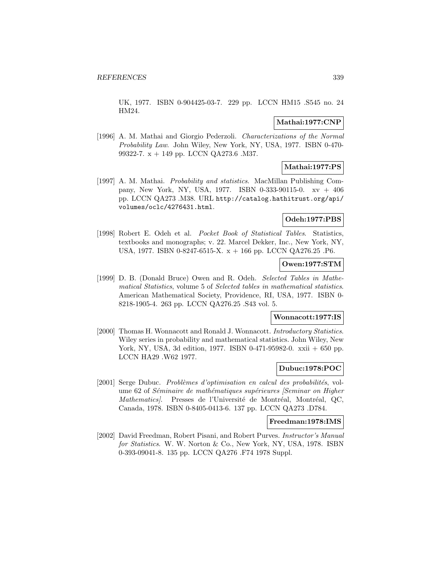UK, 1977. ISBN 0-904425-03-7. 229 pp. LCCN HM15 .S545 no. 24 HM24.

### **Mathai:1977:CNP**

[1996] A. M. Mathai and Giorgio Pederzoli. Characterizations of the Normal Probability Law. John Wiley, New York, NY, USA, 1977. ISBN 0-470- 99322-7. x + 149 pp. LCCN QA273.6 .M37.

# **Mathai:1977:PS**

[1997] A. M. Mathai. *Probability and statistics*. MacMillan Publishing Company, New York, NY, USA, 1977. ISBN 0-333-90115-0. xv + 406 pp. LCCN QA273 .M38. URL http://catalog.hathitrust.org/api/ volumes/oclc/4276431.html.

### **Odeh:1977:PBS**

[1998] Robert E. Odeh et al. Pocket Book of Statistical Tables. Statistics, textbooks and monographs; v. 22. Marcel Dekker, Inc., New York, NY, USA, 1977. ISBN 0-8247-6515-X. x + 166 pp. LCCN QA276.25 .P6.

### **Owen:1977:STM**

[1999] D. B. (Donald Bruce) Owen and R. Odeh. Selected Tables in Mathematical Statistics, volume 5 of Selected tables in mathematical statistics. American Mathematical Society, Providence, RI, USA, 1977. ISBN 0- 8218-1905-4. 263 pp. LCCN QA276.25 .S43 vol. 5.

#### **Wonnacott:1977:IS**

[2000] Thomas H. Wonnacott and Ronald J. Wonnacott. Introductory Statistics. Wiley series in probability and mathematical statistics. John Wiley, New York, NY, USA, 3d edition, 1977. ISBN 0-471-95982-0. xxii + 650 pp. LCCN HA29 .W62 1977.

## **Dubuc:1978:POC**

[2001] Serge Dubuc. Problèmes d'optimisation en calcul des probabilités, volume 62 of Séminaire de mathématiques supérieures [Seminar on Higher Mathematics). Presses de l'Université de Montréal, Montréal, QC, Canada, 1978. ISBN 0-8405-0413-6. 137 pp. LCCN QA273 .D784.

#### **Freedman:1978:IMS**

[2002] David Freedman, Robert Pisani, and Robert Purves. Instructor's Manual for Statistics. W. W. Norton & Co., New York, NY, USA, 1978. ISBN 0-393-09041-8. 135 pp. LCCN QA276 .F74 1978 Suppl.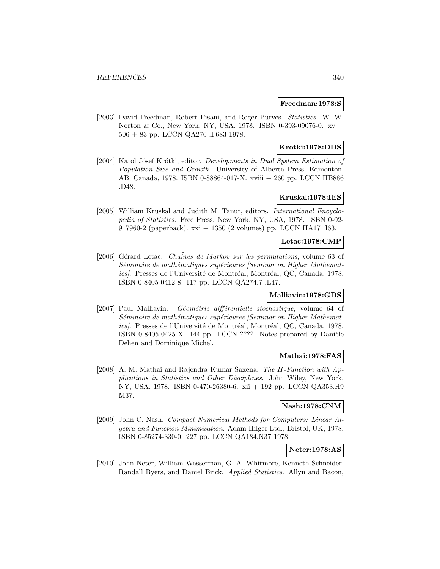### **Freedman:1978:S**

[2003] David Freedman, Robert Pisani, and Roger Purves. Statistics. W. W. Norton & Co., New York, NY, USA, 1978. ISBN 0-393-09076-0. xv + 506 + 83 pp. LCCN QA276 .F683 1978.

## **Krotki:1978:DDS**

[2004] Karol Jósef Krótki, editor. Developments in Dual System Estimation of Population Size and Growth. University of Alberta Press, Edmonton, AB, Canada, 1978. ISBN 0-88864-017-X. xviii + 260 pp. LCCN HB886 .D48.

## **Kruskal:1978:IES**

[2005] William Kruskal and Judith M. Tanur, editors. International Encyclopedia of Statistics. Free Press, New York, NY, USA, 1978. ISBN 0-02- 917960-2 (paperback). xxi + 1350 (2 volumes) pp. LCCN HA17 .I63.

### **Letac:1978:CMP**

[2006] Gérard Letac. *Chaînes de Markov sur les permutations*, volume 63 of Séminaire de mathématiques supérieures [Seminar on Higher Mathematics). Presses de l'Université de Montréal, Montréal, QC, Canada, 1978. ISBN 0-8405-0412-8. 117 pp. LCCN QA274.7 .L47.

# **Malliavin:1978:GDS**

[2007] Paul Malliavin. Géométrie différentielle stochastique, volume 64 of Séminaire de mathématiques supérieures [Seminar on Higher Mathematics). Presses de l'Université de Montréal, Montréal, QC, Canada, 1978. ISBN 0-8405-0425-X. 144 pp. LCCN ???? Notes prepared by Danièle Dehen and Dominique Michel.

### **Mathai:1978:FAS**

[2008] A. M. Mathai and Rajendra Kumar Saxena. The H-Function with Applications in Statistics and Other Disciplines. John Wiley, New York, NY, USA, 1978. ISBN 0-470-26380-6. xii + 192 pp. LCCN QA353.H9 M37.

## **Nash:1978:CNM**

[2009] John C. Nash. Compact Numerical Methods for Computers: Linear Algebra and Function Minimisation. Adam Hilger Ltd., Bristol, UK, 1978. ISBN 0-85274-330-0. 227 pp. LCCN QA184.N37 1978.

## **Neter:1978:AS**

[2010] John Neter, William Wasserman, G. A. Whitmore, Kenneth Schneider, Randall Byers, and Daniel Brick. Applied Statistics. Allyn and Bacon,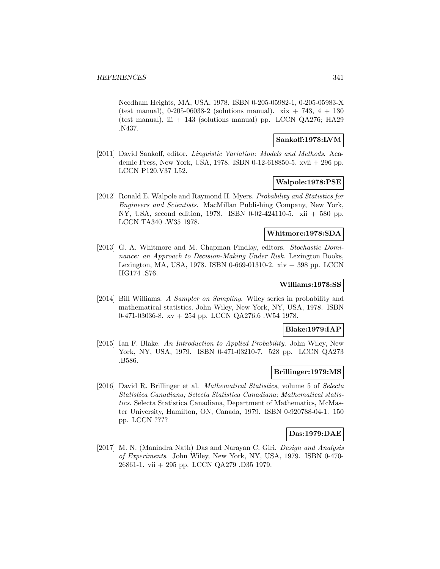Needham Heights, MA, USA, 1978. ISBN 0-205-05982-1, 0-205-05983-X (test manual),  $0-205-06038-2$  (solutions manual). xix + 743, 4 + 130 (test manual), iii  $+ 143$  (solutions manual) pp. LCCN QA276; HA29 .N437.

#### **Sankoff:1978:LVM**

[2011] David Sankoff, editor. *Linguistic Variation: Models and Methods*. Academic Press, New York, USA, 1978. ISBN 0-12-618850-5. xvii + 296 pp. LCCN P120.V37 L52.

## **Walpole:1978:PSE**

[2012] Ronald E. Walpole and Raymond H. Myers. Probability and Statistics for Engineers and Scientists. MacMillan Publishing Company, New York, NY, USA, second edition, 1978. ISBN 0-02-424110-5. xii + 580 pp. LCCN TA340 .W35 1978.

### **Whitmore:1978:SDA**

[2013] G. A. Whitmore and M. Chapman Findlay, editors. Stochastic Dominance: an Approach to Decision-Making Under Risk. Lexington Books, Lexington, MA, USA, 1978. ISBN 0-669-01310-2. xiv + 398 pp. LCCN HG174 .S76.

# **Williams:1978:SS**

[2014] Bill Williams. A Sampler on Sampling. Wiley series in probability and mathematical statistics. John Wiley, New York, NY, USA, 1978. ISBN 0-471-03036-8. xv + 254 pp. LCCN QA276.6 .W54 1978.

#### **Blake:1979:IAP**

[2015] Ian F. Blake. An Introduction to Applied Probability. John Wiley, New York, NY, USA, 1979. ISBN 0-471-03210-7. 528 pp. LCCN QA273 .B586.

### **Brillinger:1979:MS**

[2016] David R. Brillinger et al. Mathematical Statistics, volume 5 of Selecta Statistica Canadiana; Selecta Statistica Canadiana; Mathematical statistics. Selecta Statistica Canadiana, Department of Mathematics, McMaster University, Hamilton, ON, Canada, 1979. ISBN 0-920788-04-1. 150 pp. LCCN ????

### **Das:1979:DAE**

[2017] M. N. (Manindra Nath) Das and Narayan C. Giri. Design and Analysis of Experiments. John Wiley, New York, NY, USA, 1979. ISBN 0-470- 26861-1. vii + 295 pp. LCCN QA279 .D35 1979.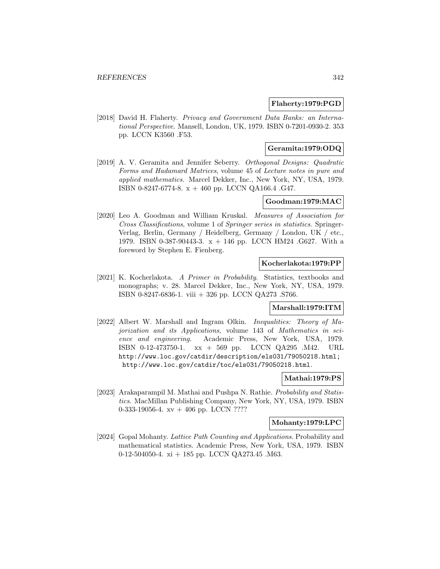### **Flaherty:1979:PGD**

[2018] David H. Flaherty. Privacy and Government Data Banks: an International Perspective. Mansell, London, UK, 1979. ISBN 0-7201-0930-2. 353 pp. LCCN K3560 .F53.

#### **Geramita:1979:ODQ**

[2019] A. V. Geramita and Jennifer Seberry. Orthogonal Designs: Quadratic Forms and Hadamard Matrices, volume 45 of Lecture notes in pure and applied mathematics. Marcel Dekker, Inc., New York, NY, USA, 1979. ISBN 0-8247-6774-8. x + 460 pp. LCCN QA166.4 .G47.

# **Goodman:1979:MAC**

[2020] Leo A. Goodman and William Kruskal. Measures of Association for Cross Classifications, volume 1 of Springer series in statistics. Springer-Verlag, Berlin, Germany / Heidelberg, Germany / London, UK / etc., 1979. ISBN 0-387-90443-3. x + 146 pp. LCCN HM24 .G627. With a foreword by Stephen E. Fienberg.

#### **Kocherlakota:1979:PP**

[2021] K. Kocherlakota. A Primer in Probability. Statistics, textbooks and monographs; v. 28. Marcel Dekker, Inc., New York, NY, USA, 1979. ISBN 0-8247-6836-1. viii + 326 pp. LCCN QA273 .S766.

# **Marshall:1979:ITM**

[2022] Albert W. Marshall and Ingram Olkin. Inequalities: Theory of Majorization and its Applications, volume 143 of Mathematics in science and engineering. Academic Press, New York, USA, 1979. ISBN 0-12-473750-1. xx + 569 pp. LCCN QA295 .M42. URL http://www.loc.gov/catdir/description/els031/79050218.html; http://www.loc.gov/catdir/toc/els031/79050218.html.

# **Mathai:1979:PS**

[2023] Arakaparampil M. Mathai and Pushpa N. Rathie. Probability and Statistics. MacMillan Publishing Company, New York, NY, USA, 1979. ISBN 0-333-19056-4.  $xy + 406$  pp. LCCN ????

#### **Mohanty:1979:LPC**

[2024] Gopal Mohanty. Lattice Path Counting and Applications. Probability and mathematical statistics. Academic Press, New York, USA, 1979. ISBN 0-12-504050-4. xi + 185 pp. LCCN QA273.45 .M63.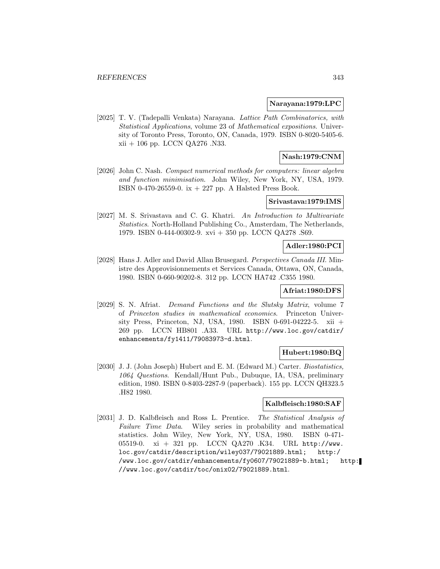#### **Narayana:1979:LPC**

[2025] T. V. (Tadepalli Venkata) Narayana. Lattice Path Combinatorics, with Statistical Applications, volume 23 of Mathematical expositions. University of Toronto Press, Toronto, ON, Canada, 1979. ISBN 0-8020-5405-6. xii + 106 pp. LCCN QA276 .N33.

## **Nash:1979:CNM**

[2026] John C. Nash. Compact numerical methods for computers: linear algebra and function minimisation. John Wiley, New York, NY, USA, 1979. ISBN 0-470-26559-0. ix + 227 pp. A Halsted Press Book.

## **Srivastava:1979:IMS**

[2027] M. S. Srivastava and C. G. Khatri. An Introduction to Multivariate Statistics. North-Holland Publishing Co., Amsterdam, The Netherlands, 1979. ISBN 0-444-00302-9. xvi + 350 pp. LCCN QA278 .S69.

#### **Adler:1980:PCI**

[2028] Hans J. Adler and David Allan Brusegard. Perspectives Canada III. Ministre des Approvisionnements et Services Canada, Ottawa, ON, Canada, 1980. ISBN 0-660-90202-8. 312 pp. LCCN HA742 .C355 1980.

### **Afriat:1980:DFS**

[2029] S. N. Afriat. Demand Functions and the Slutsky Matrix, volume 7 of Princeton studies in mathematical economics. Princeton University Press, Princeton, NJ, USA, 1980. ISBN 0-691-04222-5. xii + 269 pp. LCCN HB801 .A33. URL http://www.loc.gov/catdir/ enhancements/fy1411/79083973-d.html.

#### **Hubert:1980:BQ**

[2030] J. J. (John Joseph) Hubert and E. M. (Edward M.) Carter. Biostatistics, 1064 Questions. Kendall/Hunt Pub., Dubuque, IA, USA, preliminary edition, 1980. ISBN 0-8403-2287-9 (paperback). 155 pp. LCCN QH323.5 .H82 1980.

# **Kalbfleisch:1980:SAF**

[2031] J. D. Kalbfleisch and Ross L. Prentice. The Statistical Analysis of Failure Time Data. Wiley series in probability and mathematical statistics. John Wiley, New York, NY, USA, 1980. ISBN 0-471- 05519-0. xi + 321 pp. LCCN QA270 .K34. URL http://www. loc.gov/catdir/description/wiley037/79021889.html; http:/ /www.loc.gov/catdir/enhancements/fy0607/79021889-b.html; http: //www.loc.gov/catdir/toc/onix02/79021889.html.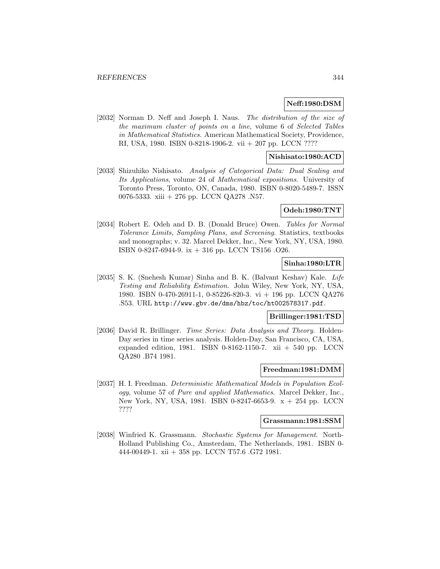#### **Neff:1980:DSM**

[2032] Norman D. Neff and Joseph I. Naus. The distribution of the size of the maximum cluster of points on a line, volume 6 of Selected Tables in Mathematical Statistics. American Mathematical Society, Providence, RI, USA, 1980. ISBN 0-8218-1906-2. vii + 207 pp. LCCN ????

### **Nishisato:1980:ACD**

[2033] Shizuhiko Nishisato. Analysis of Categorical Data: Dual Scaling and Its Applications, volume 24 of Mathematical expositions. University of Toronto Press, Toronto, ON, Canada, 1980. ISBN 0-8020-5489-7. ISSN 0076-5333. xiii + 276 pp. LCCN QA278 .N57.

#### **Odeh:1980:TNT**

[2034] Robert E. Odeh and D. B. (Donald Bruce) Owen. Tables for Normal Tolerance Limits, Sampling Plans, and Screening. Statistics, textbooks and monographs; v. 32. Marcel Dekker, Inc., New York, NY, USA, 1980. ISBN 0-8247-6944-9. ix + 316 pp. LCCN TS156 .O26.

#### **Sinha:1980:LTR**

[2035] S. K. (Snehesh Kumar) Sinha and B. K. (Balvant Keshav) Kale. Life Testing and Reliability Estimation. John Wiley, New York, NY, USA, 1980. ISBN 0-470-26911-1, 0-85226-820-3. vi + 196 pp. LCCN QA276 .S53. URL http://www.gbv.de/dms/hbz/toc/ht002578317.pdf.

#### **Brillinger:1981:TSD**

[2036] David R. Brillinger. Time Series: Data Analysis and Theory. Holden-Day series in time series analysis. Holden-Day, San Francisco, CA, USA, expanded edition, 1981. ISBN 0-8162-1150-7. xii  $+ 540$  pp. LCCN QA280 .B74 1981.

## **Freedman:1981:DMM**

[2037] H. I. Freedman. Deterministic Mathematical Models in Population Ecology, volume 57 of Pure and applied Mathematics. Marcel Dekker, Inc., New York, NY, USA, 1981. ISBN 0-8247-6653-9. x + 254 pp. LCCN ????

#### **Grassmann:1981:SSM**

[2038] Winfried K. Grassmann. Stochastic Systems for Management. North-Holland Publishing Co., Amsterdam, The Netherlands, 1981. ISBN 0- 444-00449-1. xii + 358 pp. LCCN T57.6 .G72 1981.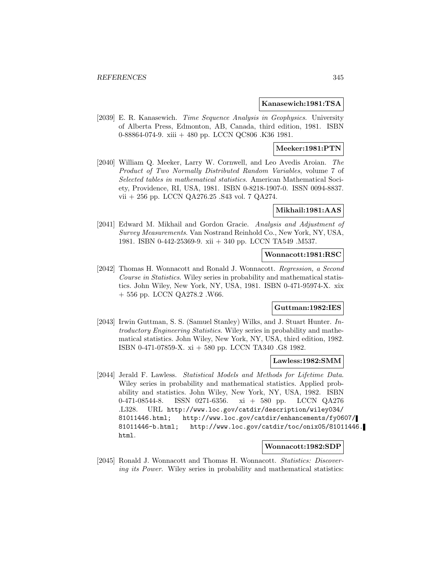#### **Kanasewich:1981:TSA**

[2039] E. R. Kanasewich. Time Sequence Analysis in Geophysics. University of Alberta Press, Edmonton, AB, Canada, third edition, 1981. ISBN 0-88864-074-9. xiii + 480 pp. LCCN QC806 .K36 1981.

#### **Meeker:1981:PTN**

[2040] William Q. Meeker, Larry W. Cornwell, and Leo Avedis Aroian. The Product of Two Normally Distributed Random Variables, volume 7 of Selected tables in mathematical statistics. American Mathematical Society, Providence, RI, USA, 1981. ISBN 0-8218-1907-0. ISSN 0094-8837. vii + 256 pp. LCCN QA276.25 .S43 vol. 7 QA274.

#### **Mikhail:1981:AAS**

[2041] Edward M. Mikhail and Gordon Gracie. Analysis and Adjustment of Survey Measurements. Van Nostrand Reinhold Co., New York, NY, USA, 1981. ISBN 0-442-25369-9. xii + 340 pp. LCCN TA549 .M537.

#### **Wonnacott:1981:RSC**

[2042] Thomas H. Wonnacott and Ronald J. Wonnacott. Regression, a Second Course in Statistics. Wiley series in probability and mathematical statistics. John Wiley, New York, NY, USA, 1981. ISBN 0-471-95974-X. xix + 556 pp. LCCN QA278.2 .W66.

### **Guttman:1982:IES**

[2043] Irwin Guttman, S. S. (Samuel Stanley) Wilks, and J. Stuart Hunter. Introductory Engineering Statistics. Wiley series in probability and mathematical statistics. John Wiley, New York, NY, USA, third edition, 1982. ISBN 0-471-07859-X. xi + 580 pp. LCCN TA340 .G8 1982.

#### **Lawless:1982:SMM**

[2044] Jerald F. Lawless. Statistical Models and Methods for Lifetime Data. Wiley series in probability and mathematical statistics. Applied probability and statistics. John Wiley, New York, NY, USA, 1982. ISBN 0-471-08544-8. ISSN 0271-6356. xi + 580 pp. LCCN QA276 .L328. URL http://www.loc.gov/catdir/description/wiley034/ 81011446.html; http://www.loc.gov/catdir/enhancements/fy0607/ 81011446-b.html; http://www.loc.gov/catdir/toc/onix05/81011446. html.

#### **Wonnacott:1982:SDP**

[2045] Ronald J. Wonnacott and Thomas H. Wonnacott. Statistics: Discovering its Power. Wiley series in probability and mathematical statistics: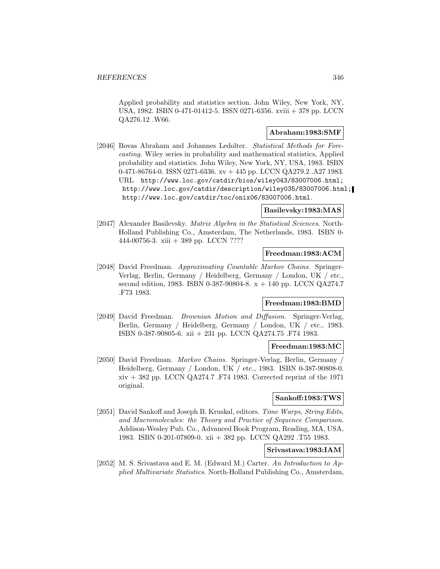Applied probability and statistics section. John Wiley, New York, NY, USA, 1982. ISBN 0-471-01412-5. ISSN 0271-6356. xviii + 378 pp. LCCN QA276.12 .W66.

### **Abraham:1983:SMF**

[2046] Bovas Abraham and Johannes Ledolter. Statistical Methods for Forecasting. Wiley series in probability and mathematical statistics, Applied probability and statistics. John Wiley, New York, NY, USA, 1983. ISBN 0-471-86764-0. ISSN 0271-6336. xv + 445 pp. LCCN QA279.2 .A27 1983. URL http://www.loc.gov/catdir/bios/wiley043/83007006.html; http://www.loc.gov/catdir/description/wiley035/83007006.html; http://www.loc.gov/catdir/toc/onix06/83007006.html.

### **Basilevsky:1983:MAS**

[2047] Alexander Basilevsky. Matrix Algebra in the Statistical Sciences. North-Holland Publishing Co., Amsterdam, The Netherlands, 1983. ISBN 0- 444-00756-3. xiii + 389 pp. LCCN ????

#### **Freedman:1983:ACM**

[2048] David Freedman. Approximating Countable Markov Chains. Springer-Verlag, Berlin, Germany / Heidelberg, Germany / London, UK / etc., second edition, 1983. ISBN 0-387-90804-8. x + 140 pp. LCCN QA274.7 .F73 1983.

### **Freedman:1983:BMD**

[2049] David Freedman. Brownian Motion and Diffusion. Springer-Verlag, Berlin, Germany / Heidelberg, Germany / London, UK / etc., 1983. ISBN 0-387-90805-6. xii + 231 pp. LCCN QA274.75 .F74 1983.

### **Freedman:1983:MC**

[2050] David Freedman. Markov Chains. Springer-Verlag, Berlin, Germany / Heidelberg, Germany / London, UK / etc., 1983. ISBN 0-387-90808-0. xiv + 382 pp. LCCN QA274.7 .F74 1983. Corrected reprint of the 1971 original.

#### **Sankoff:1983:TWS**

[2051] David Sankoff and Joseph B. Kruskal, editors. Time Warps, String Edits, and Macromolecules: the Theory and Practice of Sequence Comparison. Addison-Wesley Pub. Co., Advanced Book Program, Reading, MA, USA, 1983. ISBN 0-201-07809-0. xii + 382 pp. LCCN QA292 .T55 1983.

## **Srivastava:1983:IAM**

[2052] M. S. Srivastava and E. M. (Edward M.) Carter. An Introduction to Applied Multivariate Statistics. North-Holland Publishing Co., Amsterdam,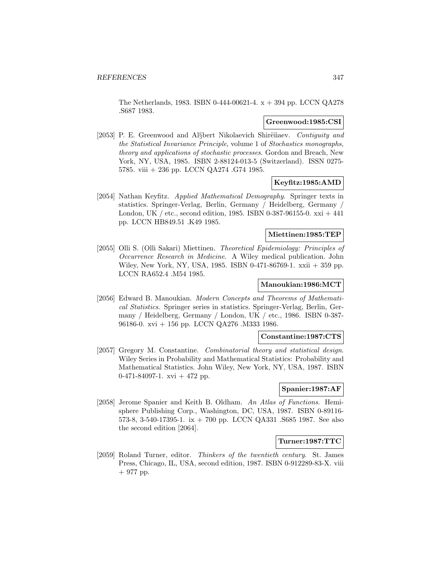The Netherlands, 1983. ISBN 0-444-00621-4. x + 394 pp. LCCN QA278 .S687 1983.

## **Greenwood:1985:CSI**

[2053] P. E. Greenwood and Al $\S$ bert Nikolaevich Shirëiiaev. *Contiguity and* the Statistical Invariance Principle, volume 1 of Stochastics monographs, theory and applications of stochastic processes. Gordon and Breach, New York, NY, USA, 1985. ISBN 2-88124-013-5 (Switzerland). ISSN 0275- 5785. viii + 236 pp. LCCN QA274 .G74 1985.

## **Keyfitz:1985:AMD**

[2054] Nathan Keyfitz. Applied Mathematical Demography. Springer texts in statistics. Springer-Verlag, Berlin, Germany / Heidelberg, Germany / London, UK / etc., second edition, 1985. ISBN 0-387-96155-0. xxi + 441 pp. LCCN HB849.51 .K49 1985.

#### **Miettinen:1985:TEP**

[2055] Olli S. (Olli Sakari) Miettinen. Theoretical Epidemiology: Principles of Occurrence Research in Medicine. A Wiley medical publication. John Wiley, New York, NY, USA, 1985. ISBN 0-471-86769-1. xxii + 359 pp. LCCN RA652.4 .M54 1985.

## **Manoukian:1986:MCT**

[2056] Edward B. Manoukian. Modern Concepts and Theorems of Mathematical Statistics. Springer series in statistics. Springer-Verlag, Berlin, Germany / Heidelberg, Germany / London, UK / etc., 1986. ISBN 0-387- 96186-0. xvi + 156 pp. LCCN QA276 .M333 1986.

#### **Constantine:1987:CTS**

[2057] Gregory M. Constantine. Combinatorial theory and statistical design. Wiley Series in Probability and Mathematical Statistics: Probability and Mathematical Statistics. John Wiley, New York, NY, USA, 1987. ISBN  $0-471-84097-1.$  xvi + 472 pp.

#### **Spanier:1987:AF**

[2058] Jerome Spanier and Keith B. Oldham. An Atlas of Functions. Hemisphere Publishing Corp., Washington, DC, USA, 1987. ISBN 0-89116- 573-8, 3-540-17395-1. ix + 700 pp. LCCN QA331 .S685 1987. See also the second edition [2064].

#### **Turner:1987:TTC**

[2059] Roland Turner, editor. Thinkers of the twentieth century. St. James Press, Chicago, IL, USA, second edition, 1987. ISBN 0-912289-83-X. viii + 977 pp.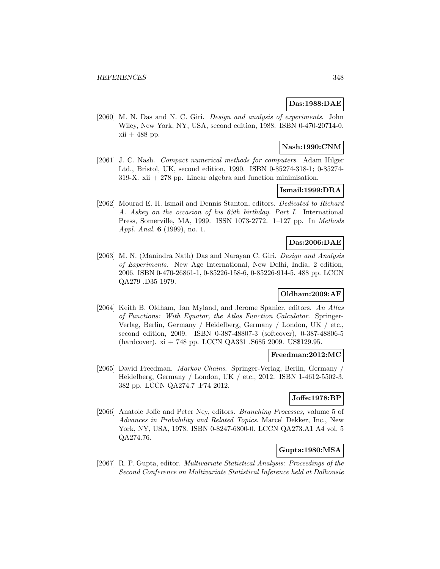## **Das:1988:DAE**

[2060] M. N. Das and N. C. Giri. *Design and analysis of experiments*. John Wiley, New York, NY, USA, second edition, 1988. ISBN 0-470-20714-0.  $xii + 488$  pp.

## **Nash:1990:CNM**

[2061] J. C. Nash. Compact numerical methods for computers. Adam Hilger Ltd., Bristol, UK, second edition, 1990. ISBN 0-85274-318-1; 0-85274-  $319-X. xii + 278$  pp. Linear algebra and function minimisation.

# **Ismail:1999:DRA**

[2062] Mourad E. H. Ismail and Dennis Stanton, editors. Dedicated to Richard A. Askey on the occasion of his 65th birthday. Part I. International Press, Somerville, MA, 1999. ISSN 1073-2772. 1–127 pp. In Methods Appl. Anal. **6** (1999), no. 1.

### **Das:2006:DAE**

[2063] M. N. (Manindra Nath) Das and Narayan C. Giri. Design and Analysis of Experiments. New Age International, New Delhi, India, 2 edition, 2006. ISBN 0-470-26861-1, 0-85226-158-6, 0-85226-914-5. 488 pp. LCCN QA279 .D35 1979.

### **Oldham:2009:AF**

[2064] Keith B. Oldham, Jan Myland, and Jerome Spanier, editors. An Atlas of Functions: With Equator, the Atlas Function Calculator. Springer-Verlag, Berlin, Germany / Heidelberg, Germany / London, UK / etc., second edition, 2009. ISBN 0-387-48807-3 (softcover), 0-387-48806-5 (hardcover). xi + 748 pp. LCCN QA331 .S685 2009. US\$129.95.

# **Freedman:2012:MC**

[2065] David Freedman. Markov Chains. Springer-Verlag, Berlin, Germany / Heidelberg, Germany / London, UK / etc., 2012. ISBN 1-4612-5502-3. 382 pp. LCCN QA274.7 .F74 2012.

# **Joffe:1978:BP**

[2066] Anatole Joffe and Peter Ney, editors. Branching Processes, volume 5 of Advances in Probability and Related Topics. Marcel Dekker, Inc., New York, NY, USA, 1978. ISBN 0-8247-6800-0. LCCN QA273.A1 A4 vol. 5 QA274.76.

## **Gupta:1980:MSA**

[2067] R. P. Gupta, editor. Multivariate Statistical Analysis: Proceedings of the Second Conference on Multivariate Statistical Inference held at Dalhousie